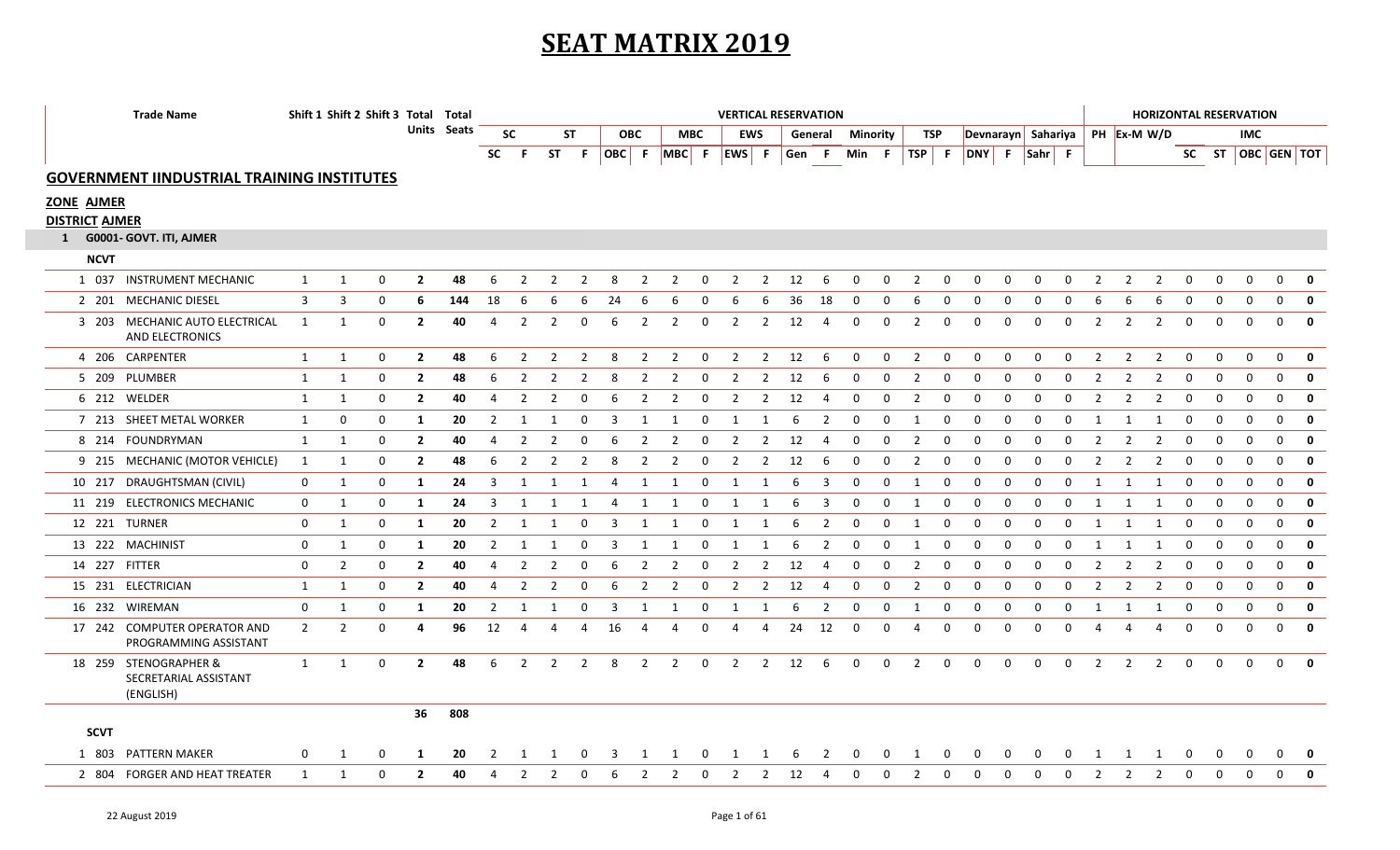## **SEAT MATRIX 2019**

|                       | <b>Trade Name</b>                                           |                | Shift 1 Shift 2 Shift 3 Total Total |                |             |                |                |                |                |    |                |                |                | <b>VERTICAL RESERVATION</b> |                |    |                |              |              |                |              |                                  |              |              |             |                         |                |                |              | <b>HORIZONTAL RESERVATION</b> |              |                         |              |
|-----------------------|-------------------------------------------------------------|----------------|-------------------------------------|----------------|-------------|----------------|----------------|----------------|----------------|----|----------------|----------------|----------------|-----------------------------|----------------|----|----------------|--------------|--------------|----------------|--------------|----------------------------------|--------------|--------------|-------------|-------------------------|----------------|----------------|--------------|-------------------------------|--------------|-------------------------|--------------|
|                       |                                                             |                |                                     |                | Units Seats |                | <b>SC</b>      |                | <b>ST</b>      |    | <b>OBC</b>     |                | <b>MBC</b>     |                             | EWS            |    | General        | Minority     |              | TSP            |              | Devnarayn Sahariya   PH Ex-M W/D |              |              |             |                         |                |                |              |                               | <b>IMC</b>   |                         |              |
|                       |                                                             |                |                                     |                |             | <b>SC</b>      | -F.            | ST F           | - F            |    |                |                |                | OBC F MBC F EWS F           |                |    | Gen F          | Min F        |              |                |              | TSP F DNY F Sahr F               |              |              |             |                         |                |                |              |                               |              | SC ST   OBC   GEN   TOT |              |
|                       | <b>GOVERNMENT IINDUSTRIAL TRAINING INSTITUTES</b>           |                |                                     |                |             |                |                |                |                |    |                |                |                |                             |                |    |                |              |              |                |              |                                  |              |              |             |                         |                |                |              |                               |              |                         |              |
| <b>ZONE AJMER</b>     |                                                             |                |                                     |                |             |                |                |                |                |    |                |                |                |                             |                |    |                |              |              |                |              |                                  |              |              |             |                         |                |                |              |                               |              |                         |              |
| <b>DISTRICT AJMER</b> |                                                             |                |                                     |                |             |                |                |                |                |    |                |                |                |                             |                |    |                |              |              |                |              |                                  |              |              |             |                         |                |                |              |                               |              |                         |              |
|                       | 1 G0001- GOVT. ITI, AJMER                                   |                |                                     |                |             |                |                |                |                |    |                |                |                |                             |                |    |                |              |              |                |              |                                  |              |              |             |                         |                |                |              |                               |              |                         |              |
| <b>NCVT</b>           |                                                             |                |                                     |                |             |                |                |                |                |    |                |                |                |                             |                |    |                |              |              |                |              |                                  |              |              |             |                         |                |                |              |                               |              |                         |              |
|                       | 1 037 INSTRUMENT MECHANIC                                   | $\mathbf{1}$   | $\mathbf 0$<br>$\mathbf{1}$         | $\overline{2}$ | 48          | 6              | $\overline{2}$ | 2              | $\overline{2}$ | 8  | $\overline{2}$ | $\overline{2}$ | $\mathbf 0$    | $\overline{2}$              | 2              | 12 | 6              | $\mathbf 0$  | 0            | 2              | 0            | 0                                | 0            | $\Omega$     | 0           | 2                       | $\overline{2}$ | $\overline{2}$ | $\mathbf 0$  | $\mathbf 0$                   | $\mathbf 0$  | $\mathbf 0$             | $\mathbf 0$  |
|                       | 2 201 MECHANIC DIESEL                                       | $\overline{3}$ | 3<br>0                              | 6              | 144         | 18             | 6              |                |                | 24 | 6              | 6              | $\mathbf 0$    | 6                           | 6              | 36 | 18             |              |              |                | 0            | $\Omega$                         | $\Omega$     |              |             |                         |                |                | $\Omega$     | $\Omega$                      | 0            | $\mathbf 0$             | $\mathbf 0$  |
|                       | 3 203 MECHANIC AUTO ELECTRICAL<br>AND ELECTRONICS           | 1              | $\mathbf 0$<br>1                    | $\overline{2}$ | 40          | 4              | 2              | $\overline{2}$ | 0              | 6  | $\overline{2}$ | $\overline{2}$ | $\overline{0}$ | $\overline{2}$              | $\overline{2}$ | 12 | 4              | $\mathbf 0$  | $\mathbf 0$  | 2              | $\mathbf 0$  | $\Omega$                         | $\Omega$     | $\Omega$     | $\mathbf 0$ | 2                       | 2              | $\overline{2}$ | $\mathbf 0$  | $\mathbf{0}$                  | $\Omega$     | $\Omega$                | $\mathbf{0}$ |
|                       | 4 206 CARPENTER                                             | $\mathbf{1}$   | 0<br>1                              | $\overline{2}$ | 48          | 6              | $\overline{2}$ | $\overline{2}$ | 2              | 8  | $\overline{2}$ | $\overline{2}$ | 0              | $\overline{2}$              | $\overline{2}$ | 12 | -6             | 0            | 0            | $\overline{2}$ | $\mathbf 0$  | $\mathbf 0$                      | $\mathbf 0$  | $\mathbf{0}$ | 0           | 2                       | 2              | 2              | 0            | $\mathbf 0$                   | 0            | $\mathbf 0$             | $\mathbf 0$  |
|                       | 5 209 PLUMBER                                               | 1              | 1<br>$\mathbf 0$                    | $\overline{2}$ | 48          | 6              | 2              | 2              | 2              | 8  | -2             | $\overline{2}$ | 0              | $\overline{2}$              | $\overline{2}$ | 12 | 6              | $\Omega$     | 0            | 2              | 0            | 0                                | 0            | $\Omega$     | 0           |                         | 2              | $\overline{2}$ | $\Omega$     | 0                             | 0            | $\mathbf 0$             | $\mathbf 0$  |
|                       | 6 212 WELDER                                                | 1              | 0<br>1                              | $\overline{2}$ | 40          | 4              | $\overline{2}$ | 2              | $\mathbf 0$    | 6  | $\overline{2}$ | $\overline{2}$ | $\mathbf 0$    | $\overline{2}$              | $\overline{2}$ | 12 | 4              | $\mathbf 0$  | $\mathbf 0$  | 2              | $\mathbf 0$  | 0                                | 0            | 0            | $\mathbf 0$ | $\overline{2}$          | 2              | 2              | $\mathbf 0$  | $\mathbf 0$                   | $\mathbf 0$  | $\mathbf 0$             | $\mathbf 0$  |
|                       | 7 213 SHEET METAL WORKER                                    | 1              | $\mathbf 0$<br>$\mathbf{0}$         | 1              | 20          | $\overline{2}$ | -1             | 1              | $\Omega$       | 3  | 1              | 1              | 0              | 1                           | 1              | 6  | $\overline{2}$ | $\mathbf{0}$ | $\mathbf{0}$ | 1              | $\mathbf{0}$ | 0                                | 0            | $\mathbf{0}$ | 0           | -1                      | 1              | -1             | $\mathbf 0$  | $\mathbf 0$                   | $\mathbf 0$  | $\mathbf 0$             | $\mathbf 0$  |
|                       | 8 214 FOUNDRYMAN                                            | $\mathbf{1}$   | 1<br>$\mathbf 0$                    | $\overline{2}$ | 40          | $\overline{a}$ | $\overline{2}$ |                | O              |    | $\overline{2}$ | $\overline{2}$ | 0              | $\overline{2}$              | $\overline{2}$ | 12 |                | $\Omega$     | $\Omega$     | 2              | $\mathbf 0$  | 0                                | 0            | $\Omega$     | 0           |                         |                |                | $\Omega$     | $\mathbf{0}$                  | $\mathbf{0}$ | $\Omega$                | $\mathbf 0$  |
|                       | 9 215 MECHANIC (MOTOR VEHICLE)                              | 1              | 1<br>$\Omega$                       | $\mathbf{2}$   | 48          | 6              | 2              | 2              | -2             | 8  | -2             | 2              | 0              | 2                           | 2              | 12 | 6              | 0            | 0            | 2              | 0            | 0                                | 0            | 0            | 0           | 2                       | 2              | 2              | 0            | 0                             | 0            | $\Omega$                | $\mathbf 0$  |
|                       | 10 217 DRAUGHTSMAN (CIVIL)                                  | 0              | 1<br>0                              | 1              | 24          | 3              | -1             |                |                | 4  | 1              | -1             | $\Omega$       | 1                           | -1             | 6  | 3              | $\Omega$     | $\Omega$     | 1              | $\mathbf 0$  | 0                                | 0            | 0            | 0           |                         |                |                | $\Omega$     | 0                             | 0            | $\mathbf 0$             | $\mathbf 0$  |
|                       | 11 219 ELECTRONICS MECHANIC                                 | $\mathbf 0$    | 1<br>$\Omega$                       | 1              | 24          | 3              | -1             |                |                | 4  | 1              | 1              | 0              | 1                           | 1              | 6  | 3              | $\Omega$     | $\mathbf 0$  | 1              | $\mathbf 0$  | $\Omega$                         | $\Omega$     | $\Omega$     | 0           | $\overline{\mathbf{1}}$ |                |                | 0            | $\mathbf{0}$                  | $\mathbf{0}$ | $\Omega$                | $\mathbf{0}$ |
|                       | 12 221 TURNER                                               | 0              | $\mathbf{1}$<br>0                   | 1              | 20          | $\overline{2}$ | 1              | 1              | 0              | 3  | 1              | 1              | 0              | 1                           | 1              | 6  | $\overline{2}$ | 0            | 0            | 1              | 0            | 0                                | 0            | 0            | 0           | -1                      | 1              | 1              | 0            | $\mathbf 0$                   | 0            | $\mathbf 0$             | 0            |
|                       | 13 222 MACHINIST                                            | 0              | 0<br>1                              | 1              | 20          | $\overline{2}$ | 1              | 1              | 0              | 3  | 1              | 1              | 0              | 1                           | 1              | 6  | $\overline{2}$ | $\mathbf 0$  | 0            | 1              | 0            | 0                                | 0            | 0            | 0           | 1                       | 1              | 1              | 0            | $\mathbf 0$                   | $\mathbf 0$  | $\mathbf 0$             | $\mathbf 0$  |
| 14 227 FITTER         |                                                             | 0              | $\overline{2}$<br>$\mathbf 0$       | $\overline{2}$ | 40          | 4              | 2              | 2              | <sup>0</sup>   | -6 | 2              | 2              | 0              | 2                           | 2              | 12 | 4              | 0            | 0            | 2              | $\mathbf 0$  | 0                                | 0            | $\Omega$     | 0           | 2                       | 2              | 2              | 0            | 0                             | $\mathbf 0$  | $\mathbf 0$             | $\mathbf 0$  |
|                       | 15 231 ELECTRICIAN                                          | 1              | 1<br>$\Omega$                       | $\overline{2}$ | 40          | 4              | $\mathcal{P}$  | 2              |                |    | -2             | $\mathcal{P}$  | $\Omega$       | $\mathcal{P}$               | 2              | 12 |                | $\Omega$     | $\Omega$     | $\mathcal{P}$  | $\Omega$     | $\Omega$                         | $\Omega$     | $\Omega$     | $\Omega$    | 2                       | $\mathcal{P}$  | $\mathcal{P}$  | $\Omega$     | $\Omega$                      | $\Omega$     | $\Omega$                | $\mathbf{0}$ |
|                       | 16 232 WIREMAN                                              | 0              | 0<br>1                              | 1              | 20          | $\overline{2}$ | 1              | 1              | 0              | -3 | 1              | -1             | 0              | 1                           | 1              | 6  | $\overline{2}$ | $\mathbf 0$  | $\mathbf 0$  | 1              | $\mathbf 0$  | 0                                | 0            | $\Omega$     | 0           | 1                       | 1              | 1              | 0            | $\mathbf 0$                   | $\mathbf 0$  | $\mathbf 0$             | $\mathbf 0$  |
|                       | 17 242 COMPUTER OPERATOR AND<br>PROGRAMMING ASSISTANT       | $\overline{2}$ | $\overline{2}$<br>0                 | 4              | 96          | 12             | $\overline{4}$ | 4              | 4              | 16 | 4              | 4              | 0              | 4                           | 4              | 24 | 12             | 0            | $\mathbf 0$  | 4              | 0            | 0                                | 0            | $\Omega$     | 0           | 4                       | 4              | 4              | 0            | $\mathbf 0$                   | $\mathbf 0$  | $\mathbf 0$             | $\mathbf 0$  |
|                       | 18 259 STENOGRAPHER &<br>SECRETARIAL ASSISTANT<br>(ENGLISH) | $\mathbf{1}$   | $\mathbf 0$<br>1                    | $\overline{2}$ | 48          | 6              | $\overline{2}$ | $\overline{2}$ | $\overline{2}$ | 8  | $\overline{2}$ | $\overline{2}$ | $\mathbf 0$    | $\overline{2}$              | $2^{\circ}$    | 12 | 6              | $\mathbf 0$  | $\mathbf 0$  | $\overline{2}$ | $\mathbf 0$  | $\mathbf 0$                      | $\mathbf 0$  | $\mathbf 0$  | $\mathbf 0$ | $\overline{2}$          | $\overline{2}$ | $\overline{2}$ | $\mathbf 0$  | $\mathbf 0$                   | $\mathbf 0$  | $\overline{0}$          | $\mathbf{0}$ |
| <b>SCVT</b>           |                                                             |                |                                     | 36             | 808         |                |                |                |                |    |                |                |                |                             |                |    |                |              |              |                |              |                                  |              |              |             |                         |                |                |              |                               |              |                         |              |
|                       | 1 803 PATTERN MAKER                                         | 0              | $\Omega$<br>1                       | 1              | 20          | $\mathcal{L}$  |                |                |                |    |                |                | $\Omega$       | 1                           | -1             | 6  | 2              | $\Omega$     |              |                | $\Omega$     | 0                                | <sup>0</sup> |              |             |                         |                |                | 0            | 0                             | 0            | $\Omega$                | $\mathbf{0}$ |
|                       | 2 804 FORGER AND HEAT TREATER                               | $\mathbf{1}$   | $\mathbf 0$<br>1                    | $\overline{2}$ | 40          | $\overline{4}$ | $\overline{2}$ | 2              | 0              | 6  | $\overline{2}$ | 2              | 0              | $\overline{2}$              | 2              | 12 | -4             | 0            | $\mathbf 0$  | 2              | $\mathbf 0$  | 0                                | $\Omega$     | $\Omega$     | 0           | 2                       | $\overline{2}$ | $\overline{2}$ | $\mathbf{0}$ | $\mathbf{0}$                  | $\mathbf 0$  | $\mathbf 0$             | $\mathbf 0$  |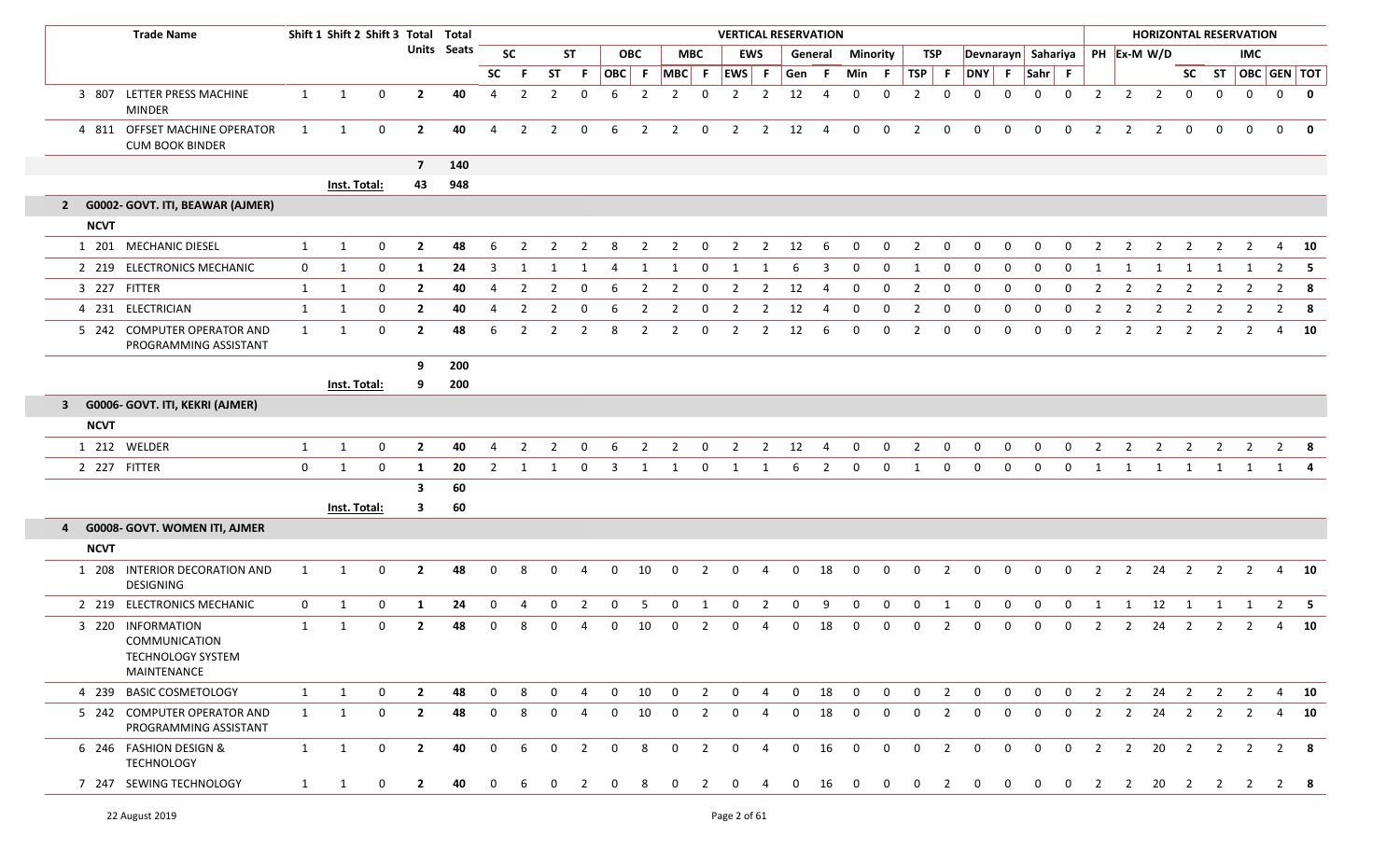|             | <b>Trade Name</b>                                                                    |              | Shift 1 Shift 2 Shift 3 Total Total |              |                |                    |                |                |                |                |                |                |                |                | <b>VERTICAL RESERVATION</b> |                |                |                |                |                |                |                |                |                |                                |                |                |                |                        |                         |                | <b>HORIZONTAL RESERVATION</b> |                |              |
|-------------|--------------------------------------------------------------------------------------|--------------|-------------------------------------|--------------|----------------|--------------------|----------------|----------------|----------------|----------------|----------------|----------------|----------------|----------------|-----------------------------|----------------|----------------|----------------|----------------|----------------|----------------|----------------|----------------|----------------|--------------------------------|----------------|----------------|----------------|------------------------|-------------------------|----------------|-------------------------------|----------------|--------------|
|             |                                                                                      |              |                                     |              |                | <b>Units</b> Seats |                | <b>SC</b>      | <b>ST</b>      |                | <b>OBC</b>     |                |                | <b>MBC</b>     |                             | <b>EWS</b>     |                | General        | Minority       |                | <b>TSP</b>     |                |                |                | Devnarayn Sahariya PH Ex-M W/D |                |                |                |                        |                         |                | <b>IMC</b>                    |                |              |
|             |                                                                                      |              |                                     |              |                |                    | <b>SC</b>      | -F             | <b>ST</b>      | - F            | OBC            | F              | MBC F          |                | EWS F                       |                | Gen F          |                | Min            | F.             | TSP            | $\mathsf{F}$   | DNY            | F              | Sahr F                         |                |                |                |                        |                         | SC ST          | OBC GEN TOT                   |                |              |
| 3 807       | LETTER PRESS MACHINE<br>MINDER                                                       | $\mathbf{1}$ | 1                                   | 0            | $\mathbf{2}$   | 40                 | 4              | $\overline{2}$ | $\overline{2}$ | $\mathbf 0$    | 6              | $\overline{2}$ | $\overline{2}$ | $\mathbf 0$    | $\overline{2}$              | 2              | 12             | 4              | $\mathbf{0}$   | $\Omega$       | $\overline{2}$ | $\mathbf 0$    | $\mathbf 0$    | $\Omega$       | $\mathbf 0$                    | $\mathbf 0$    | $\overline{2}$ | $\overline{2}$ | $\overline{2}$         | $\mathbf 0$             | $\mathbf 0$    | $\mathbf 0$                   |                | $0$ 0        |
|             | 4 811 OFFSET MACHINE OPERATOR<br><b>CUM BOOK BINDER</b>                              | 1            | 1                                   | 0            | $\mathbf{2}$   | 40                 | 4              | $\overline{2}$ | 2              | 0              | 6              | 2              | $\overline{2}$ | 0              | $\overline{2}$              | $\overline{2}$ | 12             | $\overline{4}$ | $\mathbf 0$    | 0              | $\overline{2}$ | $\mathbf 0$    | $\mathbf 0$    | $\mathbf 0$    | $\mathbf 0$                    | $\mathbf 0$    | 2              | $\overline{2}$ | $\overline{2}$         | $\mathbf{0}$            | $\mathbf 0$    | $\Omega$                      | $\overline{0}$ | 0            |
|             |                                                                                      |              |                                     |              | $\overline{7}$ | 140                |                |                |                |                |                |                |                |                |                             |                |                |                |                |                |                |                |                |                |                                |                |                |                |                        |                         |                |                               |                |              |
|             |                                                                                      |              | Inst. Total:                        |              | 43             | 948                |                |                |                |                |                |                |                |                |                             |                |                |                |                |                |                |                |                |                |                                |                |                |                |                        |                         |                |                               |                |              |
|             | 2 G0002- GOVT. ITI, BEAWAR (AJMER)                                                   |              |                                     |              |                |                    |                |                |                |                |                |                |                |                |                             |                |                |                |                |                |                |                |                |                |                                |                |                |                |                        |                         |                |                               |                |              |
| <b>NCVT</b> |                                                                                      |              |                                     |              |                |                    |                |                |                |                |                |                |                |                |                             |                |                |                |                |                |                |                |                |                |                                |                |                |                |                        |                         |                |                               |                |              |
|             | 1 201 MECHANIC DIESEL                                                                | 1            | 1                                   | $\mathbf 0$  | $\mathbf{2}$   | 48                 | 6              | 2              | 2              | 2              | 8              | 2              | 2              | 0              | 2                           | $\overline{2}$ | 12             | -6             | $\mathbf 0$    | 0              | $\overline{2}$ | $\mathbf 0$    | $\mathbf 0$    | $\mathbf 0$    | 0                              | 0              | 2              | $\overline{2}$ | 2                      | $\overline{2}$          | 2              | $\overline{2}$                | 4              | - 10         |
|             | 2 219 ELECTRONICS MECHANIC                                                           | 0            | 1                                   | 0            | 1              | 24                 | 3              | -1             | -1             | -1             | 4              | 1              | 1              | 0              | -1                          |                | -6             | 3              | $\Omega$       | $\mathbf{0}$   | 1              | $\Omega$       | $\mathbf{0}$   | 0              | 0                              | $\Omega$       | 1              | -1             | 1                      | 1                       | -1             |                               |                | $2 \quad 5$  |
| 3 227       | FITTER                                                                               | 1            | 1                                   | 0            | $\mathbf{2}$   | 40                 | 4              | 2              | 2              | 0              | 6              | $\overline{2}$ | $\overline{2}$ | 0              | 2                           | 2              | 12             | 4              | 0              | 0              | $\overline{2}$ | 0              | $\mathbf 0$    | 0              | 0                              | $\Omega$       | 2              | $\overline{2}$ | 2                      | 2                       | -2             | 2                             |                | $2 \times 8$ |
|             | 4 231 ELECTRICIAN                                                                    | 1            | 1                                   | 0            | $\mathbf{2}$   | 40                 | 4              | 2              | 2              | 0              | 6              | $\overline{2}$ | $\overline{2}$ | 0              | 2                           | $\overline{2}$ | 12             | -4             | 0              | 0              | $\overline{2}$ | 0              | $\mathbf 0$    | 0              | 0                              | 0              | 2              | 2              | $\overline{2}$         | 2                       | 2              | 2                             | $2^{\circ}$    | - 8          |
|             | 5 242 COMPUTER OPERATOR AND<br>PROGRAMMING ASSISTANT                                 | 1            | 1                                   | $\mathbf{0}$ | $\mathbf{2}$   | 48                 | 6              | $\mathcal{P}$  | 2              | 2              | 8              | 2              | $\overline{2}$ | 0              | 2                           | 2              | 12             | 6              | $\Omega$       | $\Omega$       | $\overline{2}$ | $\Omega$       | 0              | $\Omega$       | 0                              | 0              | $\overline{2}$ | 2              | $\overline{2}$         | 2                       | 2              | 2                             | 4              | 10           |
|             |                                                                                      |              |                                     |              | 9              | 200                |                |                |                |                |                |                |                |                |                             |                |                |                |                |                |                |                |                |                |                                |                |                |                |                        |                         |                |                               |                |              |
|             |                                                                                      |              | Inst. Total:                        |              | 9              | 200                |                |                |                |                |                |                |                |                |                             |                |                |                |                |                |                |                |                |                |                                |                |                |                |                        |                         |                |                               |                |              |
|             | 3 G0006- GOVT. ITI, KEKRI (AJMER)                                                    |              |                                     |              |                |                    |                |                |                |                |                |                |                |                |                             |                |                |                |                |                |                |                |                |                |                                |                |                |                |                        |                         |                |                               |                |              |
| <b>NCVT</b> |                                                                                      |              |                                     |              |                |                    |                |                |                |                |                |                |                |                |                             |                |                |                |                |                |                |                |                |                |                                |                |                |                |                        |                         |                |                               |                |              |
|             | 1 212 WELDER                                                                         | $\mathbf{1}$ | 1                                   | 0            | $\mathbf{2}$   | 40                 | 4              | 2              | 2              | 0              | 6              | 2              | 2              | 0              | 2                           | $\overline{2}$ | 12             | -4             | $\mathbf 0$    | 0              | $\overline{2}$ | 0              | $\mathbf 0$    | $\mathbf{0}$   | 0                              | 0              | 2              | $\overline{2}$ | $\overline{2}$         | $\overline{2}$          | 2              | $\overline{2}$                | $2 \times 8$   |              |
|             | 2 227 FITTER                                                                         | $\mathbf 0$  | 1                                   | $\mathbf 0$  | 1              | 20                 | $\overline{2}$ | -1             | 1              | $\mathbf{0}$   | 3              | 1              | 1              | 0              | 1                           | 1              | 6              | $\overline{2}$ | $\mathbf 0$    | $\mathbf{0}$   | 1              | $\mathbf{0}$   | $\mathbf 0$    | $\mathbf{0}$   | 0                              | 0              | 1              | 1              | 1                      | $\overline{1}$          | 1              | 1                             | 1 4            |              |
|             |                                                                                      |              |                                     |              | 3              | 60                 |                |                |                |                |                |                |                |                |                             |                |                |                |                |                |                |                |                |                |                                |                |                |                |                        |                         |                |                               |                |              |
|             |                                                                                      |              | Inst. Total:                        |              | 3              | 60                 |                |                |                |                |                |                |                |                |                             |                |                |                |                |                |                |                |                |                |                                |                |                |                |                        |                         |                |                               |                |              |
| 4           | G0008- GOVT. WOMEN ITI, AJMER                                                        |              |                                     |              |                |                    |                |                |                |                |                |                |                |                |                             |                |                |                |                |                |                |                |                |                |                                |                |                |                |                        |                         |                |                               |                |              |
| <b>NCVT</b> |                                                                                      |              |                                     |              |                |                    |                |                |                |                |                |                |                |                |                             |                |                |                |                |                |                |                |                |                |                                |                |                |                |                        |                         |                |                               |                |              |
|             | 1 208 INTERIOR DECORATION AND<br>DESIGNING                                           | 1            | 1                                   | 0            | $\mathbf{2}$   | 48                 | $\mathbf 0$    | 8              | $\mathbf 0$    | 4              | 0              | 10             | $\mathbf{0}$   | 2              | 0                           | 4              | $\mathbf 0$    | 18             | $\mathbf 0$    | $\mathbf{0}$   | $\mathbf 0$    | $\overline{2}$ | $\mathbf 0$    | $\mathbf{0}$   | $\mathbf 0$                    | $\mathbf 0$    | $\overline{2}$ |                | $2 \overline{24}$      | $\overline{\mathbf{2}}$ | $\overline{2}$ | $\overline{2}$                |                | 4 10         |
|             | 2 219 ELECTRONICS MECHANIC                                                           | 0            | 1                                   | 0            | 1              | 24                 | 0              | 4              | 0              | $\overline{2}$ | $\mathbf 0$    | 5              | 0              | 1              | 0                           | $\overline{2}$ | 0              | 9              | $\mathbf 0$    | 0              | $\mathbf 0$    | 1              | $\mathbf 0$    | $\mathbf 0$    | $\mathbf 0$                    | $\mathbf 0$    | 1              | 1              | 12                     | 1                       | 1              | 1                             |                | $2 \quad 5$  |
|             | 3 220 INFORMATION<br><b>COMMUNICATION</b><br>TECHNOLOGY SYSTEM<br><b>MAINTENANCE</b> | 1            | 1                                   | $\mathbf 0$  | $\mathbf{2}$   | 48                 | 0              |                | 0              | 4              | 0              | 10             | 0              |                | $\Omega$                    |                | $\Omega$       | 18             |                | 0              | $\Omega$       | 2              | 0              | 0              | 0                              | 0              | 2              | $\overline{2}$ | 24                     | $\overline{2}$          | 2              | 2                             | 4              | - 10         |
|             | 4 239 BASIC COSMETOLOGY                                                              | 1            | 1                                   | 0            | $\overline{2}$ | 48                 | $\mathbf{0}$   | 8              | $\mathbf 0$    | 4              | 0              | 10             | $\overline{0}$ | $\overline{2}$ | $\mathbf 0$                 | 4              | $\mathbf 0$    | 18             | $\mathbf 0$    | $\mathbf 0$    | $\mathbf 0$    | $\overline{2}$ | $\mathbf 0$    | $\mathbf{0}$   | $\mathbf 0$                    | $\mathbf 0$    | 2              | $\overline{2}$ | 24 2                   |                         | $\overline{2}$ | $\overline{2}$                |                | 4 10         |
|             | 5 242 COMPUTER OPERATOR AND<br>PROGRAMMING ASSISTANT                                 | 1            | 1                                   | $\mathbf 0$  | $\mathbf{2}$   | 48                 | $\mathbf{0}$   | 8              | $\mathbf 0$    | 4              | 0              | 10             | $\mathbf 0$    | $\overline{2}$ | 0                           | 4              | 0              | 18             | $\mathbf 0$    | $\mathbf{0}$   | $\mathbf 0$    | $\overline{2}$ | $\mathbf 0$    | $\mathbf 0$    | $\mathbf 0$                    | $\mathbf 0$    | $\overline{2}$ | $\overline{2}$ | $24$ 2                 |                         | $\overline{2}$ | $\overline{2}$                |                | 4 10         |
|             | 6 246 FASHION DESIGN &<br><b>TECHNOLOGY</b>                                          | 1            | $\overline{1}$                      | $\mathbf{0}$ | $\mathbf{2}$   | 40                 | $\mathbf 0$    | 6              | $\mathbf{0}$   | $\overline{2}$ | $\overline{0}$ | 8              | $\overline{0}$ | $\overline{2}$ | $\overline{0}$              | $\overline{4}$ | $\overline{0}$ | 16             | $\overline{0}$ | $\overline{0}$ | $\overline{0}$ | $\overline{2}$ | $\overline{0}$ | $\overline{0}$ | $\overline{0}$                 | $\overline{0}$ | $\overline{2}$ |                |                        |                         |                | 2 20 2 2 2                    | $2 \times 8$   |              |
|             | 7 247 SEWING TECHNOLOGY                                                              | $\mathbf{1}$ | 1                                   | 0            | $\mathbf{2}$   | 40                 | $\mathbf{0}$   | 6              | 0              | 2              | $\Omega$       | 8              | $\mathbf 0$    | 2              | $\mathbf{0}$                | 4              | $\mathbf 0$    | 16             | $\overline{0}$ | $\overline{0}$ | $\mathbf 0$    | $\overline{2}$ | $\mathbf 0$    | $\mathbf 0$    | $\mathbf 0$                    | $\mathbf 0$    | $\overline{2}$ |                | $2 \qquad 20 \qquad 2$ |                         |                | 2 2                           | 2 8            |              |

Γ

Γ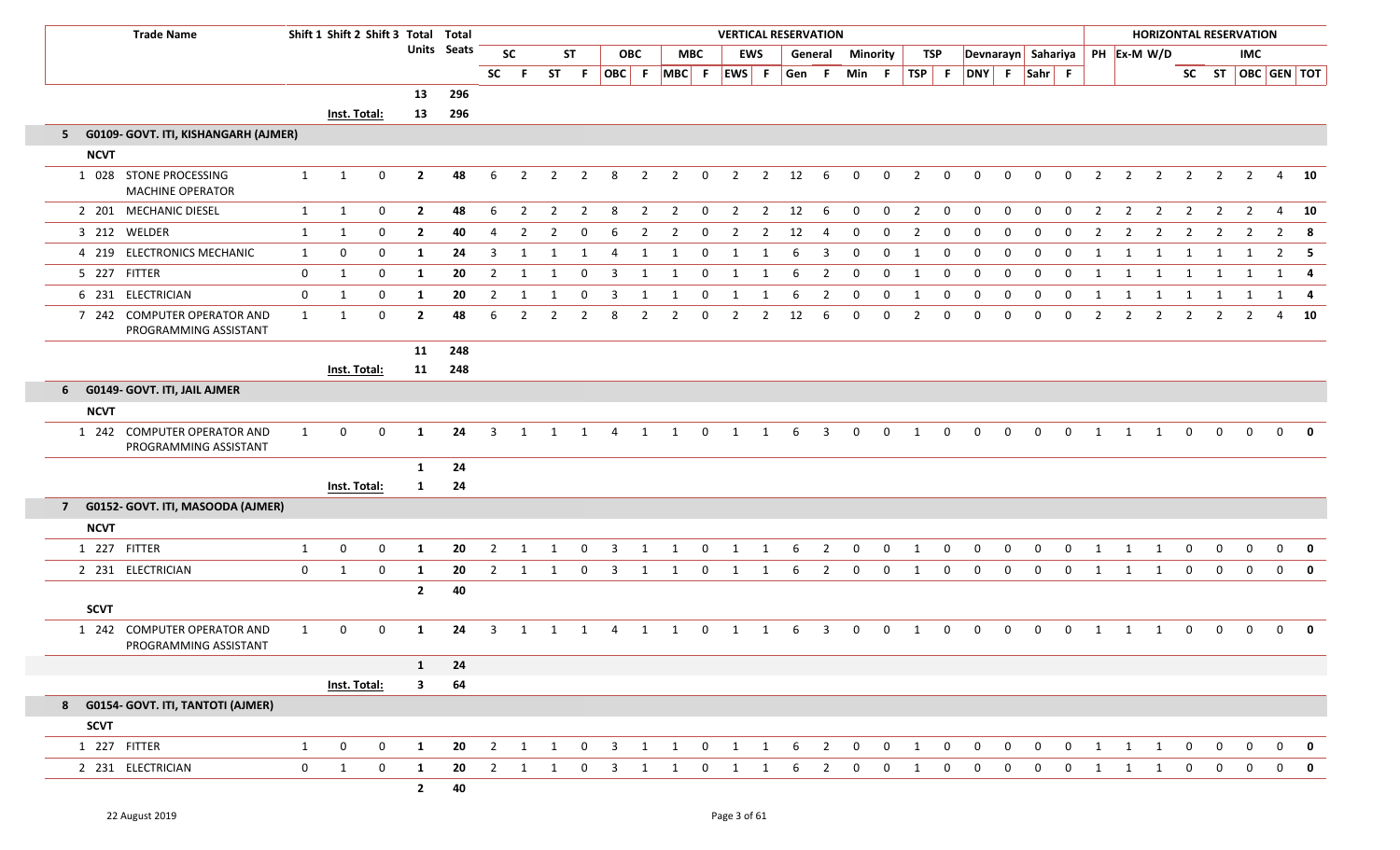|             | <b>Trade Name</b>                                     |              | Shift 1 Shift 2 Shift 3 Total Total |             |                |             |                |                |                |                |                         |                |                |                |                                           |                | <b>VERTICAL RESERVATION</b> |                |                |                |                         |                |                    |             |             |              |                |                |                     |                |                | <b>HORIZONTAL RESERVATION</b> |                   |              |
|-------------|-------------------------------------------------------|--------------|-------------------------------------|-------------|----------------|-------------|----------------|----------------|----------------|----------------|-------------------------|----------------|----------------|----------------|-------------------------------------------|----------------|-----------------------------|----------------|----------------|----------------|-------------------------|----------------|--------------------|-------------|-------------|--------------|----------------|----------------|---------------------|----------------|----------------|-------------------------------|-------------------|--------------|
|             |                                                       |              |                                     |             |                | Units Seats |                | <b>SC</b>      |                | <b>ST</b>      |                         | <b>OBC</b>     |                | <b>MBC</b>     |                                           | <b>EWS</b>     |                             | General        |                | Minority       |                         | TSP            | Devnarayn Sahariya |             |             |              |                |                | PH Ex-M W/D         |                |                | IMC                           |                   |              |
|             |                                                       |              |                                     |             |                |             | <b>SC</b>      | - F            | <b>ST</b>      | F              |                         |                |                |                | OBC F MBC F EWS F                         |                | Gen F                       |                | Min F          |                | $TSP$ F                 |                | DNY F Sahr F       |             |             |              |                |                |                     |                |                |                               | SC ST OBC GEN TOT |              |
|             |                                                       |              |                                     |             | 13             | 296         |                |                |                |                |                         |                |                |                |                                           |                |                             |                |                |                |                         |                |                    |             |             |              |                |                |                     |                |                |                               |                   |              |
|             |                                                       |              | Inst. Total:                        |             | 13             | 296         |                |                |                |                |                         |                |                |                |                                           |                |                             |                |                |                |                         |                |                    |             |             |              |                |                |                     |                |                |                               |                   |              |
|             | 5 G0109- GOVT. ITI, KISHANGARH (AJMER)                |              |                                     |             |                |             |                |                |                |                |                         |                |                |                |                                           |                |                             |                |                |                |                         |                |                    |             |             |              |                |                |                     |                |                |                               |                   |              |
| <b>NCVT</b> |                                                       |              |                                     |             |                |             |                |                |                |                |                         |                |                |                |                                           |                |                             |                |                |                |                         |                |                    |             |             |              |                |                |                     |                |                |                               |                   |              |
|             | 1 028 STONE PROCESSING<br><b>MACHINE OPERATOR</b>     | 1            | 1                                   | $\mathbf 0$ | $\mathbf{2}$   | 48          | 6              | $\overline{2}$ | $\overline{2}$ | $\overline{2}$ | 8                       | $\overline{2}$ | $\overline{2}$ | $\mathbf 0$    | $\overline{2}$                            | $\overline{2}$ | 12                          | 6              | $\Omega$       | $\mathbf 0$    | $\overline{2}$          | $\mathbf 0$    | $\Omega$           | $\mathbf 0$ | $\mathbf 0$ | $\mathbf 0$  | $\overline{2}$ | $\overline{2}$ | 2                   | $\overline{2}$ | $\overline{2}$ | $\overline{2}$                |                   | 4 10         |
|             | 2 201 MECHANIC DIESEL                                 | 1            | 1                                   | $\mathbf 0$ | $\overline{2}$ | 48          | 6              | $\overline{2}$ | $\overline{2}$ | $\overline{2}$ | 8                       | $\overline{2}$ | $\overline{2}$ | $\mathbf 0$    | $\overline{2}$                            |                | $2 \qquad 12$               | 6              | $\mathbf 0$    | $\mathbf 0$    | $\overline{2}$          | $\mathbf 0$    | $\overline{0}$     | $\mathbf 0$ | $\mathbf 0$ | $\mathbf 0$  | $\overline{2}$ | $\overline{2}$ | $\overline{2}$      | $\overline{2}$ | $\overline{2}$ | $\overline{2}$                |                   | 4 10         |
|             | 3 212 WELDER                                          | 1            | 1                                   | $\mathbf 0$ | $\overline{2}$ | 40          | 4              | 2              | 2              | $\Omega$       | 6                       | 2              | $\overline{2}$ | $\mathbf{0}$   | 2                                         | 2              | 12                          | -4             | $\overline{0}$ | $\Omega$       | $\overline{2}$          | $\mathbf{0}$   | $\overline{0}$     | $\Omega$    | $\Omega$    | $\Omega$     | $\overline{2}$ | 2              | $\overline{2}$      | $\overline{2}$ | $\overline{2}$ | 2                             | $\overline{2}$    | - 8          |
|             | 4 219 ELECTRONICS MECHANIC                            | 1            | $\mathbf 0$                         | $\mathbf 0$ | 1              | 24          | 3              |                | 1              | 1              | 4                       | 1              | 1              | $\mathbf{0}$   | 1                                         |                | 6                           | -3             | $\overline{0}$ | $\mathbf 0$    | 1                       | $\mathbf 0$    | 0                  | 0           | $\Omega$    | $\Omega$     | 1              | 1              | $\mathbf{1}$        | 1              | 1              | 1                             |                   | $2 \quad 5$  |
|             | 5 227 FITTER                                          | $\mathbf 0$  | 1                                   | $\mathbf 0$ | 1              | 20          | $\overline{2}$ | 1              | 1              | $\mathbf 0$    | $\overline{3}$          | 1              | 1              | $\mathbf 0$    | 1                                         | 1              | 6                           | $\overline{2}$ | $\mathbf 0$    | $\mathbf 0$    | 1                       | $\mathbf 0$    | $\overline{0}$     | $\mathbf 0$ | $\mathbf 0$ | $\mathbf 0$  | 1              | 1              | $\mathbf{1}$        | $\mathbf{1}$   | $\mathbf{1}$   | 1                             |                   | $1 \quad 4$  |
|             | 6 231 ELECTRICIAN                                     | $\mathbf 0$  | 1                                   | $\mathbf 0$ | 1              | 20          | $\overline{2}$ | 1              | $\overline{1}$ | $\mathbf 0$    | $\overline{\mathbf{3}}$ | 1              | $\overline{1}$ | $\mathbf 0$    | $\overline{1}$                            | 1              | 6                           | $\overline{2}$ | $\mathbf 0$    | $\mathbf 0$    | 1                       | $\mathbf 0$    | $\mathbf 0$        | $\mathbf 0$ | $\mathbf 0$ | $\mathbf 0$  | 1              | 1              | $1 \quad 1 \quad 1$ |                |                | 1                             |                   | 1 4          |
|             | 7 242 COMPUTER OPERATOR AND<br>PROGRAMMING ASSISTANT  | $\mathbf{1}$ | 1                                   | $\mathbf 0$ | $\overline{2}$ | 48          | -6             | 2              | 2              | 2              | 8                       | 2              | $\overline{2}$ | $\mathbf{0}$   | $\overline{2}$                            | 2              | 12                          | 6              | $\overline{0}$ | $\Omega$       | $\overline{2}$          | $\Omega$       | $\Omega$           | $\Omega$    | $\Omega$    | $\Omega$     | $\overline{2}$ | 2              | $\overline{2}$      | 2              | 2              | 2                             | 4                 | 10           |
|             |                                                       |              |                                     |             | 11             | 248         |                |                |                |                |                         |                |                |                |                                           |                |                             |                |                |                |                         |                |                    |             |             |              |                |                |                     |                |                |                               |                   |              |
|             |                                                       |              | <b>Inst. Total:</b>                 |             | 11             | 248         |                |                |                |                |                         |                |                |                |                                           |                |                             |                |                |                |                         |                |                    |             |             |              |                |                |                     |                |                |                               |                   |              |
|             | 6 G0149- GOVT. ITI, JAIL AJMER                        |              |                                     |             |                |             |                |                |                |                |                         |                |                |                |                                           |                |                             |                |                |                |                         |                |                    |             |             |              |                |                |                     |                |                |                               |                   |              |
| <b>NCVT</b> |                                                       |              |                                     |             |                |             |                |                |                |                |                         |                |                |                |                                           |                |                             |                |                |                |                         |                |                    |             |             |              |                |                |                     |                |                |                               |                   |              |
|             | 1 242 COMPUTER OPERATOR AND<br>PROGRAMMING ASSISTANT  | 1            | $\mathbf{0}$                        | $\mathbf 0$ | 1              | 24          | 3              |                | 1              | 1              | 4                       | 1              | 1              | $\mathbf 0$    | 1                                         | 1              | 6                           | $\overline{3}$ | $\mathbf{0}$   | $\mathbf 0$    | 1                       | $\overline{0}$ | $\Omega$           | $\Omega$    | $\Omega$    | $\Omega$     | 1              | -1             | -1                  | $\mathbf{0}$   | $\Omega$       | $\Omega$                      | $\Omega$          | $\mathbf{0}$ |
|             |                                                       |              |                                     |             | 1              | 24          |                |                |                |                |                         |                |                |                |                                           |                |                             |                |                |                |                         |                |                    |             |             |              |                |                |                     |                |                |                               |                   |              |
|             |                                                       |              | Inst. Total:                        |             | 1              | 24          |                |                |                |                |                         |                |                |                |                                           |                |                             |                |                |                |                         |                |                    |             |             |              |                |                |                     |                |                |                               |                   |              |
|             | 7 G0152- GOVT. ITI, MASOODA (AJMER)                   |              |                                     |             |                |             |                |                |                |                |                         |                |                |                |                                           |                |                             |                |                |                |                         |                |                    |             |             |              |                |                |                     |                |                |                               |                   |              |
| <b>NCVT</b> |                                                       |              |                                     |             |                |             |                |                |                |                |                         |                |                |                |                                           |                |                             |                |                |                |                         |                |                    |             |             |              |                |                |                     |                |                |                               |                   |              |
|             | 1 227 FITTER                                          | 1            | $\mathbf 0$                         | $\mathbf 0$ | 1              | 20          | 2              |                | 1              | $\Omega$       | -3                      |                | 1              | $\Omega$       | -1                                        |                | 6                           | $\overline{2}$ | 0              | $\mathbf 0$    | 1                       | 0              | $\Omega$           | $\Omega$    | $\Omega$    | $\Omega$     |                |                | -1                  | $\mathbf 0$    | $\Omega$       | $\Omega$                      | $\mathbf{0}$      | 0            |
|             | 2 231 ELECTRICIAN                                     | $\mathbf 0$  | 1                                   | $\mathbf 0$ | 1              | 20          | $\overline{2}$ | 1              | $\overline{1}$ | $\overline{0}$ | $\overline{3}$          | 1              | $\overline{1}$ | $\mathbf{0}$   | 1                                         | 1              | 6                           | $\overline{2}$ | $\mathbf 0$    | $\mathbf 0$    | $\overline{1}$          | $\mathbf{0}$   | $\mathbf 0$        | $\mathbf 0$ | $\mathbf 0$ | $\mathbf 0$  | 1              | 1              | 1                   | $\mathbf 0$    | $\mathbf{0}$   | $\mathbf{0}$                  |                   | $0$ 0        |
|             |                                                       |              |                                     |             | $\mathbf{2}$   | 40          |                |                |                |                |                         |                |                |                |                                           |                |                             |                |                |                |                         |                |                    |             |             |              |                |                |                     |                |                |                               |                   |              |
| <b>SCVT</b> |                                                       |              |                                     |             |                |             |                |                |                |                |                         |                |                |                |                                           |                |                             |                |                |                |                         |                |                    |             |             |              |                |                |                     |                |                |                               |                   |              |
| 1 242       | <b>COMPUTER OPERATOR AND</b><br>PROGRAMMING ASSISTANT | 1            | $\mathbf{0}$                        | 0           | 1              | 24          | 3              | 1              | $\overline{1}$ | $\mathbf{1}$   | 4                       | 1              | $\overline{1}$ | $\overline{0}$ | $\overline{1}$                            | 1              | 6                           | $\overline{3}$ | $\mathbf 0$    | $\mathbf 0$    | 1                       | $\mathbf 0$    | $\mathbf 0$        | $\mathbf 0$ | $\mathbf 0$ | $\mathbf 0$  | 1              | 1              | 1                   | $\mathbf 0$    | $\mathbf{0}$   | $\mathbf 0$                   | $\mathbf{0}$      | 0            |
|             |                                                       |              |                                     |             | $\mathbf{1}$   | 24          |                |                |                |                |                         |                |                |                |                                           |                |                             |                |                |                |                         |                |                    |             |             |              |                |                |                     |                |                |                               |                   |              |
|             |                                                       |              | Inst. Total:                        |             | $\mathbf{3}$   | 64          |                |                |                |                |                         |                |                |                |                                           |                |                             |                |                |                |                         |                |                    |             |             |              |                |                |                     |                |                |                               |                   |              |
|             | 8 G0154- GOVT. ITI, TANTOTI (AJMER)                   |              |                                     |             |                |             |                |                |                |                |                         |                |                |                |                                           |                |                             |                |                |                |                         |                |                    |             |             |              |                |                |                     |                |                |                               |                   |              |
| <b>SCVT</b> |                                                       |              |                                     |             |                |             |                |                |                |                |                         |                |                |                |                                           |                |                             |                |                |                |                         |                |                    |             |             |              |                |                |                     |                |                |                               |                   |              |
|             | 1 227 FITTER                                          | $\mathbf{1}$ | $\mathbf 0$                         | $\mathbf 0$ | 1              | 20          | $\overline{2}$ | $\mathbf{1}$   | $\overline{1}$ | $\mathbf{0}$   | $\overline{\mathbf{3}}$ | $\mathbf{1}$   | $\overline{1}$ |                | $\begin{matrix} 0 && 1 && 1 \end{matrix}$ |                | 6                           | $\overline{2}$ | $\mathbf 0$    | $\overline{0}$ | $\overline{\mathbf{1}}$ | $\overline{0}$ | $\mathbf 0$        | $\mathbf 0$ | $\mathbf 0$ | $\mathbf{0}$ | 1              | $\mathbf{1}$   | $\overline{1}$      | $\mathbf{0}$   | $\overline{0}$ | $\mathbf{0}$                  |                   | $0$ 0        |
|             | 2 231 ELECTRICIAN                                     | $\mathbf 0$  | $\mathbf{1}$                        | $\mathbf 0$ | 1              | 20          | $\overline{2}$ | $\mathbf{1}$   | $\overline{1}$ | $\overline{0}$ | $\overline{\mathbf{3}}$ | $\mathbf{1}$   | $\overline{1}$ | $\mathbf 0$    | $\overline{1}$                            | 1              | 6                           | $\overline{2}$ | $\mathbf 0$    | $\mathbf{0}$   | 1                       | $\mathbf{0}$   | $\mathbf 0$        | $\mathbf 0$ | $\mathbf 0$ | $\mathbf 0$  | 1              | $\mathbf{1}$   | 1                   | $\mathbf{0}$   | $\mathbf{0}$   | $\mathbf 0$                   | $\overline{0}$    | $\mathbf 0$  |
|             |                                                       |              |                                     |             | $\mathbf{2}$   | 40          |                |                |                |                |                         |                |                |                |                                           |                |                             |                |                |                |                         |                |                    |             |             |              |                |                |                     |                |                |                               |                   |              |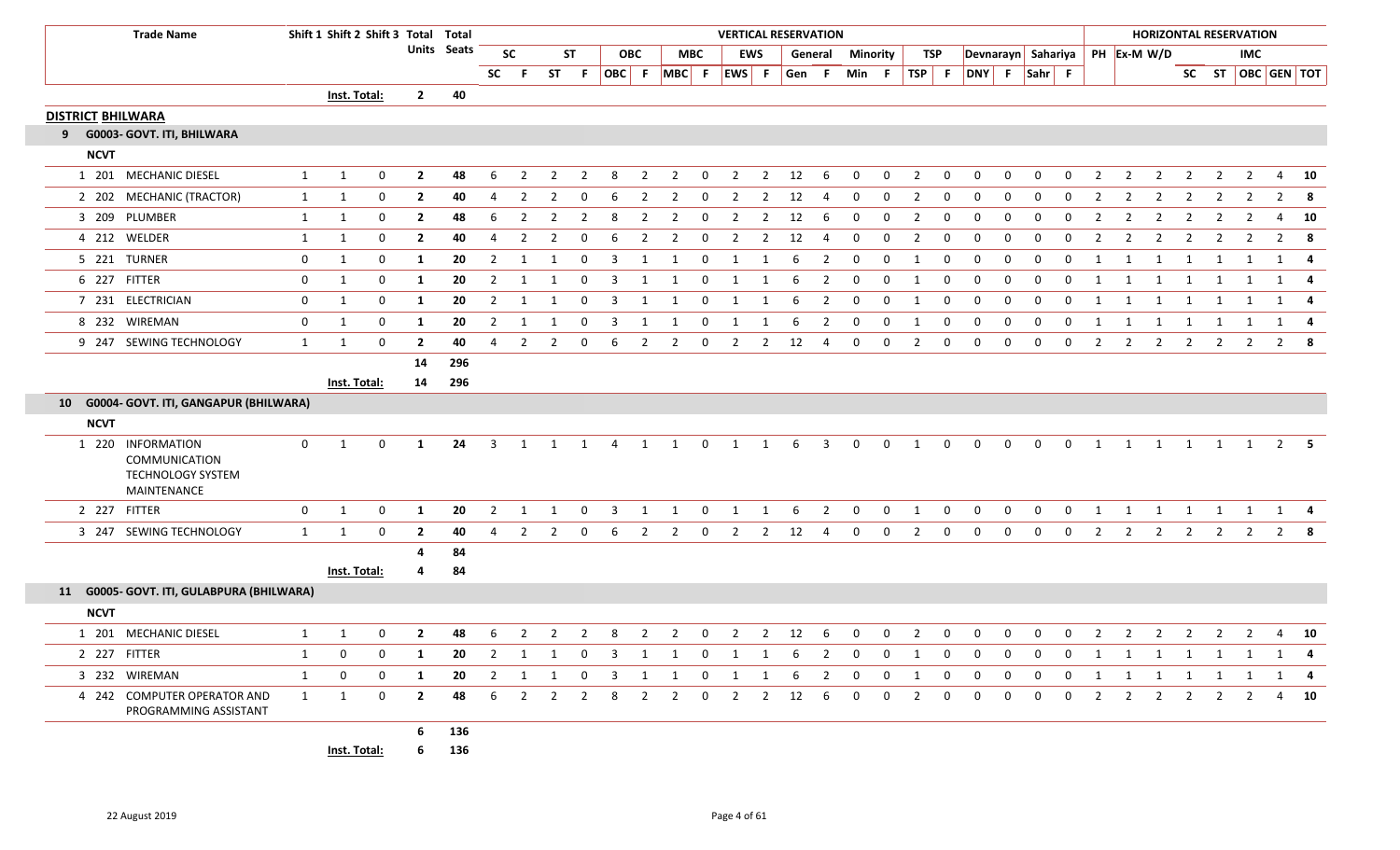| <b>Trade Name</b>                                                      |                | Shift 1 Shift 2 Shift 3 Total Total |              |                |             |                |                |                |                |                         |                |                |              | <b>VERTICAL RESERVATION</b> |                |                 |                         |              |                 |                |                         |                |              |                |                |                |                | <b>HORIZONTAL RESERVATION</b>    |                |                   |                |                |              |
|------------------------------------------------------------------------|----------------|-------------------------------------|--------------|----------------|-------------|----------------|----------------|----------------|----------------|-------------------------|----------------|----------------|--------------|-----------------------------|----------------|-----------------|-------------------------|--------------|-----------------|----------------|-------------------------|----------------|--------------|----------------|----------------|----------------|----------------|----------------------------------|----------------|-------------------|----------------|----------------|--------------|
|                                                                        |                |                                     |              |                | Units Seats |                | <b>SC</b>      |                | <b>ST</b>      |                         | <b>OBC</b>     |                | <b>MBC</b>   |                             | <b>EWS</b>     |                 | General                 |              | <b>Minority</b> |                | TSP                     |                |              |                |                |                |                | Devnarayn Sahariya   PH Ex-M W/D |                |                   | <b>IMC</b>     |                |              |
|                                                                        |                |                                     |              |                |             | <b>SC</b>      | - F            |                | ST F           |                         |                | OBC F MBC F    |              | EWS F                       |                | Gen F           |                         | Min F        |                 | $TSP$ F        |                         | DNY F Sahr F   |              |                |                |                |                |                                  |                | SC ST OBC GEN TOT |                |                |              |
|                                                                        |                | Inst. Total:                        |              | $\mathbf{2}$   | 40          |                |                |                |                |                         |                |                |              |                             |                |                 |                         |              |                 |                |                         |                |              |                |                |                |                |                                  |                |                   |                |                |              |
| <b>DISTRICT BHILWARA</b>                                               |                |                                     |              |                |             |                |                |                |                |                         |                |                |              |                             |                |                 |                         |              |                 |                |                         |                |              |                |                |                |                |                                  |                |                   |                |                |              |
| 9 G0003- GOVT. ITI, BHILWARA                                           |                |                                     |              |                |             |                |                |                |                |                         |                |                |              |                             |                |                 |                         |              |                 |                |                         |                |              |                |                |                |                |                                  |                |                   |                |                |              |
| <b>NCVT</b>                                                            |                |                                     |              |                |             |                |                |                |                |                         |                |                |              |                             |                |                 |                         |              |                 |                |                         |                |              |                |                |                |                |                                  |                |                   |                |                |              |
| 1 201 MECHANIC DIESEL                                                  | $\mathbf{1}$   | 1                                   | 0            | $\overline{2}$ | 48          | 6              | $\mathcal{P}$  | 2              | $\mathcal{P}$  | 8                       | $\overline{2}$ | $\overline{2}$ | $\Omega$     | 2                           | $\overline{2}$ | 12              | 6                       | $\Omega$     | $\Omega$        | 2              | $\mathbf 0$             | $\Omega$       | $\Omega$     | $\Omega$       | $\Omega$       | $\overline{2}$ | $\overline{2}$ | $\overline{2}$                   | 2              |                   |                | $\overline{4}$ | 10           |
| 2 202 MECHANIC (TRACTOR)                                               | $\mathbf{1}$   | $\mathbf{1}$                        | 0            | $\overline{2}$ | 40          | 4              | $\overline{2}$ | 2              | 0              | 6                       | 2              | $\overline{2}$ | 0            | $\overline{2}$              | $\overline{2}$ | 12              | 4                       | 0            | 0               | $\overline{2}$ | $\mathbf 0$             | $\mathbf 0$    | $\mathbf{0}$ | $\mathbf{0}$   | $\mathbf{0}$   | $\overline{2}$ | 2              | $\overline{2}$                   | $\overline{2}$ | $\overline{2}$    | 2              | 2              | 8            |
| 3 209 PLUMBER                                                          | $\mathbf{1}$   | $\mathbf{1}$                        | 0            | $\overline{2}$ | 48          | 6              | 2              | 2              | $\overline{2}$ | 8                       | 2              | $\overline{2}$ | 0            | 2                           | $\overline{2}$ | 12              | 6                       | $\Omega$     | $\mathbf 0$     | $\overline{2}$ | $\mathbf 0$             | $\mathbf 0$    | $\Omega$     | $\Omega$       | $\Omega$       | $\overline{2}$ | $\overline{2}$ | $\overline{2}$                   | $\overline{2}$ | 2                 | 2              | 4              | 10           |
| 4 212 WELDER                                                           | 1              | 1                                   | 0            | $\overline{2}$ | 40          | 4              | 2              | 2              | $\Omega$       | 6                       | 2              | $\overline{2}$ | $\Omega$     | $\overline{2}$              | $\overline{2}$ | 12              | 4                       | 0            | $\mathbf 0$     | $\overline{2}$ | $\mathbf 0$             | $\mathbf 0$    | 0            | $\Omega$       | $\Omega$       | $\overline{2}$ | $\overline{2}$ | $\overline{2}$                   | $\overline{2}$ | $\overline{2}$    | $\overline{2}$ | $\overline{2}$ | 8            |
| 5 221 TURNER                                                           | $\mathbf{0}$   | $\mathbf{1}$                        | $\mathbf 0$  | 1              | 20          | $\overline{2}$ |                |                | 0              | 3                       | -1             |                | 0            |                             |                | 6               | 2                       | 0            | 0               | 1              | $\mathbf 0$             | $\mathbf 0$    | 0            | $\Omega$       | $\Omega$       |                |                |                                  |                |                   |                | 1              | 4            |
| 6 227 FITTER                                                           | $\mathbf 0$    | $\mathbf{1}$                        | $\mathbf 0$  | 1              | 20          | $\overline{2}$ | 1              | 1              | $\mathbf 0$    | 3                       | 1              | 1              | $\mathbf 0$  | 1                           | 1              | 6               | $\overline{2}$          | $\mathbf 0$  | 0               | 1              | $\mathbf 0$             | $\mathbf 0$    | $\mathbf 0$  | $\mathbf 0$    | $\mathbf{0}$   | 1              | 1              | 1                                | 1              | 1                 | 1              |                | $1 \quad 4$  |
| 7 231 ELECTRICIAN                                                      | $\mathbf 0$    | 1                                   | $\mathbf 0$  | 1              | 20          | $\overline{2}$ |                |                | $\Omega$       | 3                       |                |                | $\Omega$     |                             |                |                 | $\overline{2}$          | $\Omega$     | $\mathbf 0$     | $\overline{1}$ | $\mathbf 0$             | $\mathbf{0}$   | $\Omega$     | $\Omega$       |                |                |                |                                  |                |                   |                | 1              |              |
| 8 232 WIREMAN                                                          | $\mathbf 0$    | 1                                   | $\mathbf 0$  | 1              | 20          | $\overline{2}$ | $\mathbf{1}$   |                | $\Omega$       | 3                       | 1              |                | $\Omega$     | 1                           |                |                 | $\overline{2}$          | $\Omega$     | 0               | 1              | 0                       | $\mathbf 0$    | 0            | 0              | $\Omega$       | $\mathbf{1}$   | 1              | 1                                | 1              | 1                 | 1              |                | $1 \quad 4$  |
| 9 247 SEWING TECHNOLOGY                                                | $\mathbf{1}$   | 1                                   | $\mathbf 0$  | $\mathbf{2}$   | 40          | $\Delta$       | $\overline{2}$ | 2              | $\Omega$       | 6                       | 2              | $\overline{2}$ | $\mathbf 0$  | $\overline{2}$              | $\overline{2}$ | 12              | 4                       | 0            | $\mathbf 0$     | $\overline{2}$ | $\mathbf 0$             | $\mathbf{0}$   | 0            | 0              | $\mathbf 0$    | $\overline{2}$ | 2              | $\overline{2}$                   | $\overline{2}$ | $\overline{2}$    | $\overline{2}$ | 2              |              |
|                                                                        |                |                                     |              | 14             | 296         |                |                |                |                |                         |                |                |              |                             |                |                 |                         |              |                 |                |                         |                |              |                |                |                |                |                                  |                |                   |                |                |              |
|                                                                        |                | Inst. Total:                        |              | 14             | 296         |                |                |                |                |                         |                |                |              |                             |                |                 |                         |              |                 |                |                         |                |              |                |                |                |                |                                  |                |                   |                |                |              |
| 10 G0004- GOVT. ITI, GANGAPUR (BHILWARA)                               |                |                                     |              |                |             |                |                |                |                |                         |                |                |              |                             |                |                 |                         |              |                 |                |                         |                |              |                |                |                |                |                                  |                |                   |                |                |              |
| <b>NCVT</b>                                                            |                |                                     |              |                |             |                |                |                |                |                         |                |                |              |                             |                |                 |                         |              |                 |                |                         |                |              |                |                |                |                |                                  |                |                   |                |                |              |
| 1 220 INFORMATION<br>COMMUNICATION<br>TECHNOLOGY SYSTEM<br>MAINTENANCE | $\overline{0}$ | 1                                   | $\mathbf 0$  | 1              | 24          | $\overline{3}$ | $\mathbf{1}$   | 1              | 1              | $\overline{4}$          | 1              | 1              | $\mathbf 0$  | $\mathbf{1}$                | 1              | 6               | $\overline{\mathbf{3}}$ | $\mathbf{0}$ | $\mathbf{0}$    | 1              | $\mathbf 0$             | $\mathbf{0}$   | $\mathbf{0}$ | $\overline{0}$ | $\overline{0}$ | 1              | 1              | $\overline{1}$                   | $\overline{1}$ |                   | 1 1            |                | $2 \quad 5$  |
| 2 227 FITTER                                                           | $\mathbf{0}$   | $\mathbf{1}$                        | 0            | 1              | 20          | $\overline{2}$ | 1              | 1              | $\mathbf 0$    | 3                       | 1              | 1              | $\mathbf{0}$ | 1                           | 1              | 6               | $\overline{2}$          | $\mathbf 0$  | $\mathbf 0$     | 1              | $\mathbf 0$             | $\mathbf 0$    | $\mathbf{0}$ | $\overline{0}$ | $\overline{0}$ | 1              | 1              | 1                                | 1              | 1                 | 1              |                | $1 \quad 4$  |
| 3 247 SEWING TECHNOLOGY                                                | 1              | 1                                   | $\mathbf{0}$ | $\overline{2}$ | 40          | 4              | $\overline{2}$ | 2              | $\Omega$       | 6                       | 2              | $\overline{2}$ | $\mathbf 0$  | $\overline{2}$              | $\overline{2}$ | 12              | -4                      | $\mathbf{0}$ | $\mathbf{0}$    | $\overline{2}$ | $\mathbf{0}$            | $\overline{0}$ | $\mathbf{0}$ | $\mathbf{0}$   | $\mathbf{0}$   | 2              | 2              | $\overline{2}$                   | $\overline{2}$ | 2                 | $\mathbf{2}$   |                | $2 \times 8$ |
|                                                                        |                |                                     |              | Δ              | 84          |                |                |                |                |                         |                |                |              |                             |                |                 |                         |              |                 |                |                         |                |              |                |                |                |                |                                  |                |                   |                |                |              |
|                                                                        |                | Inst. Total:                        |              | 4              | 84          |                |                |                |                |                         |                |                |              |                             |                |                 |                         |              |                 |                |                         |                |              |                |                |                |                |                                  |                |                   |                |                |              |
| 11 G0005- GOVT. ITI, GULABPURA (BHILWARA)                              |                |                                     |              |                |             |                |                |                |                |                         |                |                |              |                             |                |                 |                         |              |                 |                |                         |                |              |                |                |                |                |                                  |                |                   |                |                |              |
| <b>NCVT</b>                                                            |                |                                     |              |                |             |                |                |                |                |                         |                |                |              |                             |                |                 |                         |              |                 |                |                         |                |              |                |                |                |                |                                  |                |                   |                |                |              |
| 1 201 MECHANIC DIESEL                                                  | 1              | 1                                   | 0            | $\mathbf{2}$   | 48          | 6              | 2              | $\overline{2}$ | -2             | 8                       | 2              | $\overline{2}$ | $\mathbf{0}$ | 2                           | $\overline{2}$ | 12              | 6                       | $\mathbf 0$  | 0               | $\overline{2}$ | $\mathbf{0}$            | $\mathbf{0}$   | $\mathbf{0}$ | $\mathbf{0}$   | $\mathbf{0}$   | $\overline{2}$ | $\overline{2}$ | 2                                | $\overline{2}$ | $\overline{2}$    | $\mathbf{2}$   | 4              | 10           |
| 2 227 FITTER                                                           | 1              | 0                                   | 0            | 1              | 20          | $\overline{2}$ | $\overline{1}$ | $\overline{1}$ | $\overline{0}$ | $\overline{\mathbf{3}}$ |                | $1 \quad 1$    |              | $0\qquad 1$                 | $\overline{1}$ | $6\overline{6}$ | $\overline{2}$          | $\mathbf{0}$ | $\overline{0}$  | $\overline{1}$ | $\overline{\mathbf{0}}$ | $\overline{0}$ | $\mathbf 0$  | $\overline{0}$ |                |                |                | 0 1 1 1 1 1 1 1 4                |                |                   |                |                |              |
| 3 232 WIREMAN                                                          | $\mathbf{1}$   | $\mathbf 0$                         | $\mathbf 0$  | 1              | 20          | $\overline{2}$ | 1              | 1              | $\mathbf 0$    | $\overline{\mathbf{3}}$ | 1              | 1              | $\mathbf{0}$ | 1                           | 1              | 6               | $\overline{2}$          | 0            | 0               | 1              | $\mathbf 0$             | $\mathbf 0$    | $\mathbf{0}$ | $\mathbf{0}$   | $\mathbf{0}$   | 1              |                | 1                                | 1              | 1                 | 1              |                |              |
| 4 242 COMPUTER OPERATOR AND<br>PROGRAMMING ASSISTANT                   | $\mathbf{1}$   | $\mathbf{1}$                        | $\mathbf{0}$ | $\mathbf{2}$   | 48          |                |                | 6 2 2 2        |                | 8                       | $\overline{2}$ | $\overline{2}$ | $\mathbf{0}$ |                             |                | 2 2 12 6        |                         | $\mathbf 0$  | 0               | $\overline{2}$ | $\overline{0}$          | $\overline{0}$ | $\mathbf 0$  | $\mathbf{0}$   | $\overline{0}$ | $\overline{2}$ |                | 2 2 2 2 2                        |                |                   |                |                | 4 10         |
|                                                                        |                |                                     |              | $6 -$          | 136         |                |                |                |                |                         |                |                |              |                             |                |                 |                         |              |                 |                |                         |                |              |                |                |                |                |                                  |                |                   |                |                |              |
|                                                                        |                | Inst. Total:                        |              |                | 6 136       |                |                |                |                |                         |                |                |              |                             |                |                 |                         |              |                 |                |                         |                |              |                |                |                |                |                                  |                |                   |                |                |              |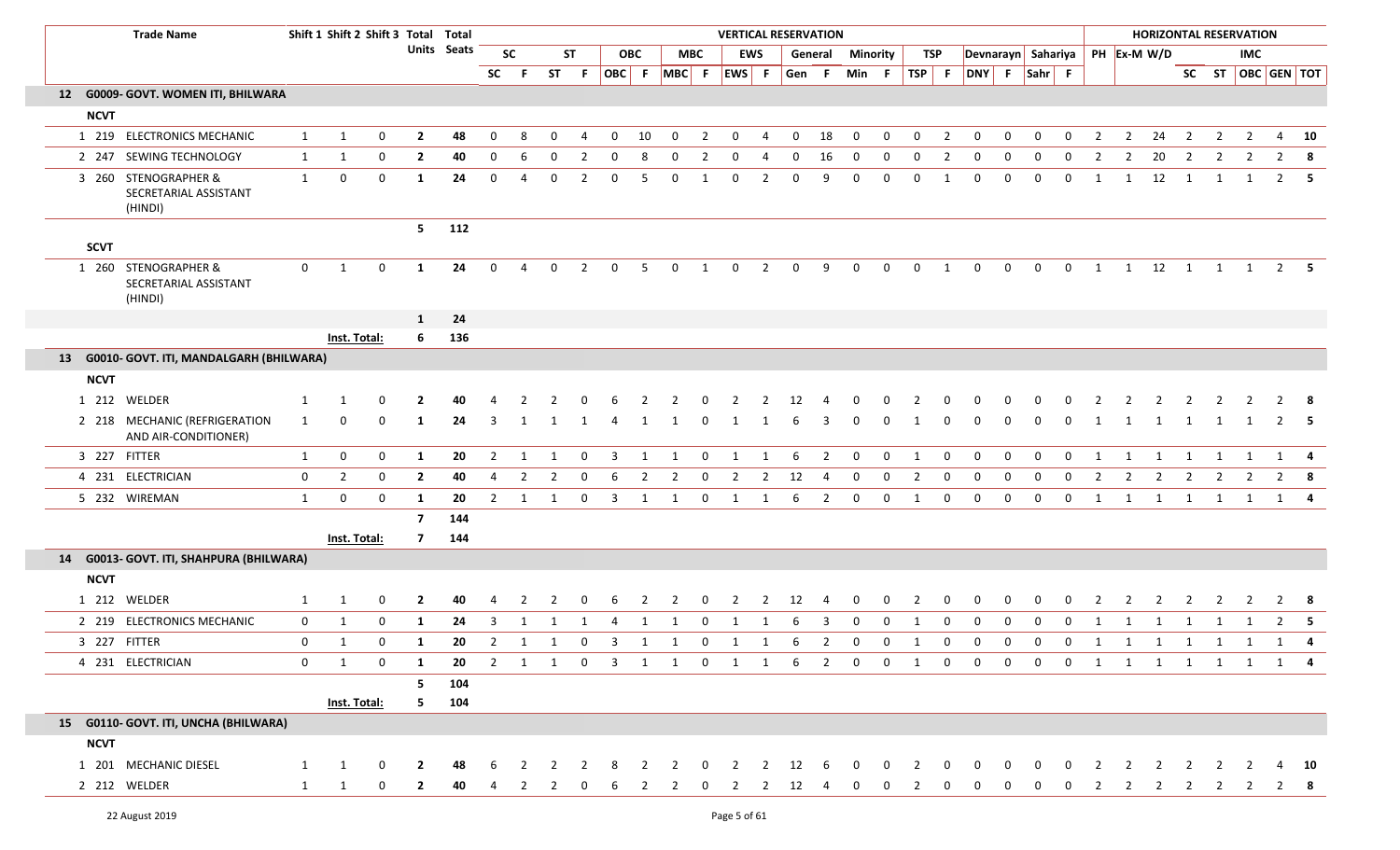| <b>Trade Name</b>                                        |              | Shift 1 Shift 2 Shift 3 Total Total |              |                |             |                |                |                     |                |              |                |                           |                | <b>VERTICAL RESERVATION</b> |                |                |                |              |                |                |                |                    |                |              |                |                |                                |                |                | <b>HORIZONTAL RESERVATION</b> |                |                |                   |
|----------------------------------------------------------|--------------|-------------------------------------|--------------|----------------|-------------|----------------|----------------|---------------------|----------------|--------------|----------------|---------------------------|----------------|-----------------------------|----------------|----------------|----------------|--------------|----------------|----------------|----------------|--------------------|----------------|--------------|----------------|----------------|--------------------------------|----------------|----------------|-------------------------------|----------------|----------------|-------------------|
|                                                          |              |                                     |              |                | Units Seats |                | <b>SC</b>      |                     | <b>ST</b>      |              | <b>OBC</b>     |                           | MBC            |                             | EWS            |                | General        | Minority     |                | TSP            |                |                    |                |              |                |                | Devnarayn Sahariya PH Ex-M W/D |                |                |                               | <b>IMC</b>     |                |                   |
|                                                          |              |                                     |              |                |             | <b>SC</b>      | F.             |                     | ST F           |              |                | OBC F MBC F EWS F         |                |                             |                | Gen F          |                | Min F        |                |                |                | TSP F DNY F Sahr F |                |              |                |                |                                |                |                |                               |                |                | SC ST OBC GEN TOT |
| 12 G0009- GOVT. WOMEN ITI, BHILWARA                      |              |                                     |              |                |             |                |                |                     |                |              |                |                           |                |                             |                |                |                |              |                |                |                |                    |                |              |                |                |                                |                |                |                               |                |                |                   |
| <b>NCVT</b>                                              |              |                                     |              |                |             |                |                |                     |                |              |                |                           |                |                             |                |                |                |              |                |                |                |                    |                |              |                |                |                                |                |                |                               |                |                |                   |
| 1 219 ELECTRONICS MECHANIC                               | $\mathbf{1}$ | 1                                   | 0            | $\overline{2}$ | 48          | $\mathbf 0$    | 8              | 0                   | $\overline{4}$ | $\mathbf 0$  | 10             | $\overline{0}$            | $\overline{2}$ | $\overline{0}$              | $\overline{4}$ | $\overline{0}$ | 18             | $\mathbf 0$  | $\mathbf 0$    | $\overline{0}$ | $\overline{2}$ | $\mathbf 0$        | $\mathbf 0$    | $\mathbf 0$  | $\mathbf 0$    | $\overline{2}$ | $\overline{2}$                 | 24             | $\overline{2}$ | $\overline{2}$                | $\overline{2}$ |                | 4 10              |
| 2 247 SEWING TECHNOLOGY                                  | $\mathbf{1}$ | $\mathbf{1}$                        | 0            | $\overline{2}$ | 40          | 0              | 6              | 0                   | $\overline{2}$ | 0            | 8              | 0                         | $\overline{2}$ | 0                           | 4              | 0              | 16             | 0            | 0              | 0              | $\overline{2}$ | 0                  | 0              | 0            | 0              | -2             | $\overline{2}$                 | 20             | $\overline{2}$ | -2                            | 2              | $\overline{2}$ | -8                |
| 3 260 STENOGRAPHER &<br>SECRETARIAL ASSISTANT<br>(HINDI) | 1            | 0                                   | 0            | $\mathbf{1}$   | 24          | $\mathbf 0$    | $\overline{4}$ | 0                   | $\overline{2}$ | $\mathbf{0}$ | 5              | $\mathbf 0$               | 1              | $\mathbf 0$                 | $\overline{2}$ | $\mathbf 0$    | 9              | $\mathbf 0$  | 0              | $\mathbf 0$    | 1              | 0                  | 0              | $\mathbf 0$  | $\mathbf 0$    | 1              | 1                              | 12             | $\overline{1}$ | 1                             | 1              |                | $2 \quad 5$       |
| <b>SCVT</b>                                              |              |                                     |              | 5 <sub>1</sub> | 112         |                |                |                     |                |              |                |                           |                |                             |                |                |                |              |                |                |                |                    |                |              |                |                |                                |                |                |                               |                |                |                   |
| 1 260 STENOGRAPHER &<br>SECRETARIAL ASSISTANT<br>(HINDI) | $\mathbf 0$  | 1                                   | $\mathbf 0$  | 1              | 24          | $\Omega$       | Δ              | 0                   | 2              | $\mathbf 0$  | -5             | 0                         | $\overline{1}$ | $\mathbf 0$                 | 2              | $\Omega$       | 9              | $\Omega$     | $\mathbf 0$    | $\mathbf{0}$   | 1              | $\Omega$           | $\mathbf 0$    | $\mathbf 0$  | $\overline{0}$ |                | 1 1 12 1 1 1 2 5               |                |                |                               |                |                |                   |
|                                                          |              |                                     |              | $\mathbf{1}$   | 24          |                |                |                     |                |              |                |                           |                |                             |                |                |                |              |                |                |                |                    |                |              |                |                |                                |                |                |                               |                |                |                   |
|                                                          |              | Inst. Total:                        |              | 6              | 136         |                |                |                     |                |              |                |                           |                |                             |                |                |                |              |                |                |                |                    |                |              |                |                |                                |                |                |                               |                |                |                   |
| 13 G0010- GOVT. ITI, MANDALGARH (BHILWARA)               |              |                                     |              |                |             |                |                |                     |                |              |                |                           |                |                             |                |                |                |              |                |                |                |                    |                |              |                |                |                                |                |                |                               |                |                |                   |
| <b>NCVT</b>                                              |              |                                     |              |                |             |                |                |                     |                |              |                |                           |                |                             |                |                |                |              |                |                |                |                    |                |              |                |                |                                |                |                |                               |                |                |                   |
| 1 212 WELDER                                             | 1            |                                     |              |                |             |                |                |                     |                |              |                |                           |                |                             |                |                |                |              |                |                |                |                    |                |              |                |                |                                |                |                |                               |                |                |                   |
| 2 218 MECHANIC (REFRIGERATION<br>AND AIR-CONDITIONER)    | 1            | $\Omega$                            | $\Omega$     | 1              | 24          | 3              | 1              | 1                   | -1             | 4            | -1             | 1                         | -0             | 1                           | 1              | 6              | 3              | 0            | 0              | 1              | 0              | 0                  | 0              | 0            | 0              | -1             | 1                              | 1              | $\overline{1}$ | $\overline{1}$                | $\overline{1}$ |                | 2 5               |
| 3 227 FITTER                                             | $\mathbf{1}$ | $\boldsymbol{0}$                    | 0            | $\mathbf{1}$   | 20          | $\overline{2}$ | -1             |                     | 0              | 3            |                | 1                         | 0              | 1                           | 1              | 6              | $\overline{2}$ | 0            | 0              | 1              | $\mathbf 0$    | $\mathbf 0$        | $\mathbf 0$    | $\mathbf 0$  | 0              |                |                                |                |                |                               |                | 1              |                   |
| 4 231 ELECTRICIAN                                        | $\mathbf 0$  | $\overline{2}$                      | 0            | $\overline{2}$ | 40          | $\overline{4}$ | $\overline{2}$ | $\overline{2}$      | $\mathbf 0$    | 6            | $\overline{2}$ | $\overline{2}$            | $\mathbf 0$    | $\overline{2}$              | $\overline{2}$ | 12             | $\overline{4}$ | $\mathbf 0$  | $\mathbf 0$    | $\overline{2}$ | $\mathbf 0$    | $\mathbf 0$        | $\mathbf 0$    | $\mathbf 0$  | $\mathbf 0$    | $\overline{2}$ | $\overline{2}$                 | $\overline{2}$ | $\overline{2}$ | $\overline{2}$                | $\overline{2}$ |                | $2 \times 8$      |
| 5 232 WIREMAN                                            | $\mathbf{1}$ | $\mathbf 0$                         | $\mathbf{0}$ | 1              | 20          | 2              | -1             |                     | 0              | 3            | 1              | 1                         | 0              | 1                           | 1              | 6              | $\overline{2}$ | 0            | 0              | 1              | 0              | 0                  | 0              | $\mathbf{0}$ | 0              | 1              | 1                              | 1              | 1              | 1                             | 1              | 1              |                   |
|                                                          |              |                                     |              | $\overline{7}$ | 144         |                |                |                     |                |              |                |                           |                |                             |                |                |                |              |                |                |                |                    |                |              |                |                |                                |                |                |                               |                |                |                   |
|                                                          |              | <b>Inst. Total:</b>                 |              | $\overline{7}$ | 144         |                |                |                     |                |              |                |                           |                |                             |                |                |                |              |                |                |                |                    |                |              |                |                |                                |                |                |                               |                |                |                   |
| 14 G0013- GOVT. ITI, SHAHPURA (BHILWARA)                 |              |                                     |              |                |             |                |                |                     |                |              |                |                           |                |                             |                |                |                |              |                |                |                |                    |                |              |                |                |                                |                |                |                               |                |                |                   |
| <b>NCVT</b>                                              |              |                                     |              |                |             |                |                |                     |                |              |                |                           |                |                             |                |                |                |              |                |                |                |                    |                |              |                |                |                                |                |                |                               |                |                |                   |
| 1 212 WELDER                                             | 1            | 1                                   | $\mathbf 0$  | $\mathbf{2}$   | 40          | 4              | $\overline{2}$ | 2                   | 0              | -6           | 2              | $\overline{2}$            | $\mathbf 0$    | $\overline{2}$              | 2              | 12             | -4             | 0            | $\mathbf 0$    | 2              | 0              | 0                  | 0              | 0            | 0              |                | 2                              | 2              | 2              | 2                             |                |                | 2 8               |
| 2 219 ELECTRONICS MECHANIC                               | $\mathbf{0}$ | 1                                   | 0            | $\mathbf{1}$   | 24          | 3              | 1              | 1                   | 1              | 4            | 1              | 1                         | $\mathbf 0$    | 1                           | 1              | 6              | 3              | $\mathbf 0$  | $\mathbf 0$    | 1              | 0              | 0                  | 0              | $\mathbf{0}$ | 0              | 1              | 1                              | 1              | 1              | 1                             | 1              |                | 2 <b>5</b>        |
| 3 227 FITTER                                             | $\mathbf{0}$ | $\mathbf{1}$                        | 0            | 1              | 20          |                |                | $2 \quad 1 \quad 1$ |                | $0 \quad 3$  | 1              | 1                         | $\mathbf{0}$   | $\overline{1}$              | $\mathbf{1}$   | 6              | $\overline{2}$ | $\mathbf{0}$ | 0              | 1              | 0              | 0                  | 0              | $\mathbf 0$  | $\mathbf{0}$   |                | 1 1 1 1 1 1 1                  |                |                |                               |                |                | 4                 |
| 4 231 ELECTRICIAN                                        | $\mathbf{0}$ | $\mathbf{1}$                        | $\mathbf 0$  | $\mathbf{1}$   | 20          |                |                |                     |                |              |                | 2 1 1 0 3 1 1 0 1 1 6 2 0 |                |                             |                |                |                |              | $\overline{0}$ | $\mathbf{1}$   | $\overline{0}$ | $\overline{0}$     | $\overline{0}$ |              | $0\qquad 0$    |                | 1 1 1 1 1 1 1 4                |                |                |                               |                |                |                   |
|                                                          |              |                                     |              | 5              | 104         |                |                |                     |                |              |                |                           |                |                             |                |                |                |              |                |                |                |                    |                |              |                |                |                                |                |                |                               |                |                |                   |
|                                                          |              | Inst. Total:                        |              | 5              | 104         |                |                |                     |                |              |                |                           |                |                             |                |                |                |              |                |                |                |                    |                |              |                |                |                                |                |                |                               |                |                |                   |
| 15 G0110- GOVT. ITI, UNCHA (BHILWARA)                    |              |                                     |              |                |             |                |                |                     |                |              |                |                           |                |                             |                |                |                |              |                |                |                |                    |                |              |                |                |                                |                |                |                               |                |                |                   |
| <b>NCVT</b>                                              |              |                                     |              |                |             |                |                |                     |                |              |                |                           |                |                             |                |                |                |              |                |                |                |                    |                |              |                |                |                                |                |                |                               |                |                |                   |
| 1 201 MECHANIC DIESEL                                    | $\mathbf{1}$ | 1                                   | $\mathbf 0$  | $\mathbf{2}$   | 48          | 6              |                |                     |                |              | 2              | $\mathcal{L}$             | $\Omega$       | 2                           | 2              | 12             | -6             | $\Omega$     | 0              |                | 0              |                    |                |              |                |                |                                |                |                |                               |                |                | 10                |
| 2 212 WELDER                                             | $\mathbf{1}$ | 1                                   | 0            | $\mathbf{2}$   | 40          | 4              | 2              | 2                   |                |              |                |                           | 0              | 2                           | 2              | 12             |                |              |                |                |                |                    |                |              | 0              |                | 2                              | $\overline{2}$ | $\overline{2}$ | $\overline{2}$                | <sup>2</sup>   |                | - 8               |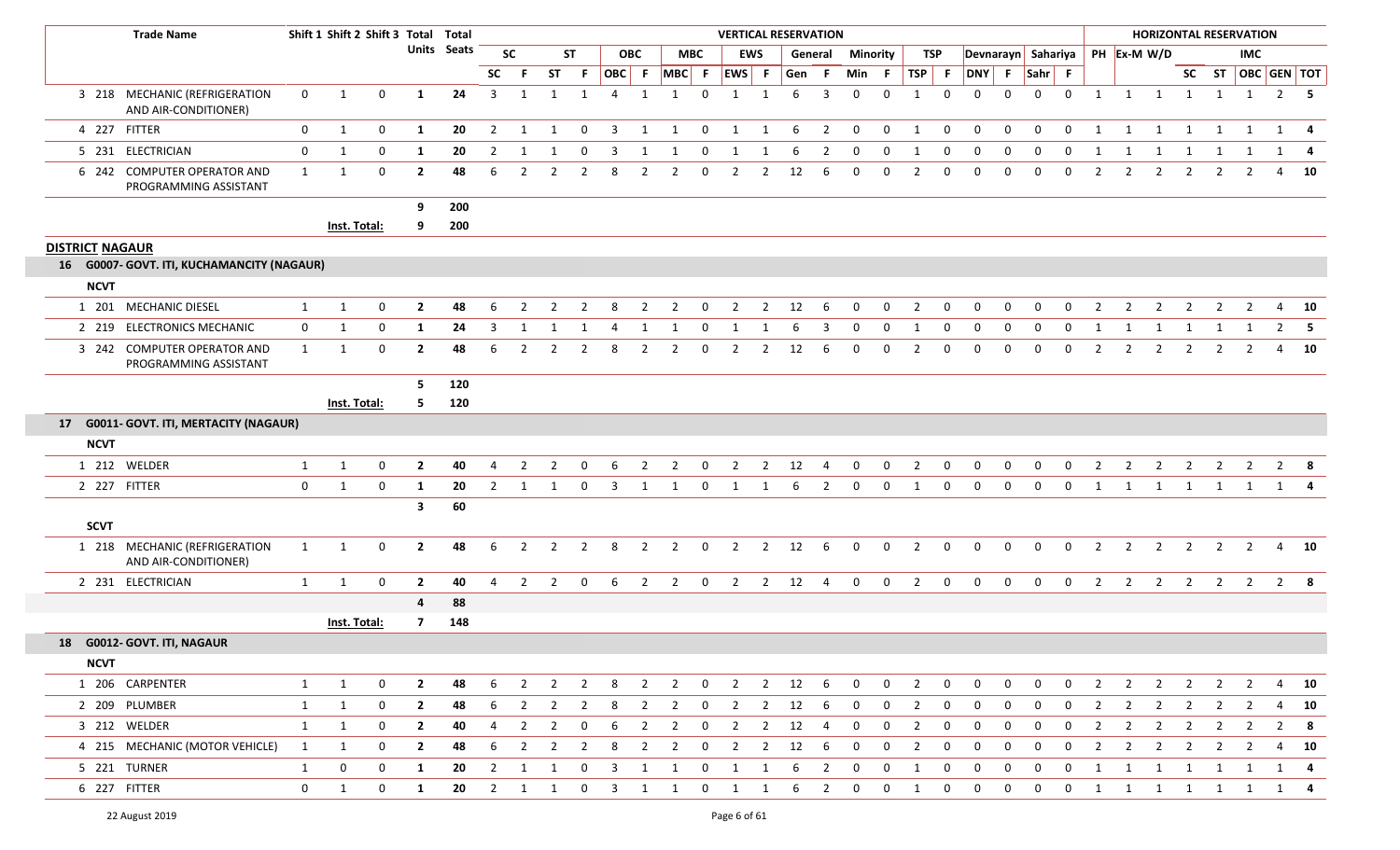| <b>Trade Name</b>                                     |              | Shift 1 Shift 2 Shift 3 Total Total |             |                |             |                |                |                |                |                         |                |                |                | <b>VERTICAL RESERVATION</b> |                |     |                |              |                 |                |                  |              |              |              |                |                |                | <b>HORIZONTAL RESERVATION</b>    |                         |                |                |   |                   |
|-------------------------------------------------------|--------------|-------------------------------------|-------------|----------------|-------------|----------------|----------------|----------------|----------------|-------------------------|----------------|----------------|----------------|-----------------------------|----------------|-----|----------------|--------------|-----------------|----------------|------------------|--------------|--------------|--------------|----------------|----------------|----------------|----------------------------------|-------------------------|----------------|----------------|---|-------------------|
|                                                       |              |                                     |             |                | Units Seats |                | <b>SC</b>      |                | <b>ST</b>      |                         | <b>OBC</b>     |                | <b>MBC</b>     |                             | <b>EWS</b>     |     | General        |              | <b>Minority</b> |                | TSP              |              |              |              |                |                |                | Devnarayn Sahariya   PH Ex-M W/D |                         |                | <b>IMC</b>     |   |                   |
|                                                       |              |                                     |             |                |             | <b>SC</b>      | -F.            | ST             | -F             |                         | OBC F          | $MBC$ F        |                | EWS F                       |                | Gen | -F             | Min F        |                 | TSP F          |                  | DNY F Sahr F |              |              |                |                |                |                                  |                         |                |                |   | SC ST OBC GEN TOT |
| 3 218 MECHANIC (REFRIGERATION<br>AND AIR-CONDITIONER) | $\mathbf 0$  | 1                                   | 0           | 1              | 24          | 3              | -1             | $\mathbf{1}$   | 1              | 4                       | $\overline{1}$ | $\overline{1}$ | $\Omega$       | 1                           | 1              | 6   | 3              | $\Omega$     | $\Omega$        | $\mathbf{1}$   | $\mathbf{0}$     | $\Omega$     | $\Omega$     | $\mathbf{0}$ | $\mathbf 0$    | 1              |                | 1 1                              | 1                       | $\mathbf{1}$   | 1              |   | $2 \quad 5$       |
| 4 227 FITTER                                          | $\mathbf 0$  | 1                                   | 0           | $\mathbf{1}$   | 20          | $\overline{2}$ | 1              | 1              | $\mathbf 0$    | $\overline{3}$          | 1              | 1              | $\mathbf 0$    | $\mathbf{1}$                | 1              | 6   | $\overline{2}$ | $\mathbf 0$  | $\mathbf 0$     | 1              | $\mathbf 0$      | $\mathbf 0$  | $\mathbf 0$  | $\mathbf 0$  | $\mathbf 0$    | 1              | 1              | 1                                | 1                       | 1              | 1              |   | $1 \quad 4$       |
| 5 231 ELECTRICIAN                                     | 0            | 1                                   | 0           | 1              | 20          | 2              |                |                | 0              | -3                      |                |                | 0              | -1                          | -1             |     | 2              |              |                 |                | 0                | 0            | 0            | 0            | 0              |                |                | 1                                | 1                       |                |                | 1 |                   |
| 6 242 COMPUTER OPERATOR AND<br>PROGRAMMING ASSISTANT  | $\mathbf{1}$ | 1                                   | $\mathbf 0$ | $\overline{2}$ | 48          | 6              | $\overline{2}$ | $\overline{2}$ | $\overline{2}$ | 8                       | $\overline{2}$ | $\overline{2}$ | 0              | $\overline{2}$              | $\overline{2}$ | 12  | -6             | $\Omega$     | 0               | 2              | 0                | $\mathbf{0}$ | $\mathbf 0$  | 0            | 0              | $\overline{2}$ | 2              | $\overline{2}$                   | $\overline{2}$          | $\overline{2}$ | 2              | 4 | 10                |
|                                                       |              |                                     |             | 9              | 200         |                |                |                |                |                         |                |                |                |                             |                |     |                |              |                 |                |                  |              |              |              |                |                |                |                                  |                         |                |                |   |                   |
|                                                       |              | Inst. Total:                        |             | 9              | 200         |                |                |                |                |                         |                |                |                |                             |                |     |                |              |                 |                |                  |              |              |              |                |                |                |                                  |                         |                |                |   |                   |
| <b>DISTRICT NAGAUR</b>                                |              |                                     |             |                |             |                |                |                |                |                         |                |                |                |                             |                |     |                |              |                 |                |                  |              |              |              |                |                |                |                                  |                         |                |                |   |                   |
| 16 G0007- GOVT. ITI, KUCHAMANCITY (NAGAUR)            |              |                                     |             |                |             |                |                |                |                |                         |                |                |                |                             |                |     |                |              |                 |                |                  |              |              |              |                |                |                |                                  |                         |                |                |   |                   |
| <b>NCVT</b>                                           |              |                                     |             |                |             |                |                |                |                |                         |                |                |                |                             |                |     |                |              |                 |                |                  |              |              |              |                |                |                |                                  |                         |                |                |   |                   |
| 1 201 MECHANIC DIESEL                                 | 1            | 1                                   | $\mathbf 0$ | $\overline{2}$ | 48          | 6              | 2              | - 2            | -2             | 8                       | 2              | $\overline{2}$ | $\Omega$       | 2                           | 2              | 12  | -6             | $\Omega$     | $\Omega$        | 2              | $\Omega$         | $\Omega$     | $\Omega$     | $\Omega$     | $\Omega$       | $\mathcal{P}$  | $\mathcal{P}$  | -2                               | 2                       | - 2            | 2              | 4 | 10                |
| 2 219 ELECTRONICS MECHANIC                            | $\mathbf{0}$ | 1                                   | 0           | 1              | 24          | 3              | 1              | 1              | -1             | 4                       | 1              | 1              | 0              | 1                           | 1              | 6   | 3              | $\mathbf 0$  | $\mathbf 0$     | 1              | 0                | $\mathbf{0}$ | 0            | 0            | $\mathbf 0$    | -1             | -1             | 1                                | 1                       | -1             |                | 2 | 5                 |
| 3 242 COMPUTER OPERATOR AND<br>PROGRAMMING ASSISTANT  | $\mathbf{1}$ | 1                                   | 0           | $\mathbf{2}$   | 48          | 6              |                |                | 2              | 8                       | 2              | 2              | $\Omega$       | 2                           | -2             | 12  | 6              | <sup>0</sup> | $\Omega$        | $\mathcal{L}$  | 0                | $\Omega$     | $\Omega$     | $\Omega$     | $\Omega$       | 2              | 2              | -2                               | 2                       | -2             | 2              | 4 | 10                |
|                                                       |              |                                     |             | 5.             | 120         |                |                |                |                |                         |                |                |                |                             |                |     |                |              |                 |                |                  |              |              |              |                |                |                |                                  |                         |                |                |   |                   |
|                                                       |              | Inst. Total:                        |             | 5.             | 120         |                |                |                |                |                         |                |                |                |                             |                |     |                |              |                 |                |                  |              |              |              |                |                |                |                                  |                         |                |                |   |                   |
| 17 G0011- GOVT. ITI, MERTACITY (NAGAUR)               |              |                                     |             |                |             |                |                |                |                |                         |                |                |                |                             |                |     |                |              |                 |                |                  |              |              |              |                |                |                |                                  |                         |                |                |   |                   |
| <b>NCVT</b>                                           |              |                                     |             |                |             |                |                |                |                |                         |                |                |                |                             |                |     |                |              |                 |                |                  |              |              |              |                |                |                |                                  |                         |                |                |   |                   |
| 1 212 WELDER                                          | $\mathbf{1}$ | 1                                   | $\mathbf 0$ | $\overline{2}$ | 40          | 4              | 2              | 2              |                | 6                       | 2              | 2              | 0              | 2                           | $\overline{2}$ | 12  | 4              | $\Omega$     | $\Omega$        | 2              | 0                | $\Omega$     | $\Omega$     | $\Omega$     | $\Omega$       | $\mathcal{P}$  | $\mathcal{P}$  | 2                                | 2                       | 2              | 2              |   | $2 \times 8$      |
| 2 227 FITTER                                          | $\mathbf 0$  | 1                                   | $\mathbf 0$ | 1              | 20          | 2              | 1              | 1              | $\mathbf{0}$   | $\overline{\mathbf{3}}$ | 1              | 1              | $\overline{0}$ | 1                           | 1              | 6   | 2              | $\mathbf{0}$ | $\mathbf 0$     | 1              | $\mathbf{0}$     | $\mathbf{0}$ | $\mathbf{0}$ | $\mathbf{0}$ | $\mathbf{0}$   | 1              | 1              | 1                                |                         | 1 1 1          |                |   | $1 \quad 4$       |
|                                                       |              |                                     |             | $\mathbf{3}$   | 60          |                |                |                |                |                         |                |                |                |                             |                |     |                |              |                 |                |                  |              |              |              |                |                |                |                                  |                         |                |                |   |                   |
| <b>SCVT</b>                                           |              |                                     |             |                |             |                |                |                |                |                         |                |                |                |                             |                |     |                |              |                 |                |                  |              |              |              |                |                |                |                                  |                         |                |                |   |                   |
| 1 218 MECHANIC (REFRIGERATION<br>AND AIR-CONDITIONER) | $\mathbf{1}$ | 1                                   | 0           | $\overline{2}$ | 48          | 6              | $\overline{2}$ | $\overline{2}$ | $\overline{2}$ | 8                       | $\overline{2}$ | $\overline{2}$ | $\mathbf 0$    | $\overline{2}$              | $\overline{2}$ | 12  | 6              | $\mathbf 0$  | $\mathbf 0$     | $\overline{2}$ | $\mathbf{0}$     | $\mathbf 0$  | 0            | $\mathbf 0$  | $\mathbf{0}$   | $\overline{2}$ | $\overline{2}$ | $\overline{2}$                   | $\overline{2}$          | $\overline{2}$ | $\overline{2}$ |   | 4 10              |
| 2 231 ELECTRICIAN                                     | 1            | 1                                   | $\mathbf 0$ | $\overline{2}$ | 40          | $\overline{4}$ | $\overline{2}$ | 2              | $\overline{0}$ | -6                      | $\overline{2}$ | $\overline{2}$ | $\mathbf 0$    | $\overline{2}$              | $\overline{2}$ | 12  | $\overline{4}$ | $\mathbf{0}$ | $\overline{0}$  | $2^{\circ}$    | $\overline{0}$   | $\mathbf{0}$ | $\mathbf 0$  | $\mathbf 0$  | $\overline{0}$ | $\overline{2}$ | $\overline{2}$ | $\overline{2}$                   | $\overline{2}$          | $\overline{2}$ | $\overline{2}$ |   | $2 \quad 8$       |
|                                                       |              |                                     |             | 4              | 88          |                |                |                |                |                         |                |                |                |                             |                |     |                |              |                 |                |                  |              |              |              |                |                |                |                                  |                         |                |                |   |                   |
|                                                       |              | Inst. Total:                        |             | $\overline{7}$ | 148         |                |                |                |                |                         |                |                |                |                             |                |     |                |              |                 |                |                  |              |              |              |                |                |                |                                  |                         |                |                |   |                   |
| 18 G0012- GOVT. ITI, NAGAUR                           |              |                                     |             |                |             |                |                |                |                |                         |                |                |                |                             |                |     |                |              |                 |                |                  |              |              |              |                |                |                |                                  |                         |                |                |   |                   |
| <b>NCVT</b>                                           |              |                                     |             |                |             |                |                |                |                |                         |                |                |                |                             |                |     |                |              |                 |                |                  |              |              |              |                |                |                |                                  |                         |                |                |   |                   |
| 1 206 CARPENTER                                       | $\mathbf{1}$ | $\mathbf{1}$                        | 0           | $\overline{2}$ | 48          | 6              | $\overline{2}$ | $\overline{2}$ | $\overline{2}$ | 8 <sup>8</sup>          | $\overline{2}$ |                | $2 \t 0$       | $\overline{\mathbf{2}}$     | $\overline{2}$ | 12  | 6              | $\mathbf{0}$ | $\overline{0}$  | $\overline{2}$ | $\overline{0}$   | $\mathbf 0$  | $\mathbf 0$  | $\mathbf 0$  | $\mathbf{0}$   | $\overline{2}$ | $\overline{2}$ |                                  | $2 \quad 2$             | $\overline{2}$ | $\overline{2}$ |   | 4 10              |
| 2 209 PLUMBER                                         | 1            | 1                                   | $\mathbf 0$ | $\overline{2}$ | 48          | 6              | $\overline{2}$ | $\overline{2}$ | $\overline{2}$ | 8                       | $\overline{2}$ | $\overline{2}$ | $\mathbf 0$    | $\overline{2}$              | $\overline{2}$ | 12  | 6              | $\mathbf 0$  | $\mathbf 0$     | $\overline{2}$ | 0                | 0            | 0            | $\mathbf 0$  | $\mathbf 0$    | $\overline{2}$ | $\overline{2}$ |                                  | $2 \quad 2$             | $\overline{2}$ | $\overline{2}$ |   | 4 10              |
| 3 212 WELDER                                          | 1            | 1                                   | 0           | $\overline{2}$ | 40          | 4              | $\overline{2}$ | $\overline{2}$ | $\mathbf{0}$   | -6                      | $\overline{2}$ | $\overline{2}$ | $\mathbf{0}$   | $\overline{2}$              | $\overline{2}$ | 12  | 4              | $\mathbf 0$  | $\mathbf 0$     | $\overline{2}$ | 0                | $\mathbf{0}$ | 0            | 0            | 0              | 2              | $\overline{2}$ | $\overline{2}$                   | $\overline{\mathbf{2}}$ | $\overline{2}$ | $\overline{2}$ |   | $2 \times 8$      |
| 4 215 MECHANIC (MOTOR VEHICLE)                        | $\mathbf{1}$ | 1                                   | 0           | $\overline{2}$ | 48          | 6              | $\overline{2}$ | $\overline{2}$ | $\overline{2}$ | 8                       | $\overline{2}$ | $\overline{2}$ | 0              | $\overline{2}$              | $\overline{2}$ | 12  | 6              | 0            | 0               | $\overline{2}$ | 0                | 0            | 0            | 0            | 0              | 2              | 2              | $\overline{2}$                   | $\overline{2}$          | $\overline{2}$ | $\overline{2}$ |   | 4 10              |
| 5 221 TURNER                                          | $\mathbf{1}$ | $\boldsymbol{0}$                    | 0           | 1              | 20          | $\overline{2}$ | 1              | 1              | $\mathbf{0}$   | $\overline{\mathbf{3}}$ | 1              | 1              | $\mathbf{0}$   | 1                           | 1              | 6   | $\overline{2}$ | $\bf{0}$     | 0               | 1              | 0                | 0            | 0            | 0            | 0              | -1             | 1              | 1                                | $\mathbf{1}$            | 1              |                | 1 | 4                 |
| 6 227 FITTER                                          | $\mathbf{0}$ | 1                                   | 0           | $\mathbf{1}$   | 20          | $\overline{2}$ | $\overline{1}$ | 1              | $\overline{0}$ | $\overline{\mathbf{3}}$ | 1              | $\mathbf{1}$   | $\mathbf 0$    | $\overline{\mathbf{1}}$     | $\mathbf{1}$   | 6   | $\overline{2}$ | $\mathbf 0$  | 0               | 1              | $\boldsymbol{0}$ | 0            | 0            | $\mathbf 0$  | $\mathbf{0}$   | 1              | $\mathbf{1}$   |                                  |                         | 1 1 1 1        |                |   | $1 \quad 4$       |
|                                                       |              |                                     |             |                |             |                |                |                |                |                         |                |                |                |                             |                |     |                |              |                 |                |                  |              |              |              |                |                |                |                                  |                         |                |                |   |                   |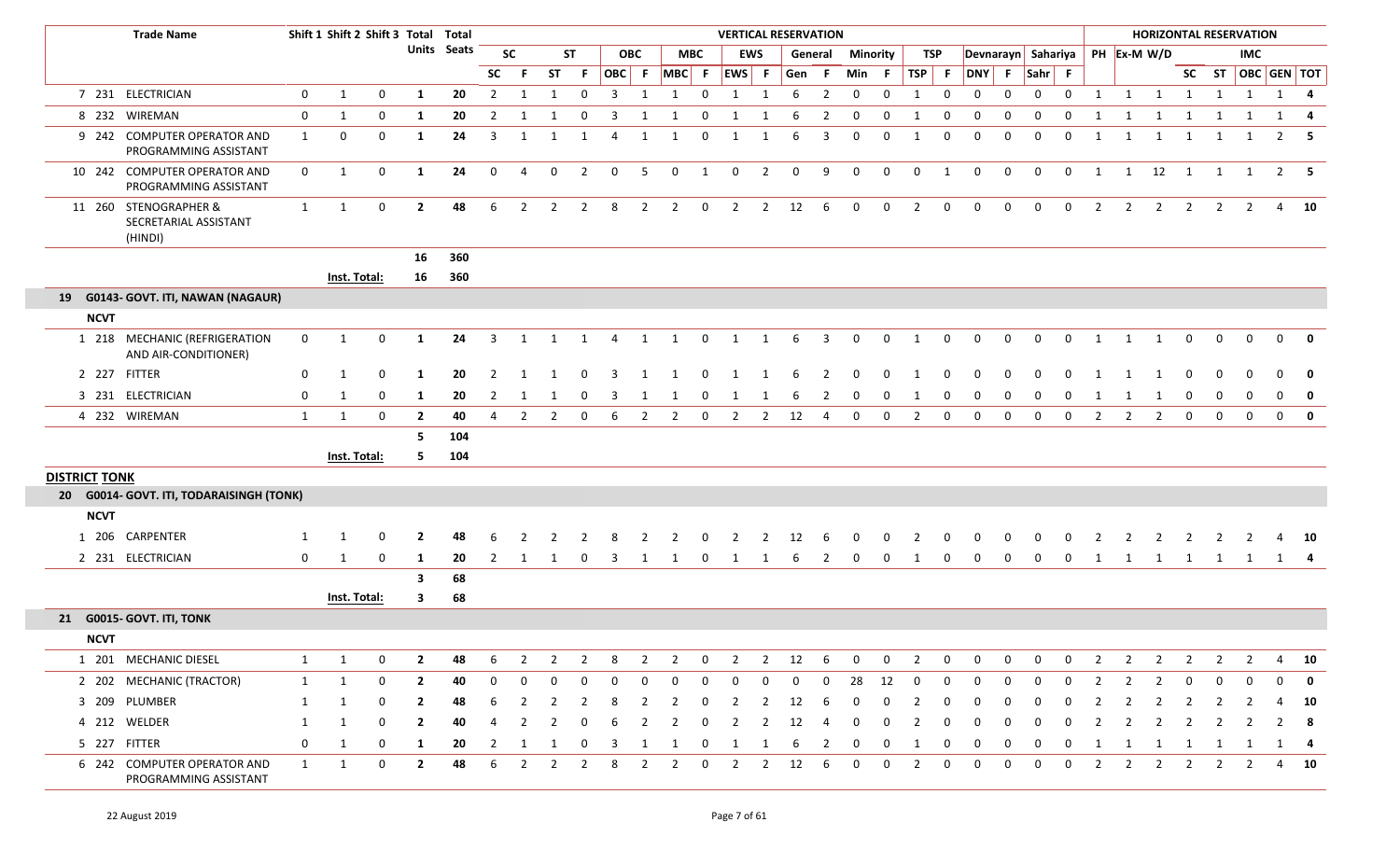|                      | <b>Trade Name</b>                                         |              | Shift 1 Shift 2 Shift 3 Total Total |                  |                         |                    |                         |                |                |                         |                         |                 |                |                | <b>VERTICAL RESERVATION</b> |                |             |                         |              |             |                |                |              |              |                    |              |              |                | <b>HORIZONTAL RESERVATION</b> |                |                         |                   |              |              |
|----------------------|-----------------------------------------------------------|--------------|-------------------------------------|------------------|-------------------------|--------------------|-------------------------|----------------|----------------|-------------------------|-------------------------|-----------------|----------------|----------------|-----------------------------|----------------|-------------|-------------------------|--------------|-------------|----------------|----------------|--------------|--------------|--------------------|--------------|--------------|----------------|-------------------------------|----------------|-------------------------|-------------------|--------------|--------------|
|                      |                                                           |              |                                     |                  |                         | <b>Units</b> Seats |                         | <b>SC</b>      |                | <b>ST</b>               |                         | <b>OBC</b>      |                | <b>MBC</b>     |                             | <b>EWS</b>     |             | General                 | Minority     |             | TSP            |                |              |              | Devnarayn Sahariya |              |              |                | PH Ex-M W/D                   |                |                         | IMC               |              |              |
|                      |                                                           |              |                                     |                  |                         |                    | SC                      | -F.            | <b>ST</b>      | -F                      |                         | OBC F           | $MBC$ F        |                | EWS F                       |                | Gen F       |                         | Min F        |             | $TSP$ F        |                | DNY F Sahr F |              |                    |              |              |                |                               |                |                         | SC ST OBC GEN TOT |              |              |
|                      | 7 231 ELECTRICIAN                                         | $\mathbf 0$  | $\mathbf{1}$                        | 0                | 1                       | 20                 | $\overline{2}$          | 1              | 1              | $\mathbf 0$             | $\overline{3}$          | 1               | 1              | $\mathbf 0$    | 1                           | 1              | 6           | $\overline{2}$          | $\mathbf 0$  | $\mathbf 0$ | 1              | $\mathbf 0$    | $\mathbf 0$  | 0            | $\mathbf{0}$       | $\mathbf 0$  | 1            |                | $1 \quad 1 \quad 1$           |                | $\overline{\mathbf{1}}$ | 1                 |              | 1 4          |
|                      | 8 232 WIREMAN                                             | 0            | 1                                   | $\mathbf 0$      | 1                       | 20                 | 2                       | -1             | 1              | 0                       | -3                      | 1               | -1             | 0              | 1                           | 1              | 6           | $\overline{2}$          | $\mathbf{0}$ | $\mathbf 0$ | 1              | $\mathbf 0$    | $\mathbf{0}$ | 0            | $\mathbf{0}$       | $\Omega$     | 1            | 1              | 1                             | 1              | 1                       | 1                 | 1            | -4           |
|                      | 9 242 COMPUTER OPERATOR AND<br>PROGRAMMING ASSISTANT      | $\mathbf{1}$ | 0                                   | $\mathbf 0$      | 1                       | 24                 | 3                       | 1              | 1              | 1                       | 4                       | 1               | 1              | $\overline{0}$ | 1                           | 1              | 6           | $\overline{3}$          | $\mathbf{0}$ | $\Omega$    | 1              | $\mathbf 0$    | $\mathbf{0}$ | $\mathbf{0}$ | $\Omega$           | 0            | 1            | 1              |                               | 1 1            | 1                       | 1                 |              | $2 \quad 5$  |
|                      | 10 242 COMPUTER OPERATOR AND<br>PROGRAMMING ASSISTANT     | $\mathbf 0$  | 1                                   | $\mathbf 0$      | 1                       | 24                 | $\mathbf 0$             | $\overline{4}$ | $\mathbf 0$    | $\overline{2}$          | $\overline{0}$          | $5\phantom{.0}$ | $\mathbf 0$    | $\overline{1}$ | $\overline{0}$              | $\overline{2}$ | $\mathbf 0$ | 9                       | $\mathbf 0$  | $\mathbf 0$ | $\overline{0}$ | $\overline{1}$ | $\mathbf 0$  | $\mathbf{0}$ | $\mathbf 0$        | $\mathbf{0}$ | $\mathbf{1}$ |                | $1 \quad 12 \quad 1$          |                | $\overline{1}$          | $\overline{1}$    |              | $2 \quad 5$  |
|                      | 11 260 STENOGRAPHER &<br>SECRETARIAL ASSISTANT<br>(HINDI) | $\mathbf{1}$ | $\mathbf{1}$                        | $\mathbf 0$      | $\overline{2}$          | 48                 | 6                       | $\overline{2}$ | 2              | $\overline{2}$          | 8                       | $\overline{2}$  | 2              | $\overline{0}$ | $\overline{2}$              | $\overline{2}$ | 12          | 6                       | $\Omega$     | $\Omega$    | $\overline{2}$ | $\mathbf 0$    | $\Omega$     | $\Omega$     | $\Omega$           | $\Omega$     | 2            | $\overline{2}$ | $\overline{2}$                | 2              | 2                       | 2                 |              | 4 10         |
|                      |                                                           |              |                                     |                  | 16                      | 360                |                         |                |                |                         |                         |                 |                |                |                             |                |             |                         |              |             |                |                |              |              |                    |              |              |                |                               |                |                         |                   |              |              |
|                      |                                                           |              | Inst. Total:                        |                  | 16                      | 360                |                         |                |                |                         |                         |                 |                |                |                             |                |             |                         |              |             |                |                |              |              |                    |              |              |                |                               |                |                         |                   |              |              |
|                      | 19 G0143- GOVT. ITI, NAWAN (NAGAUR)                       |              |                                     |                  |                         |                    |                         |                |                |                         |                         |                 |                |                |                             |                |             |                         |              |             |                |                |              |              |                    |              |              |                |                               |                |                         |                   |              |              |
| <b>NCVT</b>          |                                                           |              |                                     |                  |                         |                    |                         |                |                |                         |                         |                 |                |                |                             |                |             |                         |              |             |                |                |              |              |                    |              |              |                |                               |                |                         |                   |              |              |
|                      | 1 218 MECHANIC (REFRIGERATION<br>AND AIR-CONDITIONER)     | $\mathbf 0$  | 1                                   | $\mathbf 0$      | 1                       | 24                 | $\overline{\mathbf{3}}$ | 1              | 1              | $\overline{\mathbf{1}}$ | $\overline{4}$          | $\mathbf{1}$    | $\mathbf{1}$   | $\mathbf 0$    | $\overline{1}$              | $\mathbf{1}$   | 6           | $\overline{\mathbf{3}}$ | $\mathbf{0}$ | $\mathbf 0$ | 1              | $\mathbf{0}$   | $\mathbf 0$  | $\mathbf 0$  | $\mathbf 0$        | $\mathbf 0$  | 1            | 1              | $\mathbf{1}$                  | $\mathbf 0$    | $\mathbf 0$             | $\mathbf{0}$      |              | $0 \quad 0$  |
|                      | 2 227 FITTER                                              | 0            | 1                                   | $\mathbf 0$      | -1                      | 20                 | 2                       | $\overline{1}$ |                | $\Omega$                | ્વ                      | -1              |                | $\Omega$       |                             | -1             | 6           | $\overline{2}$          | 0            | $\Omega$    |                | $\Omega$       |              |              |                    | $\Omega$     |              |                | - 1                           | $\mathbf 0$    | $\mathbf 0$             | $\Omega$          | $\mathbf{0}$ | $\mathbf 0$  |
|                      | 3 231 ELECTRICIAN                                         | 0            | 1                                   | $\boldsymbol{0}$ | 1                       | 20                 | $\overline{2}$          | -1             | 1              | $\mathbf 0$             | $\overline{\mathbf{3}}$ | 1               | 1              | $\mathbf 0$    | 1                           | 1              | 6           | $\overline{2}$          | $\mathbf{0}$ | $\Omega$    |                | $\mathbf 0$    | 0            | 0            | $\Omega$           | 0            | 1            | 1              | -1                            | $\mathbf 0$    | $\mathbf 0$             | $\mathbf{0}$      |              | $0 \quad 0$  |
|                      | 4 232 WIREMAN                                             | 1            | 1                                   | $\mathbf 0$      | $\overline{2}$          | 40                 | 4                       | 2              | 2              | $\mathbf{0}$            | -6                      | $\overline{2}$  | $\overline{2}$ | $\mathbf 0$    | $\overline{2}$              | $\overline{2}$ | 12          | 4                       | $\Omega$     | $\Omega$    | $\overline{2}$ | $\Omega$       | $\Omega$     | $\Omega$     | $\Omega$           | $\Omega$     | 2            | 2              | $\overline{2}$                | $\mathbf 0$    | $\mathbf{0}$            | $\mathbf 0$       | $\mathbf{0}$ | $\mathbf{0}$ |
|                      |                                                           |              |                                     |                  | 5                       | 104                |                         |                |                |                         |                         |                 |                |                |                             |                |             |                         |              |             |                |                |              |              |                    |              |              |                |                               |                |                         |                   |              |              |
|                      |                                                           |              | Inst. Total:                        |                  | 5.                      | 104                |                         |                |                |                         |                         |                 |                |                |                             |                |             |                         |              |             |                |                |              |              |                    |              |              |                |                               |                |                         |                   |              |              |
| <b>DISTRICT TONK</b> |                                                           |              |                                     |                  |                         |                    |                         |                |                |                         |                         |                 |                |                |                             |                |             |                         |              |             |                |                |              |              |                    |              |              |                |                               |                |                         |                   |              |              |
|                      | 20 G0014- GOVT. ITI, TODARAISINGH (TONK)                  |              |                                     |                  |                         |                    |                         |                |                |                         |                         |                 |                |                |                             |                |             |                         |              |             |                |                |              |              |                    |              |              |                |                               |                |                         |                   |              |              |
| <b>NCVT</b>          |                                                           |              |                                     |                  |                         |                    |                         |                |                |                         |                         |                 |                |                |                             |                |             |                         |              |             |                |                |              |              |                    |              |              |                |                               |                |                         |                   |              |              |
|                      | 1 206 CARPENTER                                           | 1            | -1                                  | $\Omega$         | $\mathbf{2}$            | 48                 | 6                       |                |                |                         |                         |                 |                |                |                             |                | 12          |                         |              |             |                |                |              |              |                    |              |              |                |                               |                |                         |                   |              | 4 10         |
|                      | 2 231 ELECTRICIAN                                         | 0            | -1                                  | 0                | 1                       | 20                 | 2                       | -1             |                | $\mathbf{0}$            | - 3                     | 1               | 1              | 0              | 1                           | 1              | 6           | 2                       | 0            | $\Omega$    |                | 0              | $\mathbf 0$  | $\mathbf 0$  | $\Omega$           | 0            | 1            | 1              | 1                             | $\mathbf{1}$   | $\overline{1}$          | $\mathbf{1}$      |              | 1 4          |
|                      |                                                           |              |                                     |                  | $\overline{\mathbf{3}}$ | 68                 |                         |                |                |                         |                         |                 |                |                |                             |                |             |                         |              |             |                |                |              |              |                    |              |              |                |                               |                |                         |                   |              |              |
|                      |                                                           |              | Inst. Total:                        |                  | 3                       | 68                 |                         |                |                |                         |                         |                 |                |                |                             |                |             |                         |              |             |                |                |              |              |                    |              |              |                |                               |                |                         |                   |              |              |
|                      | 21 G0015- GOVT. ITI, TONK                                 |              |                                     |                  |                         |                    |                         |                |                |                         |                         |                 |                |                |                             |                |             |                         |              |             |                |                |              |              |                    |              |              |                |                               |                |                         |                   |              |              |
| <b>NCVT</b>          |                                                           |              |                                     |                  |                         |                    |                         |                |                |                         |                         |                 |                |                |                             |                |             |                         |              |             |                |                |              |              |                    |              |              |                |                               |                |                         |                   |              |              |
|                      | 1 201 MECHANIC DIESEL                                     | $\mathbf{1}$ | 1                                   | 0                | 2                       | 48                 | 6                       | 2              | 2              | 2                       | 8                       | 2               | 2              | 0              | 2                           | $\overline{2}$ | 12          | 6                       |              |             |                |                |              | 0            |                    | 0            |              | 2              | 2                             | 2              |                         | 2                 | 4            | 10           |
|                      | 2 202 MECHANIC (TRACTOR)                                  | 1            | $\mathbf{1}$                        | $\mathbf 0$      | $\mathbf{2}$            | 40                 | 0                       | 0              |                |                         | 0                       | $\Omega$        | 0              | 0              | 0                           | 0              | 0           | $\mathbf 0$             | 28           | 12          |                | $\Omega$       | $\Omega$     | 0            |                    | 0            |              | 2              |                               | 0              | 0                       | 0                 | 0            | $\mathbf{0}$ |
|                      | 3 209 PLUMBER                                             | 1            |                                     | 0                | 2                       | 48                 |                         |                |                |                         | 8                       |                 | 2              | 0              | $\overline{2}$              | 2              | 12          | -6                      | $\Omega$     |             |                | 0              |              |              |                    | $\Omega$     |              |                |                               | 2              |                         |                   |              | 10           |
|                      | 4 212 WELDER                                              | 1            | 1                                   | 0                | 2                       | 40                 |                         |                |                |                         |                         |                 |                | -0             | 2                           | 2              | 12          | 4                       | 0            |             |                |                |              | 0            |                    | 0            |              |                |                               |                |                         |                   |              | $2 \quad 8$  |
|                      | 5 227 FITTER                                              | 0            | 1                                   | 0                | $\mathbf{1}$            | 20                 | 2                       |                |                |                         |                         |                 |                | 0              | <sup>1</sup>                |                |             | -2                      | 0            | 0           |                |                |              | 0            |                    | 0            |              | 1              | 1                             | 1              | 1                       | 1                 |              | 1 4          |
|                      | 6 242 COMPUTER OPERATOR AND<br>PROGRAMMING ASSISTANT      | $\mathbf{1}$ | $\mathbf{1}$                        | $\mathbf 0$      | $\mathbf{2}$            | 48                 | 6                       | $\overline{2}$ | $\overline{2}$ | $\overline{2}$          | 8                       | $\overline{2}$  | $\overline{2}$ | $\mathbf 0$    | $\overline{2}$              | $\overline{2}$ | 12          | 6                       | $\mathbf{0}$ | 0           | $\overline{2}$ | 0              | 0            | 0            | 0                  | 0            | $2^{\circ}$  | $\overline{2}$ | $\overline{2}$                | $\overline{2}$ | $\overline{2}$          | $\overline{2}$    |              | 4 10         |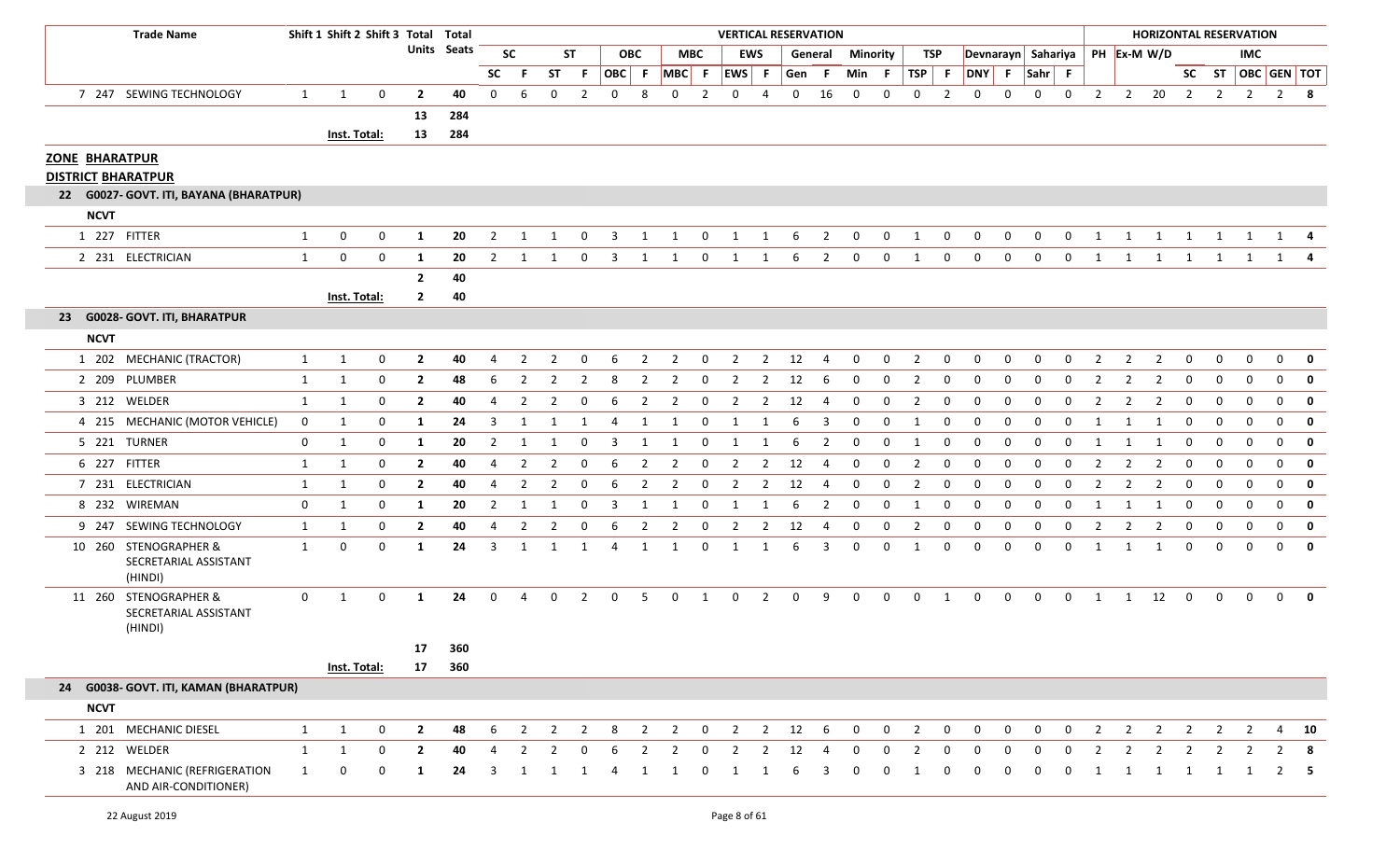|                                                    | <b>Trade Name</b>                                         |              | Shift 1 Shift 2 Shift 3 Total Total |              |                |             |                |                |                |                |                |                |                |                | <b>VERTICAL RESERVATION</b> |                |             |                |             |              |                |                |              |              |                                  |              |                |                |                      |                | <b>HORIZONTAL RESERVATION</b> |                |                |                         |
|----------------------------------------------------|-----------------------------------------------------------|--------------|-------------------------------------|--------------|----------------|-------------|----------------|----------------|----------------|----------------|----------------|----------------|----------------|----------------|-----------------------------|----------------|-------------|----------------|-------------|--------------|----------------|----------------|--------------|--------------|----------------------------------|--------------|----------------|----------------|----------------------|----------------|-------------------------------|----------------|----------------|-------------------------|
|                                                    |                                                           |              |                                     |              |                | Units Seats |                | <b>SC</b>      |                | <b>ST</b>      |                | <b>OBC</b>     |                | <b>MBC</b>     |                             | <b>EWS</b>     |             | General        |             | Minority     |                | TSP            |              |              | Devnarayn Sahariya   PH Ex-M W/D |              |                |                |                      |                |                               | IMC            |                |                         |
|                                                    |                                                           |              |                                     |              |                |             | <b>SC</b>      | F              | ST             | F.             |                |                | OBC F MBC F    |                | EWS F                       |                | Gen         | - F            | Min         | - F          | <b>TSP</b>     | - F            | DNY F        |              | $Sahr$ F                         |              |                |                |                      |                |                               |                |                | SC ST   OBC   GEN   TOT |
|                                                    | 7 247 SEWING TECHNOLOGY                                   | 1            | 1                                   | $\mathbf 0$  | $\overline{2}$ | 40          | $\mathbf{0}$   | 6              | $\mathbf{0}$   | $\overline{2}$ | $\mathbf 0$    | 8              | $\mathbf 0$    | $\overline{2}$ | 0                           | 4              | $\mathbf 0$ | 16             | 0           | $\mathbf 0$  | $\mathbf 0$    | $\overline{2}$ | 0            | $\mathbf 0$  | $\mathbf 0$                      | $\mathbf{0}$ | $\overline{2}$ |                | 2 20 2               |                | $\overline{2}$                | $\overline{2}$ |                | $2 \times 8$            |
|                                                    |                                                           |              |                                     |              | 13             | 284         |                |                |                |                |                |                |                |                |                             |                |             |                |             |              |                |                |              |              |                                  |              |                |                |                      |                |                               |                |                |                         |
|                                                    |                                                           |              | Inst. Total:                        |              | 13             | 284         |                |                |                |                |                |                |                |                |                             |                |             |                |             |              |                |                |              |              |                                  |              |                |                |                      |                |                               |                |                |                         |
| <b>ZONE BHARATPUR</b><br><b>DISTRICT BHARATPUR</b> |                                                           |              |                                     |              |                |             |                |                |                |                |                |                |                |                |                             |                |             |                |             |              |                |                |              |              |                                  |              |                |                |                      |                |                               |                |                |                         |
|                                                    | 22 G0027- GOVT. ITI, BAYANA (BHARATPUR)                   |              |                                     |              |                |             |                |                |                |                |                |                |                |                |                             |                |             |                |             |              |                |                |              |              |                                  |              |                |                |                      |                |                               |                |                |                         |
| <b>NCVT</b>                                        |                                                           |              |                                     |              |                |             |                |                |                |                |                |                |                |                |                             |                |             |                |             |              |                |                |              |              |                                  |              |                |                |                      |                |                               |                |                |                         |
|                                                    | 1 227 FITTER                                              | 1            | 0                                   | $\mathbf 0$  | 1              | 20          | $\overline{2}$ | 1              | 1              | 0              | $\overline{3}$ | 1              | 1              | $\overline{0}$ | 1                           | 1              | 6           | $\overline{2}$ | 0           | $\mathbf{0}$ | $\mathbf{1}$   | $\mathbf 0$    | 0            | $\mathbf{0}$ | $\mathbf 0$                      | $\mathbf{0}$ | 1              | $\mathbf{1}$   | 1                    | 1              | 1                             | 1              |                | $1 \quad 4$             |
|                                                    | 2 231 ELECTRICIAN                                         | $\mathbf{1}$ | 0                                   | $\mathbf 0$  | 1              | 20          | $\overline{2}$ | 1              |                | 0              | 3              | 1              | 1              | $\mathbf 0$    | 1                           | 1              | 6           | $\overline{2}$ | 0           | 0            | 1              | $\mathbf 0$    | 0            | $\mathbf 0$  | $\mathbf 0$                      | 0            | 1              | 1              | 1                    | 1              | 1                             | 1              | 1              |                         |
|                                                    |                                                           |              |                                     |              | $\overline{2}$ | 40          |                |                |                |                |                |                |                |                |                             |                |             |                |             |              |                |                |              |              |                                  |              |                |                |                      |                |                               |                |                |                         |
|                                                    |                                                           |              | Inst. Total:                        |              | $\mathbf{2}$   | 40          |                |                |                |                |                |                |                |                |                             |                |             |                |             |              |                |                |              |              |                                  |              |                |                |                      |                |                               |                |                |                         |
|                                                    | 23 G0028- GOVT. ITI, BHARATPUR                            |              |                                     |              |                |             |                |                |                |                |                |                |                |                |                             |                |             |                |             |              |                |                |              |              |                                  |              |                |                |                      |                |                               |                |                |                         |
| <b>NCVT</b>                                        |                                                           |              |                                     |              |                |             |                |                |                |                |                |                |                |                |                             |                |             |                |             |              |                |                |              |              |                                  |              |                |                |                      |                |                               |                |                |                         |
|                                                    | 1 202 MECHANIC (TRACTOR)                                  | 1            | 1                                   | $\mathbf 0$  | $\mathbf{2}$   | 40          | 4              | 2              | 2              | 0              | 6              | $\overline{2}$ | $\overline{2}$ | $\mathbf 0$    | $\overline{2}$              | $\overline{2}$ | 12          | -4             | 0           | $\mathbf{0}$ | $\overline{2}$ | 0              | 0            | 0            | 0                                | 0            | -2             | $\overline{2}$ | $\overline{2}$       | $\mathbf 0$    | 0                             | 0              | 0              | 0                       |
|                                                    | 2 209 PLUMBER                                             | 1            | 1                                   | $\mathbf 0$  | $\overline{2}$ | 48          | 6              | 2              | 2              | 2              | 8              | 2              | 2              | 0              | 2                           | $\overline{2}$ | 12          | -6             | 0           | $\mathbf 0$  | $\overline{2}$ | 0              | $\mathbf 0$  | 0            | 0                                | 0            | -2             | 2              | 2                    | $\mathbf 0$    | $\mathbf 0$                   | 0              | $\mathbf{0}$   | $\mathbf 0$             |
|                                                    | 3 212 WELDER                                              | 1            | 1                                   | 0            | $\mathbf{2}$   | 40          | 4              | 2              | 2              | - 0            | 6              | 2              | 2              | -0             | 2                           | 2              | 12          | -4             | 0           | 0            | $\overline{2}$ | $\Omega$       | 0            | 0            | $\Omega$                         | 0            |                | 2              | 2                    | 0              | 0                             | $\Omega$       | $\mathbf{0}$   | $\mathbf 0$             |
|                                                    | 4 215 MECHANIC (MOTOR VEHICLE)                            | $\mathbf 0$  | 1                                   | 0            | 1              | 24          | 3              | -1             | 1              | 1              | -4             | 1              | 1              | $\mathbf{0}$   | 1                           | -1             | 6           | 3              | 0           | 0            | 1              | 0              | $\mathbf{0}$ | 0            | 0                                | 0            | -1             |                | -1                   | $\mathbf{0}$   | $\mathbf 0$                   | 0              | $\mathbf{0}$   | $\mathbf 0$             |
|                                                    | 5 221 TURNER                                              | $\mathbf 0$  | 1                                   | 0            | 1              | 20          | $\mathbf{2}$   | 1              | 1              | 0              | 3              | 1              | 1              | $\mathbf 0$    | 1                           | 1              | 6           | $\overline{2}$ | 0           | $\mathbf{0}$ | 1              | 0              | $\Omega$     | 0            | 0                                | 0            | -1             | 1              | 1                    | $\mathbf 0$    | $\mathbf 0$                   | 0              | $\mathbf{0}$   | $\mathbf 0$             |
|                                                    | 6 227 FITTER                                              | 1            | 1                                   | $\mathbf 0$  | $\overline{2}$ | 40          | 4              | 2              | 2              | 0              | 6              | 2              | 2              | $\mathbf{0}$   | 2                           | $\overline{2}$ | 12          | 4              | 0           | 0            | $\overline{2}$ | 0              | $\mathbf 0$  | 0            | 0                                | 0            | -2             | 2              | 2                    | $\mathbf 0$    | $\mathbf 0$                   | 0              | $\mathbf{0}$   | $\mathbf 0$             |
|                                                    | 7 231 ELECTRICIAN                                         | 1            | 1                                   | 0            | $\mathbf{2}$   | 40          | 4              | $\overline{2}$ | 2              | 0              | 6              | $\overline{2}$ | $\overline{2}$ | 0              | 2                           | 2              | 12          | 4              | 0           | $\mathbf{0}$ | $\overline{2}$ | 0              | 0            | 0            | 0                                | $\Omega$     | -2             | $\overline{2}$ | 2                    | $\mathbf 0$    | 0                             | 0              | $\mathbf{0}$   | 0                       |
|                                                    | 8 232 WIREMAN                                             | $\mathbf 0$  | 1                                   | 0            | 1              | 20          | $\mathbf{2}$   | 1              | 1              | 0              | 3              | 1              | 1              | 0              | 1                           | 1              | 6           | $\overline{2}$ | 0           | 0            | 1              | 0              | 0            | 0            | 0                                | 0            | -1             | -1             | -1                   | $\mathbf 0$    | $\mathbf 0$                   | 0              | $\mathbf{0}$   | $\mathbf{0}$            |
|                                                    | 9 247 SEWING TECHNOLOGY                                   | $\mathbf{1}$ | 1                                   | 0            | $\mathbf{2}$   | 40          | 4              | $\overline{2}$ | $\overline{2}$ | 0              | 6              | $\overline{2}$ | $\overline{2}$ | $\mathbf 0$    | $\overline{2}$              | $\overline{2}$ | 12          | -4             | 0           | $\mathbf{0}$ | 2              | 0              | $\mathbf 0$  | 0            | 0                                | 0            | 2              | $\overline{2}$ | 2                    | $\mathbf 0$    | $\mathbf 0$                   | 0              | $\mathbf{0}$   | $\mathbf 0$             |
|                                                    | 10 260 STENOGRAPHER &<br>SECRETARIAL ASSISTANT<br>(HINDI) | $\mathbf{1}$ | 0                                   | $\mathbf{0}$ | 1              | 24          | 3              | 1              | 1              | 1              |                | -1             | 1              | 0              | -1                          | -1             | 6           | 3              | 0           | $\mathbf{0}$ | 1              | 0              | 0            | 0            | 0                                | 0            | 1              |                | -1                   | $\mathbf 0$    | $\mathbf 0$                   | 0              | $\mathbf{0}$   | 0                       |
|                                                    | 11 260 STENOGRAPHER &<br>SECRETARIAL ASSISTANT<br>(HINDI) | 0            | 1                                   | $\mathbf{0}$ | 1              | 24          | $\mathbf{0}$   | 4              | $\overline{0}$ | $\overline{2}$ | $\mathbf 0$    | - 5            | $\mathbf 0$    | 1              | $\mathbf 0$                 | $\overline{2}$ | $\mathbf 0$ | 9              | $\mathbf 0$ | $\mathbf{0}$ | $\mathbf 0$    | 1              | 0            | $\mathbf{0}$ | $\mathbf 0$                      | $\mathbf 0$  | 1              |                | $1 \quad 12 \quad 0$ |                | $\overline{0}$                | $\mathbf{0}$   | $\overline{0}$ | 0                       |
|                                                    |                                                           |              |                                     |              |                | 17 360      |                |                |                |                |                |                |                |                |                             |                |             |                |             |              |                |                |              |              |                                  |              |                |                |                      |                |                               |                |                |                         |
|                                                    |                                                           |              | Inst. Total:                        |              | 17             | 360         |                |                |                |                |                |                |                |                |                             |                |             |                |             |              |                |                |              |              |                                  |              |                |                |                      |                |                               |                |                |                         |
|                                                    | 24 G0038- GOVT. ITI, KAMAN (BHARATPUR)                    |              |                                     |              |                |             |                |                |                |                |                |                |                |                |                             |                |             |                |             |              |                |                |              |              |                                  |              |                |                |                      |                |                               |                |                |                         |
| <b>NCVT</b>                                        |                                                           |              |                                     |              |                |             |                |                |                |                |                |                |                |                |                             |                |             |                |             |              |                |                |              |              |                                  |              |                |                |                      |                |                               |                |                |                         |
|                                                    | 1 201 MECHANIC DIESEL                                     | $\mathbf{1}$ | 1                                   | $\mathbf{0}$ | $\overline{2}$ | 48          | 6              | 2              | $\overline{2}$ | $\overline{2}$ | 8              | $\overline{2}$ | $\overline{2}$ | $\mathbf{0}$   | $\overline{2}$              | $\overline{2}$ | 12          | - 6            | $\mathbf 0$ | $\mathbf{0}$ | $\overline{2}$ | $\mathbf{0}$   | 0            | $\mathbf{0}$ | $\mathbf 0$                      | $\mathbf{0}$ | $\overline{2}$ | $\overline{2}$ | $\overline{2}$       | $\overline{2}$ | $\overline{2}$                | $\overline{2}$ |                | 4 10                    |
|                                                    | 2 212 WELDER                                              | 1            | 1                                   | $\mathbf 0$  | $\overline{2}$ | 40          |                | 2              | $\overline{2}$ | 0              | 6              | $\overline{2}$ | 2              | 0              | 2                           | 2              | 12          | -4             | 0           | 0            | $\overline{2}$ | 0              | $\Omega$     | 0            | 0                                | 0            | 2              | $\overline{2}$ | 2                    | 2              |                               |                |                | -8                      |
|                                                    | 3 218 MECHANIC (REFRIGERATION<br>AND AIR-CONDITIONER)     | 1            | 0                                   | $\mathbf 0$  | 1              | 24          | 3              | $\mathbf{1}$   | 1              | 1              | 4              | 1              | 1              | 0              | $\mathbf{1}$                | 1              | 6           | 3              | 0           | $\mathbf{0}$ | 1              | 0              | 0            | 0            | $\mathbf{0}$                     | $\mathbf 0$  | 1              | 1              | $\overline{1}$       | $\overline{1}$ | $\mathbf{1}$                  | <sup>1</sup>   |                | $2 \quad 5$             |

I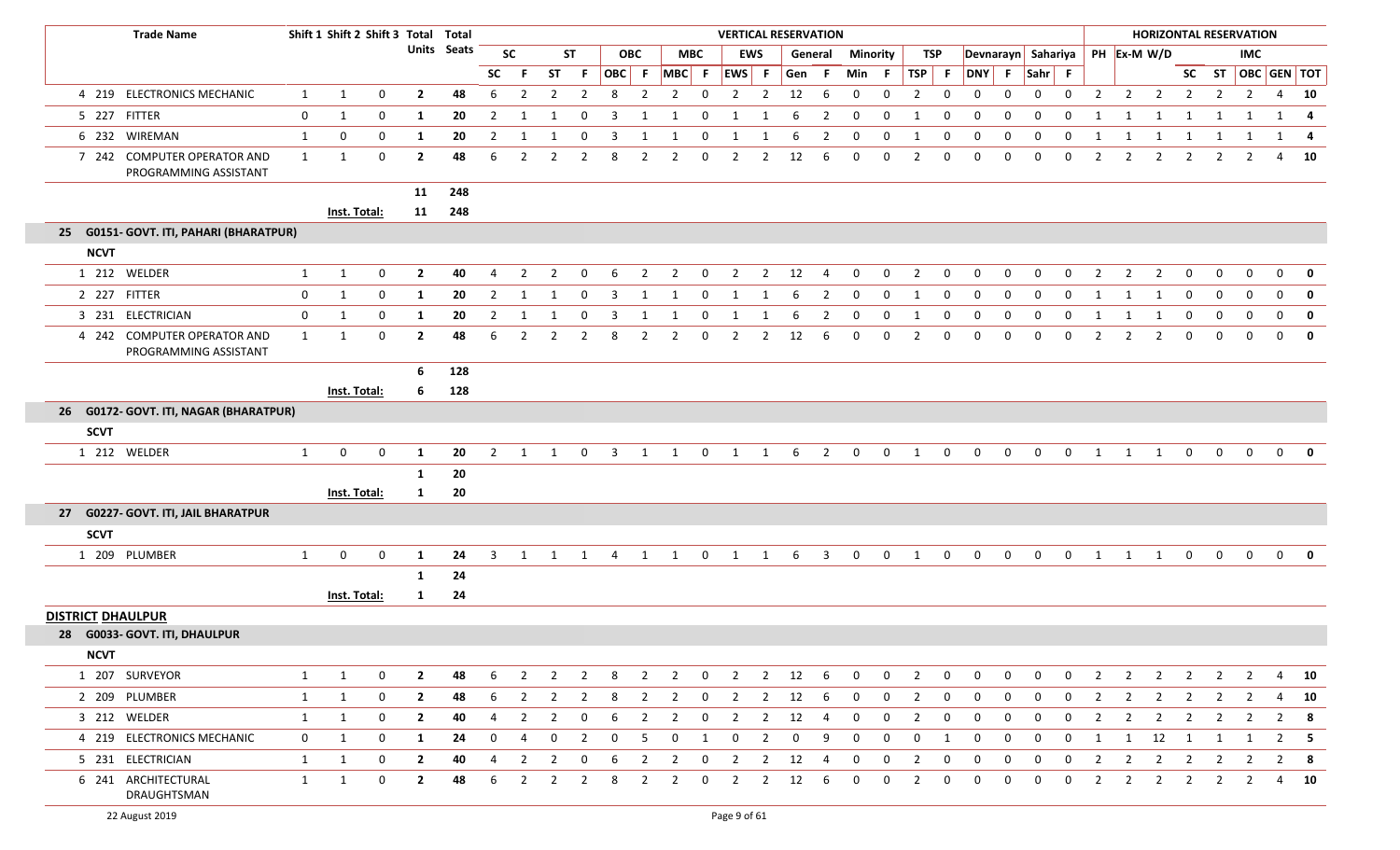|                          | <b>Trade Name</b>                                    |              | Shift 1 Shift 2 Shift 3 Total Total |              |                    |     |                |                |                |                         |             |                |                |                | <b>VERTICAL RESERVATION</b> |                |          |                         |                |                |                |              |              |                |                    |              |                |                | <b>HORIZONTAL RESERVATION</b> |                |                |                |                   |             |
|--------------------------|------------------------------------------------------|--------------|-------------------------------------|--------------|--------------------|-----|----------------|----------------|----------------|-------------------------|-------------|----------------|----------------|----------------|-----------------------------|----------------|----------|-------------------------|----------------|----------------|----------------|--------------|--------------|----------------|--------------------|--------------|----------------|----------------|-------------------------------|----------------|----------------|----------------|-------------------|-------------|
|                          |                                                      |              |                                     |              | <b>Units Seats</b> |     |                | <b>SC</b>      | ST             |                         |             | <b>OBC</b>     |                | <b>MBC</b>     |                             | EWS            |          | General                 | Minority       |                | TSP            |              |              |                | Devnarayn Sahariya |              |                |                | PH Ex-M W/D                   |                |                | <b>IMC</b>     |                   |             |
|                          |                                                      |              |                                     |              |                    |     | <b>SC</b>      | F.             | ST             | $\mathsf{F}$            | OBC F       |                | $MBC$ F        |                | EWS F                       |                | Gen      | - F                     | Min            | - F            | TSP            | F            | <b>DNY</b>   | - F            | Sahr F             |              |                |                |                               |                |                |                | SC ST OBC GEN TOT |             |
|                          | 4 219 ELECTRONICS MECHANIC                           | $\mathbf{1}$ | $\mathbf{1}$                        | $\mathbf{0}$ | $\overline{2}$     | 48  | 6              | $\overline{2}$ |                | 2                       | 8           | $\overline{2}$ | $\overline{2}$ | $\mathbf 0$    | $\overline{2}$              | $\overline{2}$ | 12       | 6                       | $\mathbf 0$    | 0              | $\overline{2}$ | 0            | $\Omega$     | $\Omega$       | 0                  | $\mathbf{0}$ | $\overline{2}$ | $\overline{2}$ | $\overline{2}$                | 2              | 2              | $\overline{2}$ | 4                 | 10          |
|                          | 5 227 FITTER                                         | 0            | $\mathbf{1}$                        | 0            | 1                  | 20  | $\overline{2}$ | 1              | 1              | $\mathbf 0$             | 3           | 1              | 1              | $\mathbf 0$    | 1                           | 1              | 6        | $\overline{2}$          | $\mathbf 0$    | $\mathbf 0$    | 1              | $\mathbf 0$  | $\mathbf 0$  | $\mathbf 0$    | $\mathbf 0$        | 0            | 1              | 1              | 1                             | 1              | 1              | 1              | 1                 | -4          |
|                          | 6 232 WIREMAN                                        | 1            | $\mathbf{0}$                        | 0            | $\mathbf{1}$       | 20  | $\overline{2}$ |                |                | 0                       |             |                | 1              | 0              |                             |                | 6        | $\overline{2}$          | $\mathbf 0$    | 0              |                | 0            | $\Omega$     | $\Omega$       | 0                  |              |                |                |                               |                |                |                | 1                 | -4          |
|                          | 7 242 COMPUTER OPERATOR AND<br>PROGRAMMING ASSISTANT | $\mathbf{1}$ | $\overline{1}$                      | 0            | $\overline{2}$     | 48  | 6              | $\overline{2}$ |                | $\overline{2}$          | 8           | $\overline{2}$ | $\overline{2}$ | 0              | $\overline{2}$              | $\overline{2}$ | 12       | 6                       | $\Omega$       | $\mathbf 0$    | 2              | $\mathbf 0$  | $\Omega$     | $\Omega$       | $\mathbf{0}$       | 0            | $\overline{2}$ | $\overline{2}$ | $\overline{2}$                | $\overline{2}$ | $\overline{2}$ | 2              | 4                 | 10          |
|                          |                                                      |              |                                     |              | 11                 | 248 |                |                |                |                         |             |                |                |                |                             |                |          |                         |                |                |                |              |              |                |                    |              |                |                |                               |                |                |                |                   |             |
|                          |                                                      |              | Inst. Total:                        |              | 11                 | 248 |                |                |                |                         |             |                |                |                |                             |                |          |                         |                |                |                |              |              |                |                    |              |                |                |                               |                |                |                |                   |             |
|                          | 25 G0151- GOVT. ITI, PAHARI (BHARATPUR)              |              |                                     |              |                    |     |                |                |                |                         |             |                |                |                |                             |                |          |                         |                |                |                |              |              |                |                    |              |                |                |                               |                |                |                |                   |             |
| <b>NCVT</b>              |                                                      |              |                                     |              |                    |     |                |                |                |                         |             |                |                |                |                             |                |          |                         |                |                |                |              |              |                |                    |              |                |                |                               |                |                |                |                   |             |
|                          | 1 212 WELDER                                         | $\mathbf{1}$ | $\mathbf{1}$                        | $\mathbf 0$  | $\overline{2}$     | 40  | 4              | $\overline{2}$ | 2              | $\mathbf 0$             | 6           | $\overline{2}$ | $\overline{2}$ | $\mathbf 0$    | $\overline{2}$              | $\overline{2}$ | 12       | 4                       | $\mathbf 0$    | $\mathbf 0$    | $\overline{2}$ | $\mathbf 0$  | $\mathbf 0$  | $\mathbf 0$    | $\mathbf 0$        | $\mathbf 0$  | $\overline{2}$ | $\overline{2}$ | $\overline{2}$                | 0              | 0              | $\mathbf 0$    | $\mathbf 0$       | $\mathbf 0$ |
|                          | 2 227 FITTER                                         | 0            | $\mathbf{1}$                        | 0            | $\mathbf{1}$       | 20  | $\overline{2}$ |                |                | 0                       | 3           | 1              | $\mathbf{1}$   | 0              |                             |                | 6        | $\overline{2}$          | $\mathbf 0$    | 0              | 1              | 0            | $\Omega$     | $\Omega$       | $\Omega$           | 0            | 1              | $\mathbf{1}$   | -1                            | $\Omega$       | $\Omega$       | 0              | $\mathbf 0$       | $\mathbf 0$ |
|                          | 3 231 ELECTRICIAN                                    | $\mathbf 0$  | 1                                   | $\mathbf 0$  | $\mathbf{1}$       | 20  | $\overline{2}$ | 1              | 1              | $\mathbf 0$             | 3           | 1              | 1              | $\mathbf 0$    | 1                           | 1              | 6        | $\overline{2}$          | $\mathbf 0$    | $\mathbf 0$    | 1              | $\mathbf 0$  | $\mathbf 0$  | $\mathbf 0$    | $\mathbf 0$        | 0            | 1              | 1              | 1                             | $\mathbf 0$    | 0              | $\mathbf 0$    | $\mathbf 0$       | $\mathbf 0$ |
|                          | 4 242 COMPUTER OPERATOR AND<br>PROGRAMMING ASSISTANT | $\mathbf{1}$ | $\mathbf{1}$                        | 0            | $\overline{2}$     | 48  | 6              | $\overline{2}$ | 2              | 2                       | 8           | $\overline{2}$ | 2              | 0              | $\overline{2}$              | 2              | 12       | 6                       | $\Omega$       | $\Omega$       | $\overline{2}$ | $\Omega$     | $\Omega$     | $\Omega$       | $\Omega$           |              |                |                | 2                             | $\Omega$       | $\Omega$       | $\mathbf{0}$   | $\mathbf{0}$      | $\mathbf 0$ |
|                          |                                                      |              |                                     |              | -6                 | 128 |                |                |                |                         |             |                |                |                |                             |                |          |                         |                |                |                |              |              |                |                    |              |                |                |                               |                |                |                |                   |             |
|                          |                                                      |              | Inst. Total:                        |              | 6                  | 128 |                |                |                |                         |             |                |                |                |                             |                |          |                         |                |                |                |              |              |                |                    |              |                |                |                               |                |                |                |                   |             |
|                          | 26 G0172- GOVT. ITI, NAGAR (BHARATPUR)               |              |                                     |              |                    |     |                |                |                |                         |             |                |                |                |                             |                |          |                         |                |                |                |              |              |                |                    |              |                |                |                               |                |                |                |                   |             |
| <b>SCVT</b>              |                                                      |              |                                     |              |                    |     |                |                |                |                         |             |                |                |                |                             |                |          |                         |                |                |                |              |              |                |                    |              |                |                |                               |                |                |                |                   |             |
|                          | 1 212 WELDER                                         | $\mathbf{1}$ | $\mathbf{0}$                        | 0            | 1                  | 20  | 2              | 1              | 1              | 0                       | 3           | 1              | 1              | $\mathbf{0}$   | 1                           | 1              | 6        | $\overline{2}$          | $\mathbf 0$    | $\mathbf 0$    | 1              | 0            | 0            | $\mathbf{0}$   | 0                  | 0            | 1              | 1              | 1                             | 0              | $\mathbf{0}$   | $\mathbf 0$    | $\mathbf 0$       | 0           |
|                          |                                                      |              |                                     |              | 1                  | 20  |                |                |                |                         |             |                |                |                |                             |                |          |                         |                |                |                |              |              |                |                    |              |                |                |                               |                |                |                |                   |             |
|                          |                                                      |              | Inst. Total:                        |              | 1                  | 20  |                |                |                |                         |             |                |                |                |                             |                |          |                         |                |                |                |              |              |                |                    |              |                |                |                               |                |                |                |                   |             |
| 27                       | <b>G0227- GOVT. ITI, JAIL BHARATPUR</b>              |              |                                     |              |                    |     |                |                |                |                         |             |                |                |                |                             |                |          |                         |                |                |                |              |              |                |                    |              |                |                |                               |                |                |                |                   |             |
| <b>SCVT</b>              |                                                      |              |                                     |              |                    |     |                |                |                |                         |             |                |                |                |                             |                |          |                         |                |                |                |              |              |                |                    |              |                |                |                               |                |                |                |                   |             |
|                          | 1 209 PLUMBER                                        | $\mathbf{1}$ | $\mathbf{0}$                        | $\mathbf 0$  | 1                  | 24  | $\overline{3}$ | 1              | 1 1            |                         | 4           |                | 1 1            | $\overline{0}$ | 1                           | 1              | 6        | $\overline{\mathbf{3}}$ | $\mathbf 0$    | $\overline{0}$ | $\overline{1}$ | $\mathbf 0$  | $\mathbf{0}$ | $\overline{0}$ | $\overline{0}$     | $\mathbf{0}$ |                | 1 1            | $\overline{1}$                | $\overline{0}$ | $\mathbf{0}$   | $\overline{0}$ | $\overline{0}$    | 0           |
|                          |                                                      |              |                                     |              | 1                  | 24  |                |                |                |                         |             |                |                |                |                             |                |          |                         |                |                |                |              |              |                |                    |              |                |                |                               |                |                |                |                   |             |
|                          |                                                      |              | <b>Inst. Total:</b>                 |              | 1                  | 24  |                |                |                |                         |             |                |                |                |                             |                |          |                         |                |                |                |              |              |                |                    |              |                |                |                               |                |                |                |                   |             |
| <b>DISTRICT DHAULPUR</b> |                                                      |              |                                     |              |                    |     |                |                |                |                         |             |                |                |                |                             |                |          |                         |                |                |                |              |              |                |                    |              |                |                |                               |                |                |                |                   |             |
|                          | 28 G0033- GOVT. ITI, DHAULPUR                        |              |                                     |              |                    |     |                |                |                |                         |             |                |                |                |                             |                |          |                         |                |                |                |              |              |                |                    |              |                |                |                               |                |                |                |                   |             |
| <b>NCVT</b>              |                                                      |              |                                     |              |                    |     |                |                |                |                         |             |                |                |                |                             |                |          |                         |                |                |                |              |              |                |                    |              |                |                |                               |                |                |                |                   |             |
|                          | 1 207 SURVEYOR                                       | 1            | 1                                   | $\mathbf 0$  | $\overline{2}$     | 48  | 6              | $\overline{2}$ | $\overline{2}$ | $\overline{2}$          | 8           | $\overline{2}$ | $\overline{2}$ | $\overline{0}$ | $\overline{2}$              | $\overline{2}$ | 12       | $6\overline{6}$         | $\overline{0}$ | $\mathbf{0}$   | 2              | $\mathbf 0$  | $\mathbf 0$  | $\mathbf{0}$   | 0                  | $\mathbf 0$  | $\overline{2}$ | $\overline{2}$ | $\overline{2}$                | $\overline{2}$ | 2              | $\overline{2}$ | 4                 | 10          |
|                          | 2 209 PLUMBER                                        | 1            | $\mathbf{1}$                        | $\mathbf{0}$ | $\overline{2}$     | 48  | -6             | $\overline{2}$ | $\mathbf{2}$   | 2                       | 8           | 2              | $\mathbf{2}$   | $\overline{0}$ | $\overline{2}$              | $\overline{2}$ | 12       | -6                      | 0              | 0              | 2              | 0            | 0            | 0              | 0                  | 0            | 2              | 2              | $\overline{2}$                | $\overline{2}$ | $\overline{2}$ | 2              | 4                 | 10          |
|                          | 3 212 WELDER                                         | $\mathbf{1}$ | 1                                   | 0            | $\overline{2}$     | 40  | 4              | 2              | $\overline{2}$ | 0                       | 6           | $\overline{2}$ | $\overline{2}$ | $\mathbf 0$    | $\overline{2}$              | $\overline{2}$ | 12       | 4                       | $\mathbf 0$    | 0              | $\overline{2}$ | $\mathbf 0$  | $\mathbf 0$  | 0              | 0                  | $\mathbf{0}$ | $\overline{2}$ | $\overline{2}$ | $\overline{2}$                | $\overline{2}$ | $\overline{2}$ | $\overline{2}$ | $\overline{2}$    | - 8         |
|                          | 4 219 ELECTRONICS MECHANIC                           | $\mathbf{0}$ | 1                                   | $\mathbf 0$  | -1                 | 24  | $\mathbf{0}$   | 4              | 0              | $\overline{2}$          | $\mathbf 0$ | 5              | $\mathbf 0$    | 1              | $\mathbf 0$                 | $\overline{2}$ | $\bf{0}$ | -9                      | 0              | 0              | $\mathbf 0$    | 1            | $\mathbf 0$  | 0              | 0                  | $\mathbf{0}$ | 1              |                | 1 12                          | $\overline{1}$ | 1              | 1              | $\overline{2}$    | - 5         |
|                          | 5 231 ELECTRICIAN                                    | 1            | 1                                   | 0            | $\overline{2}$     | 40  | 4              | 2              | $\overline{2}$ | $\mathbf 0$             | 6           | $\overline{2}$ | $\overline{2}$ | $\mathbf{0}$   | $\overline{2}$              | $\overline{2}$ | 12       | 4                       | $\mathbf 0$    | 0              | $\overline{2}$ | $\mathbf 0$  | 0            | 0              | 0                  | $\mathbf 0$  | $\overline{2}$ | $\overline{2}$ | $\overline{2}$                | $\overline{2}$ | $\overline{2}$ | $\overline{2}$ | $\overline{2}$    | - 8         |
|                          | 6 241 ARCHITECTURAL<br>DRAUGHTSMAN                   | $\mathbf{1}$ | $\mathbf{1}$                        | 0            | $\overline{2}$     | 48  | 6              | 2              | $\overline{2}$ | $\overline{\mathbf{2}}$ | 8           | $\overline{2}$ | $\overline{2}$ | $\mathbf 0$    | $\overline{2}$              | $\overline{2}$ | 12       | - 6                     | -0             | $\mathbf{0}$   | $\overline{2}$ | $\mathbf{0}$ | $\Omega$     | $\Omega$       | $\mathbf 0$        | $\mathbf{0}$ | $\overline{2}$ | $\overline{2}$ | $\overline{2}$                | $\overline{2}$ | $\overline{2}$ | $\overline{2}$ |                   | 4 10        |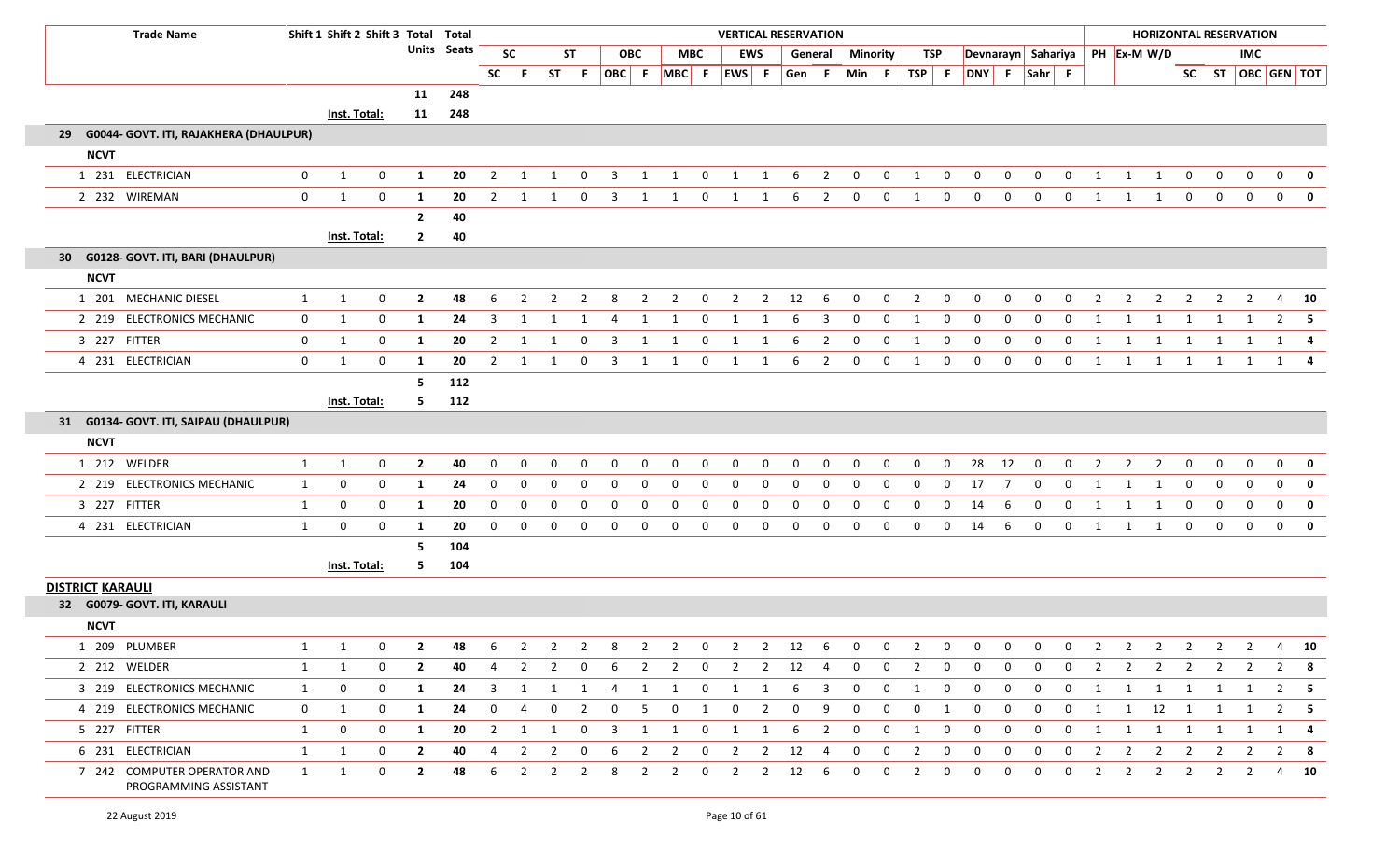|                         | <b>Trade Name</b>                                    |              | Shift 1 Shift 2 Shift 3 Total Total |                |                         |                    |                |                |                |                |                |                |                |                |                   |                | <b>VERTICAL RESERVATION</b> |                |             |              |                |              |                                                                |              |             |              |                |                |                                  |                |                         | <b>HORIZONTAL RESERVATION</b> |                |                   |
|-------------------------|------------------------------------------------------|--------------|-------------------------------------|----------------|-------------------------|--------------------|----------------|----------------|----------------|----------------|----------------|----------------|----------------|----------------|-------------------|----------------|-----------------------------|----------------|-------------|--------------|----------------|--------------|----------------------------------------------------------------|--------------|-------------|--------------|----------------|----------------|----------------------------------|----------------|-------------------------|-------------------------------|----------------|-------------------|
|                         |                                                      |              |                                     |                |                         | <b>Units Seats</b> |                | <b>SC</b>      |                | <b>ST</b>      |                | <b>OBC</b>     |                | MBC            |                   | <b>EWS</b>     |                             | General        | Minority    |              | TSP            |              |                                                                |              |             |              |                |                | Devnarayn Sahariya   PH Ex-M W/D |                |                         | <b>IMC</b>                    |                |                   |
|                         |                                                      |              |                                     |                |                         |                    |                | SC F           | <b>ST</b>      | - F            |                |                |                |                | OBC F MBC F EWS F |                | Gen F                       |                | Min F       |              | $TSP$ F        |              | DNY F Sahr F                                                   |              |             |              |                |                |                                  |                |                         |                               |                | SC ST OBC GEN TOT |
|                         |                                                      |              |                                     |                | 11                      | 248                |                |                |                |                |                |                |                |                |                   |                |                             |                |             |              |                |              |                                                                |              |             |              |                |                |                                  |                |                         |                               |                |                   |
|                         |                                                      |              | Inst. Total:                        |                | 11                      | 248                |                |                |                |                |                |                |                |                |                   |                |                             |                |             |              |                |              |                                                                |              |             |              |                |                |                                  |                |                         |                               |                |                   |
| -29                     | G0044- GOVT. ITI, RAJAKHERA (DHAULPUR)               |              |                                     |                |                         |                    |                |                |                |                |                |                |                |                |                   |                |                             |                |             |              |                |              |                                                                |              |             |              |                |                |                                  |                |                         |                               |                |                   |
| <b>NCVT</b>             |                                                      |              |                                     |                |                         |                    |                |                |                |                |                |                |                |                |                   |                |                             |                |             |              |                |              |                                                                |              |             |              |                |                |                                  |                |                         |                               |                |                   |
|                         | 1 231 ELECTRICIAN                                    | 0            | 1                                   | 0              | 1                       | 20                 | $\overline{2}$ | - 1            | -1             | 0              | 3              | -1             | 1              | 0              | 1                 | 1              | 6                           | 2              | $\mathbf 0$ | 0            | 1              | 0            | 0                                                              | 0            | 0           | $\Omega$     | -1             |                | -1                               | 0              | 0                       | 0                             | 0              | 0                 |
|                         | 2 232 WIREMAN                                        | 0            | 1                                   | $\mathbf 0$    | 1                       | 20                 | $\overline{2}$ | - 1            | 1              | $\mathbf 0$    | 3              | 1              | 1              | $\mathbf 0$    | 1                 | 1              | 6                           | $\overline{2}$ | $\mathbf 0$ | $\mathbf 0$  | 1              | $\mathbf 0$  | $\mathbf 0$                                                    | $\mathbf 0$  | $\mathbf 0$ | $\mathbf 0$  | 1              | -1             | 1                                | $\mathbf 0$    | $\mathbf 0$             | $\mathbf 0$                   | $\overline{0}$ | $\mathbf 0$       |
|                         |                                                      |              |                                     |                | $\mathbf{2}$            | 40                 |                |                |                |                |                |                |                |                |                   |                |                             |                |             |              |                |              |                                                                |              |             |              |                |                |                                  |                |                         |                               |                |                   |
|                         |                                                      |              | Inst. Total:                        |                | $\mathbf{2}$            | 40                 |                |                |                |                |                |                |                |                |                   |                |                             |                |             |              |                |              |                                                                |              |             |              |                |                |                                  |                |                         |                               |                |                   |
| 30                      | G0128- GOVT. ITI, BARI (DHAULPUR)                    |              |                                     |                |                         |                    |                |                |                |                |                |                |                |                |                   |                |                             |                |             |              |                |              |                                                                |              |             |              |                |                |                                  |                |                         |                               |                |                   |
| <b>NCVT</b>             |                                                      |              |                                     |                |                         |                    |                |                |                |                |                |                |                |                |                   |                |                             |                |             |              |                |              |                                                                |              |             |              |                |                |                                  |                |                         |                               |                |                   |
|                         | 1 201 MECHANIC DIESEL                                | 1            | 1                                   | 0              | $\overline{2}$          | 48                 | 6              | 2              | 2              | 2              | 8              | 2              | 2              | 0              | 2                 | 2              | 12                          | -6             | $\Omega$    | 0            | $\overline{2}$ | 0            | $\mathbf 0$                                                    | $\mathbf{0}$ | 0           | 0            | 2              | 2              | 2                                | 2              | 2                       | 2                             | 4              | - 10              |
|                         | 2 219 ELECTRONICS MECHANIC                           | 0            | 1                                   | $\mathbf{0}$   | 1                       | 24                 | 3              | - 1            | 1              | -1             | 4              | 1              | -1             | $\mathbf 0$    | 1                 |                | 6                           | 3              | $\Omega$    | $\mathbf{0}$ | 1              | $\Omega$     | $\mathbf{0}$                                                   | $\mathbf{0}$ | 0           | $\Omega$     | 1              | -1             | 1                                | 1              | -1                      |                               |                | $2 \quad 5$       |
|                         | 3 227 FITTER                                         | 0            | 1                                   | 0              | 1                       | 20                 | 2              | -1             | 1              | 0              | 3              | 1              | 1              | 0              | 1                 |                | 6                           | $\overline{2}$ | 0           | 0            | 1              | 0            | $\mathbf 0$                                                    | $\mathbf 0$  | $\mathbf 0$ | 0            | -1             | -1             | 1                                | 1              | -1                      |                               | 1              |                   |
|                         | 4 231 ELECTRICIAN                                    | $\mathbf 0$  | 1                                   | $\mathbf 0$    | 1                       | 20                 | $\overline{2}$ | $\overline{1}$ | 1              | $\mathbf 0$    | $\overline{3}$ | 1              | 1              | $\overline{0}$ | 1                 | 1              | 6                           | $\overline{2}$ | $\mathbf 0$ | $\mathbf{0}$ | $\overline{1}$ | $\mathbf 0$  | $\mathbf 0$                                                    | $\mathbf 0$  | $\mathbf 0$ | $\mathbf 0$  | 1              | 1              | $\overline{1}$                   | $\overline{1}$ | 1                       | 1                             |                | 1 4               |
|                         |                                                      |              |                                     |                | 5                       | 112                |                |                |                |                |                |                |                |                |                   |                |                             |                |             |              |                |              |                                                                |              |             |              |                |                |                                  |                |                         |                               |                |                   |
|                         |                                                      |              | Inst. Total:                        |                | 5.                      | 112                |                |                |                |                |                |                |                |                |                   |                |                             |                |             |              |                |              |                                                                |              |             |              |                |                |                                  |                |                         |                               |                |                   |
|                         | 31 G0134- GOVT. ITI, SAIPAU (DHAULPUR)               |              |                                     |                |                         |                    |                |                |                |                |                |                |                |                |                   |                |                             |                |             |              |                |              |                                                                |              |             |              |                |                |                                  |                |                         |                               |                |                   |
| <b>NCVT</b>             |                                                      |              |                                     |                |                         |                    |                |                |                |                |                |                |                |                |                   |                |                             |                |             |              |                |              |                                                                |              |             |              |                |                |                                  |                |                         |                               |                |                   |
|                         | 1 212 WELDER                                         | 1            | 1                                   | 0              | $\overline{2}$          | 40                 | 0              | 0              | 0              | 0              | 0              | 0              | 0              | 0              | 0                 | 0              | $\mathbf{0}$                | 0              | $\mathbf 0$ | 0            | $\mathbf 0$    | $\mathbf{0}$ | 28                                                             | 12           | $\mathbf 0$ | $\mathbf 0$  | $\overline{2}$ | $\overline{2}$ | $\overline{2}$                   | $\mathbf{0}$   | 0                       | 0                             | $\overline{0}$ | $\mathbf 0$       |
|                         | 2 219 ELECTRONICS MECHANIC                           | 1            | $\mathbf 0$                         | 0              | 1                       | 24                 | 0              | 0              | 0              | 0              | 0              | $\Omega$       | $\mathbf{0}$   | 0              | 0                 |                | $\Omega$                    |                | $\Omega$    | $\Omega$     | $\Omega$       | $\Omega$     | 17                                                             |              | 0           | 0            | 1              | -1             | 1                                | 0              | $\overline{0}$          | $\mathbf 0$                   | $\mathbf{0}$   | $\mathbf 0$       |
|                         | 3 227 FITTER                                         | 1            | 0                                   | 0              | 1                       | 20                 | 0              | 0              | 0              | $\mathbf 0$    | $\mathbf 0$    | 0              | 0              | 0              | 0                 | $\Omega$       | $\Omega$                    | $\mathbf 0$    | $\mathbf 0$ | 0            | $\mathbf 0$    | $\mathbf 0$  | 14                                                             | 6            | $\mathbf 0$ | $\mathbf 0$  | 1              | 1              | 1                                | $\mathbf 0$    | $\mathbf 0$             | $\mathbf 0$                   | $\mathbf{0}$   | $\mathbf 0$       |
|                         | 4 231 ELECTRICIAN                                    | $\mathbf{1}$ | 0                                   | 0              | 1                       | 20                 | 0              | 0              | 0              | 0              | 0              | 0              | $\mathbf 0$    | 0              | 0                 | $\Omega$       | 0                           | $\Omega$       | $\Omega$    | 0            | $\mathbf 0$    | 0            | 14                                                             | 6            | $\mathbf 0$ | 0            | 1              | 1              | 1                                | $\mathbf 0$    | $\mathbf 0$             | $\mathbf 0$                   | $\overline{0}$ | $\mathbf 0$       |
|                         |                                                      |              |                                     |                | 5                       | 104                |                |                |                |                |                |                |                |                |                   |                |                             |                |             |              |                |              |                                                                |              |             |              |                |                |                                  |                |                         |                               |                |                   |
|                         |                                                      |              | <b>Inst. Total:</b>                 |                | 5.                      | 104                |                |                |                |                |                |                |                |                |                   |                |                             |                |             |              |                |              |                                                                |              |             |              |                |                |                                  |                |                         |                               |                |                   |
| <b>DISTRICT KARAULI</b> |                                                      |              |                                     |                |                         |                    |                |                |                |                |                |                |                |                |                   |                |                             |                |             |              |                |              |                                                                |              |             |              |                |                |                                  |                |                         |                               |                |                   |
|                         | 32 G0079- GOVT. ITI, KARAULI                         |              |                                     |                |                         |                    |                |                |                |                |                |                |                |                |                   |                |                             |                |             |              |                |              |                                                                |              |             |              |                |                |                                  |                |                         |                               |                |                   |
| <b>NCVT</b>             |                                                      |              |                                     |                |                         |                    |                |                |                |                |                |                |                |                |                   |                |                             |                |             |              |                |              |                                                                |              |             |              |                |                |                                  |                |                         |                               |                |                   |
|                         | 1 209 PLUMBER                                        |              | 1 1                                 | $\overline{0}$ | $\overline{\mathbf{z}}$ |                    |                |                |                |                |                |                |                |                |                   |                |                             |                |             |              |                |              | 48 6 2 2 2 8 2 2 0 2 2 12 6 0 0 2 0 0 0 0 0 0 2 2 2 2 2 2 4 10 |              |             |              |                |                |                                  |                |                         |                               |                |                   |
|                         | 2 212 WELDER                                         | 1            | 1                                   | 0              | $\mathbf{2}$            | 40                 | 4              | 2              | 2              | 0              | 6              | $\mathbf{2}$   | $\overline{2}$ | $\mathbf{0}$   | $\overline{2}$    |                | $2 \t12$                    | - 4            | 0           | $\mathbf{0}$ | $\overline{2}$ | $\mathbf 0$  | 0                                                              | 0            | 0           | 0            | 2              | $\overline{2}$ | $\overline{2}$                   | $\overline{2}$ | 2                       | 2                             |                | $2 \times 8$      |
|                         | 3 219 ELECTRONICS MECHANIC                           | 1            | $\bf{0}$                            | 0              | 1                       | 24                 | 3              | 1              | 1              | 1              | 4              | 1              | 1              | $\overline{0}$ | $\overline{1}$    | $\mathbf{1}$   | 6                           | 3              | $\mathbf 0$ | $\mathbf 0$  | 1              | $\mathbf 0$  | $\mathbf 0$                                                    | $\mathbf 0$  | $\mathbf 0$ | $\mathbf{0}$ | -1             | 1              | 1                                | $\overline{1}$ | $\overline{\mathbf{1}}$ | 1                             |                | $2 \quad 5$       |
|                         | 4 219 ELECTRONICS MECHANIC                           | $\mathbf 0$  | 1                                   | 0              | 1                       | 24                 | 0              | 4              | 0              | 2              | 0              | -5             | 0              | 1              | 0                 | $\overline{2}$ | $\mathbf 0$                 | -9             | $\Omega$    | 0            | 0              | 1            | $\mathbf 0$                                                    | 0            | 0           | 0            | 1              |                | $1 \qquad 12 \qquad 1$           |                | 1                       | 1                             |                | $2 \quad 5$       |
|                         | 5 227 FITTER                                         | $\mathbf{1}$ | 0                                   | 0              | 1                       | 20                 | $\overline{2}$ | 1              | 1              | $\mathbf 0$    | 3              | 1              | 1              | $\mathbf{0}$   | 1                 | 1              | 6                           | $\overline{2}$ | $\mathbf 0$ | $\mathbf 0$  | 1              | $\mathbf 0$  | 0                                                              | 0            | 0           | 0            | 1              | $\mathbf{1}$   | 1                                | $\overline{1}$ | $\overline{\mathbf{1}}$ | 1                             |                | 1 4               |
|                         | 6 231 ELECTRICIAN                                    | 1            | 1                                   | 0              | $\mathbf{2}$            | 40                 | 4              | 2              | 2              | 0              | 6              | $\mathbf{2}$   | $\overline{2}$ | 0              | $\overline{2}$    | $\overline{2}$ | 12                          | -4             | $\mathbf 0$ | $\mathbf 0$  | $\overline{2}$ | $\mathbf{0}$ | $\mathbf 0$                                                    | 0            | 0           | 0            | $\overline{2}$ | $\overline{2}$ | $\overline{2}$                   | $\overline{2}$ | $\overline{2}$          | 2                             | 2              | -8                |
|                         | 7 242 COMPUTER OPERATOR AND<br>PROGRAMMING ASSISTANT | 1            | 1                                   | 0              | $\mathbf{2}$            | 48                 | 6              | $\overline{2}$ | $\overline{2}$ | $\overline{2}$ | 8              | $\overline{2}$ | $\overline{2}$ | $\mathbf 0$    | $\overline{2}$    | $\overline{2}$ | 12                          | -6             | 0           | $\mathbf 0$  | $\overline{2}$ | $\mathbf 0$  | $\mathbf 0$                                                    | $\mathbf 0$  | $\mathbf 0$ | $\mathbf 0$  | $\overline{2}$ | $\overline{2}$ | $\overline{2}$                   | $\overline{2}$ | $\overline{2}$          | $\overline{2}$                |                | 4 10              |

п

T.

Г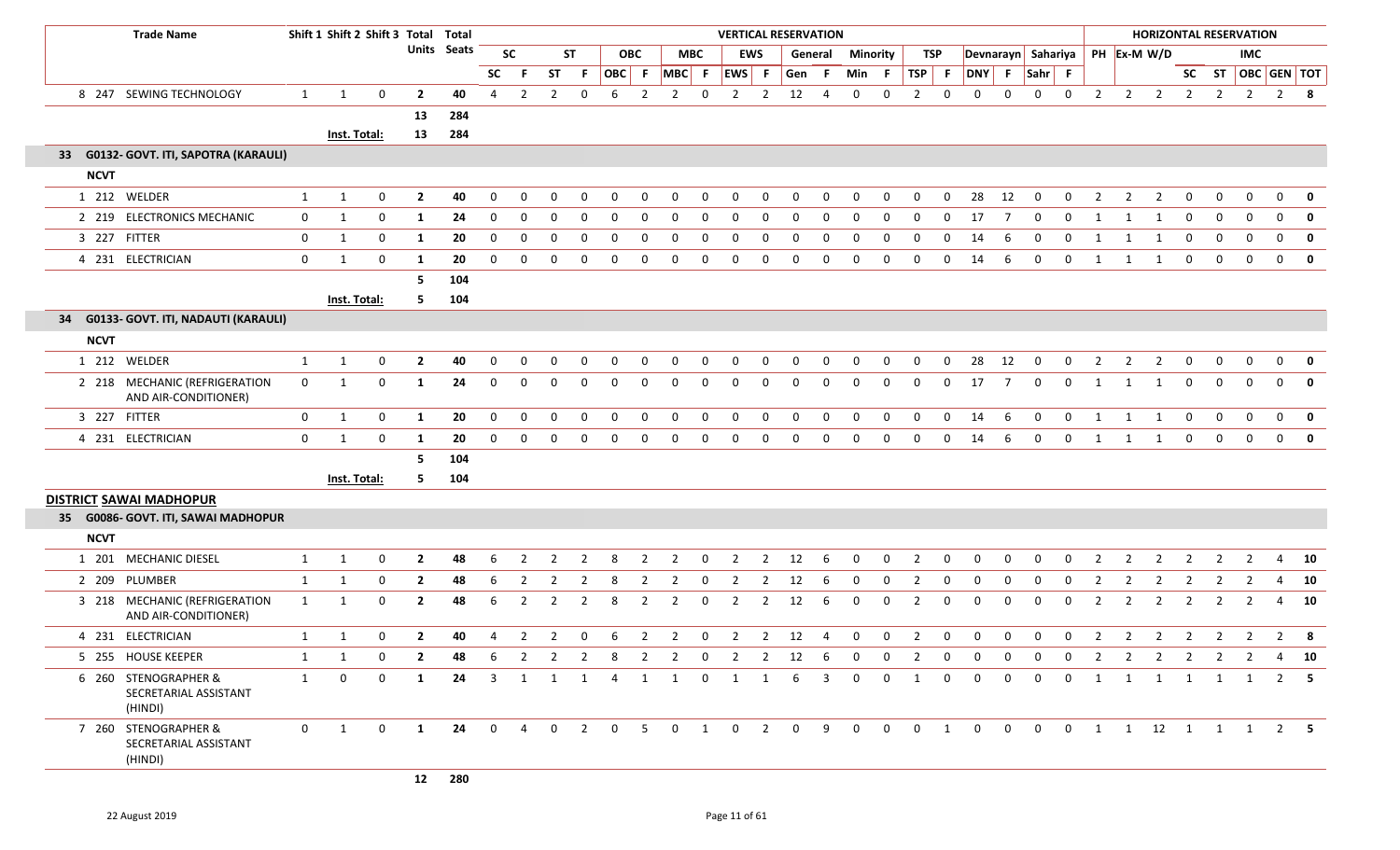|             | <b>Trade Name</b>                                        | Shift 1 Shift 2 Shift 3 Total Total |              |             |                |                    |                |                |                |                |             |                |                |             | <b>VERTICAL RESERVATION</b> |                |                   |             |              |                |                |             |                                     |                |                |             |                |                |                | <b>HORIZONTAL RESERVATION</b> |                |                    |                |             |
|-------------|----------------------------------------------------------|-------------------------------------|--------------|-------------|----------------|--------------------|----------------|----------------|----------------|----------------|-------------|----------------|----------------|-------------|-----------------------------|----------------|-------------------|-------------|--------------|----------------|----------------|-------------|-------------------------------------|----------------|----------------|-------------|----------------|----------------|----------------|-------------------------------|----------------|--------------------|----------------|-------------|
|             |                                                          |                                     |              |             |                | <b>Units</b> Seats | <b>SC</b>      |                |                | <b>ST</b>      |             | <b>OBC</b>     | <b>MBC</b>     |             |                             | <b>EWS</b>     | General           |             | Minority     |                | TSP            |             | Devnarayn Sahariya                  |                |                |             |                | PH Ex-M W/D    |                |                               |                | <b>IMC</b>         |                |             |
|             |                                                          |                                     |              |             |                |                    | <b>SC</b>      | -F             | <b>ST</b>      | F.             | OBC F       |                | MBC F          |             | EWS F                       |                | Gen F             |             | Min F        |                | TSP F          |             | DNY                                 |                | F Sahr F       |             |                |                |                |                               |                | SC ST OBC GEN TOT  |                |             |
|             | 8 247 SEWING TECHNOLOGY                                  | $\mathbf{1}$                        | 1            | $\mathbf 0$ | $\overline{2}$ | 40                 | 4              | $\overline{2}$ | $\overline{2}$ | $\mathbf 0$    | 6           | $\overline{2}$ | $\overline{2}$ | $\mathbf 0$ | $\overline{2}$              | $\overline{2}$ | 12                | 4           | 0            | 0              | $\overline{2}$ | 0           | $\mathbf 0$                         | 0              | $\mathbf 0$    | 0           | $\overline{2}$ | $\overline{2}$ | $\overline{2}$ | $\overline{2}$                | $\overline{2}$ | $\overline{2}$     | $\overline{2}$ | 8           |
|             |                                                          |                                     |              |             | 13             | 284                |                |                |                |                |             |                |                |             |                             |                |                   |             |              |                |                |             |                                     |                |                |             |                |                |                |                               |                |                    |                |             |
|             |                                                          |                                     | Inst. Total: |             | 13             | 284                |                |                |                |                |             |                |                |             |                             |                |                   |             |              |                |                |             |                                     |                |                |             |                |                |                |                               |                |                    |                |             |
|             | 33 G0132- GOVT. ITI, SAPOTRA (KARAULI)                   |                                     |              |             |                |                    |                |                |                |                |             |                |                |             |                             |                |                   |             |              |                |                |             |                                     |                |                |             |                |                |                |                               |                |                    |                |             |
| <b>NCVT</b> |                                                          |                                     |              |             |                |                    |                |                |                |                |             |                |                |             |                             |                |                   |             |              |                |                |             |                                     |                |                |             |                |                |                |                               |                |                    |                |             |
|             | 1 212 WELDER                                             | $\mathbf{1}$                        | 1            | $\mathbf 0$ | $\overline{2}$ | 40                 | $\Omega$       | $\Omega$       | $\Omega$       | $\Omega$       | $\Omega$    | 0              | $\Omega$       | 0           | $\Omega$                    | $\Omega$       | $\Omega$          | $\Omega$    | $\Omega$     | $\Omega$       | $\Omega$       | $\Omega$    | 28                                  | 12             | $\overline{0}$ | $\Omega$    | 2              | 2              | $\overline{2}$ | $\mathbf 0$                   | $\Omega$       | $\Omega$           | $\Omega$       | 0           |
|             | 2 219 ELECTRONICS MECHANIC                               | 0                                   | 1            | 0           | 1              | 24                 | 0              | 0              | 0              | $\Omega$       | $\Omega$    | 0              | 0              | 0           | 0                           | 0              | $\Omega$          | 0           | $\Omega$     | 0              | $\Omega$       | 0           | 17                                  | 7              | $\Omega$       | $\Omega$    | -1             | 1              | 1              | $\Omega$                      | $\Omega$       | $\mathbf 0$        | $\Omega$       | 0           |
|             | 3 227 FITTER                                             | $\mathbf 0$                         | 1            | 0           | 1              | 20                 | 0              | 0              | 0              | 0              | 0           | 0              | 0              | 0           | $\Omega$                    | 0              | $\mathbf{0}$      | 0           | 0            | 0              | 0              | 0           | 14                                  | 6              | 0              | 0           | -1             | 1              | -1             | $\mathbf 0$                   | $\mathbf 0$    | $\mathbf 0$        | $\mathbf{0}$   | 0           |
|             | 4 231 ELECTRICIAN                                        | $\mathbf 0$                         | 1            | $\mathbf 0$ | 1              | 20                 | $\mathbf{0}$   | $\mathbf 0$    | 0              | $\mathbf 0$    | $\mathbf 0$ | $\mathbf 0$    | $\mathbf 0$    | 0           | $\mathbf{0}$                | 0              | 0                 | $\mathbf 0$ | $\mathbf 0$  | $\mathbf 0$    | $\mathbf 0$    | $\mathbf 0$ | 14                                  | 6              | $\mathbf 0$    | $\mathbf 0$ | 1              | $\overline{1}$ | 1              | $\mathbf{0}$                  | $\mathbf 0$    | $\mathbf 0$        | $\mathbf 0$    | 0           |
|             |                                                          |                                     |              |             | 5              | 104                |                |                |                |                |             |                |                |             |                             |                |                   |             |              |                |                |             |                                     |                |                |             |                |                |                |                               |                |                    |                |             |
|             |                                                          |                                     | Inst. Total: |             | 5.             | 104                |                |                |                |                |             |                |                |             |                             |                |                   |             |              |                |                |             |                                     |                |                |             |                |                |                |                               |                |                    |                |             |
|             | 34 G0133- GOVT. ITI, NADAUTI (KARAULI)                   |                                     |              |             |                |                    |                |                |                |                |             |                |                |             |                             |                |                   |             |              |                |                |             |                                     |                |                |             |                |                |                |                               |                |                    |                |             |
| <b>NCVT</b> |                                                          |                                     |              |             |                |                    |                |                |                |                |             |                |                |             |                             |                |                   |             |              |                |                |             |                                     |                |                |             |                |                |                |                               |                |                    |                |             |
|             | 1 212 WELDER                                             | $\mathbf{1}$                        | $\mathbf{1}$ | $\mathbf 0$ | $\overline{2}$ | 40                 | 0              | 0              | $\mathbf 0$    | 0              | $\mathbf 0$ | 0              | 0              | 0           | 0                           | 0              | 0                 | 0           | $\mathbf 0$  | 0              | $\mathbf 0$    | 0           | 28                                  | 12             | $\mathbf 0$    | 0           | $\overline{2}$ | $\overline{2}$ | $\overline{2}$ | 0                             | 0              | $\mathbf 0$        | 0              | $\mathbf 0$ |
|             | 2 218 MECHANIC (REFRIGERATION<br>AND AIR-CONDITIONER)    | $\mathbf 0$                         | 1            | $\mathbf 0$ | 1              | 24                 | 0              | 0              | $\mathbf{0}$   | 0              | 0           | 0              | $\mathbf 0$    | 0           | $\Omega$                    | 0              | 0                 | 0           | 0            | $\mathbf 0$    | $\mathbf{0}$   | 0           | 17                                  | $\overline{7}$ | $\mathbf 0$    | 0           | -1             | 1              | 1              | $\mathbf 0$                   | $\mathbf 0$    | $\mathbf 0$        | $\Omega$       | $\mathbf 0$ |
|             | 3 227 FITTER                                             | $\mathbf{0}$                        | 1            | $\mathbf 0$ | 1              | 20                 | $\mathbf{0}$   | $\mathbf 0$    | $\mathbf 0$    | $\mathbf{0}$   | 0           | $\mathbf 0$    | $\mathbf 0$    | 0           | 0                           | 0              | $\mathbf 0$       | 0           | $\mathbf 0$  | $\mathbf 0$    | $\mathbf 0$    | $\mathbf 0$ | 14                                  | 6              | $\overline{0}$ | $\mathbf 0$ | 1              | 1              | 1              | 0                             | 0              | $\mathbf 0$        | $\mathbf 0$    | 0           |
|             | 4 231 ELECTRICIAN                                        | $\mathbf 0$                         | 1            | $\mathbf 0$ | 1              | 20                 | $\Omega$       | $\Omega$       | $\mathbf 0$    | $\mathbf 0$    | $\mathbf 0$ | $\mathbf 0$    | $\mathbf 0$    | 0           | 0                           | $\mathbf 0$    | $\mathbf 0$       | $\mathbf 0$ | $\mathbf 0$  | $\mathbf 0$    | $\mathbf 0$    | $\mathbf 0$ | 14                                  | 6              | $\Omega$       | $\mathbf 0$ | 1              | 1              | 1              | $\mathbf{0}$                  | $\mathbf 0$    | $\mathbf 0$        | $\mathbf{0}$   | $\mathbf 0$ |
|             |                                                          |                                     |              |             | 5              | 104                |                |                |                |                |             |                |                |             |                             |                |                   |             |              |                |                |             |                                     |                |                |             |                |                |                |                               |                |                    |                |             |
|             |                                                          |                                     | Inst. Total: |             | 5.             | 104                |                |                |                |                |             |                |                |             |                             |                |                   |             |              |                |                |             |                                     |                |                |             |                |                |                |                               |                |                    |                |             |
|             | <b>DISTRICT SAWAI MADHOPUR</b>                           |                                     |              |             |                |                    |                |                |                |                |             |                |                |             |                             |                |                   |             |              |                |                |             |                                     |                |                |             |                |                |                |                               |                |                    |                |             |
|             | 35 G0086- GOVT. ITI, SAWAI MADHOPUR                      |                                     |              |             |                |                    |                |                |                |                |             |                |                |             |                             |                |                   |             |              |                |                |             |                                     |                |                |             |                |                |                |                               |                |                    |                |             |
| <b>NCVT</b> |                                                          |                                     |              |             |                |                    |                |                |                |                |             |                |                |             |                             |                |                   |             |              |                |                |             |                                     |                |                |             |                |                |                |                               |                |                    |                |             |
|             | 1 201 MECHANIC DIESEL                                    | $\mathbf{1}$                        | 1            | $\mathbf 0$ | $\overline{2}$ | 48                 | 6              | $\overline{2}$ | 2              | $\overline{2}$ | 8           | $\overline{2}$ | $\overline{2}$ | $\mathbf 0$ | $\overline{2}$              | $\overline{2}$ | 12                | 6           | $\mathbf 0$  | $\overline{0}$ | $\overline{2}$ | $\mathbf 0$ | $\mathbf 0$                         | $\mathbf 0$    | $\mathbf 0$    | $\mathbf 0$ | $\overline{2}$ | $\overline{2}$ | $\overline{2}$ | $\overline{2}$                | 2              | $\overline{2}$     | 4              | 10          |
|             | 2 209 PLUMBER                                            | $\mathbf{1}$                        | 1            | $\Omega$    | $\overline{2}$ | 48                 | 6              | 2              | 2              | 2              | 8           | 2              | 2              | 0           | 2                           | 2              | 12                | -6          | $\Omega$     | 0              | 2              | 0           | $\Omega$                            | $\Omega$       | $\Omega$       | 0           | 2              | 2              | 2              | 2                             | $\mathcal{L}$  | 2                  | 4              | 10          |
|             | 3 218 MECHANIC (REFRIGERATION<br>AND AIR-CONDITIONER)    | $\mathbf{1}$                        | 1            | 0           | $\mathbf{2}$   | 48                 | 6              | $\overline{2}$ | $\overline{2}$ | $\overline{2}$ | 8           | $\overline{2}$ | $\overline{2}$ | 0           | $\overline{2}$              | $\overline{2}$ | 12                | 6           | 0            | $\mathbf 0$    | $\overline{2}$ | 0           | 0                                   | 0              | 0              | 0           | $\overline{2}$ | $\overline{2}$ | $\overline{2}$ | $\overline{2}$                | $\overline{2}$ | $\overline{2}$     | 4              | 10          |
|             | 4 231 ELECTRICIAN                                        | $\mathbf{1}$                        | 1            | $\mathbf 0$ | $\mathbf{2}$   | 40                 | 4              | $\overline{2}$ | $\overline{2}$ | 0              | 6           | $\overline{2}$ | $\overline{2}$ | 0           | $\overline{2}$              | $\overline{2}$ | 12                | 4           | $\mathbf 0$  | $\mathbf 0$    | 2              | 0           | $\mathbf 0$                         | 0              | $\mathbf 0$    | 0           | $\overline{2}$ | 2              | $\overline{2}$ | $\overline{2}$                | $\overline{2}$ | 2                  | $\overline{2}$ | 8           |
|             | 5 255 HOUSE KEEPER                                       | 1                                   | $\mathbf{1}$ |             |                | 48                 | 6              | 2              |                | 2              | 8           | $\overline{2}$ | 2              | 0           | 2                           | $\overline{2}$ | 12                | 6           | 0            | 0              |                | 0           |                                     | $\Omega$       | $\Omega$       | $\Omega$    |                | 2              |                | 2                             |                | 2                  |                | 10          |
|             | 6 260 STENOGRAPHER &<br>SECRETARIAL ASSISTANT<br>(HINDI) | 1                                   | $\mathbf 0$  | $\Omega$    | 1              | 24                 | $\overline{3}$ | 1              | 1              | 1              | 4           | 1              | 1              | $\mathbf 0$ | 1                           | 1              | 6                 | 3           | $\mathbf{0}$ | $\mathbf 0$    | 1              | 0           | $\Omega$                            | $\mathbf 0$    | $\Omega$       | $\mathbf 0$ | 1              | 1              | 1              | 1                             | 1              | 1                  |                | $2 \quad 5$ |
|             | 7 260 STENOGRAPHER &<br>SECRETARIAL ASSISTANT<br>(HINDI) | $\overline{0}$                      | 1            | $\Omega$    | 1              | 24                 |                | $0\quad 4$     |                |                |             |                |                |             |                             |                | 0 2 0 5 0 1 0 2 0 |             | 9 0 0        |                |                |             | $0 \quad 1 \quad 0 \quad 0 \quad 0$ |                |                |             |                |                |                |                               |                | 0 1 1 12 1 1 1 2 5 |                |             |

E

E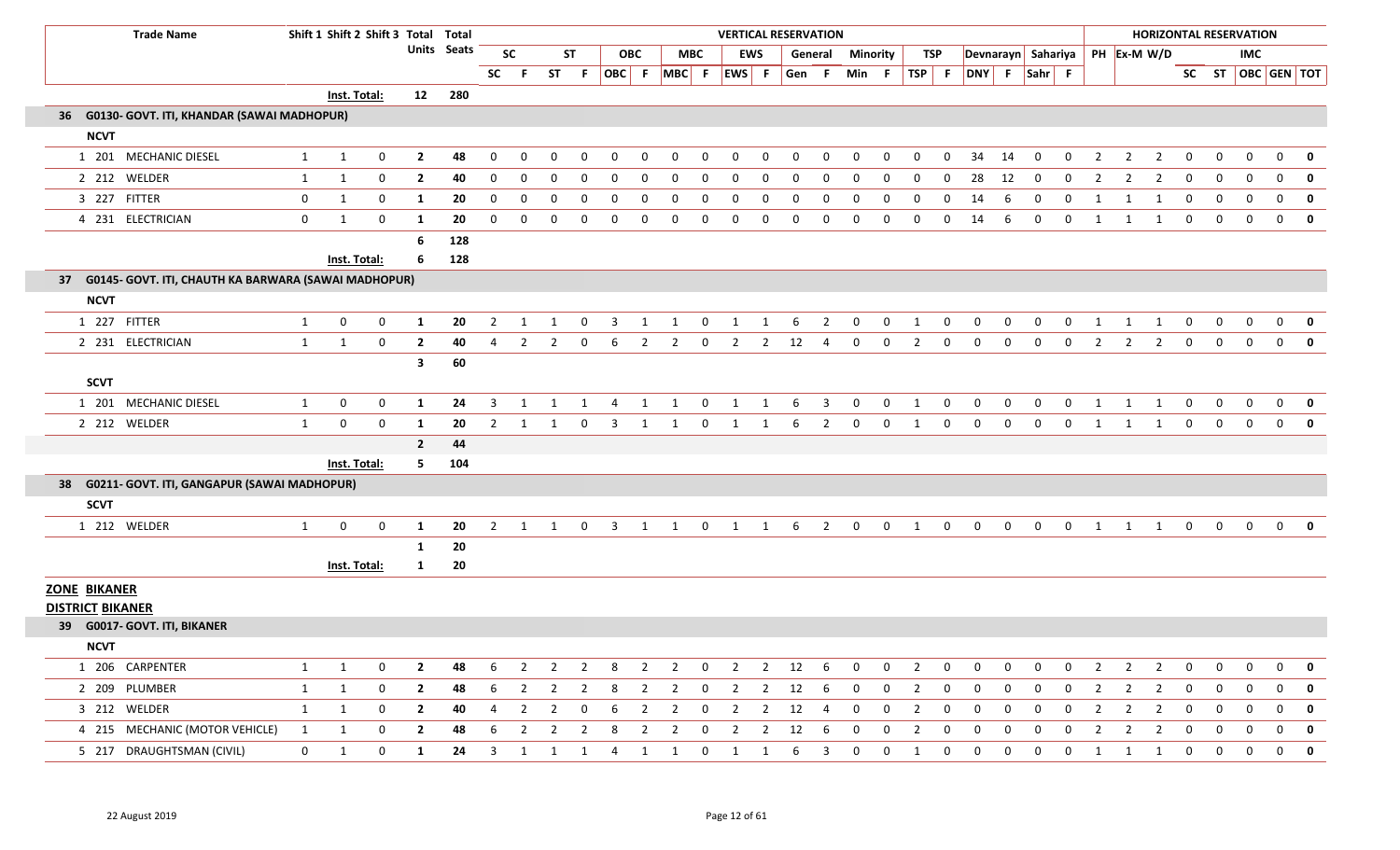| <b>Trade Name</b>                                       |                | Shift 1 Shift 2 Shift 3 Total Total |             |                |             |                |                         |                |                         |                         |                         |                |                         | <b>VERTICAL RESERVATION</b> |                |              |                         |                 |                         |                |                         |                                  |                |                |                |                |                |                |                |                | <b>HORIZONTAL RESERVATION</b> |                |                         |
|---------------------------------------------------------|----------------|-------------------------------------|-------------|----------------|-------------|----------------|-------------------------|----------------|-------------------------|-------------------------|-------------------------|----------------|-------------------------|-----------------------------|----------------|--------------|-------------------------|-----------------|-------------------------|----------------|-------------------------|----------------------------------|----------------|----------------|----------------|----------------|----------------|----------------|----------------|----------------|-------------------------------|----------------|-------------------------|
|                                                         |                |                                     |             |                | Units Seats |                | <b>SC</b>               |                | <b>ST</b>               |                         | <b>OBC</b>              |                | <b>MBC</b>              |                             | EWS            |              | General                 | <b>Minority</b> |                         | TSP            |                         | Devnarayn Sahariya   PH Ex-M W/D |                |                |                |                |                |                |                |                | <b>IMC</b>                    |                |                         |
|                                                         |                |                                     |             |                |             | <b>SC</b>      |                         |                | ST F                    |                         |                         |                |                         | OBC F MBC F EWS F           |                | Gen          | -F.                     | Min F           |                         | $TSP$ F        |                         | DNY F Sahr F                     |                |                |                |                |                |                |                |                |                               |                | SC ST OBC GEN TOT       |
|                                                         |                | Inst. Total:                        |             | 12             | 280         |                |                         |                |                         |                         |                         |                |                         |                             |                |              |                         |                 |                         |                |                         |                                  |                |                |                |                |                |                |                |                |                               |                |                         |
| 36 G0130- GOVT. ITI, KHANDAR (SAWAI MADHOPUR)           |                |                                     |             |                |             |                |                         |                |                         |                         |                         |                |                         |                             |                |              |                         |                 |                         |                |                         |                                  |                |                |                |                |                |                |                |                |                               |                |                         |
| <b>NCVT</b>                                             |                |                                     |             |                |             |                |                         |                |                         |                         |                         |                |                         |                             |                |              |                         |                 |                         |                |                         |                                  |                |                |                |                |                |                |                |                |                               |                |                         |
| 1 201 MECHANIC DIESEL                                   | $\mathbf{1}$   | $\mathbf{1}$                        | 0           | $\overline{2}$ | 48          | 0              | $\Omega$                | $\Omega$       | $\Omega$                | 0                       | $\Omega$                | $\Omega$       | $\mathbf 0$             | $\mathbf 0$                 | $\mathbf 0$    | $\Omega$     | $\Omega$                | $\Omega$        | $\Omega$                | $\Omega$       | $\mathbf{0}$            | 34                               | 14             | 0              | 0              | 2              | 2              | $\overline{2}$ | $\mathbf 0$    | 0              | $\mathbf 0$                   | $\mathbf 0$    | $\mathbf 0$             |
| 2 212 WELDER                                            | 1              | $\mathbf{1}$                        | 0           | $\overline{2}$ | 40          | $\mathbf 0$    | 0                       | $\Omega$       | 0                       | $\mathbf 0$             | 0                       | 0              | $\mathbf 0$             | 0                           | $\mathbf 0$    | $\mathbf{0}$ | $\mathbf 0$             | $\mathbf{0}$    | 0                       | 0              | $\mathbf 0$             | 28                               | 12             | 0              | 0              | 2              | 2              | $\overline{2}$ | 0              | $\mathbf 0$    | $\mathbf 0$                   | $\mathbf 0$    | $\mathbf{0}$            |
| 3 227 FITTER                                            | $\mathbf{0}$   | $\mathbf{1}$                        | 0           | 1              | 20          | 0              | 0                       | 0              |                         | 0                       | $\Omega$                | $\Omega$       | 0                       | 0                           | 0              | $\Omega$     | $\Omega$                | $\Omega$        | $\Omega$                | 0              | 0                       | 14                               | 6              | 0              | 0              |                |                |                | 0              | 0              | 0                             | $\mathbf 0$    | $\mathbf 0$             |
| 4 231 ELECTRICIAN                                       | $\mathbf{0}$   | $\mathbf{1}$                        | $\mathbf 0$ | 1              | 20          | $\mathbf{0}$   | 0                       | 0              | $\mathbf 0$             | 0                       | $\mathbf 0$             | $\mathbf 0$    | $\mathbf 0$             | $\mathbf 0$                 | $\mathbf 0$    | $\mathbf 0$  | $\mathbf 0$             | $\mathbf 0$     | $\mathbf 0$             | $\mathbf 0$    | $\mathbf 0$             | 14                               | 6              | $\mathbf 0$    | $\mathbf 0$    | $\mathbf{1}$   | 1              | 1              | 0              | $\mathbf 0$    | $\mathbf 0$                   | $\mathbf{0}$   | $\mathbf{0}$            |
|                                                         |                |                                     |             | 6              | 128         |                |                         |                |                         |                         |                         |                |                         |                             |                |              |                         |                 |                         |                |                         |                                  |                |                |                |                |                |                |                |                |                               |                |                         |
|                                                         |                | Inst. Total:                        |             | 6              | 128         |                |                         |                |                         |                         |                         |                |                         |                             |                |              |                         |                 |                         |                |                         |                                  |                |                |                |                |                |                |                |                |                               |                |                         |
| 37 G0145- GOVT. ITI, CHAUTH KA BARWARA (SAWAI MADHOPUR) |                |                                     |             |                |             |                |                         |                |                         |                         |                         |                |                         |                             |                |              |                         |                 |                         |                |                         |                                  |                |                |                |                |                |                |                |                |                               |                |                         |
| <b>NCVT</b>                                             |                |                                     |             |                |             |                |                         |                |                         |                         |                         |                |                         |                             |                |              |                         |                 |                         |                |                         |                                  |                |                |                |                |                |                |                |                |                               |                |                         |
| 1 227 FITTER                                            | $\mathbf{1}$   | $\mathbf 0$                         | 0           | 1              | 20          | 2              | -1                      | 1              | 0                       | -3                      | 1                       | 1              | 0                       | 1                           | 1              | 6            | $\overline{2}$          | $\mathbf 0$     | 0                       | 1              | 0                       | $\mathbf{0}$                     | 0              | $\mathbf{0}$   | 0              | -1             | -1             | 1              | $\mathbf{0}$   | $\mathbf 0$    | 0                             | $\mathbf{0}$   | $\mathbf 0$             |
| 2 231 ELECTRICIAN                                       | $\mathbf{1}$   | 1                                   | $\mathbf 0$ | $\overline{2}$ | 40          | $\overline{4}$ | $\overline{2}$          | $\overline{2}$ |                         | $0\qquad 6$             | $\overline{2}$          | $\overline{2}$ | $\mathbf 0$             | $\overline{2}$              | $\overline{2}$ | 12           | $\overline{4}$          | $\overline{0}$  | $\mathbf 0$             | $\overline{2}$ | $\mathbf 0$             | $\mathbf 0$                      | $\mathbf 0$    | $\mathbf 0$    | $\overline{0}$ | $\overline{2}$ | $\overline{2}$ | $\overline{2}$ | $\mathbf{0}$   | $\mathbf{0}$   | $\mathbf 0$                   | $\overline{0}$ | $\mathbf 0$             |
|                                                         |                |                                     |             | $\mathbf{3}$   | 60          |                |                         |                |                         |                         |                         |                |                         |                             |                |              |                         |                 |                         |                |                         |                                  |                |                |                |                |                |                |                |                |                               |                |                         |
| <b>SCVT</b>                                             |                |                                     |             |                |             |                |                         |                |                         |                         |                         |                |                         |                             |                |              |                         |                 |                         |                |                         |                                  |                |                |                |                |                |                |                |                |                               |                |                         |
| 1 201 MECHANIC DIESEL                                   | $\mathbf{1}$   | $\mathbf{0}$                        | 0           | $\mathbf{1}$   | 24          | $\overline{3}$ | 1                       | 1              | 1                       | $\overline{4}$          | 1                       | 1              | $\mathbf 0$             | $\mathbf{1}$                | 1              | 6            | $\overline{\mathbf{3}}$ | $\mathbf 0$     | $\mathbf 0$             | $\mathbf{1}$   | $\mathbf 0$             | $\mathbf 0$                      | $\mathbf 0$    | $\mathbf 0$    | $\mathbf 0$    | 1              | 1              | 1              | $\mathbf{0}$   | $\mathbf 0$    | $\mathbf 0$                   | $\overline{0}$ | $\overline{\mathbf{0}}$ |
| 2 212 WELDER                                            | $\mathbf{1}$   | 0                                   | 0           | 1              | 20          | 2              |                         |                | $\Omega$                | -3                      |                         |                | 0                       | 1                           | 1              | 6            | $\overline{2}$          | 0               | 0                       | 1              | $\mathbf 0$             | 0                                | $\mathbf 0$    | 0              | 0              | -1             | 1              | -1             | 0              | 0              | $\mathbf{0}$                  | $\mathbf 0$    | $\mathbf 0$             |
|                                                         |                |                                     |             | $\overline{2}$ | 44          |                |                         |                |                         |                         |                         |                |                         |                             |                |              |                         |                 |                         |                |                         |                                  |                |                |                |                |                |                |                |                |                               |                |                         |
|                                                         |                | Inst. Total:                        |             | 5              | 104         |                |                         |                |                         |                         |                         |                |                         |                             |                |              |                         |                 |                         |                |                         |                                  |                |                |                |                |                |                |                |                |                               |                |                         |
| 38 G0211- GOVT. ITI, GANGAPUR (SAWAI MADHOPUR)          |                |                                     |             |                |             |                |                         |                |                         |                         |                         |                |                         |                             |                |              |                         |                 |                         |                |                         |                                  |                |                |                |                |                |                |                |                |                               |                |                         |
| <b>SCVT</b>                                             |                |                                     |             |                |             |                |                         |                |                         |                         |                         |                |                         |                             |                |              |                         |                 |                         |                |                         |                                  |                |                |                |                |                |                |                |                |                               |                |                         |
| 1 212 WELDER                                            | $\mathbf{1}$   | $\mathbf 0$                         | 0           | 1              | 20          | $\overline{2}$ | 1                       | $\mathbf{1}$   | $\overline{0}$          | $\overline{\mathbf{3}}$ | $\overline{1}$          | 1              | $\overline{0}$          | $\overline{1}$              | $\mathbf{1}$   |              | $6\qquad2$              | $\overline{0}$  | $\mathbf 0$             | 1              | $\mathbf{0}$            | $\mathbf 0$                      | $\mathbf 0$    | $\overline{0}$ | $\overline{0}$ | 1              | 1              | 1              | $\mathbf 0$    | $\mathbf{0}$   | $\mathbf 0$                   |                | $0$ 0                   |
|                                                         |                |                                     |             | 1              | 20          |                |                         |                |                         |                         |                         |                |                         |                             |                |              |                         |                 |                         |                |                         |                                  |                |                |                |                |                |                |                |                |                               |                |                         |
|                                                         |                | <b>Inst. Total:</b>                 |             | $\mathbf{1}$   | 20          |                |                         |                |                         |                         |                         |                |                         |                             |                |              |                         |                 |                         |                |                         |                                  |                |                |                |                |                |                |                |                |                               |                |                         |
| <b>ZONE BIKANER</b><br><b>DISTRICT BIKANER</b>          |                |                                     |             |                |             |                |                         |                |                         |                         |                         |                |                         |                             |                |              |                         |                 |                         |                |                         |                                  |                |                |                |                |                |                |                |                |                               |                |                         |
| 39 G0017- GOVT. ITI, BIKANER                            |                |                                     |             |                |             |                |                         |                |                         |                         |                         |                |                         |                             |                |              |                         |                 |                         |                |                         |                                  |                |                |                |                |                |                |                |                |                               |                |                         |
| <b>NCVT</b>                                             |                |                                     |             |                |             |                |                         |                |                         |                         |                         |                |                         |                             |                |              |                         |                 |                         |                |                         |                                  |                |                |                |                |                |                |                |                |                               |                |                         |
| 1 206 CARPENTER                                         | 1              | 1                                   | 0           | $\mathbf{2}$   | 48          | 6              | 2                       |                |                         |                         |                         |                |                         | 2 2 8 2 2 0 2 2 12 6        |                |              |                         | $\overline{0}$  | $\overline{\mathbf{0}}$ | 2              | - 0                     | $\mathbf{0}$                     | $\mathbf{0}$   | $\mathbf{0}$   | $\mathbf 0$    | 2              | 2              | 2              | $\mathbf{0}$   | 0              | 0                             | $\mathbf{0}$   | 0                       |
| 2 209 PLUMBER                                           | 1              | 1                                   | $\mathbf 0$ | $\overline{2}$ | 48          | 6              | $\overline{\mathbf{2}}$ | 2              |                         | 2 8                     | $\overline{2}$          |                | 2 0                     | $\overline{2}$              | $\overline{2}$ | 12 6         |                         | $\overline{0}$  | $\overline{\mathbf{0}}$ | $\overline{2}$ | $\overline{\mathbf{0}}$ | $\overline{0}$                   | $\overline{0}$ | $\mathbf{0}$   | $\mathbf{0}$   | -2             | 2              | $\overline{2}$ | $\mathbf{0}$   | $\overline{0}$ | $\mathbf{0}$                  | $\mathbf{0}$   | 0                       |
| 3 212 WELDER                                            | 1              | 1                                   | 0           | $\mathbf{2}$   | 40          | 4              | 2                       | 2              |                         | $0\quad 6$              | $\overline{\mathbf{2}}$ | $\overline{2}$ | $\overline{\mathbf{0}}$ | 2 2 12                      |                |              | $\overline{4}$          | $\mathbf 0$     | 0                       | 2              | $\mathbf 0$             | 0                                | 0              | 0              | $\mathbf 0$    | 2              | 2              | 2              | $\mathbf 0$    | $\mathbf{0}$   | 0                             | $\overline{0}$ | 0                       |
| 4 215 MECHANIC (MOTOR VEHICLE)                          | 1              | 1                                   | 0           | $\overline{2}$ | 48          | 6              | $\overline{2}$          | 2              | $\overline{\mathbf{c}}$ | 8 <sup>8</sup>          | $\overline{\mathbf{2}}$ | $\overline{2}$ | $\overline{\mathbf{0}}$ | $\overline{\mathbf{2}}$     | $\overline{2}$ | 12           | 6                       | $\mathbf{0}$    | $\overline{0}$          | $\overline{2}$ | $\mathbf 0$             | $\mathbf 0$                      | 0              | $\mathbf{0}$   | $\mathbf 0$    | 2              | -2             | $\overline{2}$ | $\overline{0}$ | $\mathbf 0$    | 0                             | $\overline{0}$ | $\overline{\mathbf{0}}$ |
| 5 217 DRAUGHTSMAN (CIVIL)                               | $\overline{0}$ | 1                                   | 0           | $\mathbf{1}$   | 24          |                |                         |                |                         | 3 1 1 1 4 1 1           |                         |                | $\overline{0}$          | $\overline{1}$              | 1              |              | 6 3                     | $\mathbf{0}$    | $\mathbf 0$             | 1              | 0                       | $\mathbf{0}$                     | 0              | $\mathbf{0}$   | $\mathbf 0$    | 1              | 1              | 1              | $\mathbf{0}$   | $\mathbf 0$    | $\mathbf{0}$                  | $\mathbf{0}$   | 0                       |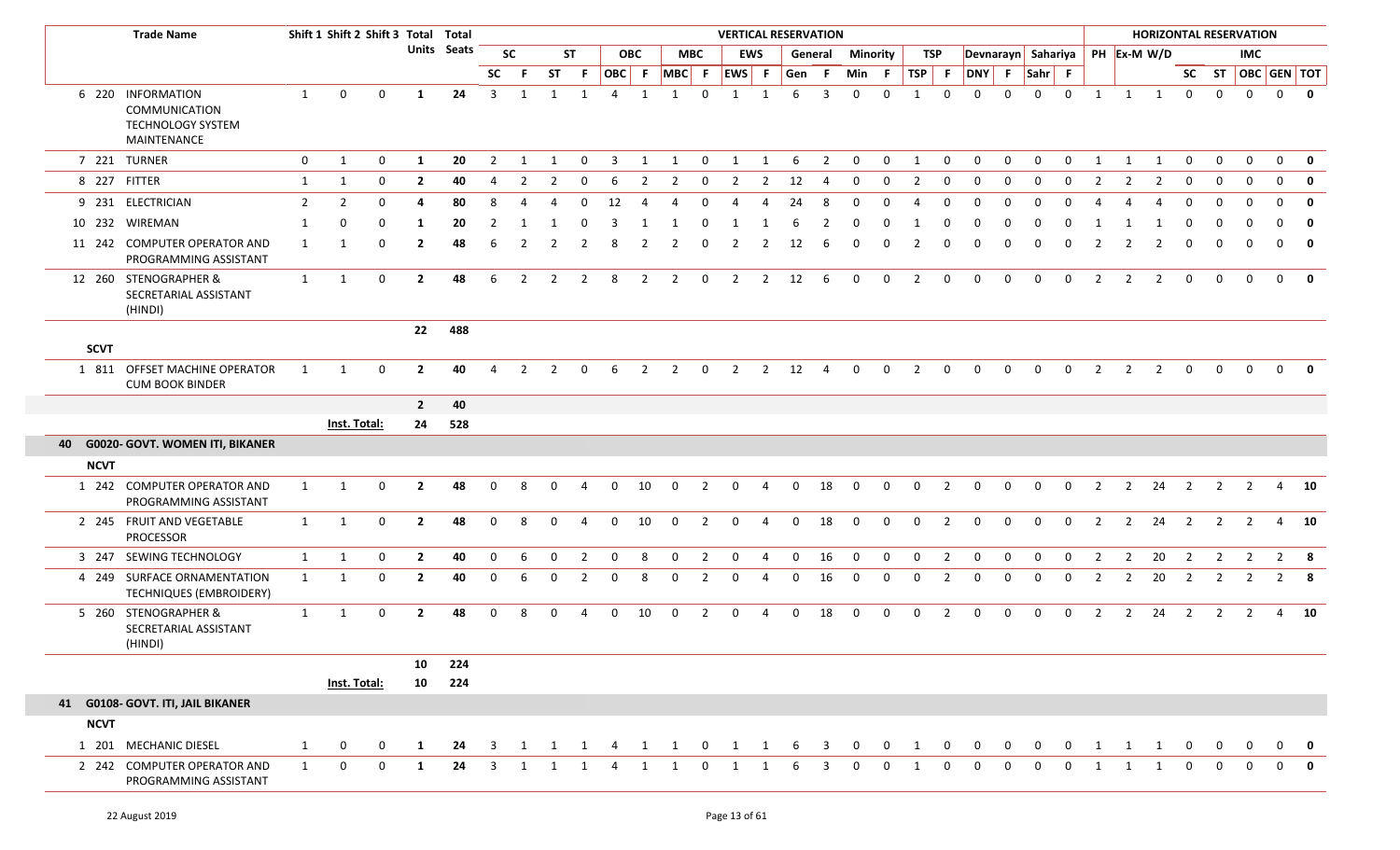|             | <b>Trade Name</b>                                                      |                |                | Shift 1 Shift 2 Shift 3 Total Total |                |             |                |                |                |                |                |                |                |                | <b>VERTICAL RESERVATION</b> |                |              |                |              |                 |              |                |                                |              |              |              |                |                | <b>HORIZONTAL RESERVATION</b> |                         |                |                |                |                         |
|-------------|------------------------------------------------------------------------|----------------|----------------|-------------------------------------|----------------|-------------|----------------|----------------|----------------|----------------|----------------|----------------|----------------|----------------|-----------------------------|----------------|--------------|----------------|--------------|-----------------|--------------|----------------|--------------------------------|--------------|--------------|--------------|----------------|----------------|-------------------------------|-------------------------|----------------|----------------|----------------|-------------------------|
|             |                                                                        |                |                |                                     |                | Units Seats |                | <b>SC</b>      |                | <b>ST</b>      |                | <b>OBC</b>     |                | <b>MBC</b>     |                             | <b>EWS</b>     |              | General        |              | <b>Minority</b> |              | TSP            | Devnarayn Sahariya PH Ex-M W/D |              |              |              |                |                |                               |                         |                | <b>IMC</b>     |                |                         |
|             |                                                                        |                |                |                                     |                |             | <b>SC</b>      | -F.            | <b>ST</b>      | -F.            |                | OBC F          | $MBC$ F        |                | $ EWS $ F                   |                | Gen          | -F.            | Min F        |                 | $TSP$ F      |                | DNY F Sahr F                   |              |              |              |                |                |                               |                         |                |                |                | SC ST OBC GEN TOT       |
|             | 6 220 INFORMATION<br>COMMUNICATION<br>TECHNOLOGY SYSTEM<br>MAINTENANCE | 1              | $\mathbf 0$    | $\mathbf 0$                         | -1             | 24          | $\overline{3}$ | 1              | 1              | 1              | $\overline{4}$ | 1              | 1              | $\mathbf 0$    | 1                           | 1              | 6            | $\overline{3}$ | $\mathbf{0}$ | $\mathbf 0$     | $\mathbf{1}$ | $\mathbf 0$    | $\mathbf 0$                    | $\mathbf 0$  | $\mathbf 0$  | $\mathbf 0$  | 1              | 1              | $\mathbf{1}$                  | $\mathbf{0}$            | $\mathbf 0$    | $\mathbf{0}$   | $\mathbf 0$    | $\overline{\mathbf{0}}$ |
|             | 7 221 TURNER                                                           | $\mathbf{0}$   | $\mathbf{1}$   | 0                                   | 1              | 20          | 2              | 1              | 1              | $\mathbf{0}$   | $\overline{3}$ | 1              | 1              | $\mathbf 0$    | $\mathbf{1}$                | 1              | 6            | 2              | $\mathbf{0}$ | $\mathbf 0$     | 1            | $\mathbf 0$    | $\mathbf{0}$                   | 0            | $\mathbf{0}$ | $\mathbf 0$  | 1              | 1              | 1                             | $\mathbf 0$             | $\mathbf 0$    | 0              | $\mathbf 0$    | 0                       |
|             | 8 227 FITTER                                                           | 1              | $\mathbf{1}$   | 0                                   | $\mathbf{2}$   | 40          | 4              | $\mathcal{L}$  | 2              |                | -6             | -2             | 2              | 0              | 2                           | 2              | 12           |                | 0            | 0               | 2            | 0              | $\Omega$                       | $\Omega$     | $\Omega$     | $\Omega$     |                |                | 2                             | $\Omega$                | - 0            | $\Omega$       | $\Omega$       | 0                       |
|             | 9 231 ELECTRICIAN                                                      | $\overline{2}$ | $\overline{2}$ | $\Omega$                            |                | 80          | 8              |                |                |                | 12             |                |                |                |                             |                | 24           |                |              |                 |              | $\Omega$       |                                | $\Omega$     |              |              |                |                |                               |                         |                |                | $\Omega$       | $\mathbf 0$             |
|             | 10 232 WIREMAN                                                         | 1              | $\mathbf 0$    | $\Omega$                            | 1              | 20          | 2              |                |                |                | 3              |                |                | - 0            |                             |                |              |                | <sup>0</sup> |                 |              | $\Omega$       |                                | <sup>0</sup> |              | <sup>0</sup> |                |                |                               |                         |                |                | U              | $\mathbf 0$             |
|             | 11 242 COMPUTER OPERATOR AND<br>PROGRAMMING ASSISTANT                  | $\mathbf{1}$   | -1             | $\mathbf 0$                         | $\mathbf{2}$   | 48          | 6              | 2              |                | -2             | 8              | $\overline{2}$ | 2              | $\Omega$       | 2                           | 2              | 12           | -6             | 0            | $\Omega$        |              | 0              |                                | $\Omega$     |              | $\Omega$     |                |                | $\overline{2}$                | 0                       | $\mathbf 0$    | 0              | $\overline{0}$ | $\mathbf 0$             |
|             | 12 260 STENOGRAPHER &<br>SECRETARIAL ASSISTANT<br>(HINDI)              | $\mathbf{1}$   | 1              | 0                                   | $\overline{2}$ | 48          | 6              | $\overline{2}$ | $\overline{2}$ | $\overline{2}$ | 8              | $\overline{2}$ | $\overline{2}$ | $\mathbf 0$    | $\overline{2}$              | $\overline{2}$ | 12           | 6              | $\mathbf{0}$ | 0               | 2            | $\mathbf 0$    | $\mathbf{0}$                   | $\mathbf 0$  | $\mathbf 0$  | $\mathbf 0$  | $\overline{2}$ | $\overline{2}$ | $\overline{2}$                | $\mathbf 0$             | $\mathbf{0}$   | $\mathbf{0}$   | $\mathbf{0}$   | 0                       |
| <b>SCVT</b> |                                                                        |                |                |                                     | 22             | 488         |                |                |                |                |                |                |                |                |                             |                |              |                |              |                 |              |                |                                |              |              |              |                |                |                               |                         |                |                |                |                         |
|             | 1 811 OFFSET MACHINE OPERATOR<br><b>CUM BOOK BINDER</b>                | 1              | -1             | $\mathbf 0$                         | $\overline{2}$ | 40          | 4              | $\mathcal{P}$  | $\mathcal{P}$  | $\Omega$       | -6             | $\overline{2}$ | $\overline{2}$ | $\mathbf 0$    | $\overline{2}$              | $\overline{2}$ | 12           | 4              | $\mathbf{0}$ | $\mathbf 0$     | 2            | $\mathbf 0$    | $\mathbf{0}$                   | 0            | $\mathbf{0}$ | $\mathbf 0$  | 2              | $\overline{2}$ | $\overline{2}$                | $\mathbf{0}$            | $\mathbf{0}$   | $\Omega$       | $\overline{0}$ |                         |
|             |                                                                        |                |                |                                     | $\overline{2}$ | 40          |                |                |                |                |                |                |                |                |                             |                |              |                |              |                 |              |                |                                |              |              |              |                |                |                               |                         |                |                |                |                         |
|             |                                                                        |                | Inst. Total:   |                                     | 24             | 528         |                |                |                |                |                |                |                |                |                             |                |              |                |              |                 |              |                |                                |              |              |              |                |                |                               |                         |                |                |                |                         |
|             | 40 G0020- GOVT. WOMEN ITI, BIKANER                                     |                |                |                                     |                |             |                |                |                |                |                |                |                |                |                             |                |              |                |              |                 |              |                |                                |              |              |              |                |                |                               |                         |                |                |                |                         |
| <b>NCVT</b> |                                                                        |                |                |                                     |                |             |                |                |                |                |                |                |                |                |                             |                |              |                |              |                 |              |                |                                |              |              |              |                |                |                               |                         |                |                |                |                         |
|             | 1 242 COMPUTER OPERATOR AND<br>PROGRAMMING ASSISTANT                   | $\mathbf{1}$   | 1              | $\mathbf 0$                         | $\overline{2}$ | 48          | $\mathbf 0$    | 8              | $\Omega$       | 4              | $\mathbf 0$    | 10             | $\mathbf 0$    | $\overline{2}$ | $\mathbf 0$                 | $\overline{4}$ | $\mathbf{0}$ | 18             | $\mathbf{0}$ | $\mathbf 0$     | $\mathbf 0$  | $\overline{2}$ | $\mathbf 0$                    | 0            | $\mathbf 0$  | $\mathbf 0$  | $\overline{2}$ | $\overline{2}$ | 24                            | $\overline{\mathbf{2}}$ | $\overline{2}$ | $\overline{2}$ |                | 4 10                    |
|             | 2 245 FRUIT AND VEGETABLE<br>PROCESSOR                                 | $\mathbf{1}$   | 1              | $\mathbf 0$                         | $\overline{2}$ | 48          | 0              | 8              | $\Omega$       | -4             | $\mathbf 0$    | 10             | $\mathbf 0$    | $\overline{2}$ | $\mathbf 0$                 | $\overline{4}$ | $\mathbf{0}$ | 18             | $\mathbf 0$  | 0               | $\mathbf{0}$ | $\overline{2}$ | 0                              | 0            | $\mathbf 0$  | $\mathbf 0$  | $\overline{2}$ | $\overline{2}$ | 24                            | $\overline{2}$          | $\overline{2}$ | 2              | 4              | 10                      |
|             | 3 247 SEWING TECHNOLOGY                                                | 1              | $\mathbf{1}$   | $\mathbf{0}$                        | $\overline{2}$ | 40          | $\mathbf 0$    | 6              | $\Omega$       | $\mathcal{I}$  | 0              | -8             | $\Omega$       | $\overline{2}$ | $\mathbf 0$                 | 4              | $\Omega$     | 16             | $\mathbf 0$  | $\Omega$        | $\Omega$     | $\overline{2}$ | $\mathbf 0$                    | $\Omega$     | $\Omega$     | $\Omega$     |                | $\overline{2}$ | 20                            | $\overline{2}$          | $\overline{2}$ |                | $\overline{2}$ | 8                       |
|             | 4 249 SURFACE ORNAMENTATION<br>TECHNIQUES (EMBROIDERY)                 | $\mathbf{1}$   | 1              | 0                                   | $\mathbf{2}$   | 40          | $\mathbf{0}$   | 6              | $\mathbf{0}$   | $\overline{2}$ | $\mathbf 0$    | 8              | $\mathbf 0$    | $\overline{2}$ | $\mathbf 0$                 | -4             | $\Omega$     | 16             | $\mathbf{0}$ | $\mathbf 0$     | $\mathbf{0}$ | 2              | 0                              | 0            | 0            | $\mathbf{0}$ | $\overline{2}$ | $\overline{2}$ | 20                            | $\overline{\mathbf{2}}$ | $\overline{2}$ | 2              |                | $2 \times 8$            |
|             | 5 260 STENOGRAPHER &<br>SECRETARIAL ASSISTANT<br>(HINDI)               | $\mathbf{1}$   | $\mathbf{1}$   | $\mathbf 0$                         | $\mathbf{2}$   | 48          | 0              | 8              | $\Omega$       | $\overline{4}$ | $\mathbf{0}$   | 10             | $\mathbf 0$    | $\overline{2}$ | $\mathbf 0$                 | 4              | $\mathbf{0}$ | 18             | $\mathbf{0}$ | $\mathbf{0}$    | $\mathbf{0}$ | 2              | $\mathbf{0}$                   | $\mathbf 0$  | $\mathbf 0$  | $\mathbf 0$  | 2              | $\overline{2}$ | 24                            | $\overline{2}$          | 2              | 2              | $\overline{4}$ | 10                      |
|             |                                                                        |                |                |                                     | 10             | 224         |                |                |                |                |                |                |                |                |                             |                |              |                |              |                 |              |                |                                |              |              |              |                |                |                               |                         |                |                |                |                         |
|             |                                                                        |                | Inst. Total:   |                                     | 10             | 224         |                |                |                |                |                |                |                |                |                             |                |              |                |              |                 |              |                |                                |              |              |              |                |                |                               |                         |                |                |                |                         |
|             | 41 G0108- GOVT. ITI, JAIL BIKANER                                      |                |                |                                     |                |             |                |                |                |                |                |                |                |                |                             |                |              |                |              |                 |              |                |                                |              |              |              |                |                |                               |                         |                |                |                |                         |
| <b>NCVT</b> |                                                                        |                |                |                                     |                |             |                |                |                |                |                |                |                |                |                             |                |              |                |              |                 |              |                |                                |              |              |              |                |                |                               |                         |                |                |                |                         |
|             | 1 201 MECHANIC DIESEL                                                  | 1              | 0              | 0                                   | 1              | 24          | 3              | 1              | 1              | 1              | 4              | 1              | 1              | $\mathbf 0$    | 1                           | 1              | 6            | 3              | $\mathbf{0}$ | $\mathbf{0}$    | 1            | 0              | $\mathbf{0}$                   | 0            | 0            | 0            | 1              | 1              | 1                             | $\mathbf{0}$            | $\bf{0}$       | $\mathbf{0}$   | $\Omega$       | $\mathbf{0}$            |
|             | 2 242 COMPUTER OPERATOR AND<br>PROGRAMMING ASSISTANT                   | $\mathbf{1}$   | 0              | 0                                   | 1              | 24          | 3              |                |                |                |                |                |                | $\Omega$       |                             |                |              | 3              |              |                 |              | $\mathbf{0}$   | $\Omega$                       | $\Omega$     | $\Omega$     | 0            |                |                |                               |                         |                |                |                |                         |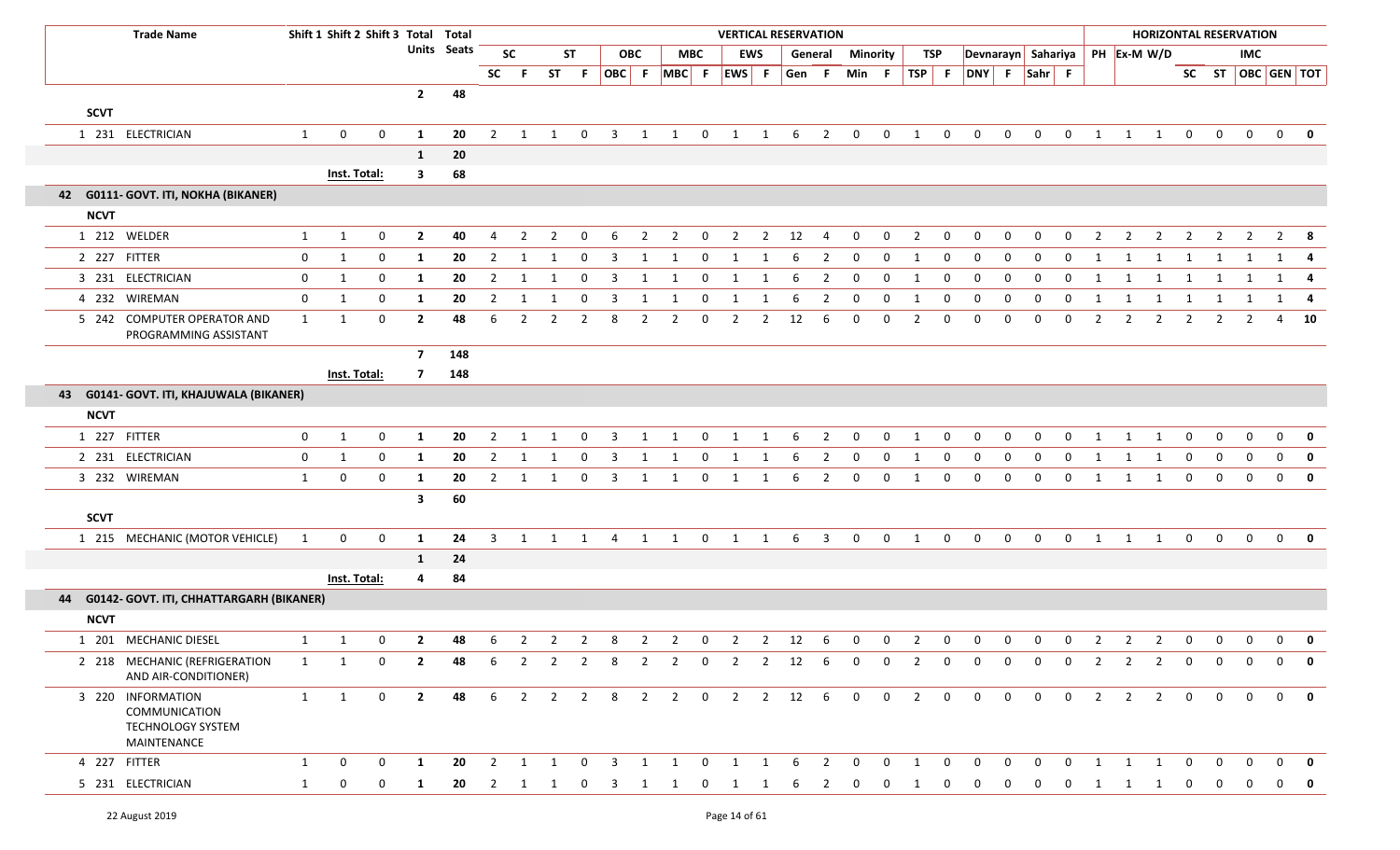| <b>Trade Name</b>                                                      |              | Shift 1 Shift 2 Shift 3 Total Total |                |                         |             |                |                |                |                |                         |                |                |                | <b>VERTICAL RESERVATION</b> |                |          |                          |                         |             |                         |              |                    |                |              |                         |                |                | <b>HORIZONTAL RESERVATION</b> |                |                   |              |              |                         |
|------------------------------------------------------------------------|--------------|-------------------------------------|----------------|-------------------------|-------------|----------------|----------------|----------------|----------------|-------------------------|----------------|----------------|----------------|-----------------------------|----------------|----------|--------------------------|-------------------------|-------------|-------------------------|--------------|--------------------|----------------|--------------|-------------------------|----------------|----------------|-------------------------------|----------------|-------------------|--------------|--------------|-------------------------|
|                                                                        |              |                                     |                |                         | Units Seats |                | <b>SC</b>      |                | <b>ST</b>      |                         | <b>OBC</b>     |                | <b>MBC</b>     |                             | <b>EWS</b>     |          |                          | <b>General Minority</b> |             |                         | TSP          | Devnarayn Sahariya |                |              |                         |                |                | PH Ex-M W/D                   |                |                   | <b>IMC</b>   |              |                         |
|                                                                        |              |                                     |                |                         |             | <b>SC</b>      | - F            | <b>ST</b>      | -F.            |                         |                | OBC F MBC F    |                | EWS F                       |                | Gen F    |                          | Min F                   |             |                         |              | TSP F DNY F Sahr F |                |              |                         |                |                |                               |                | SC ST OBC GEN TOT |              |              |                         |
|                                                                        |              |                                     |                | $\overline{2}$          | 48          |                |                |                |                |                         |                |                |                |                             |                |          |                          |                         |             |                         |              |                    |                |              |                         |                |                |                               |                |                   |              |              |                         |
| <b>SCVT</b>                                                            |              |                                     |                |                         |             |                |                |                |                |                         |                |                |                |                             |                |          |                          |                         |             |                         |              |                    |                |              |                         |                |                |                               |                |                   |              |              |                         |
| 1 231 ELECTRICIAN                                                      | $\mathbf{1}$ | 0                                   | $\mathbf 0$    | -1                      | 20          | $\overline{2}$ |                |                | $\Omega$       | 3                       | 1              |                | $\mathbf{0}$   | 1                           | 1              | 6        | 2                        | $\mathbf 0$             | $\mathbf 0$ | $\overline{\mathbf{1}}$ | $\mathbf{0}$ | $\mathbf 0$        | $\mathbf 0$    | $\Omega$     | $\mathbf{0}$            | 1              | 1              | 1                             | $\mathbf 0$    | $\mathbf 0$       | $\Omega$     | $\mathbf{0}$ | 0                       |
|                                                                        |              |                                     |                | 1                       | 20          |                |                |                |                |                         |                |                |                |                             |                |          |                          |                         |             |                         |              |                    |                |              |                         |                |                |                               |                |                   |              |              |                         |
|                                                                        |              | Inst. Total:                        |                | $\overline{\mathbf{3}}$ | 68          |                |                |                |                |                         |                |                |                |                             |                |          |                          |                         |             |                         |              |                    |                |              |                         |                |                |                               |                |                   |              |              |                         |
| 42 G0111- GOVT. ITI, NOKHA (BIKANER)                                   |              |                                     |                |                         |             |                |                |                |                |                         |                |                |                |                             |                |          |                          |                         |             |                         |              |                    |                |              |                         |                |                |                               |                |                   |              |              |                         |
| <b>NCVT</b>                                                            |              |                                     |                |                         |             |                |                |                |                |                         |                |                |                |                             |                |          |                          |                         |             |                         |              |                    |                |              |                         |                |                |                               |                |                   |              |              |                         |
| 1 212 WELDER                                                           | $\mathbf{1}$ | $\mathbf{1}$                        | $\mathbf 0$    | $\mathbf{2}$            | 40          | 4              | 2              | 2              | $\Omega$       | 6                       | 2              | $\overline{2}$ | $\mathbf 0$    | $\overline{2}$              | $\overline{2}$ | 12       | 4                        | 0                       | 0           | $\overline{2}$          | 0            | 0                  | $\Omega$       | $\Omega$     | $\mathbf{0}$            | 2              | 2              | 2                             | 2              | 2                 | $\mathbf{2}$ |              | $2 \times 8$            |
| 2 227 FITTER                                                           | $\mathbf 0$  | $\mathbf{1}$                        | $\mathbf 0$    | 1                       | 20          | $\overline{2}$ | -1             |                | $\Omega$       | 3                       | -1             | 1              | $\Omega$       | 1                           | -1             |          | 2                        | 0                       | 0           | 1                       | $\mathbf 0$  | 0                  | 0              | $\Omega$     | 0                       | 1              | 1              | -1                            | 1              | 1                 |              |              | $1 \quad 4$             |
| 3 231 ELECTRICIAN                                                      | $\mathbf 0$  | 1                                   | 0              | 1                       | 20          | $\overline{2}$ | -1             |                | 0              | 3                       | 1              | 1              | $\mathbf{0}$   | 1                           | 1              | 6        | $\overline{2}$           | 0                       | 0           | 1                       | 0            | $\mathbf 0$        | 0              | $\Omega$     | 0                       | 1              | -1             | 1                             | 1              |                   |              |              | 1 4                     |
| 4 232 WIREMAN                                                          | 0            | $\mathbf{1}$                        | 0              | 1                       | 20          | $\overline{2}$ | 1              | -1             | 0              | 3                       | 1              | 1              | $\mathbf{0}$   | 1                           | 1              | 6        | $\overline{2}$           | $\mathbf 0$             | 0           | 1                       | 0            | 0                  | $\mathbf{0}$   | 0            | 0                       | 1              | 1              | 1                             | 1              | 1                 | 1            |              | 1 4                     |
| 5 242 COMPUTER OPERATOR AND<br>PROGRAMMING ASSISTANT                   | 1            | 1                                   | 0              | $\mathbf{2}$            | 48          | 6              | 2              | 2              | $\mathcal{P}$  | 8                       | 2              | 2              | $\Omega$       | 2                           | 2              | 12       | 6                        | 0                       | 0           | 2                       | 0            | $\Omega$           | $\Omega$       | $\Omega$     | $\Omega$                | 2              | 2              | 2                             | $\overline{2}$ | 2                 | $\mathbf{2}$ |              | 4 10                    |
|                                                                        |              |                                     |                | $\overline{7}$          | 148         |                |                |                |                |                         |                |                |                |                             |                |          |                          |                         |             |                         |              |                    |                |              |                         |                |                |                               |                |                   |              |              |                         |
|                                                                        |              | Inst. Total:                        |                | $\overline{7}$          | 148         |                |                |                |                |                         |                |                |                |                             |                |          |                          |                         |             |                         |              |                    |                |              |                         |                |                |                               |                |                   |              |              |                         |
| 43 G0141- GOVT. ITI, KHAJUWALA (BIKANER)                               |              |                                     |                |                         |             |                |                |                |                |                         |                |                |                |                             |                |          |                          |                         |             |                         |              |                    |                |              |                         |                |                |                               |                |                   |              |              |                         |
| <b>NCVT</b>                                                            |              |                                     |                |                         |             |                |                |                |                |                         |                |                |                |                             |                |          |                          |                         |             |                         |              |                    |                |              |                         |                |                |                               |                |                   |              |              |                         |
| 1 227 FITTER                                                           | $\mathbf 0$  | 1                                   | 0              | 1                       | 20          | $\overline{2}$ | -1             | -1             | $\Omega$       | 3                       | 1              | 1              | $\mathbf 0$    | 1                           | 1              | 6        | 2                        | 0                       | 0           | -1                      | 0            | 0                  | 0              | $\Omega$     | $\Omega$                |                |                | 1                             | $\mathbf 0$    | - 0               | $\Omega$     | $\mathbf 0$  | $\mathbf{0}$            |
| 2 231 ELECTRICIAN                                                      | 0            | $\mathbf{1}$                        | 0              | 1                       | 20          | $\overline{2}$ | 1              | -1             | 0              | 3                       | 1              | 1              | $\mathbf 0$    | 1                           | 1              | 6        | 2                        | 0                       | 0           | 1                       | 0            | 0                  | $\mathbf{0}$   | $\Omega$     | 0                       | 1              | 1              | 1                             | $\mathbf{0}$   | $\mathbf 0$       | $\mathbf{0}$ | $\mathbf 0$  | $\mathbf{0}$            |
| 3 232 WIREMAN                                                          | 1            | 0                                   | 0              | 1                       | 20          | $\overline{2}$ | 1              | 1              | 0              | $\overline{3}$          | 1              | 1              | $\mathbf 0$    | $\mathbf{1}$                | 1              | -6       | $\overline{2}$           | $\mathbf 0$             | 0           | 1                       | $\mathbf 0$  | $\mathbf 0$        | $\mathbf{0}$   | 0            | $\mathbf 0$             | 1              | 1              | 1                             | $\mathbf{0}$   | $\mathbf 0$       | $\mathbf 0$  | $\mathbf 0$  | 0                       |
|                                                                        |              |                                     |                | $\overline{\mathbf{3}}$ | 60          |                |                |                |                |                         |                |                |                |                             |                |          |                          |                         |             |                         |              |                    |                |              |                         |                |                |                               |                |                   |              |              |                         |
| <b>SCVT</b>                                                            |              |                                     |                |                         |             |                |                |                |                |                         |                |                |                |                             |                |          |                          |                         |             |                         |              |                    |                |              |                         |                |                |                               |                |                   |              |              |                         |
| 1 215 MECHANIC (MOTOR VEHICLE)                                         | 1            | $\mathbf 0$                         | $\mathbf 0$    | 1                       | 24          | 3              |                |                |                | 1 1 1 4 1 1             |                |                |                | $0\qquad 1\qquad 1\qquad 6$ |                |          | $\overline{\mathbf{3}}$  | $\mathbf 0$             | $\mathbf 0$ | $\overline{1}$          | $\mathbf{0}$ | $\mathbf 0$        |                | $0\qquad 0$  | $\overline{\mathbf{0}}$ |                |                | $1 \quad 1 \quad 1$           | $\overline{0}$ | $\mathbf 0$       | $\mathbf 0$  |              | $0$ 0                   |
|                                                                        |              |                                     |                | $\mathbf{1}$            | 24          |                |                |                |                |                         |                |                |                |                             |                |          |                          |                         |             |                         |              |                    |                |              |                         |                |                |                               |                |                   |              |              |                         |
|                                                                        |              | Inst. Total:                        |                | 4                       | 84          |                |                |                |                |                         |                |                |                |                             |                |          |                          |                         |             |                         |              |                    |                |              |                         |                |                |                               |                |                   |              |              |                         |
| G0142- GOVT. ITI, CHHATTARGARH (BIKANER)<br>44                         |              |                                     |                |                         |             |                |                |                |                |                         |                |                |                |                             |                |          |                          |                         |             |                         |              |                    |                |              |                         |                |                |                               |                |                   |              |              |                         |
| <b>NCVT</b>                                                            |              |                                     |                |                         |             |                |                |                |                |                         |                |                |                |                             |                |          |                          |                         |             |                         |              |                    |                |              |                         |                |                |                               |                |                   |              |              |                         |
| 1 201 MECHANIC DIESEL                                                  | $\mathbf{1}$ | 1                                   | $\mathbf 0$    | $\mathbf{2}$            | 48          | 6              | 2              | $\overline{2}$ | $\overline{2}$ | 8                       | 2              | $\overline{2}$ | 0              | $\overline{2}$              | $\overline{2}$ | 12       | 6                        | 0                       | 0           | $\overline{2}$          | 0            | 0                  | 0              | 0            | $\mathbf{0}$            | $\overline{2}$ | $\overline{2}$ | $\overline{2}$                | $\mathbf{0}$   | 0                 | $\mathbf{0}$ | 0            | $\mathbf 0$             |
| 2 218 MECHANIC (REFRIGERATION<br>AND AIR-CONDITIONER)                  | 1            | 1                                   | 0              | $\mathbf{2}$            | 48          | 6              | $\overline{2}$ | $\overline{2}$ | $\overline{2}$ | 8                       | $\overline{2}$ | $\overline{2}$ | $\overline{0}$ |                             |                | 2 2 12 6 |                          | $\mathbf{0}$            | $\mathbf 0$ | $2^{\circ}$             | $\mathbf{0}$ | $\mathbf{0}$       | $\overline{0}$ | $\mathbf{0}$ | $\mathbf 0$             | $\overline{2}$ | 2              | 2                             | $\mathbf 0$    | $\Omega$          | $\Omega$     | $\mathbf{0}$ | $\overline{\mathbf{0}}$ |
| 3 220 INFORMATION<br>COMMUNICATION<br>TECHNOLOGY SYSTEM<br>MAINTENANCE | 1            | $\mathbf{1}$                        | $\overline{0}$ | $\overline{2}$          | 48          |                |                |                |                |                         |                |                |                | 6 2 2 2 8 2 2 0 2 2 12 6    |                |          |                          | $\overline{0}$          |             | $0\quad 2\quad 0$       |              | $\overline{0}$     |                |              | $0\qquad 0\qquad 0$     | $\overline{2}$ |                | $2 \quad 2 \quad 0$           |                | $\mathbf{0}$      | $\mathbf{0}$ |              | $0$ 0                   |
| 4 227 FITTER                                                           | 1            | 0                                   | 0              | 1                       | 20          |                | 2 1 1          |                | $\mathbf 0$    | $\overline{\mathbf{3}}$ | 1              | 1              | $\mathbf 0$    |                             | 1 1 6          |          | $\overline{\phantom{a}}$ | $\mathbf{0}$            | $\mathbf 0$ | 1                       | $\mathbf 0$  | $\mathbf 0$        | $\overline{0}$ | $\mathbf{0}$ | $\mathbf 0$             | 1              | 1              | $\overline{1}$                | $\overline{0}$ | $\Omega$          |              | $\Omega$     | 0                       |
| 5 231 ELECTRICIAN                                                      | $\mathbf{1}$ | 0                                   | 0              | 1                       | 20          | $\overline{2}$ | 1              | 1              | 0              | 3                       | -1             |                | 0              |                             | 1              | 6        | 2                        | $\Omega$                | $\Omega$    | -1                      | 0            | 0                  | 0              | 0            | $\Omega$                | 1              | 1              | 1                             | $\mathbf 0$    |                   |              | 0            | $\overline{\mathbf{0}}$ |
|                                                                        |              |                                     |                |                         |             |                |                |                |                |                         |                |                |                |                             |                |          |                          |                         |             |                         |              |                    |                |              |                         |                |                |                               |                |                   |              |              |                         |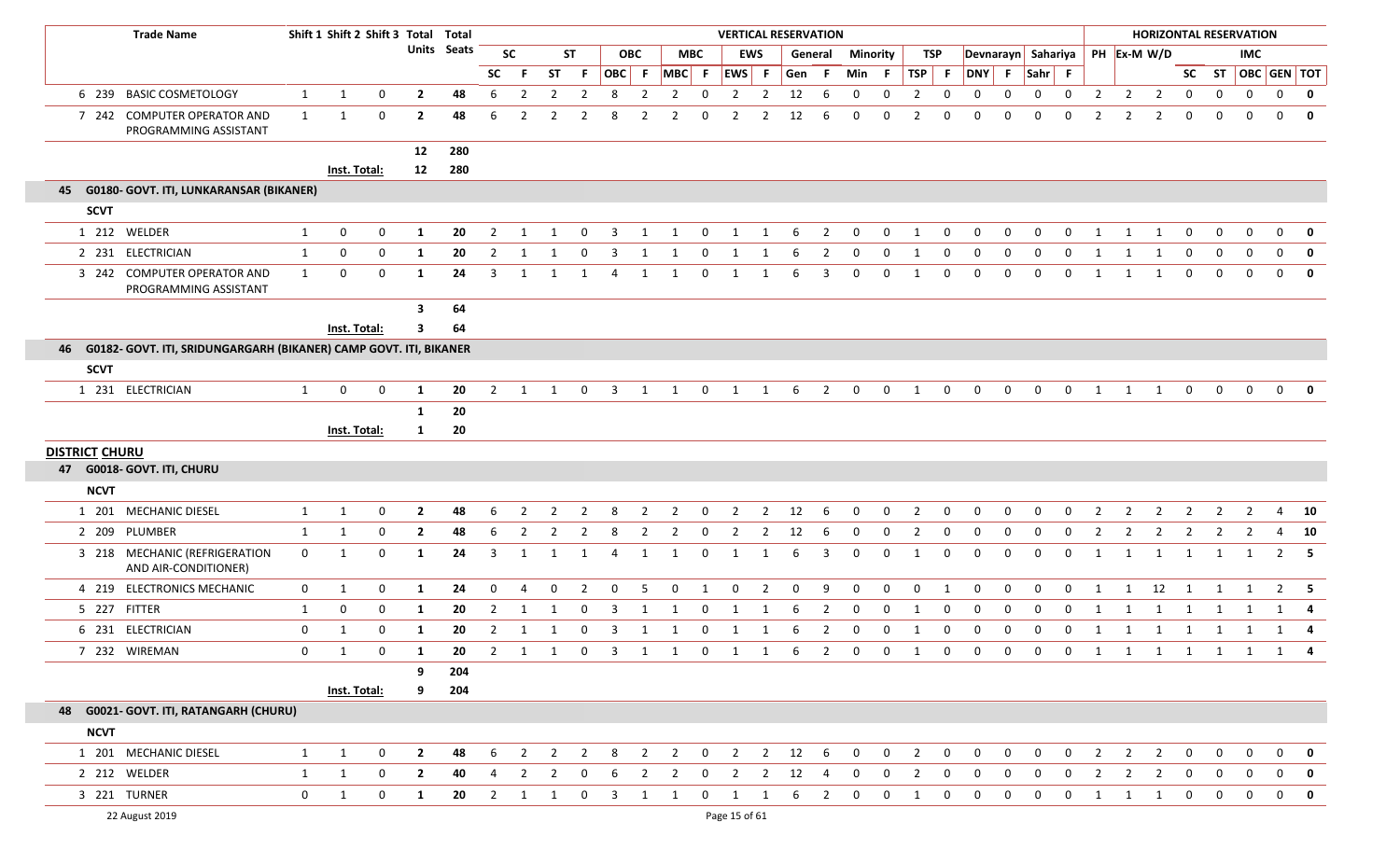|                       | <b>Trade Name</b>                                                 |              | Shift 1 Shift 2 Shift 3 Total Total |              |                |             |                |                         |                |                |                         |                     |                |              |                |                | <b>VERTICAL RESERVATION</b> |                |                 |                |                |             |                     |             |             |                |                |                | <b>HORIZONTAL RESERVATION</b> |                |                |                                |                |             |
|-----------------------|-------------------------------------------------------------------|--------------|-------------------------------------|--------------|----------------|-------------|----------------|-------------------------|----------------|----------------|-------------------------|---------------------|----------------|--------------|----------------|----------------|-----------------------------|----------------|-----------------|----------------|----------------|-------------|---------------------|-------------|-------------|----------------|----------------|----------------|-------------------------------|----------------|----------------|--------------------------------|----------------|-------------|
|                       |                                                                   |              |                                     |              |                | Units Seats |                | <b>SC</b>               |                | <b>ST</b>      |                         | <b>OBC</b>          | <b>MBC</b>     |              |                | EWS            | General                     |                | <b>Minority</b> |                | <b>TSP</b>     |             | Devnarayn Sahariya  |             |             |                |                | PH Ex-M W/D    |                               |                |                | <b>IMC</b>                     |                |             |
|                       |                                                                   |              |                                     |              |                |             | <b>SC</b>      | - F                     | <b>ST</b>      | -F.            | OBC F                   |                     | $MBC$ F        |              | EWS F          |                | Gen                         | - F            | Min F           |                | $TSP$ F        |             | DNY F               |             | $Sahr$ F    |                |                |                |                               |                |                | SC ST $\overline{OBC}$ GEN TOT |                |             |
| 6 239                 | <b>BASIC COSMETOLOGY</b>                                          | $\mathbf{1}$ | $\mathbf{1}$                        | $\mathbf{0}$ | $\overline{2}$ | 48          | 6              | $\overline{2}$          | $\overline{2}$ | $\overline{2}$ | 8                       | $\overline{2}$      | $\overline{2}$ | $\mathbf 0$  | $\overline{2}$ | $\overline{2}$ | 12                          | 6              | $\mathbf{0}$    | $\mathbf{0}$   | $\overline{2}$ | 0           | $\mathbf 0$         | $\mathbf 0$ | $\mathbf 0$ | $\mathbf 0$    | $\overline{2}$ | $\overline{2}$ | $\overline{2}$                | $\mathbf 0$    | $\mathbf 0$    | $\overline{0}$                 | $\mathbf 0$    | $\mathbf 0$ |
|                       | 7 242 COMPUTER OPERATOR AND<br>PROGRAMMING ASSISTANT              | $\mathbf{1}$ | 1                                   | 0            | $\mathbf{2}$   | 48          | 6              | 2                       | 2              |                | 8                       | 2                   |                | 0            | 2              | 2              | 12                          | 6              | 0               | 0              | $\overline{2}$ | $\Omega$    | $\Omega$            | $\Omega$    | $\Omega$    | $\Omega$       | $\overline{2}$ | $\overline{2}$ | $\overline{2}$                | $\mathbf 0$    | 0              | 0                              | $\mathbf 0$    | $\mathbf 0$ |
|                       |                                                                   |              |                                     |              | 12             | 280         |                |                         |                |                |                         |                     |                |              |                |                |                             |                |                 |                |                |             |                     |             |             |                |                |                |                               |                |                |                                |                |             |
|                       |                                                                   |              | Inst. Total:                        |              | 12             | 280         |                |                         |                |                |                         |                     |                |              |                |                |                             |                |                 |                |                |             |                     |             |             |                |                |                |                               |                |                |                                |                |             |
|                       | 45 G0180- GOVT. ITI, LUNKARANSAR (BIKANER)                        |              |                                     |              |                |             |                |                         |                |                |                         |                     |                |              |                |                |                             |                |                 |                |                |             |                     |             |             |                |                |                |                               |                |                |                                |                |             |
| <b>SCVT</b>           |                                                                   |              |                                     |              |                |             |                |                         |                |                |                         |                     |                |              |                |                |                             |                |                 |                |                |             |                     |             |             |                |                |                |                               |                |                |                                |                |             |
|                       | 1 212 WELDER                                                      | 1            | 0                                   | $\mathbf{0}$ | 1              | 20          | $\overline{2}$ | -1                      |                | $\Omega$       | 3                       |                     | -1             | 0            |                |                | -6                          | 2              | 0               | $\mathbf 0$    | 1              | $\Omega$    | $\Omega$            | $\Omega$    | $\Omega$    | $\Omega$       | $\mathbf 1$    |                | 1                             | $\mathbf 0$    | $\mathbf 0$    | 0                              | $\mathbf 0$    | $\mathbf 0$ |
|                       | 2 231 ELECTRICIAN                                                 | $\mathbf{1}$ | 0                                   | 0            | 1              | 20          | 2              | 1                       |                | 0              | 3                       | 1                   |                | 0            |                |                | 6                           | 2              | 0               | 0              | $\mathbf{1}$   | 0           | 0                   | $\Omega$    | 0           | 0              | 1              | 1              | 1                             | 0              | 0              | $\mathbf{0}$                   | $\mathbf 0$    | $\mathbf 0$ |
|                       | 3 242 COMPUTER OPERATOR AND<br>PROGRAMMING ASSISTANT              | $\mathbf{1}$ | 0                                   | $\mathbf{0}$ | 1              | 24          | 3              | -1                      |                |                | $\overline{4}$          | 1                   | 1              | 0            | 1              | -1             | -6                          | 3              | $\mathbf 0$     | 0              | 1              | $\Omega$    | $\mathbf 0$         | $\Omega$    | $\mathbf 0$ | 0              | 1              | 1              | 1                             | 0              | $\mathbf 0$    | 0                              | $\mathbf 0$    | $\mathbf 0$ |
|                       |                                                                   |              |                                     |              | 3              | 64          |                |                         |                |                |                         |                     |                |              |                |                |                             |                |                 |                |                |             |                     |             |             |                |                |                |                               |                |                |                                |                |             |
|                       |                                                                   |              | Inst. Total:                        |              | 3              | 64          |                |                         |                |                |                         |                     |                |              |                |                |                             |                |                 |                |                |             |                     |             |             |                |                |                |                               |                |                |                                |                |             |
| 46                    | G0182- GOVT. ITI, SRIDUNGARGARH (BIKANER) CAMP GOVT. ITI, BIKANER |              |                                     |              |                |             |                |                         |                |                |                         |                     |                |              |                |                |                             |                |                 |                |                |             |                     |             |             |                |                |                |                               |                |                |                                |                |             |
| <b>SCVT</b>           |                                                                   |              |                                     |              |                |             |                |                         |                |                |                         |                     |                |              |                |                |                             |                |                 |                |                |             |                     |             |             |                |                |                |                               |                |                |                                |                |             |
|                       | 1 231 ELECTRICIAN                                                 | $\mathbf{1}$ | 0                                   | 0            | 1              | 20          | 2              | -1                      | 1              | $\mathbf{0}$   | $\overline{\mathbf{3}}$ | 1                   | 1              | $\mathbf{0}$ | 1              | 1              | 6                           | $\overline{2}$ | $\mathbf{0}$    | $\mathbf{0}$   | 1              | $\mathbf 0$ | $\mathbf 0$         | $\mathbf 0$ | $\mathbf 0$ | $\mathbf 0$    | 1              | 1              | 1                             | $\mathbf 0$    | $\mathbf 0$    | $\mathbf 0$                    | $\mathbf 0$    | $\mathbf 0$ |
|                       |                                                                   |              |                                     |              | 1              | 20          |                |                         |                |                |                         |                     |                |              |                |                |                             |                |                 |                |                |             |                     |             |             |                |                |                |                               |                |                |                                |                |             |
|                       |                                                                   |              | Inst. Total:                        |              | 1              | 20          |                |                         |                |                |                         |                     |                |              |                |                |                             |                |                 |                |                |             |                     |             |             |                |                |                |                               |                |                |                                |                |             |
| <b>DISTRICT CHURU</b> |                                                                   |              |                                     |              |                |             |                |                         |                |                |                         |                     |                |              |                |                |                             |                |                 |                |                |             |                     |             |             |                |                |                |                               |                |                |                                |                |             |
|                       | 47 G0018- GOVT. ITI, CHURU                                        |              |                                     |              |                |             |                |                         |                |                |                         |                     |                |              |                |                |                             |                |                 |                |                |             |                     |             |             |                |                |                |                               |                |                |                                |                |             |
| <b>NCVT</b>           |                                                                   |              |                                     |              |                |             |                |                         |                |                |                         |                     |                |              |                |                |                             |                |                 |                |                |             |                     |             |             |                |                |                |                               |                |                |                                |                |             |
|                       | 1 201 MECHANIC DIESEL                                             | 1            | $\mathbf{1}$                        | $\mathbf 0$  | $\overline{2}$ | 48          | 6              | $\overline{2}$          | $\overline{2}$ | $\overline{2}$ | 8                       | $\overline{2}$      | $\overline{2}$ | $\mathbf 0$  | $\overline{2}$ | $\overline{2}$ | 12                          | 6              | $\mathbf 0$     | $\mathbf{0}$   | $\overline{2}$ | $\mathbf 0$ | $\mathbf 0$         | $\mathbf 0$ | $\mathbf 0$ | $\mathbf{0}$   | $\overline{2}$ | $\overline{2}$ | $\overline{2}$                | $\overline{2}$ | $\overline{2}$ | $\overline{2}$                 | 4              | 10          |
|                       | 2 209 PLUMBER                                                     | 1            | 1                                   | $\Omega$     | $\mathbf{2}$   | 48          | 6              | 2                       | -2             | 2              | 8                       | 2                   | -2             | $\Omega$     | -2             | 2              | 12                          | 6              | $\mathbf 0$     | 0              | $\overline{2}$ | 0           | $\Omega$            | $\Omega$    | 0           | $\Omega$       | $\overline{2}$ | $\overline{2}$ | 2                             | 2              | 2              | 2                              | 4              | 10          |
|                       | 3 218 MECHANIC (REFRIGERATION<br>AND AIR-CONDITIONER)             | $\mathbf 0$  | 1                                   | 0            | $\mathbf{1}$   | 24          | 3              | 1                       | 1              | 1              | $\overline{4}$          | 1                   | 1              | $\mathbf 0$  | $\mathbf{1}$   | 1              | 6                           | 3              | $\mathbf 0$     | $\mathbf{0}$   | 1              | 0           | $\mathbf 0$         | 0           | 0           | 0              | 1              | 1              | $\mathbf{1}$                  | 1              | $\mathbf{1}$   | 1                              | $\overline{2}$ | 5           |
|                       | 4 219 ELECTRONICS MECHANIC                                        | $\mathbf 0$  | 1                                   | 0            | 1              | 24          | $\mathbf{0}$   | 4                       | $\mathbf{0}$   | 2              | $\mathbf{0}$            | 5                   | $\mathbf 0$    | 1            | $\mathbf 0$    | $\overline{2}$ | $\mathbf 0$                 | 9              | $\mathbf 0$     | $\mathbf 0$    | $\mathbf 0$    | 1           | 0                   | 0           | $\mathbf 0$ | $\mathbf 0$    | 1              | 1              | 12                            | $\overline{1}$ | 1              | 1                              | $2^{\circ}$    | - 5         |
|                       | 5 227 FITTER                                                      | $\mathbf{1}$ | 0                                   | $\mathbf{0}$ | 1              | 20          | $\overline{2}$ | 1                       | -1             | $\mathbf{0}$   | 3                       | 1                   | 1              | $\mathbf 0$  | 1              | 1              | -6                          | $\overline{2}$ | $\mathbf 0$     | 0              | 1              | 0           | 0                   | 0           | 0           | $\mathbf 0$    | 1              | 1              | 1                             | 1              | 1              | 1                              | 1              | 4           |
|                       | 6 231 ELECTRICIAN                                                 | $\mathbf 0$  | 1                                   | 0            | 1              | 20          | $\overline{2}$ | 1                       | -1             | 0              | -3                      | 1                   | 1              | $\mathbf{0}$ | -1             | 1              | -6                          | $\overline{2}$ | $\mathbf 0$     | 0              | 1              | 0           | 0                   | 0           | 0           | $\mathbf 0$    | 1              | 1              | 1                             | 1              | 1              | 1                              | 1              | 4           |
|                       | 7 232 WIREMAN                                                     | 0            | 1                                   | $\bf{0}$     | 1              | 20          |                | 2 1                     |                |                |                         |                     |                |              |                |                | 1 0 3 1 1 0 1 1 6 2 0 0     |                |                 |                | $\overline{1}$ |             | $0\qquad 0\qquad 0$ |             | 0 0 1 1     |                |                |                | 1 1 1 1 1 4                   |                |                |                                |                |             |
|                       |                                                                   |              |                                     |              | 9              | 204         |                |                         |                |                |                         |                     |                |              |                |                |                             |                |                 |                |                |             |                     |             |             |                |                |                |                               |                |                |                                |                |             |
|                       |                                                                   |              | Inst. Total:                        |              | 9              | 204         |                |                         |                |                |                         |                     |                |              |                |                |                             |                |                 |                |                |             |                     |             |             |                |                |                |                               |                |                |                                |                |             |
|                       | 48 G0021- GOVT. ITI, RATANGARH (CHURU)                            |              |                                     |              |                |             |                |                         |                |                |                         |                     |                |              |                |                |                             |                |                 |                |                |             |                     |             |             |                |                |                |                               |                |                |                                |                |             |
| <b>NCVT</b>           |                                                                   |              |                                     |              |                |             |                |                         |                |                |                         |                     |                |              |                |                |                             |                |                 |                |                |             |                     |             |             |                |                |                |                               |                |                |                                |                |             |
|                       | 1 201 MECHANIC DIESEL                                             | $\mathbf{1}$ | $\mathbf{1}$                        | $\mathbf 0$  | $\overline{2}$ | 48          | 6              | $\overline{\mathbf{2}}$ | $\overline{2}$ | $\overline{2}$ |                         |                     |                |              |                |                | 8 2 2 0 2 2 12 6            |                | $\overline{0}$  | $\overline{0}$ | $\overline{2}$ | $\mathbf 0$ | $\mathbf 0$         | $\mathbf 0$ | $\mathbf 0$ | $\overline{0}$ | $\overline{2}$ | $\overline{2}$ | $\overline{2}$                | $\overline{0}$ | $\mathbf{0}$   | $\overline{0}$                 | $\mathbf{0}$   | $\mathbf 0$ |
|                       | 2 212 WELDER                                                      | $\mathbf{1}$ | 1                                   | $\mathbf{0}$ | $\overline{2}$ | 40          | 4              | $\overline{2}$          | $\overline{2}$ | 0              | 6                       | $\overline{2}$      | $\overline{2}$ | $\mathbf 0$  | $\overline{2}$ | $\overline{2}$ | 12                          | 4              | $\mathbf 0$     | $\mathbf{0}$   | $\overline{2}$ | 0           | 0                   | 0           | 0           | $\mathbf 0$    | $\overline{2}$ | $\overline{2}$ | $\overline{2}$                | $\mathbf{0}$   | $\mathbf 0$    | $\overline{0}$                 | $\mathbf 0$    | $\mathbf 0$ |
|                       | 3 221 TURNER                                                      | $\mathbf 0$  | $\mathbf{1}$                        | 0            | $\mathbf{1}$   | 20          |                | $2 \quad 1$             | $\mathbf{1}$   | $\mathbf{0}$   |                         | $3 \quad 1 \quad 1$ |                |              | $0 \quad 1$    | $\mathbf{1}$   | 6                           | $\overline{2}$ | $\mathbf 0$     | $\mathbf{0}$   | 1              | $\mathbf 0$ | $\mathbf 0$         | 0           | $\mathbf 0$ | $\mathbf{0}$   | $\mathbf{1}$   | $\mathbf{1}$   | 1                             | $\overline{0}$ | $\overline{0}$ | $\overline{0}$                 | $\mathbf{0}$   | $\mathbf 0$ |
|                       | 22 August 2019                                                    |              |                                     |              |                |             |                |                         |                |                |                         |                     |                |              | Page 15 of 61  |                |                             |                |                 |                |                |             |                     |             |             |                |                |                |                               |                |                |                                |                |             |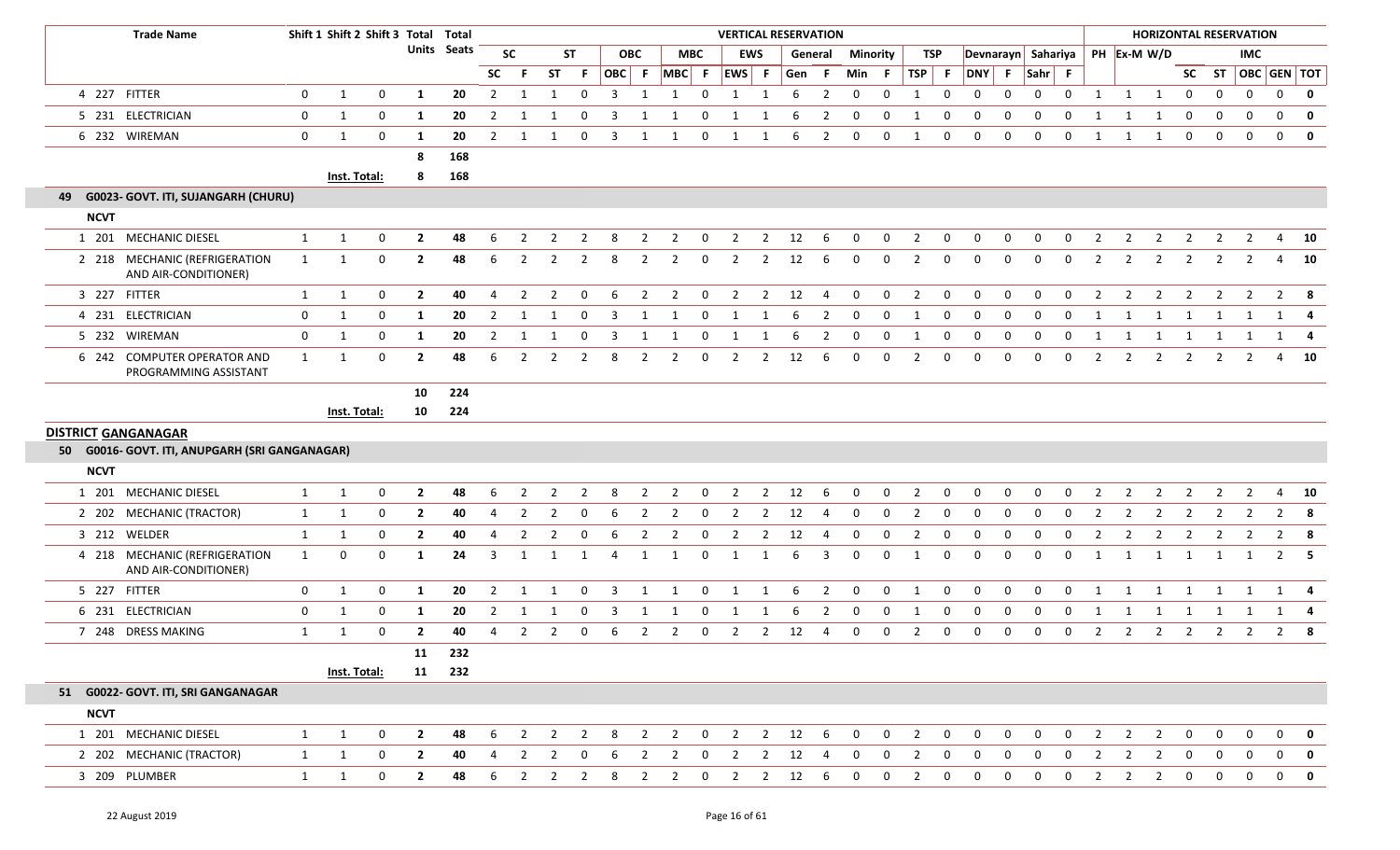|                            | <b>Trade Name</b>                                     |              | Shift 1 Shift 2 Shift 3 Total Total |              |                |             |                |                |                         |                |       |                |                         |                | <b>VERTICAL RESERVATION</b> |                |               |                |                |              |                |                  |                    |              |             |              |                |                |                |                |                | <b>HORIZONTAL RESERVATION</b> |              |              |
|----------------------------|-------------------------------------------------------|--------------|-------------------------------------|--------------|----------------|-------------|----------------|----------------|-------------------------|----------------|-------|----------------|-------------------------|----------------|-----------------------------|----------------|---------------|----------------|----------------|--------------|----------------|------------------|--------------------|--------------|-------------|--------------|----------------|----------------|----------------|----------------|----------------|-------------------------------|--------------|--------------|
|                            |                                                       |              |                                     |              |                | Units Seats |                | <b>SC</b>      |                         | <b>ST</b>      |       | <b>OBC</b>     |                         | МВС            |                             | <b>EWS</b>     |               | General        | Minority       |              | TSP            |                  | Devnarayn Sahariya |              |             |              |                |                | PH Ex-M W/D    |                |                | IMC                           |              |              |
|                            |                                                       |              |                                     |              |                |             | <b>SC</b>      | -F.            | <b>ST</b>               | -F.            | OBC F |                | $MBC$ F                 |                | EWS F                       |                | Gen F         |                | Min            | - F          | <b>TSP</b>     | $-$ F            | <b>DNY</b>         | - F          | Sahr F      |              |                |                |                | <b>SC</b>      |                | ST   OBC   GEN   TOT          |              |              |
|                            | 4 227 FITTER                                          | $\mathbf 0$  | 1                                   | 0            | 1              | 20          | $\overline{2}$ | 1              | 1                       | $\mathbf 0$    | 3     | -1             | 1                       | $\mathbf 0$    | 1                           | 1              | 6             | $\overline{2}$ | 0              | 0            | 1              | $\mathbf 0$      | $\mathbf 0$        | $\mathbf 0$  | $\mathbf 0$ | $\mathbf 0$  | $\mathbf{1}$   | 1              | 1              | $\mathbf 0$    | $\mathbf{0}$   | $\mathbf 0$                   | $\mathbf 0$  | $\bf{0}$     |
|                            | 5 231 ELECTRICIAN                                     | 0            | 1                                   | 0            | 1              | 20          | $\overline{2}$ |                |                         | 0              | 3     |                |                         | 0              |                             |                | 6             | 2              | 0              | $\mathbf 0$  | 1              | 0                | 0                  | $\Omega$     | 0           | 0            |                |                | -1             | 0              | $\mathbf 0$    | $\mathbf{0}$                  | $\mathbf{0}$ | 0            |
|                            | 6 232 WIREMAN                                         | $\mathbf 0$  | 1                                   | 0            | 1              | 20          | $\overline{2}$ | -1             | 1                       | 0              | 3     | -1             | -1                      | 0              | 1                           | 1              | 6             | $\overline{2}$ | 0              | $\mathbf 0$  | 1              | 0                | $\mathbf 0$        | $\mathbf 0$  | $\mathbf 0$ | 0            | 1              | 1              | 1              | 0              | $\mathbf 0$    | $\mathbf 0$                   | $\mathbf{0}$ | $\mathbf{0}$ |
|                            |                                                       |              |                                     |              | 8              | 168         |                |                |                         |                |       |                |                         |                |                             |                |               |                |                |              |                |                  |                    |              |             |              |                |                |                |                |                |                               |              |              |
|                            |                                                       |              | Inst. Total:                        |              | 8              | 168         |                |                |                         |                |       |                |                         |                |                             |                |               |                |                |              |                |                  |                    |              |             |              |                |                |                |                |                |                               |              |              |
|                            | 49 G0023- GOVT. ITI, SUJANGARH (CHURU)                |              |                                     |              |                |             |                |                |                         |                |       |                |                         |                |                             |                |               |                |                |              |                |                  |                    |              |             |              |                |                |                |                |                |                               |              |              |
| <b>NCVT</b>                |                                                       |              |                                     |              |                |             |                |                |                         |                |       |                |                         |                |                             |                |               |                |                |              |                |                  |                    |              |             |              |                |                |                |                |                |                               |              |              |
|                            | 1 201 MECHANIC DIESEL                                 | 1            | 1                                   | 0            | $\overline{2}$ | 48          | 6              | 2              | 2                       | -2             | 8     | 2              | 2                       | 0              | 2                           | $\overline{2}$ | 12            | -6             | $\mathbf 0$    | $\mathbf 0$  | $\overline{2}$ | $\mathbf 0$      | 0                  | 0            | 0           | 0            | $\overline{2}$ | 2              | 2              | 2              | 2              | $\overline{2}$                |              | $4\quad 10$  |
|                            | 2 218 MECHANIC (REFRIGERATION<br>AND AIR-CONDITIONER) | 1            | 1                                   | $\mathbf 0$  | $\overline{2}$ | 48          | 6              | $\overline{2}$ | $\overline{2}$          | $\overline{2}$ | 8     | $\overline{2}$ | $\overline{2}$          | 0              | $\overline{2}$              | $\overline{2}$ | 12            | -6             | 0              | $\mathbf{0}$ | $\overline{2}$ | 0                | 0                  | $\mathbf{0}$ | 0           | 0            | $\overline{2}$ | $\overline{2}$ | $\overline{2}$ | $\overline{2}$ | $\overline{2}$ | $\overline{2}$                |              | 4 10         |
|                            | 3 227 FITTER                                          | 1            | $\mathbf{1}$                        | 0            | $\overline{2}$ | 40          | $\overline{4}$ | $\overline{2}$ | $\overline{2}$          | $\mathbf 0$    | 6     | $\overline{2}$ | $\overline{2}$          | $\mathbf{0}$   | $\overline{2}$              | $\overline{2}$ | 12            | 4              | 0              | $\mathbf 0$  | $\overline{2}$ | $\mathbf{0}$     | $\mathbf 0$        | $\mathbf 0$  | $\mathbf 0$ | $\mathbf 0$  | $\overline{2}$ | $\overline{2}$ | $\overline{2}$ | $\overline{2}$ | $\overline{2}$ | $\overline{2}$                |              | $2 \times 8$ |
|                            | 4 231 ELECTRICIAN                                     | 0            | 1                                   | 0            | 1              | 20          | $\overline{2}$ | -1             |                         | 0              | 3     |                | -1                      | 0              |                             |                | 6             | 2              | $\mathbf 0$    | 0            | 1              | 0                | 0                  | 0            | 0           | 0            |                |                | 1              | 1              | $\mathbf{1}$   | 1                             |              | $1 \quad 4$  |
|                            | 5 232 WIREMAN                                         | $\mathbf 0$  | $\mathbf{1}$                        | 0            | 1              | 20          | $\overline{2}$ | $\mathbf{1}$   | 1                       | 0              | 3     | -1             | -1                      | 0              | $\mathbf{1}$                | 1              | 6             | $\overline{2}$ | 0              | 0            | $\mathbf{1}$   | $\boldsymbol{0}$ | 0                  | $\mathbf 0$  | 0           | $\mathbf 0$  | -1             | -1             | -1             | 1              | 1              | 1                             |              | $1 \quad 4$  |
|                            | 6 242 COMPUTER OPERATOR AND<br>PROGRAMMING ASSISTANT  | $\mathbf{1}$ | 1                                   | $\mathbf 0$  | $\overline{2}$ | 48          | 6              | $\overline{2}$ | 2                       | $\overline{2}$ | 8     | $\overline{2}$ | 2                       | 0              | $\overline{2}$              | 2              | 12            | 6              | 0              | $\mathbf 0$  | $\overline{2}$ | 0                | 0                  | 0            | $\mathbf 0$ | 0            | $\overline{2}$ | $\overline{2}$ | $\overline{2}$ | $\overline{2}$ | 2              | 2                             |              | 4 10         |
|                            |                                                       |              |                                     |              | 10             | 224         |                |                |                         |                |       |                |                         |                |                             |                |               |                |                |              |                |                  |                    |              |             |              |                |                |                |                |                |                               |              |              |
|                            |                                                       |              | Inst. Total:                        |              | 10             | 224         |                |                |                         |                |       |                |                         |                |                             |                |               |                |                |              |                |                  |                    |              |             |              |                |                |                |                |                |                               |              |              |
| <b>DISTRICT GANGANAGAR</b> |                                                       |              |                                     |              |                |             |                |                |                         |                |       |                |                         |                |                             |                |               |                |                |              |                |                  |                    |              |             |              |                |                |                |                |                |                               |              |              |
|                            | 50 G0016- GOVT. ITI, ANUPGARH (SRI GANGANAGAR)        |              |                                     |              |                |             |                |                |                         |                |       |                |                         |                |                             |                |               |                |                |              |                |                  |                    |              |             |              |                |                |                |                |                |                               |              |              |
| <b>NCVT</b>                |                                                       |              |                                     |              |                |             |                |                |                         |                |       |                |                         |                |                             |                |               |                |                |              |                |                  |                    |              |             |              |                |                |                |                |                |                               |              |              |
|                            | 1 201 MECHANIC DIESEL                                 | 1            | $\mathbf{1}$                        | $\mathbf 0$  | $\overline{2}$ | 48          | 6              | $\overline{2}$ | $\overline{2}$          | 2              | 8     | $\overline{2}$ | $\overline{2}$          | $\mathbf{0}$   | $\overline{2}$              | $\overline{2}$ | 12            | - 6            | $\mathbf 0$    | $\mathbf 0$  | $\overline{2}$ | $\mathbf 0$      | 0                  | $\mathbf 0$  | 0           | $\mathbf 0$  | $\overline{2}$ | $\overline{2}$ | $\overline{2}$ | $\overline{2}$ | $\overline{2}$ | $\overline{2}$                |              | $4\quad 10$  |
|                            | 2 202 MECHANIC (TRACTOR)                              | 1            | 1                                   | 0            | $\overline{2}$ | 40          | -4             | -2             | 2                       | - 0            | 6     | -2             | 2                       | 0              | 2                           | 2              | 12            | -4             | $\mathbf 0$    | $\mathbf{0}$ | 2              | $\mathbf 0$      | 0                  | $\mathbf 0$  | 0           | 0            | -2             | 2              | -2             | 2              | 2              | 2                             | $2^{\circ}$  | - 8          |
|                            | 3 212 WELDER                                          | 1            | 1                                   | 0            | $\overline{2}$ | 40          |                | 2              | $\overline{2}$          | 0              | 6     | $\overline{2}$ | $\overline{2}$          | 0              | 2                           | $\overline{2}$ | 12            | 4              | $\mathbf 0$    | $\mathbf{0}$ | $\overline{2}$ | $\mathbf 0$      | 0                  | 0            | 0           | 0            | $\overline{2}$ | 2              | -2             | $\overline{2}$ | 2              | 2                             |              | $2 \times 8$ |
|                            | 4 218 MECHANIC (REFRIGERATION<br>AND AIR-CONDITIONER) | 1            | 0                                   | $\mathbf 0$  | 1              | 24          | 3              | 1              | -1                      | 1              | Δ     | -1             | -1                      | $\mathbf{0}$   | 1                           | 1              | 6             | 3              | 0              | $\mathbf{0}$ | 1              | 0                | $\mathbf 0$        | $\mathbf 0$  | $\mathbf 0$ | $\Omega$     | 1              | 1              | -1             | -1             | -1             | 1                             |              | $2 \quad 5$  |
|                            | 5 227 FITTER                                          | $\mathbf 0$  | 1                                   | 0            | 1              | 20          | $\overline{2}$ | -1             |                         | 0              | 3     | -1             | -1                      | 0              | 1                           | -1             | 6             | 2              | 0              | 0            | 1              | $\mathbf 0$      | $\mathbf 0$        | 0            | $\mathbf 0$ | $\Omega$     |                |                | -1             | 1              | -1             | 1                             | 1            | - 4          |
|                            | 6 231 ELECTRICIAN                                     | 0            | 1                                   | 0            | 1              | 20          | $\overline{2}$ | 1              | -1                      | 0              | 3     | -1             | -1                      | 0              | 1                           | 1              | 6             | $\overline{2}$ | 0              | $\mathbf 0$  | 1              | 0                | 0                  | 0            | 0           | 0            |                |                |                |                |                | 1                             | $\mathbf{1}$ | 4            |
|                            | 7 248 DRESS MAKING                                    | 1            | 1                                   | $\mathbf 0$  | $\overline{2}$ | 40          | 4              | $\overline{2}$ | 2                       | 0              | 6     | 2              | 2                       | 0              | 2                           | 2              | 12            | 4              | $\mathbf 0$    | 0            | $\overline{2}$ | 0                | 0                  | 0            | 0           | 0            | $\overline{2}$ | 2              | $\overline{2}$ | $\overline{2}$ | 2              | 2                             | $2^{\circ}$  | -8           |
|                            |                                                       |              |                                     |              | 11             | 232         |                |                |                         |                |       |                |                         |                |                             |                |               |                |                |              |                |                  |                    |              |             |              |                |                |                |                |                |                               |              |              |
|                            |                                                       |              | Inst. Total:                        |              | 11             | 232         |                |                |                         |                |       |                |                         |                |                             |                |               |                |                |              |                |                  |                    |              |             |              |                |                |                |                |                |                               |              |              |
|                            | 51 G0022- GOVT. ITI, SRI GANGANAGAR                   |              |                                     |              |                |             |                |                |                         |                |       |                |                         |                |                             |                |               |                |                |              |                |                  |                    |              |             |              |                |                |                |                |                |                               |              |              |
| <b>NCVT</b>                |                                                       |              |                                     |              |                |             |                |                |                         |                |       |                |                         |                |                             |                |               |                |                |              |                |                  |                    |              |             |              |                |                |                |                |                |                               |              |              |
|                            | 1 201 MECHANIC DIESEL                                 | $\mathbf{1}$ | 1                                   | $\mathbf 0$  | $\overline{2}$ | 48          | 6              | $\overline{2}$ | $\overline{\mathbf{2}}$ | $\overline{2}$ | 8     | $\overline{2}$ | $\overline{\mathbf{2}}$ | $\overline{0}$ | $\overline{2}$              |                | $2 \t 12$     | 6              | $\overline{0}$ | $\mathbf{0}$ | $\overline{2}$ | $\mathbf 0$      | $\mathbf{0}$       | $\mathbf{0}$ | $\mathbf 0$ | $\mathbf{0}$ | $\overline{2}$ | $\overline{2}$ | $\overline{2}$ | $\mathbf 0$    | $\mathbf 0$    | $\mathbf 0$                   | $\mathbf{0}$ | $\mathbf 0$  |
|                            | 2 202 MECHANIC (TRACTOR)                              | 1            | 1                                   | $\mathbf 0$  | $\overline{2}$ | 40          | 4              | 2              | $\overline{2}$          | $\mathbf 0$    | 6     | 2              | $\overline{2}$          | $\overline{0}$ | 2                           | $\overline{2}$ | 12            | - 4            | $\bf{0}$       | 0            | 2              | $\mathbf 0$      | 0                  | $\mathbf 0$  | 0           | 0            | 2              | 2              | 2              | 0              | 0              | $\mathbf 0$                   |              | $0 \quad 0$  |
|                            | 3 209 PLUMBER                                         | 1            | 1                                   | $\mathbf{0}$ | $\overline{2}$ | 48          | 6              | $\overline{2}$ | $\overline{2}$          | $\overline{2}$ | 8     | $\overline{2}$ | $\overline{\mathbf{2}}$ | $\mathbf{0}$   | 2                           |                | $2 \qquad 12$ | - 6            | 0              | $\Omega$     | 2              | $\mathbf 0$      | 0                  | $\Omega$     | 0           | 0            | 2              | $\overline{2}$ | 2              | 0              | $\mathbf 0$    | 0                             |              | $0 \quad 0$  |
|                            |                                                       |              |                                     |              |                |             |                |                |                         |                |       |                |                         |                |                             |                |               |                |                |              |                |                  |                    |              |             |              |                |                |                |                |                |                               |              |              |

E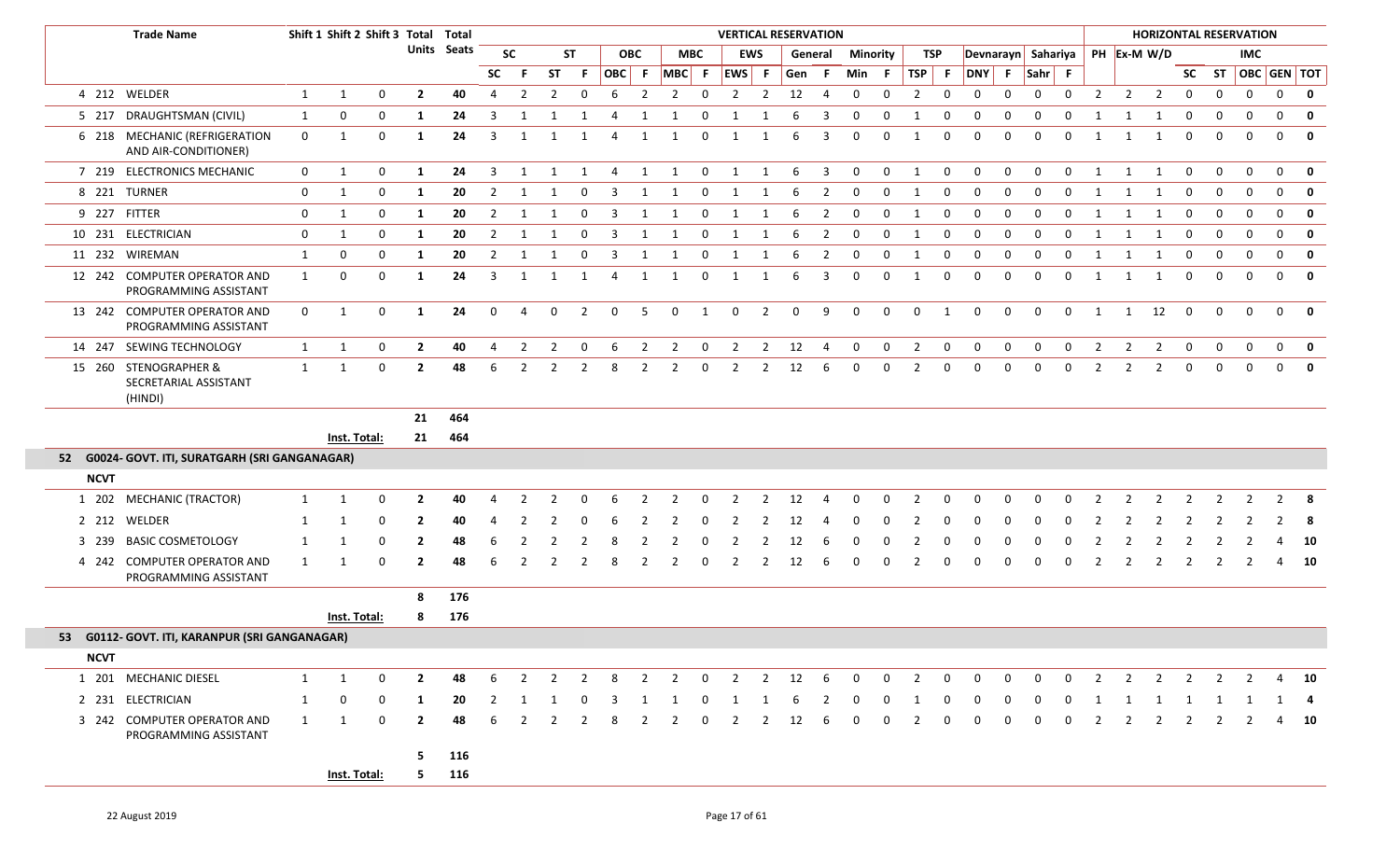|             | <b>Trade Name</b>                                         |              |              | Shift 1 Shift 2 Shift 3 Total Total |                |             |                |                |                |                |                |                |                |                |                |                | <b>VERTICAL RESERVATION</b> |                         |                 |             |                |             |              |              |              |                |                |                |                                |                | <b>HORIZONTAL RESERVATION</b> |              |                          |                         |
|-------------|-----------------------------------------------------------|--------------|--------------|-------------------------------------|----------------|-------------|----------------|----------------|----------------|----------------|----------------|----------------|----------------|----------------|----------------|----------------|-----------------------------|-------------------------|-----------------|-------------|----------------|-------------|--------------|--------------|--------------|----------------|----------------|----------------|--------------------------------|----------------|-------------------------------|--------------|--------------------------|-------------------------|
|             |                                                           |              |              |                                     |                | Units Seats |                | <b>SC</b>      |                | <b>ST</b>      |                | <b>OBC</b>     |                | <b>MBC</b>     |                | <b>EWS</b>     |                             | General                 | <b>Minority</b> |             |                | TSP         |              |              |              |                |                |                | Devnarayn Sahariya PH Ex-M W/D |                |                               | <b>IMC</b>   |                          |                         |
|             |                                                           |              |              |                                     |                |             | <b>SC</b>      | -F.            | <b>ST</b>      | F.             |                | OBC F          | $MBC$ F        |                | EWS F          |                | Gen                         | -F.                     | Min F           |             | $TSP$ F        |             | DNY F Sahr F |              |              |                |                |                |                                |                | SC ST                         |              |                          | OBC GEN TOT             |
|             | 4 212 WELDER                                              | 1            | $\mathbf{1}$ | 0                                   | $\mathbf{2}$   | 40          | $\overline{4}$ | $\overline{2}$ | 2              | $\mathbf 0$    | 6              | $\overline{2}$ | $\overline{2}$ | $\overline{0}$ | $\overline{2}$ | $\overline{2}$ | 12                          | $\overline{4}$          | $\mathbf{0}$    | $\mathbf 0$ | $\overline{2}$ | $\mathbf 0$ | $\mathbf{0}$ | $\mathbf 0$  | $\mathbf 0$  | $\mathbf 0$    | $\overline{2}$ | $\overline{2}$ | $\overline{2}$                 | $\mathbf{0}$   | $\mathbf 0$                   | $\mathbf 0$  | $\mathbf 0$              | $\mathbf{0}$            |
|             | 5 217 DRAUGHTSMAN (CIVIL)                                 | $\mathbf{1}$ | 0            | 0                                   | -1             | 24          | 3              | -1             |                |                | 4              | 1              | -1             | 0              |                | -1             | 6                           | 3                       | $\mathbf 0$     | $\Omega$    |                | $\Omega$    | $\Omega$     | 0            | 0            | 0              |                |                |                                | 0              | $\mathbf 0$                   | 0            | 0                        | 0                       |
|             | 6 218 MECHANIC (REFRIGERATION<br>AND AIR-CONDITIONER)     | $\mathbf{0}$ | 1            | $\mathbf 0$                         | 1              | 24          | 3              | 1              | 1              | 1              | 4              | 1              | 1              | $\overline{0}$ | 1              | 1              | 6                           | $\overline{3}$          | $\mathbf 0$     | $\mathbf 0$ | $\mathbf{1}$   | $\mathbf 0$ | $\mathbf{0}$ | $\mathbf 0$  | $\mathbf 0$  | $\mathbf 0$    | 1              | 1              | 1                              | $\mathbf 0$    | $\mathbf 0$                   | $\Omega$     | $\mathbf 0$              | 0                       |
|             | 7 219 ELECTRONICS MECHANIC                                | $\mathbf{0}$ | 1            | 0                                   | 1              | 24          | $\overline{3}$ | 1              | 1              | 1              | $\overline{4}$ | 1              | 1              | $\mathbf 0$    | $\mathbf{1}$   | 1              | 6                           | $\overline{\mathbf{3}}$ | $\mathbf 0$     | $\mathbf 0$ | 1              | $\mathbf 0$ | 0            | $\mathbf 0$  | $\mathbf 0$  | $\mathbf 0$    | 1              | 1              | 1                              | $\mathbf 0$    | $\mathbf 0$                   | $\mathbf 0$  | $\mathbf 0$              | $\mathbf 0$             |
|             | 8 221 TURNER                                              | $\mathbf 0$  | 1            | 0                                   | 1              | 20          | 2              | -1             | 1              | 0              | -3             | 1              | 1              | 0              | 1              | 1              | 6                           | $\overline{2}$          | $\mathbf 0$     | $\mathbf 0$ | 1              | $\mathbf 0$ | 0            | $\mathbf 0$  | $\Omega$     | 0              | -1             |                | -1                             | $\mathbf 0$    | 0                             | 0            | $\mathbf 0$              | $\mathbf 0$             |
|             | 9 227 FITTER                                              | 0            | 1            | 0                                   | -1             | 20          | $\overline{2}$ | 1              | 1              | $\mathbf 0$    | 3              | 1              | 1              | 0              | 1              | 1              | 6                           | $\overline{2}$          | $\mathbf{0}$    | 0           | 1              | $\mathbf 0$ | 0            | 0            | 0            | $\mathbf{0}$   | -1             | 1              | 1                              | 0              | $\mathbf 0$                   | $\mathbf 0$  | $\mathbf 0$              | $\mathbf 0$             |
|             | 10 231 ELECTRICIAN                                        | $\mathbf 0$  | 1            | 0                                   | 1              | 20          | 2              | -1             |                | 0              | -3             | 1              | 1              | 0              | 1              | 1              | 6                           | $\overline{2}$          | $\mathbf 0$     | $\mathbf 0$ | 1              | 0           | 0            | 0            | 0            | 0              | -1             |                | -1                             | 0              | $\mathbf 0$                   | $\mathbf{0}$ | $\mathbf 0$              | 0                       |
|             | 11 232 WIREMAN                                            | 1            | 0            | $\mathbf 0$                         | 1              | 20          | 2              | 1              |                | 0              | 3              | 1              | 1              | $\mathbf 0$    | 1              | -1             | 6                           | $\overline{2}$          | $\mathbf 0$     | $\mathbf 0$ | 1              | $\mathbf 0$ | $\mathbf 0$  | $\mathbf 0$  | $\mathbf 0$  | 0              | $\mathbf{1}$   |                |                                | $\Omega$       | 0                             | $\mathbf 0$  | $\mathbf 0$              | $\mathbf 0$             |
|             | 12 242 COMPUTER OPERATOR AND<br>PROGRAMMING ASSISTANT     | 1            | 0            | $\mathbf 0$                         | 1              | 24          | 3              | 1              | 1              | 1              | 4              | 1              | 1              | $\mathbf 0$    | 1              | 1              | 6                           | 3                       | $\mathbf 0$     | $\Omega$    | 1              | $\mathbf 0$ | $\mathbf 0$  | $\mathbf 0$  | $\Omega$     | $\mathbf 0$    | $\mathbf{1}$   | -1             | 1                              | 0              | 0                             | $\mathbf 0$  | $\mathbf 0$              | $\mathbf 0$             |
|             | 13 242 COMPUTER OPERATOR AND<br>PROGRAMMING ASSISTANT     | $\mathbf 0$  | 1            | $\mathbf 0$                         | $\mathbf{1}$   | 24          | $\mathbf 0$    | $\overline{4}$ | $\mathbf 0$    | $\overline{2}$ | $\mathbf 0$    | 5              | $\mathbf 0$    | 1              | $\mathbf{0}$   | $\overline{2}$ | $\mathbf{0}$                | 9                       | $\mathbf{0}$    | $\mathbf 0$ | $\mathbf 0$    | 1           | $\mathbf 0$  | $\mathbf 0$  | $\mathbf{0}$ | $\mathbf 0$    | 1              | 1              | 12                             | $\mathbf 0$    | $\mathbf 0$                   | $\mathbf{0}$ | $\mathbf{0}$             | $\mathbf{0}$            |
|             | 14 247 SEWING TECHNOLOGY                                  | $\mathbf{1}$ | 1            | 0                                   | $\overline{2}$ | 40          | 4              | $\overline{2}$ | $\overline{2}$ | $\mathbf{0}$   | 6              | $\overline{2}$ | $\overline{2}$ | $\mathbf{0}$   | $\overline{2}$ | $\overline{2}$ | 12                          | $\overline{4}$          | $\mathbf 0$     | $\mathbf 0$ | $\overline{2}$ | $\mathbf 0$ | $\mathbf 0$  | $\mathbf 0$  | $\mathbf 0$  | $\mathbf 0$    | $\overline{2}$ | $\overline{2}$ | $\overline{2}$                 | $\mathbf{0}$   | $\mathbf 0$                   | $\mathbf 0$  | $\overline{0}$           | $\overline{\mathbf{0}}$ |
|             | 15 260 STENOGRAPHER &<br>SECRETARIAL ASSISTANT<br>(HINDI) | 1            | 1            | $\Omega$                            | $\mathbf{2}$   | 48          | 6              | 2              | 2              | 2              | 8              | $\overline{2}$ | 2              | $\mathbf 0$    | $\overline{2}$ | $\overline{2}$ | 12                          | -6                      | $\Omega$        | $\Omega$    | 2              | $\mathbf 0$ |              | $\Omega$     | $\Omega$     | 0              | $\overline{2}$ | $\overline{2}$ | $\overline{2}$                 | $\mathbf 0$    | $\Omega$                      | $\Omega$     | $\Omega$                 | $\mathbf{0}$            |
|             |                                                           |              |              |                                     | 21             | 464         |                |                |                |                |                |                |                |                |                |                |                             |                         |                 |             |                |             |              |              |              |                |                |                |                                |                |                               |              |                          |                         |
|             |                                                           |              | Inst. Total: |                                     | 21             | 464         |                |                |                |                |                |                |                |                |                |                |                             |                         |                 |             |                |             |              |              |              |                |                |                |                                |                |                               |              |                          |                         |
|             | 52 G0024- GOVT. ITI, SURATGARH (SRI GANGANAGAR)           |              |              |                                     |                |             |                |                |                |                |                |                |                |                |                |                |                             |                         |                 |             |                |             |              |              |              |                |                |                |                                |                |                               |              |                          |                         |
| <b>NCVT</b> |                                                           |              |              |                                     |                |             |                |                |                |                |                |                |                |                |                |                |                             |                         |                 |             |                |             |              |              |              |                |                |                |                                |                |                               |              |                          |                         |
|             | 1 202 MECHANIC (TRACTOR)                                  | 1            | -1           | 0                                   | $\mathbf{2}$   | 40          | 4              |                |                |                |                |                |                | $\Omega$       |                | - 2            | 12                          |                         |                 |             |                | $\Omega$    | n            | $\Omega$     |              |                |                |                |                                |                |                               |              | $\overline{\phantom{a}}$ |                         |
|             | 2 212 WELDER                                              | 1            |              | $\Omega$                            |                | 40          |                |                |                |                |                |                |                |                |                |                |                             |                         |                 |             |                |             |              |              |              |                |                |                |                                |                |                               |              |                          | 8                       |
|             | 3 239 BASIC COSMETOLOGY                                   | 1            |              | $\Omega$                            | $\mathbf{2}$   | 48          | 6              |                |                |                |                |                |                | $\Omega$       |                |                | 12                          |                         |                 |             |                | $\Omega$    | n            | $\Omega$     | <sup>0</sup> | $\Omega$       |                |                |                                |                |                               |              |                          | 10                      |
|             | 4 242 COMPUTER OPERATOR AND<br>PROGRAMMING ASSISTANT      | 1            |              | $\mathbf 0$                         | $\mathbf{2}$   | 48          | 6              | 2              |                | $\overline{2}$ | 8              | $\overline{2}$ |                | 0              | 2              | 2              | 12                          | -6                      | 0               | $\Omega$    |                | 0           | $\Omega$     | 0            | $\Omega$     | 0              |                |                | $\overline{2}$                 | $\overline{2}$ | $\overline{2}$                |              | 4                        | 10                      |
|             |                                                           |              |              |                                     | 8              | 176         |                |                |                |                |                |                |                |                |                |                |                             |                         |                 |             |                |             |              |              |              |                |                |                |                                |                |                               |              |                          |                         |
|             |                                                           |              | Inst. Total: |                                     | 8              | 176         |                |                |                |                |                |                |                |                |                |                |                             |                         |                 |             |                |             |              |              |              |                |                |                |                                |                |                               |              |                          |                         |
|             | 53 G0112- GOVT. ITI, KARANPUR (SRI GANGANAGAR)            |              |              |                                     |                |             |                |                |                |                |                |                |                |                |                |                |                             |                         |                 |             |                |             |              |              |              |                |                |                |                                |                |                               |              |                          |                         |
| <b>NCVT</b> |                                                           |              |              |                                     |                |             |                |                |                |                |                |                |                |                |                |                |                             |                         |                 |             |                |             |              |              |              |                |                |                |                                |                |                               |              |                          |                         |
|             | 1 201 MECHANIC DIESEL                                     | 1            | 1            | $\mathbf 0$                         | $\mathbf{2}$   | 48          | 6              | $\overline{2}$ | $\overline{2}$ | 2              | - 8            | 2              | $\overline{2}$ | $\mathbf 0$    | $\overline{2}$ | 2              | 12                          | 6                       | $\mathbf{0}$    | $\mathbf 0$ | 2              | $\mathbf 0$ | $\mathbf{0}$ | $\mathbf{0}$ | $\mathbf{0}$ | $\mathbf 0$    | 2              | $\overline{2}$ | 2                              | 2              | 2                             | 2            |                          | 4 10                    |
|             | 2 231 ELECTRICIAN                                         | 1            | 0            | 0                                   | -1             | 20          | 2              |                |                |                |                |                |                |                |                |                |                             |                         | 0               | 0           |                | 0           | 0            | 0            | 0            | 0              |                |                |                                |                |                               |              |                          |                         |
|             | 3 242 COMPUTER OPERATOR AND<br>PROGRAMMING ASSISTANT      | 1            | 1            | 0                                   | $\mathbf{2}$   | 48          | 6              | $\overline{2}$ | $\overline{2}$ | 2              | 8              | 2              | $\overline{2}$ | 0              | $\overline{2}$ | 2              | 12                          | 6                       | $\mathbf{0}$    | $\mathbf 0$ | $\overline{2}$ | 0           | $\mathbf{0}$ | 0            | $\mathbf{0}$ | $\overline{0}$ | $\overline{2}$ | $\overline{2}$ | $\overline{2}$                 | $\overline{2}$ | $\overline{2}$                | 2            |                          | 4 10                    |
|             |                                                           |              |              |                                     | 5.             | 116         |                |                |                |                |                |                |                |                |                |                |                             |                         |                 |             |                |             |              |              |              |                |                |                |                                |                |                               |              |                          |                         |
|             |                                                           |              | Inst. Total: |                                     |                | 5 116       |                |                |                |                |                |                |                |                |                |                |                             |                         |                 |             |                |             |              |              |              |                |                |                |                                |                |                               |              |                          |                         |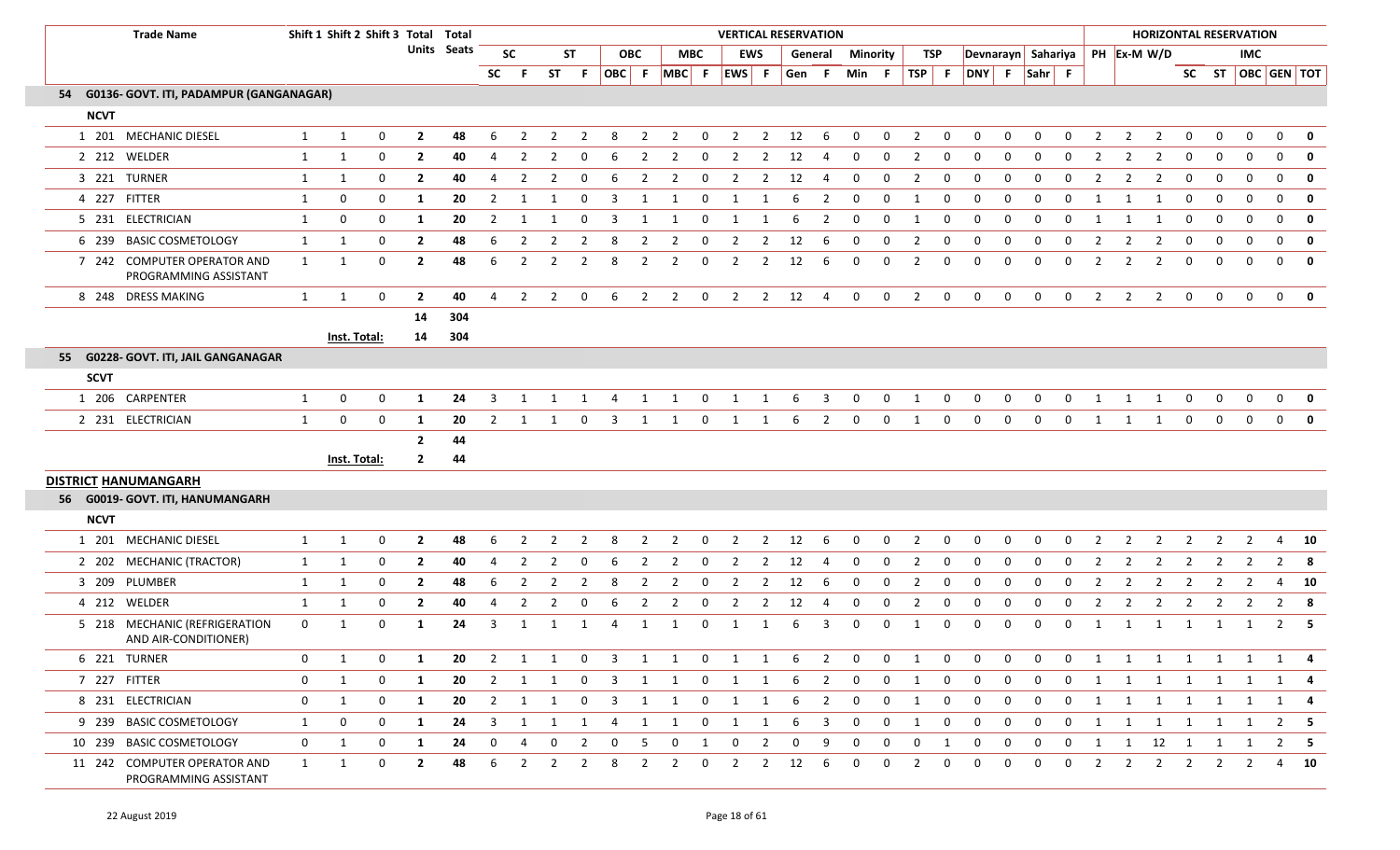| <b>Trade Name</b>                                     |                  |                  | Shift 1 Shift 2 Shift 3 Total Total |                |             |                |                |                |                |                         |                |                   |                |                |                | <b>VERTICAL RESERVATION</b> |                         |              |                |                |              |                    |             |              |                |                |                                  |                | <b>HORIZONTAL RESERVATION</b> |              |                |                   |
|-------------------------------------------------------|------------------|------------------|-------------------------------------|----------------|-------------|----------------|----------------|----------------|----------------|-------------------------|----------------|-------------------|----------------|----------------|----------------|-----------------------------|-------------------------|--------------|----------------|----------------|--------------|--------------------|-------------|--------------|----------------|----------------|----------------------------------|----------------|-------------------------------|--------------|----------------|-------------------|
|                                                       |                  |                  |                                     |                | Units Seats |                | SC             |                | <b>ST</b>      |                         | <b>OBC</b>     |                   | <b>MBC</b>     |                | <b>EWS</b>     |                             | General                 | Minority     |                | TSP            |              |                    |             |              |                |                | Devnarayn Sahariya   PH Ex-M W/D |                |                               | <b>IMC</b>   |                |                   |
|                                                       |                  |                  |                                     |                |             | <b>SC</b>      | F.             |                | ST F           |                         |                | OBC F MBC F EWS F |                |                |                | Gen F                       |                         | Min F        |                |                |              | TSP F DNY F Sahr F |             |              |                |                |                                  |                |                               |              |                | SC ST OBC GEN TOT |
| 54 G0136- GOVT. ITI, PADAMPUR (GANGANAGAR)            |                  |                  |                                     |                |             |                |                |                |                |                         |                |                   |                |                |                |                             |                         |              |                |                |              |                    |             |              |                |                |                                  |                |                               |              |                |                   |
| <b>NCVT</b>                                           |                  |                  |                                     |                |             |                |                |                |                |                         |                |                   |                |                |                |                             |                         |              |                |                |              |                    |             |              |                |                |                                  |                |                               |              |                |                   |
| 1 201 MECHANIC DIESEL                                 | 1                | 1                | 0                                   | $\overline{2}$ | 48          | 6              | $\overline{2}$ | 2              | 2              | 8                       | 2              | $\overline{2}$    | $\mathbf 0$    | $\overline{2}$ | 2              | 12                          | 6                       | $\mathbf{0}$ | 0              | 2              | $\mathbf 0$  | $\mathbf{0}$       | 0           | $\mathbf{0}$ | 0              | 2              | 2<br>$\overline{2}$              | 0              | 0                             | $\mathbf{0}$ | $\mathbf 0$    | $\mathbf 0$       |
| 2 212 WELDER                                          | 1                | 1                | 0                                   | $\mathbf{2}$   | 40          | 4              | 2              | 2              | 0              | 6                       | $\overline{2}$ | $\overline{2}$    | $\mathbf 0$    | $\overline{2}$ | $\overline{2}$ | 12                          | 4                       | 0            | $\mathbf 0$    | 2              | 0            | 0                  | 0           | 0            | 0              |                | 2<br>2                           | 0              | 0                             | 0            | $\mathbf 0$    | 0                 |
| 3 221 TURNER                                          | 1                | 1                | 0                                   | $\overline{2}$ | 40          | 4              | $\overline{2}$ | 2              | 0              | 6                       | $\overline{2}$ | $\overline{2}$    | $\overline{0}$ | $\overline{2}$ | $\overline{2}$ | 12                          | -4                      | $\mathbf 0$  | 0              | 2              | $\mathbf 0$  | 0                  | 0           | 0            | 0              | 2              | $\overline{2}$<br>$\overline{2}$ | $\mathbf 0$    | $\mathbf 0$                   | $\mathbf 0$  | $\mathbf 0$    | $\mathbf 0$       |
| 4 227 FITTER                                          | 1                | 0                | 0                                   | -1             | 20          | 2              | -1             |                |                | 3                       |                |                   | 0              |                |                | 6                           | 2                       | $\Omega$     | $\Omega$       | 1              | 0            | 0                  | 0           | $\Omega$     | $\Omega$       |                |                                  | 0              | 0                             | $\mathbf 0$  | $\mathbf 0$    | $\mathbf 0$       |
| 5 231 ELECTRICIAN                                     | 1                | 0                | 0                                   | 1              | 20          | $\overline{2}$ | -1             |                |                | 3                       |                | 1                 | $\Omega$       | 1              | -1             | 6                           | $\overline{2}$          | $\mathbf 0$  | 0              | 1              | $\mathbf 0$  | $\Omega$           | $\mathbf 0$ | 0            | 0              | -1             | -1                               | $\Omega$       | 0                             | $\mathbf{0}$ | $\mathbf 0$    | $\mathbf 0$       |
| 6 239 BASIC COSMETOLOGY                               | $\mathbf{1}$     | 1                | 0                                   | $\overline{2}$ | 48          | 6              | 2              |                |                | -8                      | -2             | 2                 | 0              | 2              | 2              | 12                          | 6                       | $\Omega$     | 0              | 2              | 0            | 0                  | 0           | 0            | 0              |                | 2<br>2                           | 0              | 0                             | 0            | $\mathbf 0$    | $\mathbf 0$       |
| 7 242 COMPUTER OPERATOR AND<br>PROGRAMMING ASSISTANT  | 1                | 1                | 0                                   | $\mathbf{2}$   | 48          | 6              | 2              | 2              | 2              | 8                       | 2              | 2                 | 0              | 2              | 2              | 12                          | 6                       | $\Omega$     | $\Omega$       | 2              | 0            | $\Omega$           | 0           | $\Omega$     | 0              | 2              | 2<br>2                           | 0              | $\mathbf 0$                   | $\mathbf{0}$ | $\mathbf 0$    | $\mathbf 0$       |
| 8 248 DRESS MAKING                                    | $\mathbf{1}$     | 1                | $\mathbf 0$                         | $\overline{2}$ | 40          | 4              | $\overline{2}$ | 2              | 0              | -6                      | $\overline{2}$ | $\overline{2}$    | $\mathbf 0$    | $\overline{2}$ | $\overline{2}$ | 12                          | -4                      | $\mathbf{0}$ | $\mathbf{0}$   | 2              | $\mathbf{0}$ | $\mathbf{0}$       | $\mathbf 0$ | $\mathbf{0}$ | $\mathbf{0}$   | $\overline{2}$ | 2<br>2                           | $\mathbf{0}$   | $\mathbf 0$                   | $\Omega$     | $\mathbf{0}$   | $\mathbf{0}$      |
|                                                       |                  |                  |                                     | 14             | 304         |                |                |                |                |                         |                |                   |                |                |                |                             |                         |              |                |                |              |                    |             |              |                |                |                                  |                |                               |              |                |                   |
|                                                       |                  | Inst. Total:     |                                     | 14             | 304         |                |                |                |                |                         |                |                   |                |                |                |                             |                         |              |                |                |              |                    |             |              |                |                |                                  |                |                               |              |                |                   |
| 55 G0228- GOVT. ITI, JAIL GANGANAGAR                  |                  |                  |                                     |                |             |                |                |                |                |                         |                |                   |                |                |                |                             |                         |              |                |                |              |                    |             |              |                |                |                                  |                |                               |              |                |                   |
| <b>SCVT</b>                                           |                  |                  |                                     |                |             |                |                |                |                |                         |                |                   |                |                |                |                             |                         |              |                |                |              |                    |             |              |                |                |                                  |                |                               |              |                |                   |
| 1 206 CARPENTER                                       | 1                | $\mathbf 0$      | 0                                   | 1              | 24          | 3              |                |                |                |                         |                |                   | 0              | 1              |                | 6                           | 3                       |              | $\Omega$       |                | $\Omega$     |                    | $\Omega$    | $\Omega$     | $\Omega$       |                |                                  | 0              |                               | $\Omega$     | $\mathbf 0$    |                   |
| 2 231 ELECTRICIAN                                     | $\mathbf{1}$     | 0                | $\mathbf 0$                         | 1              | 20          | $\overline{2}$ | 1              | 1              | 0              | -3                      | 1              | 1                 | 0              | 1              | 1              | 6                           | $\overline{2}$          | $\mathbf 0$  | $\mathbf{0}$   | 1              | $\mathbf 0$  | $\mathbf 0$        | $\mathbf 0$ | $\mathbf 0$  | 0              | -1             | 1<br>-1                          | 0              | $\mathbf 0$                   | $\mathbf{0}$ | $\mathbf 0$    | $\mathbf 0$       |
|                                                       |                  |                  |                                     | $\overline{2}$ | 44          |                |                |                |                |                         |                |                   |                |                |                |                             |                         |              |                |                |              |                    |             |              |                |                |                                  |                |                               |              |                |                   |
|                                                       |                  | Inst. Total:     |                                     | $\mathbf{2}$   | 44          |                |                |                |                |                         |                |                   |                |                |                |                             |                         |              |                |                |              |                    |             |              |                |                |                                  |                |                               |              |                |                   |
| <b>DISTRICT HANUMANGARH</b>                           |                  |                  |                                     |                |             |                |                |                |                |                         |                |                   |                |                |                |                             |                         |              |                |                |              |                    |             |              |                |                |                                  |                |                               |              |                |                   |
| 56 G0019- GOVT. ITI, HANUMANGARH                      |                  |                  |                                     |                |             |                |                |                |                |                         |                |                   |                |                |                |                             |                         |              |                |                |              |                    |             |              |                |                |                                  |                |                               |              |                |                   |
| <b>NCVT</b>                                           |                  |                  |                                     |                |             |                |                |                |                |                         |                |                   |                |                |                |                             |                         |              |                |                |              |                    |             |              |                |                |                                  |                |                               |              |                |                   |
| 1 201 MECHANIC DIESEL                                 | 1                | 1                | 0                                   | $\mathbf{2}$   | 48          | 6              | 2              | 2              |                | 8                       | -2             | $\overline{2}$    | 0              | 2              | 2              | 12                          | 6                       | $\Omega$     | $\Omega$       | 2              | 0            |                    | $\Omega$    | $\Omega$     | 0              |                | 2<br>2                           | 2              |                               | 2            | 4              | 10                |
| 2 202 MECHANIC (TRACTOR)                              | 1                | 1                | $\mathbf 0$                         | $\mathbf{2}$   | 40          | 4              | 2              | 2              | $\Omega$       | 6                       | 2              | 2                 | 0              | 2              | 2              | 12                          | 4                       | $\mathbf 0$  | 0              | 2              | 0            | 0                  | 0           | 0            | 0              | 2              | 2<br>2                           | 2              | $\overline{2}$                | 2            | $\overline{2}$ | 8                 |
| 3 209 PLUMBER                                         | $\mathbf{1}$     | 1                | $\mathbf 0$                         | $\mathbf{2}$   | 48          | 6              | 2              | 2              | 2              | 8                       | -2             | $\overline{2}$    | 0              | $\overline{2}$ | 2              | 12                          | 6                       | 0            | 0              | 2              | 0            | 0                  | 0           | $\Omega$     | 0              |                | 2<br>2                           | 2              | 2                             | 2            | 4              | 10                |
| 4 212 WELDER                                          | 1                | 1                | 0                                   | $\overline{2}$ | 40          | 4              | $\overline{2}$ | 2              | 0              | 6                       | $\overline{2}$ | 2                 | $\mathbf 0$    | $\overline{2}$ | $\overline{2}$ | 12                          | 4                       | 0            | 0              | $\overline{2}$ | $\mathbf 0$  | $\mathbf 0$        | $\mathbf 0$ | 0            | 0              | 2              | 2<br>2                           | 2              | -2                            |              | $\overline{2}$ | 8                 |
| 5 218 MECHANIC (REFRIGERATION<br>AND AIR-CONDITIONER) | $\mathbf 0$      | 1                | 0                                   | 1              | 24          | 3              | 1              |                | -1             | 4                       | 1              | -1                | 0              | 1              | -1             | 6                           | 3                       | $\mathbf 0$  | 0              | 1              | $\mathbf 0$  | $\Omega$           | 0           | 0            | 0              | -1             | 1<br>-1                          | 1              | 1                             | 1            | 2              | -5                |
| 6 221 TURNER                                          | $\mathbf 0$      | 1                | 0                                   | 1              | 20          | $\overline{2}$ | $\mathbf{1}$   | $\mathbf{1}$   |                | $0 \quad 3$             |                | 1 1               | $\overline{0}$ | $\overline{1}$ | 1              | 6                           | $\overline{2}$          | $\mathbf 0$  | $\mathbf 0$    | 1              | 0            | 0                  | 0           | 0            | $\mathbf{0}$   | 1              | 1 1                              |                | 1 1 1                         |              |                | 1 4               |
| 7 227 FITTER                                          | $\boldsymbol{0}$ | 1                | 0                                   | 1              | 20          | $\overline{2}$ | 1              | 1              | $\mathbf{0}$   | $\overline{\mathbf{3}}$ | $\overline{1}$ | 1                 | $\mathbf 0$    | $\overline{1}$ | 1              | 6                           | $\overline{2}$          | $\mathbf{0}$ | $\mathbf{0}$   | 1              | 0            | $\mathbf{0}$       | $\mathbf 0$ | $\mathbf 0$  | $\mathbf{0}$   | $\mathbf{1}$   | 1<br>$\mathbf{1}$                | 1              | $\overline{1}$                | 1            | 1              |                   |
| 8 231 ELECTRICIAN                                     | $\mathbf{0}$     | 1                | 0                                   | -1             | 20          |                | $2 \quad 1$    |                |                |                         |                | 1 0 3 1 1         | $\overline{0}$ | $\overline{1}$ | $\overline{1}$ | $6\qquad2$                  |                         | $\mathbf{0}$ | $\overline{0}$ | 1              | $\mathbf 0$  | $\mathbf 0$        | $\mathbf 0$ | $\mathbf 0$  | $\overline{0}$ | $\mathbf{1}$   | 1 1 1 1 1                        |                |                               |              |                | 1 4               |
| 9 239 BASIC COSMETOLOGY                               | 1                | $\boldsymbol{0}$ | 0                                   | -1             | 24          | 3              | 1              | 1              | 1              | -4                      | 1              | 1                 | $\mathbf{0}$   | $\overline{1}$ | 1              | 6                           | $\overline{\mathbf{3}}$ | $\mathbf 0$  | $\mathbf 0$    | 1              | $\mathbf 0$  | $\mathbf 0$        | $\mathbf 0$ | $\mathbf{0}$ | $\mathbf 0$    | 1              | 1<br>1                           | $\overline{1}$ | $\overline{1}$                | 1            |                | $2 \quad 5$       |
| 10 239 BASIC COSMETOLOGY                              | $\mathbf{0}$     | 1                | 0                                   | 1              | 24          | $\mathbf{0}$   | 4              | $\mathbf{0}$   | $\overline{2}$ | $\overline{0}$          | -5             | 0                 | 1              | $\mathbf{0}$   | $\overline{2}$ | 0                           | 9                       | $\Omega$     | 0              | 0              | 1            | $\mathbf{0}$       | 0           | 0            | $\mathbf 0$    | 1              | 1 12 1 1 1                       |                |                               |              |                | 2 5               |
| 11 242 COMPUTER OPERATOR AND<br>PROGRAMMING ASSISTANT | $\mathbf{1}$     | 1                | 0                                   | $\mathbf{2}$   | 48          | 6              | 2              | $\overline{2}$ | 2              | 8                       | 2              | $\overline{2}$    | $\mathbf 0$    | $\overline{2}$ | $\overline{2}$ | 12                          | 6                       | 0            | $\mathbf 0$    | 2              | 0            | $\Omega$           | 0           | $\Omega$     | $\mathbf 0$    | 2              | $\overline{2}$<br>2              | 2              | $\overline{2}$                | 2            |                | 4 10              |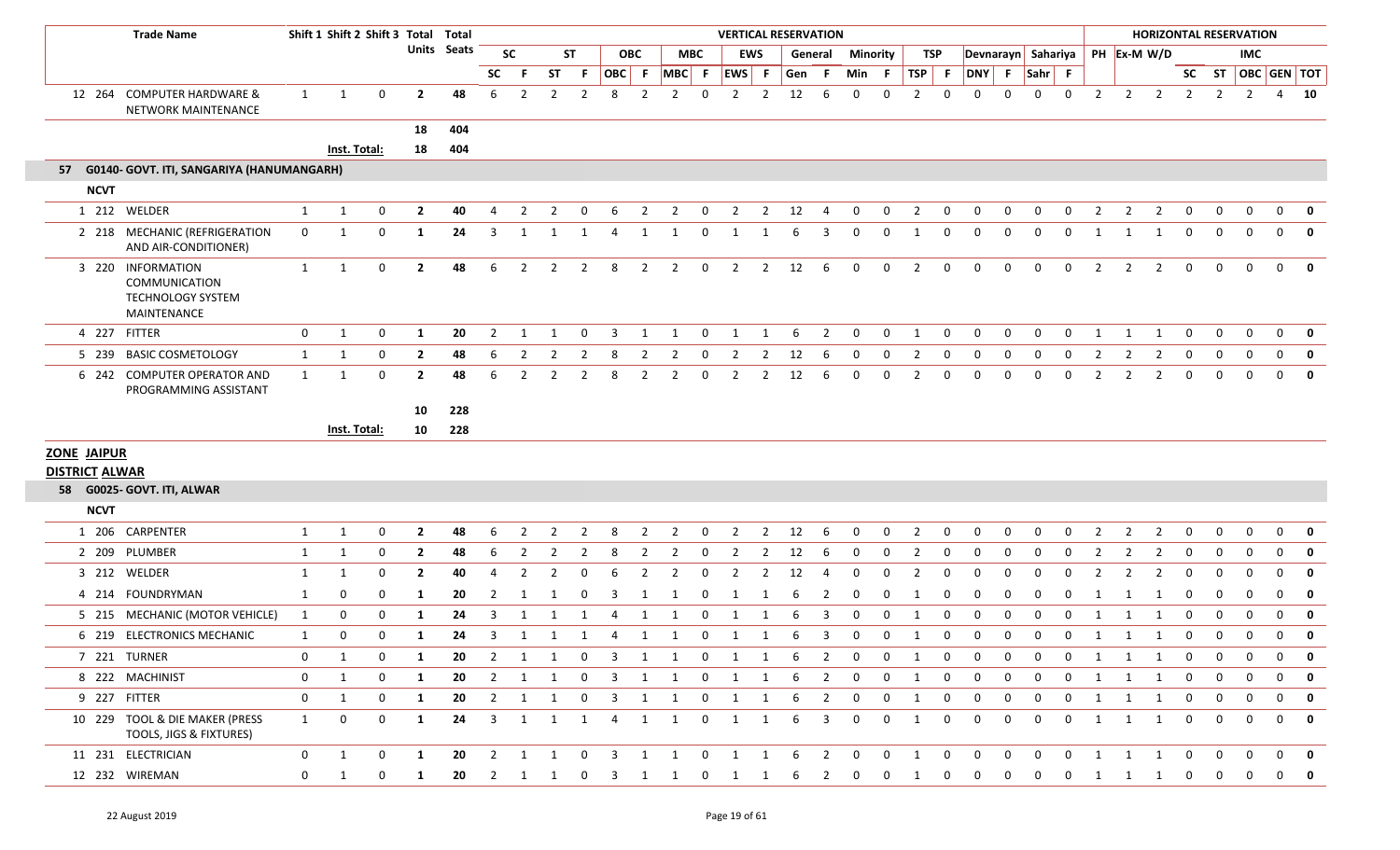|                       | <b>Trade Name</b>                                                             |                  | Shift 1 Shift 2 Shift 3 Total Total |              |                |                    |                |                         |                |                         |                         |                |                     |                         |                         |                | <b>VERTICAL RESERVATION</b> |                         |                         |                |                |                         |                    |                |                |                |                |                     |                |                |                | <b>HORIZONTAL RESERVATION</b> |                         |                         |
|-----------------------|-------------------------------------------------------------------------------|------------------|-------------------------------------|--------------|----------------|--------------------|----------------|-------------------------|----------------|-------------------------|-------------------------|----------------|---------------------|-------------------------|-------------------------|----------------|-----------------------------|-------------------------|-------------------------|----------------|----------------|-------------------------|--------------------|----------------|----------------|----------------|----------------|---------------------|----------------|----------------|----------------|-------------------------------|-------------------------|-------------------------|
|                       |                                                                               |                  |                                     |              |                | <b>Units Seats</b> |                | <b>SC</b>               |                | <b>ST</b>               |                         | <b>OBC</b>     |                     | <b>MBC</b>              |                         | <b>EWS</b>     | General                     |                         | Minority                |                | TSP            |                         | Devnarayn Sahariya |                |                |                |                |                     | PH Ex-M W/D    |                |                | <b>IMC</b>                    |                         |                         |
|                       |                                                                               |                  |                                     |              |                |                    | SC             |                         | <b>ST</b>      | - F                     | OBC F                   |                | MBC F               |                         | EWS F                   |                | Gen                         | - F                     | Min                     | - F            | <b>TSP</b>     | - F                     | DNY F              |                | Sahr F         |                |                |                     |                |                |                |                               | SC ST   OBC   GEN   TOT |                         |
| 12 264                | <b>COMPUTER HARDWARE &amp;</b><br><b>NETWORK MAINTENANCE</b>                  | $\mathbf{1}$     | $\overline{1}$                      | $\mathbf{0}$ | $\overline{2}$ | 48                 | 6              | $\overline{2}$          | 2              | $\overline{2}$          | 8                       | $\overline{2}$ | $\overline{2}$      | $\mathbf 0$             | $\overline{2}$          | $\overline{2}$ | 12                          | 6                       | $\mathbf 0$             | $\Omega$       | $\overline{2}$ | $\mathbf 0$             | $\Omega$           | $\Omega$       | $\mathbf 0$    | 0              | $\overline{2}$ | $\overline{2}$      | $\overline{2}$ | $\overline{2}$ | $\overline{2}$ | $\overline{2}$                | $\overline{4}$          | 10                      |
|                       |                                                                               |                  |                                     |              | 18             | 404                |                |                         |                |                         |                         |                |                     |                         |                         |                |                             |                         |                         |                |                |                         |                    |                |                |                |                |                     |                |                |                |                               |                         |                         |
|                       |                                                                               |                  | Inst. Total:                        |              | 18             | 404                |                |                         |                |                         |                         |                |                     |                         |                         |                |                             |                         |                         |                |                |                         |                    |                |                |                |                |                     |                |                |                |                               |                         |                         |
| 57                    | G0140- GOVT. ITI, SANGARIYA (HANUMANGARH)                                     |                  |                                     |              |                |                    |                |                         |                |                         |                         |                |                     |                         |                         |                |                             |                         |                         |                |                |                         |                    |                |                |                |                |                     |                |                |                |                               |                         |                         |
| <b>NCVT</b>           |                                                                               |                  |                                     |              |                |                    |                |                         |                |                         |                         |                |                     |                         |                         |                |                             |                         |                         |                |                |                         |                    |                |                |                |                |                     |                |                |                |                               |                         |                         |
|                       | 1 212 WELDER                                                                  | $\mathbf{1}$     | $\mathbf{1}$                        | $\mathbf{0}$ | $\overline{2}$ | 40                 | $\overline{4}$ | $\overline{2}$          | $\overline{2}$ | $\overline{0}$          | 6                       | $\overline{2}$ | $\overline{2}$      | $\overline{0}$          | $\overline{2}$          |                | $2 \t 12$                   | $\overline{4}$          | $\mathbf 0$             | $\overline{0}$ | $\overline{2}$ | $\mathbf{0}$            | $\mathbf 0$        | $\mathbf 0$    | $\mathbf{0}$   | $\mathbf 0$    | $\overline{2}$ | $\overline{2}$      | $\overline{2}$ | $\mathbf 0$    | $\mathbf{0}$   | $\mathbf 0$                   | $\mathbf 0$             | 0                       |
|                       | 2 218 MECHANIC (REFRIGERATION<br>AND AIR-CONDITIONER)                         | $\mathbf{0}$     | $\mathbf{1}$                        | 0            | 1              | 24                 | 3              |                         |                |                         |                         | 1              | 1                   | 0                       | 1                       |                | -6                          | 3                       | $\Omega$                | $\mathbf 0$    | 1              | 0                       | $\Omega$           | $\Omega$       | 0              | $\Omega$       | 1              | -1                  | 1              | 0              | $\Omega$       | $\mathbf{0}$                  | $\mathbf{0}$            | 0                       |
|                       | 3 220 INFORMATION<br>COMMUNICATION<br><b>TECHNOLOGY SYSTEM</b><br>MAINTENANCE | 1                | $\mathbf{1}$                        | 0            | $\overline{2}$ | 48                 | 6              | 2                       | $\overline{2}$ | 2                       | 8                       | 2              | $\overline{2}$      | $\mathbf 0$             | $\overline{2}$          | $\overline{2}$ | 12                          | - 6                     | $\mathbf{0}$            | $\mathbf{0}$   | 2              | $\mathbf{0}$            | $\Omega$           | $\Omega$       | $\mathbf{0}$   | $\mathbf{0}$   | 2              | $\overline{2}$      | $\overline{2}$ | 0              | 0              | $\mathbf{0}$                  | $\mathbf{0}$            | 0                       |
|                       | 4 227 FITTER                                                                  | 0                | 1                                   | $\mathbf{0}$ | 1              | 20                 | 2              | 1                       |                | $\mathbf 0$             | 3                       | 1              | 1                   | $\mathbf 0$             | 1                       | 1              | 6                           | $\overline{2}$          | $\mathbf{0}$            | $\mathbf 0$    | 1              | $\mathbf{0}$            | $\Omega$           | $\Omega$       | 0              | 0              | 1              | 1                   | 1              | $\overline{0}$ | 0              | $\mathbf{0}$                  | $\mathbf{0}$            | 0                       |
| 5 239                 | <b>BASIC COSMETOLOGY</b>                                                      | $\mathbf{1}$     | 1                                   | $\mathbf{0}$ | $\overline{2}$ | 48                 | 6              | 2                       |                | 2                       | 8                       | 2              | 2                   | 0                       | 2                       | 2              | 12                          | 6                       | $\Omega$                | 0              | $\overline{2}$ | 0                       | $\Omega$           |                | $\Omega$       | 0              | 2              |                     | 2              | 0              | 0              |                               | $\mathbf{0}$            | $\mathbf{0}$            |
|                       | 6 242 COMPUTER OPERATOR AND<br>PROGRAMMING ASSISTANT                          | 1                | 1                                   | 0            | $\overline{2}$ | 48                 | 6              | $\overline{2}$          | 2              | 2                       | 8                       | $\overline{2}$ | $\overline{2}$      | 0                       | $\overline{2}$          | $\overline{2}$ | 12                          | 6                       | 0                       | $\mathbf 0$    | $\overline{2}$ | $\Omega$                | $\Omega$           | $\Omega$       | 0              | $\Omega$       | $\overline{2}$ | 2                   | $\overline{2}$ | $\mathbf{0}$   | 0              | $\Omega$                      | $\mathbf{0}$            | $\mathbf 0$             |
|                       |                                                                               |                  |                                     |              | 10             | 228                |                |                         |                |                         |                         |                |                     |                         |                         |                |                             |                         |                         |                |                |                         |                    |                |                |                |                |                     |                |                |                |                               |                         |                         |
|                       |                                                                               |                  | Inst. Total:                        |              | 10             | 228                |                |                         |                |                         |                         |                |                     |                         |                         |                |                             |                         |                         |                |                |                         |                    |                |                |                |                |                     |                |                |                |                               |                         |                         |
| <b>ZONE JAIPUR</b>    |                                                                               |                  |                                     |              |                |                    |                |                         |                |                         |                         |                |                     |                         |                         |                |                             |                         |                         |                |                |                         |                    |                |                |                |                |                     |                |                |                |                               |                         |                         |
| <b>DISTRICT ALWAR</b> |                                                                               |                  |                                     |              |                |                    |                |                         |                |                         |                         |                |                     |                         |                         |                |                             |                         |                         |                |                |                         |                    |                |                |                |                |                     |                |                |                |                               |                         |                         |
|                       | 58 G0025- GOVT. ITI, ALWAR                                                    |                  |                                     |              |                |                    |                |                         |                |                         |                         |                |                     |                         |                         |                |                             |                         |                         |                |                |                         |                    |                |                |                |                |                     |                |                |                |                               |                         |                         |
| <b>NCVT</b>           |                                                                               |                  |                                     |              |                |                    |                |                         |                |                         |                         |                |                     |                         |                         |                |                             |                         |                         |                |                |                         |                    |                |                |                |                |                     |                |                |                |                               |                         |                         |
|                       | 1 206 CARPENTER                                                               | $\mathbf{1}$     | $\mathbf{1}$                        | 0            | $\overline{2}$ | 48                 | 6              | 2                       |                | $\mathcal{P}$           | 8                       | 2              | 2                   | 0                       | 2                       | $\overline{2}$ | 12                          | -6                      | 0                       | $\mathbf 0$    | 2              | 0                       | $\Omega$           | $\Omega$       | 0              | 0              | 2              | 2                   | 2              | 0              | 0              | $\mathbf{0}$                  | $\mathbf{0}$            | 0                       |
|                       | 2 209 PLUMBER                                                                 | $\mathbf{1}$     | $\mathbf{1}$                        | 0            | $\overline{2}$ | 48                 | 6              | $\overline{2}$          | 2              | $\overline{2}$          | 8                       | 2              | $\overline{2}$      | 0                       | $\overline{2}$          | $\overline{2}$ | 12                          | -6                      | $\mathbf 0$             | 0              | $\overline{2}$ | $\mathbf 0$             | 0                  | 0              | 0              | 0              | 2              | 2                   | $\overline{2}$ | $\mathbf 0$    | 0              | 0                             | $\mathbf{0}$            | $\mathbf 0$             |
|                       | 3 212 WELDER                                                                  | $\mathbf{1}$     | $\mathbf{1}$                        | 0            | $\overline{2}$ | 40                 | 4              | $\overline{2}$          |                | 0                       | 6                       | $\overline{2}$ | 2                   | 0                       | $\overline{2}$          | $\overline{2}$ | 12                          | 4                       | $\mathbf 0$             | $\mathbf 0$    | 2              | $\mathbf 0$             | $\Omega$           | $\Omega$       | $\Omega$       | $\Omega$       | $\mathcal{P}$  | $\mathcal{P}$       | $\overline{2}$ | $\mathbf{0}$   | <sup>0</sup>   | $\Omega$                      | 0                       | $\mathbf 0$             |
|                       | 4 214 FOUNDRYMAN                                                              | 1                | $\mathbf{0}$                        | 0            | $\mathbf{1}$   | 20                 | 2              | 1                       |                | $\mathbf 0$             | 3                       | 1              | -1                  | $\mathbf 0$             | $\mathbf{1}$            | 1              | -6                          | $\overline{2}$          | $\mathbf 0$             | $\mathbf 0$    | 1              | $\mathbf 0$             | $\Omega$           | $\Omega$       | 0              | $\mathbf{0}$   | 1              | -1                  | -1             | 0              | $\mathbf{0}$   | $\mathbf 0$                   | 0                       | $\mathbf 0$             |
|                       | 5 215 MECHANIC (MOTOR VEHICLE)                                                | 1                | $\mathbf 0$                         | $\mathbf{0}$ | 1              | 24                 | 3              |                         |                |                         |                         |                | -1                  | $\Omega$                |                         |                |                             | 3                       | $\Omega$                | $\Omega$       |                | $\Omega$                | $\Omega$           |                | $\Omega$       | n              | -1             |                     | - 1            | $\mathbf 0$    | <sup>0</sup>   | $\Omega$                      | $\mathbf{0}$            | 0                       |
|                       | 6 219 ELECTRONICS MECHANIC                                                    | 1                | $\mathbf 0$                         | 0            | 1              | 24                 | 3              | 1                       | 1              | $\overline{1}$          | 4                       | 1              | 1                   | $\mathbf{0}$            | 1                       | 1              | 6                           | 3                       | $\mathbf 0$             | $\mathbf 0$    | 1              | $\mathbf 0$             | 0                  | $\mathbf 0$    | $\mathbf 0$    | 0              | 1              | 1                   | $\overline{1}$ | 0              | 0              | $\mathbf 0$                   | $\mathbf 0$             | 0                       |
|                       | 7 221 TURNER                                                                  | 0                | $\mathbf{1}$                        | 0            | 1              | 20                 | 2              | 1                       | 1              | $\mathbf 0$             | 3                       | 1              | 1                   | $\overline{0}$          | 1                       | 1              | 6                           | 2                       | $\mathbf 0$             | 0              | 1              | 0                       | 0                  | 0              | $\Omega$       | 0              | 1              | -1                  | -1             | 0              | 0              | $\Omega$                      | $\mathbf{0}$            | 0                       |
|                       | 8 222 MACHINIST                                                               | 0                | 1                                   | $\mathbf 0$  | 1              | 20                 | $\overline{2}$ | $\overline{1}$          | 1              | $\overline{0}$          |                         |                | 3 1 1 0 1           |                         |                         | 1              | 6                           | $\overline{2}$          | $\mathbf 0$             | $\mathbf 0$    | 1              | $\mathbf{0}$            | $\Omega$           | 0              | 0              | $\mathbf{0}$   | 1              | $1 \quad 1$         |                | $\mathbf 0$    | $\mathbf{0}$   | $\mathbf 0$                   | $\mathbf{0}$            | $\mathbf 0$             |
|                       | 9 227 FITTER                                                                  | $\boldsymbol{0}$ | 1                                   | 0            | 1              | 20                 | $\overline{2}$ | $\mathbf{1}$            | $\mathbf{1}$   | $\overline{\mathbf{0}}$ | $\overline{\mathbf{3}}$ |                | 1 1                 | $\overline{\mathbf{0}}$ | $\overline{\mathbf{1}}$ | 1              | 6                           | $\overline{2}$          | $\mathbf{0}$            | $\mathbf{0}$   | 1              | $\mathbf 0$             | 0                  | $\mathbf{0}$   | 0              | 0              | 1              | $\mathbf{1}$        | $\overline{1}$ | $\overline{0}$ | $\mathbf{0}$   | $\mathbf{0}$                  | $\mathbf{0}$            | $\mathbf 0$             |
|                       | 10 229 TOOL & DIE MAKER (PRESS<br>TOOLS, JIGS & FIXTURES)                     | 1                | $\mathbf{0}$                        | $\mathbf{0}$ | 1              | 24                 | $\overline{3}$ | 1                       |                | 1 1                     | 4                       | $\mathbf{1}$   | $\mathbf{1}$        | $\overline{0}$          | $\overline{1}$          | 1              | 6                           | $\overline{\mathbf{3}}$ | $\mathbf 0$             | $\mathbf 0$    | 1              | $\mathbf 0$             | $\mathbf 0$        | $\mathbf{0}$   | $\mathbf 0$    | $\mathbf{0}$   | $\mathbf{1}$   | 1 1                 |                | $\mathbf 0$    | $\mathbf{0}$   | $\mathbf{0}$                  | $\mathbf{0}$            | $\mathbf{0}$            |
|                       | 11 231 ELECTRICIAN                                                            | 0                | 1                                   | $\mathbf 0$  | 1              | 20                 | $\overline{2}$ | $\overline{\mathbf{1}}$ | $1 \quad 0$    |                         | $\overline{\mathbf{3}}$ |                | $1 \quad 1 \quad 0$ |                         | $1 \quad 1 \quad 6$     |                |                             | $\overline{\mathbf{2}}$ | $\overline{0}$          | $\overline{0}$ | $\overline{1}$ | $\overline{\mathbf{0}}$ | $\mathbf 0$        | $\overline{0}$ | $\overline{0}$ | $\overline{0}$ | 1              | 1 1                 |                | $\overline{0}$ | $\mathbf 0$    | $\overline{0}$                | $\mathbf{0}$            | 0                       |
|                       | 12 232 WIREMAN                                                                | 0                | $\mathbf{1}$                        | 0            | 1              | 20                 |                |                         | 2 1 1 0        |                         | $\overline{\mathbf{3}}$ |                | 1 1 0 1 1 6         |                         |                         |                |                             | $\overline{\mathbf{2}}$ | $\overline{\mathbf{0}}$ | $\mathbf{0}$   | $\overline{1}$ | $\mathbf{0}$            | $\mathbf 0$        | $\mathbf{0}$   | $\mathbf{0}$   | $\mathbf{0}$   |                | $1 \quad 1 \quad 1$ |                | $\mathbf{0}$   | $\mathbf{0}$   | $\mathbf 0$                   | $\mathbf{0}$            | $\overline{\mathbf{0}}$ |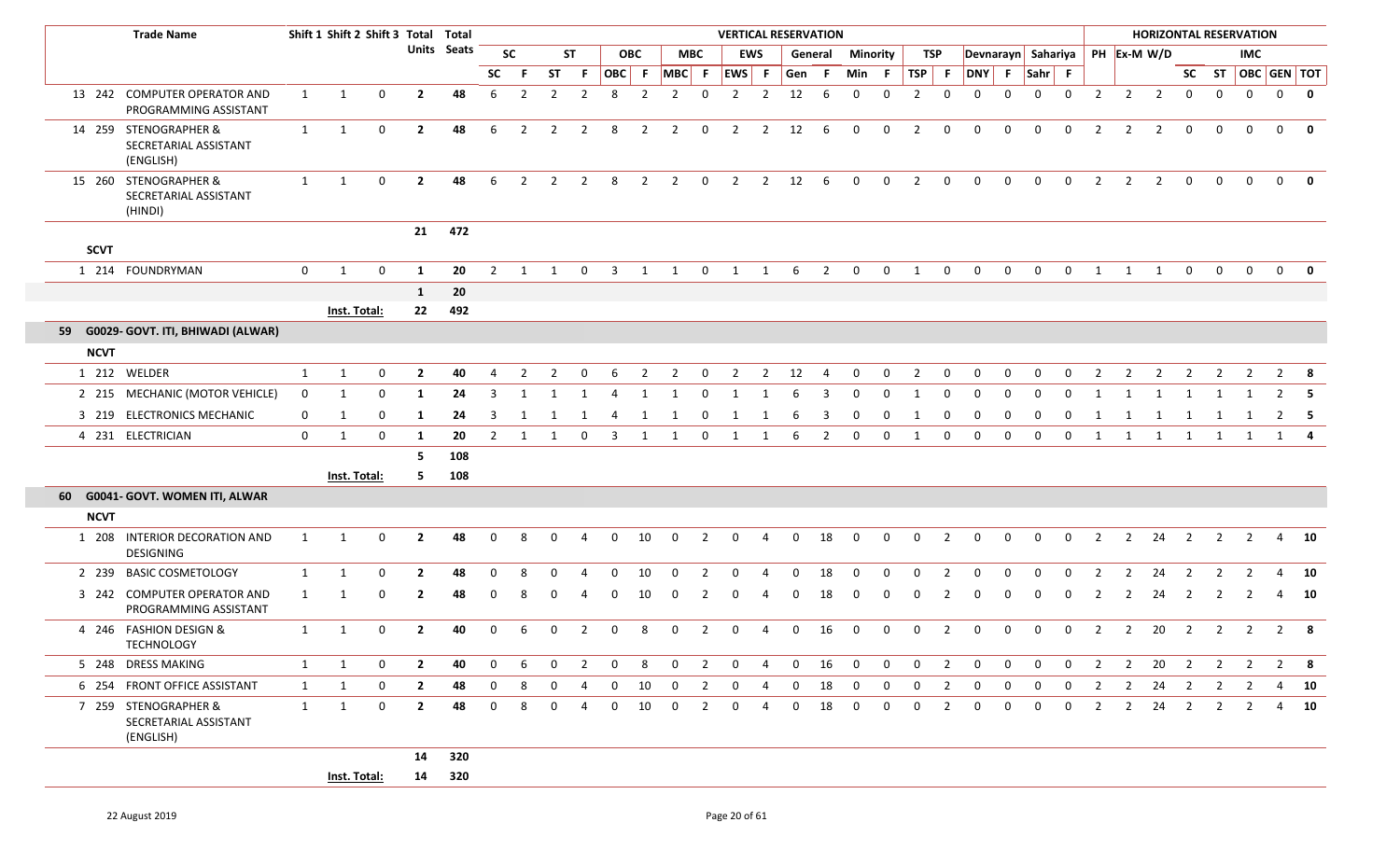|             | <b>Trade Name</b>                                           |              | Shift 1 Shift 2 Shift 3 Total Total |              |                |             |                |                |                |                |                         |                |                |                |                |                |                | <b>VERTICAL RESERVATION</b> |                |                 |                |                |              |              |              |                |                |                | <b>HORIZONTAL RESERVATION</b>  |                         |                         |                |                |                         |
|-------------|-------------------------------------------------------------|--------------|-------------------------------------|--------------|----------------|-------------|----------------|----------------|----------------|----------------|-------------------------|----------------|----------------|----------------|----------------|----------------|----------------|-----------------------------|----------------|-----------------|----------------|----------------|--------------|--------------|--------------|----------------|----------------|----------------|--------------------------------|-------------------------|-------------------------|----------------|----------------|-------------------------|
|             |                                                             |              |                                     |              |                | Units Seats |                | <b>SC</b>      |                | <b>ST</b>      |                         | <b>OBC</b>     |                | <b>MBC</b>     |                | <b>EWS</b>     |                | General                     |                | <b>Minority</b> |                | TSP            |              |              |              |                |                |                | Devnarayn Sahariya PH Ex-M W/D |                         |                         | <b>IMC</b>     |                |                         |
|             |                                                             |              |                                     |              |                |             | SC             | -F.            | <b>ST</b>      | -F.            |                         | OBC F          | $MBC$ F        |                | EWS F          |                | Gen            | -F                          | Min            | - F             | $TSP$ F        |                | DNY F Sahr F |              |              |                |                |                |                                | <b>SC</b>               | <b>ST</b>               |                |                | OBC GEN TOT             |
|             | 13 242 COMPUTER OPERATOR AND<br>PROGRAMMING ASSISTANT       | 1            | 1                                   | 0            | $\mathbf{2}$   | 48          | 6              | $\overline{2}$ | 2              | $\overline{2}$ | 8                       | $\overline{2}$ | 2              | $\Omega$       | $\overline{2}$ | $\overline{2}$ | 12             | 6                           | $\Omega$       | $\Omega$        | 2              | $\Omega$       | $\Omega$     | $\Omega$     | $\Omega$     | $\overline{0}$ | $\overline{2}$ | $\overline{2}$ | $\overline{2}$                 | $\mathbf 0$             | $\mathbf 0$             | $\mathbf{0}$   | $\overline{0}$ | $\overline{\mathbf{0}}$ |
|             | 14 259 STENOGRAPHER &<br>SECRETARIAL ASSISTANT<br>(ENGLISH) | $\mathbf{1}$ | 1                                   | $\mathbf 0$  | $\overline{2}$ | 48          | 6              | $\overline{2}$ | $\overline{2}$ | $\overline{2}$ | 8                       | $\overline{2}$ | $\overline{2}$ | $\mathbf 0$    | $\overline{2}$ | $\overline{2}$ | 12             | 6                           | $\mathbf 0$    | $\mathbf 0$     | $\overline{2}$ | $\mathbf 0$    | $\mathbf 0$  | $\mathbf 0$  | $\mathbf 0$  | $\mathbf 0$    | 2              | $\overline{2}$ | $\overline{2}$                 | $\mathbf 0$             | $\mathbf 0$             | $\mathbf 0$    | $\mathbf{0}$   | $\mathbf{0}$            |
|             | 15 260 STENOGRAPHER &<br>SECRETARIAL ASSISTANT<br>(HINDI)   | 1            | 1                                   | $\mathbf 0$  | $\mathbf{2}$   | 48          | 6              | $\overline{2}$ | $\overline{2}$ | $\overline{2}$ | 8                       | $\overline{2}$ | $\overline{2}$ | $\mathbf 0$    | $\overline{2}$ | $\overline{2}$ | 12             | 6                           | $\mathbf 0$    | $\mathbf 0$     | $\overline{2}$ | $\mathbf 0$    | $\mathbf 0$  | $\mathbf 0$  | $\mathbf{0}$ | $\mathbf 0$    | 2              | $\overline{2}$ | $\overline{2}$                 | $\mathbf 0$             | $\mathbf{0}$            | $\Omega$       | $\mathbf{0}$   | $\mathbf{0}$            |
| <b>SCVT</b> |                                                             |              |                                     |              | 21             | 472         |                |                |                |                |                         |                |                |                |                |                |                |                             |                |                 |                |                |              |              |              |                |                |                |                                |                         |                         |                |                |                         |
|             | 1 214 FOUNDRYMAN                                            | $\mathbf{0}$ | $\mathbf{1}$                        | $\mathbf 0$  | 1              | 20          | $\overline{2}$ | 1              | $\mathbf{1}$   | $\overline{0}$ | $\overline{\mathbf{3}}$ |                | $1 \quad 1$    | $\overline{0}$ |                | $1 \quad 1$    |                | $6\qquad2$                  | $\overline{0}$ | $\overline{0}$  | $\mathbf{1}$   | $\mathbf 0$    | $\mathbf 0$  | $\mathbf 0$  | $\mathbf 0$  | $\overline{0}$ | $\mathbf{1}$   | $1 \quad 1$    |                                | $\overline{0}$          | $\overline{0}$          | $\overline{0}$ |                | $0$ 0                   |
|             |                                                             |              |                                     |              | $\mathbf{1}$   | 20          |                |                |                |                |                         |                |                |                |                |                |                |                             |                |                 |                |                |              |              |              |                |                |                |                                |                         |                         |                |                |                         |
|             |                                                             |              | Inst. Total:                        |              | 22             | 492         |                |                |                |                |                         |                |                |                |                |                |                |                             |                |                 |                |                |              |              |              |                |                |                |                                |                         |                         |                |                |                         |
|             | 59 G0029- GOVT. ITI, BHIWADI (ALWAR)                        |              |                                     |              |                |             |                |                |                |                |                         |                |                |                |                |                |                |                             |                |                 |                |                |              |              |              |                |                |                |                                |                         |                         |                |                |                         |
| <b>NCVT</b> |                                                             |              |                                     |              |                |             |                |                |                |                |                         |                |                |                |                |                |                |                             |                |                 |                |                |              |              |              |                |                |                |                                |                         |                         |                |                |                         |
|             | 1 212 WELDER                                                | $\mathbf{1}$ | 1                                   | 0            | $\overline{2}$ | 40          | 4              | 2              | $\mathcal{P}$  | $\Omega$       | 6                       | 2              | $\overline{2}$ | 0              | 2              | 2              | 12             | 4                           | 0              | 0               | 2              | 0              | 0            | 0            | $\Omega$     | 0              | 2              | 2              | 2                              | 2                       | 2                       | 2              | $\overline{2}$ | -8                      |
|             | 2 215 MECHANIC (MOTOR VEHICLE)                              | $\mathbf 0$  | -1                                  | 0            | -1             | 24          | 3              | -1             |                |                | 4                       | 1              |                | 0              | 1              | -1             | 6              | 3                           | $\Omega$       | $\mathbf 0$     | -1             | 0              | $\Omega$     | $\Omega$     |              | $\Omega$       |                |                |                                |                         |                         |                | 2              | -5                      |
|             | 3 219 ELECTRONICS MECHANIC                                  | 0            | 1                                   | $\Omega$     | -1             | 24          | 3              |                |                |                |                         |                |                | $\Omega$       |                |                | 6              | -3                          |                |                 |                | $\Omega$       | <sup>0</sup> | $\Omega$     |              |                |                |                |                                |                         |                         |                | 2              | - 5                     |
|             | 4 231 ELECTRICIAN                                           | $\mathbf 0$  | 1                                   | $\mathbf 0$  | 1              | 20          | 2              | 1              | 1              | $\mathbf{0}$   | $\overline{\mathbf{3}}$ | 1              | 1              | $\overline{0}$ | $\mathbf{1}$   | 1              | 6              | $\overline{2}$              | $\mathbf{0}$   | $\mathbf 0$     | 1              | $\mathbf 0$    | $\mathbf{0}$ | $\mathbf{0}$ | $\mathbf{0}$ | $\overline{0}$ | 1              | 1              |                                |                         | 1 1 1 1                 |                |                | $1 \quad 4$             |
|             |                                                             |              |                                     |              | 5              | 108         |                |                |                |                |                         |                |                |                |                |                |                |                             |                |                 |                |                |              |              |              |                |                |                |                                |                         |                         |                |                |                         |
|             |                                                             |              | Inst. Total:                        |              | 5              | 108         |                |                |                |                |                         |                |                |                |                |                |                |                             |                |                 |                |                |              |              |              |                |                |                |                                |                         |                         |                |                |                         |
|             | 60 G0041- GOVT. WOMEN ITI, ALWAR                            |              |                                     |              |                |             |                |                |                |                |                         |                |                |                |                |                |                |                             |                |                 |                |                |              |              |              |                |                |                |                                |                         |                         |                |                |                         |
| <b>NCVT</b> |                                                             |              |                                     |              |                |             |                |                |                |                |                         |                |                |                |                |                |                |                             |                |                 |                |                |              |              |              |                |                |                |                                |                         |                         |                |                |                         |
|             | 1 208 INTERIOR DECORATION AND<br>DESIGNING                  | $\mathbf{1}$ | 1                                   | $\mathbf 0$  | $\overline{2}$ | 48          | $\mathbf 0$    | 8              | 0              | $\overline{4}$ | $\mathbf 0$             | 10             | $\mathbf 0$    | $\overline{2}$ | $\mathbf{0}$   | $\overline{4}$ | $\mathbf 0$    | 18                          | $\mathbf 0$    | $\mathbf 0$     | $\mathbf 0$    | $\overline{2}$ | 0            | 0            | $\mathbf 0$  | $\mathbf{0}$   | $\overline{2}$ | $2^{\circ}$    | 24                             | $\overline{\mathbf{2}}$ | $\overline{2}$          | $\overline{2}$ |                | 4 10                    |
|             | 2 239 BASIC COSMETOLOGY                                     | $\mathbf{1}$ | 1                                   | $\Omega$     | $\overline{2}$ | 48          | $\Omega$       |                |                |                | $\Omega$                | 10             | $\Omega$       | 2              | $\Omega$       |                | $\Omega$       | 18                          | $\Omega$       |                 | $\Omega$       | 2              | $\Omega$     | $\Omega$     | $\Omega$     |                |                | $\mathcal{P}$  | 24                             | 2                       | 2                       |                |                | 10                      |
|             | 3 242 COMPUTER OPERATOR AND<br>PROGRAMMING ASSISTANT        | 1            |                                     | $\Omega$     | $\mathbf{2}$   | 48          | 0              | 8              |                | ⊿              | 0                       | 10             | 0              | 2              | $\mathbf 0$    | -4             | 0              | 18                          | $\Omega$       |                 |                | 2              | $\Omega$     | $\Omega$     | $\Omega$     | $\mathbf{0}$   | 2              | $\overline{2}$ | 24                             | $\overline{2}$          | $\overline{2}$          | 2              | 4              | 10                      |
|             | 4 246 FASHION DESIGN &<br><b>TECHNOLOGY</b>                 | 1            | 1                                   | $\Omega$     | $\overline{2}$ | 40          | 0              | 6              | 0              | 2              | 0                       | 8              | $\Omega$       | 2              | 0              | 4              | $\Omega$       | 16                          | $\mathbf 0$    | 0               | $\mathbf{0}$   | 2              | $\mathbf{0}$ | 0            | $\mathbf{0}$ | 0              | $\overline{2}$ | $\overline{2}$ | 20                             | $\overline{2}$          | $\overline{2}$          | $\overline{2}$ |                | $2 \quad 8$             |
|             | 5 248 DRESS MAKING                                          | 1            | 1                                   | $\mathbf 0$  | $\mathbf{2}$   | 40          | $\overline{0}$ | 6              | $\mathbf{0}$   | 2              | $\mathbf{0}$            | 8              | $\Omega$       | $\overline{2}$ | $\mathbf{0}$   | $\overline{4}$ | $\overline{0}$ | 16                          | $\mathbf{0}$   | $\mathbf 0$     | $\mathbf{0}$   | $\overline{2}$ | $\mathbf{0}$ | $\mathbf{0}$ | $\mathbf{0}$ | $\mathbf{0}$   | $\overline{2}$ | $\overline{2}$ | 20                             | $\overline{2}$          | $\overline{\mathbf{2}}$ | $\overline{2}$ |                | $2 \times 8$            |
|             | 6 254 FRONT OFFICE ASSISTANT                                | 1            | 1                                   | 0            | $\mathbf{2}$   | 48          | $\mathbf{0}$   | 8              | 0              | -4             | $\mathbf 0$             | 10             | $\mathbf 0$    | $\overline{2}$ | $\mathbf 0$    | -4             | $\mathbf{0}$   | 18                          | $\mathbf{0}$   | 0               | $\mathbf{0}$   | $\overline{2}$ | $\mathbf 0$  | $\mathbf 0$  | $\mathbf 0$  | $\mathbf 0$    | $\overline{2}$ |                | 2 24                           | $\overline{\mathbf{2}}$ | $\overline{2}$          | $\overline{2}$ | 4              | <b>10</b>               |
|             | 7 259 STENOGRAPHER &<br>SECRETARIAL ASSISTANT<br>(ENGLISH)  | 1            | 1                                   | $\mathbf 0$  | $\mathbf{2}$   | 48          | $\overline{0}$ | 8              | $\Omega$       | -4             | $\mathbf{0}$            | 10             | $\mathbf{0}$   | $\overline{2}$ | $\overline{0}$ | -4             | $\mathbf{0}$   | 18                          | $\mathbf{0}$   | $\mathbf 0$     | $\mathbf{0}$   | 2              | $\mathbf{0}$ | $\mathbf{0}$ | $\Omega$     | 0              | 2              | 2              | 24                             | 2                       | 2                       | -2             | $\overline{4}$ | 10                      |
|             |                                                             |              |                                     |              | 14             | 320         |                |                |                |                |                         |                |                |                |                |                |                |                             |                |                 |                |                |              |              |              |                |                |                |                                |                         |                         |                |                |                         |
|             |                                                             |              |                                     | Inst. Total: | 14 320         |             |                |                |                |                |                         |                |                |                |                |                |                |                             |                |                 |                |                |              |              |              |                |                |                |                                |                         |                         |                |                |                         |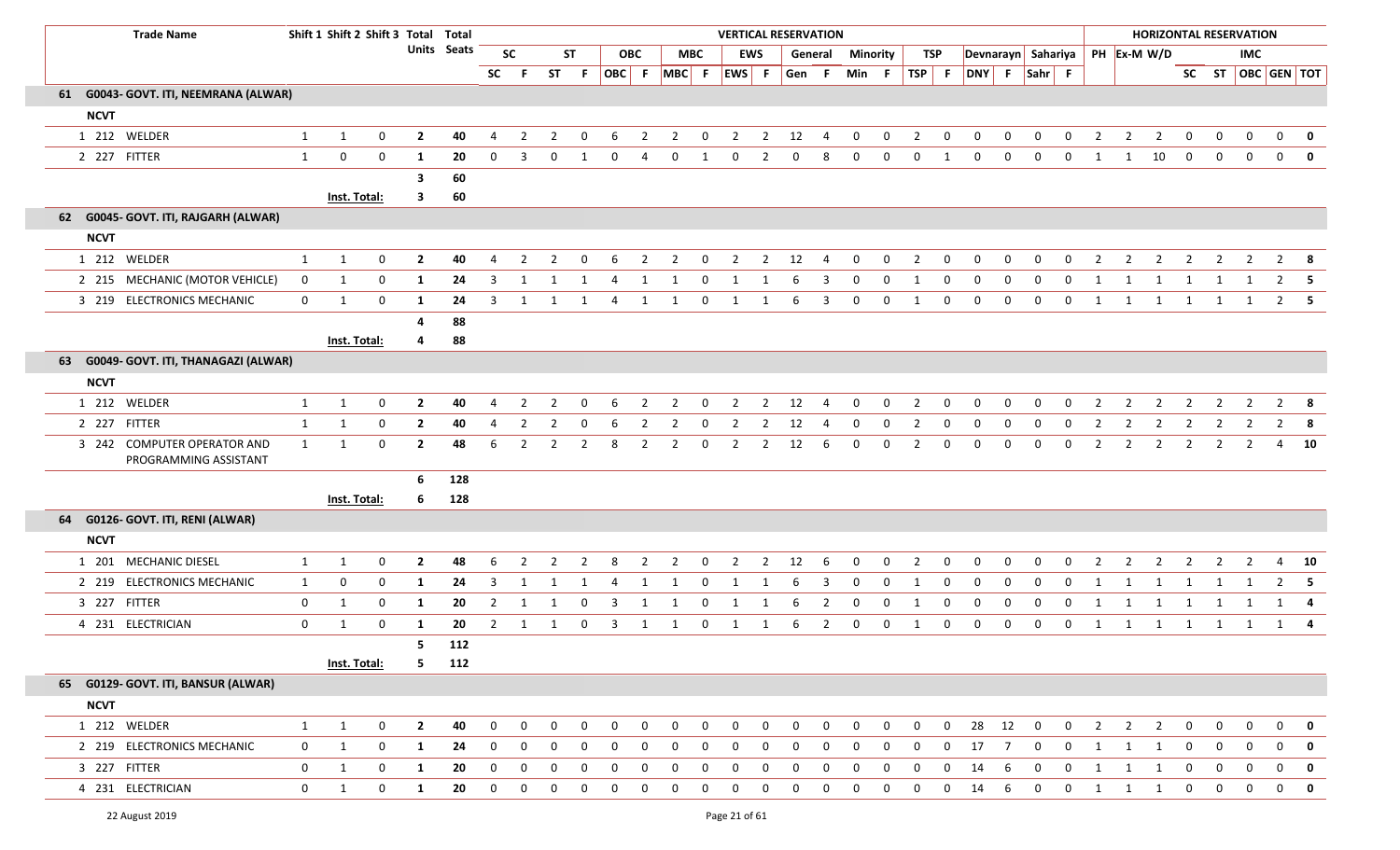|             | <b>Trade Name</b>                                    |                | Shift 1 Shift 2 Shift 3 Total Total |              |                |                    |                |                |                |                |                         |                |                |              |                |                | <b>VERTICAL RESERVATION</b> |                |              |              |                |             |                    |                |              |              |                                |                |                |                |                | <b>HORIZONTAL RESERVATION</b> |                           |                         |
|-------------|------------------------------------------------------|----------------|-------------------------------------|--------------|----------------|--------------------|----------------|----------------|----------------|----------------|-------------------------|----------------|----------------|--------------|----------------|----------------|-----------------------------|----------------|--------------|--------------|----------------|-------------|--------------------|----------------|--------------|--------------|--------------------------------|----------------|----------------|----------------|----------------|-------------------------------|---------------------------|-------------------------|
|             |                                                      |                |                                     |              |                | <b>Units</b> Seats |                | <b>SC</b>      |                | <b>ST</b>      |                         | <b>OBC</b>     |                | <b>MBC</b>   |                | <b>EWS</b>     |                             | General        | Minority     |              |                | TSP         |                    |                |              |              | Devnarayn Sahariya PH Ex-M W/D |                |                |                |                | <b>IMC</b>                    |                           |                         |
|             |                                                      |                |                                     |              |                |                    | SC F           |                |                | ST F           |                         |                | OBC F MBC F    |              | EWS F          |                | Gen F                       |                | Min F        |              |                |             | TSP F DNY F Sahr F |                |              |              |                                |                |                |                |                |                               | SC ST $\vert$ OBC GEN TOT |                         |
|             | 61 G0043- GOVT. ITI, NEEMRANA (ALWAR)                |                |                                     |              |                |                    |                |                |                |                |                         |                |                |              |                |                |                             |                |              |              |                |             |                    |                |              |              |                                |                |                |                |                |                               |                           |                         |
| <b>NCVT</b> |                                                      |                |                                     |              |                |                    |                |                |                |                |                         |                |                |              |                |                |                             |                |              |              |                |             |                    |                |              |              |                                |                |                |                |                |                               |                           |                         |
|             | 1 212 WELDER                                         | 1              | 1                                   | $\mathbf 0$  | $\overline{2}$ | 40                 | 4              | $\overline{2}$ | $\overline{2}$ | 0              | - 6                     | $\overline{2}$ | $\overline{2}$ | $\mathbf{0}$ | $\overline{2}$ | $\overline{2}$ | 12                          | 4              | $\mathbf{0}$ | $\bf{0}$     | $\overline{2}$ | $\mathbf 0$ | $\mathbf{0}$       | $\mathbf{0}$   | $\mathbf{0}$ | $\mathbf{0}$ | 2                              | $\overline{2}$ | $\overline{2}$ | $\overline{0}$ | $\mathbf{0}$   | $\mathbf{0}$                  | $\mathbf 0$               | $\mathbf{0}$            |
|             | 2 227 FITTER                                         | 1              | 0                                   | $\mathbf 0$  | 1              | 20                 | $\Omega$       | 3              | 0              | -1             | $\mathbf{0}$            | -4             | $\mathbf{0}$   | 1            | $\mathbf 0$    | $\overline{2}$ | $\mathbf{0}$                | 8              | $\mathbf{0}$ | 0            | $\mathbf{0}$   | 1           | $\mathbf 0$        | $\mathbf{0}$   | $\mathbf{0}$ | $\mathbf{0}$ | 1                              | 1              | 10             | $\mathbf 0$    | $\mathbf 0$    | $\mathbf{0}$                  | $\mathbf 0$               | $\overline{\mathbf{0}}$ |
|             |                                                      |                |                                     |              | 3              | 60                 |                |                |                |                |                         |                |                |              |                |                |                             |                |              |              |                |             |                    |                |              |              |                                |                |                |                |                |                               |                           |                         |
|             |                                                      |                | <b>Inst. Total:</b>                 |              | $\mathbf{3}$   | 60                 |                |                |                |                |                         |                |                |              |                |                |                             |                |              |              |                |             |                    |                |              |              |                                |                |                |                |                |                               |                           |                         |
|             | 62 G0045- GOVT. ITI, RAJGARH (ALWAR)                 |                |                                     |              |                |                    |                |                |                |                |                         |                |                |              |                |                |                             |                |              |              |                |             |                    |                |              |              |                                |                |                |                |                |                               |                           |                         |
| <b>NCVT</b> |                                                      |                |                                     |              |                |                    |                |                |                |                |                         |                |                |              |                |                |                             |                |              |              |                |             |                    |                |              |              |                                |                |                |                |                |                               |                           |                         |
|             | 1 212 WELDER                                         | 1              | $\mathbf{1}$                        | $\mathbf 0$  | $\overline{2}$ | 40                 | 4              | 2              | 2              | 0              | 6                       | $\overline{2}$ | $\overline{2}$ | 0            | $\overline{2}$ | $\overline{2}$ | 12                          | $\overline{4}$ | $\Omega$     | $\Omega$     | $\overline{2}$ | 0           | $\Omega$           | 0              | 0            | $\Omega$     | $\overline{2}$                 | 2              | 2              | 2              | 2              | 2                             | 2                         | - 8                     |
|             | 2 215 MECHANIC (MOTOR VEHICLE)                       | $\overline{0}$ | 1                                   | $\mathbf 0$  | $\mathbf{1}$   | 24                 | 3              | 1              | 1              | 1              | 4                       | 1              | 1              | $\mathbf 0$  | 1              | 1              | 6                           | 3              | $\mathbf{0}$ | 0            | 1              | 0           | $\mathbf 0$        | $\mathbf 0$    | $\mathbf{0}$ | $\mathbf{0}$ | 1                              | 1              | 1              | 1              | 1              | 1                             | $2 \quad 5$               |                         |
|             | 3 219 ELECTRONICS MECHANIC                           | $\mathbf{0}$   | 1                                   | $\mathbf 0$  | 1              | 24                 | 3              | 1              | 1              | 1              | 4                       | 1              | 1              | $\mathbf 0$  | 1              | $\mathbf{1}$   | 6                           | 3              | 0            | $\mathbf 0$  |                | 0           | 0                  | 0              | 0            | 0            | 1                              | 1              | 1              | 1              | 1              | 1                             |                           | $2 \quad 5$             |
|             |                                                      |                |                                     |              | 4              | 88                 |                |                |                |                |                         |                |                |              |                |                |                             |                |              |              |                |             |                    |                |              |              |                                |                |                |                |                |                               |                           |                         |
|             |                                                      |                | Inst. Total:                        |              | $\overline{a}$ | 88                 |                |                |                |                |                         |                |                |              |                |                |                             |                |              |              |                |             |                    |                |              |              |                                |                |                |                |                |                               |                           |                         |
|             | 63 G0049- GOVT. ITI, THANAGAZI (ALWAR)               |                |                                     |              |                |                    |                |                |                |                |                         |                |                |              |                |                |                             |                |              |              |                |             |                    |                |              |              |                                |                |                |                |                |                               |                           |                         |
| <b>NCVT</b> |                                                      |                |                                     |              |                |                    |                |                |                |                |                         |                |                |              |                |                |                             |                |              |              |                |             |                    |                |              |              |                                |                |                |                |                |                               |                           |                         |
|             | 1 212 WELDER                                         | $\mathbf{1}$   | 1                                   | $\mathbf 0$  | $\mathbf{2}$   | 40                 | 4              | $\overline{2}$ | 2              | 0              | 6                       | 2              | $\overline{2}$ | $\mathbf 0$  | $\overline{2}$ | $\overline{2}$ | 12                          | $\overline{4}$ | $\mathbf{0}$ | $\mathbf{0}$ | 2              | 0           | $\Omega$           | 0              | 0            | $\Omega$     | $\overline{2}$                 | 2              | $\overline{2}$ | $\overline{2}$ | 2              | 2                             |                           | $2 \times 8$            |
|             | 2 227 FITTER                                         | 1              | 1                                   | $\mathbf 0$  | $\overline{2}$ | 40                 | 4              | 2              | 2              | $\Omega$       | 6                       | 2              | 2              | 0            | $\overline{2}$ | $\overline{2}$ | 12                          | 4              | 0            | 0            | $\overline{2}$ | 0           | 0                  | 0              | 0            | 0            | -2                             | 2              | $\overline{2}$ | 2              | 2              | 2                             | 2                         | 8                       |
|             | 3 242 COMPUTER OPERATOR AND<br>PROGRAMMING ASSISTANT | $\mathbf{1}$   | 1                                   | $\mathbf 0$  | $\mathbf{2}$   | 48                 | 6              | 2              | $\overline{2}$ | $\overline{2}$ | 8                       | 2              | $\overline{2}$ | $\mathbf 0$  | $\overline{2}$ | $\overline{2}$ | 12                          | -6             | $\mathbf{0}$ | $\mathbf{0}$ | 2              | 0           | 0                  | 0              | 0            | $\mathbf{0}$ | $\overline{2}$                 | $\overline{2}$ | $\overline{2}$ | $\overline{2}$ | $\overline{2}$ | 2                             | 4                         | 10                      |
|             |                                                      |                |                                     |              | 6              | 128                |                |                |                |                |                         |                |                |              |                |                |                             |                |              |              |                |             |                    |                |              |              |                                |                |                |                |                |                               |                           |                         |
|             |                                                      |                | <b>Inst. Total:</b>                 |              | 6              | 128                |                |                |                |                |                         |                |                |              |                |                |                             |                |              |              |                |             |                    |                |              |              |                                |                |                |                |                |                               |                           |                         |
|             | 64 G0126- GOVT. ITI, RENI (ALWAR)                    |                |                                     |              |                |                    |                |                |                |                |                         |                |                |              |                |                |                             |                |              |              |                |             |                    |                |              |              |                                |                |                |                |                |                               |                           |                         |
| <b>NCVT</b> |                                                      |                |                                     |              |                |                    |                |                |                |                |                         |                |                |              |                |                |                             |                |              |              |                |             |                    |                |              |              |                                |                |                |                |                |                               |                           |                         |
|             | 1 201 MECHANIC DIESEL                                | 1              | 1                                   | $\mathbf 0$  | $\mathbf{2}$   | 48                 | 6              | $\overline{2}$ | 2              | $\overline{2}$ | 8                       | $\overline{2}$ | $\overline{2}$ | $\mathbf 0$  | $\overline{2}$ | $\overline{2}$ | 12                          | 6              | $\mathbf{0}$ | $\mathbf{0}$ | $\overline{2}$ | $\mathbf 0$ | $\mathbf{0}$       | 0              | $\mathbf{0}$ | $\mathbf 0$  | 2                              | $\overline{2}$ | $\overline{2}$ | $\overline{2}$ | $\overline{2}$ | 2                             | 4                         | 10                      |
|             | 2 219 ELECTRONICS MECHANIC                           | 1              | $\mathbf 0$                         | $\mathbf{0}$ | 1              | 24                 | 3              | 1              | 1              | -1             | 4                       | 1              | 1              | 0            | 1              | 1              | 6                           | 3              | 0            | 0            | 1              | 0           | 0                  | $\mathbf{0}$   | $\Omega$     | $\Omega$     | -1                             |                | 1              | 1              | 1              | 1                             | 2                         | - 5                     |
|             | 3 227 FITTER                                         | $\mathbf 0$    | 1                                   | $\mathbf 0$  | 1              | 20                 | $\overline{2}$ | 1              | 1              | 0              | $\overline{\mathbf{3}}$ | 1              | 1              | $\mathbf 0$  | 1              | 1              | 6                           | $\overline{2}$ | 0            | 0            | 1              | 0           | $\mathbf 0$        | 0              | 0            | $\mathbf{0}$ | -1                             | -1             | -1             | 1              | 1              | 1                             | 1 4                       |                         |
|             | 4 231 ELECTRICIAN                                    | $\mathbf 0$    | -1                                  | $\mathbf{0}$ | 1              | 20                 | 2              | -1             |                | 0              | 3                       |                |                | $\Omega$     |                |                | 6                           | 2              | 0            | $\Omega$     |                | 0           | 0                  | $\mathbf 0$    | 0            | 0            | -1                             |                | 1              | 1              | -1             |                               |                           |                         |
|             |                                                      |                |                                     |              | 5              | 112                |                |                |                |                |                         |                |                |              |                |                |                             |                |              |              |                |             |                    |                |              |              |                                |                |                |                |                |                               |                           |                         |
|             |                                                      |                | Inst. Total:                        |              | 5              | 112                |                |                |                |                |                         |                |                |              |                |                |                             |                |              |              |                |             |                    |                |              |              |                                |                |                |                |                |                               |                           |                         |
|             | 65 G0129- GOVT. ITI, BANSUR (ALWAR)                  |                |                                     |              |                |                    |                |                |                |                |                         |                |                |              |                |                |                             |                |              |              |                |             |                    |                |              |              |                                |                |                |                |                |                               |                           |                         |
| <b>NCVT</b> |                                                      |                |                                     |              |                |                    |                |                |                |                |                         |                |                |              |                |                |                             |                |              |              |                |             |                    |                |              |              |                                |                |                |                |                |                               |                           |                         |
|             | 1 212 WELDER                                         | $\mathbf{1}$   | 1                                   | $\bf{0}$     | $\overline{2}$ | 40                 | $\mathbf 0$    | $\mathbf 0$    | 0              | $\mathbf 0$    | 0                       | $\Omega$       | 0              | $\mathbf 0$  | $\mathbf 0$    | $\mathbf 0$    | 0                           | $\mathbf 0$    | $\Omega$     | $\mathbf{0}$ | $\mathbf 0$    | 0           | 28                 | 12             | $\mathbf 0$  | $\mathbf 0$  | $\overline{2}$                 | $\overline{2}$ | $\overline{2}$ | $\mathbf 0$    | $\mathbf 0$    | $\mathbf{0}$                  | $\mathbf{0}$              | $\mathbf 0$             |
|             | 2 219 ELECTRONICS MECHANIC                           | $\mathbf 0$    | 1                                   | $\mathbf 0$  | $\mathbf{1}$   | 24                 | 0              | $\mathbf 0$    | 0              | 0              | 0                       | 0              | 0              | 0            | 0              | 0              | 0                           | $\Omega$       | $\Omega$     | $\Omega$     | 0              | 0           | 17                 | $\overline{7}$ | 0            | 0            | 1                              | $\mathbf{1}$   | $\mathbf{1}$   | 0              | $\mathbf 0$    | 0                             | $\mathbf 0$               | $\mathbf{0}$            |
|             | 3 227 FITTER                                         | $\mathbf 0$    | 1                                   | $\mathbf 0$  | 1              | 20                 | 0              | $\mathbf 0$    | 0              | 0              | 0                       | 0              | 0              | 0            | 0              | 0              | 0                           | $\mathbf 0$    | $\mathbf 0$  | 0            | 0              | 0           | 14                 | 6              | 0            | 0            | $\mathbf{1}$                   | 1              | $\mathbf{1}$   | 0              | $\mathbf 0$    | $\mathbf{0}$                  | 0                         | $\mathbf 0$             |
|             | 4 231 ELECTRICIAN                                    | $\mathbf 0$    | 1                                   | $\mathbf 0$  | $\mathbf{1}$   | 20                 | $\mathbf 0$    | $\mathbf 0$    | 0              | $\mathbf 0$    | $\mathbf 0$             | $\mathbf{0}$   | 0              | $\mathbf 0$  | $\mathbf 0$    | 0              | 0                           | 0              | 0            | 0            | 0              | 0           | 14                 | 6              | $\mathbf 0$  | $\mathbf 0$  | 1                              | $\mathbf{1}$   | $\mathbf{1}$   | $\mathbf 0$    | $\mathbf 0$    | $\mathbf 0$                   | $\mathbf 0$               | $\mathbf{0}$            |
|             | 22 August 2019                                       |                |                                     |              |                |                    |                |                |                |                |                         |                |                |              | Page 21 of 61  |                |                             |                |              |              |                |             |                    |                |              |              |                                |                |                |                |                |                               |                           |                         |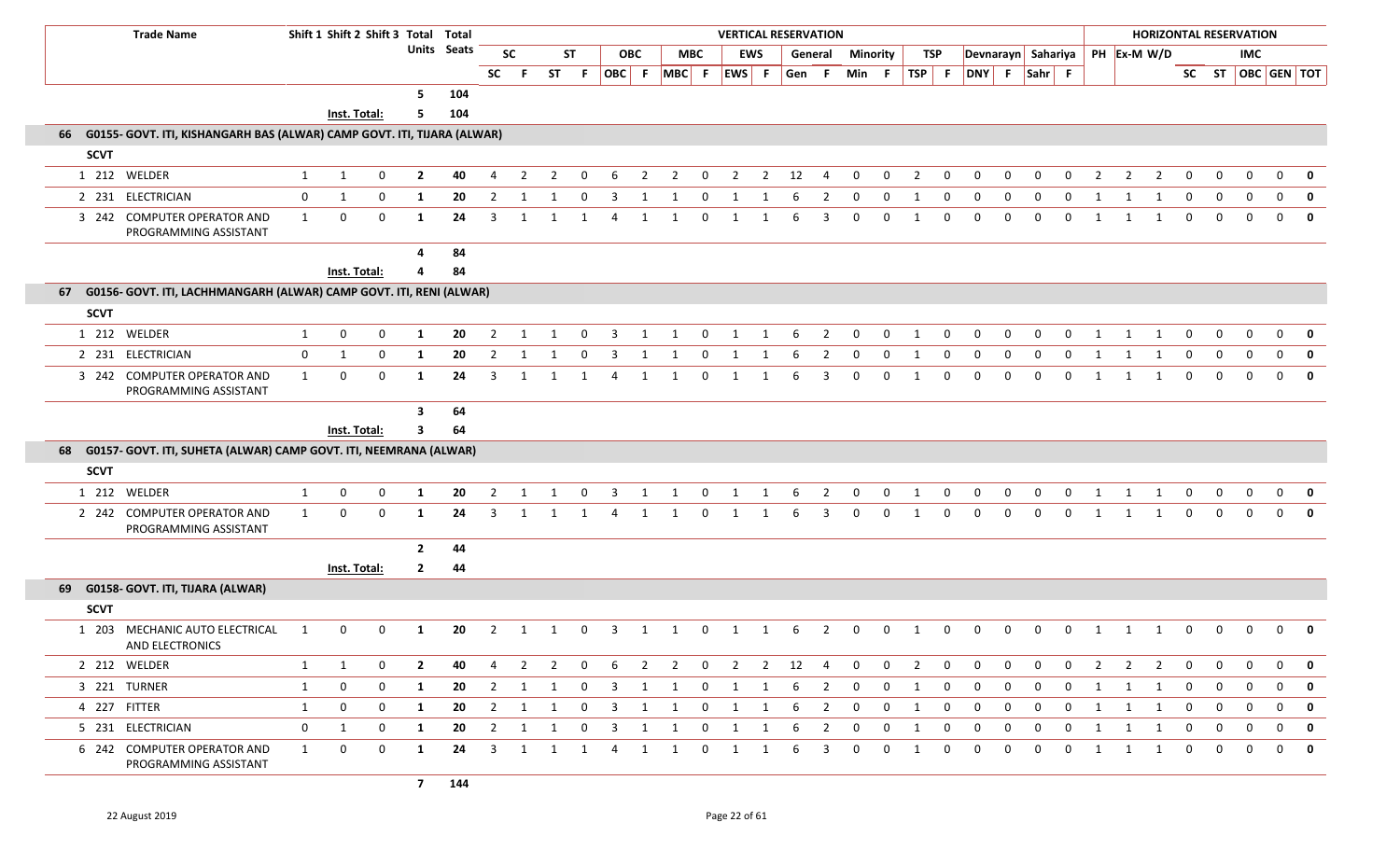|             | <b>Trade Name</b>                                                          |              |              | Shift 1 Shift 2 Shift 3 Total Total |                |                    |                |                |                |              |                         |                     |                               |                         | <b>VERTICAL RESERVATION</b> |                |              |                |                 |              |                |              |              |              |              |              |    |                |                                  |                | <b>HORIZONTAL RESERVATION</b> |              |              |              |                         |
|-------------|----------------------------------------------------------------------------|--------------|--------------|-------------------------------------|----------------|--------------------|----------------|----------------|----------------|--------------|-------------------------|---------------------|-------------------------------|-------------------------|-----------------------------|----------------|--------------|----------------|-----------------|--------------|----------------|--------------|--------------|--------------|--------------|--------------|----|----------------|----------------------------------|----------------|-------------------------------|--------------|--------------|--------------|-------------------------|
|             |                                                                            |              |              |                                     |                | <b>Units Seats</b> |                | <b>SC</b>      |                | ST           |                         | <b>OBC</b>          |                               | <b>MBC</b>              |                             | <b>EWS</b>     |              | General        | <b>Minority</b> |              |                | TSP          |              |              |              |              |    |                | Devnarayn Sahariya   PH Ex-M W/D |                |                               |              | IMC          |              |                         |
|             |                                                                            |              |              |                                     |                |                    | <b>SC</b>      |                | <b>ST</b>      | -F.          |                         |                     | $ OBC $ F $ MBC $ F $ EWS $ F |                         |                             |                | Gen          | .F             | Min F           |              | $TSP$ F        |              | DNY F Sahr F |              |              |              |    |                |                                  |                |                               |              |              |              | SC ST   OBC   GEN   TOT |
|             |                                                                            |              |              |                                     | 5              | 104                |                |                |                |              |                         |                     |                               |                         |                             |                |              |                |                 |              |                |              |              |              |              |              |    |                |                                  |                |                               |              |              |              |                         |
|             |                                                                            |              | Inst. Total: |                                     | 5              | 104                |                |                |                |              |                         |                     |                               |                         |                             |                |              |                |                 |              |                |              |              |              |              |              |    |                |                                  |                |                               |              |              |              |                         |
|             | 66 G0155- GOVT. ITI, KISHANGARH BAS (ALWAR) CAMP GOVT. ITI, TIJARA (ALWAR) |              |              |                                     |                |                    |                |                |                |              |                         |                     |                               |                         |                             |                |              |                |                 |              |                |              |              |              |              |              |    |                |                                  |                |                               |              |              |              |                         |
| <b>SCVT</b> |                                                                            |              |              |                                     |                |                    |                |                |                |              |                         |                     |                               |                         |                             |                |              |                |                 |              |                |              |              |              |              |              |    |                |                                  |                |                               |              |              |              |                         |
|             | 1 212 WELDER                                                               | 1            | 1            | 0                                   | $\overline{2}$ | 40                 | 4              | $\overline{2}$ | $\overline{2}$ | 0            | 6                       | $\overline{2}$      | $\overline{2}$                | $\mathbf{0}$            | $\overline{2}$              | $\overline{2}$ | 12           | $\overline{4}$ | $\mathbf 0$     | $\mathbf 0$  | $\overline{2}$ | $\mathbf 0$  | 0            | 0            | $\mathbf{0}$ | $\mathbf 0$  |    | $\overline{2}$ | $\overline{2}$                   | $\overline{2}$ | 0                             | 0            | 0            | $\mathbf{0}$ | $\mathbf 0$             |
|             | 2 231 ELECTRICIAN                                                          | $\mathbf 0$  | 1            | $\mathbf 0$                         | 1              | 20                 | 2              | 1              | 1              | 0            | $\overline{3}$          | 1                   | 1                             | 0                       | 1                           | 1              | 6            | 2              | $\mathbf 0$     | $\mathbf 0$  | 1              | $\mathbf{0}$ | $\mathbf 0$  | $\mathbf{0}$ | $\Omega$     | 0            | -1 |                | 1                                | -1             | $\mathbf 0$                   | $\mathbf 0$  | $\mathbf 0$  | $\mathbf{0}$ | 0                       |
|             | 3 242 COMPUTER OPERATOR AND<br>PROGRAMMING ASSISTANT                       | $\mathbf{1}$ | $\mathbf{0}$ | 0                                   | 1              | 24                 | 3              | 1              | 1              | 1            | 4                       | 1                   | 1                             | $\mathbf{0}$            | 1                           | 1              | 6            | 3              | $\Omega$        | $\mathbf 0$  | 1              | $\mathbf{0}$ | $\Omega$     | $\Omega$     | $\Omega$     | $\Omega$     |    | 1              | $\mathbf{1}$                     | 1              | $\mathbf{0}$                  | $\Omega$     | $\Omega$     |              | $0 \quad 0$             |
|             |                                                                            |              |              |                                     | 4              | 84                 |                |                |                |              |                         |                     |                               |                         |                             |                |              |                |                 |              |                |              |              |              |              |              |    |                |                                  |                |                               |              |              |              |                         |
|             |                                                                            |              | Inst. Total: |                                     | Δ              | 84                 |                |                |                |              |                         |                     |                               |                         |                             |                |              |                |                 |              |                |              |              |              |              |              |    |                |                                  |                |                               |              |              |              |                         |
| 67          | G0156- GOVT. ITI, LACHHMANGARH (ALWAR) CAMP GOVT. ITI, RENI (ALWAR)        |              |              |                                     |                |                    |                |                |                |              |                         |                     |                               |                         |                             |                |              |                |                 |              |                |              |              |              |              |              |    |                |                                  |                |                               |              |              |              |                         |
| <b>SCVT</b> |                                                                            |              |              |                                     |                |                    |                |                |                |              |                         |                     |                               |                         |                             |                |              |                |                 |              |                |              |              |              |              |              |    |                |                                  |                |                               |              |              |              |                         |
|             | 1 212 WELDER                                                               | 1            | $\mathbf 0$  | $\mathbf 0$                         | 1              | 20                 | 2              | -1             | 1              | 0            | 3                       | 1                   | 1                             | $\mathbf{0}$            | 1                           | 1              | 6            | $\overline{2}$ | $\mathbf 0$     | $\mathbf 0$  | 1              | $\mathbf{0}$ | $\mathbf 0$  | 0            | $\Omega$     | 0            |    | 1              | 1                                | 1              | $\mathbf 0$                   | 0            | $\mathbf{0}$ | $\mathbf{0}$ | 0                       |
|             | 2 231 ELECTRICIAN                                                          | 0            | 1            | $\mathbf 0$                         | 1              | 20                 | 2              | -1             |                | 0            | 3                       | 1                   | 1                             | 0                       | 1                           | 1              | 6            | 2              | 0               | 0            | 1              | 0            | $\mathbf{0}$ | 0            | $\mathbf{0}$ | 0            | -1 |                | -1                               | 1              | 0                             | $\mathbf 0$  | $\mathbf 0$  | $\mathbf{0}$ | $\mathbf 0$             |
|             | 3 242 COMPUTER OPERATOR AND<br>PROGRAMMING ASSISTANT                       | $\mathbf{1}$ | 0            | $\mathbf 0$                         | 1              | 24                 | 3              | 1              | $\mathbf{1}$   | 1            | 4                       | 1                   | 1                             | 0                       | 1                           | 1              | 6            | 3              | $\mathbf 0$     | $\mathbf{0}$ | 1              | $\mathbf{0}$ | $\mathbf{0}$ | $\Omega$     | $\Omega$     | $\mathbf 0$  |    | 1              | 1                                | $\mathbf{1}$   | $\mathbf{0}$                  | $\mathbf{0}$ | $\Omega$     | $\mathbf{0}$ | $\mathbf 0$             |
|             |                                                                            |              |              |                                     | $\mathbf{3}$   | 64                 |                |                |                |              |                         |                     |                               |                         |                             |                |              |                |                 |              |                |              |              |              |              |              |    |                |                                  |                |                               |              |              |              |                         |
|             |                                                                            |              | Inst. Total: |                                     | 3              | 64                 |                |                |                |              |                         |                     |                               |                         |                             |                |              |                |                 |              |                |              |              |              |              |              |    |                |                                  |                |                               |              |              |              |                         |
|             | 68 G0157- GOVT. ITI, SUHETA (ALWAR) CAMP GOVT. ITI, NEEMRANA (ALWAR)       |              |              |                                     |                |                    |                |                |                |              |                         |                     |                               |                         |                             |                |              |                |                 |              |                |              |              |              |              |              |    |                |                                  |                |                               |              |              |              |                         |
| <b>SCVT</b> |                                                                            |              |              |                                     |                |                    |                |                |                |              |                         |                     |                               |                         |                             |                |              |                |                 |              |                |              |              |              |              |              |    |                |                                  |                |                               |              |              |              |                         |
|             | 1 212 WELDER                                                               | 1            | $\mathbf 0$  | 0                                   | 1              | 20                 | $\overline{2}$ | 1              | -1             | 0            | $\overline{3}$          | 1                   | 1                             | $\mathbf{0}$            | 1                           | 1              | 6            | $\overline{2}$ | $\mathbf 0$     | 0            | 1              | 0            | 0            | $\mathbf{0}$ | $\mathbf{0}$ | $\mathbf{0}$ |    | 1              | 1                                | 1              | $\mathbf 0$                   | 0            | 0            | $\mathbf{0}$ | 0                       |
|             | 2 242 COMPUTER OPERATOR AND<br>PROGRAMMING ASSISTANT                       | $\mathbf{1}$ | $\mathbf 0$  | $\mathbf 0$                         | -1             | 24                 | 3              |                |                |              |                         | -1                  |                               | $\Omega$                |                             | -1             | 6            | 3              | $\Omega$        | $\Omega$     |                | $\Omega$     | $\Omega$     | $\Omega$     | $\Omega$     | $\Omega$     | -1 |                | 1                                | -1             | $\mathbf{0}$                  | $\mathbf 0$  | $\Omega$     | $\Omega$     | 0                       |
|             |                                                                            |              |              |                                     | $\overline{2}$ | 44                 |                |                |                |              |                         |                     |                               |                         |                             |                |              |                |                 |              |                |              |              |              |              |              |    |                |                                  |                |                               |              |              |              |                         |
|             |                                                                            |              | Inst. Total: |                                     | $\mathbf{2}$   | 44                 |                |                |                |              |                         |                     |                               |                         |                             |                |              |                |                 |              |                |              |              |              |              |              |    |                |                                  |                |                               |              |              |              |                         |
|             | 69 G0158- GOVT. ITI, TIJARA (ALWAR)                                        |              |              |                                     |                |                    |                |                |                |              |                         |                     |                               |                         |                             |                |              |                |                 |              |                |              |              |              |              |              |    |                |                                  |                |                               |              |              |              |                         |
| <b>SCVT</b> |                                                                            |              |              |                                     |                |                    |                |                |                |              |                         |                     |                               |                         |                             |                |              |                |                 |              |                |              |              |              |              |              |    |                |                                  |                |                               |              |              |              |                         |
|             | 1 203 MECHANIC AUTO ELECTRICAL<br>AND ELECTRONICS                          | - 1          | $\mathbf{0}$ | 0                                   | -1             | 20                 | 2              | -1             | -1             | 0            | 3                       | 1                   | -1                            | 0                       | 1                           | 1              | -6           | 2              | 0               | $\Omega$     |                | $\Omega$     |              | $\Omega$     | $\Omega$     | $\Omega$     |    | 1              | 1                                | -1             | 0                             |              | $\Omega$     | 0            | 0                       |
|             | 2 212 WELDER                                                               | $\mathbf{1}$ | 1            | 0                                   | $\overline{2}$ | 40                 | 4              | $\overline{2}$ | $\overline{2}$ | $\mathbf 0$  | 6                       | $\overline{2}$      | $\overline{2}$                | $\overline{\mathbf{0}}$ | $\overline{2}$              | $\overline{2}$ | $12 \quad 4$ |                | $\overline{0}$  | $\mathbf 0$  | $\overline{2}$ | $\mathbf 0$  | $\mathbf 0$  | $\Omega$     | $\mathbf{0}$ | 0            |    | 2              | $\overline{2}$                   | $\overline{2}$ | $\mathbf 0$                   | $\mathbf 0$  | $\Omega$     | $\mathbf{0}$ | 0                       |
|             | 3 221 TURNER                                                               | $\mathbf{1}$ | $\mathbf 0$  | $\mathbf 0$                         | $\mathbf{1}$   | 20                 |                | $2 \quad 1$    | 1              | $\mathbf 0$  |                         | $3 \quad 1 \quad 1$ |                               | $\overline{0}$          | $1 \quad 1$                 |                |              | $6\qquad2$     | $\overline{0}$  | $\mathbf{0}$ | 1              | $\mathbf 0$  | $\mathbf 0$  | $\mathbf 0$  | $\mathbf 0$  | $\mathbf 0$  |    |                | $1 \quad 1 \quad 1$              |                | $\overline{0}$                | $\mathbf 0$  | $\mathbf{0}$ |              | $0$ 0                   |
|             | 4 227 FITTER                                                               | $\mathbf{1}$ | $\mathbf 0$  | $\mathbf 0$                         | 1              | 20                 | $\overline{2}$ | 1              | 1              | $\mathbf{0}$ | $\overline{\mathbf{3}}$ | 1                   | 1                             | $\mathbf{0}$            | $\mathbf{1}$                | 1              | 6            | $\overline{2}$ | 0               | 0            | 1              | $\mathbf{0}$ | $\mathbf 0$  | 0            | $\mathbf{0}$ | 0            |    | 1              | 1                                | 1              | $\mathbf 0$                   | $\mathbf 0$  | $\mathbf 0$  | 0            | 0                       |
|             | 5 231 ELECTRICIAN                                                          | $\mathbf{0}$ | 1            | 0                                   | 1              | 20                 | $\overline{2}$ | 1              | 1              | 0            | $\overline{3}$          | 1                   | 1                             | $\mathbf 0$             | $\mathbf{1}$                | 1              | 6            | $\overline{2}$ | $\mathbf 0$     | 0            | 1              | 0            | 0            | 0            | $\mathbf{0}$ | 0            |    | 1              | 1                                | 1              | $\mathbf{0}$                  | $\mathbf 0$  | $\mathbf{0}$ |              | $0 \quad 0$             |
|             | 6 242 COMPUTER OPERATOR AND<br>PROGRAMMING ASSISTANT                       | $\mathbf{1}$ | $\bf{0}$     | $\mathbf 0$                         | 1              | 24                 | 3              |                |                | 1            | 4                       | 1                   | 1                             | $\mathbf 0$             | 1                           | 1              | 6            | $\overline{3}$ | $\mathbf 0$     | $\mathbf 0$  | 1              | $\mathbf 0$  | $\mathbf 0$  | 0            | $\mathbf{0}$ | $\mathbf 0$  |    | 1              | 1                                | 1              | $\mathbf 0$                   | $\mathbf{0}$ | $\Omega$     | $\Omega$     | 0                       |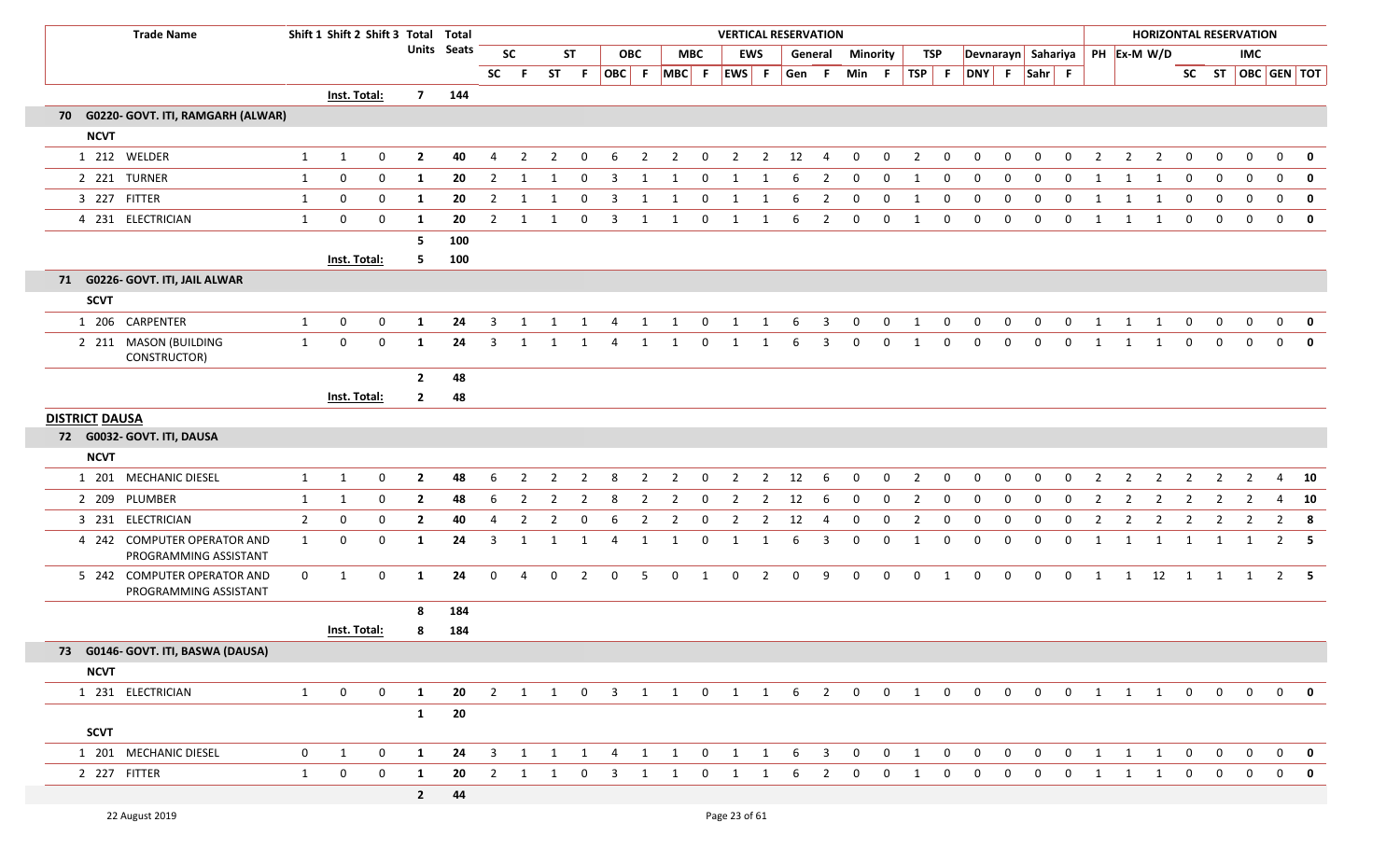|                       | <b>Trade Name</b>                                    |                | Shift 1 Shift 2 Shift 3 Total Total |             |                |                    |                |                |                |                |                         |                |                         |                |                |                | <b>VERTICAL RESERVATION</b> |                |                 |              |                                |                  |                                |              |                         |                |                |                |                        |                  |                | <b>HORIZONTAL RESERVATION</b> |                   |                         |
|-----------------------|------------------------------------------------------|----------------|-------------------------------------|-------------|----------------|--------------------|----------------|----------------|----------------|----------------|-------------------------|----------------|-------------------------|----------------|----------------|----------------|-----------------------------|----------------|-----------------|--------------|--------------------------------|------------------|--------------------------------|--------------|-------------------------|----------------|----------------|----------------|------------------------|------------------|----------------|-------------------------------|-------------------|-------------------------|
|                       |                                                      |                |                                     |             |                | <b>Units</b> Seats |                | <b>SC</b>      |                | <b>ST</b>      |                         | <b>OBC</b>     |                         | <b>MBC</b>     |                | <b>EWS</b>     | General                     |                | <b>Minority</b> |              | <b>TSP</b>                     |                  | Devnarayn Sahariya PH Ex-M W/D |              |                         |                |                |                |                        |                  |                | <b>IMC</b>                    |                   |                         |
|                       |                                                      |                |                                     |             |                |                    | <b>SC</b>      | -F.            | <b>ST</b>      | - F            | OBC F                   |                | MBC F                   |                | EWS F          |                | Gen F                       |                | Min F           |              | <b>TSP</b>                     | F                | DNY F                          |              | Sahr F                  |                |                |                |                        |                  |                |                               | SC ST OBC GEN TOT |                         |
|                       |                                                      |                | Inst. Total:                        |             |                | 7 144              |                |                |                |                |                         |                |                         |                |                |                |                             |                |                 |              |                                |                  |                                |              |                         |                |                |                |                        |                  |                |                               |                   |                         |
|                       | 70 G0220- GOVT. ITI, RAMGARH (ALWAR)                 |                |                                     |             |                |                    |                |                |                |                |                         |                |                         |                |                |                |                             |                |                 |              |                                |                  |                                |              |                         |                |                |                |                        |                  |                |                               |                   |                         |
| <b>NCVT</b>           |                                                      |                |                                     |             |                |                    |                |                |                |                |                         |                |                         |                |                |                |                             |                |                 |              |                                |                  |                                |              |                         |                |                |                |                        |                  |                |                               |                   |                         |
|                       | 1 212 WELDER                                         | 1              | 1                                   | 0           | $\overline{2}$ | 40                 | 4              | 2              | $\overline{2}$ | 0              | 6                       | $\overline{2}$ | $\overline{2}$          | $\mathbf{0}$   | $\overline{2}$ | $\overline{2}$ | 12                          | 4              | $\mathbf 0$     | $\mathbf 0$  | $\overline{2}$                 | $\mathbf 0$      | $\mathbf 0$                    | $\mathbf 0$  | $\mathbf 0$             | $\mathbf 0$    | $\overline{2}$ | $\overline{2}$ | $\overline{2}$         | $\mathbf{0}$     | $\mathbf 0$    | $\mathbf 0$                   | $\mathbf 0$       | $\mathbf 0$             |
|                       | 2 221 TURNER                                         | 1              | 0                                   | $\mathbf 0$ | 1              | 20                 | $\overline{2}$ | 1              | $\mathbf{1}$   | $\overline{0}$ | $\overline{\mathbf{3}}$ | 1              | $\mathbf 1$             | $\overline{0}$ | 1              | 1              | 6                           | $\overline{2}$ | $\mathbf 0$     | $\mathbf 0$  | 1                              | $\mathbf{0}$     | $\mathbf 0$                    | $\mathbf{0}$ | $\mathbf 0$             | $\mathbf{0}$   | 1              | $\mathbf{1}$   | 1                      | $\boldsymbol{0}$ | $\mathbf 0$    | $\boldsymbol{0}$              | $\mathbf 0$       | $\mathbf 0$             |
|                       | 3 227 FITTER                                         | 1              | 0                                   | $\mathbf 0$ | $\mathbf{1}$   | 20                 | 2              |                | 1              | $\mathbf 0$    | 3                       |                | 1                       | 0              | 1              |                | 6                           | $\overline{2}$ | $\mathbf 0$     | $\Omega$     | 1                              | $\mathbf 0$      | $\mathbf 0$                    | $\mathbf 0$  | $\mathbf 0$             | $\mathbf 0$    | 1              | 1              | 1                      | $\mathbf 0$      | $\mathbf 0$    | $\mathbf 0$                   | $\mathbf 0$       | $\mathbf 0$             |
|                       | 4 231 ELECTRICIAN                                    | 1              | $\mathbf 0$                         | $\mathbf 0$ | $\mathbf{1}$   | 20                 | 2              | 1              | 1              | $\mathbf 0$    | $\overline{3}$          | 1              | $\overline{1}$          | $\mathbf{0}$   | 1              | 1              | 6                           | $\overline{2}$ | $\mathbf 0$     | $\mathbf{0}$ | $\overline{1}$                 | $\mathbf 0$      | $\mathbf 0$                    | $\mathbf 0$  | $\mathbf 0$             | $\mathbf 0$    | 1              | $\mathbf{1}$   | 1                      | $\mathbf 0$      | $\mathbf 0$    | $\mathbf 0$                   | $\overline{0}$    | $\overline{\mathbf{0}}$ |
|                       |                                                      |                |                                     |             | 5              | 100                |                |                |                |                |                         |                |                         |                |                |                |                             |                |                 |              |                                |                  |                                |              |                         |                |                |                |                        |                  |                |                               |                   |                         |
|                       |                                                      |                | Inst. Total:                        |             | 5              | 100                |                |                |                |                |                         |                |                         |                |                |                |                             |                |                 |              |                                |                  |                                |              |                         |                |                |                |                        |                  |                |                               |                   |                         |
|                       | 71 G0226- GOVT. ITI, JAIL ALWAR                      |                |                                     |             |                |                    |                |                |                |                |                         |                |                         |                |                |                |                             |                |                 |              |                                |                  |                                |              |                         |                |                |                |                        |                  |                |                               |                   |                         |
| <b>SCVT</b>           |                                                      |                |                                     |             |                |                    |                |                |                |                |                         |                |                         |                |                |                |                             |                |                 |              |                                |                  |                                |              |                         |                |                |                |                        |                  |                |                               |                   |                         |
|                       | 1 206 CARPENTER                                      | 1              | $\mathbf 0$                         | $\mathbf 0$ | $\mathbf{1}$   | 24                 | 3              | 1              | 1              | 1              | 4                       | 1              | $\overline{1}$          | $\overline{0}$ | $\mathbf{1}$   | $\mathbf{1}$   | 6                           | 3              | $\mathbf 0$     | $\mathbf{0}$ | 1                              | $\mathbf{0}$     | $\mathbf 0$                    | $\mathbf{0}$ | $\mathbf 0$             | $\mathbf{0}$   | 1              | 1              | 1                      | $\boldsymbol{0}$ | $\mathbf 0$    | $\mathbf{0}$                  | $\overline{0}$    | $\overline{\mathbf{0}}$ |
|                       | 2 211 MASON (BUILDING<br>CONSTRUCTOR)                | 1              | 0                                   | 0           | $\mathbf{1}$   | 24                 | 3              | 1              | 1              | 1              | 4                       | 1              | $\mathbf{1}$            | $\mathbf{0}$   | 1              | 1              | 6                           | 3              | 0               | $\mathbf{0}$ | 1                              | 0                | $\mathbf 0$                    | $\mathbf 0$  | $\mathbf 0$             | $\mathbf 0$    | 1              | 1              | 1                      | $\mathbf 0$      | $\mathbf 0$    | $\mathbf 0$                   | $\mathbf{0}$      | $\mathbf 0$             |
|                       |                                                      |                |                                     |             | $\overline{2}$ | 48                 |                |                |                |                |                         |                |                         |                |                |                |                             |                |                 |              |                                |                  |                                |              |                         |                |                |                |                        |                  |                |                               |                   |                         |
|                       |                                                      |                | Inst. Total:                        |             | $\mathbf{2}$   | 48                 |                |                |                |                |                         |                |                         |                |                |                |                             |                |                 |              |                                |                  |                                |              |                         |                |                |                |                        |                  |                |                               |                   |                         |
| <b>DISTRICT DAUSA</b> |                                                      |                |                                     |             |                |                    |                |                |                |                |                         |                |                         |                |                |                |                             |                |                 |              |                                |                  |                                |              |                         |                |                |                |                        |                  |                |                               |                   |                         |
|                       | 72 G0032- GOVT. ITI, DAUSA                           |                |                                     |             |                |                    |                |                |                |                |                         |                |                         |                |                |                |                             |                |                 |              |                                |                  |                                |              |                         |                |                |                |                        |                  |                |                               |                   |                         |
| <b>NCVT</b>           |                                                      |                |                                     |             |                |                    |                |                |                |                |                         |                |                         |                |                |                |                             |                |                 |              |                                |                  |                                |              |                         |                |                |                |                        |                  |                |                               |                   |                         |
|                       | 1 201 MECHANIC DIESEL                                | 1              | 1                                   | $\mathbf 0$ | $\overline{2}$ | 48                 | 6              | $\overline{2}$ | $\overline{2}$ | $\overline{2}$ | 8                       | $\overline{2}$ | $\overline{2}$          | $\overline{0}$ | $\overline{2}$ | $\overline{2}$ | 12                          | 6              | $\mathbf 0$     | $\mathbf 0$  | $\overline{2}$                 | $\mathbf 0$      | $\mathbf 0$                    | $\mathbf 0$  | $\mathbf 0$             | $\mathbf{0}$   | $\overline{2}$ | $\overline{2}$ | $\overline{2}$         | $\overline{2}$   | $\overline{2}$ | $\overline{2}$                | 4                 | 10                      |
| 2 209                 | PLUMBER                                              | 1              | 1                                   | $\mathbf 0$ | $\overline{2}$ | 48                 | 6              | 2              | $\overline{2}$ | 2              | 8                       | 2              | 2                       | 0              | $\overline{2}$ | 2              | 12                          | -6             | $\mathbf 0$     | $\mathbf{0}$ | $\overline{2}$                 | $\mathbf 0$      | $\mathbf 0$                    | $\mathbf 0$  | 0                       | $\mathbf 0$    | $\overline{2}$ | $\overline{2}$ | $\overline{2}$         | $\overline{2}$   | $\overline{2}$ | $\overline{2}$                | 4                 | 10                      |
|                       | 3 231 ELECTRICIAN                                    | $\overline{2}$ | 0                                   | $\mathbf 0$ | $\overline{2}$ | 40                 | 4              | $\overline{2}$ | $\overline{2}$ | $\mathbf 0$    | 6                       | $\overline{2}$ | $\overline{2}$          | $\mathbf 0$    | $\overline{2}$ | $\overline{2}$ | 12                          | 4              | $\mathbf 0$     | 0            | $\overline{2}$                 | $\boldsymbol{0}$ | $\mathbf 0$                    | 0            | $\mathbf 0$             | 0              | $\overline{2}$ | $\overline{2}$ | $\overline{2}$         | $\overline{2}$   | $\overline{2}$ | $\overline{2}$                | $2 \times 8$      |                         |
|                       | 4 242 COMPUTER OPERATOR AND<br>PROGRAMMING ASSISTANT | 1              | $\mathbf 0$                         | $\mathbf 0$ | 1              | 24                 | 3              |                | 1              | $\mathbf{1}$   | 4                       | $\mathbf{1}$   | 1                       | $\mathbf 0$    | 1              |                | 6                           | 3              | $\mathbf 0$     | $\mathbf 0$  | 1                              | $\mathbf 0$      | $\mathbf 0$                    | $\mathbf 0$  | $\mathbf 0$             | $\mathbf 0$    | $\mathbf{1}$   | 1              | 1                      | 1                | 1              | 1                             | $\overline{2}$    | - 5                     |
|                       | 5 242 COMPUTER OPERATOR AND<br>PROGRAMMING ASSISTANT | 0              | 1                                   | 0           | $\mathbf{1}$   | 24                 | $\mathbf 0$    | 4              | $\mathbf 0$    | $\overline{2}$ | 0                       | 5              | $\mathbf 0$             | 1              | $\mathbf 0$    | $\overline{2}$ | $\mathbf 0$                 | 9              | $\mathbf 0$     | $\mathbf 0$  | $\mathbf 0$                    | 1                | $\mathbf 0$                    | $\mathbf 0$  | $\mathbf 0$             | $\mathbf 0$    | 1              |                | $1 \qquad 12 \qquad 1$ |                  | 1              | 1                             | $2 \quad 5$       |                         |
|                       |                                                      |                |                                     |             | 8              | 184                |                |                |                |                |                         |                |                         |                |                |                |                             |                |                 |              |                                |                  |                                |              |                         |                |                |                |                        |                  |                |                               |                   |                         |
|                       |                                                      |                | Inst. Total:                        |             | 8              | 184                |                |                |                |                |                         |                |                         |                |                |                |                             |                |                 |              |                                |                  |                                |              |                         |                |                |                |                        |                  |                |                               |                   |                         |
|                       | 73 G0146- GOVT. ITI, BASWA (DAUSA)                   |                |                                     |             |                |                    |                |                |                |                |                         |                |                         |                |                |                |                             |                |                 |              |                                |                  |                                |              |                         |                |                |                |                        |                  |                |                               |                   |                         |
| <b>NCVT</b>           |                                                      |                |                                     |             |                |                    |                |                |                |                |                         |                |                         |                |                |                |                             |                |                 |              |                                |                  |                                |              |                         |                |                |                |                        |                  |                |                               |                   |                         |
|                       | 1 231 ELECTRICIAN                                    | 1              | $\mathbf 0$                         | $\mathbf 0$ | $\mathbf{1}$   | 20                 |                |                |                |                |                         |                | 2 1 1 0 3 1 1 0 1 1 6 2 |                |                |                |                             |                | $\overline{0}$  |              | $0 \qquad 1 \qquad 0$          |                  | $\overline{0}$                 | $\mathbf{0}$ | $\overline{\mathbf{0}}$ | $\overline{0}$ | 1 1            |                | $\overline{1}$         | $\mathbf{0}$     | $\overline{0}$ | $\overline{0}$                | $\mathbf{0}$      | 0                       |
|                       |                                                      |                |                                     |             | $\mathbf{1}$   | 20                 |                |                |                |                |                         |                |                         |                |                |                |                             |                |                 |              |                                |                  |                                |              |                         |                |                |                |                        |                  |                |                               |                   |                         |
| <b>SCVT</b>           |                                                      |                |                                     |             |                |                    |                |                |                |                |                         |                |                         |                |                |                |                             |                |                 |              |                                |                  |                                |              |                         |                |                |                |                        |                  |                |                               |                   |                         |
|                       | 1 201 MECHANIC DIESEL                                | $\overline{0}$ | $\mathbf{1}$                        | $\mathbf 0$ | $\mathbf{1}$   | 24                 |                |                |                |                |                         |                | 3 1 1 1 4 1 1 0 1 1 6 3 |                |                |                |                             |                | $\overline{0}$  |              | $0 \qquad 1 \qquad 0 \qquad 0$ |                  |                                |              |                         | 0 0 0 1 1 1 0  |                |                |                        |                  | $\mathbf 0$    | $\mathbf{0}$                  |                   | $0$ 0                   |
|                       | 2 227 FITTER                                         | 1              | $\overline{0}$                      | $\mathbf 0$ | $\mathbf{1}$   | 20                 |                | 2 1 1          |                | $\mathbf{0}$   | 3                       |                | 1                       | $\overline{0}$ | 1              | 1              | 6                           | 2              | $\overline{0}$  | $\mathbf{0}$ | 1                              | $\mathbf 0$      | $\mathbf 0$                    | $\mathbf{0}$ | $\mathbf{0}$            | $\mathbf 0$    | $\mathbf{1}$   | 1              | 1                      | $\mathbf{0}$     | $\mathbf{0}$   | $\mathbf{0}$                  | $\mathbf{0}$      | $\mathbf 0$             |
|                       |                                                      |                |                                     |             | $2^{\circ}$    | 44                 |                |                |                |                |                         |                |                         |                |                |                |                             |                |                 |              |                                |                  |                                |              |                         |                |                |                |                        |                  |                |                               |                   |                         |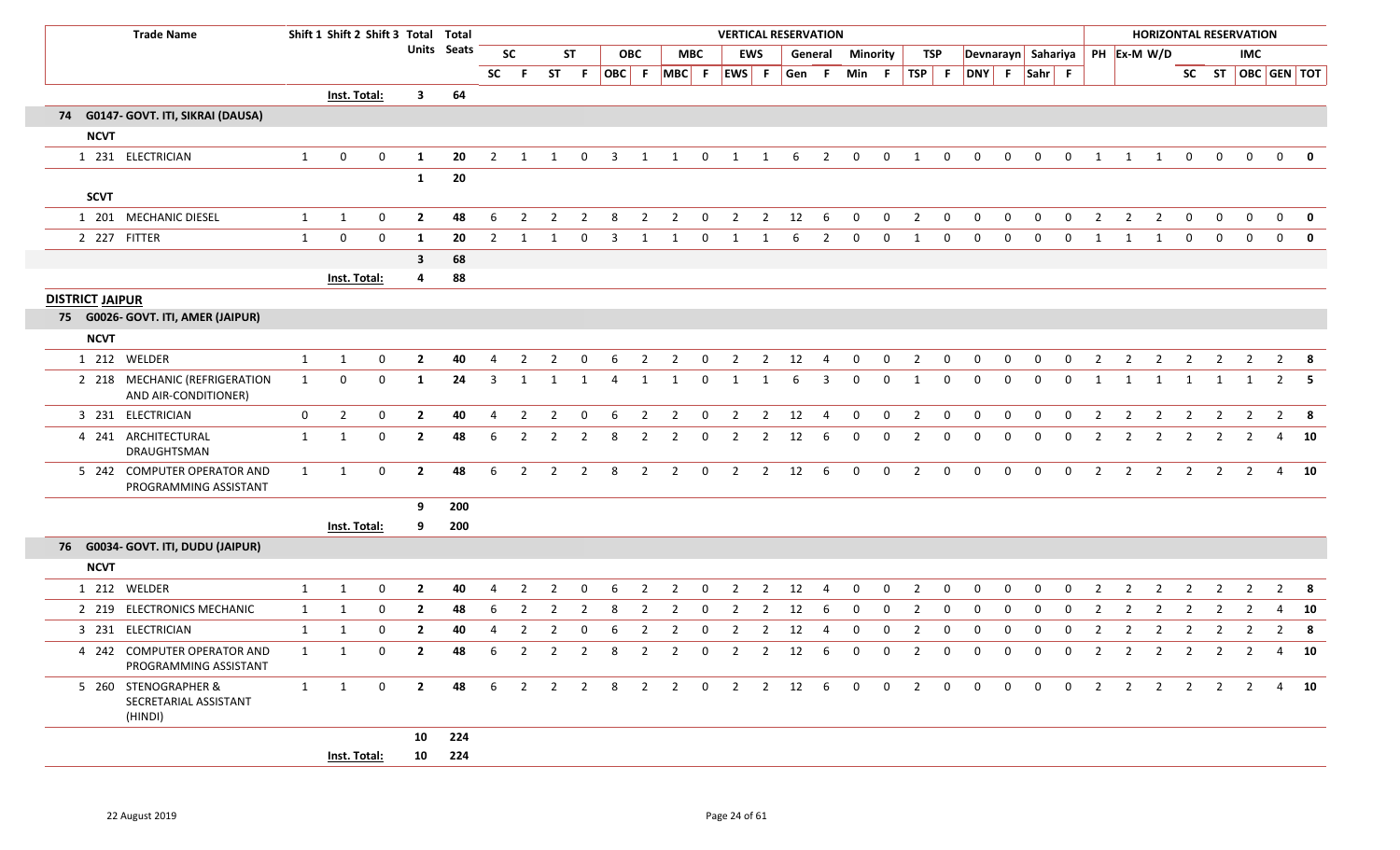| <b>Trade Name</b>                                        |              |                     | Shift 1 Shift 2 Shift 3 Total Total |                         |             |                |                |                |                |                         |                |                |                         | <b>VERTICAL RESERVATION</b> |                |       |                |                |              |                |                         |                                  |             |              |                |                |                |                |                         |                | <b>HORIZONTAL RESERVATION</b> |                |              |
|----------------------------------------------------------|--------------|---------------------|-------------------------------------|-------------------------|-------------|----------------|----------------|----------------|----------------|-------------------------|----------------|----------------|-------------------------|-----------------------------|----------------|-------|----------------|----------------|--------------|----------------|-------------------------|----------------------------------|-------------|--------------|----------------|----------------|----------------|----------------|-------------------------|----------------|-------------------------------|----------------|--------------|
|                                                          |              |                     |                                     |                         | Units Seats |                | <b>SC</b>      |                | <b>ST</b>      |                         | <b>OBC</b>     |                | <b>MBC</b>              |                             | EWS            |       | General        | Minority       |              | TSP            |                         | Devnarayn Sahariya   PH Ex-M W/D |             |              |                |                |                |                |                         |                | IMC                           |                |              |
|                                                          |              |                     |                                     |                         |             | <b>SC</b>      |                | <b>ST</b>      | - F            |                         |                |                |                         | OBC F MBC F EWS F           |                | Gen F |                | Min F          |              |                |                         | TSP F DNY F Sahr F               |             |              |                |                |                |                |                         |                | SC ST OBC GEN TOT             |                |              |
|                                                          |              | Inst. Total:        |                                     | $\overline{\mathbf{3}}$ | 64          |                |                |                |                |                         |                |                |                         |                             |                |       |                |                |              |                |                         |                                  |             |              |                |                |                |                |                         |                |                               |                |              |
| 74 G0147- GOVT. ITI, SIKRAI (DAUSA)                      |              |                     |                                     |                         |             |                |                |                |                |                         |                |                |                         |                             |                |       |                |                |              |                |                         |                                  |             |              |                |                |                |                |                         |                |                               |                |              |
| <b>NCVT</b>                                              |              |                     |                                     |                         |             |                |                |                |                |                         |                |                |                         |                             |                |       |                |                |              |                |                         |                                  |             |              |                |                |                |                |                         |                |                               |                |              |
| 1 231 ELECTRICIAN                                        | $\mathbf{1}$ | $\mathbf{0}$        | 0                                   | 1                       | 20          | $\overline{2}$ | 1              | 1              | $\mathbf 0$    | $\overline{\mathbf{3}}$ | 1              | 1              | $\mathbf 0$             | 1                           | 1              | 6     | $\overline{2}$ | $\mathbf 0$    | 0            | 1              | $\mathbf 0$             | $\mathbf 0$                      | $\mathbf 0$ | $\mathbf 0$  | $\mathbf{0}$   | 1              | 1              | 1              | $\mathbf{0}$            | $\mathbf{0}$   | $\mathbf 0$                   | $\mathbf{0}$   |              |
|                                                          |              |                     |                                     | $\mathbf{1}$            | 20          |                |                |                |                |                         |                |                |                         |                             |                |       |                |                |              |                |                         |                                  |             |              |                |                |                |                |                         |                |                               |                |              |
| <b>SCVT</b>                                              |              |                     |                                     |                         |             |                |                |                |                |                         |                |                |                         |                             |                |       |                |                |              |                |                         |                                  |             |              |                |                |                |                |                         |                |                               |                |              |
| 1 201 MECHANIC DIESEL                                    | 1            | 1                   | 0                                   | $\overline{2}$          | 48          | 6              | $\overline{2}$ | 2              | $\overline{2}$ | - 8                     | $\overline{2}$ | $\overline{2}$ | $\mathbf 0$             | $\overline{2}$              | $\overline{2}$ | 12    | 6              | $\mathbf{0}$   | $\mathbf 0$  | $\overline{2}$ | $\mathbf 0$             | $\mathbf 0$                      | $\mathbf 0$ | $\mathbf{0}$ | $\mathbf 0$    | $\overline{2}$ | $\overline{2}$ | $\overline{2}$ | $\overline{0}$          | $\mathbf{0}$   | $\mathbf{0}$                  | $\overline{0}$ | 0            |
| 2 227 FITTER                                             | $\mathbf{1}$ | $\mathbf 0$         | $\mathbf 0$                         | 1                       | 20          | 2              |                |                |                | 3                       | 1              |                | $\Omega$                |                             |                | 6     | 2              | $\Omega$       | $\mathbf 0$  | $\mathbf{1}$   | $\mathbf 0$             | $\Omega$                         | $\Omega$    | $\Omega$     | 0              | - 1            | -1             | -1             | $\mathbf{0}$            | $\mathbf{0}$   | $\mathbf{0}$                  | $\mathbf 0$    | $\mathbf{0}$ |
|                                                          |              |                     |                                     | $\mathbf{3}$            | 68          |                |                |                |                |                         |                |                |                         |                             |                |       |                |                |              |                |                         |                                  |             |              |                |                |                |                |                         |                |                               |                |              |
|                                                          |              | Inst. Total:        |                                     | 4                       | 88          |                |                |                |                |                         |                |                |                         |                             |                |       |                |                |              |                |                         |                                  |             |              |                |                |                |                |                         |                |                               |                |              |
| <b>DISTRICT JAIPUR</b>                                   |              |                     |                                     |                         |             |                |                |                |                |                         |                |                |                         |                             |                |       |                |                |              |                |                         |                                  |             |              |                |                |                |                |                         |                |                               |                |              |
| 75 G0026- GOVT. ITI, AMER (JAIPUR)                       |              |                     |                                     |                         |             |                |                |                |                |                         |                |                |                         |                             |                |       |                |                |              |                |                         |                                  |             |              |                |                |                |                |                         |                |                               |                |              |
| <b>NCVT</b>                                              |              |                     |                                     |                         |             |                |                |                |                |                         |                |                |                         |                             |                |       |                |                |              |                |                         |                                  |             |              |                |                |                |                |                         |                |                               |                |              |
| 1 212 WELDER                                             | $\mathbf{1}$ | $\mathbf{1}$        | 0                                   | $\overline{2}$          | 40          | $\overline{4}$ | $\overline{2}$ | $\overline{2}$ | $\mathbf{0}$   | 6                       | $\overline{2}$ | $\overline{2}$ | $\overline{0}$          | $\overline{2}$              | $2^{\circ}$    | 12    | $\overline{4}$ | $\mathbf 0$    | $\mathbf 0$  | $\overline{2}$ | $\overline{0}$          | $\mathbf 0$                      | $\mathbf 0$ | $\mathbf 0$  | $\mathbf 0$    | $\overline{2}$ | $\overline{2}$ | $\overline{2}$ | $\overline{2}$          | $\overline{2}$ | $\overline{2}$                |                | $2 \times 8$ |
| 2 218 MECHANIC (REFRIGERATION<br>AND AIR-CONDITIONER)    | $\mathbf{1}$ | $\mathbf 0$         | $\mathbf 0$                         | 1                       | 24          | 3              | -1             |                |                | 4                       | 1              | 1              | 0                       | 1                           | -1             | 6     | 3              | $\Omega$       | $\mathbf 0$  | 1              | 0                       | 0                                | 0           | $\mathbf 0$  | $\mathbf 0$    | -1             | -1             | 1              | 1                       | 1              | 1                             | 2              | -5           |
| 3 231 ELECTRICIAN                                        | $\mathbf 0$  | $\overline{2}$      | 0                                   | $\overline{2}$          | 40          | 4              | 2              | $\overline{2}$ | 0              | -6                      | $\overline{2}$ | $\overline{2}$ | $\mathbf 0$             | $\overline{2}$              | 2              | 12    | $\overline{4}$ | $\mathbf 0$    | $\mathbf 0$  | $\overline{2}$ | $\mathbf 0$             | 0                                | $\mathbf 0$ | $\Omega$     | 0              | 2              | 2              | 2              | $\overline{2}$          | $\overline{2}$ | $\overline{2}$                |                | $2 \times 8$ |
| 4 241 ARCHITECTURAL<br>DRAUGHTSMAN                       | $\mathbf{1}$ | 1                   | $\mathbf 0$                         | $\mathbf{2}$            | 48          | 6              | $\overline{2}$ | 2              | 2              | 8                       | $\overline{2}$ | $\overline{2}$ | $\overline{0}$          | $\overline{2}$              | $\overline{2}$ | 12    | 6              | 0              | 0            | $\overline{2}$ | $\mathbf 0$             | 0                                | $\mathbf 0$ | $\mathbf 0$  | $\mathbf 0$    | $\overline{2}$ | $\overline{2}$ | $\overline{2}$ | $\overline{2}$          | $\overline{2}$ | $\overline{2}$                |                | 4 10         |
| 5 242 COMPUTER OPERATOR AND<br>PROGRAMMING ASSISTANT     | 1            | 1                   | $\mathbf 0$                         | $\overline{2}$          | 48          | 6              | $\overline{2}$ | 2              | $\overline{2}$ | 8                       | $\overline{2}$ | $\overline{2}$ | $\mathbf 0$             | $\overline{2}$              | $\overline{2}$ | 12    | -6             | $\Omega$       | $\Omega$     | $\overline{2}$ | $\Omega$                | $\Omega$                         | $\Omega$    | $\Omega$     | $\Omega$       | $\overline{2}$ | 2              | $\overline{2}$ | $\overline{2}$          | $\overline{2}$ | $\overline{2}$                |                | 4 10         |
|                                                          |              |                     |                                     | 9                       | 200         |                |                |                |                |                         |                |                |                         |                             |                |       |                |                |              |                |                         |                                  |             |              |                |                |                |                |                         |                |                               |                |              |
|                                                          |              | <b>Inst. Total:</b> |                                     | 9                       | 200         |                |                |                |                |                         |                |                |                         |                             |                |       |                |                |              |                |                         |                                  |             |              |                |                |                |                |                         |                |                               |                |              |
| 76 G0034- GOVT. ITI, DUDU (JAIPUR)                       |              |                     |                                     |                         |             |                |                |                |                |                         |                |                |                         |                             |                |       |                |                |              |                |                         |                                  |             |              |                |                |                |                |                         |                |                               |                |              |
| <b>NCVT</b>                                              |              |                     |                                     |                         |             |                |                |                |                |                         |                |                |                         |                             |                |       |                |                |              |                |                         |                                  |             |              |                |                |                |                |                         |                |                               |                |              |
| 1 212 WELDER                                             | 1            | 1                   | 0                                   | $\overline{2}$          | 40          | 4              | $\overline{2}$ | 2              | $\Omega$       | 6                       | $\overline{2}$ | $\overline{2}$ | 0                       | 2                           | $\overline{2}$ | 12    |                | $\Omega$       | $\mathbf 0$  | 2              | 0                       | $\Omega$                         | 0           | $\Omega$     | 0              | 2              | 2              | -2             | 2                       | -2             | 2                             | 2              | - 8          |
| 2 219 ELECTRONICS MECHANIC                               | $\mathbf{1}$ | 1                   | 0                                   | $\overline{2}$          | 48          | 6              | $\overline{2}$ | 2              | 2              | -8                      | $\overline{2}$ | $\overline{2}$ | $\overline{0}$          | $\overline{2}$              | $\overline{2}$ | 12    | 6              | $\Omega$       | $\mathbf{0}$ | 2              | 0                       | 0                                | 0           | $\mathbf{0}$ | $\mathbf{0}$   | 2              | 2              | -2             | 2                       | $\overline{2}$ | $\overline{2}$                | $\overline{4}$ | 10           |
| 3 231 ELECTRICIAN                                        | $\mathbf{1}$ | 1                   | $\mathbf 0$                         | $\mathbf{2}$            | 40          | 4              | 2              | 2              | 0              | 6                       | -2             | 2              | $\mathbf{0}$            | 2                           | 2              | 12    |                | 0              | 0            | 2              | 0                       | 0                                | 0           | $\Omega$     | 0              | 2              | $\overline{2}$ | $\overline{2}$ | 2                       | $\overline{2}$ | $\overline{2}$                | $\overline{2}$ | - 8          |
| 4 242 COMPUTER OPERATOR AND<br>PROGRAMMING ASSISTANT     | $\mathbf{1}$ | $\mathbf{1}$        | 0                                   | $\overline{2}$          | 48          | 6              | $\overline{2}$ | $\overline{2}$ | $\overline{2}$ | 8                       | $\overline{2}$ | $\overline{2}$ | $\overline{\mathbf{0}}$ | $\overline{2}$              | $\overline{2}$ | 12    | 6              | $\mathbf{0}$   | $\mathbf 0$  | $\overline{2}$ | $\mathbf 0$             | $\mathbf 0$                      | $\mathbf 0$ | $\mathbf 0$  | $\mathbf 0$    | $\overline{2}$ | $\overline{2}$ | $\overline{2}$ | $\overline{2}$          | $\overline{2}$ | $\overline{2}$                |                | 4 10         |
| 5 260 STENOGRAPHER &<br>SECRETARIAL ASSISTANT<br>(HINDI) | $\mathbf{1}$ | $\mathbf{1}$        | $\mathbf{0}$                        | $\mathbf{2}$            | 48          | 6              | $\overline{2}$ |                | $2 \quad 2$    | 8 <sup>8</sup>          | $\overline{2}$ | $\overline{2}$ | $\overline{0}$          | $\overline{2}$              | $\overline{2}$ | 12    | 6              | $\overline{0}$ | $\mathbf{0}$ | $\overline{2}$ | $\overline{\mathbf{0}}$ | $\mathbf{0}$                     | $\mathbf 0$ | $\mathbf{0}$ | $\overline{0}$ | $\overline{2}$ | $\overline{2}$ | $\overline{2}$ | $\overline{\mathbf{2}}$ | $\overline{2}$ | $\overline{2}$                |                | 4 10         |
|                                                          |              |                     |                                     | 10                      | 224         |                |                |                |                |                         |                |                |                         |                             |                |       |                |                |              |                |                         |                                  |             |              |                |                |                |                |                         |                |                               |                |              |
|                                                          |              | Inst. Total:        |                                     | 10                      | 224         |                |                |                |                |                         |                |                |                         |                             |                |       |                |                |              |                |                         |                                  |             |              |                |                |                |                |                         |                |                               |                |              |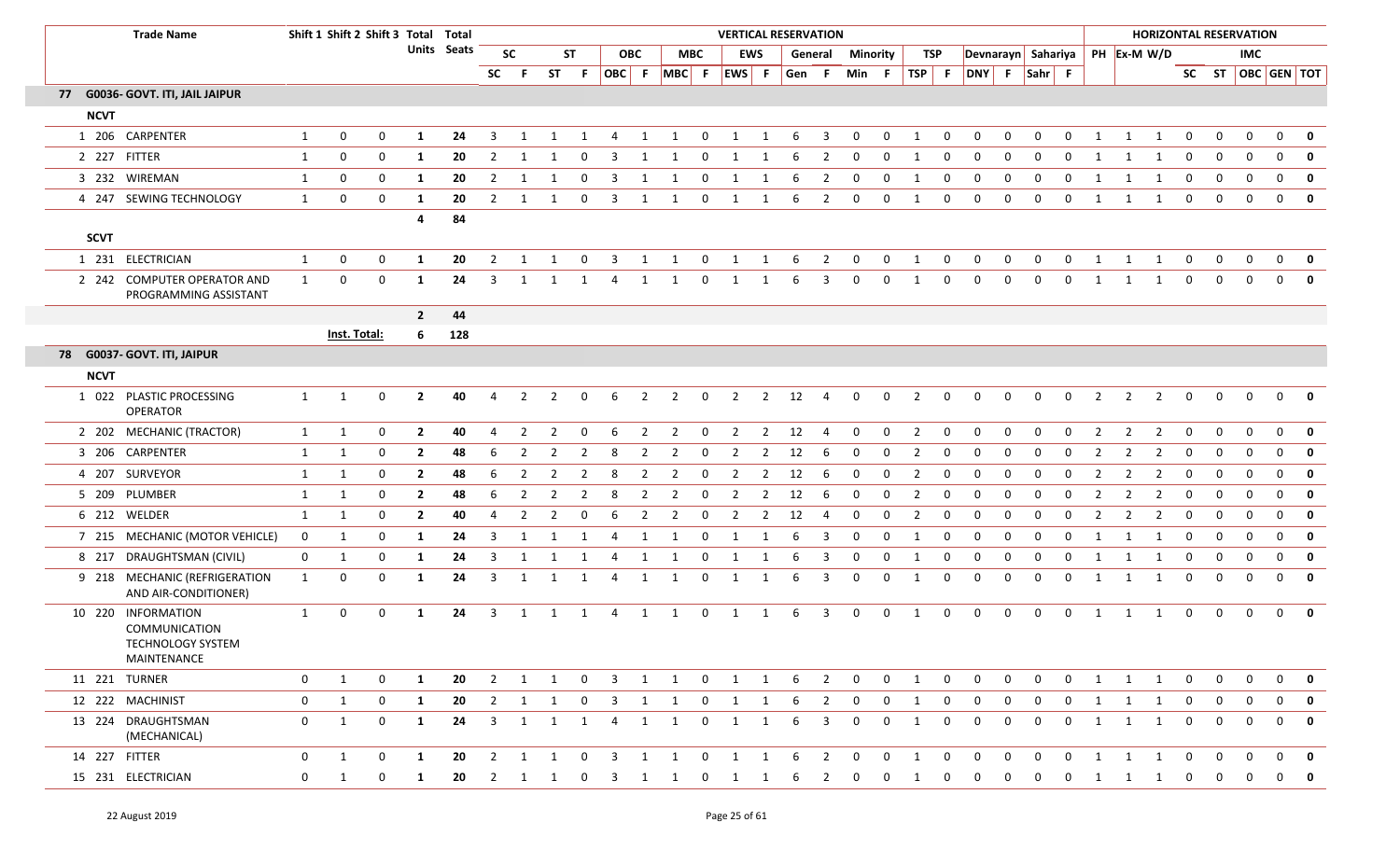| <b>Trade Name</b>                                                              |                | Shift 1 Shift 2 Shift 3 Total Total |              |              |                    |                |                |   |                |                         |              |                                                                                |                |                |                | <b>VERTICAL RESERVATION</b> |                         |                         |              |                                         |                         |                         |                |                |                |                |   | <b>HORIZONTAL RESERVATION</b>  |                |                |                |                                |                         |
|--------------------------------------------------------------------------------|----------------|-------------------------------------|--------------|--------------|--------------------|----------------|----------------|---|----------------|-------------------------|--------------|--------------------------------------------------------------------------------|----------------|----------------|----------------|-----------------------------|-------------------------|-------------------------|--------------|-----------------------------------------|-------------------------|-------------------------|----------------|----------------|----------------|----------------|---|--------------------------------|----------------|----------------|----------------|--------------------------------|-------------------------|
|                                                                                |                |                                     |              |              | <b>Units</b> Seats |                | <b>SC</b>      |   | <b>ST</b>      |                         | <b>OBC</b>   |                                                                                | <b>MBC</b>     |                | <b>EWS</b>     |                             |                         | <b>General Minority</b> |              |                                         | TSP                     |                         |                |                |                |                |   | Devnarayn Sahariya PH Ex-M W/D |                |                | <b>IMC</b>     |                                |                         |
|                                                                                |                |                                     |              |              |                    | <b>SC</b>      | -F.            |   | ST F           |                         |              | OBC   F   MBC   F   EWS   F   Gen   F   Min   F   TSP   F   DNY   F   Sahr   F |                |                |                |                             |                         |                         |              |                                         |                         |                         |                |                |                |                |   |                                |                |                |                | SC ST $\overline{OBC}$ GEN TOT |                         |
| 77 G0036- GOVT. ITI, JAIL JAIPUR                                               |                |                                     |              |              |                    |                |                |   |                |                         |              |                                                                                |                |                |                |                             |                         |                         |              |                                         |                         |                         |                |                |                |                |   |                                |                |                |                |                                |                         |
| <b>NCVT</b>                                                                    |                |                                     |              |              |                    |                |                |   |                |                         |              |                                                                                |                |                |                |                             |                         |                         |              |                                         |                         |                         |                |                |                |                |   |                                |                |                |                |                                |                         |
| 1 206 CARPENTER                                                                | 1              | 0                                   | 0            | 1            | 24                 | 3              |                |   | -1             | 4                       | 1            | 1                                                                              | $\Omega$       | 1              | 1              | -6                          | 3                       | $\mathbf{0}$            | 0            | 1                                       | 0                       | $\mathbf{0}$            | $\mathbf{0}$   | $\Omega$       | $\Omega$       |                |   | 1                              | $\mathbf 0$    | $\mathbf{0}$   | $\mathbf{0}$   | 0                              | $\mathbf{0}$            |
| 2 227 FITTER                                                                   | 1              | 0                                   | 0            | 1            | 20                 | $\overline{2}$ |                |   | 0              | 3                       | 1            | 1                                                                              | 0              | 1              | 1              | 6                           | 2                       | 0                       | 0            | 1                                       | 0                       | $\mathbf 0$             | 0              | 0              | 0              |                |   | 1                              | 0              | 0              | 0              | 0                              | $\mathbf 0$             |
| 3 232 WIREMAN                                                                  | $\mathbf{1}$   | 0                                   | 0            | 1            | 20                 | $\overline{2}$ | -1             |   | $\Omega$       | 3                       | -1           | 1                                                                              | 0              | 1              | 1              | 6                           | $\overline{2}$          | 0                       | 0            | 1                                       | 0                       | $\mathbf 0$             | $\mathbf 0$    | $\mathbf{0}$   | 0              |                |   | 1                              | 0              | $\mathbf 0$    | 0              | $\mathbf 0$                    | $\mathbf 0$             |
| 4 247 SEWING TECHNOLOGY                                                        | 1              | 0                                   | 0            | 1            | 20                 | $\overline{2}$ | 1              |   | $\Omega$       | 3                       | 1            | 1                                                                              | 0              | 1              | 1              | 6                           | $\overline{2}$          | 0                       | 0            | 1                                       | 0                       | $\mathbf 0$             | 0              | $\mathbf{0}$   | 0              | -1             |   | 1                              | $\mathbf 0$    | $\mathbf 0$    | $\mathbf{0}$   | 0                              | $\mathbf 0$             |
|                                                                                |                |                                     |              | 4            | 84                 |                |                |   |                |                         |              |                                                                                |                |                |                |                             |                         |                         |              |                                         |                         |                         |                |                |                |                |   |                                |                |                |                |                                |                         |
| <b>SCVT</b>                                                                    |                |                                     |              |              |                    |                |                |   |                |                         |              |                                                                                |                |                |                |                             |                         |                         |              |                                         |                         |                         |                |                |                |                |   |                                |                |                |                |                                |                         |
| 1 231 ELECTRICIAN                                                              | 1              | 0                                   | $\bf{0}$     | 1            | 20                 | $\overline{2}$ | 1              | 1 | $\overline{0}$ | $\overline{\mathbf{3}}$ |              | 1 1                                                                            |                | 0 1 1 6 2      |                |                             |                         | $\overline{\mathbf{0}}$ | $0\qquad 1$  |                                         | $\overline{0}$          | $\overline{0}$          | $\mathbf{0}$   | $\overline{0}$ |                | $0 \quad 1$    |   | $1 \quad 1$                    | $\mathbf{0}$   | $\mathbf{0}$   | $\overline{0}$ | $\overline{0}$                 | $\overline{\mathbf{0}}$ |
| 2 242 COMPUTER OPERATOR AND<br>PROGRAMMING ASSISTANT                           | 1              | 0                                   | 0            | 1            | 24                 | 3              |                |   |                |                         | 1            |                                                                                | 0              |                |                |                             | 3                       | 0                       | 0            | -1                                      | $\mathbf{0}$            | $\mathbf{0}$            | $\mathbf{0}$   | $\Omega$       | 0              |                |   | 1                              | $\mathbf 0$    | 0              | $\Omega$       | $\Omega$                       |                         |
|                                                                                |                |                                     |              | $\mathbf{2}$ | 44                 |                |                |   |                |                         |              |                                                                                |                |                |                |                             |                         |                         |              |                                         |                         |                         |                |                |                |                |   |                                |                |                |                |                                |                         |
|                                                                                |                | Inst. Total:                        |              | 6            | 128                |                |                |   |                |                         |              |                                                                                |                |                |                |                             |                         |                         |              |                                         |                         |                         |                |                |                |                |   |                                |                |                |                |                                |                         |
| 78 G0037- GOVT. ITI, JAIPUR                                                    |                |                                     |              |              |                    |                |                |   |                |                         |              |                                                                                |                |                |                |                             |                         |                         |              |                                         |                         |                         |                |                |                |                |   |                                |                |                |                |                                |                         |
| <b>NCVT</b>                                                                    |                |                                     |              |              |                    |                |                |   |                |                         |              |                                                                                |                |                |                |                             |                         |                         |              |                                         |                         |                         |                |                |                |                |   |                                |                |                |                |                                |                         |
| 1 022 PLASTIC PROCESSING<br><b>OPERATOR</b>                                    | 1              | 1                                   | $\mathbf{0}$ | $\mathbf{2}$ | 40                 | 4              | $\overline{2}$ |   | $\Omega$       | 6                       | 2            | $\overline{2}$                                                                 | $\mathbf 0$    | $\overline{2}$ | $\overline{2}$ | 12                          | 4                       | $\mathbf{0}$            | $\mathbf 0$  | $\overline{2}$                          | $\mathbf{0}$            | $\mathbf{0}$            | 0              | $\mathbf{0}$   | $\mathbf{0}$   | $\overline{2}$ | 2 | $\overline{2}$                 | $\mathbf{0}$   | $\mathbf 0$    | $\Omega$       | $\Omega$                       |                         |
| 2 202 MECHANIC (TRACTOR)                                                       | $\mathbf{1}$   | 1                                   | 0            | $\mathbf{2}$ | 40                 | 4              | 2              | 2 | $\Omega$       | 6                       | 2            | $\overline{2}$                                                                 | $\mathbf 0$    | $\overline{2}$ | $\overline{2}$ | 12                          | 4                       | 0                       | 0            | $\overline{2}$                          | 0                       | $\mathbf 0$             | 0              | 0              | 0              |                | 2 | 2                              | 0              | 0              | 0              | $\mathbf{0}$                   | $\mathbf 0$             |
| 3 206 CARPENTER                                                                | 1              | 1                                   | 0            | $\mathbf{2}$ | 48                 | 6              | -2             | 2 | -2             | 8                       | 2            | $\overline{2}$                                                                 | 0              | 2              | 2              | 12                          | 6                       | 0                       | 0            | 2                                       | 0                       | 0                       | 0              | 0              | 0              |                | 2 | 2                              | 0              | 0              | 0              | 0                              | $\mathbf 0$             |
| 4 207 SURVEYOR                                                                 | 1              | 1                                   | 0            | $\mathbf{2}$ | 48                 | 6              | 2              | 2 | 2              | 8                       | 2            | $\overline{2}$                                                                 | $\mathbf 0$    | $\overline{2}$ | $\overline{2}$ | 12                          | -6                      | 0                       | 0            | $\overline{2}$                          | $\mathbf{0}$            | 0                       | 0              | 0              | 0              | -2             | 2 | 2                              | 0              | $\mathbf 0$    | $\mathbf{0}$   | 0                              | $\mathbf 0$             |
| 5 209 PLUMBER                                                                  | 1              | 1                                   | 0            | $\mathbf{2}$ | 48                 | 6              | 2              | 2 | 2              | 8                       | 2            | $\overline{2}$                                                                 | 0              | $\overline{2}$ | 2              | 12                          | 6                       | 0                       | 0            | $\overline{2}$                          | 0                       | 0                       | $\mathbf{0}$   | $\Omega$       | 0              |                |   | 2                              | 0              | $\mathbf 0$    | $\mathbf{0}$   | $\mathbf 0$                    | $\mathbf 0$             |
| 6 212 WELDER                                                                   | 1              | 1                                   | 0            | $\mathbf{2}$ | 40                 | 4              | 2              |   |                | 6                       |              | 2                                                                              | $\Omega$       | 2              | 2              | 12                          | 4                       | 0                       | 0            | 2                                       | 0                       | 0                       | 0              | <sup>0</sup>   | 0              |                |   | 2                              | $\Omega$       | 0              | $\Omega$       | 0                              | $\mathbf 0$             |
| 7 215 MECHANIC (MOTOR VEHICLE)                                                 | $\mathbf{0}$   | 1                                   | 0            | 1            | 24                 | 3              | -1             |   | -1             | 4                       | 1            | 1                                                                              | 0              | 1              | 1              | 6                           | 3                       | 0                       | 0            | 1                                       | 0                       | 0                       | 0              | $\Omega$       | $\Omega$       |                |   | -1                             | $\Omega$       | 0              | $\mathbf{0}$   | $\mathbf 0$                    | $\mathbf 0$             |
| 8 217 DRAUGHTSMAN (CIVIL)                                                      | $\mathbf{0}$   | 1                                   | 0            | 1            | 24                 | 3              | -1             |   | -1             | 4                       | 1            | 1                                                                              | 0              | 1              | 1              | 6                           | 3                       | 0                       | 0            | 1                                       | 0                       | 0                       | 0              | 0              | $\Omega$       |                |   | 1                              | 0              | $\mathbf 0$    | 0              | 0                              | $\mathbf 0$             |
| 9 218 MECHANIC (REFRIGERATION<br>AND AIR-CONDITIONER)                          | $\mathbf{1}$   | $\mathbf 0$                         | 0            | 1            | 24                 | 3              | 1              |   | -1             |                         | 1            | 1                                                                              | -0             | 1              |                |                             | 3                       | 0                       | 0            | -1                                      | 0                       | 0                       | 0              | <sup>0</sup>   | 0              |                |   | 1                              | $\Omega$       | 0              | $\Omega$       | 0                              | $\mathbf 0$             |
| 10 220 INFORMATION<br><b>COMMUNICATION</b><br>TECHNOLOGY SYSTEM<br>MAINTENANCE | 1              | $\mathbf 0$                         | $\mathbf{0}$ | -1           | 24                 | 3              | 1              | 1 | 1              | 4                       | 1            | 1                                                                              | $\mathbf 0$    | 1              | 1              | -6                          | 3                       | $\mathbf{0}$            | $\mathbf{0}$ | 1                                       | $\mathbf{0}$            | $\mathbf{0}$            | $\mathbf{0}$   | $\mathbf{0}$   | $\mathbf{0}$   | -1             |   | 1                              | $\Omega$       | $\Omega$       | $\Omega$       | $\Omega$                       | $\mathbf{0}$            |
| 11 221 TURNER                                                                  | $\overline{0}$ | 1                                   | $\mathbf 0$  | $\mathbf{1}$ | 20                 |                |                |   |                |                         |              | 2 1 1 0 3 1 1 0 1 1 6 2 0 0 1 0 0                                              |                |                |                |                             |                         |                         |              |                                         |                         |                         | $\overline{0}$ |                |                |                |   | 0 0 1 1 1 0 0                  |                |                | $\overline{0}$ |                                | $0$ 0                   |
| 12 222 MACHINIST                                                               | $\mathbf{0}$   | 1                                   | $\mathbf{0}$ | $\mathbf{1}$ | 20                 |                |                |   |                |                         |              | 2 1 1 0 3 1 1 0 1 1 6 2 0                                                      |                |                |                |                             |                         |                         |              | $0\qquad 1\qquad 0$                     |                         | $\overline{\mathbf{0}}$ | $\overline{0}$ |                |                |                |   | 0 0 1 1 1 0 0                  |                |                | $\mathbf{0}$   |                                | $0$ 0                   |
| 13 224 DRAUGHTSMAN<br>(MECHANICAL)                                             | $\overline{0}$ | 1                                   | $\mathbf 0$  | $\mathbf{1}$ | 24                 |                | 3 1            |   | 1 1            | 4                       | $\mathbf{1}$ | $\overline{1}$                                                                 | $\mathbf{0}$   | $\overline{1}$ | $\mathbf{1}$   | 6                           | $\overline{\mathbf{3}}$ | $\overline{0}$          | $\mathbf 0$  | 1                                       | $\overline{\mathbf{0}}$ | $\overline{0}$          | $\mathbf 0$    | $\mathbf{0}$   | $\overline{0}$ | 1              | 1 | $\overline{1}$                 | $\overline{0}$ | $\overline{0}$ | $\overline{0}$ |                                | $0$ 0                   |
| 14 227 FITTER                                                                  | $\mathbf{0}$   | 1                                   | $\mathbf 0$  | 1            | 20                 |                | 2 1            | 1 | $\overline{0}$ | $\overline{\mathbf{3}}$ |              | 1 1                                                                            | $\overline{0}$ | $\overline{1}$ | $\overline{1}$ | 6                           | $\overline{\mathbf{2}}$ | $\overline{0}$          | $\mathbf{0}$ | 1                                       | $\overline{0}$          | $\overline{0}$          | $\mathbf 0$    | $\overline{0}$ | $\overline{0}$ | 1              | 1 | $\overline{\mathbf{1}}$        | $\mathbf{0}$   | $\mathbf{0}$   | $\Omega$       | $\mathbf{0}$                   | 0                       |
| 15 231 ELECTRICIAN                                                             | $\mathbf{0}$   | 1                                   | $\mathbf{0}$ | 1            |                    |                |                |   |                |                         |              | 20 2 1 1 0 3 1 1 0 1 1 6 2 0                                                   |                |                |                |                             |                         |                         |              | $\begin{matrix} 0 & 1 & 0 \end{matrix}$ |                         | $\overline{0}$          | $\overline{0}$ |                |                |                |   | 0 0 1 1 1 0                    |                | $\overline{0}$ | $\mathbf{0}$   |                                | $0$ 0                   |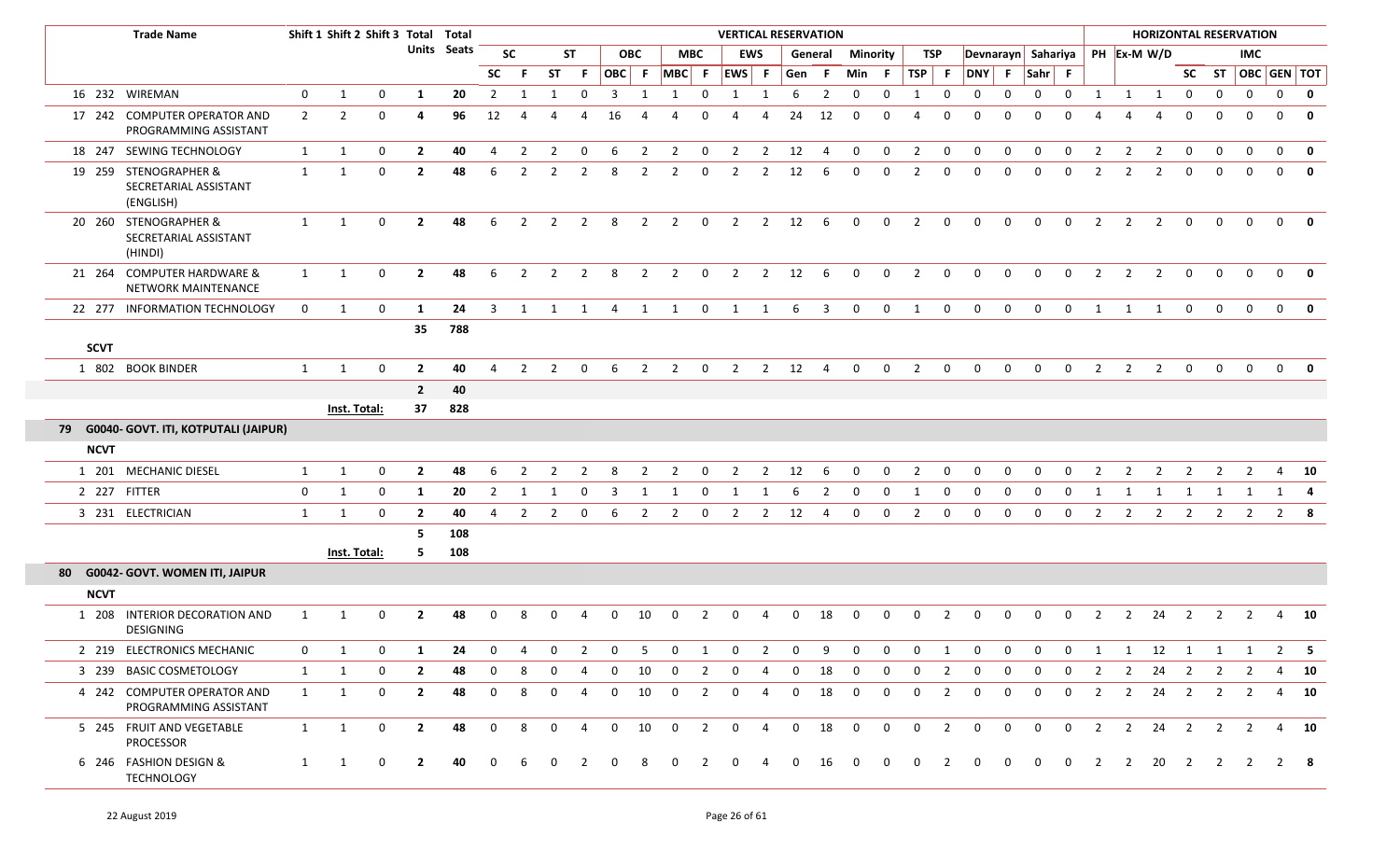|             | <b>Trade Name</b>                                           |                |                | Shift 1 Shift 2 Shift 3 Total Total |                |             |                |                |                |                |             |                          |                         |                | <b>VERTICAL RESERVATION</b>     |                |              |                |                 |                |                          |                |                    |              |                |              |                |                | <b>HORIZONTAL RESERVATION</b> |                |                |                |                         |              |
|-------------|-------------------------------------------------------------|----------------|----------------|-------------------------------------|----------------|-------------|----------------|----------------|----------------|----------------|-------------|--------------------------|-------------------------|----------------|---------------------------------|----------------|--------------|----------------|-----------------|----------------|--------------------------|----------------|--------------------|--------------|----------------|--------------|----------------|----------------|-------------------------------|----------------|----------------|----------------|-------------------------|--------------|
|             |                                                             |                |                |                                     |                | Units Seats |                | <b>SC</b>      |                | <b>ST</b>      |             | <b>OBC</b>               |                         | <b>MBC</b>     | <b>EWS</b>                      |                |              | General        | <b>Minority</b> |                | <b>TSP</b>               |                | Devnarayn Sahariya |              |                |              |                |                | PH Ex-M W/D                   |                |                | <b>IMC</b>     |                         |              |
|             |                                                             |                |                |                                     |                |             | <b>SC</b>      | - F            | <b>ST</b>      | - F            | OBC F       |                          | MBC F                   |                | EWS F                           |                | Gen F        |                | Min F           |                | TSP                      | $\mathsf{F}$   | DNY F              |              | $Sahr$ F       |              |                |                |                               |                |                |                | SC ST   OBC   GEN   TOT |              |
|             | 16 232 WIREMAN                                              | $\mathbf 0$    | 1              | $\mathbf 0$                         | 1              | 20          | $\overline{2}$ | 1              | 1              | $\mathbf 0$    | 3           | $\overline{1}$           | 1                       | $\mathbf 0$    | 1                               | $\mathbf{1}$   | 6            | $\overline{2}$ | 0               | $\mathbf 0$    | 1                        | $\mathbf 0$    | $\mathbf 0$        | $\mathbf 0$  | $\mathbf 0$    | $\mathbf 0$  | 1              | $\mathbf{1}$   | $\mathbf{1}$                  | $\overline{0}$ | $\mathbf{0}$   | $\mathbf 0$    | $\mathbf{0}$            | $\mathbf{0}$ |
|             | 17 242 COMPUTER OPERATOR AND<br>PROGRAMMING ASSISTANT       | $\overline{2}$ | $\overline{2}$ | $\Omega$                            | 4              | 96          | 12             |                |                |                | 16          |                          |                         |                | $\Delta$                        |                | 24           | 12             | 0               | $\Omega$       | $\overline{a}$           | $\Omega$       | $\Omega$           | $\Omega$     | $\Omega$       |              |                |                | $\Delta$                      | $\Omega$       | $\Omega$       | $\Omega$       | $\Omega$                | $\mathbf 0$  |
|             | 18 247 SEWING TECHNOLOGY                                    | 1              | 1              | $\mathbf{0}$                        | $\mathbf{2}$   | 40          | 4              | 2              | $\overline{2}$ | $\mathbf 0$    | 6           | $\overline{2}$           | 2                       | $\mathbf{0}$   | 2                               | $\overline{2}$ | 12           | 4              | 0               | $\mathbf 0$    | $\overline{2}$           | $\mathbf{0}$   | $\mathbf{0}$       | 0            | $\mathbf 0$    | $\mathbf 0$  | $\overline{2}$ | $\overline{2}$ | 2                             | $\mathbf{0}$   | $\mathbf{0}$   | $\Omega$       | $\Omega$                | $\mathbf 0$  |
|             | 19 259 STENOGRAPHER &<br>SECRETARIAL ASSISTANT<br>(ENGLISH) | $\mathbf{1}$   | 1              | $\mathbf{0}$                        | $\overline{2}$ | 48          | 6              | 2              | 2              | 2              | 8           | $\overline{2}$           | 2                       | 0              | $\overline{2}$                  | 2              | 12           | -6             | 0               | $\mathbf 0$    | $\overline{2}$           | 0              | 0                  | 0            | $\Omega$       | 0            | 2              | 2              | $\overline{2}$                | $\mathbf{0}$   | $\mathbf{0}$   | $\mathbf{0}$   | $\Omega$                | $\mathbf 0$  |
|             | 20 260 STENOGRAPHER &<br>SECRETARIAL ASSISTANT<br>(HINDI)   | $\mathbf{1}$   | 1              | $\mathbf{0}$                        | $\overline{2}$ | 48          | 6              | $\overline{2}$ | $\overline{2}$ | $\overline{2}$ | 8           |                          | $2 \quad 2$             |                | 0 2 2 12 6                      |                |              |                | $\overline{0}$  | $\overline{0}$ | $\overline{\mathbf{2}}$  | $\overline{0}$ | $\mathbf 0$        | $\mathbf{0}$ | $\mathbf{0}$   | $\mathbf{0}$ | $\overline{2}$ | $\overline{2}$ | $\overline{2}$                | $\mathbf 0$    | $\mathbf{0}$   | $\Omega$       | $\Omega$                | - 0          |
|             | 21 264 COMPUTER HARDWARE &<br>NETWORK MAINTENANCE           | 1              | 1              | $\Omega$                            | $\overline{2}$ | 48          | 6              | 2              | 2              | $\overline{2}$ | 8           | $\overline{2}$           | $\overline{2}$          | $\mathbf 0$    | 2                               | $\overline{2}$ | 12           | -6             | $\mathbf 0$     | $\mathbf 0$    | $\overline{2}$           | $\Omega$       | $\Omega$           | $\Omega$     | $\Omega$       | $\Omega$     | $\overline{2}$ | 2              | 2                             | $\Omega$       | $\Omega$       | $\Omega$       | $\Omega$                | $\mathbf{0}$ |
|             | 22 277 INFORMATION TECHNOLOGY                               | $\mathbf 0$    | 1              | $\mathbf{0}$                        | 1              | 24          | 3              | $\mathbf{1}$   | 1              | $\mathbf 1$    | 4           | 1                        | 1                       | $\mathbf 0$    | 1                               | 1              | 6            | 3              | 0               | $\mathbf 0$    | 1                        | $\mathbf{0}$   | $\overline{0}$     | $\mathbf 0$  | $\mathbf 0$    | $\mathbf 0$  | 1              | 1              | 1                             | $\mathbf{0}$   | $\mathbf 0$    | $\Omega$       | $\mathbf{0}$            | $\mathbf{0}$ |
| <b>SCVT</b> |                                                             |                |                |                                     | 35             | 788         |                |                |                |                |             |                          |                         |                |                                 |                |              |                |                 |                |                          |                |                    |              |                |              |                |                |                               |                |                |                |                         |              |
|             | 1 802 BOOK BINDER                                           | $\mathbf{1}$   | 1              | $\mathbf{0}$                        | $\overline{2}$ | 40          | 4              | 2              | $\overline{2}$ | $\Omega$       | 6           | $\overline{\phantom{a}}$ | $\overline{\mathbf{2}}$ |                | $0 \qquad 2 \qquad 2 \qquad 12$ |                |              | $\overline{4}$ | $\mathbf 0$     | $\mathbf{0}$   | $\overline{\phantom{a}}$ | $\mathbf{0}$   | $\mathbf{0}$       | $\Omega$     | $\Omega$       | $\mathbf 0$  | $\overline{2}$ | 2              | $\overline{2}$                | $\mathbf 0$    | $\mathbf{0}$   | $\Omega$       | $\mathbf{0}$            |              |
|             |                                                             |                |                |                                     | $\overline{2}$ | 40          |                |                |                |                |             |                          |                         |                |                                 |                |              |                |                 |                |                          |                |                    |              |                |              |                |                |                               |                |                |                |                         |              |
|             |                                                             |                | Inst. Total:   |                                     | 37             | 828         |                |                |                |                |             |                          |                         |                |                                 |                |              |                |                 |                |                          |                |                    |              |                |              |                |                |                               |                |                |                |                         |              |
|             | 79 G0040- GOVT. ITI, KOTPUTALI (JAIPUR)                     |                |                |                                     |                |             |                |                |                |                |             |                          |                         |                |                                 |                |              |                |                 |                |                          |                |                    |              |                |              |                |                |                               |                |                |                |                         |              |
| <b>NCVT</b> |                                                             |                |                |                                     |                |             |                |                |                |                |             |                          |                         |                |                                 |                |              |                |                 |                |                          |                |                    |              |                |              |                |                |                               |                |                |                |                         |              |
|             | 1 201 MECHANIC DIESEL                                       | $\mathbf{1}$   | 1              | $\mathbf{0}$                        | $\overline{2}$ | 48          | 6              | 2              | 2              | -2             | 8           | $\overline{2}$           | 2                       | 0              | 2                               | 2              | 12           | -6             | 0               | $\mathbf 0$    | $\overline{2}$           | 0              | $\Omega$           | 0            | $\Omega$       | $\Omega$     |                | 2              |                               |                |                | 2              |                         | 4 10         |
|             | 2 227 FITTER                                                | 0              | 1              | 0                                   | 1              | 20          | 2              |                |                | $\Omega$       | 3           |                          |                         |                |                                 |                | 6            |                | 0               |                |                          |                | 0                  | $\Omega$     | $\Omega$       | $\Omega$     |                |                |                               |                |                |                | 1                       |              |
|             | 3 231 ELECTRICIAN                                           | 1              | 1              | 0                                   | $\overline{2}$ | 40          | 4              | $\overline{2}$ | 2              | 0              | 6           | $\overline{2}$           | $\overline{2}$          | 0              | 2                               | $\overline{2}$ | 12           | 4              | 0               | $\mathbf 0$    | $\overline{2}$           | 0              | 0                  | $\mathbf 0$  | $\mathbf 0$    | $\mathbf 0$  | $\overline{2}$ | $\overline{2}$ | $\overline{2}$                | $\overline{2}$ | 2              | 2              |                         | $2 \times 8$ |
|             |                                                             |                |                |                                     | 5              | 108         |                |                |                |                |             |                          |                         |                |                                 |                |              |                |                 |                |                          |                |                    |              |                |              |                |                |                               |                |                |                |                         |              |
|             |                                                             |                | Inst. Total:   |                                     | 5.             | 108         |                |                |                |                |             |                          |                         |                |                                 |                |              |                |                 |                |                          |                |                    |              |                |              |                |                |                               |                |                |                |                         |              |
|             | 80 G0042- GOVT. WOMEN ITI, JAIPUR                           |                |                |                                     |                |             |                |                |                |                |             |                          |                         |                |                                 |                |              |                |                 |                |                          |                |                    |              |                |              |                |                |                               |                |                |                |                         |              |
| <b>NCVT</b> |                                                             |                |                |                                     |                |             |                |                |                |                |             |                          |                         |                |                                 |                |              |                |                 |                |                          |                |                    |              |                |              |                |                |                               |                |                |                |                         |              |
|             | 1 208 INTERIOR DECORATION AND<br>DESIGNING                  |                |                |                                     | -2             | 48          |                |                |                |                |             | 10                       | <sup>0</sup>            |                |                                 |                | <sup>0</sup> | 18             | 0               |                |                          |                | - 0                |              | $\Omega$       |              |                |                | 24                            |                |                |                |                         | 10           |
|             | 2 219 ELECTRONICS MECHANIC                                  | 0              |                | 0                                   | 1              | 24          | $\mathbf 0$    | 4              | 0              | $\overline{2}$ | 0           | -5                       | 0                       | 1              | 0                               |                | $\mathbf 0$  | 9              | $\mathbf{0}$    | $\mathbf 0$    | $\mathbf 0$              |                | $\mathbf 0$        | $\mathbf 0$  | $\mathbf{0}$   | $\mathbf 0$  |                |                | 12                            | 1              | -1             |                | $\mathbf{2}$            | - 5          |
|             | 3 239 BASIC COSMETOLOGY                                     | 1              | 1              | $\mathbf{0}$                        | $\overline{2}$ | 48          | 0              | 8              | 0              | 4              | $\mathbf 0$ | 10                       | 0                       | 2              | $\mathbf 0$                     | 4              | $\mathbf 0$  | 18             | $\mathbf 0$     | 0              | $\mathbf 0$              | $\overline{2}$ | $\mathbf 0$        | $\mathbf 0$  | $\mathbf 0$    | 0            | 2              | $\overline{2}$ | 24                            | $\overline{2}$ | 2              | $\overline{2}$ |                         | 4 10         |
|             | 4 242 COMPUTER OPERATOR AND<br>PROGRAMMING ASSISTANT        | 1              | 1              | $\mathbf{0}$                        | $\overline{2}$ | 48          | $\Omega$       | 8              | 0              | 4              | 0           | 10                       | $\mathbf 0$             | $\overline{2}$ | $\mathbf 0$                     | 4              | $\mathbf 0$  | 18             | $\mathbf 0$     | $\mathbf{0}$   | $\Omega$                 | $\overline{2}$ | $\mathbf 0$        | $\mathbf 0$  | $\mathbf 0$    | $\mathbf 0$  | $\overline{2}$ | $\overline{2}$ | 24                            | $\overline{2}$ | 2              | 2              |                         | 4 10         |
|             | 5 245 FRUIT AND VEGETABLE<br><b>PROCESSOR</b>               | 1              | 1              | $\overline{0}$                      | $\overline{2}$ | 48          | $\Omega$       | 8              | $\mathbf{0}$   | $\overline{4}$ | $\mathbf 0$ | 10                       | $\mathbf 0$             | $\overline{2}$ | $\mathbf 0$                     | $\overline{4}$ | $\mathbf 0$  | 18             | $\mathbf 0$     | $\overline{0}$ | $\mathbf 0$              | $\overline{2}$ | $\mathbf{0}$       | $\mathbf{0}$ | $\overline{0}$ | $\mathbf{0}$ | $\overline{2}$ |                | $2 \qquad 24 \qquad 2$        |                | $\overline{2}$ | $\overline{2}$ |                         | 4 10         |
|             | 6 246 FASHION DESIGN &<br><b>TECHNOLOGY</b>                 | $\mathbf{1}$   | 1              | $\overline{0}$                      | $\overline{2}$ | 40          | $\Omega$       | 6              | $\Omega$       | 2              | $\Omega$    | 8                        | $\overline{0}$          | 2              | $\Omega$                        | 4              | $\mathbf 0$  | 16             | $\overline{0}$  | $\Omega$       | $\Omega$                 | $\overline{2}$ |                    | $\Omega$     | $\Omega$       | $\Omega$     |                |                | 2 2 20 2 2 2 2 8              |                |                |                |                         |              |

I

I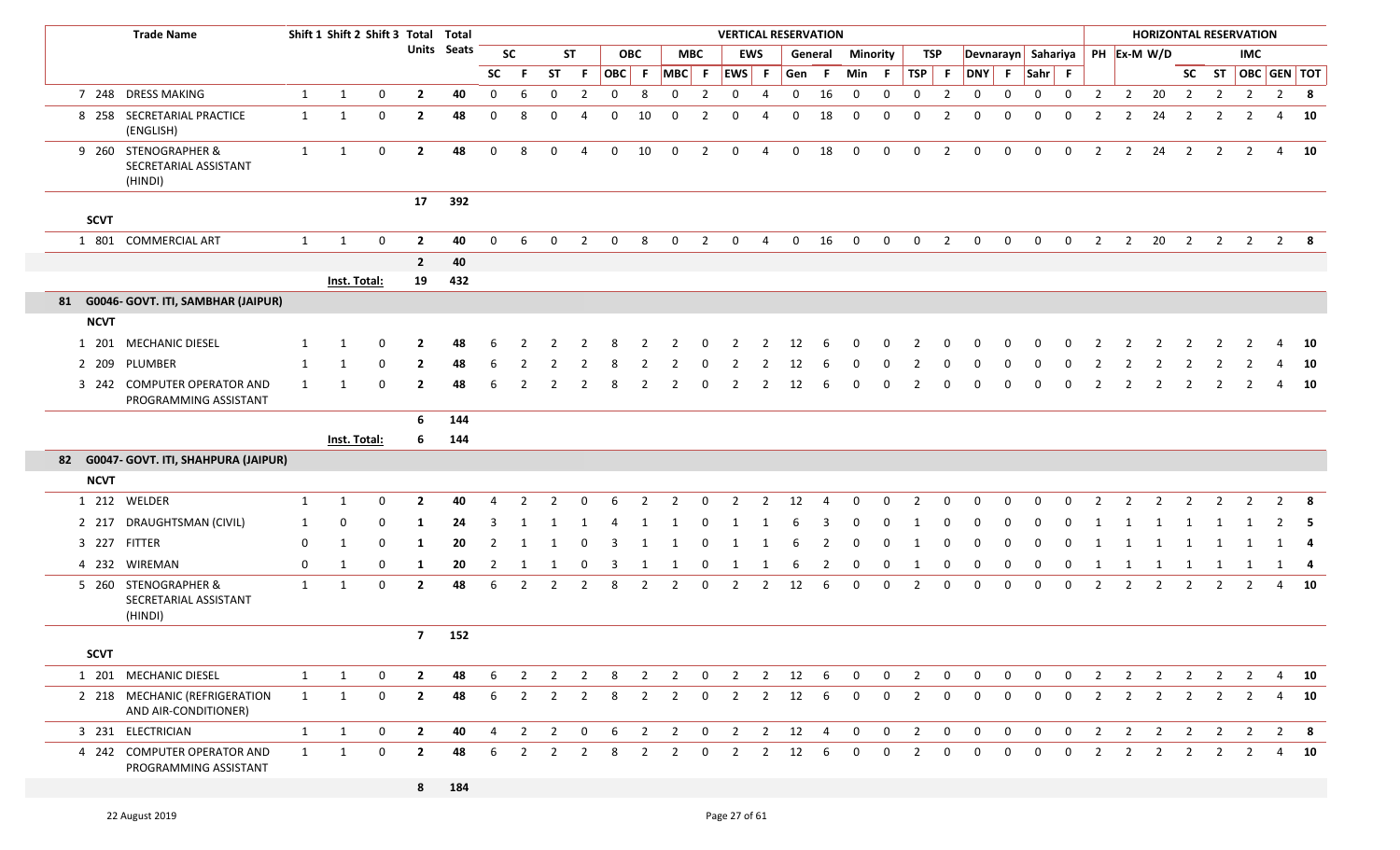|             | <b>Trade Name</b>                                        |              | Shift 1 Shift 2 Shift 3 Total Total |              |                |                    |             |                |                |                |             |                |                         |                | <b>VERTICAL RESERVATION</b> |                |             |                |                 |              |                |                |             |                |                                |              |                |                |                |                |                | <b>HORIZONTAL RESERVATION</b> |   |              |
|-------------|----------------------------------------------------------|--------------|-------------------------------------|--------------|----------------|--------------------|-------------|----------------|----------------|----------------|-------------|----------------|-------------------------|----------------|-----------------------------|----------------|-------------|----------------|-----------------|--------------|----------------|----------------|-------------|----------------|--------------------------------|--------------|----------------|----------------|----------------|----------------|----------------|-------------------------------|---|--------------|
|             |                                                          |              |                                     |              |                | <b>Units</b> Seats |             | <b>SC</b>      |                | <b>ST</b>      |             | <b>OBC</b>     |                         | MBC            |                             | <b>EWS</b>     |             | General        | <b>Minority</b> |              | TSP            |                |             |                | Devnarayn Sahariya PH Ex-M W/D |              |                |                |                |                |                | IMC                           |   |              |
|             |                                                          |              |                                     |              |                |                    | <b>SC</b>   | -F             | <b>ST</b>      | F.             | OBC F       |                | MBC F                   |                | $ EWS $ F                   |                | Gen F       |                | Min F           |              | TSP            | $-$ F          | DNY F       |                | Sahr F                         |              |                |                |                |                |                | SC ST OBC GEN TOT             |   |              |
|             | 7 248 DRESS MAKING                                       | 1            | $\mathbf{1}$                        | $\mathbf 0$  | $\overline{2}$ | 40                 | $\mathbf 0$ | 6              | $\mathbf 0$    | $\overline{2}$ | $\mathbf 0$ | 8              | $\mathbf 0$             | $\overline{2}$ | $\mathbf 0$                 | 4              | $\mathbf 0$ | 16             | $\mathbf 0$     | $\mathbf 0$  | $\mathbf 0$    | $\overline{2}$ | $\mathbf 0$ | $\mathbf 0$    | $\mathbf 0$                    | $\mathbf 0$  | $\overline{2}$ | $\overline{2}$ | 20             | $\overline{2}$ | $\overline{2}$ | $\overline{2}$                |   | $2 \times 8$ |
|             | 8 258 SECRETARIAL PRACTICE<br>(ENGLISH)                  | 1            | -1                                  | $\mathbf 0$  | $\overline{2}$ | 48                 | 0           | 8              | $\Omega$       |                | $\Omega$    | 10             | $\mathbf 0$             | $\mathcal{P}$  | $\Omega$                    |                | $\Omega$    | 18             | $\mathbf 0$     | $\Omega$     | $\Omega$       | 2              | $\Omega$    | $\Omega$       | 0                              | $\Omega$     | -2             | $\overline{2}$ | 24             | $\overline{2}$ | 2              | 2                             | 4 | 10           |
|             | 9 260 STENOGRAPHER &<br>SECRETARIAL ASSISTANT<br>(HINDI) | 1            | $\mathbf{1}$                        | $\mathbf{0}$ | $\overline{2}$ | 48                 | $\mathbf 0$ | 8              | $\mathbf 0$    | 4              | $\mathbf 0$ | 10             | $\mathbf 0$             | $\overline{2}$ | $\mathbf 0$                 | 4              | $\mathbf 0$ | 18             | $\mathbf 0$     | $\mathbf 0$  | $\mathbf 0$    | $\overline{2}$ | $\mathbf 0$ | $\mathbf 0$    | $\mathbf 0$                    | $\mathbf 0$  | 2              | $\overline{2}$ | 24             | $\overline{2}$ | $\overline{2}$ | $\overline{2}$                |   | 4 10         |
| <b>SCVT</b> |                                                          |              |                                     |              | 17             | 392                |             |                |                |                |             |                |                         |                |                             |                |             |                |                 |              |                |                |             |                |                                |              |                |                |                |                |                |                               |   |              |
|             | 1 801 COMMERCIAL ART                                     | 1            | $\mathbf{1}$                        | 0            | $\overline{2}$ | 40                 | $\Omega$    | 6              | $\Omega$       | $\mathcal{P}$  | $\Omega$    | 8              | $\Omega$                | 2              | $\mathbf 0$                 | $\overline{4}$ | $\mathbf 0$ | 16             | $\mathbf 0$     | $\mathbf 0$  | $\mathbf 0$    | $\overline{2}$ | $\mathbf 0$ | $\mathbf{0}$   | $\mathbf 0$                    | $\mathbf 0$  | $\overline{2}$ | $\overline{2}$ | 20             | $\overline{2}$ | $\overline{2}$ | $\overline{2}$                |   | $2 \times 8$ |
|             |                                                          |              |                                     |              | $\overline{2}$ | 40                 |             |                |                |                |             |                |                         |                |                             |                |             |                |                 |              |                |                |             |                |                                |              |                |                |                |                |                |                               |   |              |
|             |                                                          |              | Inst. Total:                        |              | 19             | 432                |             |                |                |                |             |                |                         |                |                             |                |             |                |                 |              |                |                |             |                |                                |              |                |                |                |                |                |                               |   |              |
|             | 81 G0046- GOVT. ITI, SAMBHAR (JAIPUR)                    |              |                                     |              |                |                    |             |                |                |                |             |                |                         |                |                             |                |             |                |                 |              |                |                |             |                |                                |              |                |                |                |                |                |                               |   |              |
| <b>NCVT</b> |                                                          |              |                                     |              |                |                    |             |                |                |                |             |                |                         |                |                             |                |             |                |                 |              |                |                |             |                |                                |              |                |                |                |                |                |                               |   |              |
| 1 201       | <b>MECHANIC DIESEL</b>                                   | -1           | - 1                                 | 0            | 2              | 48                 |             |                |                |                |             |                |                         |                |                             |                | 12          |                |                 |              |                |                |             |                |                                |              |                |                |                |                |                |                               |   | - 10         |
| 2 209       | PLUMBER                                                  | 1            | -1                                  | 0            | $\mathbf{2}$   | 48                 | 6           |                |                |                | 8           |                |                         |                | 2                           |                | 12          |                |                 |              |                |                |             |                |                                |              |                |                |                |                |                |                               |   | - 10         |
|             | 3 242 COMPUTER OPERATOR AND<br>PROGRAMMING ASSISTANT     | 1            | -1                                  | 0            | $\overline{2}$ | 48                 |             |                |                |                | 8           | $\mathcal{P}$  | 2                       | $\Omega$       |                             |                | 12          | 6              | $\Omega$        | <sup>0</sup> | 2              | O              |             |                |                                |              |                |                |                | 2              | 2              | 2                             | 4 | 10           |
|             |                                                          |              |                                     |              | 6              | 144                |             |                |                |                |             |                |                         |                |                             |                |             |                |                 |              |                |                |             |                |                                |              |                |                |                |                |                |                               |   |              |
|             |                                                          |              | Inst. Total:                        |              | 6              | 144                |             |                |                |                |             |                |                         |                |                             |                |             |                |                 |              |                |                |             |                |                                |              |                |                |                |                |                |                               |   |              |
|             | 82 G0047- GOVT. ITI, SHAHPURA (JAIPUR)                   |              |                                     |              |                |                    |             |                |                |                |             |                |                         |                |                             |                |             |                |                 |              |                |                |             |                |                                |              |                |                |                |                |                |                               |   |              |
| <b>NCVT</b> |                                                          |              |                                     |              |                |                    |             |                |                |                |             |                |                         |                |                             |                |             |                |                 |              |                |                |             |                |                                |              |                |                |                |                |                |                               |   |              |
|             | 1 212 WELDER                                             | 1            | -1                                  | 0            | 2              | 40                 | Д           |                |                |                |             |                | $\mathcal{P}$           |                |                             |                | 12          |                |                 |              |                |                |             |                |                                |              |                |                |                |                |                |                               |   | -8           |
| 2 2 1 7     | DRAUGHTSMAN (CIVIL)                                      | 1            | 0                                   | 0            | 1              | 24                 | 3           | -1             | -1             | -1             | 4           | -1             | -1                      | 0              |                             |                |             |                | 0               | 0            | 1              | 0              | 0           | 0              | 0                              | 0            |                |                | -1             | -1             | - 1            |                               |   | $2 \quad 5$  |
|             | 3 227 FITTER                                             | 0            | -1                                  | 0            | 1              | 20                 | 2           | -1             | -1             | $\Omega$       |             |                |                         |                |                             |                | 6           | 2              | 0               | 0            | -1             | 0              |             |                |                                | 0            |                |                |                |                |                |                               |   | - 4          |
| 4 232       | WIREMAN                                                  | $\mathbf 0$  | 1                                   | 0            | 1              | 20                 | 2           | - 1            | 1              | 0              | 3           | 1              | -1                      | 0              | 1                           |                | -6          | 2              | 0               | 0            | 1              | 0              | 0           | 0              | $\Omega$                       | 0            | -1             | $\mathbf{1}$   | -1             | -1             | 1              | 1                             |   | 1 4          |
|             | 5 260 STENOGRAPHER &<br>SECRETARIAL ASSISTANT<br>(HINDI) | 1            | -1                                  | 0            | $\mathbf{2}$   | 48                 | 6           |                | $\mathcal{P}$  |                | 8           | $\mathcal{P}$  | 2                       | $\Omega$       | $\mathcal{P}$               | $\mathcal{P}$  | 12          | 6              | $\Omega$        | $\Omega$     | $\mathcal{P}$  | $\Omega$       | $\Omega$    | <sup>0</sup>   | O                              | 0            | 2              | $\mathcal{P}$  | 2              | 2              | 2              | 2                             | 4 | 10           |
|             |                                                          |              |                                     |              | 7 <sub>1</sub> | 152                |             |                |                |                |             |                |                         |                |                             |                |             |                |                 |              |                |                |             |                |                                |              |                |                |                |                |                |                               |   |              |
| <b>SCVT</b> |                                                          |              |                                     |              |                |                    |             |                |                |                |             |                |                         |                |                             |                |             |                |                 |              |                |                |             |                |                                |              |                |                |                |                |                |                               |   |              |
|             | 1 201 MECHANIC DIESEL                                    | 1            | $\mathbf{1}$                        | 0            | $\mathbf{2}$   | 48                 | 6           | $\overline{2}$ | $\overline{2}$ | 2              | 8           | $\overline{2}$ | $\overline{2}$          | $\mathbf{0}$   | $\overline{2}$              | $\overline{2}$ | 12          | 6              | $\mathbf 0$     | $\mathbf 0$  | $\overline{2}$ | 0              | 0           | 0              | 0                              | $\mathbf 0$  | 2              | $\overline{2}$ | $\overline{2}$ | $\overline{2}$ | $\overline{2}$ | $\overline{2}$                |   | 4 10         |
|             | 2 218 MECHANIC (REFRIGERATION<br>AND AIR-CONDITIONER)    | 1            | 1                                   | $\mathbf 0$  | $\overline{2}$ | 48                 | 6           | $\overline{2}$ | $\overline{2}$ | $\overline{2}$ | 8           | $\overline{2}$ | $\overline{2}$          | $\mathbf{0}$   | $\overline{2}$              | $\overline{2}$ | 12          | 6              | $\mathbf 0$     | $\mathbf 0$  | $\overline{2}$ | 0              | $\mathbf 0$ | $\mathbf{0}$   | $\mathbf{0}$                   | $\mathbf 0$  | $\overline{2}$ | $\overline{2}$ | $\overline{2}$ | $\overline{2}$ | $\overline{2}$ | $\overline{2}$                |   | 4 10         |
|             | 3 231 ELECTRICIAN                                        | $\mathbf{1}$ | 1                                   | $\mathbf{0}$ | $\overline{2}$ | 40                 | 4           | $\overline{2}$ | $\overline{2}$ | $\mathbf 0$    | 6           | $\overline{2}$ | $\overline{\mathbf{2}}$ | $\overline{0}$ | $\overline{2}$              |                | $2 \t12$    | $\overline{4}$ | $\mathbf 0$     | $\mathbf{0}$ | $\overline{2}$ | $\mathbf{0}$   | $\mathbf 0$ | $\mathbf 0$    | $\mathbf 0$                    | $\mathbf{0}$ | $\overline{2}$ | $\overline{2}$ | $\overline{2}$ | $\overline{2}$ | $\overline{2}$ | $\overline{2}$                |   | $2 \times 8$ |
|             | 4 242 COMPUTER OPERATOR AND<br>PROGRAMMING ASSISTANT     | $\mathbf{1}$ | 1                                   | $\mathbf 0$  | $\mathbf{2}$   | 48                 | 6           | $\overline{2}$ | $\overline{2}$ | $\overline{2}$ | 8           | $\overline{2}$ | $\overline{2}$          | $\mathbf 0$    | $\overline{2}$              | $\overline{2}$ | 12          | 6              | $\mathbf 0$     | $\mathbf 0$  | $\overline{2}$ | $\mathbf{0}$   | $\mathbf 0$ | $\overline{0}$ | $\mathbf 0$                    | $\mathbf 0$  | $\overline{2}$ | $\overline{2}$ | $\overline{2}$ | $\overline{2}$ | $\overline{2}$ | $\overline{2}$                |   | 4 10         |
|             |                                                          |              |                                     |              | 8              | 184                |             |                |                |                |             |                |                         |                |                             |                |             |                |                 |              |                |                |             |                |                                |              |                |                |                |                |                |                               |   |              |

п

F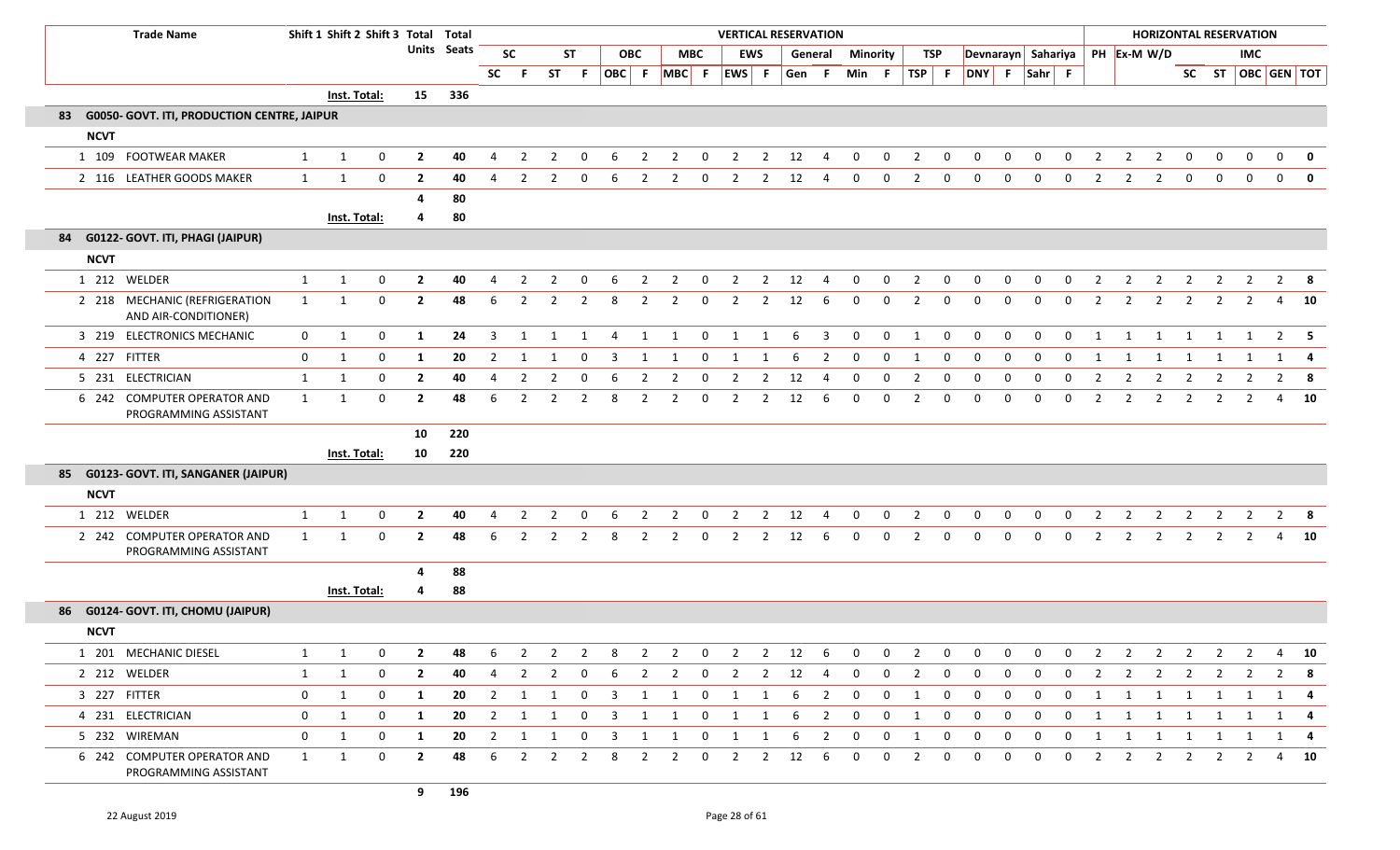| <b>Trade Name</b>                                        |              | Shift 1 Shift 2 Shift 3 Total Total |                  |                |                    |                |                |                |                |                         |                |                |              |                |                | <b>VERTICAL RESERVATION</b> |                          |                 |              |                |              |                |              |                |                |                         |                                |                | <b>HORIZONTAL RESERVATION</b> |                |                |                         |              |
|----------------------------------------------------------|--------------|-------------------------------------|------------------|----------------|--------------------|----------------|----------------|----------------|----------------|-------------------------|----------------|----------------|--------------|----------------|----------------|-----------------------------|--------------------------|-----------------|--------------|----------------|--------------|----------------|--------------|----------------|----------------|-------------------------|--------------------------------|----------------|-------------------------------|----------------|----------------|-------------------------|--------------|
|                                                          |              |                                     |                  |                | <b>Units</b> Seats |                | <b>SC</b>      |                | ST             |                         | <b>OBC</b>     |                | <b>MBC</b>   |                | <b>EWS</b>     |                             | General                  | <b>Minority</b> |              |                | TSP          |                |              |                |                |                         | Devnarayn Sahariya PH Ex-M W/D |                |                               |                | <b>IMC</b>     |                         |              |
|                                                          |              |                                     |                  |                |                    | <b>SC</b>      | - F            | ST             | -F.            | OBC F                   |                | $MBC$ F        |              | EWS F          |                | Gen F                       |                          | Min F           |              | TSP F          |              | DNY F Sahr F   |              |                |                |                         |                                |                |                               |                |                | SC ST   OBC   GEN   TOT |              |
|                                                          |              | Inst. Total:                        |                  | 15             | 336                |                |                |                |                |                         |                |                |              |                |                |                             |                          |                 |              |                |              |                |              |                |                |                         |                                |                |                               |                |                |                         |              |
| <b>G0050- GOVT. ITI, PRODUCTION CENTRE, JAIPUR</b><br>83 |              |                                     |                  |                |                    |                |                |                |                |                         |                |                |              |                |                |                             |                          |                 |              |                |              |                |              |                |                |                         |                                |                |                               |                |                |                         |              |
| <b>NCVT</b>                                              |              |                                     |                  |                |                    |                |                |                |                |                         |                |                |              |                |                |                             |                          |                 |              |                |              |                |              |                |                |                         |                                |                |                               |                |                |                         |              |
| 1 109 FOOTWEAR MAKER                                     | $\mathbf{1}$ | 1                                   | $\mathbf 0$      | $\overline{2}$ | 40                 | $\overline{4}$ | 2              | 2              | $\Omega$       | 6                       | 2              | $\overline{2}$ | $\Omega$     | 2              | 2              | 12                          | Δ                        | $\Omega$        | $\Omega$     | $\overline{2}$ | 0            | 0              | $\Omega$     | $\Omega$       | $\Omega$       | $\overline{2}$          | $\overline{2}$                 | $\overline{2}$ | $\mathbf{0}$                  | $\mathbf{0}$   | $\Omega$       | $\Omega$                | $\mathbf{0}$ |
| 2 116 LEATHER GOODS MAKER                                | 1            | 1                                   | $\mathbf 0$      | $\overline{2}$ | 40                 | 4              | $\overline{2}$ | $\overline{2}$ | $\mathbf 0$    | 6                       | $\overline{2}$ | $\overline{2}$ | $\mathbf 0$  | $\overline{2}$ | $\overline{2}$ | 12                          | 4                        | 0               | $\mathbf{0}$ | $\overline{2}$ | $\mathbf 0$  | $\mathbf 0$    | $\mathbf 0$  | $\mathbf{0}$   | $\mathbf 0$    | $\overline{2}$          | $\overline{2}$                 | $\overline{2}$ | $\mathbf{0}$                  | $\mathbf 0$    | $\mathbf 0$    | $\mathbf 0$             | $\mathbf{0}$ |
|                                                          |              |                                     |                  | 4              | 80                 |                |                |                |                |                         |                |                |              |                |                |                             |                          |                 |              |                |              |                |              |                |                |                         |                                |                |                               |                |                |                         |              |
|                                                          |              | Inst. Total:                        |                  | 4              | 80                 |                |                |                |                |                         |                |                |              |                |                |                             |                          |                 |              |                |              |                |              |                |                |                         |                                |                |                               |                |                |                         |              |
| 84 G0122- GOVT. ITI, PHAGI (JAIPUR)                      |              |                                     |                  |                |                    |                |                |                |                |                         |                |                |              |                |                |                             |                          |                 |              |                |              |                |              |                |                |                         |                                |                |                               |                |                |                         |              |
| <b>NCVT</b>                                              |              |                                     |                  |                |                    |                |                |                |                |                         |                |                |              |                |                |                             |                          |                 |              |                |              |                |              |                |                |                         |                                |                |                               |                |                |                         |              |
| 1 212 WELDER                                             | $\mathbf{1}$ | $\mathbf{1}$                        | $\boldsymbol{0}$ | $\overline{2}$ | 40                 | $\overline{4}$ | $\overline{2}$ | $\overline{2}$ | $\mathbf 0$    | 6                       | $\overline{2}$ | $\overline{2}$ | $\mathbf 0$  | $\overline{2}$ | $\overline{2}$ | 12                          | $\overline{4}$           | $\mathbf 0$     | 0            | $\overline{2}$ | 0            | $\mathbf 0$    | 0            | 0              | $\mathbf 0$    | $\overline{2}$          | $\overline{2}$                 | $\overline{2}$ | $\overline{2}$                | $\overline{2}$ | $\overline{2}$ | $2^{\circ}$             | - 8          |
| 2 218 MECHANIC (REFRIGERATION<br>AND AIR-CONDITIONER)    | 1            | 1                                   | 0                | $\mathbf{2}$   | 48                 | 6              | $\overline{2}$ | $\overline{2}$ | $\overline{2}$ | 8                       | 2              | $\overline{2}$ | $\Omega$     | 2              | $\overline{2}$ | 12                          | 6                        | $\Omega$        | 0            | 2              | 0            | $\mathbf{0}$   | 0            | 0              | 0              | $\overline{2}$          | $\overline{2}$                 | $\overline{2}$ | $\overline{2}$                | $\overline{2}$ | 2              | 4                       | 10           |
| 3 219 ELECTRONICS MECHANIC                               | $\mathbf{0}$ | 1                                   | $\mathbf 0$      | 1              | 24                 | $\overline{3}$ | $\mathbf{1}$   | 1              | $\overline{1}$ | $\overline{4}$          | 1              | 1              | $\mathbf 0$  | $\overline{1}$ | 1              | 6                           | $\overline{\mathbf{3}}$  | $\mathbf{0}$    | $\mathbf{0}$ | 1              | $\mathbf 0$  | $\mathbf{0}$   | $\mathbf{0}$ | $\mathbf 0$    | $\mathbf 0$    | 1                       | 1                              | 1              | $\overline{1}$                | 1              | 1              |                         | $2 \quad 5$  |
| 4 227 FITTER                                             | $\mathbf 0$  | 1                                   | $\mathbf 0$      | 1              | 20                 | $\overline{2}$ | -1             | -1             | $\Omega$       | 3                       | $\mathbf 1$    |                | $\Omega$     | 1              | -1             | 6                           | $\overline{2}$           | $\mathbf 0$     | $\mathbf 0$  | $\overline{1}$ | $\mathbf 0$  | $\mathbf 0$    | 0            | $\Omega$       | $\Omega$       | $\overline{\mathbf{1}}$ |                                | 1              | 1                             |                |                | 1                       | 4            |
| 5 231 ELECTRICIAN                                        | $\mathbf{1}$ | 1                                   | $\mathbf 0$      | $\overline{2}$ | 40                 | $\overline{4}$ | $\overline{2}$ | $\overline{2}$ | $\mathbf 0$    | 6                       | $\overline{2}$ | $\overline{2}$ | $\mathbf 0$  | $\overline{2}$ | $\overline{2}$ | 12                          | $\overline{4}$           | $\mathbf{0}$    | $\mathbf{0}$ | $\overline{2}$ | $\mathbf 0$  | $\mathbf 0$    | 0            | $\mathbf{0}$   | $\mathbf 0$    | $\overline{2}$          | $\overline{2}$                 | $\overline{2}$ | $\overline{2}$                | $\overline{2}$ | 2              | $\overline{2}$          | 8            |
| 6 242 COMPUTER OPERATOR AND<br>PROGRAMMING ASSISTANT     | $\mathbf{1}$ | 1                                   | 0                | $\mathbf{2}$   | 48                 | 6              | $\overline{2}$ | $\mathcal{P}$  | $\overline{2}$ | 8                       | 2              | 2              | $\Omega$     | 2              | 2              | 12                          | 6                        | $\Omega$        | $\Omega$     | 2              | $\Omega$     | $\Omega$       | $\Omega$     | $\Omega$       | $\Omega$       | $\overline{2}$          | 2                              | $\overline{2}$ | 2                             | 2              | 2              | 4                       | 10           |
|                                                          |              |                                     |                  | 10             | 220                |                |                |                |                |                         |                |                |              |                |                |                             |                          |                 |              |                |              |                |              |                |                |                         |                                |                |                               |                |                |                         |              |
|                                                          |              | Inst. Total:                        |                  | 10             | 220                |                |                |                |                |                         |                |                |              |                |                |                             |                          |                 |              |                |              |                |              |                |                |                         |                                |                |                               |                |                |                         |              |
| 85 G0123- GOVT. ITI, SANGANER (JAIPUR)                   |              |                                     |                  |                |                    |                |                |                |                |                         |                |                |              |                |                |                             |                          |                 |              |                |              |                |              |                |                |                         |                                |                |                               |                |                |                         |              |
| <b>NCVT</b>                                              |              |                                     |                  |                |                    |                |                |                |                |                         |                |                |              |                |                |                             |                          |                 |              |                |              |                |              |                |                |                         |                                |                |                               |                |                |                         |              |
| 1 212 WELDER                                             | $\mathbf{1}$ | $\mathbf{1}$                        | $\mathbf 0$      | $\overline{2}$ | 40                 | 4              | $\overline{2}$ | $\mathcal{P}$  | $\Omega$       | 6                       | 2              | $\overline{2}$ | $\Omega$     | 2              | $\overline{2}$ | 12                          |                          | $\Omega$        | $\Omega$     | $\overline{2}$ | 0            | $\mathbf 0$    | 0            | 0              | $\Omega$       | $\overline{2}$          | 2                              | $\overline{2}$ | $\overline{2}$                | 2              | 2              | $\overline{2}$          | -8           |
| 2 242 COMPUTER OPERATOR AND<br>PROGRAMMING ASSISTANT     | 1            | $\mathbf 1$                         | $\mathbf 0$      | $\mathbf{2}$   | 48                 | 6              | 2              | $\mathcal{P}$  | $\overline{2}$ | 8                       | $\overline{2}$ | $\overline{2}$ | $\Omega$     | $\overline{2}$ | $\overline{2}$ | 12                          | 6                        | $\Omega$        | $\Omega$     | $\overline{2}$ | $\mathbf 0$  | $\mathbf{0}$   | 0            | $\Omega$       | $\Omega$       | $\overline{2}$          | 2                              | $\overline{2}$ | $\overline{2}$                | $\overline{2}$ | 2              | 4                       | 10           |
|                                                          |              |                                     |                  | 4              | 88                 |                |                |                |                |                         |                |                |              |                |                |                             |                          |                 |              |                |              |                |              |                |                |                         |                                |                |                               |                |                |                         |              |
|                                                          |              | Inst. Total:                        |                  | 4              | 88                 |                |                |                |                |                         |                |                |              |                |                |                             |                          |                 |              |                |              |                |              |                |                |                         |                                |                |                               |                |                |                         |              |
| 86 G0124- GOVT. ITI, CHOMU (JAIPUR)                      |              |                                     |                  |                |                    |                |                |                |                |                         |                |                |              |                |                |                             |                          |                 |              |                |              |                |              |                |                |                         |                                |                |                               |                |                |                         |              |
| <b>NCVT</b>                                              |              |                                     |                  |                |                    |                |                |                |                |                         |                |                |              |                |                |                             |                          |                 |              |                |              |                |              |                |                |                         |                                |                |                               |                |                |                         |              |
| 1 201 MECHANIC DIESEL                                    | 1            |                                     | $\mathbf 0$      | $\overline{2}$ | 48                 | 6              |                |                |                | 8                       | $\overline{2}$ |                | $\mathbf 0$  |                | $\overline{2}$ | 12                          | 6                        | $\mathbf 0$     | $\mathbf 0$  | $\overline{2}$ | $\mathbf 0$  | $\mathbf 0$    | 0            | $\mathbf{0}$   | 0              | $\overline{2}$          |                                |                |                               |                |                | 4                       | 10           |
| 2 212 WELDER                                             | $\mathbf{1}$ | 1                                   | 0                | $\mathbf{2}$   | 40                 | 4              | 2              | 2              | $\mathbf 0$    | 6                       | 2              | $\overline{2}$ | $\mathbf{0}$ | 2              | $\overline{2}$ | 12                          | 4                        | $\mathbf{0}$    | $\mathbf{0}$ | $\overline{2}$ | $\mathbf{0}$ | $\mathbf{0}$   | $\mathbf{0}$ | 0              | $\mathbf{0}$   | $\overline{2}$          | 2                              | 2              | $\overline{2}$                | 2              | 2              | $2^{\circ}$             | - 8          |
| 3 227 FITTER                                             | $\mathbf 0$  | 1                                   | 0                | 1              | 20                 |                | 2 1 1          |                | $\mathbf 0$    | $\overline{\mathbf{3}}$ | $\overline{1}$ | 1              | $\mathbf{0}$ | 1              | 1              | 6                           | $\overline{\phantom{0}}$ | $\mathbf{0}$    | $\mathbf{0}$ | 1              | $\mathbf 0$  | $\overline{0}$ | $\mathbf{0}$ | $\mathbf{0}$   | $\overline{0}$ |                         | 1 1 1 1 1 1 1                  |                |                               |                |                | 1 4                     |              |
| 4 231 ELECTRICIAN                                        | $\mathbf 0$  | 1                                   | 0                | 1              | 20                 | $\overline{2}$ | $\overline{1}$ | 1              | $\mathbf 0$    | $\overline{\mathbf{3}}$ | 1              | 1              | $\mathbf 0$  | $\mathbf{1}$   | 1              | 6                           | $\overline{2}$           | $\mathbf 0$     | 0            | 1              | $\mathbf 0$  | $\overline{0}$ | 0            | $\mathbf{0}$   | $\mathbf 0$    | 1                       | 1                              | $\overline{1}$ | $\overline{1}$                | 1              | 1              |                         | 1 4          |
| 5 232 WIREMAN                                            | $\mathbf 0$  | 1                                   | 0                | 1              | 20                 |                | 2 1 1          |                | $\mathbf{0}$   | $\overline{\mathbf{3}}$ | $\overline{1}$ | 1              | $\mathbf{0}$ | $\overline{1}$ | 1              | 6                           | $\overline{\phantom{a}}$ | $\overline{0}$  | $\mathbf 0$  | 1              | $\mathbf 0$  | $\overline{0}$ | $\mathbf 0$  | $\overline{0}$ |                |                         | 0 1 1 1 1 1 1                  |                |                               |                |                |                         | $1 \quad 4$  |
| 6 242 COMPUTER OPERATOR AND<br>PROGRAMMING ASSISTANT     | 1            | 1                                   | 0                | $\overline{2}$ | 48                 | 6              | $\overline{2}$ | 2              | $\overline{2}$ | 8                       | $\overline{2}$ | $\overline{2}$ | $\mathbf 0$  | 2              | $\overline{2}$ | 12                          | -6                       | $\mathbf 0$     | $\mathbf{0}$ | $\overline{2}$ | $\mathbf 0$  | $\mathbf 0$    | $\mathbf{0}$ | $\mathbf{0}$   | $\mathbf{0}$   | $\overline{2}$          | 2                              | $\overline{2}$ | 2                             | 2              | $\overline{2}$ | 4                       | 10           |
|                                                          |              |                                     |                  | 9              | 196                |                |                |                |                |                         |                |                |              |                |                |                             |                          |                 |              |                |              |                |              |                |                |                         |                                |                |                               |                |                |                         |              |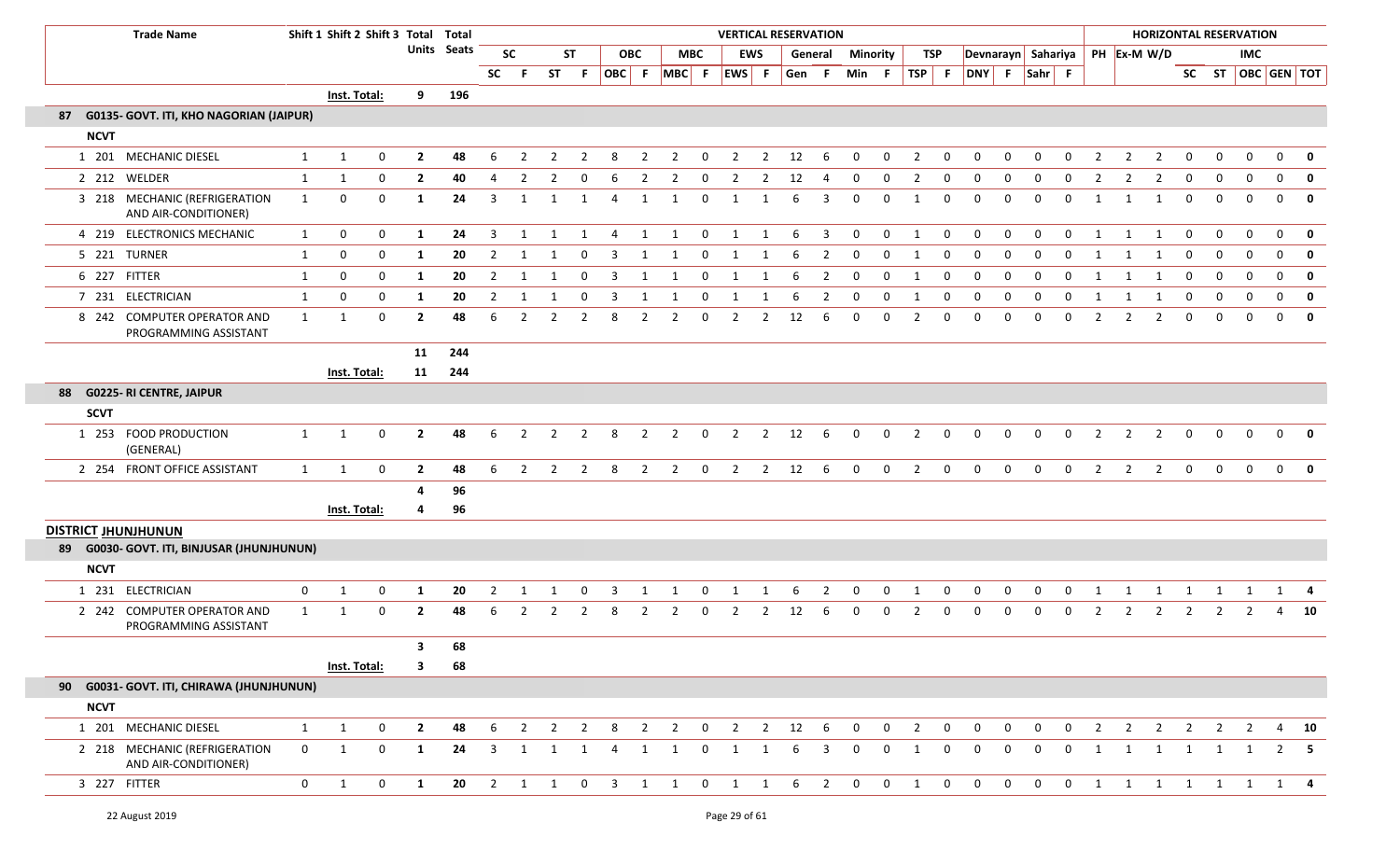| <b>Trade Name</b>                                     |              | Shift 1 Shift 2 Shift 3 Total Total |              |                         |                    |                         |                     |                |                |                         |                |                |                |                |                | <b>VERTICAL RESERVATION</b> |                         |                |              |                |                |                    |                |                |                |                |                |                         |                |             | <b>HORIZONTAL RESERVATION</b> |              |              |
|-------------------------------------------------------|--------------|-------------------------------------|--------------|-------------------------|--------------------|-------------------------|---------------------|----------------|----------------|-------------------------|----------------|----------------|----------------|----------------|----------------|-----------------------------|-------------------------|----------------|--------------|----------------|----------------|--------------------|----------------|----------------|----------------|----------------|----------------|-------------------------|----------------|-------------|-------------------------------|--------------|--------------|
|                                                       |              |                                     |              |                         | <b>Units</b> Seats |                         | <b>SC</b>           |                | <b>ST</b>      |                         | <b>OBC</b>     |                | <b>MBC</b>     |                | <b>EWS</b>     | General                     |                         | Minority       |              | TSP            |                | Devnarayn Sahariya |                |                |                |                |                | PH Ex-M W/D             |                |             | <b>IMC</b>                    |              |              |
|                                                       |              |                                     |              |                         |                    | <b>SC</b>               | -F.                 |                |                | ST F OBC F              |                | MBC F          |                | EWS F          |                | Gen                         | - F                     | Min            | - F          | $TSP$ F        |                | DNY F              |                | Sahr F         |                |                |                |                         |                |             | SC ST OBC GEN TOT             |              |              |
|                                                       |              | Inst. Total:                        |              | 9                       | 196                |                         |                     |                |                |                         |                |                |                |                |                |                             |                         |                |              |                |                |                    |                |                |                |                |                |                         |                |             |                               |              |              |
| G0135- GOVT. ITI, KHO NAGORIAN (JAIPUR)<br>87         |              |                                     |              |                         |                    |                         |                     |                |                |                         |                |                |                |                |                |                             |                         |                |              |                |                |                    |                |                |                |                |                |                         |                |             |                               |              |              |
| <b>NCVT</b>                                           |              |                                     |              |                         |                    |                         |                     |                |                |                         |                |                |                |                |                |                             |                         |                |              |                |                |                    |                |                |                |                |                |                         |                |             |                               |              |              |
| 1 201 MECHANIC DIESEL                                 | $\mathbf{1}$ | $\mathbf{1}$                        | 0            | $\overline{2}$          | 48                 | 6                       | 2                   | 2              | -2             | 8                       | 2              | 2              | 0              | 2              | $\overline{2}$ | 12                          | 6                       | $\Omega$       | $\Omega$     | $\overline{2}$ | 0              | 0                  | 0              | 0              | 0              | 2              | 2              | $\overline{2}$          | 0              | 0           | $\mathbf 0$                   | 0            | $\mathbf{0}$ |
| 2 212 WELDER                                          | 1            | $\mathbf{1}$                        | $\mathbf 0$  | $\overline{2}$          | 40                 | $\overline{4}$          | $\overline{2}$      | $\overline{2}$ | $\mathbf 0$    | 6                       | $\overline{2}$ | $\overline{2}$ | 0              | $\overline{2}$ | $\overline{2}$ | 12                          | 4                       | $\mathbf 0$    | $\mathbf 0$  | $\overline{2}$ | $\mathbf{0}$   | $\mathbf 0$        | $\mathbf 0$    | $\mathbf 0$    | $\mathbf 0$    | $\overline{2}$ | $\overline{2}$ | $\overline{2}$          | $\mathbf 0$    | $\mathbf 0$ | $\mathbf 0$                   | $\mathbf 0$  | $\mathbf 0$  |
| 3 218 MECHANIC (REFRIGERATION<br>AND AIR-CONDITIONER) | 1            | 0                                   | 0            | -1                      | 24                 | 3                       | 1                   |                | -1             | 4                       |                |                | 0              | 1              |                | -6                          | 3                       | $\Omega$       | $\Omega$     | 1              | $\mathbf 0$    | 0                  | $\Omega$       | $\mathbf 0$    | $\Omega$       |                |                | -1                      | $\mathbf 0$    | $\mathbf 0$ | $\mathbf{0}$                  | $\mathbf{0}$ | 0            |
| 4 219 ELECTRONICS MECHANIC                            | $\mathbf{1}$ | 0                                   | 0            | 1                       | 24                 | 3                       | 1                   | 1              | 1              | 4                       | $\mathbf{1}$   | $\overline{1}$ | $\overline{0}$ | 1              | 1              | - 6                         | $\overline{\mathbf{3}}$ | $\mathbf{0}$   | $\mathbf{0}$ | 1              | $\mathbf{0}$   | $\Omega$           | $\Omega$       | $\mathbf{0}$   | $\Omega$       | 1              | 1              | 1                       | $\mathbf 0$    | 0           | $\mathbf{0}$                  | $\mathbf{0}$ | 0            |
| 5 221 TURNER                                          | 1            | 0                                   | $\mathbf 0$  | -1                      | 20                 | $\overline{2}$          | 1                   |                | - 0            | 3                       | 1              | 1              | 0              | 1              | 1              | 6                           | 2                       | 0              | 0            | 1              | $\Omega$       | 0                  | $\Omega$       | $\Omega$       | $\Omega$       | 1              |                | 1                       | 0              | 0           | $\Omega$                      | 0            | $\mathbf 0$  |
| 6 227 FITTER                                          | 1            | 0                                   | 0            | -1                      | 20                 | $\overline{2}$          | -1                  | 1              | $\mathbf{0}$   | 3                       | 1              | 1              | $\mathbf 0$    | 1              | 1              | -6                          | $\overline{2}$          | $\mathbf 0$    | $\mathbf 0$  | 1              | $\mathbf 0$    | 0                  | $\mathbf{0}$   | $\mathbf{0}$   | $\mathbf{0}$   | 1              | 1              | 1                       | $\mathbf 0$    | 0           | $\mathbf 0$                   | $\mathbf{0}$ | 0            |
| 7 231 ELECTRICIAN                                     | 1            | 0                                   | 0            | -1                      | 20                 | $\overline{2}$          | 1                   |                | 0              | 3                       |                |                | 0              | 1              | 1              | 6                           | 2                       | 0              | 0            | 1              | 0              | 0                  | $\Omega$       | 0              | 0              |                |                | 1                       | 0              | 0           | $\mathbf{0}$                  | $\mathbf{0}$ | $\mathbf 0$  |
| 8 242 COMPUTER OPERATOR AND<br>PROGRAMMING ASSISTANT  | 1            | $\mathbf{1}$                        | $\mathbf 0$  | $\overline{2}$          | 48                 | 6                       | $\overline{2}$      | 2              | 2              | 8                       | 2              | 2              | 0              | $\overline{2}$ | $\overline{2}$ | 12                          | 6                       | 0              | 0            | $\overline{2}$ | $\mathbf{0}$   | $\Omega$           | $\Omega$       | $\Omega$       | $\Omega$       | 2              | 2              | 2                       | $\mathbf{0}$   | $\mathbf 0$ | $\Omega$                      | $\mathbf{0}$ | 0            |
|                                                       |              |                                     |              | 11                      | 244                |                         |                     |                |                |                         |                |                |                |                |                |                             |                         |                |              |                |                |                    |                |                |                |                |                |                         |                |             |                               |              |              |
|                                                       |              | Inst. Total:                        |              | 11                      | 244                |                         |                     |                |                |                         |                |                |                |                |                |                             |                         |                |              |                |                |                    |                |                |                |                |                |                         |                |             |                               |              |              |
| 88 G0225- RI CENTRE, JAIPUR                           |              |                                     |              |                         |                    |                         |                     |                |                |                         |                |                |                |                |                |                             |                         |                |              |                |                |                    |                |                |                |                |                |                         |                |             |                               |              |              |
| <b>SCVT</b>                                           |              |                                     |              |                         |                    |                         |                     |                |                |                         |                |                |                |                |                |                             |                         |                |              |                |                |                    |                |                |                |                |                |                         |                |             |                               |              |              |
| 1 253 FOOD PRODUCTION<br>(GENERAL)                    | 1            | 1                                   | $\mathbf{0}$ | $\overline{2}$          | 48                 | 6                       | $\overline{2}$      | 2              | $\overline{2}$ | 8                       | 2              | 2              | $\mathbf 0$    | $\overline{2}$ | $\overline{2}$ | 12                          | - 6                     | $\mathbf{0}$   | $\mathbf{0}$ | $\overline{2}$ | $\mathbf 0$    | $\mathbf{0}$       | $\mathbf{0}$   | $\mathbf{0}$   | $\mathbf{0}$   | 2              | $\overline{2}$ | $\overline{2}$          | $\mathbf{0}$   | $\mathbf 0$ | $\Omega$                      | $\mathbf 0$  | 0            |
| 2 254 FRONT OFFICE ASSISTANT                          | 1            | 1                                   | $\mathbf 0$  | $\overline{2}$          | 48                 | 6                       | $\overline{2}$      | $\overline{2}$ | $\overline{2}$ | 8                       | $\overline{2}$ | $\overline{2}$ | $\overline{0}$ | $\overline{2}$ |                | $2 \t 12$                   | 6                       | $\mathbf 0$    | $\mathbf 0$  | $\overline{2}$ | $\overline{0}$ | $\mathbf 0$        | $\mathbf 0$    | $\mathbf 0$    | $\mathbf 0$    | $\overline{2}$ | $\overline{2}$ | $\overline{\mathbf{2}}$ | $\mathbf 0$    | $\mathbf 0$ | $\overline{0}$                | $\mathbf 0$  | $\mathbf{0}$ |
|                                                       |              |                                     |              | 4                       | 96                 |                         |                     |                |                |                         |                |                |                |                |                |                             |                         |                |              |                |                |                    |                |                |                |                |                |                         |                |             |                               |              |              |
|                                                       |              | Inst. Total:                        |              |                         | 96                 |                         |                     |                |                |                         |                |                |                |                |                |                             |                         |                |              |                |                |                    |                |                |                |                |                |                         |                |             |                               |              |              |
| <b>DISTRICT JHUNJHUNUN</b>                            |              |                                     |              |                         |                    |                         |                     |                |                |                         |                |                |                |                |                |                             |                         |                |              |                |                |                    |                |                |                |                |                |                         |                |             |                               |              |              |
| 89 G0030- GOVT. ITI, BINJUSAR (JHUNJHUNUN)            |              |                                     |              |                         |                    |                         |                     |                |                |                         |                |                |                |                |                |                             |                         |                |              |                |                |                    |                |                |                |                |                |                         |                |             |                               |              |              |
| <b>NCVT</b>                                           |              |                                     |              |                         |                    |                         |                     |                |                |                         |                |                |                |                |                |                             |                         |                |              |                |                |                    |                |                |                |                |                |                         |                |             |                               |              |              |
| 1 231 ELECTRICIAN                                     | 0            | $\mathbf{1}$                        | 0            | -1                      | 20                 | $\overline{2}$          |                     |                | $\Omega$       |                         |                |                | $\Omega$       |                |                | -6                          |                         |                | 0            |                | 0              | 0                  | 0              | 0              | $\Omega$       |                |                |                         |                |             |                               |              |              |
| 2 242 COMPUTER OPERATOR AND<br>PROGRAMMING ASSISTANT  | $\mathbf{1}$ | 1                                   | 0            | $\overline{2}$          | 48                 | 6                       | 2                   | 2              | $\overline{2}$ | 8                       | $\overline{2}$ | $\overline{2}$ | $\mathbf{0}$   | 2              | $\overline{2}$ | 12                          | 6                       | $\mathbf{0}$   | 0            | $\overline{2}$ | $\mathbf 0$    | 0                  | $\mathbf{0}$   | 0              | $\mathbf{0}$   | $\overline{2}$ | 2              | 2                       | 2              | 2           |                               | 4            | 10           |
|                                                       |              |                                     |              | $\overline{\mathbf{3}}$ | 68                 |                         |                     |                |                |                         |                |                |                |                |                |                             |                         |                |              |                |                |                    |                |                |                |                |                |                         |                |             |                               |              |              |
|                                                       |              | Inst. Total:                        |              | 3                       | 68                 |                         |                     |                |                |                         |                |                |                |                |                |                             |                         |                |              |                |                |                    |                |                |                |                |                |                         |                |             |                               |              |              |
| 90 G0031- GOVT. ITI, CHIRAWA (JHUNJHUNUN)             |              |                                     |              |                         |                    |                         |                     |                |                |                         |                |                |                |                |                |                             |                         |                |              |                |                |                    |                |                |                |                |                |                         |                |             |                               |              |              |
| <b>NCVT</b>                                           |              |                                     |              |                         |                    |                         |                     |                |                |                         |                |                |                |                |                |                             |                         |                |              |                |                |                    |                |                |                |                |                |                         |                |             |                               |              |              |
| 1 201 MECHANIC DIESEL                                 | $\mathbf{1}$ | 1                                   | $\mathbf 0$  | $\overline{2}$          | 48                 | 6                       | $\overline{2}$      |                | $2 \t2$        |                         |                |                |                |                |                | 8 2 2 0 2 2 12 6            |                         | $\overline{0}$ |              | $0\qquad 2$    | $\overline{0}$ | $\overline{0}$     | $\overline{0}$ | $\mathbf{0}$   | $\overline{0}$ |                |                |                         |                |             | 2 2 2 2 2 2                   |              | 4 10         |
| 2 218 MECHANIC (REFRIGERATION<br>AND AIR-CONDITIONER) | $\mathbf{0}$ | 1                                   | $\mathbf 0$  | 1                       | 24                 | $\overline{\mathbf{3}}$ | $\mathbf{1}$        | 1              | 1              | $\overline{4}$          | 1              | 1              | $\mathbf 0$    | 1              | 1              | 6                           | $\overline{3}$          | $\mathbf 0$    | $\mathbf{0}$ | 1              | $\mathbf 0$    | $\mathbf{0}$       | $\overline{0}$ | $\overline{0}$ | $\mathbf{0}$   | 1              | $\mathbf{1}$   | $\mathbf{1}$            | $\overline{1}$ | 1           | 1                             |              | 2 5          |
| 3 227 FITTER                                          | $\mathbf{0}$ | 1                                   | 0            | 1                       | 20                 | $\overline{\mathbf{c}}$ | $1 \quad 1 \quad 0$ |                |                | $\overline{\mathbf{3}}$ |                |                |                | 1 1 0 1        |                | 1 6 2                       |                         | $\overline{0}$ |              | $0\qquad 1$    | $\overline{0}$ | $\overline{0}$     |                | $0\qquad 0$    |                |                |                |                         |                |             | 0 1 1 1 1 1 1 1 4             |              |              |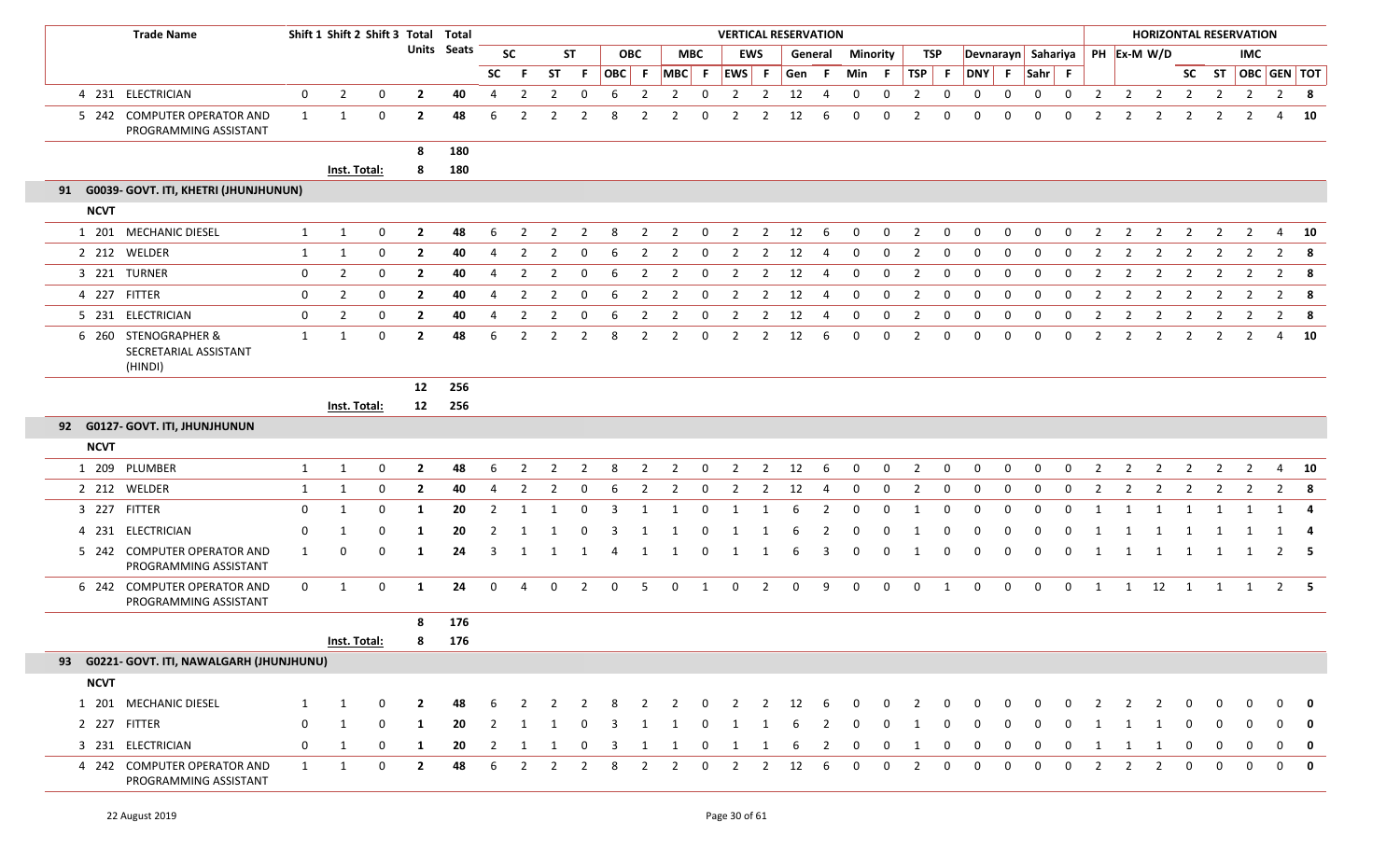|              | <b>Trade Name</b>                                        |              |                | Shift 1 Shift 2 Shift 3 Total Total |                |                    |                |                |                |                |   |                |                |              | <b>VERTICAL RESERVATION</b> |                |     |                |              |                 |                |              |              |              |                                |              |                |                |                        |                |                | <b>HORIZONTAL RESERVATION</b> |                         |                         |
|--------------|----------------------------------------------------------|--------------|----------------|-------------------------------------|----------------|--------------------|----------------|----------------|----------------|----------------|---|----------------|----------------|--------------|-----------------------------|----------------|-----|----------------|--------------|-----------------|----------------|--------------|--------------|--------------|--------------------------------|--------------|----------------|----------------|------------------------|----------------|----------------|-------------------------------|-------------------------|-------------------------|
|              |                                                          |              |                |                                     |                | <b>Units Seats</b> |                | <b>SC</b>      |                | <b>ST</b>      |   | <b>OBC</b>     |                | <b>MBC</b>   |                             | <b>EWS</b>     |     | General        |              | <b>Minority</b> |                | TSP          |              |              | Devnarayn Sahariya PH Ex-M W/D |              |                |                |                        |                |                | <b>IMC</b>                    |                         |                         |
|              |                                                          |              |                |                                     |                |                    | <b>SC</b>      | - F            | ST             | -F.            |   | OBC F          | MBC F EWS F    |              |                             |                | Gen | -F.            | Min          | - F             | TSP F          |              | DNY F        |              | $Sahr$ F                       |              |                |                |                        |                |                |                               | SC ST   OBC   GEN   TOT |                         |
|              | 4 231 ELECTRICIAN                                        | $\mathbf 0$  | $\overline{2}$ | 0                                   | $\overline{2}$ | 40                 | 4              | $\overline{2}$ | $\overline{2}$ | $\mathbf 0$    | 6 | $\overline{2}$ | $\overline{2}$ | 0            | $\overline{2}$              | $\overline{2}$ | 12  | 4              | $\mathbf 0$  | 0               | $\overline{2}$ | 0            | 0            | 0            | 0                              | 0            | $\overline{2}$ | $\overline{2}$ | $\overline{2}$         | $\overline{2}$ | $\overline{2}$ | $\overline{2}$                | $\overline{2}$          | $\overline{\mathbf{8}}$ |
|              | 5 242 COMPUTER OPERATOR AND<br>PROGRAMMING ASSISTANT     | $\mathbf{1}$ | 1              | 0                                   | $\mathbf{2}$   | 48                 | 6              | $\overline{2}$ | $\overline{2}$ | $\overline{2}$ | 8 | $\overline{2}$ | 2              | $\Omega$     | 2                           | $\overline{2}$ | 12  | 6              | $\Omega$     | $\Omega$        | 2              | 0            | 0            | $\Omega$     | $\Omega$                       | $\Omega$     | $\overline{2}$ | 2              | $\overline{2}$         | $\overline{2}$ | 2              |                               | 4                       | 10                      |
|              |                                                          |              |                |                                     | 8              | 180                |                |                |                |                |   |                |                |              |                             |                |     |                |              |                 |                |              |              |              |                                |              |                |                |                        |                |                |                               |                         |                         |
|              |                                                          |              | Inst. Total:   |                                     | 8              | 180                |                |                |                |                |   |                |                |              |                             |                |     |                |              |                 |                |              |              |              |                                |              |                |                |                        |                |                |                               |                         |                         |
|              | 91 G0039- GOVT. ITI, KHETRI (JHUNJHUNUN)                 |              |                |                                     |                |                    |                |                |                |                |   |                |                |              |                             |                |     |                |              |                 |                |              |              |              |                                |              |                |                |                        |                |                |                               |                         |                         |
| <b>NCVT</b>  |                                                          |              |                |                                     |                |                    |                |                |                |                |   |                |                |              |                             |                |     |                |              |                 |                |              |              |              |                                |              |                |                |                        |                |                |                               |                         |                         |
|              | 1 201 MECHANIC DIESEL                                    | $\mathbf{1}$ | 1              | 0                                   | $\overline{2}$ | 48                 | 6              | $\overline{2}$ | $\overline{2}$ | $\overline{2}$ | 8 | 2              | $\overline{2}$ | 0            | 2                           | $\overline{2}$ | 12  | 6              | 0            | 0               | $\overline{2}$ | 0            | 0            | $\Omega$     | $\Omega$                       | $\Omega$     | $\overline{2}$ | 2              | $\overline{2}$         | $\overline{2}$ | $\overline{2}$ | $\overline{2}$                | 4                       | 10                      |
|              | 2 212 WELDER                                             | $\mathbf{1}$ | 1              | 0                                   | $\overline{2}$ | 40                 | 4              | $\overline{2}$ | 2              | 0              | 6 | $\overline{2}$ | $\overline{2}$ | 0            | 2                           | $\overline{2}$ | 12  |                | $\Omega$     | 0               | $\overline{2}$ | 0            | 0            | 0            | $\Omega$                       | $\Omega$     | $\overline{2}$ | 2              | $\overline{2}$         | $\overline{2}$ | $\overline{2}$ |                               | 2                       | - 8                     |
|              | 3 221 TURNER                                             | $\mathbf 0$  | $\overline{2}$ | $\boldsymbol{0}$                    | $\overline{2}$ | 40                 | $\overline{4}$ | $\overline{2}$ | $\overline{2}$ | $\Omega$       | 6 | $\overline{2}$ | $\overline{2}$ | $\Omega$     | 2                           | $\overline{2}$ | 12  | 4              | $\Omega$     | $\mathbf 0$     | 2              | 0            | 0            | $\Omega$     | $\Omega$                       | $\Omega$     | $\overline{2}$ | $\overline{2}$ | $\overline{2}$         |                |                |                               | $\overline{2}$          | 8                       |
| 4 227 FITTER |                                                          | $\mathbf 0$  | $\overline{2}$ | 0                                   | $\overline{2}$ | 40                 | 4              | $\overline{2}$ | $\overline{2}$ | $\mathbf 0$    | 6 | $\overline{2}$ | $\overline{2}$ | $\mathbf 0$  | $\overline{2}$              | $\overline{2}$ | 12  | $\overline{4}$ | 0            | 0               | $\overline{2}$ | $\mathbf 0$  | $\mathbf 0$  | 0            | 0                              | 0            | $\overline{2}$ | $\overline{2}$ | $\overline{2}$         | $\overline{2}$ | $\overline{2}$ | $\overline{2}$                | $\overline{2}$          | 8                       |
|              | 5 231 ELECTRICIAN                                        | $\mathbf 0$  | $\overline{2}$ | 0                                   | $\overline{2}$ | 40                 | $\overline{4}$ | $\overline{2}$ | 2              | $\Omega$       | 6 | -2             | 2              | $\Omega$     | 2                           | 2              | 12  | 4              | $\Omega$     | 0               | 2              | 0            | 0            | 0            | 0                              | $\Omega$     | $\overline{2}$ | $\overline{2}$ | $\overline{2}$         | 2              | -2             | 2                             | $\overline{2}$          | 8                       |
|              | 6 260 STENOGRAPHER &<br>SECRETARIAL ASSISTANT<br>(HINDI) | 1            | $\mathbf{1}$   | $\mathbf 0$                         | $\mathbf{2}$   | 48                 | 6              | 2              | 2              | $\overline{2}$ | 8 | 2              | $\overline{2}$ | 0            | $\overline{2}$              | $\overline{2}$ | 12  | 6              | 0            | 0               | $\overline{2}$ | 0            | 0            | 0            | $\Omega$                       | 0            | 2              | $\overline{2}$ | $\overline{2}$         | $\overline{2}$ | $\overline{2}$ | 2                             | 4                       | 10                      |
|              |                                                          |              |                |                                     | 12             | 256                |                |                |                |                |   |                |                |              |                             |                |     |                |              |                 |                |              |              |              |                                |              |                |                |                        |                |                |                               |                         |                         |
|              |                                                          |              | Inst. Total:   |                                     | 12             | 256                |                |                |                |                |   |                |                |              |                             |                |     |                |              |                 |                |              |              |              |                                |              |                |                |                        |                |                |                               |                         |                         |
|              | 92 G0127- GOVT. ITI, JHUNJHUNUN                          |              |                |                                     |                |                    |                |                |                |                |   |                |                |              |                             |                |     |                |              |                 |                |              |              |              |                                |              |                |                |                        |                |                |                               |                         |                         |
| <b>NCVT</b>  |                                                          |              |                |                                     |                |                    |                |                |                |                |   |                |                |              |                             |                |     |                |              |                 |                |              |              |              |                                |              |                |                |                        |                |                |                               |                         |                         |
|              | 1 209 PLUMBER                                            | 1            | 1              | $\mathbf 0$                         | $\overline{2}$ | 48                 | 6              | $\overline{2}$ | 2              | 2              | 8 | 2              | $\overline{2}$ | 0            | $\overline{2}$              | $\overline{2}$ | 12  | 6              | 0            | 0               | $\overline{2}$ | 0            | $\mathbf 0$  | 0            | 0                              | $\mathbf 0$  | 2              | 2              | $\overline{2}$         | $\overline{2}$ | 2              | $\overline{2}$                | 4                       | 10                      |
|              | 2 212 WELDER                                             | $\mathbf{1}$ | 1              | 0                                   | $\mathbf{2}$   | 40                 | 4              | 2              | 2              | 0              | 6 | $\overline{2}$ | 2              | 0            | 2                           | $\overline{2}$ | 12  | 4              | 0            | 0               | 2              | 0            | $\mathbf 0$  | 0            | 0                              | 0            | -2             | 2              | 2                      | $\overline{2}$ | 2              | 2                             | $\overline{2}$          | -8                      |
| 3 227 FITTER |                                                          | 0            | 1              | $\mathbf 0$                         | 1              | 20                 | $\overline{2}$ | -1             | $\mathbf{1}$   | $\mathbf 0$    | 3 | $\mathbf 1$    |                | $\Omega$     | 1                           | -1             | 6   | 2              | $\mathbf 0$  | $\mathbf 0$     | -1             | $\mathbf 0$  | $\mathbf{0}$ | $\Omega$     | $\Omega$                       | $\mathbf 0$  | -1             |                | 1                      | 1              | -1             |                               | -1                      | 4                       |
|              | 4 231 ELECTRICIAN                                        | 0            |                | 0                                   | -1             | 20                 | 2              |                |                | $\Omega$       |   |                |                |              |                             |                |     |                |              | 0               |                | 0            | <sup>0</sup> | 0            |                                |              |                |                |                        |                |                |                               |                         | -4                      |
|              | 5 242 COMPUTER OPERATOR AND<br>PROGRAMMING ASSISTANT     | 1            | $\Omega$       | $\Omega$                            | 1              | 24                 | 3              | -1             | -1             | 1              | 4 | 1              |                | $\Omega$     | 1                           |                | 6   | 3              | 0            | $\Omega$        |                | 0            |              | 0            | $\Omega$                       | 0            | -1             | -1             | 1                      | 1              | 1              |                               | 2                       | 5                       |
|              | 6 242 COMPUTER OPERATOR AND<br>PROGRAMMING ASSISTANT     | $\mathbf 0$  | -1             | 0                                   | 1              | 24                 | 0              | 4              | 0              | $\overline{2}$ | 0 | 5              | $\mathbf 0$    | $\mathbf{1}$ | $\mathbf 0$                 | $\overline{2}$ | 0   | 9              | 0            | 0               | $\mathbf 0$    | $\mathbf{1}$ | $\mathbf{0}$ | 0            | 0                              | $\mathbf{0}$ | 1              |                | $1 \qquad 12 \qquad 1$ |                | 1              | 1                             |                         | $2 \quad 5$             |
|              |                                                          |              |                |                                     | 8              | 176                |                |                |                |                |   |                |                |              |                             |                |     |                |              |                 |                |              |              |              |                                |              |                |                |                        |                |                |                               |                         |                         |
|              |                                                          |              | Inst. Total:   |                                     | 8              | 176                |                |                |                |                |   |                |                |              |                             |                |     |                |              |                 |                |              |              |              |                                |              |                |                |                        |                |                |                               |                         |                         |
|              | 93 G0221- GOVT. ITI, NAWALGARH (JHUNJHUNU)               |              |                |                                     |                |                    |                |                |                |                |   |                |                |              |                             |                |     |                |              |                 |                |              |              |              |                                |              |                |                |                        |                |                |                               |                         |                         |
| <b>NCVT</b>  |                                                          |              |                |                                     |                |                    |                |                |                |                |   |                |                |              |                             |                |     |                |              |                 |                |              |              |              |                                |              |                |                |                        |                |                |                               |                         |                         |
|              | 1 201 MECHANIC DIESEL                                    | 1            | 1              | 0                                   | $\mathbf{2}$   | 48                 |                |                |                |                |   |                |                |              |                             |                | 12  |                |              |                 |                |              |              |              |                                |              |                |                |                        |                |                |                               |                         |                         |
| 2 227 FITTER |                                                          | 0            | 1              | 0                                   | 1              | 20                 | 2              |                |                |                |   |                |                |              |                             |                |     |                |              |                 |                |              |              |              |                                |              |                |                |                        |                |                |                               |                         | 0                       |
|              | 3 231 ELECTRICIAN                                        | $\mathbf 0$  | 1              | 0                                   | 1              | 20                 | $\overline{2}$ | -1             |                | 0              | 3 | 1              | -1             | -0           | 1                           | 1              |     | 2              | $\mathbf{0}$ | 0               | -1             | 0            | 0            | $\mathbf{0}$ | 0                              | 0            |                |                | 1                      | 0              | 0              | $\mathbf{0}$                  | 0                       | $\mathbf 0$             |
|              | 4 242 COMPUTER OPERATOR AND<br>PROGRAMMING ASSISTANT     | $\mathbf{1}$ | 1              | $\boldsymbol{0}$                    | $\mathbf{2}$   | 48                 | 6              |                |                |                | 8 | $\mathcal{P}$  | 2              | $\Omega$     | $\overline{2}$              | 2              | 12  | 6              | $\Omega$     | $\mathbf 0$     | $\mathcal{L}$  | 0            | $\Omega$     | $\Omega$     | $\Omega$                       | 0            | $\mathcal{P}$  | 2              | 2                      | 0              | 0              | $\mathbf{0}$                  | $\mathbf 0$             | $\mathbf 0$             |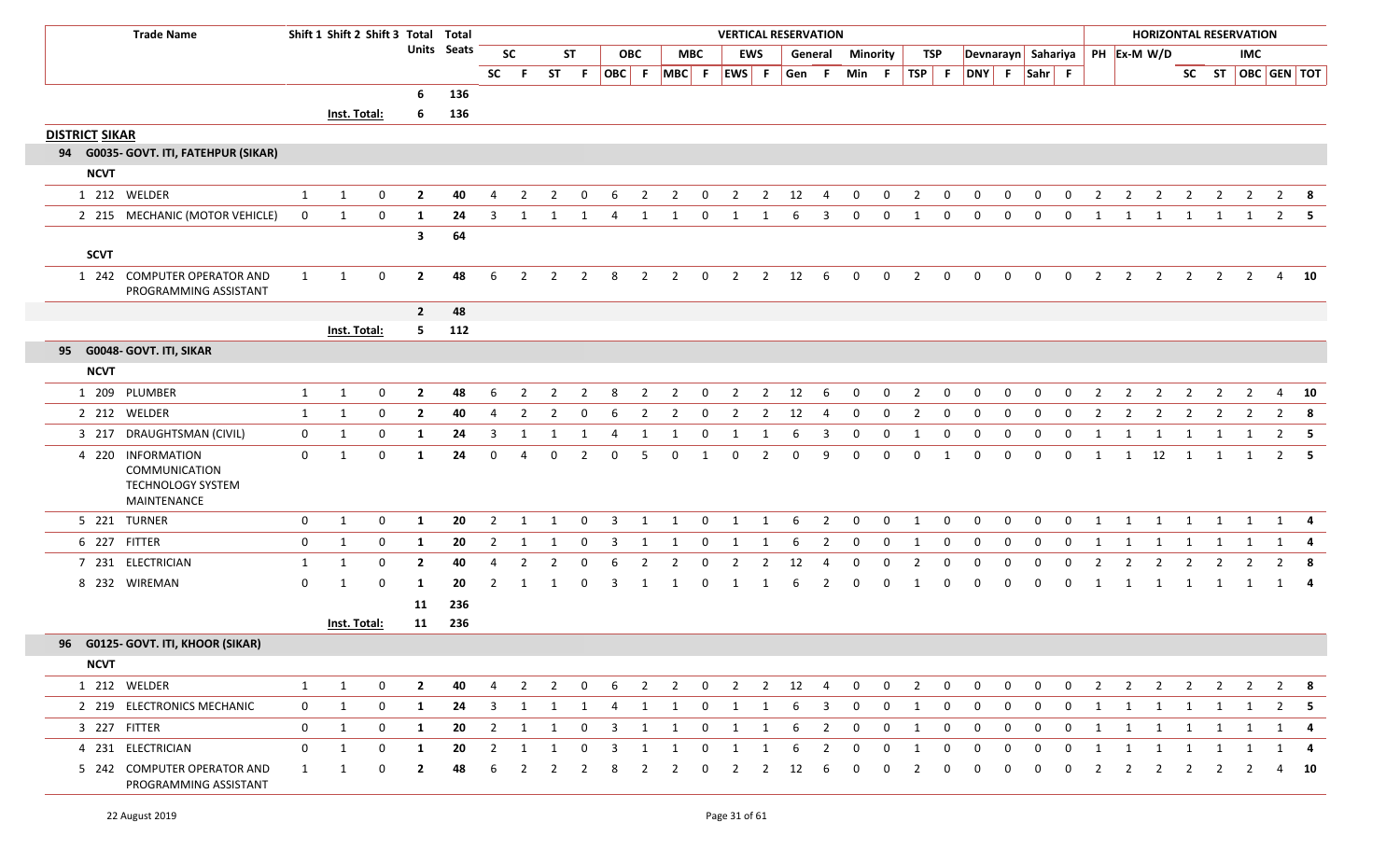| <b>Trade Name</b>                                                      |                | Shift 1 Shift 2 Shift 3 Total Total |              |                         |                    |                         |                |                |                |                |                |                                |                |                         |                | <b>VERTICAL RESERVATION</b> |                |                 |              |                |              |                                |                |                |              |                |                |                         |                         | <b>HORIZONTAL RESERVATION</b> |                |                |                   |
|------------------------------------------------------------------------|----------------|-------------------------------------|--------------|-------------------------|--------------------|-------------------------|----------------|----------------|----------------|----------------|----------------|--------------------------------|----------------|-------------------------|----------------|-----------------------------|----------------|-----------------|--------------|----------------|--------------|--------------------------------|----------------|----------------|--------------|----------------|----------------|-------------------------|-------------------------|-------------------------------|----------------|----------------|-------------------|
|                                                                        |                |                                     |              |                         | <b>Units Seats</b> |                         | <b>SC</b>      |                | <b>ST</b>      |                | <b>OBC</b>     |                                | <b>MBC</b>     |                         | <b>EWS</b>     |                             | General        | <b>Minority</b> |              |                | TSP          | Devnarayn Sahariya PH Ex-M W/D |                |                |              |                |                |                         |                         |                               | IMC            |                |                   |
|                                                                        |                |                                     |              |                         |                    | <b>SC</b>               | -F.            | <b>ST</b>      | F.             |                |                | $ OBC $ F $ MBC $ F $ EWS $ F  |                |                         |                | Gen F                       |                | Min F           |              | $TSP$ F        |              | DNY F Sahr F                   |                |                |              |                |                |                         |                         |                               |                |                | SC ST OBC GEN TOT |
|                                                                        |                |                                     |              | 6                       | 136                |                         |                |                |                |                |                |                                |                |                         |                |                             |                |                 |              |                |              |                                |                |                |              |                |                |                         |                         |                               |                |                |                   |
|                                                                        |                | Inst. Total:                        |              | -6                      | 136                |                         |                |                |                |                |                |                                |                |                         |                |                             |                |                 |              |                |              |                                |                |                |              |                |                |                         |                         |                               |                |                |                   |
| <b>DISTRICT SIKAR</b>                                                  |                |                                     |              |                         |                    |                         |                |                |                |                |                |                                |                |                         |                |                             |                |                 |              |                |              |                                |                |                |              |                |                |                         |                         |                               |                |                |                   |
| 94 G0035- GOVT. ITI, FATEHPUR (SIKAR)                                  |                |                                     |              |                         |                    |                         |                |                |                |                |                |                                |                |                         |                |                             |                |                 |              |                |              |                                |                |                |              |                |                |                         |                         |                               |                |                |                   |
| <b>NCVT</b>                                                            |                |                                     |              |                         |                    |                         |                |                |                |                |                |                                |                |                         |                |                             |                |                 |              |                |              |                                |                |                |              |                |                |                         |                         |                               |                |                |                   |
| 1 212 WELDER                                                           | 1              | 1                                   | 0            | $\overline{2}$          | 40                 | 4                       | $\overline{2}$ | $\overline{2}$ | $\mathbf 0$    | 6              | $\overline{2}$ | $\overline{2}$                 | $\mathbf 0$    | $\overline{2}$          | $\overline{2}$ | 12                          | $\overline{4}$ | $\mathbf{0}$    | $\mathbf{0}$ | $\overline{2}$ | $\mathbf 0$  | $\mathbf{0}$                   | 0              | $\mathbf{0}$   | $\mathbf{0}$ | $\overline{2}$ | $\overline{2}$ | $\overline{2}$          | $\overline{2}$          | $\overline{2}$                | $\overline{2}$ |                | $2 \times 8$      |
| 2 215 MECHANIC (MOTOR VEHICLE)                                         | $\mathbf 0$    | 1                                   | 0            | 1                       | 24                 | 3                       | -1             |                |                | 4              | 1              |                                | 0              | 1                       |                | 6                           | 3              | 0               | 0            |                | 0            | 0                              | 0              | 0              | 0            |                |                |                         | 1                       |                               |                | $\overline{2}$ |                   |
|                                                                        |                |                                     |              | $\mathbf{3}$            | 64                 |                         |                |                |                |                |                |                                |                |                         |                |                             |                |                 |              |                |              |                                |                |                |              |                |                |                         |                         |                               |                |                |                   |
| <b>SCVT</b>                                                            |                |                                     |              |                         |                    |                         |                |                |                |                |                |                                |                |                         |                |                             |                |                 |              |                |              |                                |                |                |              |                |                |                         |                         |                               |                |                |                   |
| 1 242 COMPUTER OPERATOR AND<br>PROGRAMMING ASSISTANT                   | $\mathbf{1}$   | 1                                   | 0            | $\mathbf{2}$            | 48                 | 6                       | 2              | $\overline{2}$ | $\overline{2}$ | 8              | 2              | $\overline{2}$                 | $\overline{0}$ | $\overline{2}$          | $2^{\circ}$    | 12                          | -6             | $\mathbf{0}$    | 0            | $\overline{2}$ | $\mathbf 0$  | $\mathbf{0}$                   | $\mathbf{0}$   | $\mathbf 0$    | $\mathbf 0$  | $\overline{2}$ | $\overline{2}$ | $\overline{2}$          | $\frac{1}{2}$           | $\overline{2}$                | $\overline{2}$ |                | 4 10              |
|                                                                        |                |                                     |              | $\overline{2}$          | 48                 |                         |                |                |                |                |                |                                |                |                         |                |                             |                |                 |              |                |              |                                |                |                |              |                |                |                         |                         |                               |                |                |                   |
|                                                                        |                | Inst. Total:                        |              | 5.                      | 112                |                         |                |                |                |                |                |                                |                |                         |                |                             |                |                 |              |                |              |                                |                |                |              |                |                |                         |                         |                               |                |                |                   |
| 95 G0048- GOVT. ITI, SIKAR                                             |                |                                     |              |                         |                    |                         |                |                |                |                |                |                                |                |                         |                |                             |                |                 |              |                |              |                                |                |                |              |                |                |                         |                         |                               |                |                |                   |
| <b>NCVT</b>                                                            |                |                                     |              |                         |                    |                         |                |                |                |                |                |                                |                |                         |                |                             |                |                 |              |                |              |                                |                |                |              |                |                |                         |                         |                               |                |                |                   |
| 1 209 PLUMBER                                                          | 1              | $\mathbf{1}$                        | 0            | $\overline{2}$          | 48                 | 6                       | 2              | $\overline{2}$ | $\overline{2}$ | 8              | $\overline{2}$ | $\overline{2}$                 | $\mathbf{0}$   | $\overline{2}$          | $\overline{2}$ | 12                          | -6             | $\mathbf 0$     | 0            | 2              | $\mathbf 0$  | $\mathbf{0}$                   | 0              | 0              | 0            | 2              | $\overline{2}$ | $\overline{2}$          | $\overline{2}$          | $\overline{2}$                | $\overline{2}$ | 4              | 10                |
| 2 212 WELDER                                                           | 1              | 1                                   | $\mathbf 0$  | $\overline{2}$          | 40                 | 4                       | $\overline{2}$ | 2              | $\Omega$       | -6             | 2              | $\overline{2}$                 | 0              | 2                       | $\overline{2}$ | 12                          | 4              | $\mathbf{0}$    | 0            | 2              | 0            | $\mathbf{0}$                   | $\mathbf{0}$   | $\Omega$       | 0            | -2             | 2              | 2                       | 2                       | 2                             | 2              | $\overline{2}$ | -8                |
| 3 217 DRAUGHTSMAN (CIVIL)                                              | $\mathbf{0}$   | 1                                   | $\mathbf 0$  | -1                      | 24                 | 3                       | 1              |                | 1              | 4              | 1              | -1                             | 0              | 1                       | -1             | 6                           | 3              | 0               | 0            | 1              | $\mathbf 0$  | $\Omega$                       | $\Omega$       | $\Omega$       | 0            | 1              | 1              | 1                       | 1                       | 1                             |                |                | $2 \quad 5$       |
| 4 220 INFORMATION<br>COMMUNICATION<br>TECHNOLOGY SYSTEM<br>MAINTENANCE | $\mathbf{0}$   | $\mathbf{1}$                        | $\Omega$     | -1                      | 24                 | $\Omega$                | 4              | 0              | $\overline{2}$ | $\Omega$       | -5             | $\Omega$                       | 1              | $\mathbf 0$             | $\overline{2}$ | $\Omega$                    | q              | $\Omega$        | $\mathbf 0$  | $\Omega$       | 1            | 0                              | 0              | $\Omega$       | 0            | 1              | 1              | 12                      | $\overline{1}$          | 1                             | 1              |                | $2 \quad 5$       |
| 5 221 TURNER                                                           | 0              | 1                                   | $\mathbf 0$  | 1                       | 20                 | $\overline{2}$          | 1              | 1              | $\Omega$       | 3              | 1              | 1                              | $\mathbf{0}$   | 1                       | 1              | 6                           | $\overline{2}$ | $\mathbf 0$     | $\mathbf 0$  | 1              | $\mathbf 0$  | $\mathbf 0$                    | $\mathbf 0$    | $\mathbf{0}$   | $\mathbf{0}$ | 1              | 1              | 1                       | 1                       | 1                             | 1              |                | $1 \quad 4$       |
| 6 227 FITTER                                                           | 0              | 1                                   | 0            | 1                       | 20                 | $\overline{2}$          | 1              | 1              | 0              | $\overline{3}$ | 1              | 1                              | $\mathbf 0$    | 1                       | 1              | 6                           | 2              | $\mathbf 0$     | $\mathbf 0$  | 1              | $\mathbf 0$  | $\mathbf{0}$                   | $\mathbf 0$    | $\mathbf 0$    | 0            | 1              | 1              | $\overline{\mathbf{1}}$ | $\overline{\mathbf{1}}$ | 1                             | 1              |                | 1 4               |
| 7 231 ELECTRICIAN                                                      | 1              | 1                                   | $\mathbf 0$  | $\overline{2}$          | 40                 | 4                       | -2             | 2              | $\Omega$       | 6              | 2              | 2                              | 0              | 2                       | 2              | 12                          | -4             | 0               | 0            | 2              | 0            | $\Omega$                       | 0              | $\Omega$       | 0            | 2              | 2              | 2                       | 2                       | -2                            | <sup>2</sup>   | 2              | -8                |
| 8 232 WIREMAN                                                          | 0              | 1                                   | 0            | -1                      | 20                 | 2                       |                |                |                | 3              | -1             |                                | $\Omega$       |                         |                |                             | 2              | $\Omega$        | $\Omega$     |                | 0            |                                | 0              |                | 0            |                |                | 1                       | 1                       | 1                             |                |                | 1 4               |
|                                                                        |                |                                     |              | 11                      | 236                |                         |                |                |                |                |                |                                |                |                         |                |                             |                |                 |              |                |              |                                |                |                |              |                |                |                         |                         |                               |                |                |                   |
|                                                                        |                | <b>Inst. Total:</b>                 |              | 11                      | 236                |                         |                |                |                |                |                |                                |                |                         |                |                             |                |                 |              |                |              |                                |                |                |              |                |                |                         |                         |                               |                |                |                   |
| 96 G0125- GOVT. ITI, KHOOR (SIKAR)                                     |                |                                     |              |                         |                    |                         |                |                |                |                |                |                                |                |                         |                |                             |                |                 |              |                |              |                                |                |                |              |                |                |                         |                         |                               |                |                |                   |
| <b>NCVT</b>                                                            |                |                                     |              |                         |                    |                         |                |                |                |                |                |                                |                |                         |                |                             |                |                 |              |                |              |                                |                |                |              |                |                |                         |                         |                               |                |                |                   |
| 1 212 WELDER                                                           | $\mathbf{1}$   | $\mathbf{1}$                        | $\mathbf{0}$ | $\overline{\mathbf{2}}$ | 40                 | $\overline{4}$          |                |                |                |                |                | 2 2 0 6 2 2 0 2 2 12 4 0 0 2 0 |                |                         |                |                             |                |                 |              |                |              | $\overline{0}$                 | $\overline{0}$ | $\overline{0}$ |              |                |                |                         |                         | 0 2 2 2 2 2 2                 |                |                | 2 8               |
| 2 219 ELECTRONICS MECHANIC                                             | $\mathbf{0}$   | $\mathbf{1}$                        | $\mathbf 0$  | 1                       | 24                 | $\overline{\mathbf{3}}$ | 1              | 1              | 1              | 4              | 1              | 1                              | $\mathbf{0}$   | $\overline{1}$          | 1              | 6                           | $\overline{3}$ | $\mathbf{0}$    | $\mathbf{0}$ | 1              | $\mathbf 0$  | $\mathbf 0$                    | $\mathbf 0$    | $\overline{0}$ | $\mathbf 0$  | 1              | 1              |                         | 1 1 1                   |                               | 1              | $\mathbf{2}$   |                   |
| 3 227 FITTER                                                           | $\mathbf 0$    | $\mathbf{1}$                        | 0            | 1                       | 20                 |                         | $2 \quad 1$    | $\mathbf{1}$   | $\mathbf 0$    | $\overline{3}$ | 1              | 1                              | $\mathbf{0}$   | $\overline{\mathbf{1}}$ | 1              | 6                           | $\overline{2}$ | $\overline{0}$  | $\mathbf{0}$ | 1              | $\mathbf 0$  | $\mathbf 0$                    | $\mathbf{0}$   | $\mathbf{0}$   | $\mathbf{0}$ | 1              |                |                         |                         | 1 1 1 1 1 1                   |                |                | $1 \quad 4$       |
| 4 231 ELECTRICIAN                                                      | $\overline{0}$ | $\mathbf{1}$                        | $\mathbf 0$  | <b>1</b>                | 20                 | $\overline{2}$          | 1              | 1              | $\mathbf 0$    | 3              | 1              | 1                              | $\mathbf 0$    | $\overline{1}$          | 1              | 6                           | $\overline{2}$ | $\mathbf 0$     | $\mathbf 0$  | 1              | $\mathbf 0$  | $\overline{0}$                 | $\mathbf 0$    | $\mathbf{0}$   | $\mathbf 0$  | 1              | 1              | 1                       | 1                       | 1                             |                |                |                   |
| 5 242 COMPUTER OPERATOR AND<br>PROGRAMMING ASSISTANT                   | 1              | 1                                   | 0            | $\overline{2}$          | 48                 | 6                       | $\overline{2}$ | $\overline{2}$ | $\overline{2}$ | 8              | $\overline{2}$ | $\overline{2}$                 | $\mathbf 0$    | $\overline{2}$          | $\overline{2}$ | 12                          | 6              | 0               | 0            | 2              | $\mathbf{0}$ | $\Omega$                       | $\mathbf{0}$   | $\mathbf{0}$   | $\mathbf{0}$ | $\overline{2}$ | $\overline{2}$ | $\overline{2}$          | $\overline{2}$          | $\mathbf{2}$                  | 2              |                | 4 10              |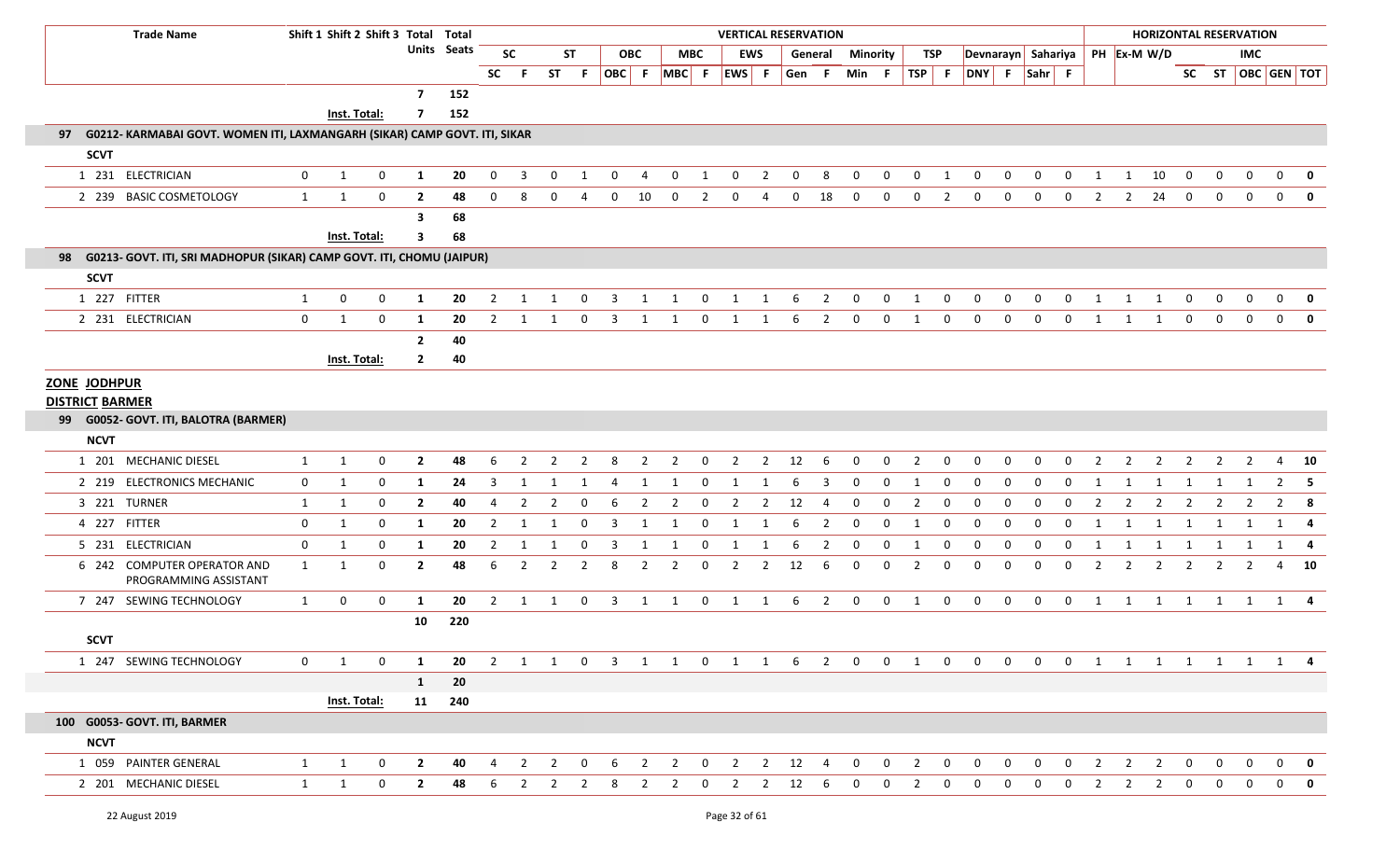| <b>Trade Name</b>                                                            |              |                              | Shift 1 Shift 2 Shift 3 Total Total |                     |             |                |                         |                |                |              |                |                 |                  |                     |                     | <b>VERTICAL RESERVATION</b> |                |                  |                  |                         |                  |                         |                |                         |                         |                |                | <b>HORIZONTAL RESERVATION</b> |                     |                |                |              |                         |
|------------------------------------------------------------------------------|--------------|------------------------------|-------------------------------------|---------------------|-------------|----------------|-------------------------|----------------|----------------|--------------|----------------|-----------------|------------------|---------------------|---------------------|-----------------------------|----------------|------------------|------------------|-------------------------|------------------|-------------------------|----------------|-------------------------|-------------------------|----------------|----------------|-------------------------------|---------------------|----------------|----------------|--------------|-------------------------|
|                                                                              |              |                              |                                     |                     | Units Seats |                | <b>SC</b>               |                | <b>ST</b>      |              | <b>OBC</b>     |                 | <b>MBC</b>       | EWS                 |                     |                             | General        | Minority         |                  | TSP                     |                  | Devnarayn Sahariya      |                |                         |                         |                |                | PH Ex-M W/D                   |                     |                | IMC            |              |                         |
|                                                                              |              |                              |                                     |                     |             | <b>SC</b>      |                         | <b>ST</b>      | F.             |              |                | OBC F MBC F     |                  | EWS F               |                     | Gen F                       |                | Min F            |                  |                         |                  | TSP F DNY F Sahr F      |                |                         |                         |                |                |                               |                     |                |                |              | SC ST   OBC   GEN   TOT |
|                                                                              |              |                              |                                     | $\overline{7}$      | 152         |                |                         |                |                |              |                |                 |                  |                     |                     |                             |                |                  |                  |                         |                  |                         |                |                         |                         |                |                |                               |                     |                |                |              |                         |
|                                                                              |              | Inst. Total:                 |                                     | 7                   | 152         |                |                         |                |                |              |                |                 |                  |                     |                     |                             |                |                  |                  |                         |                  |                         |                |                         |                         |                |                |                               |                     |                |                |              |                         |
| 97 G0212- KARMABAI GOVT. WOMEN ITI, LAXMANGARH (SIKAR) CAMP GOVT. ITI, SIKAR |              |                              |                                     |                     |             |                |                         |                |                |              |                |                 |                  |                     |                     |                             |                |                  |                  |                         |                  |                         |                |                         |                         |                |                |                               |                     |                |                |              |                         |
| <b>SCVT</b>                                                                  |              |                              |                                     |                     |             |                |                         |                |                |              |                |                 |                  |                     |                     |                             |                |                  |                  |                         |                  |                         |                |                         |                         |                |                |                               |                     |                |                |              |                         |
| 1 231 ELECTRICIAN                                                            | $\mathbf{0}$ | $\mathbf{1}$                 | 0                                   | $\mathbf{1}$        | 20          | $\mathbf{0}$   | $\overline{\mathbf{3}}$ | $\mathbf{0}$   | -1             | $\mathbf{0}$ | 4              | $\mathbf 0$     | 1                | $\mathbf 0$         | $\overline{2}$      | 0                           | 8              | $\mathbf 0$      | $\mathbf 0$      | $\mathbf{0}$            | 1                | $\mathbf 0$             | $\mathbf 0$    | $\mathbf{0}$            | $\mathbf{0}$            | 1              | 1              | 10                            | 0                   | $\mathbf 0$    | 0              | $\mathbf{0}$ | $\mathbf 0$             |
| 2 239 BASIC COSMETOLOGY                                                      | 1            | $\mathbf{1}$                 | $\mathbf 0$                         | $\overline{2}$      | 48          | $\mathbf{0}$   | 8                       | $\Omega$       | 4              | 0            | 10             | $\mathbf 0$     | $\overline{2}$   | 0                   | -4                  | $\mathbf 0$                 | 18             | $\mathbf 0$      | $\overline{0}$   | $\mathbf{0}$            | $\overline{2}$   | 0                       | 0              | $\Omega$                | $\Omega$                | 2              | 2              | 24                            | $\mathbf{0}$        | $\mathbf 0$    | $\mathbf 0$    | $\mathbf{0}$ | $\mathbf{0}$            |
|                                                                              |              |                              |                                     | 3                   | 68          |                |                         |                |                |              |                |                 |                  |                     |                     |                             |                |                  |                  |                         |                  |                         |                |                         |                         |                |                |                               |                     |                |                |              |                         |
|                                                                              |              | Inst. Total:                 |                                     | 3                   | 68          |                |                         |                |                |              |                |                 |                  |                     |                     |                             |                |                  |                  |                         |                  |                         |                |                         |                         |                |                |                               |                     |                |                |              |                         |
| 98 G0213- GOVT. ITI, SRI MADHOPUR (SIKAR) CAMP GOVT. ITI, CHOMU (JAIPUR)     |              |                              |                                     |                     |             |                |                         |                |                |              |                |                 |                  |                     |                     |                             |                |                  |                  |                         |                  |                         |                |                         |                         |                |                |                               |                     |                |                |              |                         |
| <b>SCVT</b>                                                                  |              |                              |                                     |                     |             |                |                         |                |                |              |                |                 |                  |                     |                     |                             |                |                  |                  |                         |                  |                         |                |                         |                         |                |                |                               |                     |                |                |              |                         |
| 1 227 FITTER                                                                 | $\mathbf{1}$ | 0                            | $\mathbf 0$                         | 1                   | 20          | $\overline{2}$ | -1                      |                |                |              |                |                 | $\Omega$         |                     |                     |                             | 2              | $\Omega$         | 0                |                         | $\Omega$         | $\Omega$                | $\Omega$       | $\Omega$                | $\Omega$                |                |                |                               | $\Omega$            | $\Omega$       | $\Omega$       | $\Omega$     | 0                       |
| 2 231 ELECTRICIAN                                                            | $\mathbf 0$  | $\mathbf{1}$                 | $\mathbf 0$                         | 1                   | 20          | 2              | 1                       | 1              | 0              | 3            | 1              |                 | 0                | 1                   | 1                   | 6                           | $\overline{2}$ | 0                | $\mathbf 0$      | 1                       | $\mathbf 0$      | $\mathbf 0$             | $\mathbf 0$    | $\mathbf 0$             | $\Omega$                | 1              | $\mathbf{1}$   |                               | $\mathbf 0$         | $\mathbf 0$    | $\mathbf 0$    | $\mathbf{0}$ | $\mathbf 0$             |
|                                                                              |              |                              |                                     | $\overline{2}$      | 40          |                |                         |                |                |              |                |                 |                  |                     |                     |                             |                |                  |                  |                         |                  |                         |                |                         |                         |                |                |                               |                     |                |                |              |                         |
|                                                                              |              | Inst. Total:                 |                                     | $\mathbf{2}$        | 40          |                |                         |                |                |              |                |                 |                  |                     |                     |                             |                |                  |                  |                         |                  |                         |                |                         |                         |                |                |                               |                     |                |                |              |                         |
| ZONE JODHPUR                                                                 |              |                              |                                     |                     |             |                |                         |                |                |              |                |                 |                  |                     |                     |                             |                |                  |                  |                         |                  |                         |                |                         |                         |                |                |                               |                     |                |                |              |                         |
| <b>DISTRICT BARMER</b>                                                       |              |                              |                                     |                     |             |                |                         |                |                |              |                |                 |                  |                     |                     |                             |                |                  |                  |                         |                  |                         |                |                         |                         |                |                |                               |                     |                |                |              |                         |
| 99 G0052- GOVT. ITI, BALOTRA (BARMER)                                        |              |                              |                                     |                     |             |                |                         |                |                |              |                |                 |                  |                     |                     |                             |                |                  |                  |                         |                  |                         |                |                         |                         |                |                |                               |                     |                |                |              |                         |
| <b>NCVT</b>                                                                  |              |                              |                                     |                     |             |                |                         |                |                |              |                |                 |                  |                     |                     |                             |                |                  |                  |                         |                  |                         |                |                         |                         |                |                |                               |                     |                |                |              |                         |
| 1 201 MECHANIC DIESEL                                                        | $\mathbf{1}$ | $\mathbf{1}$                 | 0                                   | $\overline{2}$      | 48          | 6              | $\overline{2}$          | $\overline{2}$ | $\overline{2}$ | 8            | $\overline{2}$ | $\overline{2}$  | $\mathbf{0}$     | $\overline{2}$      | $\overline{2}$      | 12                          | 6              | $\mathbf{0}$     | $\mathbf 0$      | $\overline{2}$          | $\mathbf 0$      | $\mathbf 0$             | 0<br>$\Omega$  | $\mathbf 0$<br>$\Omega$ | $\mathbf 0$<br>$\Omega$ | $\overline{2}$ | $\overline{2}$ | $\overline{2}$                | $\overline{2}$      | $\overline{2}$ | $\overline{2}$ |              | 4 10                    |
| 2 219 ELECTRONICS MECHANIC<br>3 221 TURNER                                   | $\mathbf{0}$ | 1                            | 0                                   | 1                   | 24<br>40    | 3<br>4         |                         | $\overline{2}$ | 0              | 6            |                |                 | 0<br>$\mathbf 0$ |                     |                     | 6                           | 3<br>4         | 0<br>$\mathbf 0$ | 0<br>$\mathbf 0$ |                         | 0<br>$\mathbf 0$ | 0<br>$\mathbf 0$        | $\mathbf 0$    | $\mathbf 0$             | $\mathbf 0$             | 2              | 2              | $\overline{2}$                |                     |                | $\overline{2}$ |              |                         |
| 4 227 FITTER                                                                 | 1<br>0       | $\mathbf{1}$<br>$\mathbf{1}$ | 0<br>0                              | $\overline{2}$<br>1 | 20          | $\overline{2}$ | $\overline{2}$<br>1     |                | 0              | 3            | 2              | $\overline{2}$  | 0                | $\overline{2}$<br>1 | $\overline{2}$<br>1 | 12<br>6                     | $\overline{2}$ | $\mathbf 0$      | $\mathbf 0$      | $\overline{2}$<br>1     | $\mathbf 0$      | $\mathbf 0$             | $\Omega$       | 0                       | 0                       | 1              | 1              | -1                            | $\overline{2}$<br>1 | 2              |                | $\mathbf{1}$ | $2 \times 8$<br>-4      |
| 5 231 ELECTRICIAN                                                            | 0            | $\mathbf{1}$                 | $\mathbf 0$                         | 1                   | 20          | $\overline{2}$ | $\mathbf{1}$            | 1              | 0              | 3            | 1              | 1               | $\mathbf 0$      | 1                   | $\mathbf{1}$        | 6                           | $\overline{2}$ | $\mathbf 0$      | $\mathbf 0$      | 1                       | $\mathbf 0$      | $\mathbf 0$             | 0              | $\mathbf{0}$            | $\mathbf 0$             | 1              | 1              | 1                             | 1                   | 1              | 1              |              | $1 \quad 4$             |
| 6 242 COMPUTER OPERATOR AND                                                  | $\mathbf{1}$ | 1                            | 0                                   | $\mathbf{2}$        | 48          | 6              | 2                       | 2              | -2             | 8            | $\overline{2}$ | $\overline{2}$  | 0                | $\overline{2}$      | $\overline{2}$      | 12                          | 6              | 0                | $\mathbf 0$      | 2                       | 0                | 0                       | $\Omega$       | $\Omega$                | $\Omega$                | 2              | 2              |                               | 2                   |                | 2              | 4            | 10                      |
| PROGRAMMING ASSISTANT                                                        |              |                              |                                     |                     |             |                |                         |                |                |              |                |                 |                  |                     |                     |                             |                |                  |                  |                         |                  |                         |                |                         |                         |                |                |                               |                     |                |                |              |                         |
| 7 247 SEWING TECHNOLOGY                                                      | 1            | $\mathbf 0$                  | 0                                   | 1                   | 20          |                | $2 \quad 1$             | $\mathbf{1}$   |                |              |                | $0 \t3 \t1 \t1$ |                  | $0 \quad 1 \quad 1$ |                     | 6                           | $\overline{2}$ | $\overline{0}$   | $\overline{0}$   | $\overline{\mathbf{1}}$ | $\mathbf 0$      | $\mathbf 0$             | $\mathbf 0$    | $\overline{0}$          | $\overline{\mathbf{0}}$ |                |                | 1 1 1 1 1 1 1 4               |                     |                |                |              |                         |
|                                                                              |              |                              |                                     | 10                  | 220         |                |                         |                |                |              |                |                 |                  |                     |                     |                             |                |                  |                  |                         |                  |                         |                |                         |                         |                |                |                               |                     |                |                |              |                         |
| <b>SCVT</b>                                                                  |              |                              |                                     |                     |             |                |                         |                |                |              |                |                 |                  |                     |                     |                             |                |                  |                  |                         |                  |                         |                |                         |                         |                |                |                               |                     |                |                |              |                         |
| 1 247 SEWING TECHNOLOGY                                                      | $\mathbf 0$  | $\mathbf{1}$                 | $\mathbf 0$                         | 1                   | 20          |                |                         |                |                |              |                | 2 1 1 0 3 1 1   |                  | $0 \quad 1 \quad 1$ |                     |                             | $6\qquad2$     | $\overline{0}$   |                  | $0\qquad 1$             | $\overline{0}$   | $\overline{\mathbf{0}}$ | $\overline{0}$ |                         |                         |                |                | 0 0 1 1 1 1 1 1 1 4           |                     |                |                |              |                         |
|                                                                              |              |                              |                                     | $\mathbf{1}$        | 20          |                |                         |                |                |              |                |                 |                  |                     |                     |                             |                |                  |                  |                         |                  |                         |                |                         |                         |                |                |                               |                     |                |                |              |                         |
|                                                                              |              | Inst. Total:                 |                                     |                     | 11 240      |                |                         |                |                |              |                |                 |                  |                     |                     |                             |                |                  |                  |                         |                  |                         |                |                         |                         |                |                |                               |                     |                |                |              |                         |
| 100 G0053- GOVT. ITI, BARMER                                                 |              |                              |                                     |                     |             |                |                         |                |                |              |                |                 |                  |                     |                     |                             |                |                  |                  |                         |                  |                         |                |                         |                         |                |                |                               |                     |                |                |              |                         |
| <b>NCVT</b>                                                                  |              |                              |                                     |                     |             |                |                         |                |                |              |                |                 |                  |                     |                     |                             |                |                  |                  |                         |                  |                         |                |                         |                         |                |                |                               |                     |                |                |              |                         |
| 1 059 PAINTER GENERAL                                                        | $\mathbf{1}$ | $\mathbf{1}$                 | $\mathbf 0$                         | $\overline{2}$      | 40          | $\overline{4}$ | 2                       | $\overline{2}$ | $\mathbf 0$    | 6            | $\overline{2}$ | $\overline{2}$  | $\mathbf 0$      | $\overline{2}$      | $\overline{2}$      | 12                          | $\overline{4}$ | $\overline{0}$   | $\overline{0}$   | 2                       | $\mathbf{0}$     | $\mathbf 0$             | $\mathbf{0}$   | $\mathbf{0}$            | $\mathbf{0}$            | $\overline{2}$ | $\overline{2}$ | $\overline{2}$                | $\mathbf 0$         | $\mathbf{0}$   | $\mathbf 0$    |              | $0$ 0                   |
| 2 201 MECHANIC DIESEL                                                        | $\mathbf{1}$ | 1                            | 0                                   | $\mathbf{2}$        | 48          | 6              | $\overline{2}$          | $\overline{2}$ | -2             | 8            | $\overline{2}$ | 2               | $\mathbf 0$      | $\overline{2}$      | $\overline{2}$      | 12                          | -6             | $\mathbf 0$      | 0                | 2                       | 0                | $\Omega$                | $\Omega$       | $\Omega$                | $\Omega$                | $\overline{2}$ | 2              | $\overline{2}$                | $\mathbf 0$         | 0              | $\Omega$       |              | $0 \quad 0$             |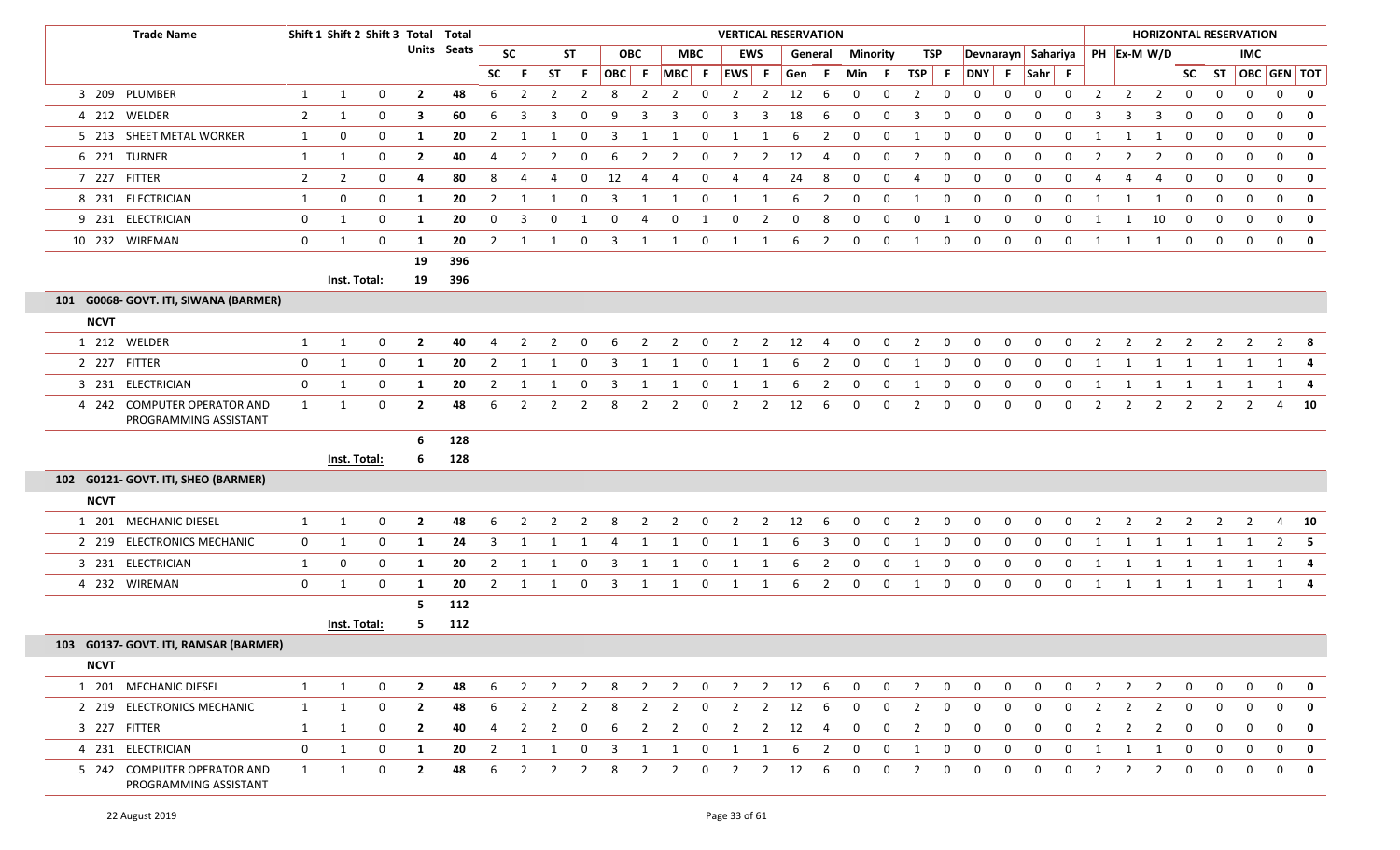|             | <b>Trade Name</b>                                    |                | Shift 1 Shift 2 Shift 3 Total Total |                |                         |             |                |                |                |                |                         |                |                          |              | <b>VERTICAL RESERVATION</b>     |                |     |                |              |                |                |             |                |                |                    |                |                |                         | <b>HORIZONTAL RESERVATION</b> |                |                |              |                         |              |
|-------------|------------------------------------------------------|----------------|-------------------------------------|----------------|-------------------------|-------------|----------------|----------------|----------------|----------------|-------------------------|----------------|--------------------------|--------------|---------------------------------|----------------|-----|----------------|--------------|----------------|----------------|-------------|----------------|----------------|--------------------|----------------|----------------|-------------------------|-------------------------------|----------------|----------------|--------------|-------------------------|--------------|
|             |                                                      |                |                                     |                |                         | Units Seats |                | <b>SC</b>      |                | <b>ST</b>      |                         | <b>OBC</b>     |                          | <b>MBC</b>   |                                 | <b>EWS</b>     |     | General        | Minority     |                | TSP            |             |                |                | Devnarayn Sahariya |                |                |                         | PH Ex-M W/D                   |                |                | <b>IMC</b>   |                         |              |
|             |                                                      |                |                                     |                |                         |             | <b>SC</b>      |                | <b>ST</b>      | F.             |                         | OBC F          | $MBC$ F                  |              | EWS F                           |                | Gen | -F.            | Min F        |                | $TSP$ F        |             |                |                | DNY F Sahr F       |                |                |                         |                               |                |                |              | SC ST   OBC   GEN   TOT |              |
|             | 3 209 PLUMBER                                        | $\mathbf{1}$   | $\mathbf{1}$                        | $\mathbf 0$    | $\overline{2}$          | 48          | 6              | $\overline{2}$ | $\overline{2}$ | $\overline{2}$ | 8                       | $\overline{2}$ | $\overline{2}$           | $\mathbf 0$  | $\overline{2}$                  | $\overline{2}$ | 12  | 6              | $\mathbf 0$  | $\mathbf 0$    | $\overline{2}$ | 0           | $\mathbf{0}$   | 0              | 0                  | 0              | $\overline{2}$ | $\overline{2}$          | $\overline{2}$                | 0              | $\mathbf 0$    | $\mathbf 0$  |                         | $0$ 0        |
|             | 4 212 WELDER                                         | $\overline{2}$ | 1                                   | 0              | 3                       | 60          | 6              | 3              | 3              | $\Omega$       | 9                       | 3              |                          | $\Omega$     | 3                               | 3              | 18  | -6             | 0            | 0              | 3              | 0           | 0              | $\mathbf 0$    | $\Omega$           | $\Omega$       |                | 3                       |                               | $\Omega$       | $\Omega$       | 0            | 0                       | $\mathbf 0$  |
|             | 5 213 SHEET METAL WORKER                             | 1              | 0                                   | 0              | 1                       | 20          | $\overline{2}$ | 1              | -1             | 0              | 3                       | -1             |                          | 0            | $\mathbf{1}$                    | 1              | 6   | $\overline{2}$ | $\Omega$     | 0              | -1             | 0           | $\Omega$       | $\Omega$       | $\Omega$           | $\Omega$       |                |                         |                               | $\Omega$       | $\Omega$       | 0            | 0                       | $\mathbf 0$  |
|             | 6 221 TURNER                                         | $\mathbf{1}$   | 1                                   | 0              | $\overline{2}$          | 40          | 4              | $\overline{2}$ | 2              | 0              | 6                       | 2              | 2                        | 0            | $\overline{2}$                  | $\overline{2}$ | 12  | 4              | 0            | 0              | $\overline{2}$ | 0           | 0              | 0              | $\Omega$           | $\Omega$       |                | 2                       |                               | $\Omega$       | $\Omega$       | 0            | $\mathbf{0}$            | 0            |
|             | 7 227 FITTER                                         | $\overline{2}$ | $\overline{2}$                      | 0              | 4                       | 80          | 8              | 4              | 4              | $\mathbf{0}$   | 12                      | -4             | 4                        | $\mathbf{0}$ | -4                              | 4              | 24  | 8              | $\mathbf 0$  | $\mathbf 0$    | 4              | $\mathbf 0$ | $\mathbf{0}$   | 0              | 0                  | $\mathbf 0$    | 4              | 4                       | 4                             | 0              | $\bf{0}$       | $\mathbf 0$  | $\mathbf{0}$            | $\mathbf{0}$ |
|             | 8 231 ELECTRICIAN                                    | 1              | $\boldsymbol{0}$                    | 0              | 1                       | 20          | 2              | -1             |                | 0              | -3                      |                |                          | $\mathbf 0$  | -1                              | -1             | 6   | 2              | 0            | 0              |                | 0           | 0              | $\mathbf 0$    | 0                  | $\Omega$       |                |                         |                               | $\Omega$       | 0              | 0            | $\mathbf{0}$            | $\mathbf{0}$ |
|             | 9 231 ELECTRICIAN                                    | $\mathbf{0}$   | 1                                   | 0              | 1                       | 20          | 0              | 3              | 0              | -1             | 0                       | -4             | $\mathbf{0}$             | 1            | $\bf{0}$                        | $\overline{2}$ | 0   | 8              | 0            | 0              | 0              | 1           | $\mathbf 0$    | $\mathbf 0$    | $\Omega$           | 0              |                |                         | 10                            | $\Omega$       | $\mathbf{0}$   | 0            | $\mathbf{0}$            | $\mathbf{0}$ |
|             | 10 232 WIREMAN                                       | 0              | 1                                   | $\mathbf 0$    | -1                      | 20          | $\overline{2}$ | -1             | 1              | 0              | 3                       | 1              | 1                        | $\mathbf{0}$ | 1                               | 1              | 6   | $\overline{2}$ | $\mathbf 0$  | $\mathbf 0$    | 1              | $\mathbf 0$ | $\mathbf 0$    | $\mathbf 0$    | $\mathbf 0$        | 0              | 1              | 1                       | 1                             | $\mathbf 0$    | $\mathbf{0}$   | $\mathbf{0}$ | $\mathbf{0}$            | $\mathbf{0}$ |
|             |                                                      |                |                                     |                | 19                      | 396         |                |                |                |                |                         |                |                          |              |                                 |                |     |                |              |                |                |             |                |                |                    |                |                |                         |                               |                |                |              |                         |              |
|             |                                                      |                | Inst. Total:                        |                | 19                      | 396         |                |                |                |                |                         |                |                          |              |                                 |                |     |                |              |                |                |             |                |                |                    |                |                |                         |                               |                |                |              |                         |              |
|             | 101 G0068- GOVT. ITI, SIWANA (BARMER)                |                |                                     |                |                         |             |                |                |                |                |                         |                |                          |              |                                 |                |     |                |              |                |                |             |                |                |                    |                |                |                         |                               |                |                |              |                         |              |
| <b>NCVT</b> |                                                      |                |                                     |                |                         |             |                |                |                |                |                         |                |                          |              |                                 |                |     |                |              |                |                |             |                |                |                    |                |                |                         |                               |                |                |              |                         |              |
|             | 1 212 WELDER                                         | $\mathbf{1}$   | 1                                   | 0              | $\mathbf{2}$            | 40          | 4              | 2              | 2              | $\mathbf{0}$   | 6                       | 2              | $\overline{2}$           | $\mathbf 0$  | $\overline{2}$                  | $\overline{2}$ | 12  | 4              | 0            | $\mathbf 0$    | $\overline{2}$ | 0           | 0              | 0              | 0                  | $\Omega$       | $\overline{2}$ | 2                       | $\mathbf{2}$                  | 2              | $\overline{2}$ | 2            |                         | $2 \times 8$ |
|             | 2 227 FITTER                                         | 0              | 1                                   | $\mathbf 0$    | 1                       | 20          | $\overline{2}$ | -1             | -1             | $\mathbf{0}$   | 3                       | -1             | 1                        | $\mathbf 0$  | 1                               | 1              | 6   | 2              | 0            | 0              | 1              | 0           | $\mathbf{0}$   | $\mathbf{0}$   | 0                  | 0              | 1              | 1                       | 1                             | 1              | 1              | 1            |                         | 1 4          |
|             | 3 231 ELECTRICIAN                                    | $\mathbf{0}$   | 1                                   | $\mathbf 0$    | 1                       | 20          | 2              | -1             |                | 0              | 3                       |                |                          | 0            | 1                               | 1              | 6   | 2              | 0            | 0              | 1              | 0           | 0              | $\mathbf{0}$   | 0                  | 0              | 1              | 1                       | $\mathbf{1}$                  | 1              | 1              | 1            |                         | 1 4          |
|             | 4 242 COMPUTER OPERATOR AND<br>PROGRAMMING ASSISTANT | 1              | 1                                   | 0              | $\mathbf{2}$            | 48          | 6              | 2              | 2              | 2              | 8                       | 2              | $\overline{2}$           | $\mathbf 0$  | $\overline{2}$                  | $\overline{2}$ | 12  | 6              | 0            | 0              | $\overline{2}$ | $\mathbf 0$ | $\mathbf 0$    | $\mathbf 0$    | 0                  | 0              | $\overline{2}$ | $\overline{2}$          | $\mathbf{2}$                  | $\overline{2}$ | $\overline{2}$ | 2            |                         | 4 10         |
|             |                                                      |                |                                     |                | 6                       | 128         |                |                |                |                |                         |                |                          |              |                                 |                |     |                |              |                |                |             |                |                |                    |                |                |                         |                               |                |                |              |                         |              |
|             |                                                      |                | Inst. Total:                        |                | 6                       | 128         |                |                |                |                |                         |                |                          |              |                                 |                |     |                |              |                |                |             |                |                |                    |                |                |                         |                               |                |                |              |                         |              |
|             | 102 G0121- GOVT. ITI, SHEO (BARMER)                  |                |                                     |                |                         |             |                |                |                |                |                         |                |                          |              |                                 |                |     |                |              |                |                |             |                |                |                    |                |                |                         |                               |                |                |              |                         |              |
| <b>NCVT</b> |                                                      |                |                                     |                |                         |             |                |                |                |                |                         |                |                          |              |                                 |                |     |                |              |                |                |             |                |                |                    |                |                |                         |                               |                |                |              |                         |              |
|             | 1 201 MECHANIC DIESEL                                | $\mathbf{1}$   | 1                                   | 0              | $\mathbf{2}$            | 48          | 6              | 2              | 2              | 2              | 8                       | 2              | $\overline{2}$           | 0            | $\overline{2}$                  | $\overline{2}$ | 12  | -6             | 0            | 0              | $\overline{2}$ | 0           | 0              | 0              | 0                  | $\Omega$       | 2              | 2                       | $\overline{2}$                | 2              | $\overline{2}$ | 2            |                         | 4 10         |
|             | 2 219 ELECTRONICS MECHANIC                           | $\mathbf{0}$   | 1                                   | 0              | 1                       | 24          | 3              | 1              | 1              | 1              | 4                       | 1              | 1                        | $\mathbf{0}$ | $\mathbf{1}$                    | $\mathbf{1}$   | 6   | 3              | $\mathbf{0}$ | $\mathbf 0$    | 1              | $\mathbf 0$ | $\mathbf{0}$   | 0              | $\mathbf{0}$       | 0              | 1              | 1                       | 1                             | 1              | 1              | 1            |                         | $2 \quad 5$  |
|             | 3 231 ELECTRICIAN                                    | $\mathbf{1}$   | 0                                   | $\mathbf 0$    | 1                       | 20          | $\overline{2}$ | -1             | -1             | $\mathbf{0}$   | 3                       | -1             | 1                        | 0            | 1                               | -1             | 6   | $\overline{2}$ | 0            | 0              | 1              | 0           | 0              | 0              | 0                  | 0              | 1              | 1                       | 1                             | 1              | 1              | 1            |                         | 1 4          |
|             | 4 232 WIREMAN                                        | $\mathbf{0}$   | 1                                   | 0              | 1                       | 20          | $\mathbf{2}$   | 1              | 1              | $\mathbf 0$    | $\overline{\mathbf{3}}$ | 1              | 1                        | $\mathbf{0}$ | 1                               | 1              | 6   | $\overline{2}$ | 0            | 0              | 1              | $\mathbf 0$ | 0              | $\mathbf 0$    | $\mathbf{0}$       | $\mathbf 0$    | $\mathbf{1}$   | 1                       |                               |                |                |              | 1 1 1 1 1 4             |              |
|             |                                                      |                |                                     |                | 5                       | 112         |                |                |                |                |                         |                |                          |              |                                 |                |     |                |              |                |                |             |                |                |                    |                |                |                         |                               |                |                |              |                         |              |
|             |                                                      |                | Inst. Total:                        |                | 5                       | 112         |                |                |                |                |                         |                |                          |              |                                 |                |     |                |              |                |                |             |                |                |                    |                |                |                         |                               |                |                |              |                         |              |
|             | 103 G0137- GOVT. ITI, RAMSAR (BARMER)                |                |                                     |                |                         |             |                |                |                |                |                         |                |                          |              |                                 |                |     |                |              |                |                |             |                |                |                    |                |                |                         |                               |                |                |              |                         |              |
| <b>NCVT</b> |                                                      |                |                                     |                |                         |             |                |                |                |                |                         |                |                          |              |                                 |                |     |                |              |                |                |             |                |                |                    |                |                |                         |                               |                |                |              |                         |              |
|             | 1 201 MECHANIC DIESEL                                | 1              | 1                                   | $\overline{0}$ | $\overline{\mathbf{2}}$ | 48          | 6              |                |                |                |                         |                | 2 2 2 8 2 2 0 2 2 12 6 0 |              |                                 |                |     |                |              | $\overline{0}$ |                | $2 \t 0$    | $\overline{0}$ | $\overline{0}$ | $\overline{0}$     | $\overline{0}$ | $\overline{2}$ | $\overline{\mathbf{c}}$ | $\overline{2}$                | $\overline{0}$ | $\overline{0}$ | $\mathbf 0$  |                         | $0 \quad 0$  |
|             | 2 219 ELECTRONICS MECHANIC                           | 1              | 1                                   | $\mathbf 0$    | $\overline{2}$          | 48          | 6              | $\overline{2}$ | 2              | 2              | 8                       | $\overline{2}$ | $\overline{2}$           | $\mathbf{0}$ | $\overline{2}$                  | $\overline{2}$ | 12  | -6             | $\mathbf 0$  | $\overline{0}$ | $\overline{2}$ | $\mathbf 0$ | $\mathbf 0$    | $\mathbf 0$    | $\mathbf{0}$       | $\Omega$       |                | 2                       | 2                             | $\mathbf 0$    | $\mathbf 0$    | $\mathbf{0}$ | $\mathbf{0}$            | - 0          |
|             | 3 227 FITTER                                         | 1              | 1                                   | 0              | $\overline{2}$          | 40          | 4              | $\overline{2}$ | $\overline{2}$ | $\overline{0}$ | 6                       | $\overline{2}$ | $\overline{2}$           |              | $0 \qquad 2 \qquad 2 \qquad 12$ |                |     | 4              | $\mathbf 0$  | 0              | $\overline{2}$ | $\mathbf 0$ | $\mathbf 0$    | $\mathbf 0$    | $\mathbf{0}$       | 0              | $\overline{2}$ | $\overline{2}$          | $\overline{2}$                | 0              | $\overline{0}$ | $\mathbf 0$  |                         | $0 \quad 0$  |
|             | 4 231 ELECTRICIAN                                    | $\mathbf{0}$   | $\mathbf{1}$                        | $\mathbf 0$    | 1                       | 20          | 2              | <sup>1</sup>   | 1              | $\mathbf{0}$   | $\overline{\mathbf{3}}$ | 1              | 1                        | $\mathbf{0}$ | $\overline{1}$                  | 1              | 6   | $\overline{2}$ | $\mathbf{0}$ | $\mathbf 0$    | 1              | $\mathbf 0$ | $\mathbf{0}$   | $\mathbf 0$    | $\mathbf 0$        | 0              | 1              | 1                       | 1                             | 0              | $\mathbf 0$    | $\mathbf 0$  |                         | $0 \quad 0$  |
|             | 5 242 COMPUTER OPERATOR AND<br>PROGRAMMING ASSISTANT | $\mathbf{1}$   | 1                                   | $\mathbf 0$    | $\overline{2}$          | 48          | 6              | $\overline{2}$ | $\overline{2}$ | $\overline{2}$ | 8                       | $\overline{2}$ | $\overline{2}$           |              | $0\qquad 2$                     | $\overline{2}$ | 12  | 6              | $\mathbf 0$  | $\mathbf 0$    | $\overline{2}$ | $\mathbf 0$ | $\mathbf 0$    | $\mathbf 0$    | $\mathbf 0$        | $\mathbf 0$    | $\overline{2}$ | $\overline{2}$          | $\overline{2}$                | 0              | $\mathbf 0$    | $\mathbf 0$  |                         | $0 \quad 0$  |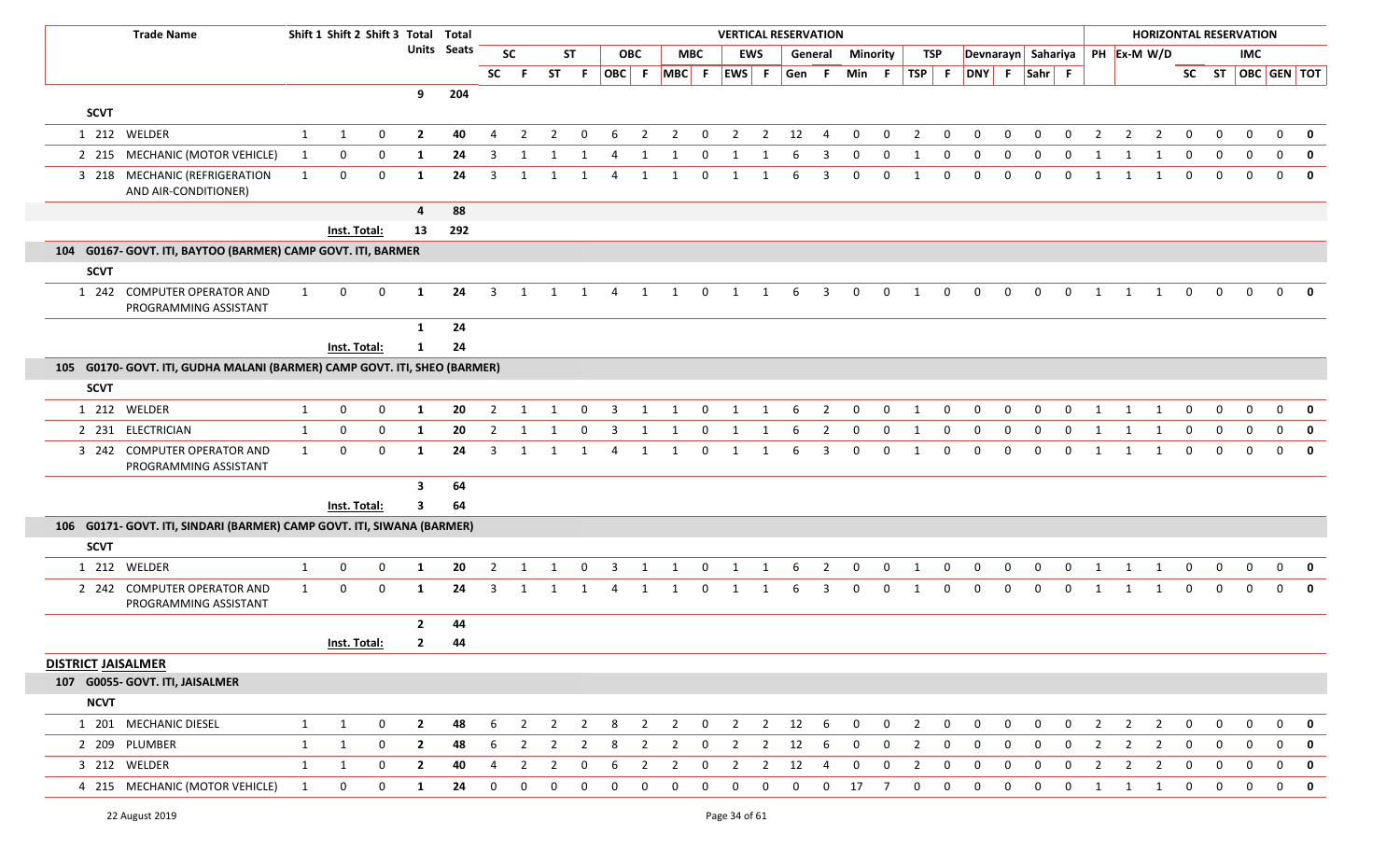|                                | <b>Trade Name</b>                                                         |              | Shift 1 Shift 2 Shift 3 Total Total |             |                |             |                |                |                |                |                |                |                |                | <b>VERTICAL RESERVATION</b> |                |       |                |                 |             |                |              |              |              |             |             |                |                |                                  |              | <b>HORIZONTAL RESERVATION</b> |              |              |              |
|--------------------------------|---------------------------------------------------------------------------|--------------|-------------------------------------|-------------|----------------|-------------|----------------|----------------|----------------|----------------|----------------|----------------|----------------|----------------|-----------------------------|----------------|-------|----------------|-----------------|-------------|----------------|--------------|--------------|--------------|-------------|-------------|----------------|----------------|----------------------------------|--------------|-------------------------------|--------------|--------------|--------------|
|                                |                                                                           |              |                                     |             |                | Units Seats |                | <b>SC</b>      |                | <b>ST</b>      |                | <b>OBC</b>     |                | <b>MBC</b>     | <b>EWS</b>                  |                |       | General        | <b>Minority</b> |             | <b>TSP</b>     |              |              |              |             |             |                |                | Devnarayn Sahariya   PH Ex-M W/D |              |                               | <b>IMC</b>   |              |              |
|                                |                                                                           |              |                                     |             |                |             | <b>SC</b>      | - F            | ST F           |                | OBC F          |                | MBC F EWS F    |                |                             |                | Gen F |                | Min F           |             | TSP F          |              | DNY F Sahr F |              |             |             |                |                |                                  |              | SC ST   OBC   GEN   TOT       |              |              |              |
|                                |                                                                           |              |                                     |             | 9              | 204         |                |                |                |                |                |                |                |                |                             |                |       |                |                 |             |                |              |              |              |             |             |                |                |                                  |              |                               |              |              |              |
| <b>SCVT</b>                    |                                                                           |              |                                     |             |                |             |                |                |                |                |                |                |                |                |                             |                |       |                |                 |             |                |              |              |              |             |             |                |                |                                  |              |                               |              |              |              |
|                                | 1 212 WELDER                                                              | 1            | 1                                   | $\mathbf 0$ | $\overline{2}$ | 40          | 4              | 2              | 2              | 0              | 6              | $\overline{2}$ | $\overline{2}$ | $\overline{0}$ | $\overline{2}$              | $\overline{2}$ | 12    | $\overline{4}$ | $\mathbf 0$     | $\mathbf 0$ | 2              | 0            | 0            | $\Omega$     | $\Omega$    | 0           | $\overline{2}$ | $\overline{2}$ | $\overline{2}$                   | $\Omega$     | $\Omega$                      | $\Omega$     | $\mathbf 0$  | 0            |
|                                | 2 215 MECHANIC (MOTOR VEHICLE)                                            | $\mathbf{1}$ | 0                                   | $\mathbf 0$ | 1              | 24          | 3              | 1              | 1              | 1              | 4              | -1             | 1              | 0              | 1                           | 1              | 6     | 3              | 0               | 0           | -1             | $\Omega$     | $\Omega$     | 0            | $\Omega$    | 0           | -1             |                | 1                                | $\Omega$     | $\Omega$                      |              | 0            | $\mathbf 0$  |
|                                | 3 218 MECHANIC (REFRIGERATION<br>AND AIR-CONDITIONER)                     | 1            | 0                                   | $\mathbf 0$ | 1              | 24          | 3              | $\mathbf{1}$   | 1              | 1              | 4              | 1              | 1              | 0              | 1                           | 1              | 6     | 3              | 0               | 0           | 1              | 0            | 0            | $\mathbf 0$  | $\mathbf 0$ | $\mathbf 0$ | 1              | 1              | 1                                | $\Omega$     | $\Omega$                      |              | $\mathbf{0}$ | $\mathbf{0}$ |
|                                |                                                                           |              |                                     |             | $\overline{4}$ | 88          |                |                |                |                |                |                |                |                |                             |                |       |                |                 |             |                |              |              |              |             |             |                |                |                                  |              |                               |              |              |              |
|                                |                                                                           |              | Inst. Total:                        |             | 13             | 292         |                |                |                |                |                |                |                |                |                             |                |       |                |                 |             |                |              |              |              |             |             |                |                |                                  |              |                               |              |              |              |
|                                | 104 G0167- GOVT. ITI, BAYTOO (BARMER) CAMP GOVT. ITI, BARMER              |              |                                     |             |                |             |                |                |                |                |                |                |                |                |                             |                |       |                |                 |             |                |              |              |              |             |             |                |                |                                  |              |                               |              |              |              |
| <b>SCVT</b>                    |                                                                           |              |                                     |             |                |             |                |                |                |                |                |                |                |                |                             |                |       |                |                 |             |                |              |              |              |             |             |                |                |                                  |              |                               |              |              |              |
|                                | 1 242 COMPUTER OPERATOR AND<br>PROGRAMMING ASSISTANT                      | 1            | 0                                   | $\mathbf 0$ | -1             | 24          | $\overline{3}$ | 1              | 1              | 1              | $\overline{4}$ | 1              | 1              | $\mathbf 0$    | 1                           | 1              | 6     | $\overline{3}$ | $\mathbf 0$     | $\mathbf 0$ | 1              | 0            | $\mathbf{0}$ | $\mathbf{0}$ | $\mathbf 0$ | $\mathbf 0$ | 1              | 1              | 1                                | $\Omega$     |                               |              |              |              |
|                                |                                                                           |              |                                     |             | 1              | 24          |                |                |                |                |                |                |                |                |                             |                |       |                |                 |             |                |              |              |              |             |             |                |                |                                  |              |                               |              |              |              |
|                                |                                                                           |              | Inst. Total:                        |             | 1              | 24          |                |                |                |                |                |                |                |                |                             |                |       |                |                 |             |                |              |              |              |             |             |                |                |                                  |              |                               |              |              |              |
|                                | 105 G0170- GOVT. ITI, GUDHA MALANI (BARMER) CAMP GOVT. ITI, SHEO (BARMER) |              |                                     |             |                |             |                |                |                |                |                |                |                |                |                             |                |       |                |                 |             |                |              |              |              |             |             |                |                |                                  |              |                               |              |              |              |
| <b>SCVT</b>                    |                                                                           |              |                                     |             |                |             |                |                |                |                |                |                |                |                |                             |                |       |                |                 |             |                |              |              |              |             |             |                |                |                                  |              |                               |              |              |              |
|                                | 1 212 WELDER                                                              | 1            | 0                                   | $\mathbf 0$ | 1              | 20          | $\overline{2}$ | -1             |                | $\mathbf 0$    | 3              | -1             | -1             | $\mathbf 0$    | 1                           | $\mathbf 1$    | 6     | $\overline{2}$ | $\mathbf 0$     | $\mathbf 0$ | -1             | $\Omega$     |              | $\Omega$     | $\Omega$    | $\Omega$    | $\mathbf 1$    |                | -1                               | $\Omega$     |                               |              | $\Omega$     | $\mathbf 0$  |
|                                | 2 231 ELECTRICIAN                                                         | 1            | 0                                   | $\mathbf 0$ | 1              | 20          | $\overline{2}$ | 1              | 1              | $\mathbf 0$    | $\overline{3}$ | 1              | 1              | $\mathbf 0$    | 1                           | 1              | 6     | $\overline{2}$ | $\mathbf 0$     | $\mathbf 0$ | 1              | 0            | $\mathbf 0$  | $\mathbf{0}$ | $\mathbf 0$ | $\mathbf 0$ | 1              | 1              | 1                                | $\mathbf 0$  | $\mathbf 0$                   | $\mathbf 0$  | $\mathbf 0$  | $\mathbf 0$  |
|                                | 3 242 COMPUTER OPERATOR AND<br>PROGRAMMING ASSISTANT                      | $\mathbf{1}$ | $\mathbf 0$                         | 0           | -1             | 24          | 3              | 1              | 1              | 1              | 4              | 1              | 1              | 0              | 1                           | 1              | 6     | 3              | $\Omega$        | 0           | -1             | 0            |              | $\Omega$     | $\Omega$    | $\Omega$    | $\mathbf{1}$   | 1              | 1                                | $\Omega$     |                               |              | $\Omega$     | $\mathbf{0}$ |
|                                |                                                                           |              |                                     |             | 3              | 64          |                |                |                |                |                |                |                |                |                             |                |       |                |                 |             |                |              |              |              |             |             |                |                |                                  |              |                               |              |              |              |
|                                |                                                                           |              | Inst. Total:                        |             | 3              | 64          |                |                |                |                |                |                |                |                |                             |                |       |                |                 |             |                |              |              |              |             |             |                |                |                                  |              |                               |              |              |              |
|                                | 106 G0171- GOVT. ITI, SINDARI (BARMER) CAMP GOVT. ITI, SIWANA (BARMER)    |              |                                     |             |                |             |                |                |                |                |                |                |                |                |                             |                |       |                |                 |             |                |              |              |              |             |             |                |                |                                  |              |                               |              |              |              |
| <b>SCVT</b>                    |                                                                           |              |                                     |             |                |             |                |                |                |                |                |                |                |                |                             |                |       |                |                 |             |                |              |              |              |             |             |                |                |                                  |              |                               |              |              |              |
|                                | 1 212 WELDER                                                              | 1            | 0                                   | 0           | 1              | 20          | 2              | -1             |                | 0              | 3              | -1             | 1              | 0              | 1                           | 1              | b     | 2              | $\Omega$        | 0           | -1             | 0            |              |              | $\Omega$    | 0           |                |                | -1                               |              |                               |              | $\Omega$     |              |
|                                | 2 242 COMPUTER OPERATOR AND<br>PROGRAMMING ASSISTANT                      | $\mathbf{1}$ | 0                                   | $\mathbf 0$ | 1              | 24          | 3              |                |                |                |                |                |                | $\Omega$       | -1                          |                |       | 3              | $\Omega$        | 0           |                | 0            |              | 0            | n           | $\Omega$    |                |                |                                  | $\Omega$     |                               |              |              | $\mathbf 0$  |
|                                |                                                                           |              |                                     |             | $\overline{2}$ | 44          |                |                |                |                |                |                |                |                |                             |                |       |                |                 |             |                |              |              |              |             |             |                |                |                                  |              |                               |              |              |              |
|                                |                                                                           |              | Inst. Total:                        |             | $\mathbf{2}$   | 44          |                |                |                |                |                |                |                |                |                             |                |       |                |                 |             |                |              |              |              |             |             |                |                |                                  |              |                               |              |              |              |
| <b>DISTRICT JAISALMER</b>      |                                                                           |              |                                     |             |                |             |                |                |                |                |                |                |                |                |                             |                |       |                |                 |             |                |              |              |              |             |             |                |                |                                  |              |                               |              |              |              |
|                                | 107 G0055- GOVT. ITI, JAISALMER                                           |              |                                     |             |                |             |                |                |                |                |                |                |                |                |                             |                |       |                |                 |             |                |              |              |              |             |             |                |                |                                  |              |                               |              |              |              |
| <b>NCVT</b>                    |                                                                           |              |                                     |             |                |             |                |                |                |                |                |                |                |                |                             |                |       |                |                 |             |                |              |              |              |             |             |                |                |                                  |              |                               |              |              |              |
|                                | 1 201 MECHANIC DIESEL                                                     | $\mathbf{1}$ | 1                                   | $\mathbf 0$ | $\overline{2}$ | 48          | 6              | $\overline{2}$ | $\overline{2}$ | $\overline{2}$ | 8              | $\overline{2}$ | $\overline{2}$ | $\overline{0}$ | $\overline{2}$              | $\overline{2}$ | 12    | - 6            | $\overline{0}$  | $\mathbf 0$ | $\overline{2}$ | $\mathbf 0$  | $\mathbf 0$  | $\mathbf 0$  | $\mathbf 0$ | $\mathbf 0$ | $\overline{2}$ | 2              | $\overline{2}$                   | $\mathbf{0}$ | $\mathbf{0}$                  | $\mathbf{0}$ | $\mathbf{0}$ | $\mathbf 0$  |
|                                | 2 209 PLUMBER                                                             | 1            | 1                                   | 0           | $\overline{2}$ | 48          | 6              | $\overline{2}$ | $\overline{2}$ | $\overline{2}$ | 8              | $\overline{2}$ | $\overline{2}$ | $\mathbf{0}$   | $\overline{2}$              | $\overline{2}$ | 12    | 6              | $\mathbf 0$     | 0           | $\overline{2}$ | $\mathbf{0}$ | $\mathbf{0}$ | 0            | $\Omega$    | $\mathbf 0$ | $\overline{2}$ | $\overline{2}$ | $\overline{2}$                   | 0            | 0                             | 0            | $\mathbf{0}$ | 0            |
|                                | 3 212 WELDER                                                              | $\mathbf{1}$ | 1                                   | $\mathbf 0$ | $\overline{2}$ | 40          | $\overline{4}$ | $\overline{2}$ | $\overline{2}$ | $\mathbf 0$    | 6              | $\overline{2}$ | $\overline{2}$ | 0              | $\overline{2}$              | $\overline{2}$ | 12    | 4              | $\mathbf 0$     | $\mathbf 0$ | 2              | 0            | $\mathbf 0$  | $\mathbf{0}$ | $\mathbf 0$ | 0           | $\overline{2}$ | $\overline{2}$ | $\overline{2}$                   | $\mathbf 0$  | $\mathbf 0$                   | $\mathbf 0$  | $\mathbf{0}$ | $\mathbf 0$  |
| 4 215 MECHANIC (MOTOR VEHICLE) |                                                                           |              |                                     |             |                | 24          |                |                |                |                |                |                |                |                |                             |                |       |                |                 |             |                |              |              |              |             |             |                |                |                                  |              |                               |              |              |              |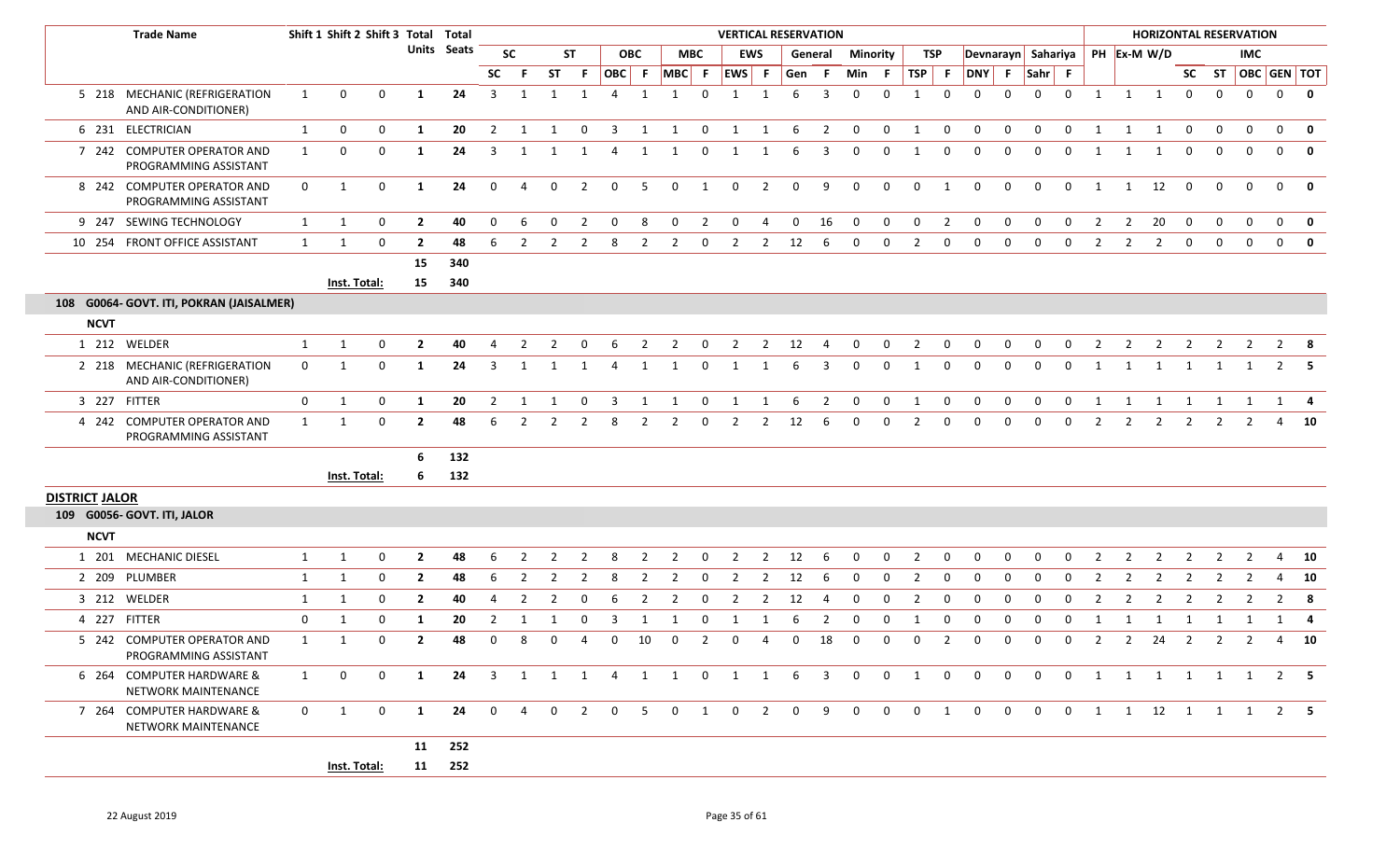| <b>Trade Name</b>                                              |              |              | Shift 1 Shift 2 Shift 3 Total Total |                |             |                         |                         |                |                         |                |                |                |                | <b>VERTICAL RESERVATION</b> |                |                |                |                 |              |                |                |                |              |                    |              |                |                     | <b>HORIZONTAL RESERVATION</b> |                |                |                         |                   |
|----------------------------------------------------------------|--------------|--------------|-------------------------------------|----------------|-------------|-------------------------|-------------------------|----------------|-------------------------|----------------|----------------|----------------|----------------|-----------------------------|----------------|----------------|----------------|-----------------|--------------|----------------|----------------|----------------|--------------|--------------------|--------------|----------------|---------------------|-------------------------------|----------------|----------------|-------------------------|-------------------|
|                                                                |              |              |                                     |                | Units Seats |                         | <b>SC</b>               |                | ST                      |                | <b>OBC</b>     |                | <b>MBC</b>     |                             | <b>EWS</b>     |                | General        | <b>Minority</b> |              | TSP            |                |                |              | Devnarayn Sahariya |              |                |                     | PH Ex-M W/D                   |                |                | IMC                     |                   |
|                                                                |              |              |                                     |                |             | <b>SC</b>               | - F                     | <b>ST</b>      | - F                     | OBC F          |                | $MBC$ F        |                | EWS F                       |                | Gen F          |                | Min F           |              | TSP F          |                |                |              | DNY F Sahr F       |              |                |                     |                               |                |                |                         | SC ST OBC GEN TOT |
| 5 218 MECHANIC (REFRIGERATION<br>AND AIR-CONDITIONER)          | 1            | $\mathbf{0}$ | $\mathbf 0$                         | 1              | 24          | $\overline{\mathbf{3}}$ | 1                       | 1              | $\overline{\mathbf{1}}$ | $\overline{4}$ | 1              | 1              | $\mathbf 0$    | 1                           | $\mathbf{1}$   | 6              | 3              | $\mathbf{0}$    | $\mathbf 0$  | 1              | $\mathbf 0$    | $\Omega$       | $\Omega$     | $\mathbf{0}$       | $\mathbf 0$  |                | $1 \quad 1 \quad 1$ |                               | $\mathbf 0$    | $\mathbf 0$    | $\overline{0}$          | $\overline{0}$    |
| 6 231 ELECTRICIAN                                              | 1            | $\mathbf{0}$ | 0                                   | 1              | 20          | $\overline{2}$          | 1                       | 1              | $\mathbf 0$             | $\overline{3}$ | 1              | $\mathbf{1}$   | $\overline{0}$ | $\overline{1}$              | 1              | - 6            | $\overline{2}$ | $\overline{0}$  | $\mathbf 0$  | 1              | $\overline{0}$ | $\mathbf{0}$   | $\mathbf 0$  | $\mathbf 0$        | $\mathbf 0$  | 1              | 1                   | 1                             | $\mathbf 0$    | $\mathbf 0$    | $\mathbf 0$             | $\mathbf{0}$      |
| 7 242 COMPUTER OPERATOR AND<br>PROGRAMMING ASSISTANT           | 1            | $\mathbf 0$  | $\mathbf 0$                         | -1             | 24          | 3                       | 1                       | 1              | 1                       | 4              | 1              | 1              | $\mathbf 0$    | 1                           |                | 6              | 3              | 0               | $\mathbf{0}$ | 1              | $\overline{0}$ | $\mathbf{0}$   | 0            | $\mathbf 0$        | 0            | 1              | 1                   | 1                             | 0              | $\mathbf 0$    | 0                       | $\mathbf{0}$      |
| 8 242 COMPUTER OPERATOR AND<br>PROGRAMMING ASSISTANT           | $\mathbf{0}$ | 1            | $\mathbf 0$                         | 1              | 24          | $\overline{0}$          | $\overline{4}$          | $\mathbf{0}$   | $\overline{2}$          | $\mathbf 0$    | 5              | $\mathbf 0$    | $\overline{1}$ | $\mathbf 0$                 | $\overline{2}$ | $\overline{0}$ | 9              | $\mathbf 0$     | $\mathbf 0$  | $\mathbf 0$    | 1              | $\mathbf 0$    | $\mathbf 0$  | $\mathbf 0$        | $\mathbf 0$  |                | 1 1 12              |                               | $\mathbf 0$    | $\mathbf 0$    | $\mathbf 0$             | $\overline{0}$    |
| 9 247 SEWING TECHNOLOGY                                        | 1            | 1            | 0                                   | $\overline{2}$ | 40          | 0                       | 6                       | $\mathbf{0}$   | $\overline{2}$          | $\mathbf{0}$   | 8              | $\mathbf 0$    | $\overline{2}$ | $\mathbf{0}$                | 4              | $\mathbf 0$    | 16             | $\mathbf 0$     | $\mathbf 0$  | $\mathbf 0$    | $\overline{2}$ | $\mathbf 0$    | $\mathbf 0$  | $\mathbf 0$        | $\mathbf 0$  | $\overline{2}$ | $\overline{2}$      | 20                            | $\mathbf 0$    | $\mathbf 0$    | $\mathbf 0$             | $\overline{0}$    |
| 10 254 FRONT OFFICE ASSISTANT                                  | 1            | 1            | 0                                   | $\mathbf{2}$   | 48          | 6                       | 2                       | 2              | $\overline{2}$          | 8              | $\overline{2}$ | $\overline{2}$ | $\mathbf 0$    | $\overline{2}$              | $\overline{2}$ | 12             | 6              | 0               | $\mathbf{0}$ | $\overline{2}$ | $\mathbf{0}$   | $\mathbf 0$    | $\mathbf 0$  | $\mathbf 0$        | 0            | $\overline{2}$ | $\overline{2}$      | $\overline{2}$                | $\mathbf 0$    | $\mathbf 0$    | $\mathbf{0}$            | $\mathbf{0}$      |
|                                                                |              |              |                                     | 15             | 340         |                         |                         |                |                         |                |                |                |                |                             |                |                |                |                 |              |                |                |                |              |                    |              |                |                     |                               |                |                |                         |                   |
|                                                                |              | Inst. Total: |                                     | 15             | 340         |                         |                         |                |                         |                |                |                |                |                             |                |                |                |                 |              |                |                |                |              |                    |              |                |                     |                               |                |                |                         |                   |
| 108 G0064- GOVT. ITI, POKRAN (JAISALMER)                       |              |              |                                     |                |             |                         |                         |                |                         |                |                |                |                |                             |                |                |                |                 |              |                |                |                |              |                    |              |                |                     |                               |                |                |                         |                   |
| <b>NCVT</b>                                                    |              |              |                                     |                |             |                         |                         |                |                         |                |                |                |                |                             |                |                |                |                 |              |                |                |                |              |                    |              |                |                     |                               |                |                |                         |                   |
| 1 212 WELDER                                                   | $\mathbf{1}$ | $\mathbf{1}$ | $\mathbf 0$                         | $\overline{2}$ | 40          | 4                       | $\overline{2}$          | $\overline{2}$ | $\mathbf{0}$            | 6              | $\overline{2}$ | $\overline{2}$ | $\overline{0}$ | $\overline{2}$              |                | 2 12           | $\overline{4}$ | $\mathbf 0$     | $\mathbf{0}$ | $\overline{2}$ | $\overline{0}$ | $\overline{0}$ | $\mathbf{0}$ | $\mathbf{0}$       | $\mathbf{0}$ | $\overline{2}$ | $\overline{2}$      | $\overline{2}$                | $\overline{2}$ | $\overline{2}$ | $\overline{\mathbf{2}}$ | $2^{\circ}$       |
| 2 218 MECHANIC (REFRIGERATION<br>AND AIR-CONDITIONER)          | $\mathbf 0$  | 1            | 0                                   | -1             | 24          | 3                       | -1                      |                |                         | 4              | 1              | 1              | 0              |                             |                | 6              | 3              | $\mathbf 0$     | $\mathbf{0}$ | 1              | $\overline{0}$ | $\mathbf{0}$   | 0            | $\mathbf{0}$       | 0            |                | 1                   | 1                             | 1              | $\overline{1}$ |                         | $\overline{2}$    |
| 3 227 FITTER                                                   | 0            | 1            | $\mathbf 0$                         | 1              | 20          | $\overline{2}$          | 1                       | -1             | 0                       | -3             | 1              | 1              | $\mathbf{0}$   | 1                           | 1              | 6              | $\overline{2}$ | 0               | $\mathbf 0$  | 1              | $\mathbf{0}$   | $\mathbf 0$    | $\mathbf 0$  | $\mathbf{0}$       | 0            | 1              | 1                   | 1                             | 1              | 1              | 1                       | 1                 |
| <b>COMPUTER OPERATOR AND</b><br>4 242<br>PROGRAMMING ASSISTANT | 1            | 1            | $\mathbf 0$                         | $\overline{2}$ | 48          | 6                       | $\overline{2}$          | 2              | $\overline{2}$          | 8              | $\overline{2}$ | $\overline{2}$ | $\mathbf 0$    | $\overline{2}$              | $\overline{2}$ | 12             | 6              | 0               | $\mathbf{0}$ | 2              | 0              | $\mathbf 0$    | $\mathbf 0$  | $\mathbf{0}$       | $\mathbf 0$  | $\overline{2}$ | $\overline{2}$      | $\overline{2}$                | $\overline{2}$ | 2              | 2                       | 4                 |
|                                                                |              |              |                                     | 6              | 132         |                         |                         |                |                         |                |                |                |                |                             |                |                |                |                 |              |                |                |                |              |                    |              |                |                     |                               |                |                |                         |                   |
|                                                                |              | Inst. Total: |                                     | -6             | 132         |                         |                         |                |                         |                |                |                |                |                             |                |                |                |                 |              |                |                |                |              |                    |              |                |                     |                               |                |                |                         |                   |
| <b>DISTRICT JALOR</b>                                          |              |              |                                     |                |             |                         |                         |                |                         |                |                |                |                |                             |                |                |                |                 |              |                |                |                |              |                    |              |                |                     |                               |                |                |                         |                   |
| 109 G0056- GOVT. ITI, JALOR                                    |              |              |                                     |                |             |                         |                         |                |                         |                |                |                |                |                             |                |                |                |                 |              |                |                |                |              |                    |              |                |                     |                               |                |                |                         |                   |
| <b>NCVT</b>                                                    |              |              |                                     |                |             |                         |                         |                |                         |                |                |                |                |                             |                |                |                |                 |              |                |                |                |              |                    |              |                |                     |                               |                |                |                         |                   |
| 1 201 MECHANIC DIESEL                                          | 1            | $\mathbf{1}$ | 0                                   | $\overline{2}$ | 48          | 6                       |                         |                |                         | -8             | $\overline{2}$ | $\overline{2}$ | $\Omega$       | $\overline{2}$              | $\overline{2}$ | 12             | 6              | $\mathbf 0$     | 0            | $\overline{2}$ | $\Omega$       | $\Omega$       | 0            | 0                  | $\Omega$     | 2              | $\overline{2}$      |                               | 2              |                |                         | $\overline{4}$    |
| 2 209 PLUMBER                                                  | 1            | $\mathbf{1}$ | $\mathbf 0$                         | $\overline{2}$ | 48          | 6                       | $\overline{2}$          | $\overline{2}$ | $\overline{2}$          | 8              | $\overline{2}$ | $\overline{2}$ | $\mathbf 0$    | $\overline{2}$              | $\overline{2}$ | 12             | -6             | $\mathbf 0$     | $\mathbf{0}$ | $\overline{2}$ | $\mathbf 0$    | $\mathbf 0$    | $\mathbf 0$  | $\mathbf 0$        | 0            | $\overline{2}$ | $\overline{2}$      | 2                             | $\overline{2}$ | $\overline{2}$ | $\overline{2}$          | -4                |
| 3 212 WELDER                                                   | 1            | 1            | 0                                   | $\overline{2}$ | 40          | 4                       | $\overline{2}$          | $\overline{2}$ | 0                       | -6             | 2              | $\overline{2}$ | 0              | 2                           | 2              | 12             | 4              | $\mathbf{0}$    | $\mathbf{0}$ | 2              | $\mathbf{0}$   | $\mathbf{0}$   | 0            | 0                  | $\Omega$     | 2              | 2                   | 2                             | 2              | 2              | 2                       | $\overline{2}$    |
| 4 227 FITTER                                                   | 0            | $\mathbf{1}$ | $\mathbf 0$                         | -1             | 20          | $\overline{2}$          | $\overline{\mathbf{1}}$ | -1             | $\mathbf{0}$            | 3              | 1              | 1              | $\mathbf 0$    | 1                           |                | 6              | $\overline{2}$ | 0               | 0            | 1              | $\mathbf 0$    | $\mathbf 0$    | $\mathbf 0$  | $\mathbf 0$        | $\Omega$     |                | 1                   | 1                             | 1              | - 1            | 1                       | 1                 |
| 5 242 COMPUTER OPERATOR AND<br>PROGRAMMING ASSISTANT           | $\mathbf{1}$ | 1            | $\mathbf 0$                         | $\overline{2}$ | 48          | $\Omega$                | 8                       | 0              | 4                       | $\mathbf 0$    | 10             | $\mathbf 0$    | $\overline{2}$ | $\mathbf 0$                 | 4              | $\mathbf 0$    | 18             | $\mathbf 0$     | $\mathbf{0}$ | $\mathbf{0}$   | $\overline{2}$ | $\mathbf{0}$   | $\mathbf 0$  | $\mathbf 0$        | $\Omega$     | 2              | $\overline{2}$      | 24                            | $\overline{2}$ | 2              | 2                       | $\overline{4}$    |
| 6 264 COMPUTER HARDWARE &<br>NETWORK MAINTENANCE               | 1            | $\mathbf 0$  | $\mathbf{0}$                        | 1              | 24          | $\overline{\mathbf{3}}$ |                         | 1 1 1          |                         | 4              |                | 1 1 0          |                |                             | 1 1            | -6             | 3              | 0               | $\mathbf{0}$ | 1              | 0              | 0              | $\Omega$     | $\mathbf{0}$       | $\mathbf 0$  |                |                     | 1 1 1 1 1 1                   |                |                |                         | $2 \quad 5$       |
| 7 264 COMPUTER HARDWARE &<br>NETWORK MAINTENANCE               | $\mathbf{0}$ | 1            | $\mathbf{0}$                        | 1              | 24          | $\overline{0}$          | 4                       | $\mathbf{0}$   | $\overline{2}$          | $\overline{0}$ | 5              | $\mathbf 0$    | 1              | $\mathbf{0}$                | $\overline{2}$ | $\overline{0}$ | 9              | $\mathbf{0}$    | $\mathbf{0}$ | $\overline{0}$ | 1              | $\mathbf{0}$   | $\mathbf{0}$ | $\mathbf{0}$       | $\mathbf{0}$ |                |                     | 1 1 12 1 1 1                  |                |                |                         | 2 5               |
|                                                                |              |              |                                     | 11             | 252         |                         |                         |                |                         |                |                |                |                |                             |                |                |                |                 |              |                |                |                |              |                    |              |                |                     |                               |                |                |                         |                   |
|                                                                |              | Inst. Total: |                                     |                | 11 252      |                         |                         |                |                         |                |                |                |                |                             |                |                |                |                 |              |                |                |                |              |                    |              |                |                     |                               |                |                |                         |                   |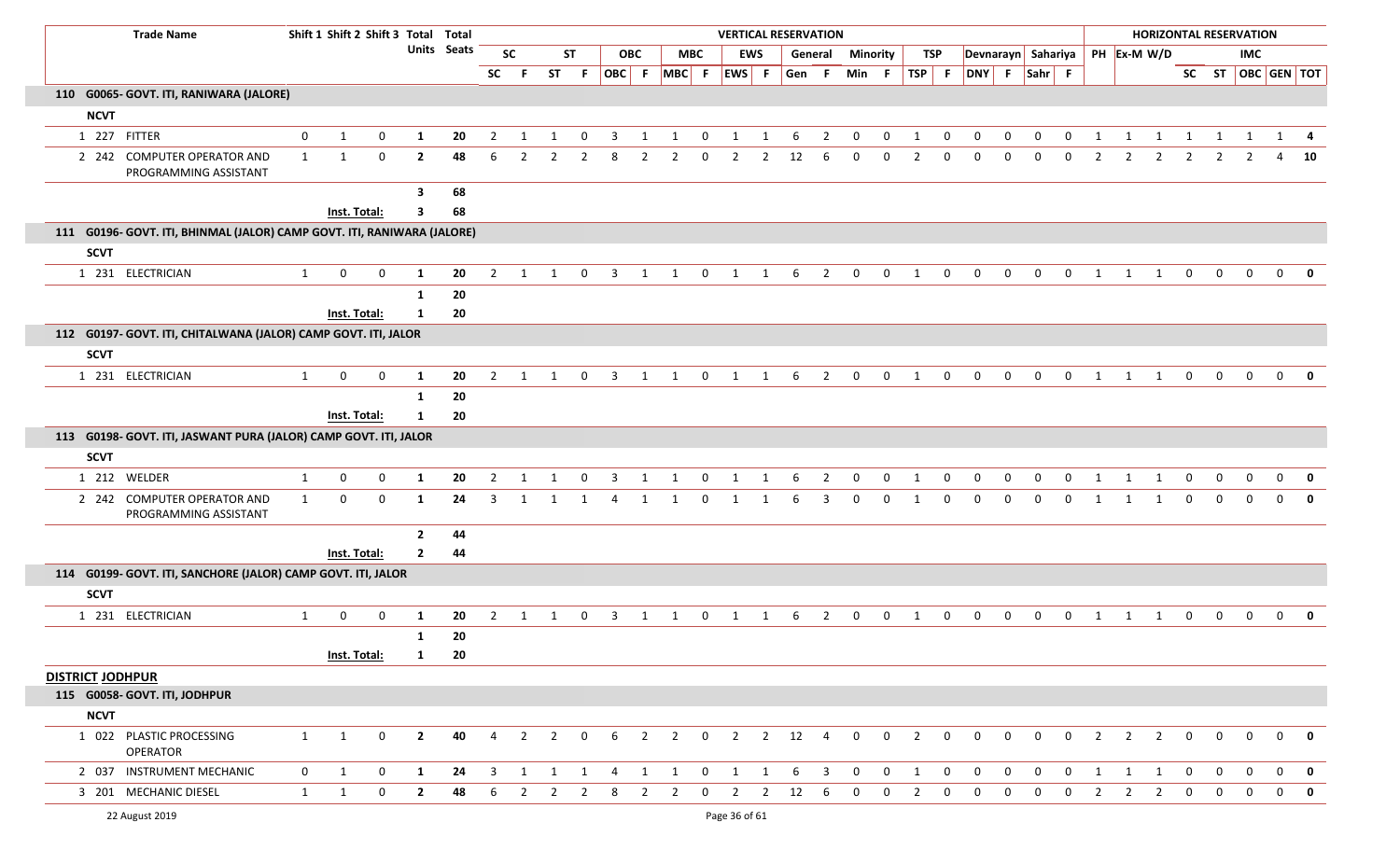| <b>Trade Name</b>                                                       |                |              |                  | Shift 1 Shift 2 Shift 3 Total Total |                    |                |                |                |                |                         |                |                   |                |                |                |          | <b>VERTICAL RESERVATION</b> |                |                |                         |              |                |                |                |                    |                |                |                |                |                | <b>HORIZONTAL RESERVATION</b> |                |              |
|-------------------------------------------------------------------------|----------------|--------------|------------------|-------------------------------------|--------------------|----------------|----------------|----------------|----------------|-------------------------|----------------|-------------------|----------------|----------------|----------------|----------|-----------------------------|----------------|----------------|-------------------------|--------------|----------------|----------------|----------------|--------------------|----------------|----------------|----------------|----------------|----------------|-------------------------------|----------------|--------------|
|                                                                         |                |              |                  |                                     | <b>Units</b> Seats |                | <b>SC</b>      |                | <b>ST</b>      |                         | <b>OBC</b>     |                   | <b>MBC</b>     |                | <b>EWS</b>     |          | General                     |                | Minority       |                         | <b>TSP</b>   |                |                |                | Devnarayn Sahariya |                | PH Ex-M W/D    |                |                |                | <b>IMC</b>                    |                |              |
|                                                                         |                |              |                  |                                     |                    | <b>SC</b>      | - F            |                | ST F           |                         |                | OBC F MBC F EWS F |                |                |                |          | Gen F                       | Min F          |                | TSP F                   |              |                |                | DNY F Sahr F   |                    |                |                |                |                |                | SC ST $\vert$ OBC GEN TOT     |                |              |
| 110 G0065- GOVT. ITI, RANIWARA (JALORE)                                 |                |              |                  |                                     |                    |                |                |                |                |                         |                |                   |                |                |                |          |                             |                |                |                         |              |                |                |                |                    |                |                |                |                |                |                               |                |              |
| <b>NCVT</b>                                                             |                |              |                  |                                     |                    |                |                |                |                |                         |                |                   |                |                |                |          |                             |                |                |                         |              |                |                |                |                    |                |                |                |                |                |                               |                |              |
| 1 227 FITTER                                                            | $\mathbf{0}$   | $\mathbf{1}$ | $\mathbf 0$      | 1                                   | 20                 | $\overline{2}$ | 1              | $\mathbf{1}$   | $\mathbf 0$    | $\overline{\mathbf{3}}$ | 1              | 1                 | $\mathbf 0$    | 1              | 1              | 6        | $\overline{\mathbf{2}}$     | $\bf{0}$       | $\bf{0}$       | 1                       | $\mathbf 0$  | $\mathbf{0}$   | $\mathbf 0$    | $\mathbf{0}$   | $\overline{0}$     | 1              | 1              | 1              | $\overline{1}$ | $\mathbf{1}$   | $\boxed{1}$                   |                | $1 \quad 4$  |
| 2 242 COMPUTER OPERATOR AND<br>PROGRAMMING ASSISTANT                    | $\mathbf{1}$   | $\mathbf{1}$ | $\mathbf 0$      | $\overline{2}$                      | 48                 | 6              | $\overline{2}$ | 2              | $\overline{2}$ | 8                       | $\overline{2}$ | $\overline{2}$    | $\mathbf 0$    | $\overline{2}$ | 2              | 12       | 6                           | $\mathbf{0}$   | $\mathbf 0$    | $\mathcal{P}$           | $\mathbf 0$  | $\Omega$       | $\Omega$       | $\Omega$       | $\mathbf 0$        | $\overline{2}$ | 2              | $\overline{2}$ | $\overline{2}$ | 2              |                               | 4              | 10           |
|                                                                         |                |              |                  | 3                                   | 68                 |                |                |                |                |                         |                |                   |                |                |                |          |                             |                |                |                         |              |                |                |                |                    |                |                |                |                |                |                               |                |              |
|                                                                         |                | Inst. Total: |                  | 3                                   | 68                 |                |                |                |                |                         |                |                   |                |                |                |          |                             |                |                |                         |              |                |                |                |                    |                |                |                |                |                |                               |                |              |
| 111 G0196- GOVT. ITI, BHINMAL (JALOR) CAMP GOVT. ITI, RANIWARA (JALORE) |                |              |                  |                                     |                    |                |                |                |                |                         |                |                   |                |                |                |          |                             |                |                |                         |              |                |                |                |                    |                |                |                |                |                |                               |                |              |
| <b>SCVT</b>                                                             |                |              |                  |                                     |                    |                |                |                |                |                         |                |                   |                |                |                |          |                             |                |                |                         |              |                |                |                |                    |                |                |                |                |                |                               |                |              |
| 1 231 ELECTRICIAN                                                       | $\mathbf{1}$   | $\mathbf 0$  | $\mathbf 0$      | 1                                   | 20                 | 2              | $\overline{1}$ | $\mathbf{1}$   | 0              | 3                       | 1              | 1                 | $\mathbf 0$    | 1              | 1              | 6        | $\overline{2}$              | $\mathbf 0$    | $\mathbf 0$    | $\overline{\mathbf{1}}$ | $\mathbf 0$  | $\mathbf 0$    | $\mathbf 0$    | $\mathbf{0}$   | $\mathbf 0$        | 1              | 1              | 1              | $\mathbf 0$    | $\mathbf 0$    | $\mathbf{0}$                  | $\mathbf{0}$   |              |
|                                                                         |                |              |                  | 1                                   | 20                 |                |                |                |                |                         |                |                   |                |                |                |          |                             |                |                |                         |              |                |                |                |                    |                |                |                |                |                |                               |                |              |
|                                                                         |                | Inst. Total: |                  | 1                                   | 20                 |                |                |                |                |                         |                |                   |                |                |                |          |                             |                |                |                         |              |                |                |                |                    |                |                |                |                |                |                               |                |              |
| 112 G0197- GOVT. ITI, CHITALWANA (JALOR) CAMP GOVT. ITI, JALOR          |                |              |                  |                                     |                    |                |                |                |                |                         |                |                   |                |                |                |          |                             |                |                |                         |              |                |                |                |                    |                |                |                |                |                |                               |                |              |
| <b>SCVT</b>                                                             |                |              |                  |                                     |                    |                |                |                |                |                         |                |                   |                |                |                |          |                             |                |                |                         |              |                |                |                |                    |                |                |                |                |                |                               |                |              |
| 1 231 ELECTRICIAN                                                       | $\mathbf{1}$   | 0            | $\mathbf 0$      | 1                                   | 20                 | $\overline{2}$ | 1              | 1              | $\mathbf 0$    | $\mathbf{3}$            | 1              | 1                 | $\mathbf 0$    | 1              | 1              | 6        | 2                           | $\mathbf 0$    | $\mathbf 0$    | 1                       | $\mathbf 0$  | $\mathbf{0}$   | $\mathbf{0}$   | $\mathbf 0$    | $\mathbf 0$        | 1              | 1              | 1              | $\mathbf 0$    | $\mathbf 0$    | $\mathbf{0}$                  | $\mathbf{0}$   |              |
|                                                                         |                |              |                  | 1                                   | 20                 |                |                |                |                |                         |                |                   |                |                |                |          |                             |                |                |                         |              |                |                |                |                    |                |                |                |                |                |                               |                |              |
|                                                                         |                | Inst. Total: |                  | $\mathbf{1}$                        | 20                 |                |                |                |                |                         |                |                   |                |                |                |          |                             |                |                |                         |              |                |                |                |                    |                |                |                |                |                |                               |                |              |
| 113 G0198- GOVT. ITI, JASWANT PURA (JALOR) CAMP GOVT. ITI, JALOR        |                |              |                  |                                     |                    |                |                |                |                |                         |                |                   |                |                |                |          |                             |                |                |                         |              |                |                |                |                    |                |                |                |                |                |                               |                |              |
| <b>SCVT</b>                                                             |                |              |                  |                                     |                    |                |                |                |                |                         |                |                   |                |                |                |          |                             |                |                |                         |              |                |                |                |                    |                |                |                |                |                |                               |                |              |
| 1 212 WELDER                                                            | $\mathbf{1}$   | $\mathbf 0$  | $\boldsymbol{0}$ | 1                                   | 20                 | $\overline{2}$ | 1              | $\mathbf{1}$   | $\mathbf 0$    | $\overline{\mathbf{3}}$ | 1              | $\mathbf{1}$      | $\overline{0}$ | $\mathbf{1}$   | $\mathbf{1}$   | - 6      | $\overline{\mathbf{2}}$     | $\bf{0}$       | $\overline{0}$ | 1                       | $\mathbf 0$  | $\overline{0}$ | $\mathbf{0}$   | $\mathbf 0$    | $\overline{0}$     | 1              | $\mathbf{1}$   | 1              | $\overline{0}$ | $\mathbf 0$    | $\mathbf 0$                   | $\overline{0}$ | $\mathbf{0}$ |
| 2 242 COMPUTER OPERATOR AND<br>PROGRAMMING ASSISTANT                    | $\mathbf{1}$   | 0            | $\mathbf 0$      | 1                                   | 24                 | 3              | -1             |                | 1              | 4                       | 1              |                   | 0              | 1              |                | 6        | 3                           | $\Omega$       | $\mathbf 0$    | - 1                     | $\mathbf 0$  | $\Omega$       | $\Omega$       | $\Omega$       | $\mathbf 0$        | 1              | 1              | 1              | $\mathbf 0$    | $\Omega$       | $\Omega$                      | $\Omega$       | $\mathbf{0}$ |
|                                                                         |                |              |                  | $\overline{2}$                      | 44                 |                |                |                |                |                         |                |                   |                |                |                |          |                             |                |                |                         |              |                |                |                |                    |                |                |                |                |                |                               |                |              |
|                                                                         |                | Inst. Total: |                  | $\overline{2}$                      | 44                 |                |                |                |                |                         |                |                   |                |                |                |          |                             |                |                |                         |              |                |                |                |                    |                |                |                |                |                |                               |                |              |
| 114 G0199- GOVT. ITI, SANCHORE (JALOR) CAMP GOVT. ITI, JALOR            |                |              |                  |                                     |                    |                |                |                |                |                         |                |                   |                |                |                |          |                             |                |                |                         |              |                |                |                |                    |                |                |                |                |                |                               |                |              |
| <b>SCVT</b>                                                             |                |              |                  |                                     |                    |                |                |                |                |                         |                |                   |                |                |                |          |                             |                |                |                         |              |                |                |                |                    |                |                |                |                |                |                               |                |              |
| 1 231 ELECTRICIAN                                                       | $\mathbf{1}$   | $\mathbf 0$  | $\mathbf 0$      | -1                                  | 20                 | 2              |                |                | 0              | 3                       | -1             |                   | 0              |                |                | -6       | 2                           | 0              | $\mathbf 0$    | - 1                     | 0            | $\mathbf{0}$   | $\Omega$       | $\Omega$       | $\Omega$           | 1              |                |                | 0              | $\Omega$       | $\Omega$                      | $\mathbf 0$    |              |
|                                                                         |                |              |                  | 1                                   | 20                 |                |                |                |                |                         |                |                   |                |                |                |          |                             |                |                |                         |              |                |                |                |                    |                |                |                |                |                |                               |                |              |
|                                                                         |                | Inst. Total: |                  | $\mathbf{1}$                        | 20                 |                |                |                |                |                         |                |                   |                |                |                |          |                             |                |                |                         |              |                |                |                |                    |                |                |                |                |                |                               |                |              |
| <b>DISTRICT JODHPUR</b>                                                 |                |              |                  |                                     |                    |                |                |                |                |                         |                |                   |                |                |                |          |                             |                |                |                         |              |                |                |                |                    |                |                |                |                |                |                               |                |              |
| 115 G0058- GOVT. ITI, JODHPUR                                           |                |              |                  |                                     |                    |                |                |                |                |                         |                |                   |                |                |                |          |                             |                |                |                         |              |                |                |                |                    |                |                |                |                |                |                               |                |              |
| <b>NCVT</b>                                                             |                |              |                  |                                     |                    |                |                |                |                |                         |                |                   |                |                |                |          |                             |                |                |                         |              |                |                |                |                    |                |                |                |                |                |                               |                |              |
| 1 022 PLASTIC PROCESSING<br>OPERATOR                                    | 1              | 1            | $\mathbf 0$      | $\overline{2}$                      | 40                 | $\overline{4}$ | $\overline{2}$ | $\overline{2}$ | $\mathbf 0$    | 6                       | $\overline{2}$ | $\overline{2}$    | $\overline{0}$ |                |                | 2 2 12 4 |                             | $\overline{0}$ | $\mathbf 0$    | $\overline{2}$          | $\mathbf{0}$ | $\mathbf{0}$   | $\overline{0}$ | $\overline{0}$ | $\overline{0}$     | $\overline{2}$ | $\overline{2}$ | $\overline{2}$ | $\overline{0}$ | $\mathbf{0}$   | $\overline{0}$                |                | $0$ 0        |
| 2 037 INSTRUMENT MECHANIC                                               | $\overline{0}$ | $\mathbf{1}$ | $\boldsymbol{0}$ | $\mathbf{1}$                        | 24                 | $\overline{3}$ | $\mathbf{1}$   | 1              | 1              | 4                       | $\mathbf{1}$   | 1                 | 0              | 1              | $\mathbf{1}$   | - 6      | $\overline{\mathbf{3}}$     | $\mathbf{0}$   | $\mathbf 0$    | 1                       | $\mathbf{0}$ | $\mathbf{0}$   | $\mathbf{0}$   | $\mathbf{0}$   | $\overline{0}$     | 1              | 1              | 1              | $\mathbf 0$    | $\overline{0}$ | $\mathbf{0}$                  |                | $0$ 0        |
| 3 201 MECHANIC DIESEL                                                   | $\mathbf{1}$   | $\mathbf{1}$ | 0                | $\mathbf{2}$                        | 48                 | 6              | $\overline{2}$ | $\overline{2}$ | 2              | 8                       | $\overline{2}$ | $\overline{2}$    | $\mathbf 0$    | $\overline{2}$ | $\overline{2}$ | 12       | 6                           | 0              | $\mathbf 0$    | $\mathbf{2}$            | $\mathbf{0}$ | 0              | 0              | 0              | $\mathbf 0$        | 2              | $\mathbf{2}$   | $\overline{2}$ | $\mathbf 0$    | 0              | $\mathbf 0$                   | $\mathbf 0$    | - 0          |
| 22 August 2019                                                          |                |              |                  |                                     |                    |                |                |                |                |                         |                |                   |                | Page 36 of 61  |                |          |                             |                |                |                         |              |                |                |                |                    |                |                |                |                |                |                               |                |              |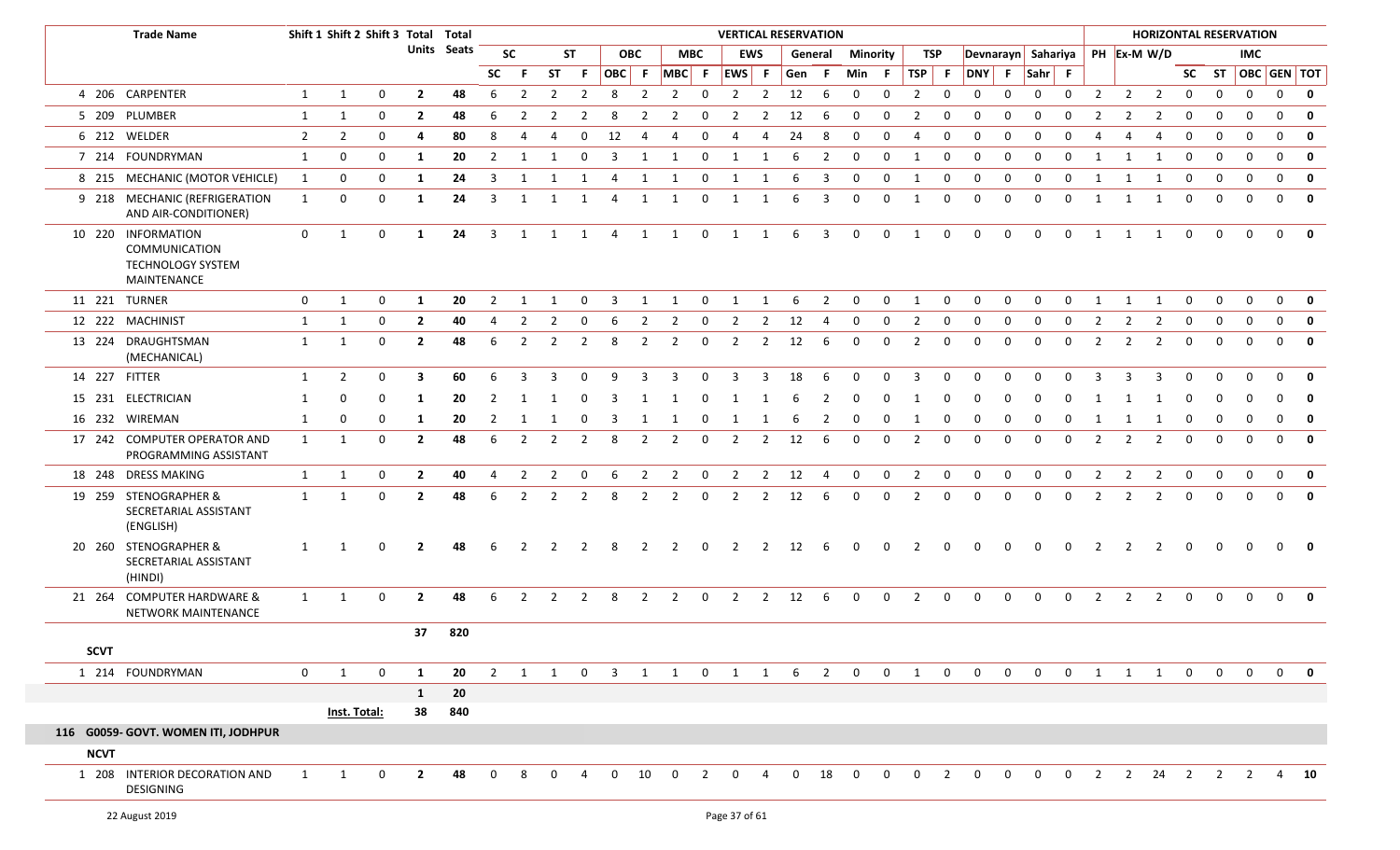|             | <b>Trade Name</b>                                                                     |                | Shift 1 Shift 2 Shift 3 Total Total |              |                |             |                |                         |                |                |                |                |                |                | <b>VERTICAL RESERVATION</b> |                |                        |                         |                 |              |                         |              |                |              |                |                |                |                | <b>HORIZONTAL RESERVATION</b>    |              |                |                   |              |                           |
|-------------|---------------------------------------------------------------------------------------|----------------|-------------------------------------|--------------|----------------|-------------|----------------|-------------------------|----------------|----------------|----------------|----------------|----------------|----------------|-----------------------------|----------------|------------------------|-------------------------|-----------------|--------------|-------------------------|--------------|----------------|--------------|----------------|----------------|----------------|----------------|----------------------------------|--------------|----------------|-------------------|--------------|---------------------------|
|             |                                                                                       |                |                                     |              |                | Units Seats |                | <b>SC</b>               |                | <b>ST</b>      | <b>OBC</b>     |                |                | <b>MBC</b>     |                             | <b>EWS</b>     |                        | General                 | <b>Minority</b> |              | TSP                     |              |                |              |                |                |                |                | Devnarayn Sahariya   PH Ex-M W/D |              |                | <b>IMC</b>        |              |                           |
|             |                                                                                       |                |                                     |              |                |             | SC.            | -F.                     | <b>ST</b>      | -F.            | OBC F          |                |                |                | MBC F EWS F                 |                | Gen F                  |                         | Min F           |              | TSP                     | - F          | DNY F          |              | $Sahr$ F       |                |                |                |                                  |              |                | SC ST OBC GEN TOT |              |                           |
|             | 4 206 CARPENTER                                                                       | 1              | 1                                   | $\mathbf 0$  | $\overline{2}$ | 48          | 6              | $\overline{2}$          | $\overline{2}$ | $\overline{2}$ | 8              | $\overline{2}$ | $\overline{2}$ | $\overline{0}$ | $\overline{2}$              | $\overline{2}$ | 12                     | 6                       | $\mathbf 0$     | $\mathbf{0}$ | $\overline{2}$          | $\mathbf 0$  | $\mathbf 0$    | 0            | $\mathbf 0$    | $\mathbf 0$    | $\overline{2}$ | $\overline{2}$ | $\overline{2}$                   | $\mathbf{0}$ | $\mathbf 0$    | $\mathbf 0$       | $\mathbf 0$  | $\mathbf 0$               |
|             | 5 209 PLUMBER                                                                         | 1              | 1                                   | $\mathbf{0}$ | $\overline{2}$ | 48          | 6              | 2                       | 2              | 2              | 8              |                | 2              | 0              | $\overline{2}$              | 2              | 12                     | -6                      | $\mathbf 0$     | 0            | $\overline{2}$          | 0            | $\Omega$       | $\Omega$     | $\Omega$       | $\Omega$       | -2             |                | 2                                | $\mathbf 0$  | $\mathbf{0}$   | $\mathbf 0$       | $\Omega$     | $\mathbf{0}$              |
|             | 6 212 WELDER                                                                          | $\overline{2}$ | 2                                   | 0            | 4              | 80          | 8              | 4                       | 4              | 0              | 12             | 4              | 4              | 0              | 4                           |                | 24                     | 8                       | $\Omega$        | $\Omega$     | 4                       | $\Omega$     | $\Omega$       | $\Omega$     | $\Omega$       | 0              |                |                |                                  | 0            | $\mathbf 0$    | $\mathbf 0$       | $\Omega$     | 0                         |
|             | 7 214 FOUNDRYMAN                                                                      | 1              | $\mathbf 0$                         | 0            | -1             | 20          | $\overline{2}$ | $\mathbf{1}$            | -1             | $\mathbf 0$    | 3              | 1              | 1              | 0              | $\mathbf{1}$                | 1              | 6                      | $\overline{2}$          | $\mathbf 0$     | $\mathbf 0$  | 1                       | $\mathbf 0$  | $\mathbf 0$    | $\mathbf 0$  | $\mathbf{0}$   | $\mathbf 0$    |                | $\mathbf{1}$   | -1                               | $\mathbf 0$  | $\overline{0}$ | $\mathbf{0}$      | $\Omega$     | $\mathbf 0$               |
|             | 8 215 MECHANIC (MOTOR VEHICLE)                                                        | 1              | $\mathbf 0$                         | 0            | 1              | 24          | 3              | 1                       | $\overline{1}$ | $\overline{1}$ | $\overline{4}$ | 1              | $\overline{1}$ | $\overline{0}$ | 1                           | 1              | 6                      | 3                       | $\mathbf 0$     | $\mathbf 0$  | 1                       | $\mathbf 0$  | $\mathbf 0$    | $\mathbf 0$  | $\mathbf 0$    | $\mathbf 0$    | 1              | 1              | 1                                | $\mathbf 0$  | $\mathbf 0$    | $\mathbf 0$       | $\mathbf{0}$ | $\mathbf 0$               |
|             | 9 218 MECHANIC (REFRIGERATION<br>AND AIR-CONDITIONER)                                 | 1              | $\mathbf 0$                         | $\mathbf{0}$ | -1             | 24          | 3              | $\overline{\mathbf{1}}$ | 1              | - 1            | 4              | 1              | 1              | $\mathbf 0$    |                             |                | 6                      | 3                       | $\mathbf 0$     | 0            | 1                       | $\mathbf{0}$ | $\mathbf 0$    | $\Omega$     | $\Omega$       | $\mathbf{0}$   |                |                | -1                               | 0            | $\mathbf{0}$   | $\Omega$          | $\Omega$     | $\mathbf 0$               |
|             | 10 220 INFORMATION<br><b>COMMUNICATION</b><br><b>TECHNOLOGY SYSTEM</b><br>MAINTENANCE | $\mathbf{0}$   | 1                                   | $\mathbf{0}$ | -1             | 24          | 3              | 1                       | $\overline{1}$ | 1              | $\overline{4}$ |                | 1 1            | $\overline{0}$ | 1 1                         |                | 6                      | $\overline{\mathbf{3}}$ | $\mathbf 0$     | $\mathbf 0$  | 1                       | $\mathbf 0$  | $\mathbf 0$    | $\mathbf 0$  | $\mathbf 0$    | $\mathbf 0$    | 1              | 1              | 1                                | $\mathbf 0$  | $\mathbf{0}$   | $\mathbf 0$       | $\mathbf{0}$ | $\mathbf 0$               |
|             | 11 221 TURNER                                                                         | $\mathbf{0}$   | 1                                   | 0            | -1             | 20          | $\overline{2}$ | -1                      |                | $\Omega$       | 3              | $\mathbf{1}$   | 1              | 0              | -1                          |                | 6                      | $\overline{2}$          | $\mathbf 0$     | 0            | $\mathbf{1}$            | $\Omega$     | $\Omega$       | $\Omega$     | $\Omega$       | 0              |                |                | -1                               | 0            | $\Omega$       | $\Omega$          | $\Omega$     | $\mathbf{0}$              |
|             | 12 222 MACHINIST                                                                      | 1              | 1                                   | 0            | $\overline{2}$ | 40          | 4              | 2                       | 2              | 0              | 6              | 2              | 2              | 0              | $\overline{2}$              | 2              | 12                     | 4                       | 0               | 0            | $\overline{2}$          | 0            | 0              | 0            | 0              | 0              | 2              | 2              |                                  | $\Omega$     | 0              | $\mathbf 0$       | $\Omega$     | $\mathbf 0$               |
|             | 13 224 DRAUGHTSMAN<br>(MECHANICAL)                                                    | 1              | 1                                   | 0            | $\overline{2}$ | 48          | 6              | 2                       | $\overline{2}$ | 2              | 8              | 2              | $\overline{2}$ | 0              | $\overline{2}$              | 2              | 12                     | 6                       | $\mathbf 0$     | 0            | $\overline{2}$          | $\mathbf 0$  | $\mathbf 0$    | $\Omega$     | $\Omega$       | 0              | 2              | 2              | 2                                | 0            | $\mathbf 0$    | $\Omega$          | $\Omega$     | $\mathbf 0$               |
|             | 14 227 FITTER                                                                         | 1              | $\overline{2}$                      | $\mathbf{0}$ | 3              | 60          | 6              | 3                       | 3              | $\mathbf 0$    | 9              | 3              | 3              | 0              | 3                           | 3              | 18                     | 6                       | $\Omega$        | $\Omega$     | 3                       | $\Omega$     | $\Omega$       | $\Omega$     | $\Omega$       | $\Omega$       | ર              |                | 3                                | $\Omega$     |                | <sup>0</sup>      | $\Omega$     | $\mathbf{0}$              |
|             | 15 231 ELECTRICIAN                                                                    | 1              | 0                                   | 0            | -1             | 20          |                |                         |                |                |                |                |                |                |                             |                |                        |                         |                 |              |                         |              |                |              |                |                |                |                |                                  |              |                |                   |              | $\mathbf 0$               |
|             | 16 232 WIREMAN                                                                        | 1              | 0                                   | 0            | -1             | 20          |                |                         |                |                | 3              |                |                |                |                             |                |                        | 2                       |                 |              |                         |              |                |              |                |                |                |                |                                  |              |                |                   |              | 0                         |
|             | 17 242 COMPUTER OPERATOR AND<br>PROGRAMMING ASSISTANT                                 | 1              | -1                                  | 0            | $\overline{2}$ | 48          | 6              | 2                       | $\overline{2}$ | 2              | 8              | 2              | $\overline{2}$ | 0              | $\overline{2}$              | 2              | 12                     | 6                       | $\mathbf{0}$    | 0            | $\overline{2}$          | 0            | $\Omega$       | $\Omega$     | $\Omega$       | $\Omega$       | 2              | $\mathcal{L}$  | 2                                | 0            | $\mathbf{0}$   | $\Omega$          | $\Omega$     | $\mathbf 0$               |
|             | 18 248 DRESS MAKING                                                                   | 1              | 1                                   | 0            | $\overline{2}$ | 40          | 4              | 2                       | $\overline{2}$ | 0              | 6              | $\overline{2}$ | $\overline{2}$ | 0              | $\overline{2}$              | $\overline{2}$ | 12                     | $\overline{4}$          | 0               | 0            | $\overline{2}$          | $\mathbf 0$  | 0              | 0            | $\mathbf 0$    | 0              | $\overline{2}$ | 2              | 2                                | $\mathbf 0$  | $\mathbf{0}$   | $\mathbf{0}$      | $\mathbf{0}$ | $\mathbf 0$               |
|             | 19 259 STENOGRAPHER &<br>SECRETARIAL ASSISTANT<br>(ENGLISH)                           | 1              | 1                                   | $\mathbf{0}$ | $\overline{2}$ | 48          | 6              | 2                       | $\overline{2}$ | 2              | 8              | 2              | $\overline{2}$ | $\mathbf 0$    | $\overline{2}$              | $\overline{2}$ | 12                     | 6                       | $\Omega$        | $\Omega$     | $\overline{2}$          | $\Omega$     | $\Omega$       | $\Omega$     | $\Omega$       | $\mathbf{0}$   | $\overline{2}$ | 2              | 2                                | 0            | $\Omega$       | $\Omega$          | $\Omega$     | $\mathbf 0$               |
|             | 20 260 STENOGRAPHER &<br>SECRETARIAL ASSISTANT<br>(HINDI)                             | 1              | 1                                   | 0            | $\mathbf{2}$   | 48          | 6              |                         | $\mathcal{L}$  |                | 8              | 2              | 2              | 0              | 2                           | 2              | 12                     | -6                      | $\Omega$        | $\Omega$     | 2                       | $\mathbf 0$  | 0              |              | - 0            |                |                |                | $\mathcal{P}$                    | 0            | $\Omega$       | $\Omega$          | $\Omega$     | $\mathbf 0$               |
|             | 21 264 COMPUTER HARDWARE &<br>NETWORK MAINTENANCE                                     | 1              | 1                                   | $\mathbf{0}$ | $\mathbf{2}$   | 48          | 6              | 2                       | 2              | $\overline{2}$ | 8              | $\overline{2}$ | $\overline{2}$ | $\overline{0}$ | $\overline{2}$              |                | $2 \qquad 12 \qquad 6$ |                         | $\mathbf 0$     | $\mathbf 0$  | $\overline{2}$          | $\mathbf{0}$ | $\overline{0}$ | $\mathbf{0}$ | $\overline{0}$ | $\overline{0}$ | $\overline{2}$ | $\overline{2}$ | $\overline{2}$                   | $\mathbf{0}$ | $\overline{0}$ | $\overline{0}$    | $\Omega$     | 0                         |
|             |                                                                                       |                |                                     |              | 37             | 820         |                |                         |                |                |                |                |                |                |                             |                |                        |                         |                 |              |                         |              |                |              |                |                |                |                |                                  |              |                |                   |              |                           |
| <b>SCVT</b> |                                                                                       |                |                                     |              |                |             |                |                         |                |                |                |                |                |                |                             |                |                        |                         |                 |              |                         |              |                |              |                |                |                |                |                                  |              |                |                   |              |                           |
|             | 1 214 FOUNDRYMAN                                                                      | $\mathbf{0}$   | 1                                   | $\Omega$     | -1             | 20          | $\mathcal{P}$  | $\overline{1}$          | $\overline{1}$ | $\Omega$       | $\overline{3}$ |                | 1 1 0          |                | 1 1                         |                | 6                      | $\overline{2}$          | $\overline{0}$  | $\Omega$     | $\overline{\mathbf{1}}$ | $\Omega$     | $\Omega$       | $\Omega$     | $\Omega$       | $\Omega$       | 1              | 1              | $\overline{1}$                   | $\Omega$     | $\Omega$       | $\overline{0}$    |              | $\mathbf{0}$ $\mathbf{0}$ |
|             |                                                                                       |                |                                     |              | 1              | 20          |                |                         |                |                |                |                |                |                |                             |                |                        |                         |                 |              |                         |              |                |              |                |                |                |                |                                  |              |                |                   |              |                           |
|             |                                                                                       |                | Inst. Total:                        |              | 38             | 840         |                |                         |                |                |                |                |                |                |                             |                |                        |                         |                 |              |                         |              |                |              |                |                |                |                |                                  |              |                |                   |              |                           |
|             | 116 G0059- GOVT. WOMEN ITI, JODHPUR                                                   |                |                                     |              |                |             |                |                         |                |                |                |                |                |                |                             |                |                        |                         |                 |              |                         |              |                |              |                |                |                |                |                                  |              |                |                   |              |                           |
| <b>NCVT</b> |                                                                                       |                |                                     |              |                |             |                |                         |                |                |                |                |                |                |                             |                |                        |                         |                 |              |                         |              |                |              |                |                |                |                |                                  |              |                |                   |              |                           |
|             | 1 208 INTERIOR DECORATION AND<br>DESIGNING                                            | 1              | 1                                   | 0            | $\overline{2}$ | 48          |                | 8                       | $\Omega$       |                | $\Omega$       | 10             | $\mathbf{0}$   | 2              | $\Omega$                    |                | $\Omega$               | 18                      | $\Omega$        | $\Omega$     | $\Omega$                | 2            | $\Omega$       | <sup>0</sup> | $\Omega$       |                |                | $\overline{2}$ | 24                               | 2            |                | 2                 |              | $4\quad 10$               |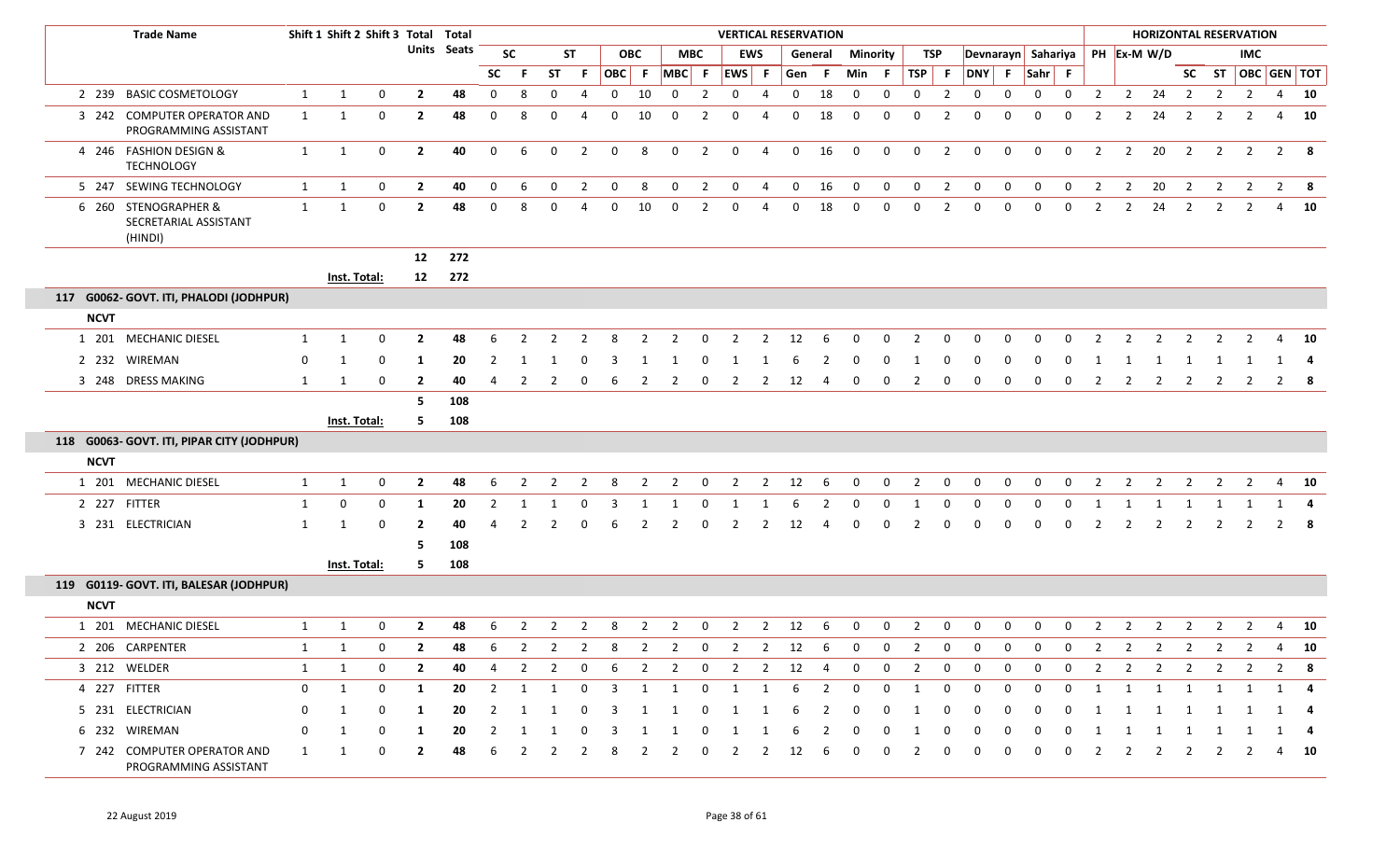|             | <b>Trade Name</b>                                        |              | Shift 1 Shift 2 Shift 3 Total Total |             |                         |                    |                |                |             |                |                |                |                |                | <b>VERTICAL RESERVATION</b> |                |              |                |              |              |                |                |                |              |              |                    |                |                | <b>HORIZONTAL RESERVATION</b>                             |                |                |                         |              |        |
|-------------|----------------------------------------------------------|--------------|-------------------------------------|-------------|-------------------------|--------------------|----------------|----------------|-------------|----------------|----------------|----------------|----------------|----------------|-----------------------------|----------------|--------------|----------------|--------------|--------------|----------------|----------------|----------------|--------------|--------------|--------------------|----------------|----------------|-----------------------------------------------------------|----------------|----------------|-------------------------|--------------|--------|
|             |                                                          |              |                                     |             |                         | <b>Units</b> Seats |                | <b>SC</b>      |             | ST             |                | <b>OBC</b>     | MBC            |                |                             | <b>EWS</b>     |              | General        | Minority     |              |                | TSP            |                |              |              | Devnarayn Sahariya |                |                | PH Ex-M W/D                                               |                |                | IMC                     |              |        |
|             |                                                          |              |                                     |             |                         |                    | <b>SC</b>      | -F             | <b>ST</b>   | F.             |                |                | OBC F MBC F    |                | EWS F                       |                | Gen          | - F            | Min F        |              | TSP F          |                |                |              |              | DNY F Sahr F       |                |                |                                                           |                |                | SC ST   OBC   GEN   TOT |              |        |
|             | 2 239 BASIC COSMETOLOGY                                  | $\mathbf{1}$ | 1                                   | $\mathbf 0$ | $\mathbf{2}$            | 48                 | $\mathbf{0}$   | 8              | 0           |                | $\mathbf{0}$   | 10             | $\mathbf{0}$   | 2              | 0                           | 4              | 0            | 18             | 0            | $\mathbf 0$  | 0              | $\overline{2}$ | $\mathbf 0$    | 0            | $\mathbf 0$  | $\mathbf 0$        | $\overline{2}$ | $\overline{2}$ | 24                                                        | $\overline{2}$ | $\overline{2}$ | $\overline{2}$          |              | 4 10   |
|             | 3 242 COMPUTER OPERATOR AND<br>PROGRAMMING ASSISTANT     | $\mathbf{1}$ | 1                                   | $\mathbf 0$ | $\mathbf{2}$            | 48                 | $\mathbf 0$    | 8              | $\Omega$    |                | $\Omega$       | 10             | $\Omega$       | $\mathcal{P}$  | 0                           | 4              | 0            | 18             | $\mathbf 0$  | $\Omega$     | $\Omega$       | -2             | 0              | 0            | $\Omega$     | $\Omega$           | 2              | $\overline{2}$ | 24                                                        | $\overline{2}$ | 2              | 2                       |              | 4 10   |
|             | 4 246 FASHION DESIGN &<br><b>TECHNOLOGY</b>              | $\mathbf{1}$ | 1                                   | $\mathbf 0$ | $\mathbf{2}$            | 40                 | 0              | 6              | $\mathbf 0$ | $\overline{2}$ | $\mathbf 0$    | 8              | 0              | $\overline{2}$ | $\mathbf 0$                 | $\overline{4}$ | $\mathbf{0}$ | 16             | $\mathbf 0$  | $\mathbf 0$  | $\mathbf 0$    | $\overline{2}$ | $\mathbf 0$    | $\mathbf 0$  | $\mathbf 0$  | $\mathbf 0$        | $\overline{2}$ | $\overline{2}$ | 20                                                        | $\overline{2}$ | $\overline{2}$ | $\overline{2}$          | $2 \times 8$ |        |
|             | 5 247 SEWING TECHNOLOGY                                  | 1            | 1                                   | 0           | $\overline{2}$          | 40                 | $\mathbf{0}$   | 6              | $\mathbf 0$ | $\overline{2}$ | $\mathbf 0$    | 8              | 0              | $\overline{2}$ | $\mathbf{0}$                | 4              | $\mathbf 0$  | 16             | $\mathbf 0$  | $\mathbf{0}$ | $\mathbf 0$    | $\overline{2}$ | $\overline{0}$ | $\mathbf 0$  | $\mathbf 0$  | $\overline{0}$     | $\overline{2}$ | $\overline{2}$ | 20                                                        | $\overline{2}$ | $\overline{2}$ | $\overline{2}$          | $2 \times 8$ |        |
|             | 6 260 STENOGRAPHER &<br>SECRETARIAL ASSISTANT<br>(HINDI) | $\mathbf{1}$ | 1                                   | $\mathbf 0$ | $\overline{2}$          | 48                 | $\mathbf 0$    | 8              | $\Omega$    |                | 0              | 10             | $\mathbf{0}$   | $\overline{2}$ | 0                           | 4              | 0            | 18             | $\mathbf{0}$ | $\mathbf{0}$ | $\Omega$       | 2              | $\mathbf{0}$   | $\mathbf{0}$ | 0            | 0                  | 2              | $\overline{2}$ | 24                                                        | 2              | $\overline{2}$ | 2                       | 4            | 10     |
|             |                                                          |              |                                     |             | 12                      | 272                |                |                |             |                |                |                |                |                |                             |                |              |                |              |              |                |                |                |              |              |                    |                |                |                                                           |                |                |                         |              |        |
|             |                                                          |              | <b>Inst. Total:</b>                 |             | 12                      | 272                |                |                |             |                |                |                |                |                |                             |                |              |                |              |              |                |                |                |              |              |                    |                |                |                                                           |                |                |                         |              |        |
|             | 117 G0062- GOVT. ITI, PHALODI (JODHPUR)                  |              |                                     |             |                         |                    |                |                |             |                |                |                |                |                |                             |                |              |                |              |              |                |                |                |              |              |                    |                |                |                                                           |                |                |                         |              |        |
| <b>NCVT</b> |                                                          |              |                                     |             |                         |                    |                |                |             |                |                |                |                |                |                             |                |              |                |              |              |                |                |                |              |              |                    |                |                |                                                           |                |                |                         |              |        |
|             | 1 201 MECHANIC DIESEL                                    | 1            | 1                                   | $\mathbf 0$ | $\mathbf{2}$            | 48                 | 6              |                | 2           |                | 8              |                | 2              | 0              | 2                           | 2              | 12           | 6              | 0            |              | 2              |                | O              |              | 0            | $\Omega$           | 2              |                | 2                                                         |                |                |                         |              | 4 10   |
|             | 2 232 WIREMAN                                            | 0            | 1                                   | 0           | 1                       | 20                 | 2              | -1             |             | 0              | 3              | -1             |                |                |                             |                | 6            |                | 0            | 0            |                |                |                |              |              |                    |                |                |                                                           |                |                |                         |              |        |
|             | 3 248 DRESS MAKING                                       | 1            | 1                                   | $\mathbf 0$ | $\mathbf{2}$            | 40                 | 4              | 2              | 2           | $\Omega$       | 6              |                | 2              | 0              | 2                           | 2              | 12           | 4              | 0            | 0            | 2              | 0              | 0              | <sup>0</sup> | 0            |                    | 2              |                | 2                                                         | 2              | 2              | 2                       | $2 \times 8$ |        |
|             |                                                          |              |                                     |             | -5                      | 108                |                |                |             |                |                |                |                |                |                             |                |              |                |              |              |                |                |                |              |              |                    |                |                |                                                           |                |                |                         |              |        |
|             |                                                          |              | <b>Inst. Total:</b>                 |             | 5.                      | 108                |                |                |             |                |                |                |                |                |                             |                |              |                |              |              |                |                |                |              |              |                    |                |                |                                                           |                |                |                         |              |        |
|             | 118 G0063- GOVT. ITI, PIPAR CITY (JODHPUR)               |              |                                     |             |                         |                    |                |                |             |                |                |                |                |                |                             |                |              |                |              |              |                |                |                |              |              |                    |                |                |                                                           |                |                |                         |              |        |
| <b>NCVT</b> |                                                          |              |                                     |             |                         |                    |                |                |             |                |                |                |                |                |                             |                |              |                |              |              |                |                |                |              |              |                    |                |                |                                                           |                |                |                         |              |        |
|             | 1 201 MECHANIC DIESEL                                    | 1            | 1                                   | $\mathbf 0$ | $\overline{2}$          | 48                 | 6              | 2              | 2           | 2              | 8              | 2              | 2              | 0              | 2                           | 2              | 12           | 6              | 0            | $\Omega$     | 2              | 0              | $\Omega$       | $\Omega$     | $\Omega$     | $\Omega$           | 2              | $\mathcal{P}$  | 2                                                         | $\mathcal{L}$  | 2              | 2                       | 4            | 10     |
|             | 2 227 FITTER                                             | 1            | 0                                   | 0           | 1                       | 20                 | $\overline{2}$ | 1              | 1           | 0              | 3              | -1             |                | 0              | - 1                         |                | 6            |                | 0            | 0            |                |                | 0              | <sup>0</sup> | <sup>0</sup> |                    |                |                |                                                           |                | 1              |                         |              | 4      |
|             | 3 231 ELECTRICIAN                                        | 1            |                                     | $\Omega$    | $\mathbf{2}$            | 40                 |                |                |             |                | 6              | 2              | $\mathcal{P}$  | $\Omega$       | 2                           | 2              | 12           | Δ              | 0            | 0            | 2              | 0              | 0              | $\Omega$     | 0            | $\Omega$           | 2              | -2             | 2                                                         | $\overline{2}$ | 2              | 2                       | $2 \times 8$ |        |
|             |                                                          |              |                                     |             | -5                      | 108                |                |                |             |                |                |                |                |                |                             |                |              |                |              |              |                |                |                |              |              |                    |                |                |                                                           |                |                |                         |              |        |
|             |                                                          |              | <b>Inst. Total:</b>                 |             | 5                       | 108                |                |                |             |                |                |                |                |                |                             |                |              |                |              |              |                |                |                |              |              |                    |                |                |                                                           |                |                |                         |              |        |
|             | 119 G0119- GOVT. ITI, BALESAR (JODHPUR)                  |              |                                     |             |                         |                    |                |                |             |                |                |                |                |                |                             |                |              |                |              |              |                |                |                |              |              |                    |                |                |                                                           |                |                |                         |              |        |
| <b>NCVT</b> |                                                          |              |                                     |             |                         |                    |                |                |             |                |                |                |                |                |                             |                |              |                |              |              |                |                |                |              |              |                    |                |                |                                                           |                |                |                         |              |        |
|             | 1 201 MECHANIC DIESEL                                    | 1            | 1                                   | $\Omega$    | $\mathbf{2}$            | 48                 | 6              | 2              | 2           | $\mathbf{2}$   | 8              | 2              | 2              | 0              | $\overline{2}$              | $\overline{2}$ | 12           | 6              | 0            | 0            | 2              | 0              | 0              | 0            | 0            | $\mathbf 0$        | $\overline{2}$ | $\overline{2}$ | $\overline{2}$                                            | $\overline{2}$ | $\overline{2}$ | 2                       |              | 4 10   |
|             | 2 206 CARPENTER                                          | $\mathbf{1}$ | $\overline{1}$                      | $\Omega$    | $\overline{\mathbf{z}}$ | 48.                |                |                |             |                |                |                |                |                |                             |                |              |                |              |              |                |                |                |              |              |                    |                |                | 6 2 2 2 8 2 2 0 2 2 12 6 0 0 2 0 0 0 0 0 2 2 2 2 2 2 4 10 |                |                |                         |              |        |
|             | 3 212 WELDER                                             | $\mathbf{1}$ | 1                                   | $\Omega$    | $\overline{2}$          | 40                 | 4              | $\overline{2}$ | 2           | 0              | 6              | $\overline{2}$ | $\overline{2}$ | $\mathbf{0}$   | $\overline{2}$              | $\overline{2}$ | 12           | 4              | 0            | 0            | $\overline{2}$ | 0              | 0              | $\Omega$     | 0            | 0                  | $\overline{2}$ | $\overline{2}$ | $\overline{2}$                                            | $\overline{2}$ | $\overline{2}$ | 2                       | $2^{\circ}$  | - 8    |
|             | 4 227 FITTER                                             | 0            | $\mathbf{1}$                        | 0           | $\mathbf{1}$            | 20                 | $\overline{2}$ | 1              | 1           | $\mathbf 0$    | $\overline{3}$ | 1              | 1              | $\mathbf 0$    | 1                           | 1              | 6            | $\overline{2}$ | 0            | $\mathbf 0$  | 1              | 0              | $\mathbf{0}$   | $\mathbf 0$  | $\mathbf 0$  | $\mathbf 0$        | 1              | 1              | 1                                                         | 1              | 1              | 1                       | 1            | -4     |
|             | 5 231 ELECTRICIAN                                        | 0            | 1                                   |             | $\mathbf{1}$            | 20                 |                |                |             |                | 3              | -1             | -1             | 0              | 1                           |                |              |                |              |              |                |                |                |              |              |                    |                |                |                                                           | 1              | -1             |                         |              |        |
|             | 6 232 WIREMAN                                            | 0            | 1                                   | 0           | 1                       | 20                 | 2              | 1              | 1           | 0              | 3              | -1             | -1             | 0              | -1                          | -1             | ь            | 2              | 0            | 0            |                |                | 0              | 0            | 0            | 0                  |                |                | -1                                                        | 1              | 1              | -1                      | 1 4          |        |
|             | 7 242 COMPUTER OPERATOR AND<br>PROGRAMMING ASSISTANT     | 1            | -1                                  | $\Omega$    | $\mathbf{2}$            | 48                 |                |                |             |                |                |                |                |                |                             |                | 12           |                | 0            |              |                |                |                |              |              |                    |                |                |                                                           | $\mathcal{P}$  | 2              |                         |              | $4$ 10 |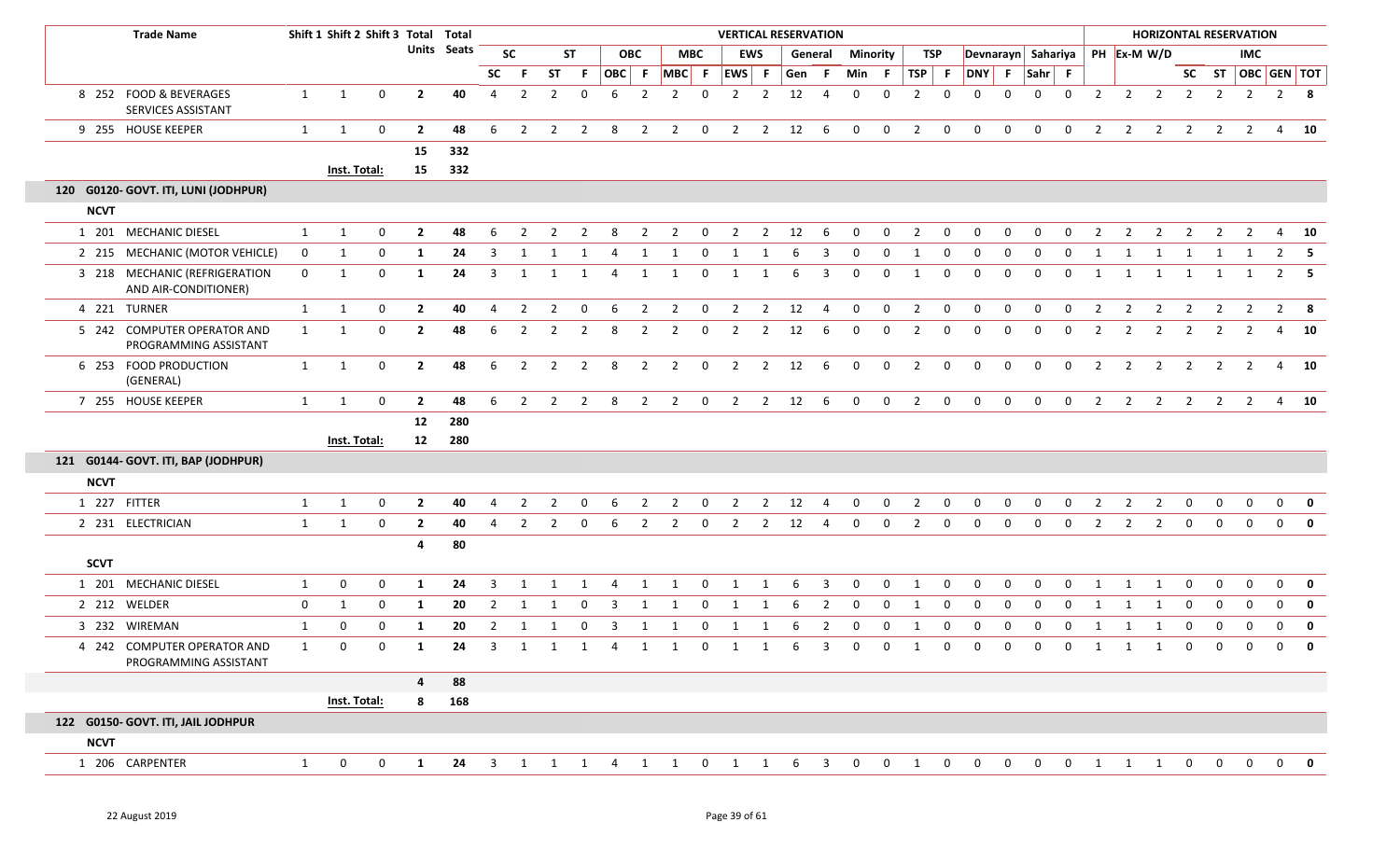| <b>Trade Name</b>                                     |              | Shift 1 Shift 2 Shift 3 Total Total |             |                |                    |                |                |                |                |                |                |                                       |                |                |                |        | <b>VERTICAL RESERVATION</b> |                |                 |                |                |                |                |             |                |                |                |                                |                | <b>HORIZONTAL RESERVATION</b> |                  |                |              |
|-------------------------------------------------------|--------------|-------------------------------------|-------------|----------------|--------------------|----------------|----------------|----------------|----------------|----------------|----------------|---------------------------------------|----------------|----------------|----------------|--------|-----------------------------|----------------|-----------------|----------------|----------------|----------------|----------------|-------------|----------------|----------------|----------------|--------------------------------|----------------|-------------------------------|------------------|----------------|--------------|
|                                                       |              |                                     |             |                | <b>Units Seats</b> |                | <b>SC</b>      |                | <b>ST</b>      |                | <b>OBC</b>     |                                       | <b>MBC</b>     |                | <b>EWS</b>     |        | General                     |                | <b>Minority</b> | TSP            |                |                |                |             |                |                |                | Devnarayn Sahariya PH Ex-M W/D |                |                               | IMC.             |                |              |
|                                                       |              |                                     |             |                |                    | <b>SC</b>      | -F             | <b>ST</b>      | - F            |                |                | $ OBC $ F $ MBC $ F $ EWS $ F         |                |                |                | Gen F  |                             | Min F          |                 | TSP F          |                | DNY F          |                | $Sahr$ F    |                |                |                |                                |                | SC ST   OBC   GEN   TOT       |                  |                |              |
| 8 252 FOOD & BEVERAGES<br>SERVICES ASSISTANT          | 1            | 1                                   | 0           | $\overline{2}$ | 40                 | $\overline{4}$ | $\overline{2}$ | $\overline{2}$ | $\mathbf 0$    | 6              | $\overline{2}$ | 2                                     | $\mathbf 0$    | $\overline{2}$ | $\overline{2}$ | 12     | $\overline{4}$              | $\mathbf 0$    | $\mathbf 0$     | 2              | $\mathbf{0}$   | $\mathbf{0}$   | $\mathbf{0}$   | $\mathbf 0$ | $\mathbf 0$    | $\overline{2}$ | $2^{\circ}$    | $\overline{\mathbf{2}}$        | $\overline{2}$ | $\overline{2}$                | $\overline{2}$   |                | $2 \times 8$ |
| 9 255 HOUSE KEEPER                                    | 1            | 1                                   | $\mathbf 0$ | $\overline{2}$ | 48                 | 6              | $\overline{2}$ | $\overline{2}$ | $\overline{2}$ | 8              | $\overline{2}$ | $\overline{2}$                        | $\overline{0}$ | $\overline{2}$ | $\overline{2}$ | 12     | 6                           | $\overline{0}$ | $\mathbf{0}$    | $\overline{2}$ | $\mathbf 0$    | $\mathbf 0$    | $\mathbf 0$    | $\mathbf 0$ | $\mathbf 0$    | $\overline{2}$ | $\overline{2}$ | $\overline{2}$                 | $\overline{2}$ | $\overline{2}$                | $\overline{2}$   |                | 4 10         |
|                                                       |              |                                     |             | 15             | 332                |                |                |                |                |                |                |                                       |                |                |                |        |                             |                |                 |                |                |                |                |             |                |                |                |                                |                |                               |                  |                |              |
|                                                       |              | Inst. Total:                        |             | 15             | 332                |                |                |                |                |                |                |                                       |                |                |                |        |                             |                |                 |                |                |                |                |             |                |                |                |                                |                |                               |                  |                |              |
| 120 G0120- GOVT. ITI, LUNI (JODHPUR)                  |              |                                     |             |                |                    |                |                |                |                |                |                |                                       |                |                |                |        |                             |                |                 |                |                |                |                |             |                |                |                |                                |                |                               |                  |                |              |
| <b>NCVT</b>                                           |              |                                     |             |                |                    |                |                |                |                |                |                |                                       |                |                |                |        |                             |                |                 |                |                |                |                |             |                |                |                |                                |                |                               |                  |                |              |
| 1 201 MECHANIC DIESEL                                 | $\mathbf{1}$ | 1                                   | $\mathbf 0$ | $\overline{2}$ | 48                 | 6              | $\mathcal{P}$  |                | 2              |                |                |                                       | $\Omega$       |                | $\overline{2}$ | 12     | 6                           | $\Omega$       | 0               | $\overline{2}$ | 0              | $\Omega$       | $\Omega$       | $\Omega$    | $\Omega$       |                |                |                                |                |                               |                  | 4              | - 10         |
| 2 215 MECHANIC (MOTOR VEHICLE)                        | $\mathbf 0$  | 1                                   | 0           | 1              | 24                 | 3              | 1              | 1              |                | 4              | -1             |                                       | $\Omega$       |                |                |        | 3                           | $\mathbf 0$    | 0               | -1             | 0              | $\mathbf 0$    | 0              | $\Omega$    | $\mathbf{0}$   | 1              |                | 1                              |                |                               |                  | $\overline{2}$ | - 5          |
| 3 218 MECHANIC (REFRIGERATION<br>AND AIR-CONDITIONER) | $\mathbf{0}$ | 1                                   | 0           | -1             | 24                 | 3              | 1              | 1              | 1              | 4              | 1              | 1                                     | $\mathbf 0$    | 1              | 1              | -6     | 3                           | $\mathbf 0$    | 0               | 1              | $\mathbf{0}$   | $\mathbf 0$    | $\mathbf 0$    | $\mathbf 0$ | $\mathbf 0$    | 1              |                | 1                              | 1              |                               |                  | 2              | - 5          |
| 4 221 TURNER                                          | $\mathbf{1}$ | 1                                   | 0           | $\mathbf{2}$   | 40                 | 4              | 2              | $\overline{2}$ | 0              | 6              | $\overline{2}$ | $\overline{2}$                        | $\overline{0}$ | $\overline{2}$ | $\overline{2}$ | 12     | $\overline{4}$              | $\overline{0}$ | $\mathbf{0}$    | $\overline{2}$ | $\mathbf 0$    | $\mathbf 0$    | $\mathbf 0$    | $\mathbf 0$ | $\mathbf 0$    | 2              | $\overline{2}$ | $\overline{2}$                 | $\overline{2}$ | $\overline{2}$                | $\overline{2}$   |                | $2 \times 8$ |
| 5 242 COMPUTER OPERATOR AND<br>PROGRAMMING ASSISTANT  | $\mathbf{1}$ | 1                                   | $\mathbf 0$ | $\mathbf{2}$   | 48                 | 6              | $\overline{2}$ | 2              | 2              | 8              | 2              | $\overline{2}$                        | 0              | $\overline{2}$ | $\overline{2}$ | 12     | 6                           | 0              | 0               | 2              | $\mathbf{0}$   | 0              | 0              | $\Omega$    | 0              | $\overline{2}$ | $\overline{2}$ | $\overline{2}$                 | $\overline{2}$ | 2                             | 2                | 4              | 10           |
| 6 253 FOOD PRODUCTION<br>(GENERAL)                    | 1            | 1                                   | $\mathbf 0$ | $\overline{2}$ | 48                 | 6              | $\overline{2}$ | $\overline{2}$ | $\overline{2}$ | 8              | $\overline{2}$ | $\overline{2}$                        | $\mathbf 0$    | $\overline{2}$ | $\overline{2}$ | 12     | 6                           | $\overline{0}$ | 0               | 2              | $\mathbf{0}$   | $\mathbf{0}$   | $\mathbf{0}$   | $\mathbf 0$ | $\mathbf{0}$   | 2              | $\overline{2}$ | $\overline{2}$                 | $\overline{2}$ | $\overline{2}$                | 2                |                | 4 10         |
| 7 255 HOUSE KEEPER                                    | $\mathbf{1}$ | $\mathbf{1}$                        | $\mathbf 0$ | $\mathbf{2}$   | 48                 | 6              | $\overline{2}$ |                | $2 \quad 2$    | 8 <sup>8</sup> | $\overline{2}$ |                                       | $2 \t 0$       |                |                | 2 2 12 | $6^{\circ}$                 | $\overline{0}$ | $\mathbf{0}$    | $\overline{2}$ | $\overline{0}$ | $\mathbf{0}$   | $\mathbf 0$    | $\mathbf 0$ | $\mathbf 0$    | $\overline{2}$ |                | $2 \quad 2$                    | $\overline{2}$ |                               | $2 \t2 \t4 \t10$ |                |              |
|                                                       |              |                                     |             | 12             | 280                |                |                |                |                |                |                |                                       |                |                |                |        |                             |                |                 |                |                |                |                |             |                |                |                |                                |                |                               |                  |                |              |
|                                                       |              | Inst. Total:                        |             | 12             | 280                |                |                |                |                |                |                |                                       |                |                |                |        |                             |                |                 |                |                |                |                |             |                |                |                |                                |                |                               |                  |                |              |
| 121 G0144- GOVT. ITI, BAP (JODHPUR)                   |              |                                     |             |                |                    |                |                |                |                |                |                |                                       |                |                |                |        |                             |                |                 |                |                |                |                |             |                |                |                |                                |                |                               |                  |                |              |
| <b>NCVT</b>                                           |              |                                     |             |                |                    |                |                |                |                |                |                |                                       |                |                |                |        |                             |                |                 |                |                |                |                |             |                |                |                |                                |                |                               |                  |                |              |
| 1 227 FITTER                                          | $\mathbf{1}$ | $\mathbf{1}$                        | $\mathbf 0$ | $\overline{2}$ | 40                 | $\overline{4}$ | $\overline{2}$ | $\overline{2}$ | $\overline{0}$ | 6              | $\overline{2}$ | $\overline{2}$                        | $\mathbf{0}$   | $\overline{2}$ | $\overline{2}$ | 12     | 4                           | $\overline{0}$ | $\mathbf{0}$    | $\overline{2}$ | $\mathbf{0}$   | $\mathbf{0}$   | $\overline{0}$ | $\mathbf 0$ | $\mathbf{0}$   | $\overline{2}$ | $\overline{2}$ | $\overline{2}$                 | $\mathbf 0$    | 0                             | $\mathbf 0$      | $\mathbf 0$    | 0            |
| 2 231 ELECTRICIAN                                     | $\mathbf{1}$ | 1                                   | $\mathbf 0$ | $\overline{2}$ | 40                 | 4              | $\overline{2}$ | 2              | 0              | 6              | $\overline{2}$ | $\overline{2}$                        | 0              | $\overline{2}$ | $\overline{2}$ | 12     | 4                           | $\mathbf 0$    | $\mathbf 0$     | $\overline{2}$ | $\mathbf 0$    | $\mathbf 0$    | $\mathbf 0$    | $\mathbf 0$ | $\mathbf 0$    | $\overline{2}$ | $\overline{2}$ | $\overline{2}$                 | $\mathbf 0$    | 0                             | $\mathbf 0$      | $\mathbf 0$    | $\mathbf{0}$ |
| <b>SCVT</b>                                           |              |                                     |             | 4              | 80                 |                |                |                |                |                |                |                                       |                |                |                |        |                             |                |                 |                |                |                |                |             |                |                |                |                                |                |                               |                  |                |              |
| 1 201 MECHANIC DIESEL                                 | $\mathbf{1}$ | 0                                   | 0           | 1              | 24                 | 3              | -1             | 1              | -1             | 4              | 1              | 1                                     | $\mathbf 0$    | 1              | 1              | 6      | 3                           | $\mathbf{0}$   | 0               | 1              | $\mathbf{0}$   | $\Omega$       | $\Omega$       | $\Omega$    | 0              | 1              | 1              | 1                              | $\Omega$       | $\Omega$                      | $\Omega$         | $\mathbf{0}$   | 0            |
| 2 212 WELDER                                          | 0            | 1                                   | 0           | 1              | 20                 | $\overline{2}$ | -1             |                | -0             | 3              | -1             | 1                                     | 0              | 1              | 1              |        | 2                           | $\mathbf 0$    | 0               | 1              | 0              | 0              | 0              | $\Omega$    | $\Omega$       | 1              | 1              | 1                              | 0              | 0                             | $\Omega$         | $\mathbf 0$    | $\mathbf 0$  |
| 3 232 WIREMAN                                         | 1            | 0                                   | 0           | 1              | 20                 | $\overline{2}$ | -1             |                | 0              | 3              | 1              | 1                                     | 0              | 1              | 1              | 6      | $\overline{2}$              | $\bf{0}$       | 0               | 1              | $\mathbf{0}$   | 0              | $\mathbf{0}$   | 0           | 0              | 1              | 1              | 1                              | $\mathbf 0$    | 0                             |                  | $\mathbf 0$    | 0            |
| 4 242 COMPUTER OPERATOR AND<br>PROGRAMMING ASSISTANT  | 1            | $\Omega$                            | $\Omega$    | $\blacksquare$ | 24                 |                |                |                |                |                |                | 3 1 1 1 4 1 1 0 1 1 6 3 0 0 1 0 0 0 0 |                |                |                |        |                             |                |                 |                |                |                |                |             |                |                |                |                                |                | 0 1 1 1 0 0                   |                  | $\cap$ $\cap$  | <u>ີ ດ</u>   |
|                                                       |              |                                     |             | $\overline{4}$ | 88                 |                |                |                |                |                |                |                                       |                |                |                |        |                             |                |                 |                |                |                |                |             |                |                |                |                                |                |                               |                  |                |              |
|                                                       |              | Inst. Total:                        |             | 8              | 168                |                |                |                |                |                |                |                                       |                |                |                |        |                             |                |                 |                |                |                |                |             |                |                |                |                                |                |                               |                  |                |              |
| 122 G0150- GOVT. ITI, JAIL JODHPUR                    |              |                                     |             |                |                    |                |                |                |                |                |                |                                       |                |                |                |        |                             |                |                 |                |                |                |                |             |                |                |                |                                |                |                               |                  |                |              |
| <b>NCVT</b>                                           |              |                                     |             |                |                    |                |                |                |                |                |                |                                       |                |                |                |        |                             |                |                 |                |                |                |                |             |                |                |                |                                |                |                               |                  |                |              |
| 1 206 CARPENTER                                       | $\mathbf{1}$ | $\overline{0}$                      | $\mathbf 0$ | $\mathbf{1}$   | 24                 |                |                |                |                |                |                | 3 1 1 1 4 1 1 0 1 1 6 3 0             |                |                |                |        |                             |                | $\mathbf{0}$    | $\overline{1}$ | $\overline{0}$ | $\overline{0}$ | $\mathbf{0}$   | $\mathbf 0$ | $\overline{0}$ |                |                |                                |                | 1 1 1 0 0 0 0 0               |                  |                |              |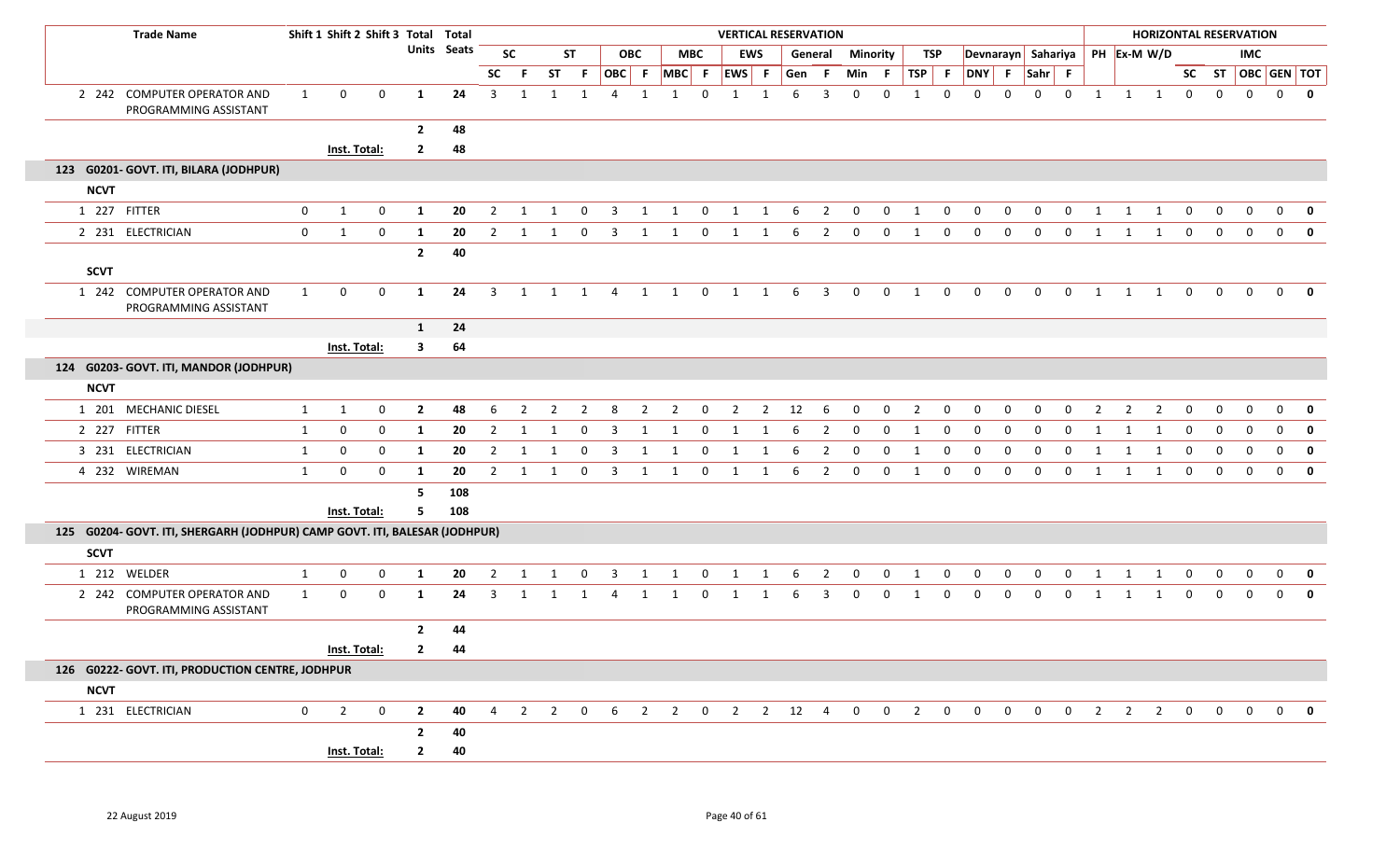|             | <b>Trade Name</b>                                                          |                | Shift 1 Shift 2 Shift 3 Total Total |             |                         |     |                |                |                |                |                |                |                |                | <b>VERTICAL RESERVATION</b> |              |           |                         |                |             |                |                  |                    |                |                |              |              |                | <b>HORIZONTAL RESERVATION</b> |                |              |                |                         |                         |
|-------------|----------------------------------------------------------------------------|----------------|-------------------------------------|-------------|-------------------------|-----|----------------|----------------|----------------|----------------|----------------|----------------|----------------|----------------|-----------------------------|--------------|-----------|-------------------------|----------------|-------------|----------------|------------------|--------------------|----------------|----------------|--------------|--------------|----------------|-------------------------------|----------------|--------------|----------------|-------------------------|-------------------------|
|             |                                                                            |                |                                     |             | <b>Units Seats</b>      |     |                | <b>SC</b>      |                | <b>ST</b>      |                | <b>OBC</b>     |                | <b>MBC</b>     |                             | <b>EWS</b>   |           | General                 | Minority       |             |                | TSP              | Devnarayn Sahariya |                |                |              |              |                | PH Ex-M W/D                   |                |              | <b>IMC</b>     |                         |                         |
|             |                                                                            |                |                                     |             |                         |     | SC             | F.             | <b>ST</b>      | F.             | OBC F          |                |                | MBC F          | EWS F                       |              | Gen       | - F                     | Min            | - F         | $TSP$ F        |                  | DNY F              |                | Sahr F         |              |              |                |                               |                |              |                | SC ST   OBC   GEN   TOT |                         |
|             | 2 242 COMPUTER OPERATOR AND<br>PROGRAMMING ASSISTANT                       | $\mathbf{1}$   | 0                                   | 0           | 1                       | 24  | $\overline{3}$ | 1              | 1              | 1              | 4              |                |                | $\mathbf 0$    | 1                           | $\mathbf{1}$ | 6         | 3                       | $\Omega$       | $\Omega$    | $\overline{1}$ | $\mathbf 0$      | $\Omega$           | $\Omega$       | $\Omega$       | $\Omega$     | 1            | 1              | $\mathbf{1}$                  | $\mathbf 0$    | 0            | $\mathbf 0$    | $\mathbf 0$             | $\mathbf 0$             |
|             |                                                                            |                |                                     |             | $\overline{2}$          | 48  |                |                |                |                |                |                |                |                |                             |              |           |                         |                |             |                |                  |                    |                |                |              |              |                |                               |                |              |                |                         |                         |
|             |                                                                            |                | Inst. Total:                        |             | $\overline{2}$          | 48  |                |                |                |                |                |                |                |                |                             |              |           |                         |                |             |                |                  |                    |                |                |              |              |                |                               |                |              |                |                         |                         |
|             | 123 G0201- GOVT. ITI, BILARA (JODHPUR)                                     |                |                                     |             |                         |     |                |                |                |                |                |                |                |                |                             |              |           |                         |                |             |                |                  |                    |                |                |              |              |                |                               |                |              |                |                         |                         |
| <b>NCVT</b> |                                                                            |                |                                     |             |                         |     |                |                |                |                |                |                |                |                |                             |              |           |                         |                |             |                |                  |                    |                |                |              |              |                |                               |                |              |                |                         |                         |
|             | 1 227 FITTER                                                               | $\mathbf 0$    | $\mathbf{1}$                        | $\mathbf 0$ | 1                       | 20  | $\overline{2}$ | 1              | 1              | $\mathbf 0$    | 3              | $\mathbf{1}$   | $\mathbf{1}$   | $\mathbf{0}$   | $\mathbf{1}$                | 1            | 6         | $\overline{2}$          | $\mathbf{0}$   | $\mathbf 0$ | 1              | $\mathbf{0}$     | $\mathbf 0$        | $\mathbf 0$    | $\mathbf 0$    | $\mathbf 0$  | 1            | $\mathbf{1}$   | 1                             | $\mathbf 0$    | $\mathbf 0$  | $\mathbf 0$    | $\mathbf 0$             | $\mathbf 0$             |
|             | 2 231 ELECTRICIAN                                                          | 0              | $\mathbf{1}$                        | $\mathbf 0$ | 1                       | 20  | $\overline{2}$ | 1              | 1              | $\mathbf 0$    | 3              | 1              | 1              | 0              | 1                           | 1            | 6         | $\overline{2}$          | $\mathbf{0}$   | 0           | 1              | 0                | 0                  | 0              | 0              | 0            | 1            |                | 1                             | $\mathbf{0}$   | $\mathbf 0$  | $\mathbf{0}$   | $\mathbf{0}$            | $\mathbf 0$             |
| <b>SCVT</b> |                                                                            |                |                                     |             | $\overline{2}$          | 40  |                |                |                |                |                |                |                |                |                             |              |           |                         |                |             |                |                  |                    |                |                |              |              |                |                               |                |              |                |                         |                         |
|             | 1 242 COMPUTER OPERATOR AND<br>PROGRAMMING ASSISTANT                       | 1              | $\mathbf 0$                         | $\mathbf 0$ | 1                       | 24  | $\overline{3}$ | 1              | 1              | $\overline{1}$ | $\overline{4}$ |                | 1 1            | $\mathbf 0$    | 1                           | $\mathbf{1}$ | - 6       | $\overline{\mathbf{3}}$ | $\mathbf 0$    | $\mathbf 0$ | $\overline{1}$ | $\mathbf 0$      | $\mathbf{0}$       | $\overline{0}$ | $\overline{0}$ | $\mathbf 0$  | $\mathbf{1}$ |                | 1 1                           | $\mathbf{0}$   | $\mathbf{0}$ | $\overline{0}$ | $\Omega$                | 0                       |
|             |                                                                            |                |                                     |             | $\mathbf{1}$            | 24  |                |                |                |                |                |                |                |                |                             |              |           |                         |                |             |                |                  |                    |                |                |              |              |                |                               |                |              |                |                         |                         |
|             |                                                                            |                | Inst. Total:                        |             | $\overline{\mathbf{3}}$ | 64  |                |                |                |                |                |                |                |                |                             |              |           |                         |                |             |                |                  |                    |                |                |              |              |                |                               |                |              |                |                         |                         |
|             | 124 G0203- GOVT. ITI, MANDOR (JODHPUR)                                     |                |                                     |             |                         |     |                |                |                |                |                |                |                |                |                             |              |           |                         |                |             |                |                  |                    |                |                |              |              |                |                               |                |              |                |                         |                         |
| <b>NCVT</b> |                                                                            |                |                                     |             |                         |     |                |                |                |                |                |                |                |                |                             |              |           |                         |                |             |                |                  |                    |                |                |              |              |                |                               |                |              |                |                         |                         |
|             | 1 201 MECHANIC DIESEL                                                      | $\mathbf{1}$   | $\mathbf{1}$                        | 0           | $\overline{2}$          | 48  | 6              | 2              | $\overline{2}$ | $\overline{2}$ | 8              | $\overline{2}$ | $\overline{2}$ | $\overline{0}$ | $\overline{2}$              |              | $2 \t 12$ | $6\overline{6}$         | $\overline{0}$ | $\mathbf 0$ | $\overline{2}$ | $\mathbf 0$      | $\mathbf{0}$       | $\mathbf{0}$   | $\mathbf 0$    | $\mathbf{0}$ | 2            | $\overline{2}$ | $\overline{2}$                | $\mathbf 0$    | $\mathbf 0$  | 0              | $\mathbf 0$             | 0                       |
|             | 2 227 FITTER                                                               | $\mathbf{1}$   | $\mathbf 0$                         | $\mathbf 0$ | -1                      | 20  | $\overline{2}$ | 1              | 1              | $\mathbf{0}$   | 3              | 1              | 1              | $\mathbf{0}$   | 1                           | 1            | -6        | 2                       | $\mathbf{0}$   | 0           | 1              | $\mathbf{0}$     | 0                  | $\mathbf{0}$   | $\Omega$       | $\Omega$     | 1            | 1              | 1                             | $\mathbf 0$    | $\mathbf 0$  | $\mathbf{0}$   | 0                       | 0                       |
|             | 3 231 ELECTRICIAN                                                          | 1              | 0                                   | $\mathbf 0$ | -1                      | 20  | $\overline{2}$ | 1              | -1             | 0              | 3              | 1              | 1              | $\mathbf 0$    | 1                           | 1            | -6        | 2                       | $\mathbf{0}$   | 0           | 1              | 0                | $\Omega$           | $\Omega$       | $\Omega$       | $\Omega$     | 1            | 1              | 1                             | $\mathbf 0$    | $\Omega$     | $\mathbf 0$    | 0                       | 0                       |
|             | 4 232 WIREMAN                                                              | 1              | $\mathbf 0$                         | $\mathbf 0$ | -1                      | 20  | 2              | 1              | 1              | $\mathbf{0}$   | 3              | 1              | 1              | $\mathbf 0$    | 1                           | 1            | -6        | $\overline{2}$          | $\mathbf 0$    | 0           | 1              | $\mathbf 0$      | $\mathbf 0$        | $\mathbf 0$    | 0              | $\mathbf{0}$ | 1            | 1              | 1                             | $\mathbf 0$    | $\mathbf{0}$ | $\mathbf{0}$   | $\mathbf{0}$            | 0                       |
|             |                                                                            |                |                                     |             | - 5                     | 108 |                |                |                |                |                |                |                |                |                             |              |           |                         |                |             |                |                  |                    |                |                |              |              |                |                               |                |              |                |                         |                         |
|             |                                                                            |                | Inst. Total:                        |             | -5                      | 108 |                |                |                |                |                |                |                |                |                             |              |           |                         |                |             |                |                  |                    |                |                |              |              |                |                               |                |              |                |                         |                         |
|             | 125 G0204- GOVT. ITI, SHERGARH (JODHPUR) CAMP GOVT. ITI, BALESAR (JODHPUR) |                |                                     |             |                         |     |                |                |                |                |                |                |                |                |                             |              |           |                         |                |             |                |                  |                    |                |                |              |              |                |                               |                |              |                |                         |                         |
| <b>SCVT</b> |                                                                            |                |                                     |             |                         |     |                |                |                |                |                |                |                |                |                             |              |           |                         |                |             |                |                  |                    |                |                |              |              |                |                               |                |              |                |                         |                         |
|             | 1 212 WELDER                                                               | 1              | 0                                   | 0           | 1                       | 20  | $\overline{2}$ | 1              | 1              | 0              | 3              | 1              | 1              | 0              | 1                           | 1            | 6         | $\overline{2}$          | 0              | 0           | 1              | $\boldsymbol{0}$ | $\mathbf 0$        | 0              | $\mathbf 0$    | 0            | 1            |                | 1                             | 0              | 0            | 0              | 0                       | $\mathbf{0}$            |
|             | 2 242 COMPUTER OPERATOR AND<br>PROGRAMMING ASSISTANT                       | $\mathbf{1}$   | $\mathbf 0$                         | $\mathbf 0$ | 1                       | 24  | $\overline{3}$ | 1              | 1              | 1              | 4              | 1              | 1              | 0              | 1                           | 1            | 6         | 3                       | $\mathbf{0}$   | $\Omega$    | 1              | 0                | $\mathbf 0$        | $\mathbf{0}$   | $\mathbf 0$    | $\mathbf{0}$ | 1            | 1              | 1                             | 0              | 0            | $\mathbf{0}$   | $\mathbf{0}$            | $\mathbf{0}$            |
|             |                                                                            |                |                                     |             | $\overline{2}$          | 44  |                |                |                |                |                |                |                |                |                             |              |           |                         |                |             |                |                  |                    |                |                |              |              |                |                               |                |              |                |                         |                         |
|             |                                                                            |                | Inst. Total:                        |             | $\overline{2}$          | 44  |                |                |                |                |                |                |                |                |                             |              |           |                         |                |             |                |                  |                    |                |                |              |              |                |                               |                |              |                |                         |                         |
|             | 126 G0222- GOVT. ITI, PRODUCTION CENTRE, JODHPUR                           |                |                                     |             |                         |     |                |                |                |                |                |                |                |                |                             |              |           |                         |                |             |                |                  |                    |                |                |              |              |                |                               |                |              |                |                         |                         |
| <b>NCVT</b> |                                                                            |                |                                     |             |                         |     |                |                |                |                |                |                |                |                |                             |              |           |                         |                |             |                |                  |                    |                |                |              |              |                |                               |                |              |                |                         |                         |
|             | 1 231 ELECTRICIAN                                                          | $\overline{0}$ | $\overline{2}$                      | $\mathbf 0$ | $\overline{2}$          | 40  | $\overline{4}$ | $\overline{2}$ |                | $2 \t 0$       |                |                |                |                | 6 2 2 0 2 2 12 4            |              |           |                         | $\overline{0}$ |             | $0\qquad 2$    | $\overline{0}$   | $\overline{0}$     |                | $0\qquad 0$    |              |              |                | $0\qquad 2\qquad 2\qquad 2$   | $\overline{0}$ |              | $0\qquad 0$    | $\mathbf 0$             | $\overline{\mathbf{0}}$ |
|             |                                                                            |                |                                     |             | $\overline{2}$          | 40  |                |                |                |                |                |                |                |                |                             |              |           |                         |                |             |                |                  |                    |                |                |              |              |                |                               |                |              |                |                         |                         |
|             |                                                                            |                | Inst. Total:                        |             | $\mathbf{2}$            | 40  |                |                |                |                |                |                |                |                |                             |              |           |                         |                |             |                |                  |                    |                |                |              |              |                |                               |                |              |                |                         |                         |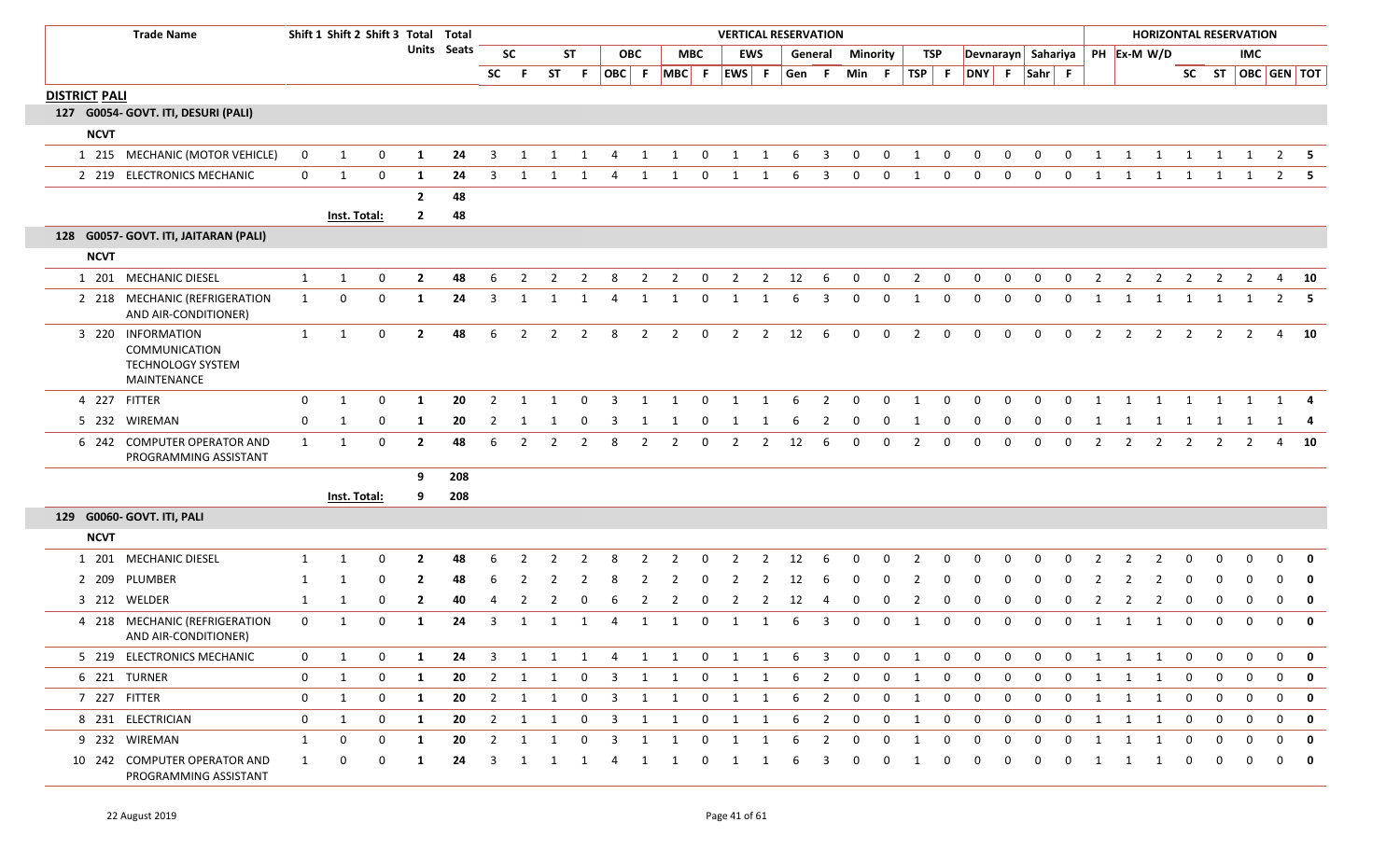| <b>Trade Name</b>                                                             |                | Shift 1 Shift 2 Shift 3 Total Total |              |                |             |                |                |                         |                         |                         |                |                         |                         |                         |                | <b>VERTICAL RESERVATION</b> |                |              |                |                         |                |                |              |                |                |                |                | <b>HORIZONTAL RESERVATION</b>  |                |                |                |                |                         |
|-------------------------------------------------------------------------------|----------------|-------------------------------------|--------------|----------------|-------------|----------------|----------------|-------------------------|-------------------------|-------------------------|----------------|-------------------------|-------------------------|-------------------------|----------------|-----------------------------|----------------|--------------|----------------|-------------------------|----------------|----------------|--------------|----------------|----------------|----------------|----------------|--------------------------------|----------------|----------------|----------------|----------------|-------------------------|
|                                                                               |                |                                     |              |                | Units Seats |                | <b>SC</b>      |                         | ST                      |                         | <b>OBC</b>     |                         | <b>MBC</b>              |                         | <b>EWS</b>     |                             | General        | Minority     |                | <b>TSP</b>              |                |                |              |                |                |                |                | Devnarayn Sahariya PH Ex-M W/D |                |                | <b>IMC</b>     |                |                         |
|                                                                               |                |                                     |              |                |             | <b>SC</b>      | -F.            | <b>ST</b>               | F.                      |                         | OBC F          | $MBC$ F                 |                         |                         | EWS F          | Gen F                       |                | Min F        |                | TSP                     | - F            | DNY F          |              | $Sahr$ F       |                |                |                |                                |                |                |                |                | SC ST   OBC   GEN   TOT |
| <b>DISTRICT PALI</b>                                                          |                |                                     |              |                |             |                |                |                         |                         |                         |                |                         |                         |                         |                |                             |                |              |                |                         |                |                |              |                |                |                |                |                                |                |                |                |                |                         |
| 127 G0054- GOVT. ITI, DESURI (PALI)                                           |                |                                     |              |                |             |                |                |                         |                         |                         |                |                         |                         |                         |                |                             |                |              |                |                         |                |                |              |                |                |                |                |                                |                |                |                |                |                         |
| <b>NCVT</b>                                                                   |                |                                     |              |                |             |                |                |                         |                         |                         |                |                         |                         |                         |                |                             |                |              |                |                         |                |                |              |                |                |                |                |                                |                |                |                |                |                         |
| 1 215 MECHANIC (MOTOR VEHICLE)                                                | $\mathbf 0$    | 1                                   | $\mathbf 0$  | 1              | 24          | 3              | $\mathbf{1}$   | 1                       | 1                       | $\overline{4}$          | 1              | 1                       | $\mathbf{0}$            | 1                       | 1              | 6                           | 3              | $\mathbf{0}$ | $\mathbf 0$    | 1                       | $\mathbf 0$    | 0              | 0            | $\mathbf 0$    | $\Omega$       | 1              | 1              | 1                              | 1              | 1              | 1              | 2              |                         |
| 2 219 ELECTRONICS MECHANIC                                                    | $\overline{0}$ | 1                                   | $\mathbf 0$  | 1              | 24          | 3              | 1              | 1                       | 1                       | 4                       | 1              | 1                       | $\overline{0}$          | 1                       | 1              | 6                           | $\overline{3}$ | $\mathbf 0$  | $\mathbf{0}$   | 1                       | $\mathbf 0$    | $\overline{0}$ | $\mathbf 0$  | $\overline{0}$ | $\overline{0}$ | 1              | 1              | $\overline{1}$                 | $\overline{1}$ | 1              | 1              | $\overline{2}$ | -5                      |
|                                                                               |                |                                     |              | $\overline{2}$ | 48          |                |                |                         |                         |                         |                |                         |                         |                         |                |                             |                |              |                |                         |                |                |              |                |                |                |                |                                |                |                |                |                |                         |
|                                                                               |                |                                     | Inst. Total: | $\overline{2}$ | 48          |                |                |                         |                         |                         |                |                         |                         |                         |                |                             |                |              |                |                         |                |                |              |                |                |                |                |                                |                |                |                |                |                         |
| 128 G0057- GOVT. ITI, JAITARAN (PALI)                                         |                |                                     |              |                |             |                |                |                         |                         |                         |                |                         |                         |                         |                |                             |                |              |                |                         |                |                |              |                |                |                |                |                                |                |                |                |                |                         |
| <b>NCVT</b>                                                                   |                |                                     |              |                |             |                |                |                         |                         |                         |                |                         |                         |                         |                |                             |                |              |                |                         |                |                |              |                |                |                |                |                                |                |                |                |                |                         |
| 1 201 MECHANIC DIESEL                                                         | 1              | 1                                   | $\mathbf 0$  | $\overline{2}$ | 48          | 6              | $\overline{2}$ | $\overline{2}$          | $\overline{2}$          | 8                       | $\overline{2}$ | $\overline{2}$          | $\mathbf 0$             | $\overline{2}$          | $\overline{2}$ | 12                          | 6              | $\mathbf 0$  | $\mathbf 0$    | $\overline{2}$          | $\mathbf 0$    | $\mathbf 0$    | $\mathbf 0$  | $\mathbf 0$    | $\mathbf{0}$   | $\overline{2}$ | $\overline{2}$ | $\overline{2}$                 | $\overline{2}$ | $\overline{2}$ | $\overline{2}$ | $\overline{4}$ | 10                      |
| 2 218 MECHANIC (REFRIGERATION<br>AND AIR-CONDITIONER)                         | 1              | $\mathbf 0$                         | $\mathbf 0$  | 1              | 24          | 3              | 1              | 1                       | 1                       | $\overline{4}$          | 1              | 1                       | $\mathbf 0$             | 1                       | 1              | 6                           | 3              | $\mathbf{0}$ | $\mathbf 0$    | 1                       | $\mathbf 0$    | $\mathbf 0$    | $\mathbf 0$  | $\mathbf 0$    | $\Omega$       | 1              | 1              | 1                              | 1              | 1              | 1              | $\overline{2}$ | 5                       |
| 3 220 INFORMATION<br>COMMUNICATION<br><b>TECHNOLOGY SYSTEM</b><br>MAINTENANCE | 1              | 1                                   | $\mathbf 0$  | $\overline{2}$ | 48          | 6              | $\overline{2}$ | $\overline{2}$          | $\overline{2}$          | 8                       | $\overline{2}$ | $\overline{2}$          | $\mathbf 0$             | $\overline{2}$          | $2^{\circ}$    | 12                          | 6              | $\mathbf 0$  | $\mathbf{0}$   | $\overline{2}$          | $\mathbf 0$    | $\Omega$       | $\mathbf 0$  | $\overline{0}$ | $\mathbf 0$    | $\overline{2}$ | $\overline{2}$ | $\overline{2}$                 | $\overline{2}$ | $\overline{2}$ | $\overline{2}$ | $\overline{4}$ | 10                      |
| 4 227 FITTER                                                                  | $\mathbf{0}$   | 1                                   | 0            | 1              | 20          | 2              | $\mathbf{1}$   | 1                       | $\mathbf{0}$            | 3                       | 1              | 1                       | $\mathbf{0}$            | 1                       | 1              | 6                           | 2              | $\Omega$     | $\Omega$       | 1                       | $\Omega$       | - 0            | 0            | $\Omega$       | $\Omega$       | 1              | 1              | 1                              | 1              | 1              | 1              | 1              |                         |
| WIREMAN<br>5 232                                                              | $\mathbf 0$    | 1                                   | 0            | 1              | 20          | 2              | 1              | -1                      | 0                       | -3                      | 1              | 1                       | 0                       | $\mathbf{1}$            |                | -6                          | 2              | 0            | 0              | 1                       | 0              | 0              | 0            | 0              | 0              | -1             | 1              | 1                              | 1              | 1              | 1              |                | 1 4                     |
| 6 242 COMPUTER OPERATOR AND<br>PROGRAMMING ASSISTANT                          | 1              | 1                                   | $\mathbf 0$  | $\overline{2}$ | 48          | -6             | $\mathbf{2}$   | 2                       | $\overline{2}$          | 8                       | $\overline{2}$ | $\overline{2}$          | 0                       | $\overline{2}$          | $\overline{2}$ | 12                          | 6              | $\mathbf 0$  | 0              | $\overline{2}$          | 0              | $\mathbf 0$    | $\Omega$     | $\Omega$       | $\Omega$       | $\overline{2}$ | $\overline{2}$ | $\overline{2}$                 | $\overline{2}$ | 2              | $\overline{2}$ | $\overline{4}$ | - 10                    |
|                                                                               |                |                                     |              | 9              | 208         |                |                |                         |                         |                         |                |                         |                         |                         |                |                             |                |              |                |                         |                |                |              |                |                |                |                |                                |                |                |                |                |                         |
|                                                                               |                |                                     | Inst. Total: | 9              | 208         |                |                |                         |                         |                         |                |                         |                         |                         |                |                             |                |              |                |                         |                |                |              |                |                |                |                |                                |                |                |                |                |                         |
| 129 G0060- GOVT. ITI, PALI                                                    |                |                                     |              |                |             |                |                |                         |                         |                         |                |                         |                         |                         |                |                             |                |              |                |                         |                |                |              |                |                |                |                |                                |                |                |                |                |                         |
| <b>NCVT</b>                                                                   |                |                                     |              |                |             |                |                |                         |                         |                         |                |                         |                         |                         |                |                             |                |              |                |                         |                |                |              |                |                |                |                |                                |                |                |                |                |                         |
| 1 201 MECHANIC DIESEL                                                         | 1              | 1                                   | $\Omega$     | $\overline{2}$ | 48          | 6              |                |                         |                         |                         |                |                         | <sup>0</sup>            |                         | $\mathcal{P}$  | 12                          | 6              | $\Omega$     |                |                         |                |                |              |                |                |                |                |                                |                |                |                | n              |                         |
| 2 209<br>PLUMBER                                                              | -1             | -1                                  | $\Omega$     | $\mathbf{2}$   | 48          | -6             |                |                         |                         |                         |                |                         |                         |                         | 2              | 12                          | 6              | - 0          |                |                         |                | - 0            |              |                |                |                |                | -2                             | $\Omega$       | - വ            |                | n              | 0                       |
| 3 212 WELDER                                                                  | 1              | 1                                   | 0            | $\mathbf{2}$   | 40          | 4              |                |                         |                         |                         |                |                         | 0                       |                         | 2              | 12                          | -4             | 0            | 0              |                         | 0              | - 0            | 0            | - 0            |                |                |                |                                | $\Omega$       | 0              | 0              | $\mathbf 0$    | $\mathbf 0$             |
| 4 218 MECHANIC (REFRIGERATION<br>AND AIR-CONDITIONER)                         | $\mathbf{0}$   | 1                                   | $\mathbf 0$  | 1              | 24          | 3              | $\mathbf{1}$   | $\overline{\mathbf{1}}$ | $\mathbf{1}$            | $\Delta$                | $\mathbf{1}$   | 1                       | $\Omega$                | 1                       | 1              | 6                           | 3              | $\mathbf{0}$ | $\Omega$       | 1                       | $\Omega$       | $\Omega$       | $\Omega$     | $\Omega$       | $\Omega$       | 1              | $\mathbf 1$    | 1                              | $\Omega$       | $\Omega$       | $\Omega$       | $\Omega$       | $\mathbf{0}$            |
| 5 219 ELECTRONICS MECHANIC                                                    | $\mathbf{0}$   | 1                                   | 0            | 1              | 24          | 3              | 1              | 1                       | 1                       | 4                       | 1              | 1                       | $\mathbf{0}$            | 1                       | 1              | 6                           | 3              | 0            | 0              | -1                      | 0              | 0              | 0            | 0              | 0              | 1              | 1              | 1                              | 0              | 0              | 0              | 0              | 0                       |
| 6 221 TURNER                                                                  | $\mathbf 0$    | 1                                   | $\mathbf{0}$ | $\mathbf{1}$   | 20          | $\overline{2}$ | $\mathbf{1}$   | 1                       | $\overline{0}$          | $\overline{3}$          |                | 1 1                     | $\overline{\mathbf{0}}$ | $\overline{\mathbf{1}}$ | 1              | 6                           | $\overline{2}$ | $\mathbf 0$  | $\mathbf{0}$   | 1                       | $\mathbf 0$    | $\mathbf 0$    | $\mathbf 0$  | 0              | $\mathbf{0}$   | 1              | $\mathbf{1}$   | 1                              | $\mathbf{0}$   | $\mathbf 0$    | $\mathbf 0$    | $\overline{0}$ | $\overline{\mathbf{0}}$ |
| 7 227 FITTER                                                                  | $\bf{0}$       | $\mathbf{1}$                        | $\mathbf{0}$ | 1              | 20          | $\overline{2}$ | 1              | $\overline{1}$          | $\overline{0}$          | $\overline{\mathbf{3}}$ | 1              | $\overline{\mathbf{1}}$ | $\overline{0}$          | $\overline{\mathbf{1}}$ | $\mathbf{1}$   | 6                           | $\overline{2}$ | $\mathbf 0$  | $\mathbf{0}$   | $\mathbf{1}$            | $\mathbf{0}$   | $\mathbf 0$    | $\mathbf 0$  | $\mathbf 0$    | $\mathbf 0$    | 1              | $\mathbf{1}$   | $\overline{\mathbf{1}}$        | $\mathbf{0}$   | $\mathbf 0$    | $\mathbf 0$    | $\mathbf 0$    | $\mathbf 0$             |
| 8 231 ELECTRICIAN                                                             | $\mathbf{0}$   | 1                                   | $\mathbf{0}$ | $\mathbf{1}$   | 20          | $\overline{2}$ |                | $1 \quad 1$             | $\overline{0}$          | $\overline{\mathbf{3}}$ |                | 1 1 0 1 1               |                         |                         |                | 6                           | $\overline{2}$ | $\mathbf{0}$ | $\overline{0}$ | $\overline{\mathbf{1}}$ | $\overline{0}$ | $\mathbf{0}$   | $\mathbf{0}$ | $\mathbf{0}$   | $\mathbf{0}$   |                |                | $1 \quad 1 \quad 1$            | $\overline{0}$ | $\mathbf 0$    | $\mathbf{0}$   | $\mathbf{0}$   | $\overline{\mathbf{0}}$ |
| 9 232 WIREMAN                                                                 | 1              | $\mathbf{0}$                        | $\mathbf{0}$ | $\mathbf{1}$   | 20          | $\overline{2}$ | $\mathbf{1}$   | 1                       | $\mathbf{0}$            | $\overline{\mathbf{3}}$ | $\mathbf{1}$   | 1                       | $\mathbf{0}$            | 1                       | 1              | 6                           | $\overline{2}$ | $\mathbf 0$  | $\mathbf{0}$   | 1                       | $\mathbf{0}$   | $\mathbf 0$    | $\mathbf 0$  | 0              | $\mathbf{0}$   | 1              | $\mathbf{1}$   | 1                              | $\bf{0}$       | $\mathbf 0$    | $\mathbf 0$    | $\mathbf 0$    | $\mathbf 0$             |
| 10 242 COMPUTER OPERATOR AND<br>PROGRAMMING ASSISTANT                         | 1              | 0                                   | 0            | 1              | 24          | 3              | $\mathbf{1}$   | $\overline{1}$          | $\overline{\mathbf{1}}$ | 4                       | 1              | $\overline{1}$          | $\mathbf{0}$            | 1                       | 1              | 6                           | 3              | 0            | 0              | 1                       | 0              | 0              | $\Omega$     | 0              | 0              | 1              | $\mathbf{1}$   | 1                              | 0              | 0              | 0              | 0              | 0                       |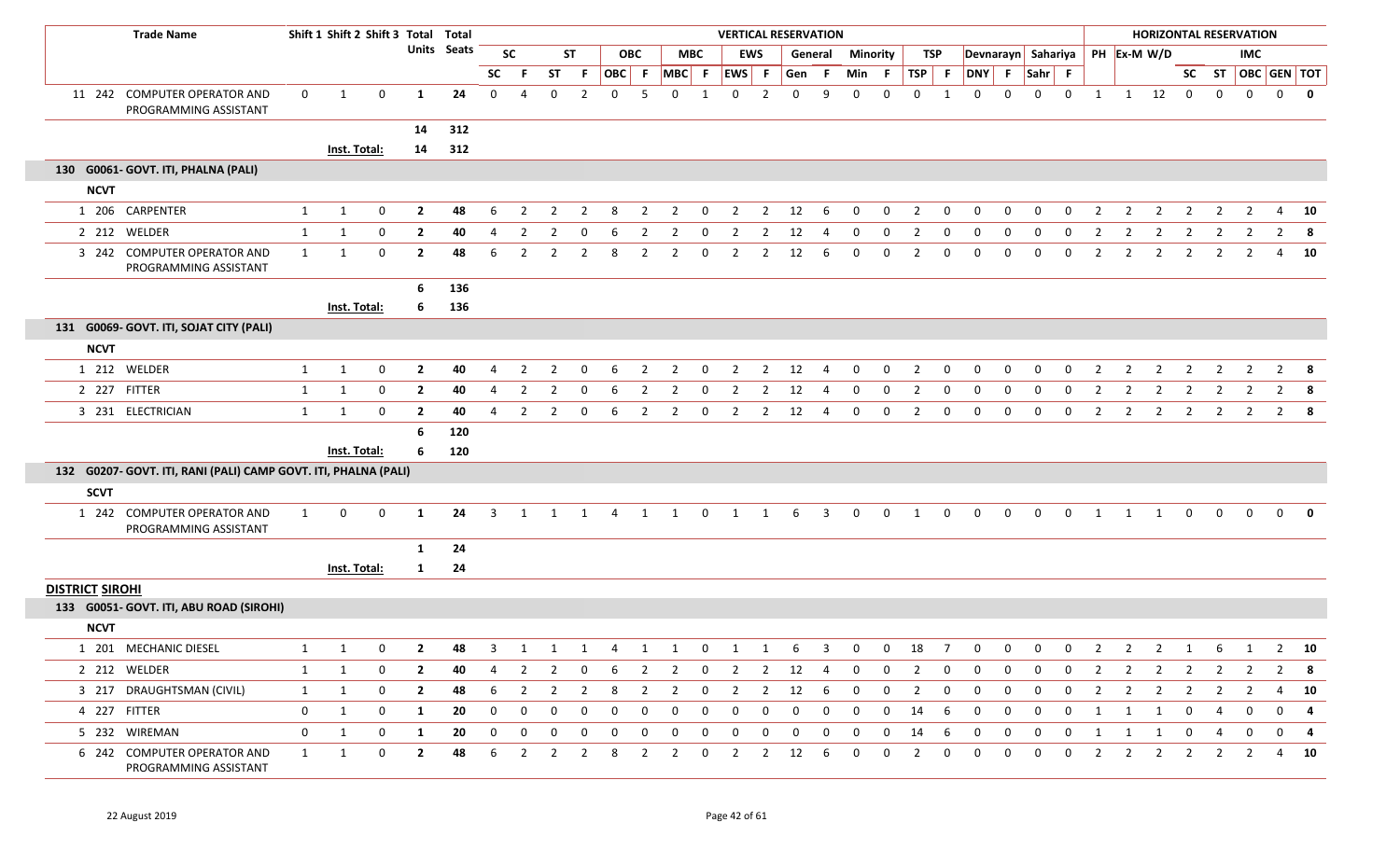| <b>Trade Name</b>                                               |              |              | Shift 1 Shift 2 Shift 3 Total Total |                |             |                |                |                |                |             |                |                |             |                |                | <b>VERTICAL RESERVATION</b> |                |                 |              |                |             |              |             |             |              |                |                | <b>HORIZONTAL RESERVATION</b>  |                |                |                                |                |                         |
|-----------------------------------------------------------------|--------------|--------------|-------------------------------------|----------------|-------------|----------------|----------------|----------------|----------------|-------------|----------------|----------------|-------------|----------------|----------------|-----------------------------|----------------|-----------------|--------------|----------------|-------------|--------------|-------------|-------------|--------------|----------------|----------------|--------------------------------|----------------|----------------|--------------------------------|----------------|-------------------------|
|                                                                 |              |              |                                     |                | Units Seats |                | <b>SC</b>      |                | <b>ST</b>      |             | <b>OBC</b>     |                | <b>MBC</b>  |                | <b>EWS</b>     |                             | General        | <b>Minority</b> |              |                | TSP         |              |             |             |              |                |                | Devnarayn Sahariya PH Ex-M W/D |                |                | <b>IMC</b>                     |                |                         |
|                                                                 |              |              |                                     |                |             | SC             |                | ST             | F.             | OBC F       |                | $MBC$ F        |             | EWS F          |                | Gen                         | .F             | Min             | - F          | $TSP$ F        |             | DNY F Sahr F |             |             |              |                |                |                                |                |                | SC ST $\overline{OBC}$ GEN TOT |                |                         |
| 11 242 COMPUTER OPERATOR AND<br>PROGRAMMING ASSISTANT           | $\mathbf 0$  | 1            | 0                                   | $\mathbf{1}$   | 24          | $\mathbf 0$    | $\overline{4}$ | 0              | $\overline{2}$ | $\mathbf 0$ | 5              | $\Omega$       |             | $\mathbf 0$    | $\overline{2}$ | $\Omega$                    | q              | $\mathbf{0}$    | $\Omega$     | 0              |             | $\mathbf 0$  | $\mathbf 0$ | $\mathbf 0$ | $\mathbf 0$  | 1              | $\mathbf{1}$   | 12                             | $\mathbf{0}$   | $\bf{0}$       | $\mathbf 0$                    | $\mathbf 0$    | $\mathbf{0}$            |
|                                                                 |              |              |                                     | 14             | 312         |                |                |                |                |             |                |                |             |                |                |                             |                |                 |              |                |             |              |             |             |              |                |                |                                |                |                |                                |                |                         |
|                                                                 |              |              | Inst. Total:                        | 14             | 312         |                |                |                |                |             |                |                |             |                |                |                             |                |                 |              |                |             |              |             |             |              |                |                |                                |                |                |                                |                |                         |
| 130 G0061- GOVT. ITI, PHALNA (PALI)                             |              |              |                                     |                |             |                |                |                |                |             |                |                |             |                |                |                             |                |                 |              |                |             |              |             |             |              |                |                |                                |                |                |                                |                |                         |
| <b>NCVT</b>                                                     |              |              |                                     |                |             |                |                |                |                |             |                |                |             |                |                |                             |                |                 |              |                |             |              |             |             |              |                |                |                                |                |                |                                |                |                         |
| 1 206 CARPENTER                                                 | 1            | $\mathbf{1}$ | 0                                   | $\overline{2}$ | 48          | 6              | $\overline{2}$ | $\overline{2}$ | $\overline{2}$ | 8           | $\overline{2}$ | $\overline{2}$ | $\mathbf 0$ | $\overline{2}$ | $\overline{2}$ | 12                          | 6              | $\mathbf 0$     | $\mathbf 0$  | $\overline{2}$ | $\mathbf 0$ | 0            | 0           | $\mathbf 0$ | $\mathbf 0$  | $\overline{2}$ | $\overline{2}$ | $\overline{2}$                 | $\overline{2}$ | $\overline{2}$ | $\overline{2}$                 | 4              | 10                      |
| 2 212 WELDER                                                    | $\mathbf{1}$ | $\mathbf{1}$ | 0                                   | $\overline{2}$ | 40          | 4              | $\overline{2}$ |                |                |             |                | 2              | $\mathbf 0$ | 2              |                | 12                          |                |                 | $\Omega$     |                | 0           | $\Omega$     | 0           | $\Omega$    | $\Omega$     |                |                | -2                             | 2              |                |                                |                |                         |
| 3 242 COMPUTER OPERATOR AND<br>PROGRAMMING ASSISTANT            | 1            | 1            | $\mathbf 0$                         | $\overline{2}$ | 48          | 6              | $\overline{2}$ | $\overline{2}$ | $\overline{2}$ | 8           | $\overline{2}$ | $\overline{2}$ | 0           | $\overline{2}$ | $\overline{2}$ | 12                          | 6              | $\Omega$        | 0            | 2              | $\mathbf 0$ | 0            | $\mathbf 0$ | 0           | 0            | 2              | 2              | $\overline{2}$                 | $\overline{2}$ | 2              | $\overline{2}$                 | 4              | 10                      |
|                                                                 |              |              |                                     | 6              | 136         |                |                |                |                |             |                |                |             |                |                |                             |                |                 |              |                |             |              |             |             |              |                |                |                                |                |                |                                |                |                         |
|                                                                 |              |              | Inst. Total:                        | 6              | 136         |                |                |                |                |             |                |                |             |                |                |                             |                |                 |              |                |             |              |             |             |              |                |                |                                |                |                |                                |                |                         |
| 131 G0069- GOVT. ITI, SOJAT CITY (PALI)                         |              |              |                                     |                |             |                |                |                |                |             |                |                |             |                |                |                             |                |                 |              |                |             |              |             |             |              |                |                |                                |                |                |                                |                |                         |
| <b>NCVT</b>                                                     |              |              |                                     |                |             |                |                |                |                |             |                |                |             |                |                |                             |                |                 |              |                |             |              |             |             |              |                |                |                                |                |                |                                |                |                         |
| 1 212 WELDER                                                    | $\mathbf{1}$ | 1            | 0                                   | $\overline{2}$ | 40          | 4              | $\overline{2}$ | $\overline{2}$ | 0              | 6           | $\overline{2}$ | $\overline{2}$ | $\mathbf 0$ | $\overline{2}$ | $\overline{2}$ | 12                          | $\overline{4}$ | $\mathbf{0}$    | 0            | 2              | 0           | 0            | 0           | $\mathbf 0$ | $\mathbf 0$  | 2              | $\overline{2}$ | $\overline{2}$                 | $\overline{2}$ | $\overline{2}$ | $\overline{2}$                 | $\overline{2}$ | 8                       |
| 2 227 FITTER                                                    | $\mathbf{1}$ | $\mathbf{1}$ | 0                                   | $\overline{2}$ | 40          | 4              | $\overline{2}$ | $\overline{2}$ |                | 6           | $\overline{2}$ | $\overline{2}$ | 0           | $\overline{2}$ | $\overline{2}$ | 12                          |                | 0               | 0            |                | 0           | 0            | $\mathbf 0$ | 0           | 0            |                | $\overline{2}$ | $\overline{2}$                 | $\overline{2}$ |                |                                |                |                         |
| 3 231 ELECTRICIAN                                               | 1            | 1            | $\mathbf 0$                         | $\overline{2}$ | 40          | $\overline{4}$ | $\overline{2}$ | $\overline{2}$ | $\mathbf 0$    | 6           | $\overline{2}$ | $\overline{2}$ | $\mathbf 0$ | $\overline{2}$ | $\overline{2}$ | 12                          | $\overline{4}$ | $\mathbf 0$     | $\mathbf 0$  | $\overline{2}$ | $\mathbf 0$ | $\mathbf 0$  | 0           | $\mathbf 0$ | $\mathbf 0$  | $\overline{2}$ | $\overline{2}$ | $\overline{2}$                 | $\overline{2}$ | $\overline{2}$ | $\overline{2}$                 |                | $2 \times 8$            |
|                                                                 |              |              |                                     | 6              | 120         |                |                |                |                |             |                |                |             |                |                |                             |                |                 |              |                |             |              |             |             |              |                |                |                                |                |                |                                |                |                         |
|                                                                 |              |              | Inst. Total:                        | 6              | 120         |                |                |                |                |             |                |                |             |                |                |                             |                |                 |              |                |             |              |             |             |              |                |                |                                |                |                |                                |                |                         |
| 132 G0207- GOVT. ITI, RANI (PALI) CAMP GOVT. ITI, PHALNA (PALI) |              |              |                                     |                |             |                |                |                |                |             |                |                |             |                |                |                             |                |                 |              |                |             |              |             |             |              |                |                |                                |                |                |                                |                |                         |
| <b>SCVT</b>                                                     |              |              |                                     |                |             |                |                |                |                |             |                |                |             |                |                |                             |                |                 |              |                |             |              |             |             |              |                |                |                                |                |                |                                |                |                         |
| 1 242 COMPUTER OPERATOR AND<br>PROGRAMMING ASSISTANT            | 1            | 0            | 0                                   | 1              | 24          | 3              | -1             |                | -1             | 4           | 1              | -1             | 0           | 1              | 1              | 6                           | 3              | $\mathbf{0}$    | $\mathbf{0}$ | 1              | $\mathbf 0$ | $\mathbf{0}$ | 0           | 0           | 0            | - 1            |                | -1                             | $\mathbf{0}$   | $\mathbf{0}$   | $\Omega$                       | $\Omega$       | $\Omega$                |
|                                                                 |              |              |                                     | 1              | 24          |                |                |                |                |             |                |                |             |                |                |                             |                |                 |              |                |             |              |             |             |              |                |                |                                |                |                |                                |                |                         |
|                                                                 |              |              | Inst. Total:                        | $\mathbf{1}$   | 24          |                |                |                |                |             |                |                |             |                |                |                             |                |                 |              |                |             |              |             |             |              |                |                |                                |                |                |                                |                |                         |
| <b>DISTRICT SIROHI</b>                                          |              |              |                                     |                |             |                |                |                |                |             |                |                |             |                |                |                             |                |                 |              |                |             |              |             |             |              |                |                |                                |                |                |                                |                |                         |
| 133 G0051- GOVT. ITI, ABU ROAD (SIROHI)                         |              |              |                                     |                |             |                |                |                |                |             |                |                |             |                |                |                             |                |                 |              |                |             |              |             |             |              |                |                |                                |                |                |                                |                |                         |
| <b>NCVT</b>                                                     |              |              |                                     |                |             |                |                |                |                |             |                |                |             |                |                |                             |                |                 |              |                |             |              |             |             |              |                |                |                                |                |                |                                |                |                         |
| 1 201 MECHANIC DIESEL                                           | 1            | 1            | 0                                   | $\mathbf{2}$   | 48          | 3              | 1              | $\mathbf{1}$   | 1              | 4           | 1              | 1              | $\mathbf 0$ | 1              | 1              | 6                           | 3              | 0               | 0            | 18             | -7          | 0            | 0           | 0           | $\mathbf 0$  | 2              | $\mathbf{2}$   | $\overline{2}$                 | $\mathbf{1}$   | 6              | $\mathbf{1}$                   | $\mathbf{Z}$   | 10                      |
| 2 212 WELDER                                                    | $\mathbf{1}$ | 1            | 0                                   | $\mathbf{2}$   | 40          | 4              | $\overline{2}$ | $\overline{2}$ | 0              | 6           | $\overline{2}$ | $\overline{2}$ | 0           | $\overline{2}$ | $\overline{2}$ | 12                          | 4              | $\mathbf{0}$    | 0            | 2              | 0           | 0            | 0           | 0           | 0            | 2              | $\overline{2}$ | $\overline{2}$                 | $\overline{2}$ | $\overline{2}$ | $\overline{2}$                 | $\overline{2}$ | $\overline{\mathbf{8}}$ |
| 3 217 DRAUGHTSMAN (CIVIL)                                       | $\mathbf{1}$ | 1            | 0                                   | $\overline{2}$ | 48          | 6              | $\overline{2}$ | 2              | $\overline{2}$ | 8           | $\overline{2}$ | $\overline{2}$ | $\mathbf 0$ | $\overline{2}$ | $\overline{2}$ | 12                          | 6              | 0               | 0            | $\overline{2}$ | 0           | 0            | 0           | 0           | 0            | 2              | $\overline{2}$ | $\overline{2}$                 | $\overline{2}$ | $\overline{2}$ | $\overline{2}$                 | 4              | 10                      |
| 4 227 FITTER                                                    | $\mathbf{0}$ | $\mathbf{1}$ | 0                                   | $\mathbf{1}$   | 20          | $\mathbf{0}$   | 0              | 0              | $\mathbf 0$    | 0           | $\mathbf 0$    | 0              | $\mathbf 0$ | $\mathbf 0$    | $\mathbf 0$    | $\mathbf 0$                 | 0              | 0               | $\mathbf 0$  | 14             | 6           | 0            | 0           | $\mathbf 0$ | $\mathbf 0$  | $\mathbf{1}$   | 1              | 1                              | 0              | $\overline{4}$ | $\mathbf 0$                    | $\mathbf 0$    | -4                      |
| 5 232 WIREMAN                                                   | $\mathbf 0$  | $\mathbf{1}$ | 0                                   | 1              | 20          | $\mathbf 0$    | $\mathbf 0$    | 0              | $\mathbf 0$    | 0           | $\mathbf 0$    | $\mathbf 0$    | $\mathbf 0$ | $\mathbf 0$    | $\mathbf 0$    | $\mathbf 0$                 | $\mathbf 0$    | 0               | 0            | 14             | 6           | 0            | $\mathbf 0$ | $\mathbf 0$ | $\mathbf 0$  | -1             | 1              | 1                              | $\mathbf 0$    | $\overline{4}$ | $\mathbf 0$                    | $\mathbf 0$    | 4                       |
| 6 242 COMPUTER OPERATOR AND<br>PROGRAMMING ASSISTANT            | $\mathbf{1}$ | $\mathbf{1}$ | 0                                   | $\overline{2}$ | 48          | 6              | $\overline{2}$ | $\overline{2}$ | $\overline{2}$ | 8           | $\overline{2}$ | $\overline{2}$ | $\mathbf 0$ | $\overline{2}$ | $\overline{2}$ | 12                          | 6              | $\mathbf 0$     | $\mathbf 0$  | $\overline{2}$ | 0           | 0            | 0           | $\mathbf 0$ | $\mathbf{0}$ | $\overline{2}$ | $\overline{2}$ | $\overline{2}$                 | $\overline{2}$ | $\overline{2}$ | $\overline{2}$                 |                | 4 10                    |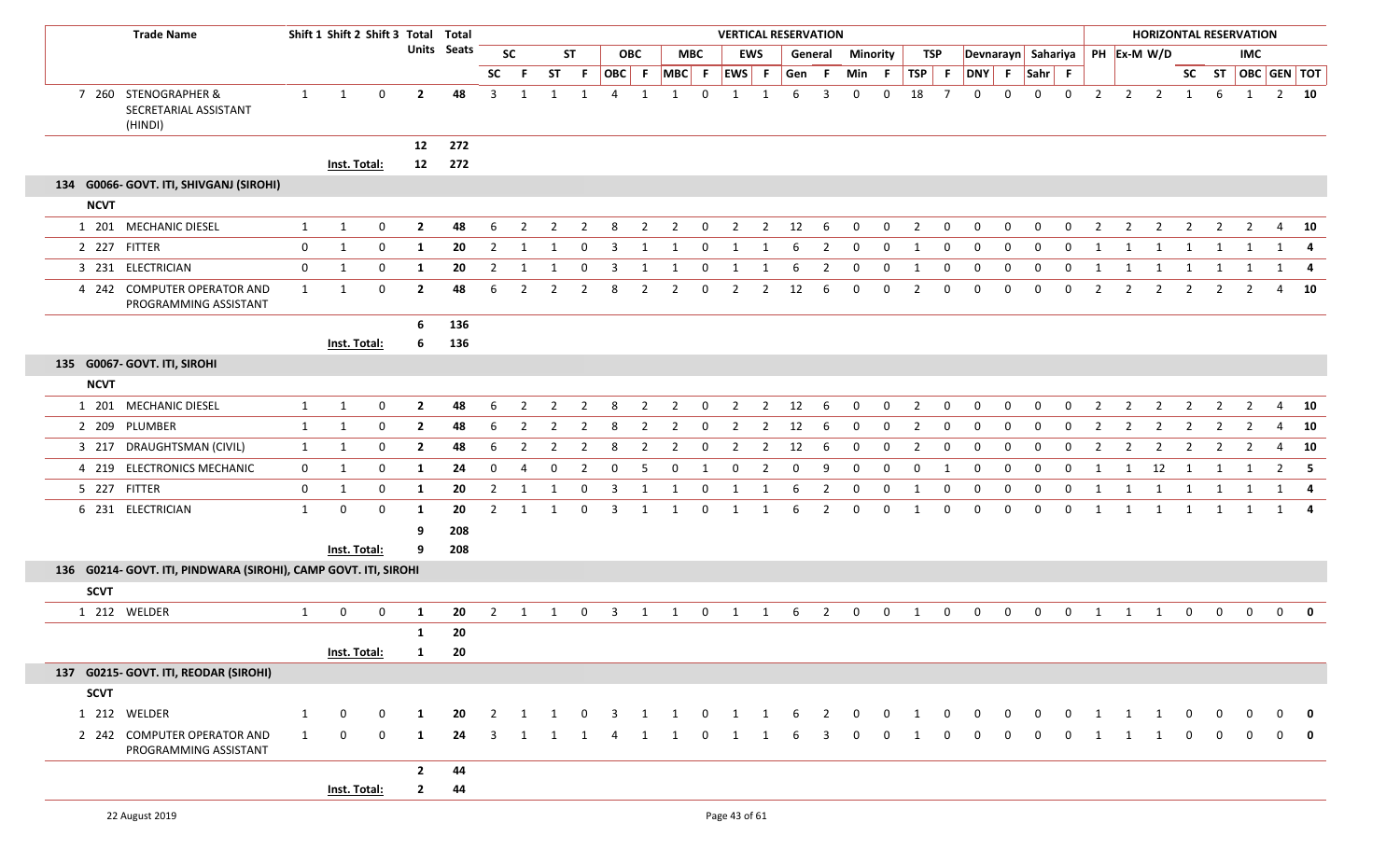| <b>Trade Name</b>                                               |              | Shift 1 Shift 2 Shift 3 Total Total |              |                |                    |                |                |                |                |                         |                |                |              |                   |                | <b>VERTICAL RESERVATION</b> |                         |                |              |                |                  |                |              |              |              |                |                |                                |                         |                | <b>HORIZONTAL RESERVATION</b> |                                |              |
|-----------------------------------------------------------------|--------------|-------------------------------------|--------------|----------------|--------------------|----------------|----------------|----------------|----------------|-------------------------|----------------|----------------|--------------|-------------------|----------------|-----------------------------|-------------------------|----------------|--------------|----------------|------------------|----------------|--------------|--------------|--------------|----------------|----------------|--------------------------------|-------------------------|----------------|-------------------------------|--------------------------------|--------------|
|                                                                 |              |                                     |              |                | <b>Units Seats</b> |                | <b>SC</b>      |                | <b>ST</b>      |                         | <b>OBC</b>     |                | <b>MBC</b>   |                   | <b>EWS</b>     |                             | General                 | Minority       |              |                | TSP              |                |              |              |              |                |                | Devnarayn Sahariya PH Ex-M W/D |                         |                | <b>IMC</b>                    |                                |              |
|                                                                 |              |                                     |              |                |                    | <b>SC</b>      | -F             | <b>ST</b>      | -F.            |                         |                |                |              | OBC F MBC F EWS F |                | Gen                         | -F.                     | Min            | - F          | TSP F          |                  | DNY F          |              | Sahr F       |              |                |                |                                |                         |                |                               | SC ST $\overline{OBC}$ GEN TOT |              |
| 7 260 STENOGRAPHER &<br>SECRETARIAL ASSISTANT<br>(HINDI)        | $\mathbf{1}$ | $\mathbf{1}$                        | $\mathbf 0$  | $\overline{2}$ | 48                 | $\overline{3}$ | 1              | $\mathbf 1$    | 1              | $\overline{4}$          | 1              | 1              | $\Omega$     | 1                 |                | 6                           | 3                       | $\mathbf{0}$   | 0            | 18             | $\overline{7}$   | $\mathbf 0$    | 0            | 0            | $\mathbf 0$  | $\overline{2}$ | $\overline{2}$ | $\overline{2}$                 | $\mathbf{1}$            | 6              | 1                             | $2 \quad 10$                   |              |
|                                                                 |              |                                     |              | 12             | 272                |                |                |                |                |                         |                |                |              |                   |                |                             |                         |                |              |                |                  |                |              |              |              |                |                |                                |                         |                |                               |                                |              |
|                                                                 |              | Inst. Total:                        |              | 12             | 272                |                |                |                |                |                         |                |                |              |                   |                |                             |                         |                |              |                |                  |                |              |              |              |                |                |                                |                         |                |                               |                                |              |
| 134 G0066- GOVT. ITI, SHIVGANJ (SIROHI)                         |              |                                     |              |                |                    |                |                |                |                |                         |                |                |              |                   |                |                             |                         |                |              |                |                  |                |              |              |              |                |                |                                |                         |                |                               |                                |              |
| <b>NCVT</b>                                                     |              |                                     |              |                |                    |                |                |                |                |                         |                |                |              |                   |                |                             |                         |                |              |                |                  |                |              |              |              |                |                |                                |                         |                |                               |                                |              |
| 1 201 MECHANIC DIESEL                                           | $\mathbf{1}$ | $\mathbf{1}$                        | $\mathbf 0$  | $\overline{2}$ | 48                 | 6              | $\overline{2}$ | $\overline{2}$ | $\overline{2}$ | 8                       | $\overline{2}$ | $\overline{2}$ | $\mathbf 0$  | $\overline{2}$    | $\overline{2}$ | 12                          | 6                       | $\overline{0}$ | 0            | $\overline{2}$ | $\overline{0}$   | $\mathbf 0$    | 0            | $\mathbf 0$  | $\mathbf{0}$ | $\overline{2}$ | $\overline{2}$ | $\overline{2}$                 | $\overline{2}$          | $\overline{2}$ | $\overline{2}$                | $\overline{4}$                 | 10           |
| 2 227 FITTER                                                    | $\mathbf 0$  | 1                                   | $\mathbf 0$  | 1              | 20                 | $\overline{2}$ | -1             | -1             | 0              | -3                      | -1             |                | 0            |                   |                | 6                           | 2                       | 0              | $\mathbf 0$  | $\mathbf{1}$   | 0                | $\mathbf 0$    | $\mathbf{0}$ | 0            | 0            | - 1            |                | 1                              |                         | -1             |                               | 1                              | 4            |
| 3 231 ELECTRICIAN                                               | $\mathbf 0$  | 1                                   | $\mathbf 0$  | 1              | 20                 | $\overline{2}$ | -1             |                | $\Omega$       | 3                       | $\mathbf 1$    |                | 0            | 1                 | -1             | 6                           | 2                       | $\mathbf 0$    | $\mathbf 0$  | -1             | 0                | $\mathbf 0$    | 0            | $\mathbf{0}$ | $\mathbf{0}$ | -1             | -1             | 1                              | 1                       | 1              |                               | 1                              | - 4          |
| 4 242 COMPUTER OPERATOR AND<br>PROGRAMMING ASSISTANT            | $\mathbf{1}$ | $\mathbf{1}$                        | $\mathbf 0$  | $\overline{2}$ | 48                 | 6              | $\overline{2}$ | $\mathcal{P}$  | $\overline{2}$ | 8                       | $\overline{2}$ | 2              | $\mathbf 0$  | $\overline{2}$    | 2              | 12                          | 6                       | $\Omega$       | $\mathbf{0}$ | 2              | $\mathbf 0$      | $\mathbf 0$    | $\Omega$     | $\Omega$     | $\mathbf{0}$ | $\overline{2}$ | $\overline{2}$ | $\overline{2}$                 | 2                       | 2              |                               | $\overline{a}$                 | 10           |
|                                                                 |              |                                     |              | 6              | 136                |                |                |                |                |                         |                |                |              |                   |                |                             |                         |                |              |                |                  |                |              |              |              |                |                |                                |                         |                |                               |                                |              |
|                                                                 |              | Inst. Total:                        |              | 6              | 136                |                |                |                |                |                         |                |                |              |                   |                |                             |                         |                |              |                |                  |                |              |              |              |                |                |                                |                         |                |                               |                                |              |
| 135 G0067- GOVT. ITI, SIROHI                                    |              |                                     |              |                |                    |                |                |                |                |                         |                |                |              |                   |                |                             |                         |                |              |                |                  |                |              |              |              |                |                |                                |                         |                |                               |                                |              |
| <b>NCVT</b>                                                     |              |                                     |              |                |                    |                |                |                |                |                         |                |                |              |                   |                |                             |                         |                |              |                |                  |                |              |              |              |                |                |                                |                         |                |                               |                                |              |
| 1 201 MECHANIC DIESEL                                           | 1            | 1                                   | $\mathbf 0$  | $\overline{2}$ | 48                 | 6              | 2              | 2              | $\overline{2}$ | 8                       | $\overline{2}$ | $\overline{2}$ | $\Omega$     | $\overline{2}$    | $\overline{2}$ | 12                          | 6                       | $\Omega$       | $\mathbf{0}$ | 2              | $\Omega$         | $\Omega$       | $\Omega$     | $\Omega$     | $\Omega$     | $\overline{2}$ | 2              | $\overline{2}$                 | 2                       | 2              | 2                             | 4                              | 10           |
| 2 209 PLUMBER                                                   | 1            | 1                                   | $\mathbf 0$  | $\overline{2}$ | 48                 | 6              | $\overline{2}$ | $\overline{2}$ | $\overline{2}$ | 8                       | $\overline{2}$ | $\overline{2}$ | $\mathbf 0$  | $\overline{2}$    | $\overline{2}$ | 12                          | -6                      | $\mathbf{0}$   | $\mathbf{0}$ | 2              | $\mathbf 0$      | $\mathbf{0}$   | $\mathbf{0}$ | $\mathbf{0}$ | $\mathbf 0$  | $\overline{2}$ | 2              | 2                              | $\overline{2}$          | $\overline{2}$ | 2                             | $\overline{4}$                 | 10           |
| 3 217 DRAUGHTSMAN (CIVIL)                                       | $\mathbf{1}$ | 1                                   | $\mathbf{0}$ | $\overline{2}$ | 48                 | 6              | 2              | 2              | $\overline{2}$ | 8                       | 2              | 2              | 0            | 2                 | 2              | 12                          | -6                      | $\Omega$       | $\mathbf 0$  | 2              | $\mathbf{0}$     | $\Omega$       | 0            | $\Omega$     | $\Omega$     | $\overline{2}$ | 2              | -2                             | 2                       | 2              | 2                             | 4                              | 10           |
| 4 219 ELECTRONICS MECHANIC                                      | $\mathbf 0$  | 1                                   | $\mathbf 0$  | 1              | 24                 | $\mathbf{0}$   | $\overline{4}$ | $\mathbf{0}$   | $\overline{2}$ | $\mathbf 0$             | -5             | $\mathbf{0}$   | 1            | $\mathbf{0}$      | $\overline{2}$ | $\mathbf 0$                 | 9                       | 0              | $\Omega$     | $\mathbf 0$    | -1               | $\mathbf 0$    | $\mathbf{0}$ | $\mathbf{0}$ | $\mathbf 0$  | -1             | 1              | 12                             | $\overline{\mathbf{1}}$ | 1              | 1                             | $\overline{2}$                 | 5            |
| 5 227 FITTER                                                    | $\mathbf 0$  | 1                                   | $\mathbf 0$  | 1              | 20                 | $\overline{2}$ | -1             | $\mathbf{1}$   | $\mathbf 0$    | 3                       | 1              | 1              | 0            | 1                 | 1              | 6                           | $\overline{2}$          | 0              | 0            | -1             | $\boldsymbol{0}$ | $\mathbf 0$    | 0            | $\mathbf{0}$ | $\mathbf 0$  | 1              | -1             | 1                              | 1                       | 1              |                               | 1                              |              |
| 6 231 ELECTRICIAN                                               | $\mathbf{1}$ | $\mathbf 0$                         | $\mathbf 0$  | 1              | 20                 | $\overline{2}$ | 1              | 1              | $\mathbf 0$    | $\overline{3}$          | 1              | 1              | $\mathbf 0$  | 1                 | 1              | 6                           | $\overline{2}$          | $\mathbf 0$    | $\mathbf{0}$ | 1              | $\mathbf 0$      | $\mathbf 0$    | $\mathbf 0$  | $\mathbf{0}$ | $\mathbf 0$  | 1              | 1              | 1                              | $\overline{1}$          | 1              | 1                             | 1 4                            |              |
|                                                                 |              |                                     |              | 9              | 208                |                |                |                |                |                         |                |                |              |                   |                |                             |                         |                |              |                |                  |                |              |              |              |                |                |                                |                         |                |                               |                                |              |
|                                                                 |              | Inst. Total:                        |              | 9              | 208                |                |                |                |                |                         |                |                |              |                   |                |                             |                         |                |              |                |                  |                |              |              |              |                |                |                                |                         |                |                               |                                |              |
| 136 G0214- GOVT. ITI, PINDWARA (SIROHI), CAMP GOVT. ITI, SIROHI |              |                                     |              |                |                    |                |                |                |                |                         |                |                |              |                   |                |                             |                         |                |              |                |                  |                |              |              |              |                |                |                                |                         |                |                               |                                |              |
| <b>SCVT</b>                                                     |              |                                     |              |                |                    |                |                |                |                |                         |                |                |              |                   |                |                             |                         |                |              |                |                  |                |              |              |              |                |                |                                |                         |                |                               |                                |              |
| 1 212 WELDER                                                    | $\mathbf{1}$ | $\mathbf 0$                         | $\mathbf 0$  | 1              | 20                 | $\overline{2}$ | 1              | $\mathbf{1}$   | $\mathbf{0}$   | $\overline{\mathbf{3}}$ | 1              | 1              | $\mathbf 0$  | $\overline{1}$    | 1              | 6                           | $\overline{\mathbf{2}}$ | $\mathbf 0$    | $\mathbf 0$  | $\overline{1}$ | $\mathbf 0$      | $\mathbf 0$    | $\mathbf 0$  | $\mathbf 0$  | $\mathbf 0$  | 1              | 1              | 1                              | $\mathbf 0$             | $\mathbf 0$    | $\mathbf 0$                   | $\mathbf 0$                    | $\mathbf{0}$ |
|                                                                 |              |                                     |              | 1              | 20                 |                |                |                |                |                         |                |                |              |                   |                |                             |                         |                |              |                |                  |                |              |              |              |                |                |                                |                         |                |                               |                                |              |
|                                                                 |              | Inst. Total:                        |              | $\mathbf{1}$   | 20                 |                |                |                |                |                         |                |                |              |                   |                |                             |                         |                |              |                |                  |                |              |              |              |                |                |                                |                         |                |                               |                                |              |
| 137 G0215- GOVT. ITI, REODAR (SIROHI)                           |              |                                     |              |                |                    |                |                |                |                |                         |                |                |              |                   |                |                             |                         |                |              |                |                  |                |              |              |              |                |                |                                |                         |                |                               |                                |              |
| <b>SCVT</b>                                                     |              |                                     |              |                |                    |                |                |                |                |                         |                |                |              |                   |                |                             |                         |                |              |                |                  |                |              |              |              |                |                |                                |                         |                |                               |                                |              |
| 1 212 WELDER                                                    | $\mathbf{1}$ | $\mathbf{0}$                        | $\mathbf 0$  | 1              | 20                 | 2              |                |                | $\Omega$       | 3                       | -1             |                | $\mathbf 0$  | 1                 | -1             | -6                          | 2                       | $\mathbf 0$    | $\mathbf{0}$ | 1              | $\mathbf 0$      | $\mathbf{0}$   | $\mathbf{0}$ | $\mathbf{0}$ | $\mathbf{0}$ | -1             | 1              | 1                              | 0                       |                |                               | <sup>0</sup>                   | 0            |
| 2 242 COMPUTER OPERATOR AND<br>PROGRAMMING ASSISTANT            | 1            | $\mathbf{0}$                        | $\mathbf 0$  | 1              | 24                 | 3              | 1              | 1              | 1              | 4                       | 1              | 1              | $\mathbf{0}$ | 1                 | 1              | -6                          | 3                       | $\mathbf{0}$   | $\mathbf 0$  | 1              | $\mathbf 0$      | $\overline{0}$ | $\mathbf 0$  | $\mathbf{0}$ | $\mathbf{0}$ | 1              | 1              | 1                              | $\mathbf 0$             | $\mathbf 0$    | $\mathbf 0$                   | $\mathbf{0}$                   | 0            |
|                                                                 |              |                                     |              | $\mathbf{2}$   | 44                 |                |                |                |                |                         |                |                |              |                   |                |                             |                         |                |              |                |                  |                |              |              |              |                |                |                                |                         |                |                               |                                |              |
|                                                                 |              | Inst. Total:                        |              | $\mathbf{2}$   | 44                 |                |                |                |                |                         |                |                |              |                   |                |                             |                         |                |              |                |                  |                |              |              |              |                |                |                                |                         |                |                               |                                |              |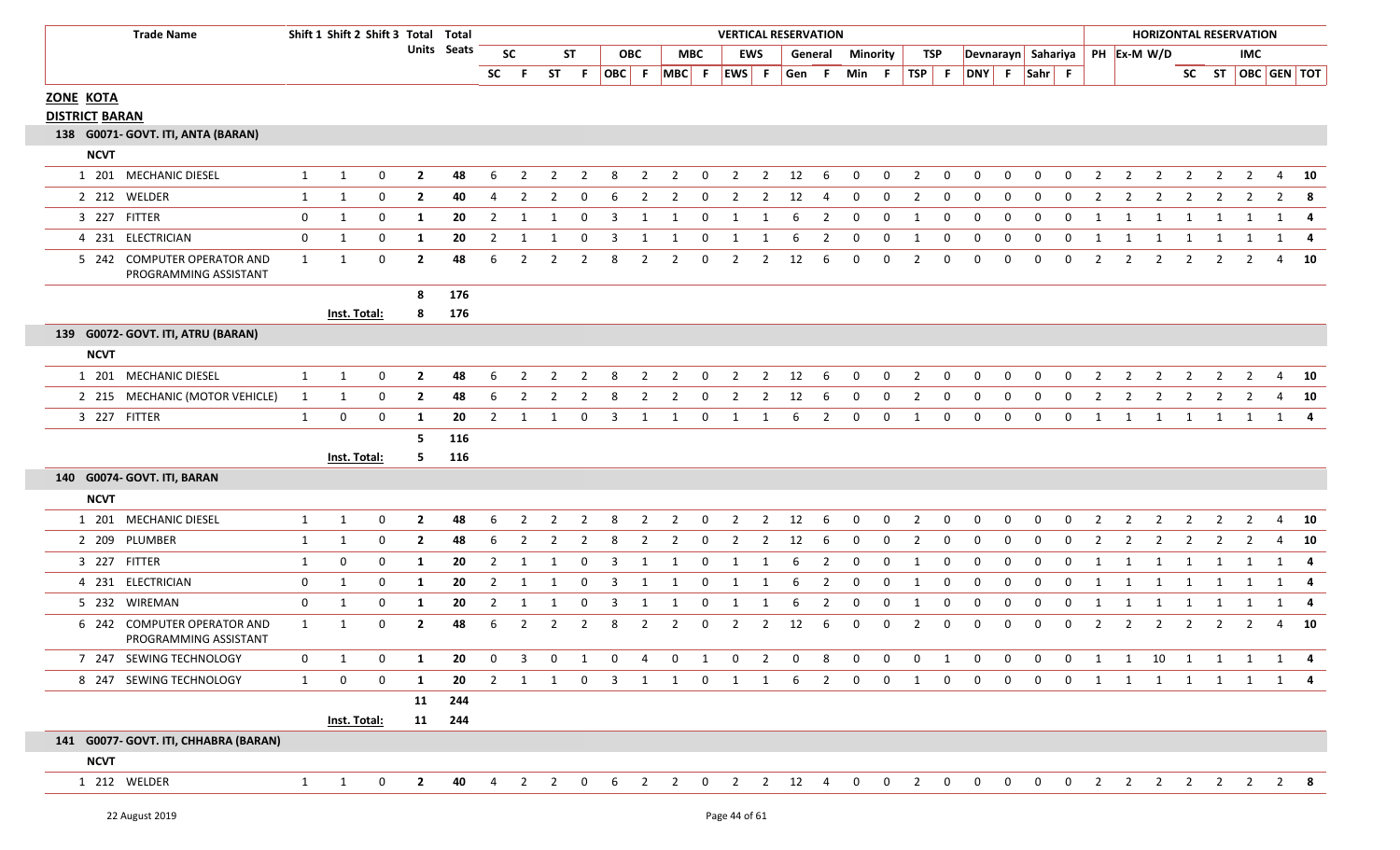| 22 August 2019 | Page 44 of 61 |
|----------------|---------------|
|                |               |

|  | Page 44 of 61 |  |  |
|--|---------------|--|--|

|             | 2 212 WELDER                                         | 1              | $\mathbf{1}$ | $\Omega$    | $\overline{2}$ | 40  | $\Delta$       | $\overline{2}$ | $\overline{2}$ | $\Omega$       | 6              | $\overline{2}$ | $\overline{2}$ | $\mathbf 0$  | $\overline{2}$ | $\overline{2}$ | 12             | 4              | $\mathbf{0}$   | $\mathbf 0$  | $\overline{2}$ | $\mathbf 0$ | $\Omega$     | $\Omega$     | $\mathbf 0$  | $\mathbf{0}$   | 2              | 2              | $\overline{2}$           | 2              | 2              | $\overline{2}$ | $\overline{2}$ | - 8          |
|-------------|------------------------------------------------------|----------------|--------------|-------------|----------------|-----|----------------|----------------|----------------|----------------|----------------|----------------|----------------|--------------|----------------|----------------|----------------|----------------|----------------|--------------|----------------|-------------|--------------|--------------|--------------|----------------|----------------|----------------|--------------------------|----------------|----------------|----------------|----------------|--------------|
|             | 3 227 FITTER                                         | $\mathbf 0$    | $\mathbf{1}$ | $\mathbf 0$ | 1              | 20  | $\overline{2}$ | 1              | $\overline{1}$ | $\Omega$       | 3              | 1              |                | 0            | -1             | -1             | -6             | 2              | $\Omega$       | $\Omega$     | -1             | $\Omega$    | $\Omega$     | $\Omega$     | $\Omega$     | <sup>0</sup>   |                |                | 1                        | -1             |                |                | 1              | -4           |
|             | 4 231 ELECTRICIAN                                    | $\mathbf 0$    | $\mathbf{1}$ | $\mathbf 0$ | 1              | 20  | $\overline{2}$ | $\mathbf 1$    | -1             | $\Omega$       | 3              | -1             | -1             | 0            | -1             | 1              | 6              | $\overline{2}$ | $\mathbf{0}$   | $\mathbf 0$  |                | $\mathbf 0$ | $\mathbf 0$  | $\Omega$     | $\mathbf 0$  | 0              | -1             |                | -1                       |                |                |                | 1              | -4           |
|             | 5 242 COMPUTER OPERATOR AND<br>PROGRAMMING ASSISTANT | 1              | 1            | $\mathbf 0$ | $\overline{2}$ | 48  | 6              | $\overline{2}$ | $\overline{2}$ | $\overline{2}$ | 8              | $\overline{2}$ | $\overline{2}$ | $\mathbf 0$  | $\overline{2}$ | $\overline{2}$ | 12             | 6              | $\Omega$       | $\Omega$     | $\overline{2}$ | $\Omega$    | $\Omega$     | $\Omega$     | $\Omega$     | $\Omega$       | $\overline{2}$ | $\overline{2}$ | $\overline{2}$           | $\overline{2}$ | $\overline{2}$ | 2              | 4              | 10           |
|             |                                                      |                |              |             | 8              | 176 |                |                |                |                |                |                |                |              |                |                |                |                |                |              |                |             |              |              |              |                |                |                |                          |                |                |                |                |              |
|             |                                                      |                | Inst. Total: |             | 8              | 176 |                |                |                |                |                |                |                |              |                |                |                |                |                |              |                |             |              |              |              |                |                |                |                          |                |                |                |                |              |
|             | 139 G0072- GOVT. ITI, ATRU (BARAN)                   |                |              |             |                |     |                |                |                |                |                |                |                |              |                |                |                |                |                |              |                |             |              |              |              |                |                |                |                          |                |                |                |                |              |
| <b>NCVT</b> |                                                      |                |              |             |                |     |                |                |                |                |                |                |                |              |                |                |                |                |                |              |                |             |              |              |              |                |                |                |                          |                |                |                |                |              |
|             | 1 201 MECHANIC DIESEL                                | $\mathbf{1}$   | 1            | $\mathbf 0$ | $\overline{2}$ | 48  | 6              | $\overline{2}$ | $\overline{2}$ | $\overline{2}$ | 8              | $\overline{2}$ | $\overline{2}$ | 0            | $\overline{2}$ | $\overline{2}$ | 12             | - 6            | $\mathbf{0}$   | $\mathbf 0$  | $\overline{2}$ | 0           | 0            | $\mathbf{0}$ | $\mathbf 0$  | $\mathbf{0}$   | $\overline{2}$ | $\overline{2}$ | $\overline{2}$           | $\overline{2}$ | $\overline{2}$ | $\overline{2}$ |                | $4\quad 10$  |
|             | 2 215 MECHANIC (MOTOR VEHICLE)                       | 1              | 1            | $\Omega$    | $\mathbf{2}$   | 48  | 6              | 2              | 2              | $\mathcal{P}$  | 8              | 2              | 2              | 0            | $\mathcal{P}$  | 2              | 12             | -6             | $\Omega$       | 0            | 2              | 0           | $\Omega$     | $\Omega$     | 0            | $\Omega$       | $\mathcal{P}$  | 2              | 2                        |                | $\mathcal{P}$  |                | 4              | - 10         |
|             | 3 227 FITTER                                         | $\mathbf{1}$   | $\mathbf 0$  | $\mathbf 0$ | 1              | 20  | $\overline{2}$ | 1              | 1              | 0              | $\overline{3}$ | 1              | 1              | 0            | 1              | 1              | 6              | $\overline{2}$ | 0              | $\mathbf 0$  | 1              | $\mathbf 0$ | $\mathbf 0$  | $\mathbf 0$  | $\mathbf{0}$ | $\mathbf{0}$   | 1              | 1              | $\overline{\mathbf{1}}$  | 1              | 1 1            |                |                | $1 \quad 4$  |
|             |                                                      |                |              |             | 5              | 116 |                |                |                |                |                |                |                |              |                |                |                |                |                |              |                |             |              |              |              |                |                |                |                          |                |                |                |                |              |
|             |                                                      |                | Inst. Total: |             | 5.             | 116 |                |                |                |                |                |                |                |              |                |                |                |                |                |              |                |             |              |              |              |                |                |                |                          |                |                |                |                |              |
|             | 140 G0074- GOVT. ITI, BARAN                          |                |              |             |                |     |                |                |                |                |                |                |                |              |                |                |                |                |                |              |                |             |              |              |              |                |                |                |                          |                |                |                |                |              |
| <b>NCVT</b> |                                                      |                |              |             |                |     |                |                |                |                |                |                |                |              |                |                |                |                |                |              |                |             |              |              |              |                |                |                |                          |                |                |                |                |              |
|             | 1 201 MECHANIC DIESEL                                | $\mathbf{1}$   | 1            | $\mathbf 0$ | $\mathbf{2}$   | 48  | 6              | 2              | $\overline{2}$ | 2              | -8             | $\overline{2}$ | $\overline{2}$ | 0            | $\overline{2}$ | $\overline{2}$ | 12             | 6              | 0              | $\mathbf{0}$ | $\overline{2}$ | 0           | 0            | 0            | $\Omega$     | $\Omega$       | 2              | 2              | 2                        | 2              | $\mathcal{P}$  | 2              | 4              | 10           |
|             | 2 209 PLUMBER                                        | $\mathbf{1}$   | $\mathbf{1}$ | 0           | $\mathbf{2}$   | 48  | 6              | $\overline{2}$ | 2              | $\overline{2}$ | -8             | $\overline{2}$ | $\overline{2}$ | 0            | $\mathbf{2}$   | $\overline{2}$ | 12             | -6             | $\mathbf{0}$   | $\mathbf 0$  | $\overline{2}$ | 0           | 0            | 0            | $\mathbf{0}$ | $\mathbf{0}$   | 2              | 2              | 2                        | $\overline{2}$ | 2              | $\overline{2}$ | 4              | 10           |
|             | 3 227 FITTER                                         | $\mathbf{1}$   | 0            | $\mathbf 0$ | 1              | 20  | 2              | 1              | -1             | 0              | -3             | 1              | -1             | 0            | 1              | 1              | -6             | 2              | 0              | 0            | 1              | 0           | 0            | 0            | $\mathbf{0}$ | $\mathbf{0}$   | - 1            | -1             | 1                        | 1              | 1              | 1              | 1              | -4           |
|             | 4 231 ELECTRICIAN                                    | $\mathbf 0$    | 1            | $\mathbf 0$ | 1              | 20  | 2              | 1              | 1              | 0              | 3              | 1              | 1              | 0            | 1              | 1              | 6              | 2              | 0              | 0            | 1              | 0           | 0            | 0            | 0            | 0              | -1             | 1              | 1                        | 1              | 1              | 1              | $1 \quad$      | -4           |
|             | 5 232 WIREMAN                                        | $\mathbf 0$    | 1            | $\mathbf 0$ | 1              | 20  | 2              | 1              | 1              | 0              | -3             | 1              | -1             | 0            | -1             | 1              | 6              | 2              | 0              | 0            | 1              | $\mathbf 0$ | 0            | 0            | 0            | 0              | -1             | -1             | 1                        | 1              | 1              | 1              | 1              | -4           |
|             | 6 242 COMPUTER OPERATOR AND<br>PROGRAMMING ASSISTANT | 1              | 1            | $\mathbf 0$ | $\mathbf{2}$   | 48  | 6              | $\overline{2}$ | $\overline{2}$ | $\overline{2}$ | 8              | $\overline{2}$ | $\overline{2}$ | $\mathbf 0$  | $2^{\circ}$    | $\overline{2}$ | 12             | 6              | $\Omega$       | $\mathbf 0$  | $\overline{2}$ | $\Omega$    | $\Omega$     | $\Omega$     | $\Omega$     | $\Omega$       | $\overline{2}$ | 2              | $\overline{2}$           | 2              | $\overline{2}$ | $\overline{2}$ | $\overline{4}$ | 10           |
|             | 7 247 SEWING TECHNOLOGY                              | $\overline{0}$ | $\mathbf{1}$ | $\mathbf 0$ | 1              | 20  | $\mathbf{0}$   | $\overline{3}$ | $\mathbf 0$    | 1              | $\mathbf 0$    | $\overline{4}$ | $\overline{0}$ | $\mathbf{1}$ | $\overline{0}$ | $\overline{2}$ | $\overline{0}$ | 8              | $\overline{0}$ | $\mathbf 0$  | $\overline{0}$ | 1           | $\mathbf{0}$ | $\mathbf 0$  | $\mathbf 0$  | $\overline{0}$ | $\overline{1}$ | $\overline{1}$ | 10                       | $\overline{1}$ | $1 \quad 1$    |                | $1 \quad 4$    |              |
|             | 8 247 SEWING TECHNOLOGY                              | 1              | 0            | $\mathbf 0$ | 1              | 20  | 2              | 1              | 1              | 0              | $\overline{3}$ | 1              | 1              | $\mathbf{0}$ | 1              | 1              | 6              | $\overline{2}$ | 0              | $\mathbf 0$  | 1              | $\mathbf 0$ | $\mathbf{0}$ | $\mathbf 0$  | $\mathbf 0$  | $\mathbf 0$    | 1              | 1              | 1                        | $\mathbf{1}$   | 1              | 1              |                | $1 \quad 4$  |
|             |                                                      |                |              |             | 11             | 244 |                |                |                |                |                |                |                |              |                |                |                |                |                |              |                |             |              |              |              |                |                |                |                          |                |                |                |                |              |
|             |                                                      |                | Inst. Total: |             | 11             | 244 |                |                |                |                |                |                |                |              |                |                |                |                |                |              |                |             |              |              |              |                |                |                |                          |                |                |                |                |              |
|             | 141 G0077- GOVT. ITI, CHHABRA (BARAN)                |                |              |             |                |     |                |                |                |                |                |                |                |              |                |                |                |                |                |              |                |             |              |              |              |                |                |                |                          |                |                |                |                |              |
| <b>NCVT</b> |                                                      |                |              |             |                |     |                |                |                |                |                |                |                |              |                |                |                |                |                |              |                |             |              |              |              |                |                |                |                          |                |                |                |                |              |
|             | 1 212 WELDER                                         | 1              | 1            | 0           | $\mathbf{2}$   | 40  | 4              | $\overline{2}$ | $\overline{2}$ | 0              | 6              | $\overline{2}$ | $\overline{2}$ | 0            |                | $2 \quad 2$    | 12             | 4              | $\mathbf{0}$   | $\mathbf 0$  | $\overline{2}$ | 0           | $\mathbf{0}$ | $\mathbf{0}$ | $\mathbf 0$  | $\overline{0}$ | 2              | $\overline{2}$ | $\overline{\phantom{a}}$ | $\overline{2}$ | $\overline{2}$ | $\overline{2}$ |                | $2 \times 8$ |
|             |                                                      |                |              |             |                |     |                |                |                |                |                |                |                |              |                |                |                |                |                |              |                |             |              |              |              |                |                |                |                          |                |                |                |                |              |

## **ZONE KOTA DISTRICT BARAN**

**NCVT**

1 201 MECHANIC

**138 G0071‐ GOVT. ITI, ANTA (BARAN)**

## **1** Shift **2** Shift **3** Total Total **Seats Units OBCTrade Name Shift 1PH Ex‐M W/D MBC EWS General Minority TSP Devnarayn Sahariya OBC F MBC F EWS F GenSC F ST F F Min F TSP F DNY F Sahr F IMC ST SC ST OBC GEN TOT SC VERTICAL RESERVATIONHORIZONTAL RESERVATION**

DIESEL 110 **2 48** 62 2 2 8 2 12 6 0 0 2 0 0 0 0 0 2 2 2 2 20 2 2 224 **10**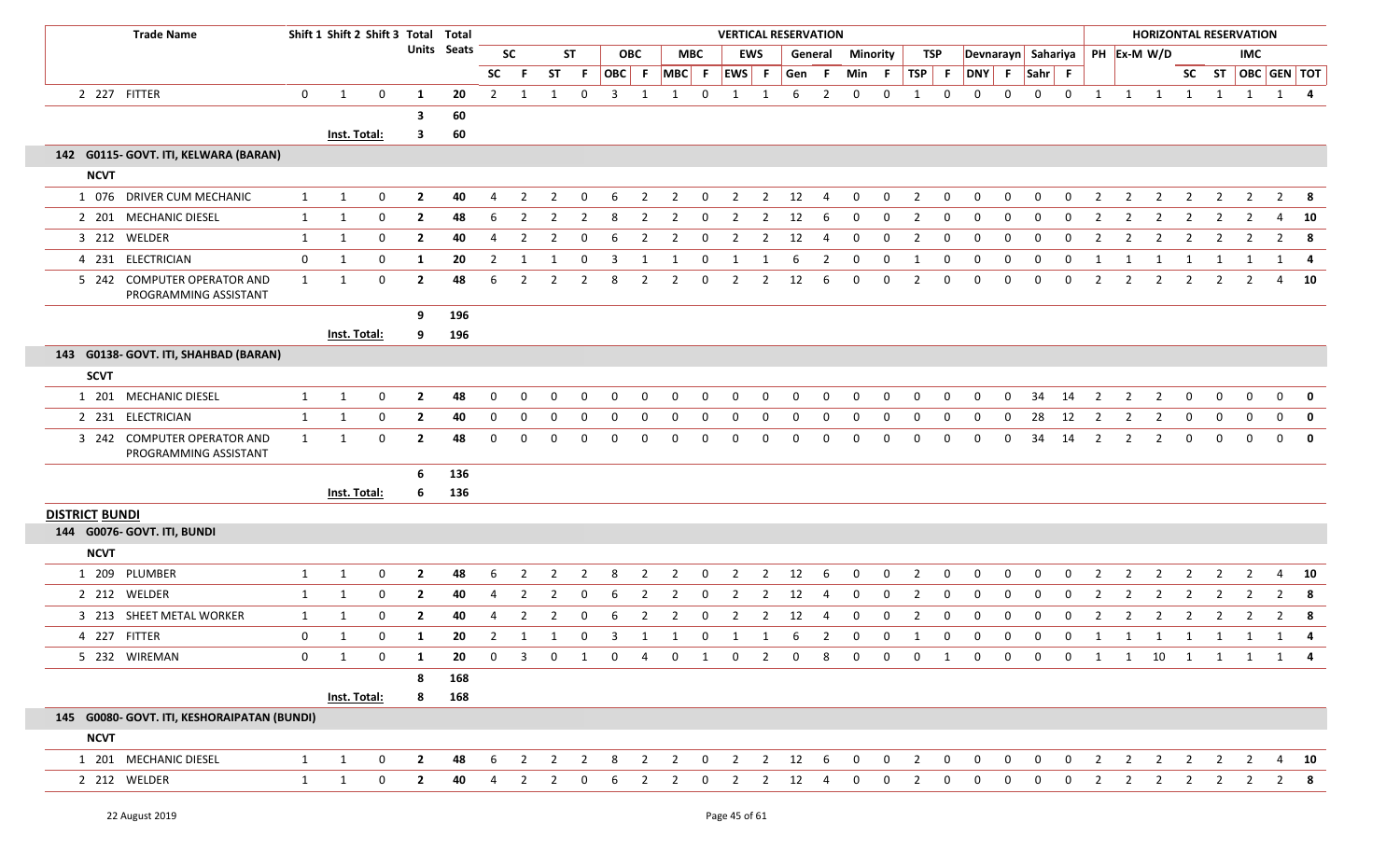| <b>Trade Name</b>                                    |              | Shift 1 Shift 2 Shift 3 Total Total |              |                |                    |                |                |                |                |                         |                |                               |             | <b>VERTICAL RESERVATION</b> |                |          |                 |              |              |                |                  |              |              |              |              |                |                | <b>HORIZONTAL RESERVATION</b>  |                |                |                |                |                                |
|------------------------------------------------------|--------------|-------------------------------------|--------------|----------------|--------------------|----------------|----------------|----------------|----------------|-------------------------|----------------|-------------------------------|-------------|-----------------------------|----------------|----------|-----------------|--------------|--------------|----------------|------------------|--------------|--------------|--------------|--------------|----------------|----------------|--------------------------------|----------------|----------------|----------------|----------------|--------------------------------|
|                                                      |              |                                     |              |                | <b>Units</b> Seats |                | <b>SC</b>      |                | <b>ST</b>      |                         | <b>OBC</b>     |                               | <b>MBC</b>  |                             | <b>EWS</b>     |          | General         |              | Minority     |                | TSP              |              |              |              |              |                |                | Devnarayn Sahariya PH Ex-M W/D |                |                | <b>IMC</b>     |                |                                |
|                                                      |              |                                     |              |                |                    | <b>SC</b>      | -F.            | <b>ST</b>      | -F.            |                         |                | $ OBC $ F $ MBC $ F $ EWS $ F |             |                             |                | Gen      | $-$ F           | Min          | - F          | TSP F          |                  | DNY F Sahr F |              |              |              |                |                |                                |                |                |                |                | SC ST $\overline{OBC}$ GEN TOT |
| 2 227 FITTER                                         | $\mathbf{0}$ | $\mathbf{1}$                        | $\mathbf{0}$ | 1              | 20                 | $\overline{2}$ | -1             | 1              | $\mathbf 0$    | 3                       | 1              | 1                             | $\mathbf 0$ | 1                           | -1             | 6        | $\overline{2}$  | $\mathbf 0$  | 0            | 1              | $\mathbf 0$      | $\mathbf 0$  | 0            | 0            | $\mathbf 0$  | 1              | 1              | 1                              | 1              | $\mathbf{1}$   | 1              |                | $1 \quad 4$                    |
|                                                      |              |                                     |              | 3              | 60                 |                |                |                |                |                         |                |                               |             |                             |                |          |                 |              |              |                |                  |              |              |              |              |                |                |                                |                |                |                |                |                                |
|                                                      |              | Inst. Total:                        |              | 3              | 60                 |                |                |                |                |                         |                |                               |             |                             |                |          |                 |              |              |                |                  |              |              |              |              |                |                |                                |                |                |                |                |                                |
| 142 G0115- GOVT. ITI, KELWARA (BARAN)                |              |                                     |              |                |                    |                |                |                |                |                         |                |                               |             |                             |                |          |                 |              |              |                |                  |              |              |              |              |                |                |                                |                |                |                |                |                                |
| <b>NCVT</b>                                          |              |                                     |              |                |                    |                |                |                |                |                         |                |                               |             |                             |                |          |                 |              |              |                |                  |              |              |              |              |                |                |                                |                |                |                |                |                                |
| 1 076 DRIVER CUM MECHANIC                            | $\mathbf{1}$ | $\mathbf{1}$                        | 0            | $\overline{2}$ | 40                 | 4              | 2              | 2              | $\Omega$       | 6                       | $\overline{2}$ | $\overline{2}$                | 0           | 2                           | 2              | 12       | 4               | 0            | 0            | $\overline{2}$ | $\mathbf{0}$     | $\mathbf{0}$ | 0            | $\Omega$     | 0            | $\overline{2}$ | 2              | 2                              | 2              | 2              | 2              | $\overline{2}$ | - 8                            |
| 2 201 MECHANIC DIESEL                                | 1            | 1                                   | 0            | $\mathbf{2}$   | 48                 | 6              | -2             | 2              | -2             | 8                       | -2             | 2                             | $\Omega$    | 2                           | 2              | 12       | 6               | 0            | 0            | 2              | 0                | 0            | 0            | <sup>0</sup> | 0            | -2             | -2             | -2                             | 2              | 2              | 2              | 4              | 10                             |
| 3 212 WELDER                                         | 1            | $\mathbf{1}$                        | 0            | $\overline{2}$ | 40                 | 4              | $\overline{2}$ | 2              | $\Omega$       | 6                       | 2              | 2                             | 0           | $\overline{2}$              | $\overline{2}$ | 12       | 4               | 0            | $\mathbf 0$  | $\overline{2}$ | 0                | $\mathbf 0$  | 0            | 0            | 0            | $\overline{2}$ | 2              | -2                             | 2              | 2              | 2              | 2              | - 8                            |
| 4 231 ELECTRICIAN                                    | $\mathbf{0}$ | $\mathbf{1}$                        | 0            | 1              | 20                 | $\overline{2}$ | 1              | -1             | - 0            | $\overline{\mathbf{3}}$ | 1              | 1                             | $\mathbf 0$ | $\mathbf{1}$                | 1              | 6        | $\overline{2}$  | $\mathbf 0$  | $\mathbf 0$  | 1              | $\overline{0}$   | $\mathbf{0}$ | $\mathbf 0$  | $\mathbf{0}$ | $\mathbf 0$  | -1             | -1             | 1                              | 1              | 1              | -1             | 1              | -4                             |
| 5 242 COMPUTER OPERATOR AND<br>PROGRAMMING ASSISTANT | $\mathbf{1}$ | 1                                   | $\mathbf 0$  | $\mathbf{2}$   | 48                 | 6              | $\overline{2}$ | 2              | $\overline{2}$ | 8                       | -2             | $\overline{2}$                | $\Omega$    | 2                           | 2              | 12       | 6               | 0            | $\mathbf 0$  | $\overline{2}$ | 0                | $\mathbf{0}$ | $\Omega$     | 0            | 0            | $\overline{2}$ | 2              | -2                             | 2              | -2             | $\mathcal{P}$  | 4              | 10                             |
|                                                      |              |                                     |              | 9              | 196                |                |                |                |                |                         |                |                               |             |                             |                |          |                 |              |              |                |                  |              |              |              |              |                |                |                                |                |                |                |                |                                |
|                                                      |              | Inst. Total:                        |              | 9              | 196                |                |                |                |                |                         |                |                               |             |                             |                |          |                 |              |              |                |                  |              |              |              |              |                |                |                                |                |                |                |                |                                |
| 143 G0138- GOVT. ITI, SHAHBAD (BARAN)                |              |                                     |              |                |                    |                |                |                |                |                         |                |                               |             |                             |                |          |                 |              |              |                |                  |              |              |              |              |                |                |                                |                |                |                |                |                                |
| <b>SCVT</b>                                          |              |                                     |              |                |                    |                |                |                |                |                         |                |                               |             |                             |                |          |                 |              |              |                |                  |              |              |              |              |                |                |                                |                |                |                |                |                                |
| 1 201 MECHANIC DIESEL                                | 1            | 1                                   | $\mathbf 0$  | $\overline{2}$ | 48                 | 0              | $\Omega$       | 0              | $\Omega$       | 0                       | 0              | 0                             | $\Omega$    | $\mathbf 0$                 | $\Omega$       | $\Omega$ | $\mathbf 0$     | $\Omega$     | $\mathbf 0$  | $\Omega$       | $\mathbf{0}$     | 0            | 0            | 34           | 14           | $\overline{2}$ | 2              | $\overline{2}$                 | $\mathbf{0}$   | $\mathbf 0$    | $\mathbf{0}$   | $\mathbf 0$    | $\mathbf 0$                    |
| 2 231 ELECTRICIAN                                    | 1            | 1                                   | 0            | $\mathbf{2}$   | 40                 | 0              | $\Omega$       | 0              | $\Omega$       | $\Omega$                | 0              | 0                             | $\Omega$    | $\Omega$                    | $\Omega$       |          | 0               | $\Omega$     | $\Omega$     | 0              | 0                | 0            | $\Omega$     | 28           | 12           | $\overline{2}$ | 2              | $\overline{2}$                 | $\mathbf 0$    | 0              | 0              | $\Omega$       | $\mathbf 0$                    |
| 3 242 COMPUTER OPERATOR AND<br>PROGRAMMING ASSISTANT | $\mathbf{1}$ | 1                                   | 0            | $\mathbf{2}$   | 48                 | $\Omega$       | O              | O              | n              | $\Omega$                | $\Omega$       | $\Omega$                      | $\Omega$    | $\Omega$                    | $\Omega$       | n        | $\Omega$        | $\Omega$     | $\Omega$     | $\Omega$       | 0                | $\Omega$     | $\Omega$     | 34           | 14           | $\overline{2}$ | 2              | $\overline{2}$                 | $\mathbf{0}$   | $\mathbf{0}$   | $\Omega$       | $\Omega$       | $\mathbf 0$                    |
|                                                      |              |                                     |              | 6              | 136                |                |                |                |                |                         |                |                               |             |                             |                |          |                 |              |              |                |                  |              |              |              |              |                |                |                                |                |                |                |                |                                |
|                                                      |              | Inst. Total:                        |              | 6              | 136                |                |                |                |                |                         |                |                               |             |                             |                |          |                 |              |              |                |                  |              |              |              |              |                |                |                                |                |                |                |                |                                |
| <b>DISTRICT BUNDI</b>                                |              |                                     |              |                |                    |                |                |                |                |                         |                |                               |             |                             |                |          |                 |              |              |                |                  |              |              |              |              |                |                |                                |                |                |                |                |                                |
| 144 G0076- GOVT. ITI, BUNDI                          |              |                                     |              |                |                    |                |                |                |                |                         |                |                               |             |                             |                |          |                 |              |              |                |                  |              |              |              |              |                |                |                                |                |                |                |                |                                |
| <b>NCVT</b>                                          |              |                                     |              |                |                    |                |                |                |                |                         |                |                               |             |                             |                |          |                 |              |              |                |                  |              |              |              |              |                |                |                                |                |                |                |                |                                |
| 1 209 PLUMBER                                        | 1            | 1                                   | 0            | $\overline{2}$ | 48                 | 6              | 2              | 2              | $\overline{2}$ | 8                       | $\overline{2}$ | $\overline{2}$                | 0           | 2                           | $\overline{2}$ | 12       | 6               | 0            | 0            | $\overline{2}$ | 0                | 0            | 0            | 0            | 0            | $\overline{2}$ | $\overline{2}$ | $\overline{2}$                 | $\overline{2}$ | $\overline{2}$ | $\overline{2}$ | 4              | 10                             |
| 2 212 WELDER                                         | $\mathbf{1}$ | 1                                   | 0            | $\overline{2}$ | 40                 | 4              | $\overline{2}$ | 2              | 0              | 6                       | $\overline{2}$ | $\overline{2}$                | 0           | $\overline{2}$              | $\overline{2}$ | 12       | 4               | 0            | 0            | $\overline{2}$ | 0                | $\mathbf 0$  | 0            | $\Omega$     | 0            | $\overline{2}$ | $\overline{2}$ | $\overline{2}$                 | $\overline{2}$ | $\overline{2}$ | $\overline{2}$ | $\overline{2}$ | 8                              |
| 3 213 SHEET METAL WORKER                             | 1            | 1                                   | 0            | $\overline{2}$ | 40                 | 4              | -2             |                | 0              | 6                       |                | $\overline{2}$                | $\Omega$    |                             | 2              | 12       |                 |              | 0            |                | 0                | 0            | 0            |              | 0            | $\overline{2}$ | 2              | $\overline{2}$                 |                |                |                | $\overline{2}$ | 8                              |
| 4 227 FITTER                                         | $\mathbf 0$  | 1                                   | $\mathbf 0$  | 1              | 20                 | $\overline{2}$ | 1              | $\mathbf{1}$   | 0              | $\mathbf{3}$            | 1              | 1                             | 0           | 1                           | 1              | 6        | $\overline{2}$  | 0            | 0            | $\mathbf{1}$   | $\boldsymbol{0}$ | 0            | 0            | 0            | 0            | $\mathbf{1}$   | $\mathbf{1}$   | $\mathbf{1}$                   | 1              | 1              | 1              | 1              | $\overline{\mathbf{4}}$        |
| 5 232 WIREMAN                                        | $\mathbf{0}$ | 1                                   | 0            | 1              | 20                 | 0              | 3              | 0              |                | $\Omega$                |                | $\mathbf 0$                   | 1           | 0                           | 2              |          | 8               |              | $\Omega$     | $\Omega$       | 1                | $\mathbf 0$  | 0            | 0            | 0            | 1              |                | 1 10 1                         |                |                | $1 \quad 1$    |                | 1 4                            |
|                                                      |              |                                     |              | 8              | 168                |                |                |                |                |                         |                |                               |             |                             |                |          |                 |              |              |                |                  |              |              |              |              |                |                |                                |                |                |                |                |                                |
|                                                      |              | Inst. Total:                        |              | 8              | 168                |                |                |                |                |                         |                |                               |             |                             |                |          |                 |              |              |                |                  |              |              |              |              |                |                |                                |                |                |                |                |                                |
| 145 G0080- GOVT. ITI, KESHORAIPATAN (BUNDI)          |              |                                     |              |                |                    |                |                |                |                |                         |                |                               |             |                             |                |          |                 |              |              |                |                  |              |              |              |              |                |                |                                |                |                |                |                |                                |
| <b>NCVT</b>                                          |              |                                     |              |                |                    |                |                |                |                |                         |                |                               |             |                             |                |          |                 |              |              |                |                  |              |              |              |              |                |                |                                |                |                |                |                |                                |
| 1 201 MECHANIC DIESEL                                | $\mathbf{1}$ | $\mathbf{1}$                        | 0            | $\mathbf{2}$   | 48                 | 6              | $\overline{2}$ | $\overline{2}$ | $\overline{2}$ | 8                       | $\overline{2}$ | $\overline{2}$                | $\mathbf 0$ | $\overline{2}$              | $\overline{2}$ | 12       | $6\overline{6}$ | $\mathbf{0}$ | $\mathbf{0}$ | $\overline{2}$ | $\mathbf 0$      | $\mathbf 0$  | 0            | 0            | $\mathbf{0}$ | $\overline{2}$ | $\overline{2}$ | $\overline{2}$                 | $\overline{2}$ | 2              | 2              | $\overline{4}$ | 10                             |
| 2 212 WELDER                                         | $\mathbf{1}$ | 1                                   | $\mathbf 0$  | $\mathbf{2}$   | 40                 | $\overline{4}$ | $\overline{2}$ | 2              | 0              | 6                       | $\overline{2}$ | $\overline{2}$                | $\mathbf 0$ | $\overline{2}$              | $\overline{2}$ | 12       | 4               | 0            | $\mathbf 0$  | $\overline{2}$ | $\mathbf 0$      | $\mathbf 0$  | $\mathbf{0}$ | 0            | $\mathbf{0}$ | $\overline{2}$ | $\overline{2}$ | $\overline{2}$                 | $\overline{2}$ | $\overline{2}$ | $\overline{2}$ |                | $2 \times 8$                   |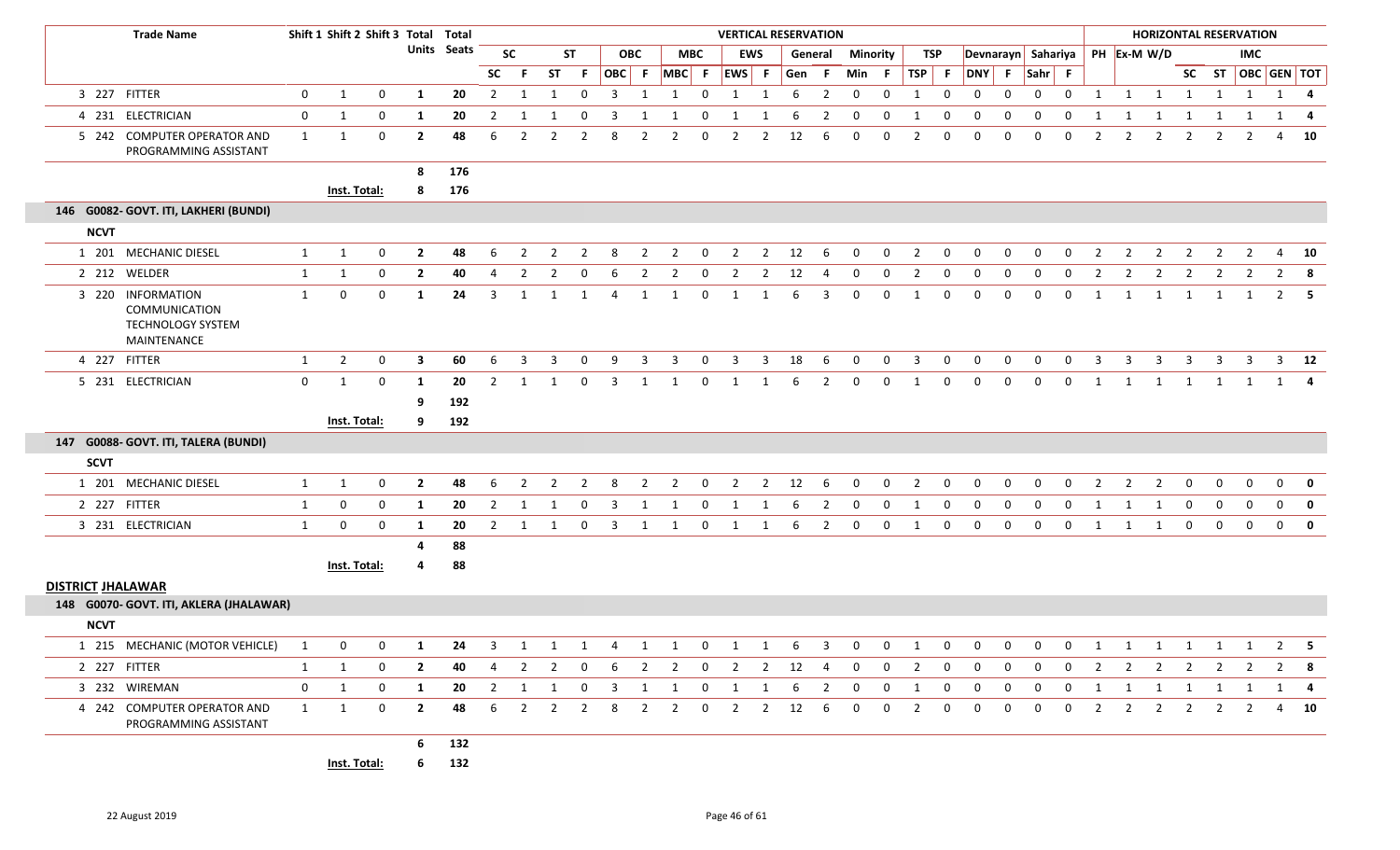|                          | <b>Trade Name</b>                                                                    |              | Shift 1 Shift 2 Shift 3 Total Total |              |                |                    |                |           |    |              |     |                |                                                |                |                         |                |      | <b>VERTICAL RESERVATION</b> |                 |              |                         |                |             |              |                    |              |                |              |                |              | <b>HORIZONTAL RESERVATION</b> |                |                                 |             |
|--------------------------|--------------------------------------------------------------------------------------|--------------|-------------------------------------|--------------|----------------|--------------------|----------------|-----------|----|--------------|-----|----------------|------------------------------------------------|----------------|-------------------------|----------------|------|-----------------------------|-----------------|--------------|-------------------------|----------------|-------------|--------------|--------------------|--------------|----------------|--------------|----------------|--------------|-------------------------------|----------------|---------------------------------|-------------|
|                          |                                                                                      |              |                                     |              |                | <b>Units Seats</b> |                | <b>SC</b> |    | <b>ST</b>    |     | <b>OBC</b>     |                                                | <b>MBC</b>     |                         | <b>EWS</b>     |      | General                     | <b>Minority</b> |              |                         | TSP            |             |              | Devnarayn Sahariya |              |                |              | PH Ex-M W/D    |              |                               | <b>IMC</b>     |                                 |             |
|                          |                                                                                      |              |                                     |              |                |                    | <b>SC</b>      | -F        |    | ST F         |     |                | OBC F MBC F EWS F                              |                |                         |                |      | Gen F                       | Min F           |              | TSP                     | F              | DNY F       |              | $Sahr$ F           |              |                |              |                |              |                               |                | SC ST   OBC   GEN   TOT         |             |
|                          | 3 227 FITTER                                                                         | 0            | 1                                   | $\mathbf{0}$ | -1             | 20                 | $\overline{2}$ | -1        | 1  | $\mathbf 0$  | 3   | 1              | 1                                              | $\mathbf{0}$   | 1                       | 1              | 6    | $\overline{2}$              | $\mathbf 0$     | 0            | 1                       | $\mathbf 0$    | 0           | 0            | 0                  | $\mathbf{0}$ | 1              | 1            | $\overline{1}$ | $\mathbf{1}$ | 1                             | $\mathbf{1}$   |                                 | 1 4         |
|                          | 4 231 ELECTRICIAN                                                                    | $\mathbf 0$  | 1                                   | $\mathbf 0$  | 1              | 20                 | $\overline{2}$ | 1         | -1 | 0            | 3   | 1              | 1                                              | 0              | -1                      | 1              | -6   | $\overline{2}$              | $\mathbf 0$     | 0            | 1                       | 0              | 0           | $\mathbf{0}$ | $\mathbf 0$        | 0            | 1              | 1            | 1              | 1            | 1                             | 1              | 1                               | -4          |
|                          | 5 242 COMPUTER OPERATOR AND<br>PROGRAMMING ASSISTANT                                 | 1            | 1                                   | 0            | $\overline{2}$ | 48                 | 6              | 2         |    | 2            | 8   |                |                                                | 0              | 2                       | 2              | 12   | -6                          | 0               | 0            | 2                       | $\Omega$       | $\Omega$    |              | 0                  |              |                |              | 2              | 2            | 2                             | 2              | 4                               | 10          |
|                          |                                                                                      |              |                                     |              | 8              | 176                |                |           |    |              |     |                |                                                |                |                         |                |      |                             |                 |              |                         |                |             |              |                    |              |                |              |                |              |                               |                |                                 |             |
|                          |                                                                                      |              | Inst. Total:                        |              | 8              | 176                |                |           |    |              |     |                |                                                |                |                         |                |      |                             |                 |              |                         |                |             |              |                    |              |                |              |                |              |                               |                |                                 |             |
|                          | 146 G0082- GOVT. ITI, LAKHERI (BUNDI)                                                |              |                                     |              |                |                    |                |           |    |              |     |                |                                                |                |                         |                |      |                             |                 |              |                         |                |             |              |                    |              |                |              |                |              |                               |                |                                 |             |
| <b>NCVT</b>              |                                                                                      |              |                                     |              |                |                    |                |           |    |              |     |                |                                                |                |                         |                |      |                             |                 |              |                         |                |             |              |                    |              |                |              |                |              |                               |                |                                 |             |
|                          | 1 201 MECHANIC DIESEL                                                                | $\mathbf{1}$ | 1                                   | 0            | $\overline{2}$ | 48                 | 6              | 2         | 2  | 2            | 8   | $\overline{2}$ | $\overline{2}$                                 | $\mathbf 0$    | 2                       | $\overline{2}$ | 12   | -6                          | 0               | 0            | $\overline{2}$          | $\mathbf 0$    | 0           | 0            | 0                  | 0            | 2              | 2            | 2              | 2            | 2                             | $\overline{2}$ | 4                               | 10          |
|                          | 2 212 WELDER                                                                         | $\mathbf{1}$ | 1                                   | 0            | $\overline{2}$ | 40                 | 4              | 2         | 2  | 0            | 6   | 2              | $\overline{2}$                                 | 0              | $\overline{2}$          | $\overline{2}$ | 12   | -4                          | 0               | 0            | $\overline{2}$          | 0              | 0           | 0            | $\mathbf{0}$       | $\mathbf{0}$ | 2              | 2            | 2              | 2            |                               |                | $\overline{2}$                  | 8           |
|                          | 3 220 INFORMATION<br><b>COMMUNICATION</b><br><b>TECHNOLOGY SYSTEM</b><br>MAINTENANCE | 1            | $\mathbf 0$                         | 0            | -1             | 24                 | 3              | 1         |    | 1            | 4   | 1              | 1                                              | $\mathbf 0$    | 1                       |                | 6    | 3                           | 0               | $\mathbf 0$  | 1                       | $\Omega$       | $\Omega$    | $\Omega$     | $\mathbf{0}$       | $\mathbf{0}$ | 1              | 1            | 1              | 1            | 1                             | 1              | $\overline{2}$                  | - 5         |
|                          | 4 227 FITTER                                                                         | $\mathbf{1}$ | $\overline{2}$                      | 0            | 3              | 60                 | 6              | 3         |    | 0            | 9   | 3              | 3                                              | 0              | 3                       | 3              | 18   | 6                           | $\mathbf 0$     | 0            | 3                       | 0              | $\Omega$    | 0            | 0                  | 0            | 3              | 3            | 3              | 3            | 3                             | -3             | 3                               | 12          |
|                          | 5 231 ELECTRICIAN                                                                    | $\mathbf 0$  | 1                                   | $\mathbf 0$  | 1              | 20                 | $\overline{2}$ | 1         |    | $\mathbf{0}$ | 3   | 1              | 1                                              | $\mathbf 0$    | 1                       |                | 6    | 2                           | $\mathbf 0$     | $\mathbf{0}$ | 1                       | $\mathbf{0}$   | 0           | $\Omega$     | $\mathbf{0}$       | $\mathbf{0}$ | 1              | 1            | -1             | 1            |                               |                |                                 |             |
|                          |                                                                                      |              |                                     |              | 9              | 192                |                |           |    |              |     |                |                                                |                |                         |                |      |                             |                 |              |                         |                |             |              |                    |              |                |              |                |              |                               |                |                                 |             |
|                          |                                                                                      |              | Inst. Total:                        |              | 9              | 192                |                |           |    |              |     |                |                                                |                |                         |                |      |                             |                 |              |                         |                |             |              |                    |              |                |              |                |              |                               |                |                                 |             |
|                          | 147 G0088- GOVT. ITI, TALERA (BUNDI)                                                 |              |                                     |              |                |                    |                |           |    |              |     |                |                                                |                |                         |                |      |                             |                 |              |                         |                |             |              |                    |              |                |              |                |              |                               |                |                                 |             |
| <b>SCVT</b>              |                                                                                      |              |                                     |              |                |                    |                |           |    |              |     |                |                                                |                |                         |                |      |                             |                 |              |                         |                |             |              |                    |              |                |              |                |              |                               |                |                                 |             |
|                          | 1 201 MECHANIC DIESEL                                                                | 1            | $\mathbf{1}$                        | $\mathbf{0}$ | $\overline{2}$ | 48                 | 6              | 2         | 2  | 2            | -8  | 2              | 2                                              | $\mathbf{0}$   | 2                       | $\overline{2}$ | 12   | -6                          | $\Omega$        | $\Omega$     | 2                       | 0              | $\Omega$    | <sup>0</sup> | $\Omega$           |              | 2              | 2            | 2              | 0            | 0                             | $\Omega$       | 0                               | 0           |
|                          | 2 227 FITTER                                                                         | 1            | $\mathbf 0$                         | 0            | 1              | 20                 | 2              | 1         |    | 0            | 3   | 1              | -1                                             | 0              | 1                       | 1              | 6    | $\overline{2}$              | -0              | $\mathbf 0$  | 1                       | $\Omega$       | $\Omega$    | $\Omega$     | $\Omega$           | $\Omega$     | 1              | -1           | -1             | $\mathbf 0$  | $\Omega$                      | $\mathbf 0$    | $\mathbf{0}$                    | $\mathbf 0$ |
|                          | 3 231 ELECTRICIAN                                                                    | $\mathbf{1}$ | $\mathbf 0$                         | 0            | 1              | 20                 | 2              | 1         |    | $\mathbf{0}$ | 3   | 1              | 1                                              | $\mathbf 0$    | 1                       | 1              | 6    | $\overline{2}$              | $\mathbf 0$     | $\mathbf 0$  | 1                       | $\mathbf 0$    | 0           | $\Omega$     | $\Omega$           | $\Omega$     | 1              | -1           | -1             | $\mathbf 0$  | $\mathbf{0}$                  | $\mathbf{0}$   | $\mathbf 0$                     | $\mathbf 0$ |
|                          |                                                                                      |              |                                     |              | 4              | 88                 |                |           |    |              |     |                |                                                |                |                         |                |      |                             |                 |              |                         |                |             |              |                    |              |                |              |                |              |                               |                |                                 |             |
|                          |                                                                                      |              | Inst. Total:                        |              | 4              | 88                 |                |           |    |              |     |                |                                                |                |                         |                |      |                             |                 |              |                         |                |             |              |                    |              |                |              |                |              |                               |                |                                 |             |
| <b>DISTRICT JHALAWAR</b> |                                                                                      |              |                                     |              |                |                    |                |           |    |              |     |                |                                                |                |                         |                |      |                             |                 |              |                         |                |             |              |                    |              |                |              |                |              |                               |                |                                 |             |
|                          | 148 G0070- GOVT. ITI, AKLERA (JHALAWAR)                                              |              |                                     |              |                |                    |                |           |    |              |     |                |                                                |                |                         |                |      |                             |                 |              |                         |                |             |              |                    |              |                |              |                |              |                               |                |                                 |             |
| <b>NCVT</b>              |                                                                                      |              |                                     |              |                |                    |                |           |    |              |     |                |                                                |                |                         |                |      |                             |                 |              |                         |                |             |              |                    |              |                |              |                |              |                               |                |                                 |             |
|                          | 1 215 MECHANIC (MOTOR VEHICLE) 1                                                     |              | $\overline{0}$                      |              | $0 \quad 1$    |                    |                |           |    |              |     |                | 24   3   1   1   4   1   1   0   1   1   6   3 |                |                         |                |      |                             |                 |              |                         |                |             |              |                    |              |                |              |                |              |                               |                | 0 0 1 0 0 0 0 0 1 1 1 1 1 1 2 5 |             |
|                          | 2 227 FITTER                                                                         | 1            | -1                                  | $\mathbf 0$  | $\overline{2}$ | 40                 |                | 4 2       |    | 2 0          | - 6 |                | 2 2 0 2 2 12 4                                 |                |                         |                |      |                             | $\overline{0}$  | $\mathbf{0}$ | $\overline{\mathbf{2}}$ | $\Omega$       | $\Omega$    | $\Omega$     | $\mathbf{0}$       | $\mathbf{0}$ | $\overline{2}$ |              |                |              |                               |                | 2 2 2 2 2 2 8                   |             |
|                          | 3 232 WIREMAN                                                                        | $\mathbf{0}$ | 1                                   | $\mathbf 0$  | 1              |                    |                |           |    |              |     |                | 20 2 1 1 0 3 1 1 0 1 1 6 2                     |                |                         |                |      |                             | $\overline{0}$  | $\mathbf{0}$ | $\overline{\mathbf{1}}$ | $\overline{0}$ | $\mathbf 0$ | $\mathbf{0}$ | $\overline{0}$     |              |                |              |                |              |                               |                | 0 1 1 1 1 1 1 1 4               |             |
|                          | 4 242 COMPUTER OPERATOR AND<br>PROGRAMMING ASSISTANT                                 | 1            | $\overline{1}$                      | $\mathbf 0$  | $\overline{2}$ | 48                 | 6              | 2         | 2  | 2            | -8  | 2              | 2                                              | $\overline{0}$ | $\overline{\mathbf{2}}$ | 2              | 12 6 |                             | $\mathbf 0$     | $\mathbf{0}$ | $\overline{2}$          | $\overline{0}$ | $\mathbf 0$ | $\mathbf 0$  | 0                  | 0            | 2              | $\mathbf{2}$ | 2              | 2            | 2                             | 2              |                                 | 4 10        |
|                          |                                                                                      |              |                                     |              | 6              | 132                |                |           |    |              |     |                |                                                |                |                         |                |      |                             |                 |              |                         |                |             |              |                    |              |                |              |                |              |                               |                |                                 |             |
|                          |                                                                                      |              | <b>Inst. Total:</b>                 |              |                | 6 132              |                |           |    |              |     |                |                                                |                |                         |                |      |                             |                 |              |                         |                |             |              |                    |              |                |              |                |              |                               |                |                                 |             |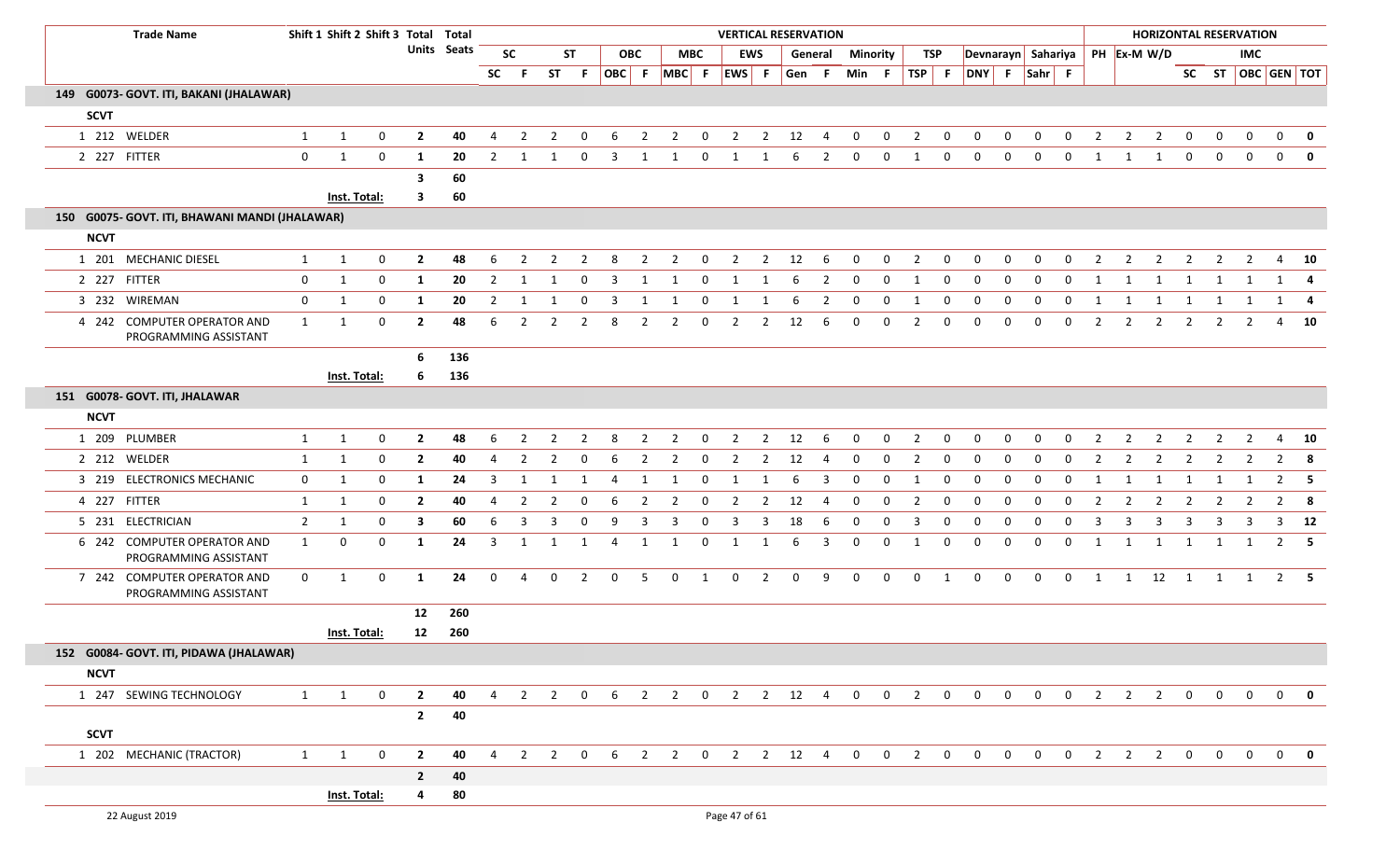| <b>Trade Name</b>                                    |                | Shift 1 Shift 2 Shift 3 Total Total |                  |                         |                    |                |                |                       |                |             |                |                               |              |                |                | <b>VERTICAL RESERVATION</b> |                |             |             |                     |             |                    |              |                     |              |                |                |                        |                       |                | <b>HORIZONTAL RESERVATION</b> |              |              |
|------------------------------------------------------|----------------|-------------------------------------|------------------|-------------------------|--------------------|----------------|----------------|-----------------------|----------------|-------------|----------------|-------------------------------|--------------|----------------|----------------|-----------------------------|----------------|-------------|-------------|---------------------|-------------|--------------------|--------------|---------------------|--------------|----------------|----------------|------------------------|-----------------------|----------------|-------------------------------|--------------|--------------|
|                                                      |                |                                     |                  |                         | <b>Units</b> Seats |                | <b>SC</b>      |                       | <b>ST</b>      |             | <b>OBC</b>     |                               | <b>MBC</b>   |                | <b>EWS</b>     |                             | General        | Minority    |             |                     | TSP         | Devnarayn Sahariya |              |                     |              |                | PH Ex-M W/D    |                        |                       |                | <b>IMC</b>                    |              |              |
|                                                      |                |                                     |                  |                         |                    | <b>SC</b>      | - F            |                       | ST F           |             |                | $ OBC $ F $ MBC $ F $ EWS $ F |              |                |                | Gen F                       |                | Min F       |             | TSP F               |             | DNY F Sahr F       |              |                     |              |                |                |                        |                       |                | SC ST OBC GEN TOT             |              |              |
| 149 G0073- GOVT. ITI, BAKANI (JHALAWAR)              |                |                                     |                  |                         |                    |                |                |                       |                |             |                |                               |              |                |                |                             |                |             |             |                     |             |                    |              |                     |              |                |                |                        |                       |                |                               |              |              |
| <b>SCVT</b>                                          |                |                                     |                  |                         |                    |                |                |                       |                |             |                |                               |              |                |                |                             |                |             |             |                     |             |                    |              |                     |              |                |                |                        |                       |                |                               |              |              |
| 1 212 WELDER                                         | $\mathbf{1}$   | 1                                   | $\mathbf 0$      | $\overline{2}$          | 40                 | $\overline{4}$ | $\overline{2}$ | $\overline{2}$        | $\mathbf 0$    | 6           | $\overline{2}$ | $\overline{2}$                | $\mathbf{0}$ | $\overline{2}$ |                | $2 \t 12$                   | $\overline{4}$ | $\mathbf 0$ | $\bf{0}$    | $\overline{2}$      | $\mathbf 0$ | $\mathbf{0}$       | $\mathbf 0$  | $\mathbf 0$         | $\mathbf{0}$ | $\overline{2}$ | $\overline{2}$ | $\overline{2}$         | $\mathbf 0$           | $\mathbf 0$    | $\overline{0}$                | $\mathbf 0$  | $\mathbf{0}$ |
| 2 227 FITTER                                         | $\mathbf 0$    | $\mathbf{1}$                        | $\mathbf 0$      | 1                       | 20                 | 2              | 1              |                       | 0              | 3           | 1              | 1                             | 0            | 1              | 1              | 6                           | $\overline{2}$ | $\mathbf 0$ | $\mathbf 0$ | $\overline{1}$      | $\mathbf 0$ | $\mathbf 0$        | 0            | $\mathbf 0$         | $\mathbf 0$  | 1              | 1              | 1                      | $\mathbf 0$           | $\mathbf 0$    | $\mathbf 0$                   | $\mathbf{0}$ | $\mathbf 0$  |
|                                                      |                |                                     |                  | 3                       | 60                 |                |                |                       |                |             |                |                               |              |                |                |                             |                |             |             |                     |             |                    |              |                     |              |                |                |                        |                       |                |                               |              |              |
|                                                      |                | Inst. Total:                        |                  | $\mathbf{3}$            | 60                 |                |                |                       |                |             |                |                               |              |                |                |                             |                |             |             |                     |             |                    |              |                     |              |                |                |                        |                       |                |                               |              |              |
| 150 G0075- GOVT. ITI, BHAWANI MANDI (JHALAWAR)       |                |                                     |                  |                         |                    |                |                |                       |                |             |                |                               |              |                |                |                             |                |             |             |                     |             |                    |              |                     |              |                |                |                        |                       |                |                               |              |              |
| <b>NCVT</b>                                          |                |                                     |                  |                         |                    |                |                |                       |                |             |                |                               |              |                |                |                             |                |             |             |                     |             |                    |              |                     |              |                |                |                        |                       |                |                               |              |              |
| 1 201 MECHANIC DIESEL                                | 1              | 1                                   | 0                | $\mathbf{2}$            | 48                 | 6              | 2              | 2                     | 2              | 8           | $\overline{2}$ | $\overline{2}$                | 0            | $\overline{2}$ | $\overline{2}$ | 12                          | -6             | $\mathbf 0$ | $\mathbf 0$ | $\overline{2}$      | $\mathbf 0$ | $\mathbf{0}$       | $\mathbf{0}$ | $\mathbf 0$         | $\mathbf 0$  | 2              | $\overline{2}$ | $\overline{2}$         | $\overline{2}$        | $\overline{2}$ | $\mathbf{2}$                  | 4            | 10           |
| 2 227 FITTER                                         | $\mathbf 0$    | 1                                   | $\mathbf 0$      | 1                       | 20                 | $\overline{2}$ | 1              | 1                     | 0              | 3           | 1              | 1                             | $\mathbf{0}$ | 1              | 1              | 6                           | $\overline{2}$ | $\mathbf 0$ | $\mathbf 0$ | 1                   | 0           | $\mathbf 0$        | $\mathbf{0}$ | 0                   | $\mathbf{0}$ | 1              | 1              | 1                      | 1                     | 1              | 1                             |              | $1 \quad 4$  |
| 3 232 WIREMAN                                        | $\mathbf{0}$   | 1                                   | 0                | -1                      | 20                 | $\overline{2}$ | -1             |                       | $\Omega$       | 3           |                |                               | $\Omega$     | 1              | -1             |                             | 2              | 0           | 0           | -1                  | 0           | 0                  | 0            | $\Omega$            | $\Omega$     | 1              | 1              | 1                      | 1                     | 1              | 1                             |              | 1 4          |
| 4 242 COMPUTER OPERATOR AND<br>PROGRAMMING ASSISTANT | $\mathbf{1}$   | $\mathbf{1}$                        | $\mathbf 0$      | $\mathbf{2}$            | 48                 | 6              | $\overline{2}$ | 2                     | 2              | 8           | $\overline{2}$ | $\overline{2}$                | 0            | $\overline{2}$ | $\overline{2}$ | 12                          | 6              | 0           | 0           | $\overline{2}$      | 0           | 0                  | $\Omega$     | 0                   | $\mathbf{0}$ | $\overline{2}$ | $\overline{2}$ | $\overline{2}$         | 2                     | 2              | 2                             | 4            | 10           |
|                                                      |                |                                     |                  | 6                       | 136                |                |                |                       |                |             |                |                               |              |                |                |                             |                |             |             |                     |             |                    |              |                     |              |                |                |                        |                       |                |                               |              |              |
|                                                      |                | Inst. Total:                        |                  | 6                       | 136                |                |                |                       |                |             |                |                               |              |                |                |                             |                |             |             |                     |             |                    |              |                     |              |                |                |                        |                       |                |                               |              |              |
| 151 G0078- GOVT. ITI, JHALAWAR                       |                |                                     |                  |                         |                    |                |                |                       |                |             |                |                               |              |                |                |                             |                |             |             |                     |             |                    |              |                     |              |                |                |                        |                       |                |                               |              |              |
| <b>NCVT</b>                                          |                |                                     |                  |                         |                    |                |                |                       |                |             |                |                               |              |                |                |                             |                |             |             |                     |             |                    |              |                     |              |                |                |                        |                       |                |                               |              |              |
| 1 209 PLUMBER                                        | 1              | 1                                   | $\mathbf 0$      | $\overline{2}$          | 48                 | 6              | $\overline{2}$ | 2                     | 2              | 8           | 2              | 2                             | $\mathbf{0}$ | $\overline{2}$ | $\overline{2}$ | 12                          | 6              | $\mathbf 0$ | 0           | $\overline{2}$      | 0           | 0                  | 0            | $\Omega$            | 0            | $\overline{2}$ | $\overline{2}$ | 2                      | $\overline{2}$        | 2              | 2                             | 4            | 10           |
| 2 212 WELDER                                         | $\mathbf{1}$   | 1                                   | 0                | $\mathbf{2}$            | 40                 | 4              | $\overline{2}$ | $\overline{2}$        | 0              | 6           | $\overline{2}$ | $\overline{2}$                | 0            | $\overline{2}$ | $\overline{2}$ | 12                          | 4              | $\mathbf 0$ | $\mathbf 0$ | 2                   | 0           | $\mathbf{0}$       | $\mathbf{0}$ | $\mathbf 0$         | 0            | 2              | $\overline{2}$ | $\overline{2}$         | $\overline{2}$        | 2              | $\mathbf{2}$                  |              | $2 \times 8$ |
| 3 219 ELECTRONICS MECHANIC                           | $\mathbf 0$    | 1                                   | 0                | 1                       | 24                 | 3              | 1              | -1                    | 1              | -4          | 1              | 1                             | $\mathbf 0$  | 1              | 1              | 6                           | 3              | $\mathbf 0$ | 0           | 1                   | 0           | $\mathbf{0}$       | 0            | $\mathbf 0$         | $\mathbf{0}$ | 1              | 1              | 1                      | 1                     | 1              | 1                             |              | $2 \quad 5$  |
| 4 227 FITTER                                         | $\mathbf{1}$   | 1                                   | 0                | $\mathbf{2}$            | 40                 | 4              | 2              | $\overline{2}$        | 0              | 6           | 2              | $\overline{2}$                | 0            | $\overline{2}$ | $\overline{2}$ | 12                          | 4              | 0           | $\mathbf 0$ | 2                   | 0           | 0                  | 0            | 0                   | 0            | $\overline{2}$ | $\overline{2}$ | $\overline{2}$         | $\overline{2}$        | 2              | $\mathbf{2}$                  |              | $2 \times 8$ |
| 5 231 ELECTRICIAN                                    | $\overline{2}$ | 1                                   | $\mathbf 0$      | $\overline{\mathbf{3}}$ | 60                 | 6              | 3              | 3                     | $\mathbf 0$    | 9           | 3              | 3                             | 0            | 3              | 3              | 18                          | 6              | 0           | $\mathbf 0$ | 3                   | 0           | 0                  | 0            | 0                   | 0            | 3              | 3              | 3                      | 3                     | 3              | 3                             |              | $3$ 12       |
| 6 242 COMPUTER OPERATOR AND<br>PROGRAMMING ASSISTANT | 1              | $\mathbf 0$                         | $\mathbf 0$      | 1                       | 24                 | 3              | 1              | -1                    | 1              | -4          | 1              | 1                             | $\mathbf{0}$ | 1              | 1              | 6                           | 3              | 0           | 0           | 1                   | 0           | 0                  | 0            | 0                   | 0            | 1              | 1              | 1                      | 1                     | 1              | 1                             |              | $2 \quad 5$  |
| 7 242 COMPUTER OPERATOR AND<br>PROGRAMMING ASSISTANT | $\mathbf{0}$   | 1                                   | $\boldsymbol{0}$ | $\mathbf{1}$            | 24                 | $\overline{0}$ | 4              | $\mathbf{0}$          | $\overline{2}$ | $\mathbf 0$ | 5              | $\mathbf 0$                   | $\mathbf{1}$ | $\mathbf 0$    | $\overline{2}$ | $\mathbf{0}$                | 9              | $\mathbf 0$ | $\mathbf 0$ | $\mathbf{0}$        | 1           | $\overline{0}$     | $\mathbf{0}$ | $\overline{0}$      | $\mathbf{0}$ | 1              |                | $1 \qquad 12 \qquad 1$ |                       |                | 1 1                           |              | $2 \quad 5$  |
|                                                      |                |                                     |                  | 12                      | 260                |                |                |                       |                |             |                |                               |              |                |                |                             |                |             |             |                     |             |                    |              |                     |              |                |                |                        |                       |                |                               |              |              |
|                                                      |                | Inst. Total:                        |                  | 12                      | 260                |                |                |                       |                |             |                |                               |              |                |                |                             |                |             |             |                     |             |                    |              |                     |              |                |                |                        |                       |                |                               |              |              |
| 152 G0084- GOVT. ITI, PIDAWA (JHALAWAR)              |                |                                     |                  |                         |                    |                |                |                       |                |             |                |                               |              |                |                |                             |                |             |             |                     |             |                    |              |                     |              |                |                |                        |                       |                |                               |              |              |
| <b>NCVT</b>                                          |                |                                     |                  |                         |                    |                |                |                       |                |             |                |                               |              |                |                |                             |                |             |             |                     |             |                    |              |                     |              |                |                |                        |                       |                |                               |              |              |
| 1 247 SEWING TECHNOLOGY                              | 1              | 1                                   | $\mathbf 0$      | $\overline{2}$          | 40                 |                |                |                       |                |             |                |                               |              |                |                |                             |                |             |             |                     |             |                    |              |                     |              |                |                |                        |                       |                |                               |              |              |
|                                                      |                |                                     |                  | $\overline{2}$          | 40                 |                |                |                       |                |             |                |                               |              |                |                |                             |                |             |             |                     |             |                    |              |                     |              |                |                |                        |                       |                |                               |              |              |
| <b>SCVT</b>                                          |                |                                     |                  |                         |                    |                |                |                       |                |             |                |                               |              |                |                |                             |                |             |             |                     |             |                    |              |                     |              |                |                |                        |                       |                |                               |              |              |
| 1 202 MECHANIC (TRACTOR)                             | $\mathbf{1}$   | $\mathbf{1}$                        | $\mathbf 0$      | $\overline{2}$          | 40                 | $\overline{4}$ |                | $2 \qquad 2 \qquad 0$ |                |             |                | 6 2 2 0 2 2 12 4 0            |              |                |                |                             |                |             |             | $0\qquad 2\qquad 0$ |             | $\overline{0}$     |              | $0\qquad 0\qquad 0$ |              | $\overline{2}$ |                |                        | $2 \qquad 2 \qquad 0$ |                | $0\quad 0\quad 0\quad 0$      |              |              |
|                                                      |                |                                     |                  | $\overline{2}$          | 40                 |                |                |                       |                |             |                |                               |              |                |                |                             |                |             |             |                     |             |                    |              |                     |              |                |                |                        |                       |                |                               |              |              |
|                                                      |                | Inst. Total:                        |                  | 4                       | 80                 |                |                |                       |                |             |                |                               |              |                |                |                             |                |             |             |                     |             |                    |              |                     |              |                |                |                        |                       |                |                               |              |              |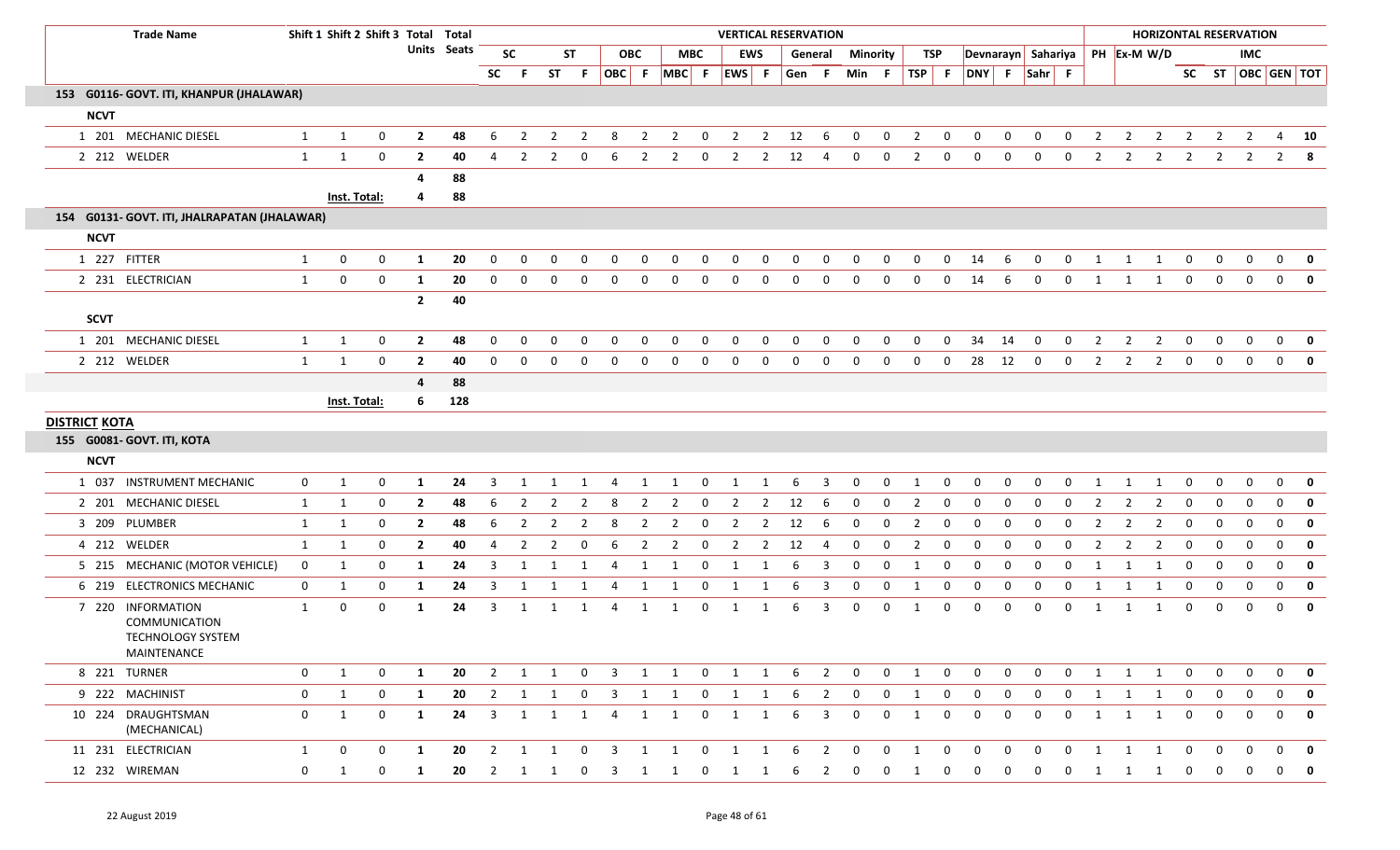|                      | <b>Trade Name</b>                                               |              |              | Shift 1 Shift 2 Shift 3 Total Total |                |             |                |                |                |                         |                         |                |                   |                         |                         |                | <b>VERTICAL RESERVATION</b> |                |              |                |                |              |                    |              |                |              |                |                |                         |                | <b>HORIZONTAL RESERVATION</b> |                |                |                         |
|----------------------|-----------------------------------------------------------------|--------------|--------------|-------------------------------------|----------------|-------------|----------------|----------------|----------------|-------------------------|-------------------------|----------------|-------------------|-------------------------|-------------------------|----------------|-----------------------------|----------------|--------------|----------------|----------------|--------------|--------------------|--------------|----------------|--------------|----------------|----------------|-------------------------|----------------|-------------------------------|----------------|----------------|-------------------------|
|                      |                                                                 |              |              |                                     |                | Units Seats |                | <b>SC</b>      |                | <b>ST</b>               |                         | <b>OBC</b>     |                   | MBC                     |                         | <b>EWS</b>     |                             | General        | Minority     |                | TSP            |              | Devnarayn Sahariya |              |                |              |                | PH Ex-M W/D    |                         |                |                               | IMC.           |                |                         |
|                      |                                                                 |              |              |                                     |                |             | <b>SC</b>      | -F.            |                | ST F                    |                         |                | OBC F MBC F EWS F |                         |                         |                | Gen F Min F                 |                |              |                | $TSP$ F        |              | DNY F Sahr F       |              |                |              |                |                |                         |                |                               |                |                | SC ST   OBC   GEN   TOT |
|                      | 153 G0116- GOVT. ITI, KHANPUR (JHALAWAR)                        |              |              |                                     |                |             |                |                |                |                         |                         |                |                   |                         |                         |                |                             |                |              |                |                |              |                    |              |                |              |                |                |                         |                |                               |                |                |                         |
| <b>NCVT</b>          |                                                                 |              |              |                                     |                |             |                |                |                |                         |                         |                |                   |                         |                         |                |                             |                |              |                |                |              |                    |              |                |              |                |                |                         |                |                               |                |                |                         |
|                      | 1 201 MECHANIC DIESEL                                           | $\mathbf{1}$ | $\mathbf{1}$ | 0                                   | $\overline{2}$ | 48          | 6              | $\overline{2}$ | $\overline{2}$ | $\overline{2}$          | 8                       | $\overline{2}$ | $\overline{2}$    | $\mathbf{0}$            | $\overline{2}$          | $\overline{2}$ | 12                          | 6              | $\mathbf 0$  | $\mathbf 0$    | $\overline{2}$ | $\mathbf{0}$ | 0                  | $\mathbf 0$  | $\mathbf 0$    | 0            | $\overline{2}$ | $\overline{2}$ | $\overline{2}$          | $\overline{2}$ | $\overline{2}$                | $\overline{2}$ | 4              | 10                      |
|                      | 2 212 WELDER                                                    | $\mathbf{1}$ | $\mathbf{1}$ | $\mathbf{0}$                        | $\overline{2}$ | 40          | 4              | $\overline{2}$ | $\mathbf{2}$   | $\mathbf{0}$            | 6                       | 2              | $\mathbf{2}$      | $\mathbf{0}$            | $\overline{2}$          | $\overline{2}$ | 12                          | 4              | $\mathbf 0$  | $\mathbf 0$    | $\overline{2}$ | $\mathbf 0$  | 0                  | $\mathbf{0}$ | $\mathbf 0$    | $\mathbf{0}$ | $\overline{2}$ | $2^{\circ}$    | $\overline{2}$          | $\overline{2}$ | $\overline{2}$                | $\overline{2}$ |                | $2 \times 8$            |
|                      |                                                                 |              |              |                                     | -4             | 88          |                |                |                |                         |                         |                |                   |                         |                         |                |                             |                |              |                |                |              |                    |              |                |              |                |                |                         |                |                               |                |                |                         |
|                      |                                                                 |              | Inst. Total: |                                     | 4              | 88          |                |                |                |                         |                         |                |                   |                         |                         |                |                             |                |              |                |                |              |                    |              |                |              |                |                |                         |                |                               |                |                |                         |
|                      | 154 G0131- GOVT. ITI, JHALRAPATAN (JHALAWAR)                    |              |              |                                     |                |             |                |                |                |                         |                         |                |                   |                         |                         |                |                             |                |              |                |                |              |                    |              |                |              |                |                |                         |                |                               |                |                |                         |
| <b>NCVT</b>          |                                                                 |              |              |                                     |                |             |                |                |                |                         |                         |                |                   |                         |                         |                |                             |                |              |                |                |              |                    |              |                |              |                |                |                         |                |                               |                |                |                         |
| 1 227 FITTER         |                                                                 | $\mathbf{1}$ | $\mathbf 0$  | $\mathbf 0$                         | <b>1</b>       | 20          | $\mathbf{0}$   | $\Omega$       | $\mathbf 0$    | $\mathbf 0$             | $\mathbf 0$             | 0              | $\mathbf 0$       | $\mathbf 0$             | $\mathbf 0$             | $\mathbf 0$    | $\mathbf 0$                 | $\mathbf 0$    | $\mathbf 0$  | $\mathbf 0$    | $\mathbf 0$    | $\mathbf 0$  | 14                 | 6            | $\mathbf 0$    | $\mathbf{0}$ | $\mathbf{1}$   | $\mathbf{1}$   | $\overline{\mathbf{1}}$ | $\bf{0}$       | $\mathbf 0$                   | $\mathbf 0$    | $\mathbf 0$    | 0                       |
|                      | 2 231 ELECTRICIAN                                               | $\mathbf{1}$ | $\mathbf 0$  | $\mathbf 0$                         | 1              | 20          | $\Omega$       | $\Omega$       | $\Omega$       | $\mathbf{0}$            | $\Omega$                | 0              | $\Omega$          | $\mathbf{0}$            | $\mathbf 0$             | $\mathbf{0}$   | $\mathbf 0$                 | $\mathbf 0$    | 0            | $\mathbf 0$    | 0              | $\mathbf{0}$ | 14                 | -6           | $\mathbf 0$    | $\mathbf{0}$ | 1              | 1              | 1                       | $\mathbf 0$    | $\mathbf 0$                   | $\mathbf 0$    | $\overline{0}$ | $\mathbf 0$             |
|                      |                                                                 |              |              |                                     | $\overline{2}$ | 40          |                |                |                |                         |                         |                |                   |                         |                         |                |                             |                |              |                |                |              |                    |              |                |              |                |                |                         |                |                               |                |                |                         |
| <b>SCVT</b>          |                                                                 |              |              |                                     |                |             |                |                |                |                         |                         |                |                   |                         |                         |                |                             |                |              |                |                |              |                    |              |                |              |                |                |                         |                |                               |                |                |                         |
|                      | 1 201 MECHANIC DIESEL                                           | $\mathbf{1}$ | $\mathbf{1}$ | 0                                   | $\overline{2}$ | 48          | $\mathbf{0}$   | $\Omega$       | 0              | 0                       | 0                       | 0              | $\mathbf 0$       | $\mathbf 0$             | 0                       | 0              | 0                           | 0              | 0            | $\mathbf 0$    | $\mathbf 0$    | $\mathbf{0}$ | 34                 | 14           | $\mathbf 0$    | 0            | $\overline{2}$ | $\overline{2}$ | $\overline{2}$          | $\mathbf 0$    | $\mathbf{0}$                  | $\mathbf 0$    | $\mathbf 0$    | 0                       |
|                      | 2 212 WELDER                                                    | $\mathbf{1}$ | 1            | $\mathbf 0$                         | $\overline{2}$ | 40          | $\mathbf{0}$   | $\Omega$       | $\Omega$       | $\mathbf 0$             | $\mathbf 0$             | 0              | $\Omega$          | $\mathbf 0$             | $\mathbf{0}$            | 0              | $\mathbf 0$                 | $\mathbf 0$    | $\mathbf{0}$ | $\mathbf 0$    | $\mathbf 0$    | $\mathbf{0}$ | 28                 | 12           | $\mathbf{0}$   | $\mathbf{0}$ | 2              | $\mathbf{2}$   | $\overline{2}$          | $\mathbf{0}$   | $\mathbf{0}$                  | $\mathbf{0}$   | $\mathbf 0$    | $\mathbf 0$             |
|                      |                                                                 |              |              |                                     | $\overline{4}$ | 88          |                |                |                |                         |                         |                |                   |                         |                         |                |                             |                |              |                |                |              |                    |              |                |              |                |                |                         |                |                               |                |                |                         |
|                      |                                                                 |              | Inst. Total: |                                     | 6              | 128         |                |                |                |                         |                         |                |                   |                         |                         |                |                             |                |              |                |                |              |                    |              |                |              |                |                |                         |                |                               |                |                |                         |
| <b>DISTRICT KOTA</b> | 155 G0081- GOVT. ITI, KOTA                                      |              |              |                                     |                |             |                |                |                |                         |                         |                |                   |                         |                         |                |                             |                |              |                |                |              |                    |              |                |              |                |                |                         |                |                               |                |                |                         |
| <b>NCVT</b>          |                                                                 |              |              |                                     |                |             |                |                |                |                         |                         |                |                   |                         |                         |                |                             |                |              |                |                |              |                    |              |                |              |                |                |                         |                |                               |                |                |                         |
|                      | 1 037 INSTRUMENT MECHANIC                                       | $\mathbf 0$  | $\mathbf{1}$ | 0                                   | 1              | 24          | 3              | 1              | 1              | 1                       | 4                       | 1              | 1                 | $\mathbf{0}$            | 1                       | 1              | 6                           | 3              | $\mathbf 0$  | 0              | 1              | $\mathbf 0$  | 0                  | 0            | 0              | 0            | 1              | -1             | -1                      | 0              | 0                             | $\mathbf 0$    | 0              | 0                       |
|                      | 2 201 MECHANIC DIESEL                                           | $\mathbf{1}$ | 1            | 0                                   | $\overline{2}$ | 48          | 6              | 2              | 2              | 2                       | 8                       | 2              | $\overline{2}$    | 0                       | $\overline{2}$          | $\overline{2}$ | 12                          | 6              | 0            | 0              | $\overline{2}$ | 0            | 0                  | 0            | 0              | 0            | 2              | 2              | $\overline{2}$          | 0              | 0                             | 0              | $\mathbf{0}$   | $\mathbf 0$             |
|                      | 3 209 PLUMBER                                                   | $\mathbf{1}$ | 1            | 0                                   | $\overline{2}$ | 48          | 6              | $\overline{2}$ | $\mathbf{2}$   | $\overline{2}$          | 8                       | $\overline{2}$ | $\overline{2}$    | $\mathbf{0}$            | $\overline{2}$          | $\overline{2}$ | 12                          | -6             | $\mathbf 0$  | $\mathbf 0$    | 2              | 0            | 0                  | 0            | 0              | 0            | 2              | $\mathbf{2}$   | $\overline{2}$          | 0              | 0                             | $\mathbf 0$    | $\mathbf{0}$   | $\mathbf 0$             |
|                      | 4 212 WELDER                                                    | $\mathbf{1}$ | 1            | $\mathbf{0}$                        | $\overline{2}$ | 40          | 4              | $\overline{2}$ | $\overline{2}$ | $\mathbf{0}$            | 6                       | $\overline{2}$ | $\overline{2}$    | $\mathbf{0}$            | $\overline{2}$          | $\overline{2}$ | 12                          | 4              | $\mathbf 0$  | $\mathbf 0$    | 2              | 0            | 0                  | 0            | $\mathbf{0}$   | $\mathbf{0}$ | $\overline{2}$ | 2              | $\overline{2}$          | $\mathbf 0$    | $\mathbf{0}$                  | $\mathbf 0$    | $\mathbf 0$    | $\mathbf 0$             |
|                      | 5 215 MECHANIC (MOTOR VEHICLE)                                  | 0            | 1            | 0                                   | 1              | 24          | 3              | 1              |                | 1                       | 4                       | 1              | 1                 | $\mathbf 0$             | 1                       | 1              | -6                          | 3              | 0            | $\mathbf 0$    | 1              | $\Omega$     | $\Omega$           | <sup>0</sup> | 0              | $\Omega$     | 1              | 1              | 1                       | $\mathbf 0$    | 0                             | $\Omega$       | $\mathbf 0$    | 0                       |
|                      | 6 219 ELECTRONICS MECHANIC                                      | $\mathbf 0$  | 1            | 0                                   | 1              | 24          | 3              | 1              | 1              | 1                       | 4                       | 1              | 1                 | $\mathbf{0}$            | 1                       | 1              | 6                           | 3              | 0            | 0              | 1              | $\mathbf 0$  | $\mathbf 0$        | 0            | 0              | 0            | 1              | 1              | 1                       | 0              | 0                             | 0              | $\mathbf 0$    | $\mathbf 0$             |
|                      | 7 220 INFORMATION                                               | 1            | $\mathbf 0$  | 0                                   | 1              | 24          | 3              | 1              | 1              | 1                       | 4                       | 1              | 1                 | $\mathbf 0$             | 1                       | 1              | 6                           | 3              | 0            | $\mathbf 0$    | 1              | $\mathbf{0}$ | $\Omega$           | $\Omega$     | $\mathbf{0}$   | $\mathbf{0}$ | 1              | 1              | 1                       | $\mathbf 0$    | $\mathbf{0}$                  | $\mathbf{0}$   | $\mathbf 0$    | 0                       |
|                      | <b>COMMUNICATION</b><br><b>TECHNOLOGY SYSTEM</b><br>MAINTENANCE |              |              |                                     |                |             |                |                |                |                         |                         |                |                   |                         |                         |                |                             |                |              |                |                |              |                    |              |                |              |                |                |                         |                |                               |                |                |                         |
|                      | 8 221 TURNER                                                    | 0            | 1            | $\mathbf 0$                         | 1              | 20          | $\overline{2}$ | 1              | $\mathbf{1}$   | $\overline{0}$          | $\overline{\mathbf{3}}$ | $\mathbf{1}$   | $\overline{1}$    | $\overline{\mathbf{0}}$ | $\overline{\mathbf{1}}$ | 1              | 6                           | $\overline{2}$ | $\mathbf{0}$ | $\mathbf{0}$   | 1              | $\mathbf 0$  | $\mathbf{0}$       | $\mathbf{0}$ | $\mathbf 0$    | $\mathbf 0$  | 1              | $\mathbf{1}$   | $\overline{1}$          | $\mathbf 0$    | 0                             | $\mathbf 0$    | $\overline{0}$ | 0                       |
|                      | 9 222 MACHINIST                                                 | 0            | 1            | $\mathbf{0}$                        | 1              | 20          | $\overline{2}$ | $\overline{1}$ | 1              | $\overline{0}$          | $\overline{\mathbf{3}}$ | 1              | $\overline{1}$    | $\overline{0}$          | $\overline{1}$          | 1              | 6                           | $\overline{2}$ | $\mathbf{0}$ | $\mathbf 0$    | 1              | $\mathbf{0}$ | 0                  | 0            | $\mathbf 0$    | $\mathbf 0$  | 1              | $\mathbf{1}$   | $\overline{1}$          | $\mathbf{0}$   | $\mathbf{0}$                  | $\bf{0}$       | $\mathbf{0}$   | $\mathbf{0}$            |
|                      | 10 224 DRAUGHTSMAN<br>(MECHANICAL)                              | $\mathbf{0}$ | 1            | $\mathbf 0$                         | 1              | 24          | $\overline{3}$ | 1              | 1              | $\overline{\mathbf{1}}$ | 4                       | 1              | 1                 | $\mathbf 0$             | 1                       | 1              | 6                           | $\overline{3}$ | $\mathbf 0$  | $\mathbf 0$    | 1              | $\mathbf 0$  | $\mathbf 0$        | $\mathbf 0$  | $\mathbf 0$    | 0            | 1              | 1              | $\mathbf{1}$            | $\mathbf 0$    | $\mathbf{0}$                  | $\mathbf{0}$   | $\mathbf{0}$   | 0                       |
|                      | 11 231 ELECTRICIAN                                              | $\mathbf{1}$ | $\mathbf 0$  | $\mathbf{0}$                        | 1              | 20          | $\overline{2}$ | $\mathbf{1}$   | $\mathbf{1}$   | $\overline{\mathbf{0}}$ | $\overline{\mathbf{3}}$ |                | 1 1               | $\overline{0}$          | $\mathbf{1}$            | 1              | 6                           | $\overline{2}$ | $\mathbf{0}$ | $\overline{0}$ | $\overline{1}$ | $\mathbf{0}$ | $\mathbf 0$        | $\mathbf{0}$ | $\overline{0}$ | $\mathbf{0}$ | 1              | $\mathbf{1}$   | $\overline{\mathbf{1}}$ | $\mathbf{0}$   | $\mathbf{0}$                  | $\mathbf 0$    | $\overline{0}$ | 0                       |
|                      | 12 232 WIREMAN                                                  | 0            | -1           | $\mathbf{0}$                        | 1              | 20          | $\overline{2}$ | $\mathbf{1}$   | 1              | $\mathbf 0$             | 3                       | 1              | 1                 | $\mathbf{0}$            | 1                       | 1              | 6                           | $\overline{2}$ | $\mathbf 0$  | $\mathbf 0$    | 1              | $\mathbf 0$  | $\mathbf 0$        | $\mathbf 0$  | $\overline{0}$ | $\mathbf 0$  | 1              | 1              | 1                       | $\mathbf{0}$   | $\mathbf 0$                   | $\mathbf{0}$   |                | $0$ 0                   |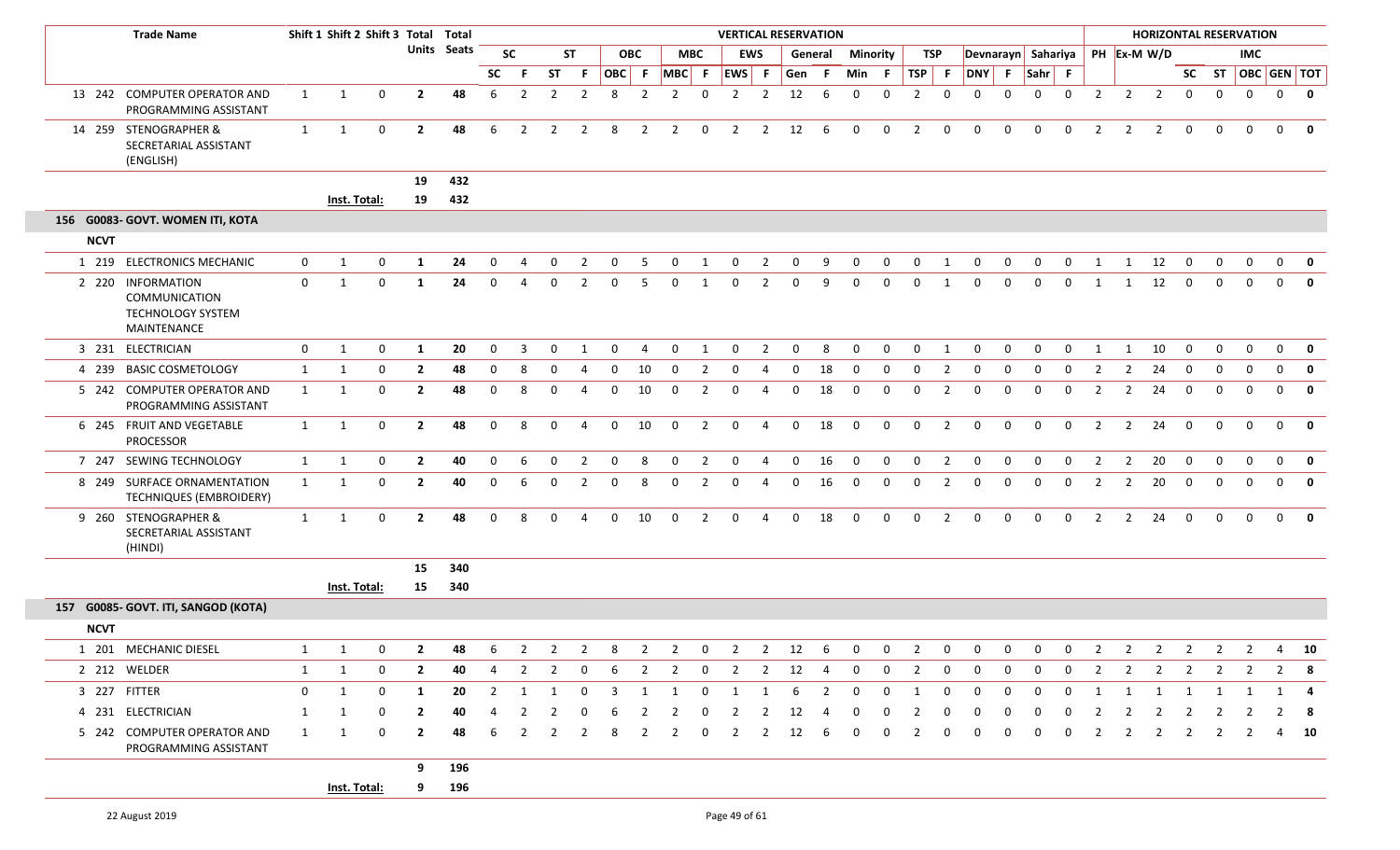|             | <b>Trade Name</b>                                                                    |              | Shift 1 Shift 2 Shift 3 Total Total |              |                |             |                |                |                |                          |                |                |                |                         | <b>VERTICAL RESERVATION</b> |                |              |                |                 |                         |                |                |              |             |              |              |                         |                                  | <b>HORIZONTAL RESERVATION</b> |                |                |              |                         |              |
|-------------|--------------------------------------------------------------------------------------|--------------|-------------------------------------|--------------|----------------|-------------|----------------|----------------|----------------|--------------------------|----------------|----------------|----------------|-------------------------|-----------------------------|----------------|--------------|----------------|-----------------|-------------------------|----------------|----------------|--------------|-------------|--------------|--------------|-------------------------|----------------------------------|-------------------------------|----------------|----------------|--------------|-------------------------|--------------|
|             |                                                                                      |              |                                     |              |                | Units Seats |                | <b>SC</b>      |                | <b>ST</b>                |                | <b>OBC</b>     |                | <b>MBC</b>              |                             | <b>EWS</b>     |              | General        | <b>Minority</b> |                         | TSP            |                |              |             |              |              |                         | Devnarayn Sahariya   PH Ex-M W/D |                               |                |                | <b>IMC</b>   |                         |              |
|             |                                                                                      |              |                                     |              |                |             | <b>SC</b>      | -F             | <b>ST</b>      | -F.                      |                |                |                |                         | OBC F MBC F EWS F           |                | Gen          | -F.            | Min F           |                         | $TSP$ F        |                | DNY F Sahr F |             |              |              |                         |                                  |                               |                |                |              | SC ST   OBC   GEN   TOT |              |
|             | 13 242 COMPUTER OPERATOR AND<br>PROGRAMMING ASSISTANT                                | 1            | 1                                   | 0            | $\mathbf{2}$   | 48          | 6              | $\overline{2}$ | $\overline{2}$ | $\overline{2}$           | 8              | $\overline{2}$ | $\overline{2}$ | $\overline{0}$          | $\overline{2}$              | $\overline{2}$ | 12           | 6              | $\mathbf{0}$    | $\mathbf{0}$            | $\overline{2}$ | $\mathbf 0$    | $\mathbf{0}$ | 0           | $\mathbf{0}$ | $\mathbf 0$  | $\overline{2}$          | $\overline{2}$                   | $\overline{2}$                | $\mathbf{0}$   | $\mathbf 0$    | $\mathbf{0}$ | $0$ 0                   |              |
|             | 14 259 STENOGRAPHER &<br>SECRETARIAL ASSISTANT<br>(ENGLISH)                          | 1            | $\mathbf{1}$                        | $\mathbf 0$  | $\overline{2}$ | 48          | 6              | $\overline{2}$ | $\overline{2}$ | $\overline{2}$           | 8              | $\overline{2}$ | $\overline{2}$ | $\mathbf 0$             | $\overline{2}$              | $\overline{2}$ | 12           | 6              | $\mathbf{0}$    | $\mathbf{0}$            | 2              | $\mathbf 0$    | 0            | 0           | $\mathbf 0$  | $\mathbf 0$  | $\overline{2}$          | $\overline{2}$                   | $\overline{2}$                | $\mathbf{0}$   | $\mathbf 0$    | $\mathbf{0}$ | $\mathbf{0}$            | 0            |
|             |                                                                                      |              |                                     |              | 19             | 432         |                |                |                |                          |                |                |                |                         |                             |                |              |                |                 |                         |                |                |              |             |              |              |                         |                                  |                               |                |                |              |                         |              |
|             |                                                                                      |              | Inst. Total:                        |              | 19             | 432         |                |                |                |                          |                |                |                |                         |                             |                |              |                |                 |                         |                |                |              |             |              |              |                         |                                  |                               |                |                |              |                         |              |
|             | 156 G0083- GOVT. WOMEN ITI, KOTA                                                     |              |                                     |              |                |             |                |                |                |                          |                |                |                |                         |                             |                |              |                |                 |                         |                |                |              |             |              |              |                         |                                  |                               |                |                |              |                         |              |
| <b>NCVT</b> |                                                                                      |              |                                     |              |                |             |                |                |                |                          |                |                |                |                         |                             |                |              |                |                 |                         |                |                |              |             |              |              |                         |                                  |                               |                |                |              |                         |              |
|             | 1 219 ELECTRONICS MECHANIC                                                           | $\mathbf{0}$ | 1                                   | 0            | 1              | 24          | 0              | Д              | 0              | 2                        | 0              | -5             | $\Omega$       | 1                       | $\mathbf{0}$                | $\overline{2}$ | 0            | 9              | 0               | $\mathbf 0$             | 0              | 1              | $\mathbf 0$  | 0           | $\Omega$     | 0            | 1                       | 1                                | 12                            | $\overline{0}$ | 0              | 0            | $0 \quad 0$             |              |
|             | 2 220 INFORMATION<br><b>COMMUNICATION</b><br><b>TECHNOLOGY SYSTEM</b><br>MAINTENANCE | $\mathbf 0$  | 1                                   | $\mathbf{0}$ | -1             | 24          | $\mathbf{0}$   | 4              | $\Omega$       | 2                        | 0              | -5             | $\Omega$       | 1                       | $\mathbf{0}$                | 2              | 0            | 9              | $\Omega$        | $\mathbf 0$             | $\Omega$       | 1              | $\mathbf 0$  | 0           | $\Omega$     | $\mathbf{0}$ | 1                       | 1                                | 12                            | $\overline{0}$ | $\mathbf{0}$   | $\mathbf{0}$ | $\mathbf{0}$            | 0            |
|             | 3 231 ELECTRICIAN                                                                    | $\mathbf 0$  | 1                                   | $\mathbf 0$  | -1             | 20          | $\mathbf 0$    | $\overline{3}$ | 0              | 1                        | $\mathbf 0$    | $\overline{4}$ | $\mathbf 0$    | 1                       | $\mathbf 0$                 | $\overline{2}$ | $\mathbf{0}$ | 8              | $\mathbf 0$     | $\mathbf 0$             | $\mathbf 0$    | 1              | $\mathbf 0$  | $\mathbf 0$ | 0            | $\mathbf 0$  | 1                       | 1                                | 10                            | $\mathbf 0$    | $\mathbf 0$    | $\mathbf 0$  | $\mathbf{0}$            | $\mathbf{0}$ |
|             | 4 239 BASIC COSMETOLOGY                                                              | 1            | 1                                   | 0            | $\mathbf{2}$   | 48          | 0              | -8             |                |                          | 0              | 10             | $\Omega$       | 2                       | 0                           | 4              | 0            | 18             | $\Omega$        | $\Omega$                |                | 2              | 0            | 0           |              | $\Omega$     |                         | 2                                | 24                            | 0              | 0              | 0            | 0                       | 0            |
|             | 5 242 COMPUTER OPERATOR AND<br>PROGRAMMING ASSISTANT                                 | 1            | 1                                   | 0            | $\mathbf{2}$   | 48          | $\mathbf{0}$   | 8              | $\Omega$       | 4                        | 0              | 10             | $\mathbf 0$    | 2                       | 0                           | 4              | 0            | 18             | $\mathbf 0$     | 0                       | $\mathbf 0$    | $\overline{2}$ | 0            | 0           | $\Omega$     | 0            | 2                       | $\overline{2}$                   | 24                            | $\mathbf 0$    | 0              | 0            | $\mathbf{0}$            | $\mathbf 0$  |
|             | 6 245 FRUIT AND VEGETABLE<br>PROCESSOR                                               | 1            | 1                                   | 0            | $\overline{2}$ | 48          | $\mathbf 0$    | 8              | $\Omega$       |                          | $\mathbf 0$    | 10             | $\Omega$       | $\overline{2}$          | $\mathbf 0$                 | $\overline{4}$ | $\mathbf 0$  | 18             | $\Omega$        | $\Omega$                | $\Omega$       | $\overline{2}$ | $\Omega$     | $\Omega$    | $\Omega$     | $\Omega$     | $\mathcal{P}$           | 2                                | 24                            | $\mathbf 0$    | $\Omega$       | $\Omega$     | $\mathbf{0}$            | $\mathbf 0$  |
|             | 7 247 SEWING TECHNOLOGY                                                              | 1            | 1                                   | 0            | $\overline{2}$ | 40          | $\mathbf 0$    | -6             | $\Omega$       | $\overline{2}$           | 0              | 8              | $\mathbf{0}$   | $\overline{2}$          | 0                           | 4              | $\mathbf{0}$ | 16             | $\mathbf 0$     | $\mathbf 0$             | $\mathbf{0}$   | $\overline{2}$ | 0            | 0           | 0            | 0            | 2                       | $\overline{2}$                   | 20                            | $\mathbf 0$    | $\mathbf 0$    | 0            | $0$ 0                   |              |
|             | 8 249 SURFACE ORNAMENTATION<br>TECHNIQUES (EMBROIDERY)                               | 1            | $\mathbf{1}$                        | 0            | $\mathbf{2}$   | 40          | $\mathbf 0$    | -6             | 0              | 2                        | 0              | 8              | $\mathbf 0$    | $\overline{2}$          | $\mathbf{0}$                | 4              | 0            | 16             | $\mathbf{0}$    | $\mathbf 0$             | $\mathbf{0}$   | $\overline{2}$ | 0            | 0           | 0            | 0            | 2                       | $\overline{2}$                   | 20                            | $\mathbf 0$    | $\mathbf 0$    | $\mathbf{0}$ | 0                       | $\mathbf 0$  |
|             | 9 260 STENOGRAPHER &<br>SECRETARIAL ASSISTANT<br>(HINDI)                             | 1            | 1                                   | 0            | $\mathbf{2}$   | 48          | $\mathbf 0$    | 8              | $\Omega$       | $\boldsymbol{\varDelta}$ | $\mathbf{0}$   | 10             | $\mathbf 0$    | $\overline{2}$          | $\mathbf{0}$                | 4              | $\mathbf{0}$ | 18             | $\mathbf{0}$    | $\mathbf{0}$            | $\mathbf{0}$   | 2              | $\mathbf{0}$ | $\Omega$    | $\Omega$     | $\Omega$     | $\mathcal{P}$           | $\overline{2}$                   | 24                            | $\mathbf 0$    | $\Omega$       | $\Omega$     | $\mathbf{0}$            | $\mathbf{0}$ |
|             |                                                                                      |              |                                     |              | 15             | 340         |                |                |                |                          |                |                |                |                         |                             |                |              |                |                 |                         |                |                |              |             |              |              |                         |                                  |                               |                |                |              |                         |              |
|             |                                                                                      |              | Inst. Total:                        |              | 15             | 340         |                |                |                |                          |                |                |                |                         |                             |                |              |                |                 |                         |                |                |              |             |              |              |                         |                                  |                               |                |                |              |                         |              |
|             | 157 G0085- GOVT. ITI, SANGOD (KOTA)                                                  |              |                                     |              |                |             |                |                |                |                          |                |                |                |                         |                             |                |              |                |                 |                         |                |                |              |             |              |              |                         |                                  |                               |                |                |              |                         |              |
| <b>NCVT</b> |                                                                                      |              |                                     |              |                |             |                |                |                |                          |                |                |                |                         |                             |                |              |                |                 |                         |                |                |              |             |              |              |                         |                                  |                               |                |                |              |                         |              |
|             | 1 201 MECHANIC DIESEL                                                                |              | $1 \quad 1 \quad 0$                 |              |                |             |                |                |                |                          |                |                |                |                         |                             |                |              |                |                 |                         |                |                |              |             |              |              |                         |                                  |                               |                |                |              |                         |              |
|             | 2 212 WELDER                                                                         | 1            | 1                                   | 0            | $\mathbf{2}$   | 40          | 4              | $\overline{2}$ | $\overline{2}$ | $\mathbf 0$              | 6              | $\overline{2}$ | $\overline{2}$ | $\overline{\mathbf{0}}$ |                             |                | 2 2 12 4     |                | $\overline{0}$  | $\overline{\mathbf{0}}$ | $\mathbf{2}$   | $\mathbf 0$    | 0            | 0           | $\mathbf{0}$ | $\mathbf 0$  | $\mathbf{2}$            | $\overline{2}$                   |                               |                | 2 2 2 2        |              | 2 8                     |              |
|             | 3 227 FITTER                                                                         | $\mathbf 0$  | 1                                   | $\mathbf 0$  | 1              | 20          | $\overline{2}$ | 1              | 1              | $\overline{0}$           | $\overline{3}$ | $\mathbf{1}$   | 1              | $\mathbf 0$             | $\overline{1}$              | 1              | 6            | $\overline{2}$ | $\mathbf{0}$    | $\overline{0}$          | 1              | $\mathbf 0$    | $\mathbf{0}$ | 0           | $\Omega$     | $\mathbf{0}$ | $\overline{\mathbf{1}}$ |                                  | 1 1 1 1                       |                |                | $\mathbf{1}$ | 1 4                     |              |
|             | 4 231 ELECTRICIAN                                                                    | 1            | 1                                   | $\Omega$     | $\mathbf{2}$   | 40          |                | -2             |                |                          | 6              |                |                | - 0                     | 2                           | 2              | 12           | 4              |                 |                         |                | 0              |              |             |              |              |                         | 2                                | $\overline{2}$                | $\overline{2}$ | $\overline{2}$ | 2            | 2 8                     |              |
|             | 5 242 COMPUTER OPERATOR AND<br>PROGRAMMING ASSISTANT                                 | 1            | 1                                   | 0            | $\mathbf{2}$   | 48          | 6              | -2             | 2              | -2                       | 8              | $\mathcal{L}$  | $\mathcal{L}$  | 0                       | 2                           | 2              | 12           | 6              |                 |                         | 2              | 0              |              | 0           |              | 0            | 2                       | 2                                | 2                             | 2              | 2              | -2           | 4 10                    |              |
|             |                                                                                      |              |                                     |              | 9              | 196         |                |                |                |                          |                |                |                |                         |                             |                |              |                |                 |                         |                |                |              |             |              |              |                         |                                  |                               |                |                |              |                         |              |
|             |                                                                                      |              | Inst. Total:                        |              | 9              | 196         |                |                |                |                          |                |                |                |                         |                             |                |              |                |                 |                         |                |                |              |             |              |              |                         |                                  |                               |                |                |              |                         |              |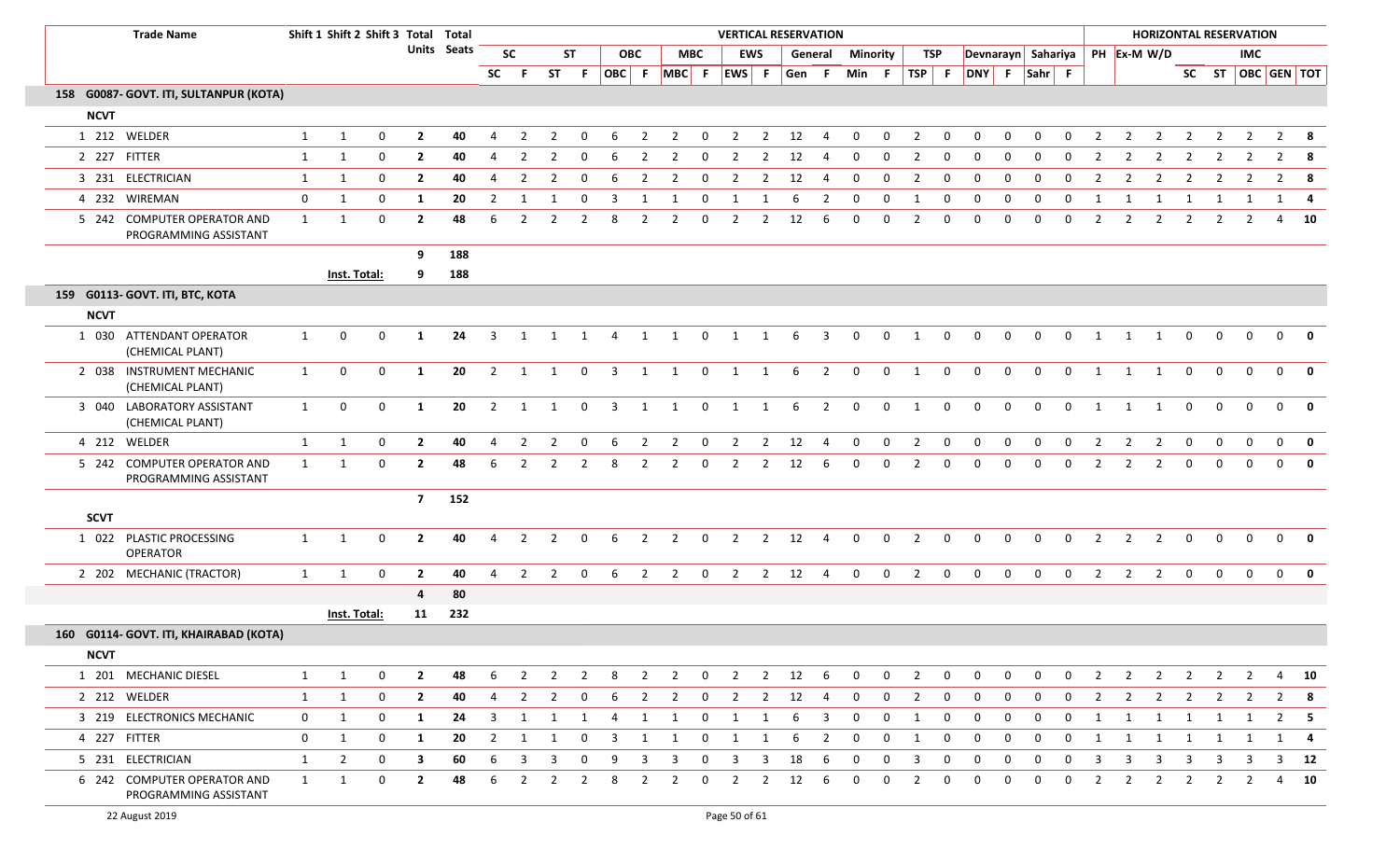|             | <b>Trade Name</b>                                    |              |                | Shift 1 Shift 2 Shift 3 Total Total |                |             |                |                |                |                |                         |                |                |                |                |                | <b>VERTICAL RESERVATION</b> |                         |                 |                |                |              |              |             |             |              |                |                | <b>HORIZONTAL RESERVATION</b>  |                |                |                   |                |              |
|-------------|------------------------------------------------------|--------------|----------------|-------------------------------------|----------------|-------------|----------------|----------------|----------------|----------------|-------------------------|----------------|----------------|----------------|----------------|----------------|-----------------------------|-------------------------|-----------------|----------------|----------------|--------------|--------------|-------------|-------------|--------------|----------------|----------------|--------------------------------|----------------|----------------|-------------------|----------------|--------------|
|             |                                                      |              |                |                                     |                | Units Seats |                | <b>SC</b>      |                | <b>ST</b>      |                         | <b>OBC</b>     |                | <b>MBC</b>     |                | <b>EWS</b>     |                             | General                 | <b>Minority</b> |                |                | TSP          |              |             |             |              |                |                | Devnarayn Sahariya PH Ex-M W/D |                |                | <b>IMC</b>        |                |              |
|             |                                                      |              |                |                                     |                |             | <b>SC</b>      | - F            |                | ST F           |                         | OBC F          | $MBC$ F        |                | EWS F          |                | Gen                         | -F                      | Min F           |                | $TSP$ F        |              | DNY F Sahr F |             |             |              |                |                |                                |                |                | SC ST OBC GEN TOT |                |              |
|             | 158 G0087- GOVT. ITI, SULTANPUR (KOTA)               |              |                |                                     |                |             |                |                |                |                |                         |                |                |                |                |                |                             |                         |                 |                |                |              |              |             |             |              |                |                |                                |                |                |                   |                |              |
| <b>NCVT</b> |                                                      |              |                |                                     |                |             |                |                |                |                |                         |                |                |                |                |                |                             |                         |                 |                |                |              |              |             |             |              |                |                |                                |                |                |                   |                |              |
|             | 1 212 WELDER                                         | 1            | 1              | $\mathbf 0$                         | $\overline{2}$ | 40          | 4              | 2              | 2              | 0              | -6                      | $\overline{2}$ | $\overline{2}$ | $\overline{0}$ | $\overline{2}$ | $\overline{2}$ | 12                          | $\overline{4}$          | $\Omega$        | $\Omega$       | 2              | $\mathbf{0}$ | $\Omega$     | $\Omega$    | $\Omega$    | $\Omega$     | 2              | 2              | 2                              | $\overline{2}$ | $\overline{2}$ | $\overline{2}$    |                | $2 \times 8$ |
|             | 2 227 FITTER                                         | $\mathbf{1}$ | 1              | $\mathbf 0$                         | $\mathbf{2}$   | 40          | 4              | - 2            | 2              |                | -6                      | 2              | 2              | 0              | 2              | 2              | 12                          |                         | 0               | $\Omega$       | 2              | 0            | $\Omega$     | $\Omega$    | $\Omega$    | 0            | 2              | 2              | -2                             | 2              | 2              | 2                 |                | $2 \times 8$ |
|             | 3 231 ELECTRICIAN                                    | 1            | 1              | 0                                   | $\overline{2}$ | 40          | 4              | 2              | $\overline{2}$ | 0              | 6                       | $\overline{2}$ | $\overline{2}$ | $\mathbf 0$    | $\overline{2}$ | $\overline{2}$ | 12                          | $\overline{4}$          | $\mathbf{0}$    | 0              | $\overline{2}$ | $\mathbf 0$  | 0            | 0           | 0           | $\mathbf{0}$ | 2              | 2              | $\overline{2}$                 | 2              | $\overline{2}$ | $\overline{2}$    |                | $2 \times 8$ |
|             | 4 232 WIREMAN                                        | $\mathbf 0$  | 1              | 0                                   | 1              | 20          | 2              | -1             |                | 0              | -3                      | 1              | -1             | 0              | 1              | -1             | 6                           | 2                       | 0               | 0              | -1             | 0            | 0            | 0           | 0           | $\mathbf 0$  | - 1            | -1             | -1                             | 1              | -1             |                   | 1              | 4            |
|             | 5 242 COMPUTER OPERATOR AND<br>PROGRAMMING ASSISTANT | 1            | 1              | $\mathbf{0}$                        | $\mathbf{2}$   | 48          | 6              | $\mathcal{P}$  | $\mathcal{P}$  | $\overline{2}$ | 8                       | $\overline{2}$ | $\overline{2}$ | $\Omega$       | $\overline{2}$ | $\overline{2}$ | 12                          | -6                      | $\Omega$        | $\Omega$       | 2              | $\mathbf{0}$ | $\Omega$     | $\Omega$    | $\Omega$    | $\Omega$     | $\mathcal{P}$  | $\mathcal{P}$  | $\overline{2}$                 | $\overline{2}$ | 2              | 2                 | 4              | 10           |
|             |                                                      |              |                |                                     | 9              | 188         |                |                |                |                |                         |                |                |                |                |                |                             |                         |                 |                |                |              |              |             |             |              |                |                |                                |                |                |                   |                |              |
|             |                                                      |              | Inst. Total:   |                                     | 9              | 188         |                |                |                |                |                         |                |                |                |                |                |                             |                         |                 |                |                |              |              |             |             |              |                |                |                                |                |                |                   |                |              |
|             | 159 G0113- GOVT. ITI, BTC, KOTA                      |              |                |                                     |                |             |                |                |                |                |                         |                |                |                |                |                |                             |                         |                 |                |                |              |              |             |             |              |                |                |                                |                |                |                   |                |              |
| <b>NCVT</b> |                                                      |              |                |                                     |                |             |                |                |                |                |                         |                |                |                |                |                |                             |                         |                 |                |                |              |              |             |             |              |                |                |                                |                |                |                   |                |              |
|             | 1 030 ATTENDANT OPERATOR<br>(CHEMICAL PLANT)         | 1            | $\mathbf 0$    | $\mathbf 0$                         | 1              | 24          | 3              | 1              |                | 1 1            | $\overline{4}$          | 1              | 1              | $\mathbf 0$    | $\overline{1}$ | 1              | 6                           | $\overline{3}$          | $\mathbf 0$     | 0              | 1              | $\mathbf 0$  | $\mathbf{0}$ | 0           | 0           | 0            | 1              | 1              | 1                              | $\mathbf 0$    | $\mathbf{0}$   | $\Omega$          | $\mathbf 0$    | 0            |
|             | 2 038 INSTRUMENT MECHANIC<br>(CHEMICAL PLANT)        | $\mathbf{1}$ | $\mathbf 0$    | $\mathbf 0$                         | 1              | 20          | $\overline{2}$ | 1              | 1              | $\mathbf{0}$   | $\overline{\mathbf{3}}$ | 1              | 1              | $\mathbf 0$    | $\overline{1}$ | $\mathbf{1}$   | 6                           | $\overline{\mathbf{2}}$ | $\overline{0}$  | $\overline{0}$ | $\mathbf{1}$   | $\mathbf 0$  | $\mathbf 0$  | $\mathbf 0$ | $\mathbf 0$ | $\mathbf{0}$ | 1              | 1              | 1                              | $\mathbf 0$    | $\mathbf 0$    | $\mathbf 0$       | $\mathbf{0}$   | $\mathbf{0}$ |
|             | 3 040 LABORATORY ASSISTANT<br>(CHEMICAL PLANT)       | $\mathbf{1}$ | $\mathbf 0$    | $\Omega$                            | 1              | 20          | 2              | 1              | 1              | $\mathbf 0$    | $\overline{3}$          | 1              | 1              | $\mathbf 0$    | $\overline{1}$ | 1              | 6                           | $\overline{2}$          | $\mathbf{0}$    | $\Omega$       | 1              | $\mathbf 0$  | $\Omega$     | $\Omega$    | $\Omega$    | $\mathbf 0$  | 1              | 1              | 1                              | $\Omega$       | $\Omega$       | $\Omega$          | $\Omega$       | $\mathbf{0}$ |
|             | 4 212 WELDER                                         | $\mathbf{1}$ | $\mathbf{1}$   | 0                                   | $\overline{2}$ | 40          | $\overline{4}$ | $\overline{2}$ | $\overline{2}$ | 0              | 6                       | $\overline{2}$ | $\overline{2}$ | $\mathbf 0$    | $\overline{2}$ | $\overline{2}$ | 12                          | $\overline{4}$          | 0               | 0              | $\overline{2}$ | $\mathbf 0$  | $\mathbf 0$  | $\mathbf 0$ | $\mathbf 0$ | $\mathbf 0$  |                | 2              | $\overline{2}$                 | 0              | 0              | 0                 | $\mathbf 0$    | $\mathbf{0}$ |
|             | 5 242 COMPUTER OPERATOR AND<br>PROGRAMMING ASSISTANT | 1            | 1              | $\mathbf 0$                         | $\overline{2}$ | 48          | 6              | $\overline{2}$ | $\overline{2}$ | $\overline{2}$ | 8                       | $\overline{2}$ | $\overline{2}$ | $\mathbf 0$    | $\overline{2}$ | $\overline{2}$ | 12                          | 6                       | 0               | $\mathbf 0$    | 2              | $\mathbf 0$  | $\mathbf 0$  | $\mathbf 0$ | $\mathbf 0$ | $\mathbf 0$  | $\overline{2}$ | $\overline{2}$ | $\overline{2}$                 | $\mathbf 0$    | $\mathbf 0$    | $\mathbf 0$       | $\mathbf{0}$   | 0            |
|             |                                                      |              |                |                                     | $\overline{7}$ | 152         |                |                |                |                |                         |                |                |                |                |                |                             |                         |                 |                |                |              |              |             |             |              |                |                |                                |                |                |                   |                |              |
| <b>SCVT</b> |                                                      |              |                |                                     |                |             |                |                |                |                |                         |                |                |                |                |                |                             |                         |                 |                |                |              |              |             |             |              |                |                |                                |                |                |                   |                |              |
|             | 1 022 PLASTIC PROCESSING<br><b>OPERATOR</b>          | $\mathbf{1}$ | 1              | $\mathbf 0$                         | $\overline{2}$ | 40          | 4              | $\overline{2}$ | $\overline{2}$ | $\mathbf 0$    | 6                       | $\overline{2}$ | $\overline{2}$ | $\mathbf 0$    | $\overline{2}$ | $2^{\circ}$    | 12                          | $\overline{4}$          | $\mathbf 0$     | $\mathbf 0$    | $\overline{2}$ | $\mathbf 0$  | $\mathbf 0$  | $\mathbf 0$ | $\mathbf 0$ | $\mathbf 0$  | $\overline{2}$ | $\overline{2}$ | $\overline{2}$                 | $\mathbf 0$    | $\mathbf 0$    | $\mathbf{0}$      | $\overline{0}$ | $\mathbf{0}$ |
|             | 2 202 MECHANIC (TRACTOR)                             | $\mathbf{1}$ | 1              | $\mathbf 0$                         | $\overline{2}$ | 40          | 4              | 2              | 2              | $\overline{0}$ | -6                      | $\overline{2}$ | $\overline{2}$ | $\mathbf 0$    | $\overline{2}$ | $\overline{2}$ | 12                          | $\overline{4}$          | $\mathbf{0}$    | $\mathbf 0$    | $\overline{2}$ | $\mathbf 0$  | $\mathbf{0}$ | $\mathbf 0$ | $\mathbf 0$ | $\mathbf 0$  | 2              | $\overline{2}$ | 2                              | $\mathbf{0}$   | $\mathbf 0$    | $\mathbf{0}$      | $\overline{0}$ | $\mathbf{0}$ |
|             |                                                      |              |                |                                     | 4              | 80          |                |                |                |                |                         |                |                |                |                |                |                             |                         |                 |                |                |              |              |             |             |              |                |                |                                |                |                |                   |                |              |
|             |                                                      |              | Inst. Total:   |                                     | 11             | 232         |                |                |                |                |                         |                |                |                |                |                |                             |                         |                 |                |                |              |              |             |             |              |                |                |                                |                |                |                   |                |              |
|             | 160 G0114- GOVT. ITI, KHAIRABAD (KOTA)               |              |                |                                     |                |             |                |                |                |                |                         |                |                |                |                |                |                             |                         |                 |                |                |              |              |             |             |              |                |                |                                |                |                |                   |                |              |
| <b>NCVT</b> |                                                      |              |                |                                     |                |             |                |                |                |                |                         |                |                |                |                |                |                             |                         |                 |                |                |              |              |             |             |              |                |                |                                |                |                |                   |                |              |
|             | 1 201 MECHANIC DIESEL                                | 1            | 1              | $\mathbf 0$                         | $\overline{2}$ | 48          | 6              | 2              | $\overline{2}$ | $\overline{2}$ | 8                       | $\overline{2}$ | $\overline{2}$ | $\mathbf{0}$   | $\overline{2}$ | 2              | 12                          | 6                       | $\mathbf{0}$    | $\mathbf{0}$   | 2              | $\mathbf 0$  | $\mathbf{0}$ | 0           | 0           | 0            | 2              | $\overline{2}$ | $\overline{2}$                 | $\overline{2}$ | 2              | $\overline{2}$    | 4              | 10           |
|             | 2 212 WELDER                                         | 1            | 1              | $\mathbf 0$                         | $\mathbf{2}$   | 40          | 4              | $\overline{2}$ | $\overline{2}$ | 0              | 6                       | $\overline{2}$ | 2              | 0              | $\overline{2}$ | $\overline{2}$ | 12                          | 4                       | 0               | $\mathbf 0$    | 2              | 0            | 0            | 0           | 0           | 0            | 2              | 2              | $\overline{2}$                 | $\overline{2}$ | $\overline{2}$ | $\overline{2}$    | $\overline{2}$ | 8            |
|             | 3 219 ELECTRONICS MECHANIC                           | $\mathbf{0}$ | 1              | 0                                   | 1              | 24          | 3              | -1             |                | -1             | 4                       | 1              | 1              | 0              | 1              | 1              | 6                           | 3                       | 0               | $\mathbf 0$    | 1              | 0            | 0            | 0           | 0           | 0            | -1             | 1              | 1                              | 1              | -1             | 1                 | 2              | -5           |
|             | 4 227 FITTER                                         | $\mathbf{0}$ | 1              | 0                                   | 1              | 20          | $\overline{2}$ | 1              | 1              | $\mathbf{0}$   | $\overline{3}$          | 1              | 1              | $\mathbf 0$    | 1              | $\mathbf{1}$   | 6                           | $\overline{2}$          | $\mathbf{0}$    | 0              | 1              | $\mathbf 0$  | 0            | 0           | 0           | 0            | $\mathbf{1}$   | 1              | 1                              | 1              | 1              | 1                 |                | $1 \quad 4$  |
|             | 5 231 ELECTRICIAN                                    | 1            | $\overline{2}$ | 0                                   | 3              | 60          | 6              | 3              | 3              | 0              | 9                       | 3              | 3              | 0              | 3              | 3              | 18                          | 6                       | $\mathbf 0$     | $\mathbf 0$    | 3              | 0            | 0            | 0           | 0           | 0            | 3              | 3              | 3                              | 3              | -3             | 3                 | 3              | 12           |
|             | 6 242 COMPUTER OPERATOR AND<br>PROGRAMMING ASSISTANT | 1            | 1              | 0                                   | $\mathbf{2}$   | 48          | 6              | $\overline{2}$ | 2              | $\overline{2}$ | 8                       | $\overline{2}$ | $\overline{2}$ | 0              | $\overline{2}$ | $\overline{2}$ | 12                          | 6                       | $\mathbf 0$     | $\mathbf 0$    | $\overline{2}$ | 0            | 0            | 0           | 0           | 0            | 2              | $\overline{2}$ | $\overline{2}$                 | $\overline{2}$ | $\overline{2}$ | 2                 | 4              | 10           |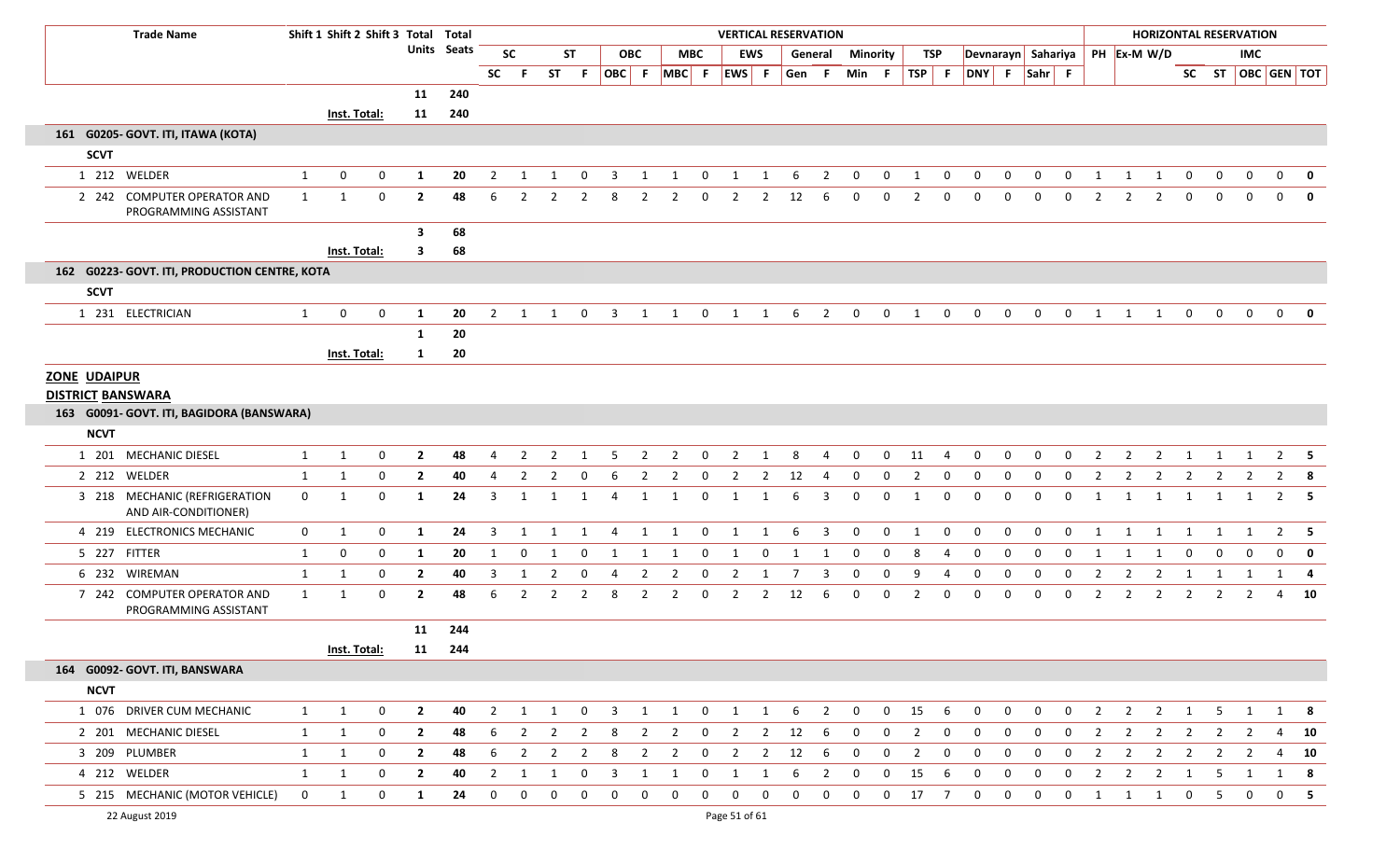| <b>Trade Name</b>                                     |                | Shift 1 Shift 2 Shift 3 Total Total |             |                |                    |                |                |                |                |                         |                |                   |              | <b>VERTICAL RESERVATION</b> |                |              |                |              |              |                |                |                |              |                    |              |                |                |                |                |                  | <b>HORIZONTAL RESERVATION</b> |                |              |
|-------------------------------------------------------|----------------|-------------------------------------|-------------|----------------|--------------------|----------------|----------------|----------------|----------------|-------------------------|----------------|-------------------|--------------|-----------------------------|----------------|--------------|----------------|--------------|--------------|----------------|----------------|----------------|--------------|--------------------|--------------|----------------|----------------|----------------|----------------|------------------|-------------------------------|----------------|--------------|
|                                                       |                |                                     |             |                | <b>Units</b> Seats |                | <b>SC</b>      |                | <b>ST</b>      |                         | <b>OBC</b>     |                   | <b>MBC</b>   |                             | EWS            |              | General        | Minority     |              |                | TSP            |                |              | Devnarayn Sahariya |              |                | PH Ex-M W/D    |                |                |                  | IMC                           |                |              |
|                                                       |                |                                     |             |                |                    | SC             | .F.            |                | ST F           |                         |                | OBC F MBC F EWS F |              |                             |                | Gen F        |                | Min F        |              | $TSP$ F        |                |                |              | DNY F Sahr F       |              |                |                |                |                |                  | SC ST   OBC   GEN   TOT       |                |              |
|                                                       |                |                                     |             | 11             | 240                |                |                |                |                |                         |                |                   |              |                             |                |              |                |              |              |                |                |                |              |                    |              |                |                |                |                |                  |                               |                |              |
|                                                       |                | Inst. Total:                        |             | 11             | 240                |                |                |                |                |                         |                |                   |              |                             |                |              |                |              |              |                |                |                |              |                    |              |                |                |                |                |                  |                               |                |              |
| 161 G0205- GOVT. ITI, ITAWA (KOTA)                    |                |                                     |             |                |                    |                |                |                |                |                         |                |                   |              |                             |                |              |                |              |              |                |                |                |              |                    |              |                |                |                |                |                  |                               |                |              |
| <b>SCVT</b>                                           |                |                                     |             |                |                    |                |                |                |                |                         |                |                   |              |                             |                |              |                |              |              |                |                |                |              |                    |              |                |                |                |                |                  |                               |                |              |
| 1 212 WELDER                                          | $\mathbf{1}$   | $\mathbf{0}$                        | $\mathbf 0$ | 1              | 20                 | $\overline{2}$ | 1              | 1              | $\mathbf 0$    | $\overline{3}$          | 1              | 1                 | $\mathbf{0}$ | 1                           | 1              | 6            | $\overline{2}$ | $\mathbf 0$  | $\mathbf 0$  | 1              | $\mathbf{0}$   | $\mathbf{0}$   | 0            | $\mathbf{0}$       | $\mathbf{0}$ | $\mathbf{1}$   | 1              | 1              | $\mathbf{0}$   | $\boldsymbol{0}$ | $\mathbf 0$                   | $\mathbf{0}$   | $\mathbf{0}$ |
| 2 242 COMPUTER OPERATOR AND<br>PROGRAMMING ASSISTANT  | $\mathbf{1}$   | 1                                   | $\mathbf 0$ | $\overline{2}$ | 48                 | 6              | 2              |                | $\overline{2}$ | 8                       |                |                   | 0            | 2                           | $\overline{2}$ | 12           | 6              |              | $\Omega$     |                | $\Omega$       |                |              |                    | $\Omega$     |                |                |                | $\mathbf 0$    |                  |                               | $\Omega$       |              |
|                                                       |                |                                     |             | 3              | 68                 |                |                |                |                |                         |                |                   |              |                             |                |              |                |              |              |                |                |                |              |                    |              |                |                |                |                |                  |                               |                |              |
|                                                       |                | <b>Inst. Total:</b>                 |             | $\mathbf{3}$   | 68                 |                |                |                |                |                         |                |                   |              |                             |                |              |                |              |              |                |                |                |              |                    |              |                |                |                |                |                  |                               |                |              |
| 162 G0223- GOVT. ITI, PRODUCTION CENTRE, KOTA         |                |                                     |             |                |                    |                |                |                |                |                         |                |                   |              |                             |                |              |                |              |              |                |                |                |              |                    |              |                |                |                |                |                  |                               |                |              |
| <b>SCVT</b>                                           |                |                                     |             |                |                    |                |                |                |                |                         |                |                   |              |                             |                |              |                |              |              |                |                |                |              |                    |              |                |                |                |                |                  |                               |                |              |
| 1 231 ELECTRICIAN                                     | $\mathbf{1}$   | $\mathbf{0}$                        | $\mathbf 0$ | 1              | 20                 | $\overline{2}$ | 1              | 1              | $\mathbf 0$    | 3                       | 1              | 1                 | $\mathbf 0$  | 1                           | 1              | 6            | 2              | $\mathbf 0$  | 0            | 1              | $\mathbf 0$    | $\mathbf 0$    | 0            | 0                  | 0            | 1              | 1              | 1              | $\mathbf 0$    | $\mathbf 0$      | $\mathbf{0}$                  | $\mathbf 0$    |              |
|                                                       |                |                                     |             | 1              | 20                 |                |                |                |                |                         |                |                   |              |                             |                |              |                |              |              |                |                |                |              |                    |              |                |                |                |                |                  |                               |                |              |
|                                                       |                | <b>Inst. Total:</b>                 |             | 1              | 20                 |                |                |                |                |                         |                |                   |              |                             |                |              |                |              |              |                |                |                |              |                    |              |                |                |                |                |                  |                               |                |              |
| <b>ZONE UDAIPUR</b>                                   |                |                                     |             |                |                    |                |                |                |                |                         |                |                   |              |                             |                |              |                |              |              |                |                |                |              |                    |              |                |                |                |                |                  |                               |                |              |
| <b>DISTRICT BANSWARA</b>                              |                |                                     |             |                |                    |                |                |                |                |                         |                |                   |              |                             |                |              |                |              |              |                |                |                |              |                    |              |                |                |                |                |                  |                               |                |              |
| 163 G0091- GOVT. ITI, BAGIDORA (BANSWARA)             |                |                                     |             |                |                    |                |                |                |                |                         |                |                   |              |                             |                |              |                |              |              |                |                |                |              |                    |              |                |                |                |                |                  |                               |                |              |
| <b>NCVT</b>                                           |                |                                     |             |                |                    |                |                |                |                |                         |                |                   |              |                             |                |              |                |              |              |                |                |                |              |                    |              |                |                |                |                |                  |                               |                |              |
| 1 201 MECHANIC DIESEL                                 | $\mathbf{1}$   | $\mathbf{1}$                        | $\mathbf 0$ | $\overline{2}$ | 48                 | 4              | $\overline{2}$ | $\overline{2}$ |                | 5                       | $\overline{2}$ | $\overline{2}$    | $\mathbf 0$  | $\overline{2}$              |                | 8            | 4              | $\Omega$     | $\mathbf 0$  | 11             | 4              | 0              | $\Omega$     | 0                  | 0            | $\overline{2}$ | $\overline{2}$ | $\overline{2}$ |                |                  |                               | 2              | - 5          |
| 2 212 WELDER                                          | 1              | $\mathbf{1}$                        | $\mathbf 0$ | $\overline{2}$ | 40                 | 4              | $\overline{2}$ | $\overline{2}$ | $\mathbf 0$    | 6                       | $\overline{2}$ | $\overline{2}$    | $\mathbf 0$  | 2                           | $\overline{2}$ | 12           | $\overline{4}$ | $\mathbf 0$  | 0            | $\overline{2}$ | $\mathbf 0$    | $\mathbf 0$    | $\mathbf{0}$ | 0                  | $\mathbf{0}$ | $\overline{2}$ | 2              | $\overline{2}$ | $\overline{2}$ | $\overline{2}$   | $\overline{2}$                | $\overline{2}$ | - 8          |
| 3 218 MECHANIC (REFRIGERATION<br>AND AIR-CONDITIONER) | $\mathbf 0$    | 1                                   | 0           | $\mathbf{1}$   | 24                 | 3              | 1              |                | 1              | 4                       | 1              | 1                 | 0            | 1                           | -1             |              | 3              | $\Omega$     | 0            | -1             | 0              | $\mathbf{0}$   | $\Omega$     | 0                  | $\Omega$     |                |                | -1             |                |                  |                               | $\overline{2}$ | - 5          |
| 4 219 ELECTRONICS MECHANIC                            | $\overline{0}$ | 1                                   | 0           | 1              | 24                 | 3              | 1              | 1              | -1             | 4                       | 1              | 1                 | $\mathbf{0}$ | 1                           | 1              | -6           | $\overline{3}$ | $\mathbf 0$  | $\Omega$     | 1              | $\mathbf{0}$   | $\Omega$       | $\Omega$     | 0                  | $\mathbf{0}$ | -1             | 1              | 1              | 1              | 1                | 1                             |                | $2 \quad 5$  |
| 5 227 FITTER                                          | $\mathbf{1}$   | $\mathbf 0$                         | 0           | 1              | 20                 | -1             | $\mathbf{0}$   | 1              | -0             |                         | 1              | 1                 | 0            | 1                           | 0              |              | -1             | 0            | 0            | 8              | 4              | 0              | 0            | 0                  | $\mathbf 0$  | -1             | -1             | 1              | $\mathbf 0$    | 0                | $\Omega$                      | 0              | 0            |
| 6 232 WIREMAN                                         | 1              | 1                                   | 0           | $\overline{2}$ | 40                 | 3              | 1              | 2              | $\mathbf{0}$   | -4                      | $\overline{2}$ | $\overline{2}$    | $\mathbf 0$  | $\overline{2}$              | 1              | 7            | 3              | $\mathbf 0$  | $\mathbf{0}$ | 9              | 4              | $\mathbf 0$    | 0            | 0                  | $\mathbf{0}$ | $\overline{2}$ | $\overline{2}$ | $\overline{2}$ | 1              | 1                | 1                             | 1              | - 4          |
| 7 242 COMPUTER OPERATOR AND<br>PROGRAMMING ASSISTANT  | $\mathbf{1}$   | 1                                   | $\mathbf 0$ | $\overline{2}$ | 48                 | 6              | 2              | 2              | -2             | 8                       | 2              | $\overline{2}$    | 0            | 2                           | 2              | 12           | -6             | 0            | 0            | 2              | 0              | 0              | $\Omega$     | $\Omega$           | $\mathbf 0$  | 2              | 2              | 2              | 2              | 2                | 2                             | 4              | 10           |
|                                                       |                |                                     |             | 11             | 244                |                |                |                |                |                         |                |                   |              |                             |                |              |                |              |              |                |                |                |              |                    |              |                |                |                |                |                  |                               |                |              |
|                                                       |                | <b>Inst. Total:</b>                 |             |                | 11 244             |                |                |                |                |                         |                |                   |              |                             |                |              |                |              |              |                |                |                |              |                    |              |                |                |                |                |                  |                               |                |              |
| 164 G0092- GOVT. ITI, BANSWARA                        |                |                                     |             |                |                    |                |                |                |                |                         |                |                   |              |                             |                |              |                |              |              |                |                |                |              |                    |              |                |                |                |                |                  |                               |                |              |
| <b>NCVT</b>                                           |                |                                     |             |                |                    |                |                |                |                |                         |                |                   |              |                             |                |              |                |              |              |                |                |                |              |                    |              |                |                |                |                |                  |                               |                |              |
| 1 076 DRIVER CUM MECHANIC                             | 1              | $\mathbf{1}$                        | $\mathbf 0$ | $\overline{2}$ | 40                 | $\overline{2}$ | 1              | $\mathbf{1}$   | $\mathbf{0}$   | $\overline{\mathbf{3}}$ | 1              | $\mathbf{1}$      | $\mathbf 0$  | $\overline{1}$              | $\mathbf{1}$   | 6            | $\overline{2}$ | $\mathbf{0}$ | $\mathbf 0$  | 15             | - 6            | $\overline{0}$ | $\mathbf 0$  | $\mathbf{0}$       | $\mathbf{0}$ | $\overline{2}$ | $\overline{2}$ | $\overline{2}$ | $\overline{1}$ | 5                | 1                             |                | 1 8          |
| 2 201 MECHANIC DIESEL                                 | 1              | $\mathbf{1}$                        | 0           | $\overline{2}$ | 48                 | 6              | $\overline{2}$ | $\overline{2}$ | $\overline{2}$ | 8                       | $\overline{2}$ | $\overline{2}$    | $\mathbf 0$  | $\overline{2}$              | $\overline{2}$ | 12           | - 6            | $\mathbf 0$  | 0            | $\overline{2}$ | $\mathbf{0}$   | $\mathbf 0$    | $\mathbf{0}$ | $\mathbf 0$        | $\mathbf 0$  | $\overline{2}$ | $\overline{2}$ | $\overline{2}$ | $\overline{2}$ | $\overline{2}$   | $\overline{2}$                | 4              | 10           |
| 3 209 PLUMBER                                         | 1              | $\mathbf{1}$                        | $\mathbf 0$ | $\overline{2}$ | 48                 | 6              | $\overline{2}$ | $\overline{2}$ | $\overline{2}$ | 8                       | $\overline{2}$ | $\overline{2}$    | $\mathbf 0$  | $\overline{2}$              | $\overline{2}$ | 12           | -6             | $\mathbf 0$  | $\mathbf 0$  | $\overline{2}$ | $\mathbf 0$    | $\overline{0}$ | 0            | $\mathbf{0}$       | $\mathbf 0$  | $\overline{2}$ | $\overline{2}$ | $\overline{2}$ | $\overline{2}$ | $\overline{2}$   | $\overline{2}$                | 4              | 10           |
| 4 212 WELDER                                          | 1              | 1                                   | $\mathbf 0$ | $\mathbf{2}$   | 40                 | $\overline{2}$ | 1              | 1              | 0              | $\overline{\mathbf{3}}$ | 1              | 1                 | 0            | 1                           | 1              | 6            | $\overline{2}$ | 0            | $\mathbf{0}$ | 15             | - 6            | $\mathbf 0$    | $\mathbf{0}$ | 0                  | $\mathbf 0$  | $\overline{2}$ | $\overline{2}$ | $\overline{2}$ | $\overline{1}$ | -5               | 1                             | 1              | 8            |
| 5 215 MECHANIC (MOTOR VEHICLE)                        | $\mathbf 0$    | 1                                   | $\mathbf 0$ | $\mathbf{1}$   | 24                 | 0              | $\mathbf 0$    | 0              | 0              | $\mathbf 0$             | 0              | 0                 | 0            | $\mathbf{0}$                | $\mathbf 0$    | $\mathbf{0}$ | $\mathbf 0$    | $\mathbf 0$  | $\mathbf{0}$ | 17             | $\overline{7}$ | $\overline{0}$ | 0            | $\mathbf{0}$       | $\mathbf 0$  | 1              | 1              | 1              | $\overline{0}$ | -5               | $\mathbf 0$                   | $\mathbf 0$    | - 5          |
| 22 August 2019                                        |                |                                     |             |                |                    |                |                |                |                |                         |                |                   |              | Page 51 of 61               |                |              |                |              |              |                |                |                |              |                    |              |                |                |                |                |                  |                               |                |              |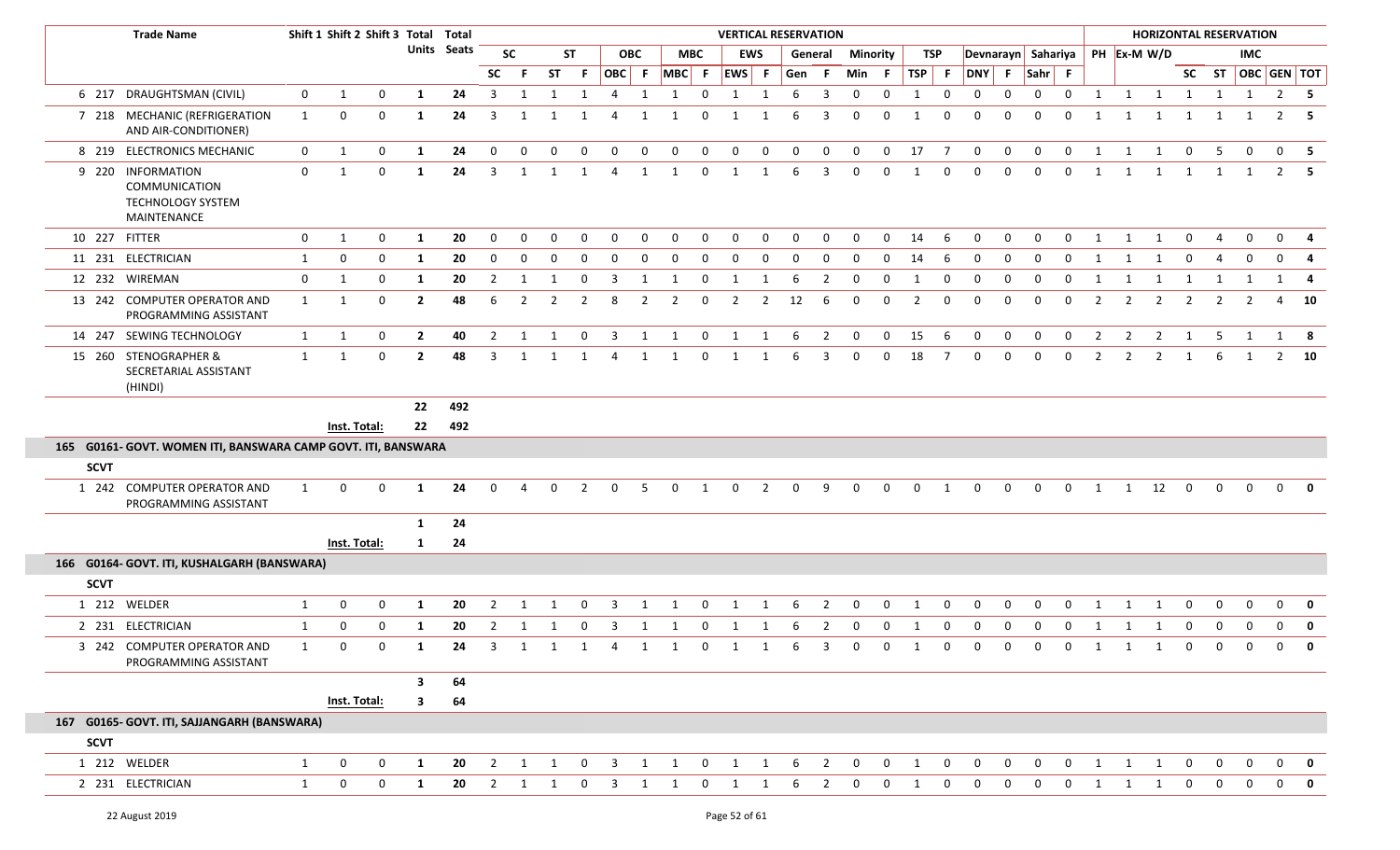|               | <b>Trade Name</b>                                                             |              | Shift 1 Shift 2 Shift 3 Total Total |                  |              |                    |                |                |              |                |                         |              |             |                | <b>VERTICAL RESERVATION</b> |                |              |                         |                 |                                     |              |                |                               |              |              |                |                |                | <b>HORIZONTAL RESERVATION</b>  |                |                                     |              |                                     |                         |
|---------------|-------------------------------------------------------------------------------|--------------|-------------------------------------|------------------|--------------|--------------------|----------------|----------------|--------------|----------------|-------------------------|--------------|-------------|----------------|-----------------------------|----------------|--------------|-------------------------|-----------------|-------------------------------------|--------------|----------------|-------------------------------|--------------|--------------|----------------|----------------|----------------|--------------------------------|----------------|-------------------------------------|--------------|-------------------------------------|-------------------------|
|               |                                                                               |              |                                     |                  |              | <b>Units</b> Seats |                | <b>SC</b>      |              | <b>ST</b>      |                         | <b>OBC</b>   | <b>MBC</b>  |                |                             | <b>EWS</b>     |              | General                 | <b>Minority</b> |                                     |              | TSP            |                               |              |              |                |                |                | Devnarayn Sahariya PH Ex-M W/D |                |                                     | <b>IMC</b>   |                                     |                         |
|               |                                                                               |              |                                     |                  |              |                    | <b>SC</b>      | - F            | ST.          | -F             | OBC F                   |              | $MBC$ F     |                | $ EWS $ F                   |                | Gen F        |                         | Min F           |                                     | TSP F        |                | DNY F                         |              | Sahr F       |                |                |                |                                |                | SC ST                               | OBC GEN TOT  |                                     |                         |
|               | 6 217 DRAUGHTSMAN (CIVIL)                                                     | $\mathbf 0$  | 1                                   | 0                | 1            | 24                 | 3              | -1             |              | 1              | 4                       | 1            | 1           | $\mathbf 0$    | 1                           | 1              | -6           | 3                       | $\mathbf 0$     | 0                                   | 1            | $\mathbf 0$    | 0                             | 0            | 0            | $\mathbf 0$    | 1              | 1              | 1                              | 1              | 1                                   | 1            |                                     | $2 \quad 5$             |
|               | 7 218 MECHANIC (REFRIGERATION<br>AND AIR-CONDITIONER)                         | $\mathbf{1}$ | $\mathbf 0$                         | 0                | 1            | 24                 | 3              |                |              |                |                         |              |             | $\Omega$       |                             |                |              | 3                       | $\mathbf{0}$    | $\Omega$                            | $\mathbf{1}$ | $\mathbf{0}$   | $\mathbf 0$                   | $\Omega$     | $\Omega$     | 0              |                |                |                                |                |                                     |              | 2                                   | - 5                     |
|               | 8 219 ELECTRONICS MECHANIC                                                    | $\mathbf{0}$ | $\mathbf{1}$                        | 0                | 1            | 24                 | $\Omega$       | 0              | 0            | $\Omega$       | 0                       | 0            | 0           | 0              | $\mathbf 0$                 | $\mathbf 0$    | $\mathbf 0$  | 0                       | 0               | 0                                   | 17           | $\overline{7}$ | $\mathbf 0$                   | $\mathbf{0}$ | $\mathbf{0}$ | 0              | 1              | 1              | 1                              | $\mathbf 0$    | -5                                  | $\mathbf{0}$ | $\mathbf 0$                         | - 5                     |
|               | 9 220 INFORMATION<br>COMMUNICATION<br><b>TECHNOLOGY SYSTEM</b><br>MAINTENANCE | $\mathbf 0$  | 1                                   | 0                | 1            | 24                 | 3              | 1              | 1            | $\mathbf{1}$   | 4                       | 1            | 1           | $\mathbf 0$    | 1                           | 1              | 6            | 3                       | $\mathbf{0}$    | 0                                   | 1            | $\mathbf 0$    | $\mathbf 0$                   | 0            | 0            | $\mathbf{0}$   | 1              | 1              | 1                              | 1              | 1                                   | 1            |                                     | $2 \quad 5$             |
| 10 227 FITTER |                                                                               | $\mathbf{0}$ | 1                                   | $\boldsymbol{0}$ | 1            | 20                 | $\mathbf{0}$   | $\mathbf{0}$   | $\mathbf{0}$ | $\mathbf 0$    | $\mathbf 0$             | $\mathbf 0$  | $\mathbf 0$ | $\mathbf 0$    | $\mathbf{0}$                | $\mathbf{0}$   | $\mathbf{0}$ | $\mathbf 0$             | $\mathbf 0$     | 0                                   | 14           | 6              | $\mathbf 0$                   | $\mathbf 0$  | $\mathbf 0$  | $\mathbf 0$    | $\overline{1}$ | 1              | 1                              | $\mathbf{0}$   | $\overline{4}$                      | $\mathbf 0$  | $\mathbf 0$                         | - 4                     |
|               | 11 231 ELECTRICIAN                                                            | $\mathbf{1}$ | 0                                   | $\mathbf 0$      | 1            | 20                 | 0              | 0              | 0            | $\Omega$       | 0                       | $\mathbf 0$  | 0           | 0              | $\mathbf 0$                 | $\Omega$       | $\Omega$     | 0                       | 0               | 0                                   | 14           | 6              | $\mathbf 0$                   | 0            | $\mathbf{0}$ | 0              |                |                |                                | $\Omega$       | 4                                   | $\mathbf 0$  | $\mathbf 0$                         | 4                       |
|               | 12 232 WIREMAN                                                                | $\mathbf 0$  | 1                                   | $\mathbf 0$      | 1            | 20                 | $\overline{2}$ | 1              | 1            | $\mathbf 0$    | $\overline{\mathbf{3}}$ | 1            | 1           | $\mathbf 0$    | 1                           | 1              | 6            | $\overline{2}$          | $\mathbf 0$     | $\mathbf 0$                         | 1            | $\mathbf{0}$   | $\mathbf{0}$                  | $\mathbf 0$  | $\mathbf 0$  | $\overline{0}$ | $\overline{1}$ | $\overline{1}$ | $\overline{\mathbf{1}}$        | $\overline{1}$ | $\mathbf{1}$                        | 1            |                                     | $1 \quad 4$             |
|               | 13 242 COMPUTER OPERATOR AND<br>PROGRAMMING ASSISTANT                         | 1            | 1                                   | 0                | $\mathbf{2}$ | 48                 | 6              | $\overline{2}$ | 2            | $\overline{2}$ | 8                       | 2            | 2           | 0              | 2                           | $\overline{2}$ | 12           | 6                       | 0               | $\mathbf 0$                         | 2            | 0              | $\mathbf{0}$                  | 0            | $\mathbf{0}$ | $\mathbf{0}$   | $\overline{2}$ | 2              | $\overline{2}$                 | 2              | 2                                   |              | 4                                   | 10                      |
|               | 14 247 SEWING TECHNOLOGY                                                      | 1            | 1                                   | 0                | $\mathbf{2}$ | 40                 | 2              | 1              | 1            | $\mathbf 0$    | $\overline{3}$          | 1            | 1           | $\mathbf 0$    | 1                           | 1              | -6           | $\overline{2}$          | $\mathbf 0$     | $\mathbf 0$                         | 15           | - 6            | $\mathbf{0}$                  | $\mathbf{0}$ | $\mathbf{0}$ | $\overline{0}$ | $\overline{2}$ | $\overline{2}$ | 2                              | 1              | -5                                  | 1            | 1 8                                 |                         |
|               | 15 260 STENOGRAPHER &<br>SECRETARIAL ASSISTANT<br>(HINDI)                     | $\mathbf{1}$ | 1                                   | 0                | $\mathbf{2}$ | 48                 | 3              | 1              |              | -1             | 4                       | 1            | 1           | 0              | 1                           | 1              | 6            | 3                       | 0               | $\mathbf{0}$                        | 18           | $\overline{7}$ | $\mathbf 0$                   | 0            | 0            | $\mathbf{0}$   | 2              | $\overline{2}$ | $\overline{2}$                 | 1              | 6                                   | 1            |                                     | $2 \t 10$               |
|               |                                                                               |              |                                     |                  | 22           | 492                |                |                |              |                |                         |              |             |                |                             |                |              |                         |                 |                                     |              |                |                               |              |              |                |                |                |                                |                |                                     |              |                                     |                         |
|               |                                                                               |              | Inst. Total:                        |                  | 22           | 492                |                |                |              |                |                         |              |             |                |                             |                |              |                         |                 |                                     |              |                |                               |              |              |                |                |                |                                |                |                                     |              |                                     |                         |
|               | 165 G0161- GOVT. WOMEN ITI, BANSWARA CAMP GOVT. ITI, BANSWARA                 |              |                                     |                  |              |                    |                |                |              |                |                         |              |             |                |                             |                |              |                         |                 |                                     |              |                |                               |              |              |                |                |                |                                |                |                                     |              |                                     |                         |
| <b>SCVT</b>   |                                                                               |              |                                     |                  |              |                    |                |                |              |                |                         |              |             |                |                             |                |              |                         |                 |                                     |              |                |                               |              |              |                |                |                |                                |                |                                     |              |                                     |                         |
|               | 1 242 COMPUTER OPERATOR AND<br>PROGRAMMING ASSISTANT                          | $\mathbf{1}$ | 0                                   | $\mathbf 0$      | 1            | 24                 | $\mathbf{0}$   | $\overline{4}$ | $\mathbf{0}$ | $\overline{2}$ | 0                       | .5           | $\mathbf 0$ | 1              | $\mathbf{0}$                | $\overline{2}$ | $\mathbf 0$  | 9                       | $\mathbf{0}$    | 0                                   | $\mathbf 0$  | 1              | $\mathbf 0$                   | $\mathbf 0$  | $\mathbf{0}$ | $\mathbf 0$    | 1              | 1              | 12                             | $\mathbf 0$    | $\mathbf 0$                         | $\Omega$     | $\mathbf{0}$                        | $\overline{\mathbf{0}}$ |
|               |                                                                               |              |                                     |                  | 1            | 24                 |                |                |              |                |                         |              |             |                |                             |                |              |                         |                 |                                     |              |                |                               |              |              |                |                |                |                                |                |                                     |              |                                     |                         |
|               |                                                                               |              | Inst. Total:                        |                  | 1            | 24                 |                |                |              |                |                         |              |             |                |                             |                |              |                         |                 |                                     |              |                |                               |              |              |                |                |                |                                |                |                                     |              |                                     |                         |
|               | 166 G0164- GOVT. ITI, KUSHALGARH (BANSWARA)                                   |              |                                     |                  |              |                    |                |                |              |                |                         |              |             |                |                             |                |              |                         |                 |                                     |              |                |                               |              |              |                |                |                |                                |                |                                     |              |                                     |                         |
| <b>SCVT</b>   |                                                                               |              |                                     |                  |              |                    |                |                |              |                |                         |              |             |                |                             |                |              |                         |                 |                                     |              |                |                               |              |              |                |                |                |                                |                |                                     |              |                                     |                         |
|               | 1 212 WELDER                                                                  | 1            | 0                                   | 0                | 1            | 20                 | 2              |                |              | 0              | 3                       | 1            | -1          | 0              | 1                           | 1              | 6            | 2                       | 0               | 0                                   | 1            | 0              | 0                             | 0            | $\Omega$     | $\Omega$       |                |                | 1                              | 0              | 0                                   | 0            | $\mathbf 0$                         | $\mathbf{0}$            |
|               | 2 231 ELECTRICIAN                                                             | 1            | 0                                   | 0                | 1            | 20                 | $\overline{2}$ | -1             |              | 0              | 3                       | 1            | 1           | 0              | 1                           | 1              | -6           | $\overline{2}$          | 0               | 0                                   | 1            | 0              | 0                             | 0            | 0            | $\Omega$       |                |                |                                | 0              | 0                                   | $\Omega$     | $\mathbf 0$                         | $\mathbf 0$             |
|               | 3 242 COMPUTER OPERATOR AND<br>PROGRAMMING ASSISTANT                          | -1           | $\Omega$                            | $\Omega$         | $\mathbf{1}$ | 24                 |                |                |              |                | 3 1 1 1 4 1 1           |              |             |                | 0 1 1 6 3                   |                |              |                         | $\Omega$        | $\begin{matrix} 0 & 1 \end{matrix}$ |              |                | $\overline{0}$ $\overline{0}$ |              | 0 0 0 1 1 1  |                |                |                |                                |                | $\begin{matrix} 0 & 0 \end{matrix}$ |              | $\begin{matrix} 0 & 0 \end{matrix}$ |                         |
|               |                                                                               |              |                                     |                  | $\mathbf{3}$ | 64                 |                |                |              |                |                         |              |             |                |                             |                |              |                         |                 |                                     |              |                |                               |              |              |                |                |                |                                |                |                                     |              |                                     |                         |
|               |                                                                               |              | Inst. Total:                        |                  | 3            | 64                 |                |                |              |                |                         |              |             |                |                             |                |              |                         |                 |                                     |              |                |                               |              |              |                |                |                |                                |                |                                     |              |                                     |                         |
|               | 167 G0165- GOVT. ITI, SAJJANGARH (BANSWARA)                                   |              |                                     |                  |              |                    |                |                |              |                |                         |              |             |                |                             |                |              |                         |                 |                                     |              |                |                               |              |              |                |                |                |                                |                |                                     |              |                                     |                         |
| <b>SCVT</b>   |                                                                               |              |                                     |                  |              |                    |                |                |              |                |                         |              |             |                |                             |                |              |                         |                 |                                     |              |                |                               |              |              |                |                |                |                                |                |                                     |              |                                     |                         |
|               | 1 212 WELDER                                                                  | $\mathbf{1}$ | $\mathbf 0$                         | 0                | 1            | 20                 | $\overline{2}$ | 1              | 1            | $\mathbf 0$    | $\overline{3}$          | $\mathbf{1}$ | 1           | $\overline{0}$ | $\overline{\mathbf{1}}$     | $\mathbf{1}$   | 6            | $\overline{\mathbf{2}}$ | $\mathbf{0}$    | $\mathbf{0}$                        | 1            | $\mathbf 0$    | $\mathbf{0}$                  | $\mathbf{0}$ | $\mathbf 0$  | $\mathbf 0$    | 1              | 1              | 1                              | $\mathbf 0$    | $\mathbf 0$                         | $\mathbf{0}$ |                                     | $0$ 0                   |
|               | 2 231 ELECTRICIAN                                                             | $\mathbf{1}$ | 0                                   | $\mathbf 0$      | 1            | 20                 | $\overline{2}$ | -1             |              | 0              | 3                       | 1            | 1           | 0              | 1                           |                | 6            | 2                       | 0               | 0                                   | 1            | $\mathbf 0$    | $\mathbf 0$                   | $\mathbf{0}$ | $\Omega$     | 0              |                |                | 1                              | 0              | $\mathbf 0$                         | $\mathbf 0$  | $\mathbf 0$                         |                         |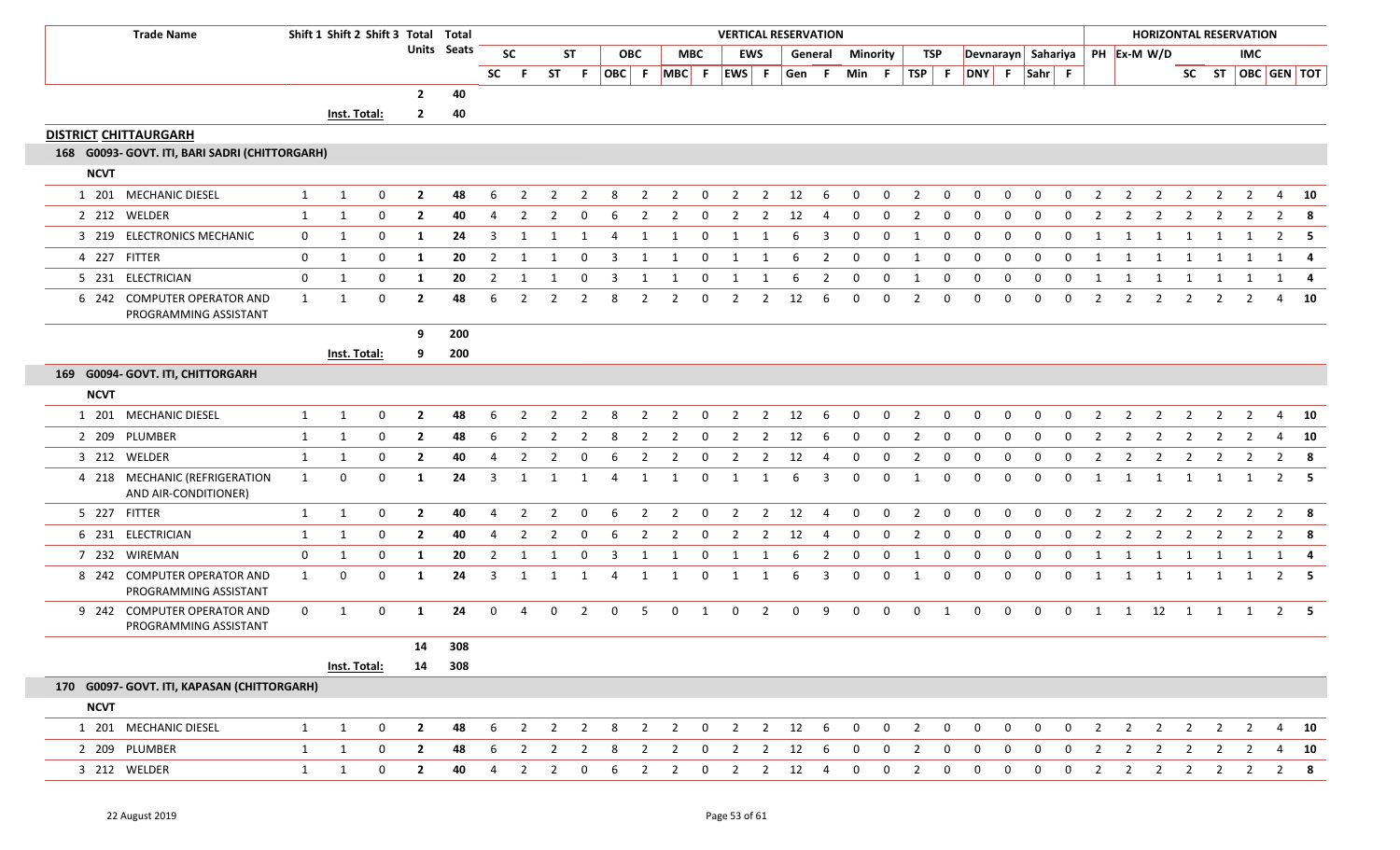|             | <b>Trade Name</b>                                     |              | Shift 1 Shift 2 Shift 3 Total Total |                  |                         |                    |                |                |                |                |                         |                |                          |                |                |                | <b>VERTICAL RESERVATION</b> |                |                 |                |                |                |                    |                |                |                |                |                |                |                         |                | <b>HORIZONTAL RESERVATION</b> |                |                   |
|-------------|-------------------------------------------------------|--------------|-------------------------------------|------------------|-------------------------|--------------------|----------------|----------------|----------------|----------------|-------------------------|----------------|--------------------------|----------------|----------------|----------------|-----------------------------|----------------|-----------------|----------------|----------------|----------------|--------------------|----------------|----------------|----------------|----------------|----------------|----------------|-------------------------|----------------|-------------------------------|----------------|-------------------|
|             |                                                       |              |                                     |                  |                         | <b>Units Seats</b> |                | <b>SC</b>      |                | ST             |                         | <b>OBC</b>     |                          | <b>MBC</b>     | <b>EWS</b>     |                |                             | General        | <b>Minority</b> |                |                | TSP            | Devnarayn Sahariya |                |                |                |                |                | PH Ex-M W/D    |                         |                | IMC.                          |                |                   |
|             |                                                       |              |                                     |                  |                         |                    | SC             | - F            |                | ST F           |                         |                | OBC F MBC F              |                | EWS F          |                | Gen F                       |                | Min F           |                | TSP F          |                | DNY F Sahr F       |                |                |                |                |                |                |                         |                |                               |                | SC ST OBC GEN TOT |
|             |                                                       |              |                                     |                  | $\overline{2}$          | 40                 |                |                |                |                |                         |                |                          |                |                |                |                             |                |                 |                |                |                |                    |                |                |                |                |                |                |                         |                |                               |                |                   |
|             |                                                       |              | Inst. Total:                        |                  | $\mathbf{2}$            | 40                 |                |                |                |                |                         |                |                          |                |                |                |                             |                |                 |                |                |                |                    |                |                |                |                |                |                |                         |                |                               |                |                   |
|             | <b>DISTRICT CHITTAURGARH</b>                          |              |                                     |                  |                         |                    |                |                |                |                |                         |                |                          |                |                |                |                             |                |                 |                |                |                |                    |                |                |                |                |                |                |                         |                |                               |                |                   |
|             | 168 G0093- GOVT. ITI, BARI SADRI (CHITTORGARH)        |              |                                     |                  |                         |                    |                |                |                |                |                         |                |                          |                |                |                |                             |                |                 |                |                |                |                    |                |                |                |                |                |                |                         |                |                               |                |                   |
| <b>NCVT</b> |                                                       |              |                                     |                  |                         |                    |                |                |                |                |                         |                |                          |                |                |                |                             |                |                 |                |                |                |                    |                |                |                |                |                |                |                         |                |                               |                |                   |
|             | 1 201 MECHANIC DIESEL                                 | $\mathbf{1}$ | $\mathbf{1}$                        | $\mathbf 0$      | $\overline{2}$          | 48                 | 6              | $\overline{2}$ | $\overline{2}$ | $\overline{2}$ | 8                       | $\overline{2}$ | $\overline{2}$           | $\mathbf 0$    | $\overline{2}$ |                | $2 \t 12$                   | - 6            | $\mathbf{0}$    | $\mathbf{0}$   | $\overline{2}$ | $\overline{0}$ | $\mathbf 0$        | $\mathbf{0}$   | $\mathbf{0}$   | $\mathbf{0}$   | $\overline{2}$ | $\overline{2}$ | $\overline{2}$ | $\overline{2}$          | $\overline{2}$ | $\overline{2}$                |                | 4 10              |
|             | 2 212 WELDER                                          | $\mathbf{1}$ | 1                                   | 0                | $\mathbf{2}$            | 40                 | 4              | 2              | 2              | 0              | 6                       | 2              | 2                        | $\mathbf 0$    | 2              | 2              | 12                          | 4              | 0               | $\mathbf 0$    | 2              | 0              | $\mathbf 0$        | 0              | 0              | $\mathbf 0$    | 2              | $\overline{2}$ | 2              | 2                       | 2              | 2                             | $\overline{2}$ | -8                |
|             | 3 219 ELECTRONICS MECHANIC                            | $\mathbf 0$  | 1                                   | 0                | 1                       | 24                 | 3              | 1              | -1             | 1              | $\overline{4}$          | 1              |                          | 0              | 1              |                | 6                           | 3              | 0               | 0              | -1             | 0              | 0                  | 0              | 0              | $\mathbf{0}$   | 1              | 1              | 1              | 1                       | 1              |                               |                | $2 \quad 5$       |
|             | 4 227 FITTER                                          | 0            | 1                                   | $\mathbf 0$      | 1                       | 20                 | $\overline{2}$ | 1              |                | $\mathbf 0$    | 3                       | 1              |                          | 0              |                |                | 6                           | $\overline{2}$ | $\mathbf 0$     | $\mathbf 0$    | -1             | $\mathbf 0$    | $\mathbf 0$        | 0              | $\mathbf 0$    | $\mathbf 0$    | 1              | 1              | 1              |                         |                |                               |                |                   |
|             | 5 231 ELECTRICIAN                                     | $\mathbf 0$  | 1                                   | $\mathbf 0$      | 1                       | 20                 | $\overline{2}$ | 1              | 1              | $\mathbf 0$    | $\overline{\mathbf{3}}$ | 1              | 1                        | $\mathbf 0$    | 1              | 1              | 6                           | $\overline{2}$ | $\mathbf 0$     | $\mathbf 0$    | 1              | $\mathbf{0}$   | $\mathbf{0}$       | $\mathbf 0$    | $\mathbf 0$    | $\mathbf 0$    | 1              | 1              | $\overline{1}$ | $\overline{1}$          | 1              | 1                             |                | $1 \quad 4$       |
|             | 6 242 COMPUTER OPERATOR AND<br>PROGRAMMING ASSISTANT  | 1            | 1                                   | 0                | $\overline{2}$          | 48                 | 6              | $\overline{2}$ | 2              | 2              | 8                       | 2              | 2                        | 0              | 2              | 2              | 12                          | 6              | $\Omega$        | $\mathbf 0$    | 2              | 0              | 0                  | $\Omega$       | $\Omega$       | $\mathbf{0}$   | $\overline{2}$ | $\overline{2}$ | $\overline{2}$ | 2                       | 2              |                               | 4              | - 10              |
|             |                                                       |              |                                     |                  | 9                       | 200                |                |                |                |                |                         |                |                          |                |                |                |                             |                |                 |                |                |                |                    |                |                |                |                |                |                |                         |                |                               |                |                   |
|             |                                                       |              | Inst. Total:                        |                  | 9                       | 200                |                |                |                |                |                         |                |                          |                |                |                |                             |                |                 |                |                |                |                    |                |                |                |                |                |                |                         |                |                               |                |                   |
|             | 169 G0094- GOVT. ITI, CHITTORGARH                     |              |                                     |                  |                         |                    |                |                |                |                |                         |                |                          |                |                |                |                             |                |                 |                |                |                |                    |                |                |                |                |                |                |                         |                |                               |                |                   |
| <b>NCVT</b> |                                                       |              |                                     |                  |                         |                    |                |                |                |                |                         |                |                          |                |                |                |                             |                |                 |                |                |                |                    |                |                |                |                |                |                |                         |                |                               |                |                   |
|             | 1 201 MECHANIC DIESEL                                 | 1            | 1                                   | 0                | $\mathbf{2}$            | 48                 | 6              | $\overline{2}$ | 2              | $\mathcal{P}$  | 8                       | 2              | 2                        | $\Omega$       | 2              | 2              | 12                          | 6              | $\Omega$        | $\mathbf 0$    | 2              | $\mathbf{0}$   | 0                  | $\Omega$       | $\Omega$       | $\Omega$       | 2              | 2              | 2              |                         | 2              |                               | 4              | 10                |
|             | 2 209 PLUMBER                                         | 1            | 1                                   | 0                | $\mathbf{2}$            | 48                 | 6              | 2              | 2              | $\overline{2}$ | 8                       | $\overline{2}$ | 2                        | $\mathbf{0}$   | $\overline{2}$ | $\overline{2}$ | 12                          | 6              | 0               | 0              | 2              | 0              | 0                  | 0              | $\Omega$       | 0              | $\overline{2}$ | $\overline{2}$ | $\overline{2}$ | 2                       | $\overline{2}$ | 2                             | 4              | <b>10</b>         |
|             | 3 212 WELDER                                          | 1            | 1                                   | 0                | $\mathbf{2}$            | 40                 | 4              | $\overline{2}$ | $\overline{2}$ | 0              | 6                       | $\overline{2}$ | 2                        | 0              | 2              | $\overline{2}$ | 12                          | $\overline{4}$ | 0               | 0              | 2              | 0              | 0                  | 0              | 0              | 0              | 2              | $\overline{2}$ | $\overline{2}$ | $\overline{2}$          | 2              |                               | $\overline{2}$ | - 8               |
|             | 4 218 MECHANIC (REFRIGERATION<br>AND AIR-CONDITIONER) | $\mathbf{1}$ | 0                                   | 0                | 1                       | 24                 | 3              | 1              | 1              | 1              | $\overline{4}$          | 1              | 1                        | $\mathbf 0$    | 1              | 1              | 6                           | $\overline{3}$ | $\mathbf 0$     | $\mathbf 0$    | -1             | $\mathbf 0$    | 0                  | $\mathbf{0}$   | $\mathbf 0$    | $\mathbf 0$    | 1              | $\mathbf{1}$   | 1              | 1                       | 1              | 1                             |                | $2 \quad 5$       |
|             | 5 227 FITTER                                          | 1            | 1                                   | 0                | $\overline{2}$          | 40                 | 4              | $\overline{2}$ | $\overline{2}$ | $\mathbf 0$    | 6                       | $\overline{2}$ | $\overline{2}$           | $\mathbf 0$    | $\overline{2}$ | $\overline{2}$ | 12                          | 4              | $\mathbf 0$     | $\mathbf 0$    | $\overline{2}$ | $\mathbf 0$    | $\mathbf 0$        | $\mathbf 0$    | $\mathbf 0$    | $\mathbf 0$    | 2              | $\overline{2}$ | $\overline{2}$ | $\overline{2}$          | $\overline{2}$ | $\overline{2}$                |                | $2 \times 8$      |
|             | 6 231 ELECTRICIAN                                     | 1            | 1                                   | 0                | $\mathbf{2}$            | 40                 | -4             | 2              | 2              | 0              | 6                       | 2              | $\overline{2}$           | $\mathbf 0$    | 2              | 2              | 12                          | 4              | 0               | 0              | 2              | 0              | 0                  | 0              | $\Omega$       | $\Omega$       | 2              | 2              | 2              | 2                       | 2              | $\mathbf{2}$                  |                | $2 \times 8$      |
|             | 7 232 WIREMAN                                         | 0            | 1                                   | 0                | 1                       | 20                 | $\overline{2}$ | 1              | -1             | 0              | 3                       | 1              | 1                        | 0              | 1              | 1              | 6                           | 2              | $\mathbf 0$     | 0              | 1              | 0              | $\mathbf 0$        | 0              | 0              | 0              | 1              | 1              | 1              | 1                       | 1              | 1                             |                | 1 4               |
|             | 8 242 COMPUTER OPERATOR AND<br>PROGRAMMING ASSISTANT  | 1            | 0                                   | 0                | $\mathbf{1}$            | 24                 | 3              | 1              | 1              | 1              | 4                       | 1              | 1                        | $\mathbf 0$    | 1              | 1              | 6                           | $\overline{3}$ | 0               | 0              | 1              | 0              | $\mathbf{0}$       | $\overline{0}$ | $\mathbf 0$    | 0              | 1              | 1              | 1              | $\overline{1}$          | 1              | 1                             |                | $2 \quad 5$       |
|             | 9 242 COMPUTER OPERATOR AND<br>PROGRAMMING ASSISTANT  | $\mathbf 0$  | 1                                   | $\mathbf 0$      | 1                       | 24                 | $\mathbf{0}$   | 4              | $\mathbf{0}$   | $\overline{2}$ | $\mathbf 0$             | -5             | $\mathbf 0$              | $\overline{1}$ | $\mathbf 0$    | $\overline{2}$ | $\mathbf 0$                 | 9              | $\mathbf 0$     | $\mathbf 0$    | $\mathbf 0$    | $\mathbf{1}$   | $\mathbf{0}$       | $\mathbf 0$    | $\mathbf 0$    | $\overline{0}$ |                |                |                |                         |                | 1 1 12 1 1 1 2 5              |                |                   |
|             |                                                       |              |                                     |                  | 14                      | 308                |                |                |                |                |                         |                |                          |                |                |                |                             |                |                 |                |                |                |                    |                |                |                |                |                |                |                         |                |                               |                |                   |
|             |                                                       |              | Inst. Total:                        |                  |                         | 14 308             |                |                |                |                |                         |                |                          |                |                |                |                             |                |                 |                |                |                |                    |                |                |                |                |                |                |                         |                |                               |                |                   |
|             | 170 G0097- GOVT. ITI, KAPASAN (CHITTORGARH)           |              |                                     |                  |                         |                    |                |                |                |                |                         |                |                          |                |                |                |                             |                |                 |                |                |                |                    |                |                |                |                |                |                |                         |                |                               |                |                   |
| <b>NCVT</b> |                                                       |              |                                     |                  |                         |                    |                |                |                |                |                         |                |                          |                |                |                |                             |                |                 |                |                |                |                    |                |                |                |                |                |                |                         |                |                               |                |                   |
|             | 1 201 MECHANIC DIESEL                                 | $\mathbf{1}$ | 1                                   | $\mathbf 0$      | $\overline{\mathbf{2}}$ | 48                 |                |                |                |                |                         |                | 6 2 2 2 8 2 2 0 2 2 12 6 |                |                |                |                             |                | $\overline{0}$  | $\overline{0}$ | $\overline{2}$ | $\overline{0}$ | $\mathbf{0}$       | $\mathbf 0$    | $\overline{0}$ | $\mathbf{0}$   | $\overline{2}$ |                | 2 2 2 2 2      |                         |                |                               |                | 4 10              |
|             | 2 209 PLUMBER                                         | $\mathbf{1}$ | 1                                   | $\mathbf 0$      | $\overline{2}$          | 48                 | 6              | $\overline{2}$ | $\overline{2}$ | $\overline{2}$ | 8                       | $\overline{2}$ | $\overline{2}$           | $\mathbf{0}$   | $\overline{2}$ | $\overline{2}$ | 12                          | 6              | 0               | $\overline{0}$ | $\overline{2}$ | $\overline{0}$ | $\mathbf{0}$       | $\mathbf{0}$   | $\mathbf{0}$   | $\mathbf{0}$   | $\overline{2}$ | $\overline{2}$ | $\overline{2}$ | $\overline{\mathbf{2}}$ | 2              | 2                             |                | 4 10              |
|             | 3 212 WELDER                                          | 1            | 1                                   | $\boldsymbol{0}$ | $\overline{\mathbf{2}}$ | 40                 | $\overline{4}$ | $\overline{2}$ | $\overline{2}$ | $\mathbf{0}$   | 6                       | $2^{\circ}$    | $\overline{2}$           | $\overline{0}$ | $\overline{2}$ |                | $2 \qquad 12 \qquad 4$      |                | $\mathbf{0}$    | $\mathbf 0$    | $\overline{2}$ | $\mathbf 0$    | $\mathbf{0}$       | $\overline{0}$ | $\overline{0}$ | $\mathbf{0}$   | $\overline{2}$ |                | 2 2 2 2 2      |                         |                |                               |                | $2 \quad 8$       |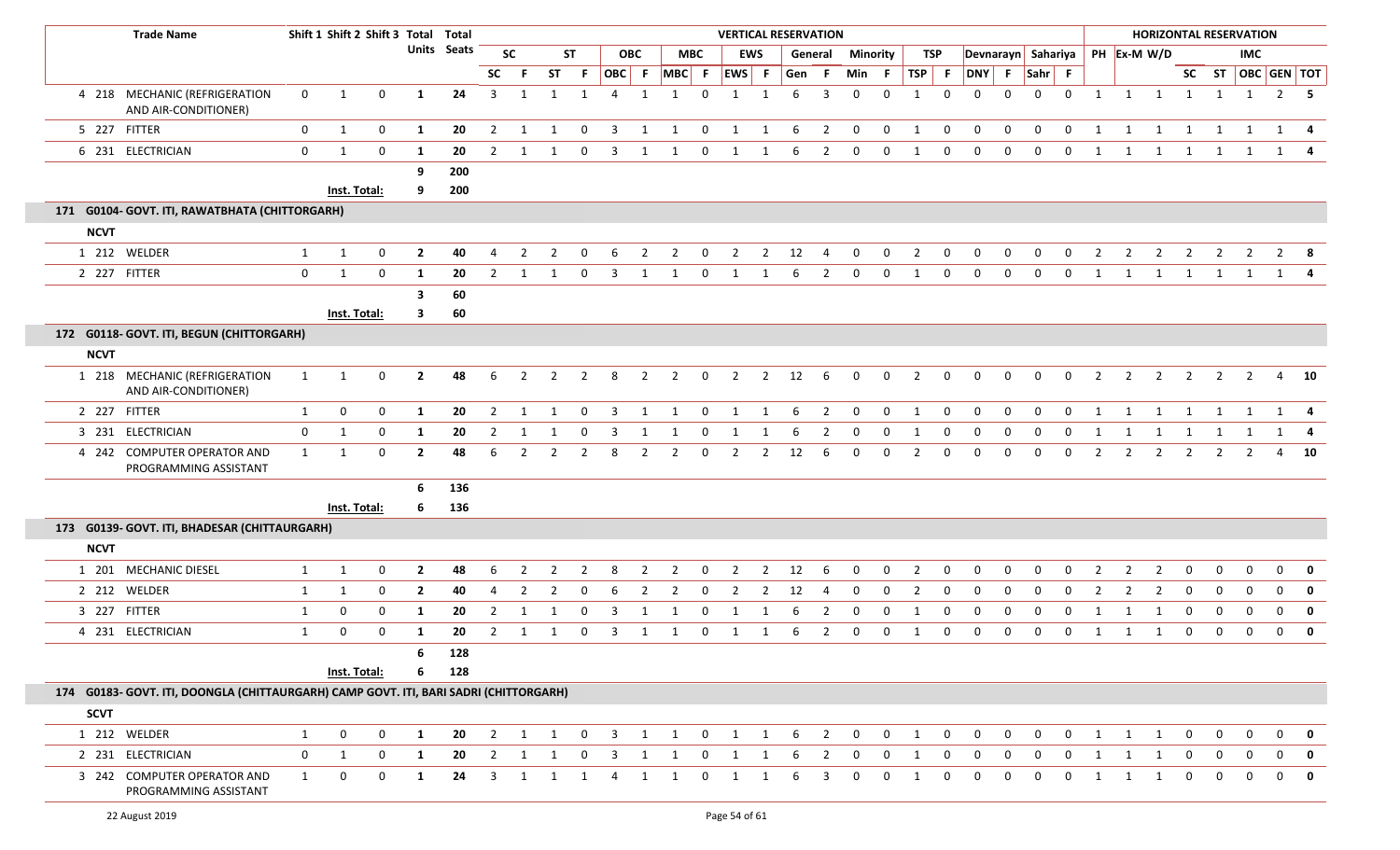|             | <b>Trade Name</b>                                                                     |              | Shift 1 Shift 2 Shift 3 Total Total |              |                |             |                |                |                |                |                         |                |                |                | <b>VERTICAL RESERVATION</b> |                |     |                         |                |              |              |              |                |             |              |              |                |                |                                | <b>HORIZONTAL RESERVATION</b> |                |                |              |                         |
|-------------|---------------------------------------------------------------------------------------|--------------|-------------------------------------|--------------|----------------|-------------|----------------|----------------|----------------|----------------|-------------------------|----------------|----------------|----------------|-----------------------------|----------------|-----|-------------------------|----------------|--------------|--------------|--------------|----------------|-------------|--------------|--------------|----------------|----------------|--------------------------------|-------------------------------|----------------|----------------|--------------|-------------------------|
|             |                                                                                       |              |                                     |              |                | Units Seats |                | <b>SC</b>      |                | <b>ST</b>      |                         | <b>OBC</b>     |                | <b>MBC</b>     |                             | <b>EWS</b>     |     | General                 |                | Minority     |              | TSP          |                |             |              |              |                |                | Devnarayn Sahariya PH Ex-M W/D |                               |                | IMC            |              |                         |
|             |                                                                                       |              |                                     |              |                |             | <b>SC</b>      | -F             | ST .           | -F             | OBC F                   |                |                |                | MBC F EWS F                 |                | Gen | - F                     | Min F          |              | TSP F        |              | DNY F Sahr F   |             |              |              |                |                |                                |                               |                |                |              | SC ST   OBC   GEN   TOT |
|             | 4 218 MECHANIC (REFRIGERATION<br>AND AIR-CONDITIONER)                                 | $\mathbf{0}$ | 1                                   | $\mathbf 0$  | -1             | 24          | 3              | 1              | 1              | 1              | $\overline{4}$          | 1              | $\mathbf{1}$   | $\Omega$       | 1                           | $\mathbf{1}$   | 6   | 3                       | $\Omega$       | $\Omega$     | $\mathbf{1}$ | $\mathbf{0}$ | $\Omega$       | $\Omega$    | $\Omega$     | $\mathbf{0}$ | 1              |                | 1 1 1                          |                               |                | 1 1            |              | $2 \quad 5$             |
|             | 5 227 FITTER                                                                          | $\mathbf{0}$ | 1                                   | $\mathbf 0$  | 1              | 20          | $\overline{2}$ | 1              | 1              | $\mathbf 0$    | $\overline{3}$          | 1              | 1              | $\mathbf 0$    | $\overline{1}$              | 1              | 6   | $\overline{\mathbf{2}}$ | $\mathbf 0$    | $\mathbf 0$  | 1            | $\mathbf{0}$ | $\mathbf 0$    | $\mathbf 0$ | $\mathbf 0$  | $\mathbf 0$  | 1              | 1              | 1                              | $\mathbf{1}$                  | 1              | $\overline{1}$ |              | 1 4                     |
|             | 6 231 ELECTRICIAN                                                                     | $\mathbf{0}$ | 1                                   | $\mathbf 0$  | 1              | 20          | 2              | -1             | 1              | 0              | 3                       | 1              | 1              | 0              | 1                           | 1              | 6   | 2                       | $\mathbf 0$    | $\mathbf 0$  | 1            | 0            | $\mathbf 0$    | 0           | 0            | 0            | 1              | 1              | 1                              | $\overline{\mathbf{1}}$       |                | 1 1            |              | 1 4                     |
|             |                                                                                       |              |                                     |              | 9              | 200         |                |                |                |                |                         |                |                |                |                             |                |     |                         |                |              |              |              |                |             |              |              |                |                |                                |                               |                |                |              |                         |
|             |                                                                                       |              | Inst. Total:                        |              | 9              | 200         |                |                |                |                |                         |                |                |                |                             |                |     |                         |                |              |              |              |                |             |              |              |                |                |                                |                               |                |                |              |                         |
|             | 171 G0104- GOVT. ITI, RAWATBHATA (CHITTORGARH)                                        |              |                                     |              |                |             |                |                |                |                |                         |                |                |                |                             |                |     |                         |                |              |              |              |                |             |              |              |                |                |                                |                               |                |                |              |                         |
| <b>NCVT</b> |                                                                                       |              |                                     |              |                |             |                |                |                |                |                         |                |                |                |                             |                |     |                         |                |              |              |              |                |             |              |              |                |                |                                |                               |                |                |              |                         |
|             | 1 212 WELDER                                                                          | 1            | 1                                   | $\mathbf 0$  | $\overline{2}$ | 40          | $\overline{4}$ | $\overline{2}$ | 2              | $\Omega$       | -6                      | 2              | $\overline{2}$ | $\mathbf{0}$   | $\overline{2}$              | $\overline{2}$ | 12  | 4                       | $\mathbf{0}$   | $\mathbf 0$  | 2            | $\mathbf 0$  | 0              | 0           | 0            | $\mathbf{0}$ | $\overline{2}$ | $\overline{2}$ | 2                              | $\overline{2}$                | $\overline{2}$ | $\overline{2}$ |              | $2 \times 8$            |
|             | 2 227 FITTER                                                                          | 0            | 1                                   | $\mathbf 0$  | 1              | 20          | 2              | 1              | 1              | 0              | 3                       | 1              | 1              | 0              | 1                           | 1              | 6   | 2                       | 0              | 0            | 1            | 0            | 0              | $\mathbf 0$ | $\mathbf{0}$ | $\mathbf{0}$ | 1              | 1              | $\mathbf{1}$                   | $\overline{1}$                | $\mathbf{1}$   | 1              |              | 1 4                     |
|             |                                                                                       |              |                                     |              | -3             | 60          |                |                |                |                |                         |                |                |                |                             |                |     |                         |                |              |              |              |                |             |              |              |                |                |                                |                               |                |                |              |                         |
|             |                                                                                       |              | Inst. Total:                        |              | 3              | 60          |                |                |                |                |                         |                |                |                |                             |                |     |                         |                |              |              |              |                |             |              |              |                |                |                                |                               |                |                |              |                         |
|             | 172 G0118- GOVT. ITI, BEGUN (CHITTORGARH)                                             |              |                                     |              |                |             |                |                |                |                |                         |                |                |                |                             |                |     |                         |                |              |              |              |                |             |              |              |                |                |                                |                               |                |                |              |                         |
| <b>NCVT</b> |                                                                                       |              |                                     |              |                |             |                |                |                |                |                         |                |                |                |                             |                |     |                         |                |              |              |              |                |             |              |              |                |                |                                |                               |                |                |              |                         |
|             | 1 218 MECHANIC (REFRIGERATION<br>AND AIR-CONDITIONER)                                 | 1            | 1                                   | 0            | $\overline{2}$ | 48          | 6              | $\overline{2}$ | $\overline{2}$ | 2              | 8                       | $\overline{2}$ | $\overline{2}$ | $\mathbf 0$    | $\overline{2}$              | $\overline{2}$ | 12  | 6                       | $\mathbf 0$    | $\mathbf 0$  | 2            | $\mathbf 0$  | $\mathbf 0$    | 0           | $\mathbf{0}$ | 0            | $\overline{2}$ | $\overline{2}$ | $\overline{2}$                 | $\overline{2}$                | $\overline{2}$ | $\overline{2}$ |              | 4 10                    |
|             | 2 227 FITTER                                                                          | 1            | $\mathbf 0$                         | $\mathbf 0$  | 1              | 20          | $\overline{2}$ | 1              | 1              | $\mathbf 0$    | $\overline{\mathbf{3}}$ | 1              | 1              | $\mathbf 0$    | $\overline{1}$              | 1              | 6   | $\overline{\mathbf{c}}$ | $\overline{0}$ | $\mathbf 0$  | 1            | $\mathbf 0$  | $\overline{0}$ | $\mathbf 0$ | 0            | $\mathbf 0$  | 1              | 1              | $\overline{1}$                 | 1                             | 1              | 1              |              | 1 4                     |
|             | 3 231 ELECTRICIAN                                                                     | $\mathbf{0}$ | 1                                   | 0            | -1             | 20          | 2              | - 1            |                | 0              | 3                       |                |                | 0              |                             |                |     | 2                       |                | $\Omega$     |              | $\Omega$     | 0              | 0           | 0            | $\Omega$     | -1             | -1             | -1                             | -1                            | -1             |                | 1            |                         |
|             | 4 242 COMPUTER OPERATOR AND<br>PROGRAMMING ASSISTANT                                  | 1            | 1                                   | $\mathbf 0$  | $\overline{2}$ | 48          | 6              | $\overline{2}$ | 2              | $\overline{2}$ | 8                       | 2              | $\overline{2}$ | 0              | $\overline{2}$              | $\overline{2}$ | 12  | 6                       | $\Omega$       | $\mathbf 0$  | 2            | $\mathbf{0}$ | $\mathbf{0}$   | 0           | $\Omega$     | 0            | 2              | $\overline{2}$ | $\overline{2}$                 | $\overline{2}$                | $\overline{2}$ | $\overline{2}$ |              | 4 10                    |
|             |                                                                                       |              |                                     |              | 6              | 136         |                |                |                |                |                         |                |                |                |                             |                |     |                         |                |              |              |              |                |             |              |              |                |                |                                |                               |                |                |              |                         |
|             |                                                                                       |              | Inst. Total:                        |              | 6              | 136         |                |                |                |                |                         |                |                |                |                             |                |     |                         |                |              |              |              |                |             |              |              |                |                |                                |                               |                |                |              |                         |
|             | 173 G0139- GOVT. ITI, BHADESAR (CHITTAURGARH)                                         |              |                                     |              |                |             |                |                |                |                |                         |                |                |                |                             |                |     |                         |                |              |              |              |                |             |              |              |                |                |                                |                               |                |                |              |                         |
| <b>NCVT</b> |                                                                                       |              |                                     |              |                |             |                |                |                |                |                         |                |                |                |                             |                |     |                         |                |              |              |              |                |             |              |              |                |                |                                |                               |                |                |              |                         |
|             | 1 201 MECHANIC DIESEL                                                                 | 1            | 1                                   | 0            | $\overline{2}$ | 48          | 6              | $\overline{2}$ | 2              | -2             | 8                       | 2              | $\overline{2}$ | $\Omega$       | $\overline{2}$              | $\overline{2}$ | 12  | -6                      | $\Omega$       | $\mathbf{0}$ | 2            | $\mathbf{0}$ | $\Omega$       | 0           | $\Omega$     | $\Omega$     | 2              | 2              | 2                              | $\mathbf 0$                   | $\mathbf 0$    | $\mathbf 0$    |              | $0$ 0                   |
|             | 2 212 WELDER                                                                          | 1            | 1                                   | 0            | $\overline{2}$ | 40          | 4              | $\overline{2}$ | 2              | 0              | 6                       | 2              | 2              | 0              | 2                           | $\overline{2}$ | 12  | 4                       | $\mathbf 0$    | 0            | 2            | 0            | 0              | 0           | $\Omega$     | 0            | 2              | 2              | 2                              | 0                             | $\mathbf 0$    | $\mathbf{0}$   | $\mathbf{0}$ | $\mathbf 0$             |
|             | 3 227 FITTER                                                                          | 1            | 0                                   | $\mathbf 0$  | -1             | 20          | $\overline{2}$ | 1              | 1              | 0              | 3                       | 1              | 1              | $\overline{0}$ | 1                           | 1              | 6   | $\overline{2}$          | $\mathbf 0$    | $\mathbf 0$  | 1            | $\mathbf 0$  | $\mathbf{0}$   | $\mathbf 0$ | $\Omega$     | $\mathbf{0}$ | 1              | 1              | -1                             | $\mathbf{0}$                  | $\mathbf 0$    | $\mathbf 0$    |              | $0 \quad 0$             |
|             | 4 231 ELECTRICIAN                                                                     | $\mathbf{1}$ | 0                                   | $\mathbf{0}$ | -1             | 20          | 2              | -1             | 1              | 0              | 3                       | -1             |                | 0              |                             | 1              | 6   | 2                       | 0              | 0            |              | 0            | 0              | 0           | $\Omega$     | $\Omega$     | -1             | $\mathbf{1}$   | -1                             | 0                             | $\mathbf{0}$   | 0              | $\mathbf{0}$ | $\mathbf 0$             |
|             |                                                                                       |              |                                     |              | 6              | 128         |                |                |                |                |                         |                |                |                |                             |                |     |                         |                |              |              |              |                |             |              |              |                |                |                                |                               |                |                |              |                         |
|             |                                                                                       |              | Inst. Total:                        |              |                | 128         |                |                |                |                |                         |                |                |                |                             |                |     |                         |                |              |              |              |                |             |              |              |                |                |                                |                               |                |                |              |                         |
|             | 174 G0183- GOVT. ITI, DOONGLA (CHITTAURGARH) CAMP GOVT. ITI, BARI SADRI (CHITTORGARH) |              |                                     |              |                |             |                |                |                |                |                         |                |                |                |                             |                |     |                         |                |              |              |              |                |             |              |              |                |                |                                |                               |                |                |              |                         |
| <b>SCVT</b> |                                                                                       |              |                                     |              |                |             |                |                |                |                |                         |                |                |                |                             |                |     |                         |                |              |              |              |                |             |              |              |                |                |                                |                               |                |                |              |                         |
|             | 1 212 WELDER                                                                          | 1            | $\mathbf 0$                         | $\mathbf 0$  | 1              | 20          | $\overline{2}$ | 1              | 1              | $\mathbf 0$    | $\overline{3}$          | 1              | 1              | $\mathbf 0$    | 1                           | 1              | 6   | $\overline{2}$          | $\mathbf 0$    | 0            | 1            | 0            | $\mathbf{0}$   | 0           | $\mathbf{0}$ | 0            | 1              | 1              | $\mathbf{1}$                   | $\mathbf{0}$                  | $\mathbf{0}$   | 0              | $\mathbf{0}$ | $\mathbf 0$             |
|             | 2 231 ELECTRICIAN                                                                     | $\mathbf 0$  | 1                                   | $\mathbf{0}$ | $\mathbf{1}$   | 20          | $\overline{2}$ | 1              | 1              | $\mathbf 0$    | $\overline{3}$          | 1              | 1              | $\mathbf 0$    | 1                           | 1              | 6   | $\overline{2}$          | $\mathbf 0$    | $\mathbf 0$  | 1            | $\mathbf 0$  | $\mathbf 0$    | $\mathbf 0$ | 0            | 0            | 1              | $\mathbf{1}$   | 1                              | $\mathbf{0}$                  | $\mathbf{0}$   | $\mathbf 0$    | 0            | $\mathbf{0}$            |
|             | 3 242 COMPUTER OPERATOR AND<br>PROGRAMMING ASSISTANT                                  | 1            | $\mathbf 0$                         | $\mathbf 0$  | 1              | 24          | 3              | 1              | 1              | 1              | 4                       | 1              | 1              | 0              | $\mathbf{1}$                | 1              | 6   | 3                       | 0              | 0            | 1            | 0            | 0              | 0           | $\Omega$     | 0            | 1              | 1              | 1                              | 0                             | 0              | 0              | $\Omega$     | $\mathbf 0$             |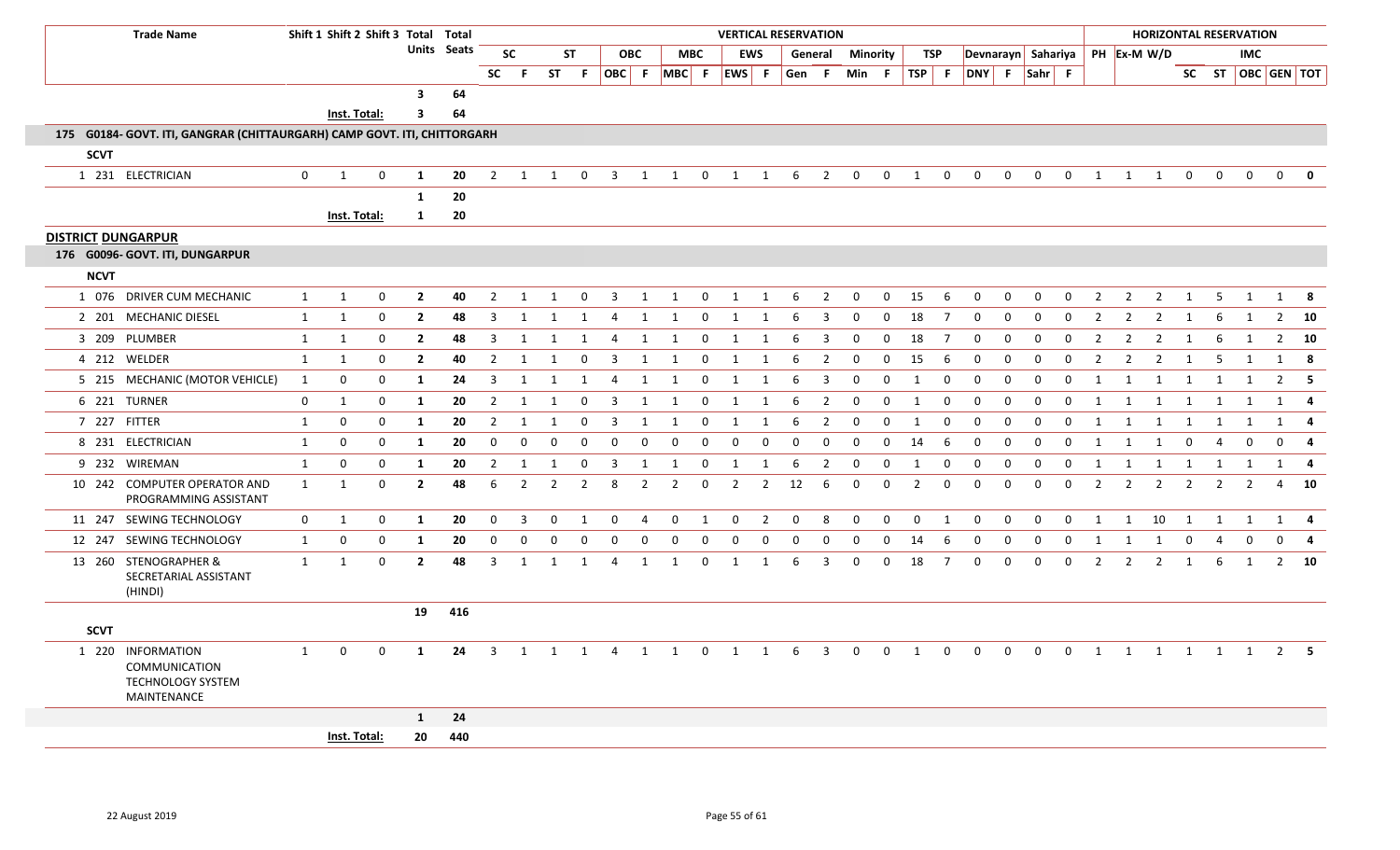| <b>Trade Name</b>                                                                           |              | Shift 1 Shift 2 Shift 3 Total Total |             |                         |             |                |                |                |                |                |                |                |                         | <b>VERTICAL RESERVATION</b> |                |          |                         |                  |               |                |                |              |              |              |                    |                |                | <b>HORIZONTAL RESERVATION</b> |                |                |                                           |                |                         |
|---------------------------------------------------------------------------------------------|--------------|-------------------------------------|-------------|-------------------------|-------------|----------------|----------------|----------------|----------------|----------------|----------------|----------------|-------------------------|-----------------------------|----------------|----------|-------------------------|------------------|---------------|----------------|----------------|--------------|--------------|--------------|--------------------|----------------|----------------|-------------------------------|----------------|----------------|-------------------------------------------|----------------|-------------------------|
|                                                                                             |              |                                     |             |                         | Units Seats |                | <b>SC</b>      |                | <b>ST</b>      |                | <b>OBC</b>     |                | <b>MBC</b>              | <b>EWS</b>                  |                |          |                         | General Minority |               | TSP            |                |              |              |              | Devnarayn Sahariya |                |                | PH Ex-M W/D                   |                |                | IMC.                                      |                |                         |
|                                                                                             |              |                                     |             |                         |             | <b>SC</b>      | - F            |                |                |                |                |                |                         | ST F OBC F MBC F EWS F      |                | Gen F    |                         |                  | Min $F$ TSP F |                |                | DNY F Sahr F |              |              |                    |                |                |                               |                |                | SC ST $\vert$ OBC GEN $\vert$ TOT $\vert$ |                |                         |
|                                                                                             |              |                                     |             | $\overline{\mathbf{3}}$ | 64          |                |                |                |                |                |                |                |                         |                             |                |          |                         |                  |               |                |                |              |              |              |                    |                |                |                               |                |                |                                           |                |                         |
|                                                                                             |              | Inst. Total:                        |             | $\overline{\mathbf{3}}$ | 64          |                |                |                |                |                |                |                |                         |                             |                |          |                         |                  |               |                |                |              |              |              |                    |                |                |                               |                |                |                                           |                |                         |
| 175 G0184- GOVT. ITI, GANGRAR (CHITTAURGARH) CAMP GOVT. ITI, CHITTORGARH                    |              |                                     |             |                         |             |                |                |                |                |                |                |                |                         |                             |                |          |                         |                  |               |                |                |              |              |              |                    |                |                |                               |                |                |                                           |                |                         |
| <b>SCVT</b>                                                                                 |              |                                     |             |                         |             |                |                |                |                |                |                |                |                         |                             |                |          |                         |                  |               |                |                |              |              |              |                    |                |                |                               |                |                |                                           |                |                         |
| 1 231 ELECTRICIAN                                                                           | $\mathbf{0}$ | 1                                   | $\mathbf 0$ | <b>1</b>                | 20          | $\overline{2}$ | 1              | 1              | $\mathbf 0$    | $\overline{3}$ | 1              | $\overline{1}$ | $\mathbf 0$             | $\overline{\mathbf{1}}$     | $\mathbf{1}$   | 6        | $\overline{2}$          | $\mathbf 0$      | $\mathbf 0$   | 1              | $\mathbf 0$    | $\mathbf{0}$ | $\mathbf{0}$ | $\mathbf 0$  | $\overline{0}$     | 1              | 1              | $\overline{1}$                | $\mathbf 0$    | $\mathbf 0$    | $\overline{0}$                            | $\mathbf 0$    | $\mathbf{0}$            |
|                                                                                             |              |                                     |             | 1                       | 20          |                |                |                |                |                |                |                |                         |                             |                |          |                         |                  |               |                |                |              |              |              |                    |                |                |                               |                |                |                                           |                |                         |
|                                                                                             |              | Inst. Total:                        |             | $\mathbf{1}$            | 20          |                |                |                |                |                |                |                |                         |                             |                |          |                         |                  |               |                |                |              |              |              |                    |                |                |                               |                |                |                                           |                |                         |
| <b>DISTRICT DUNGARPUR</b>                                                                   |              |                                     |             |                         |             |                |                |                |                |                |                |                |                         |                             |                |          |                         |                  |               |                |                |              |              |              |                    |                |                |                               |                |                |                                           |                |                         |
| 176 G0096- GOVT. ITI, DUNGARPUR                                                             |              |                                     |             |                         |             |                |                |                |                |                |                |                |                         |                             |                |          |                         |                  |               |                |                |              |              |              |                    |                |                |                               |                |                |                                           |                |                         |
| <b>NCVT</b>                                                                                 |              |                                     |             |                         |             |                |                |                |                |                |                |                |                         |                             |                |          |                         |                  |               |                |                |              |              |              |                    |                |                |                               |                |                |                                           |                |                         |
| 1 076 DRIVER CUM MECHANIC                                                                   | 1            | $\mathbf{1}$                        | $\mathbf 0$ | $\overline{2}$          | 40          | $\overline{2}$ | 1              | 1              | $\mathbf 0$    | $\overline{3}$ | 1              | $\overline{1}$ | $\mathbf 0$             | $\mathbf{1}$                | 1              | - 6      | $\overline{2}$          | $\mathbf 0$      | $\mathbf 0$   | 15             | -6             | 0            | $\mathbf{0}$ | $\mathbf{0}$ | $\mathbf 0$        | $\overline{2}$ | $\overline{2}$ | $\overline{2}$                | 1              | -5             | 1                                         |                | 1 8                     |
| 2 201 MECHANIC DIESEL                                                                       | 1            | $\mathbf{1}$                        | $\mathbf 0$ | $\overline{2}$          | 48          | $\overline{3}$ | 1              | 1              | 1              | $\overline{4}$ | $\overline{1}$ | 1              | $\mathbf 0$             | 1                           | 1              | 6        | $\overline{3}$          | $\Omega$         | $\mathbf 0$   | 18             | $\overline{7}$ | $\mathbf 0$  | 0            | $\mathbf 0$  | $\overline{0}$     | $\overline{2}$ | $\overline{2}$ | $\overline{2}$                | $\overline{1}$ | 6              | 1                                         |                | $2 \quad 10$            |
| 3 209 PLUMBER                                                                               | $\mathbf{1}$ | 1                                   | $\mathbf 0$ | $\overline{2}$          | 48          | $\overline{3}$ | 1              | 1              | 1              | $\overline{4}$ | 1              | 1              | $\mathbf 0$             | 1                           | 1              | 6        | 3                       | $\mathbf 0$      | $\mathbf 0$   | 18             | $\overline{7}$ | $\mathbf 0$  | 0            | $\Omega$     | $\mathbf{0}$       | $\overline{2}$ | $\overline{2}$ | $\overline{2}$                | 1              | 6              | 1                                         |                | $2 \t10$                |
| 4 212 WELDER                                                                                | 1            | 1                                   | $\mathbf 0$ | $\overline{2}$          | 40          | $\overline{2}$ | $\mathbf{1}$   | -1             | $\Omega$       | 3              | 1              | 1              | $\Omega$                | 1                           | 1              | 6        | $\overline{2}$          | $\mathbf 0$      | $\mathbf 0$   | 15             | 6              | $\mathbf 0$  | $\Omega$     | $\Omega$     | $\mathbf 0$        | $\overline{2}$ | $\overline{2}$ | $\overline{2}$                | 1              | -5             | 1                                         | 1              | 8                       |
| 5 215 MECHANIC (MOTOR VEHICLE)                                                              | 1            | 0                                   | 0           | 1                       | 24          | 3              | 1              | $\mathbf{1}$   | 1              | $\overline{4}$ | 1              | 1              | $\Omega$                | 1                           | 1              | 6        | 3                       | $\mathbf{0}$     | $\mathbf{0}$  | 1              | 0              | $\mathbf{0}$ | $\mathbf{0}$ | $\mathbf{0}$ | $\mathbf{0}$       | 1              | 1              | 1                             | 1              | 1              | 1                                         |                | $2 \quad 5$             |
| 6 221 TURNER                                                                                | 0            | $\mathbf{1}$                        | $\mathbf 0$ | 1                       | 20          | $\overline{2}$ | -1             |                | $\Omega$       | 3              | -1             |                | $\Omega$                | 1                           | -1             | 6        | $\overline{2}$          | $\mathbf 0$      | $\mathbf 0$   | -1             | 0              | $\mathbf 0$  | $\Omega$     | $\Omega$     | $\mathbf 0$        | 1              | -1             | 1                             | -1             | 1              |                                           |                | -4                      |
| 7 227 FITTER                                                                                | 1            | 0                                   | 0           | 1                       | 20          | $\overline{2}$ | 1              | -1             | $\Omega$       | 3              | 1              | 1              | 0                       | 1                           | 1              | 6        | 2                       | 0                | 0             | 1              | 0              | 0            | 0            | 0            | $\mathbf 0$        | 1              | 1              | 1                             | $\overline{1}$ | 1              | 1                                         | 1              | $\overline{\mathbf{4}}$ |
| 8 231 ELECTRICIAN                                                                           | 1            | 0                                   | $\mathbf 0$ | 1                       | 20          | $\mathbf{0}$   | $\mathbf 0$    | $\mathbf 0$    | $\Omega$       | $\mathbf 0$    | $\mathbf 0$    | $\mathbf 0$    | $\Omega$                | $\mathbf 0$                 | 0              | $\Omega$ | $\Omega$                | $\Omega$         | $\mathbf 0$   | 14             | 6              | $\mathbf 0$  | $\mathbf 0$  | $\mathbf 0$  | $\mathbf 0$        | 1              | 1              | 1                             | $\overline{0}$ | 4              | $\Omega$                                  | $\Omega$       | $\overline{\mathbf{4}}$ |
| 9 232 WIREMAN                                                                               | 1            | 0                                   | $\mathbf 0$ | 1                       | 20          | $\overline{2}$ | 1              | 1              | $\Omega$       | 3              | 1              | 1              | $\mathbf 0$             | $\mathbf{1}$                | 1              | 6        | $\overline{2}$          | $\mathbf 0$      | 0             | $\mathbf{1}$   | 0              | 0            | 0            | $\mathbf 0$  | $\mathbf 0$        | $\mathbf{1}$   | 1              | 1                             | 1              | 1              | 1                                         | 1              | - 4                     |
| 10 242 COMPUTER OPERATOR AND<br>PROGRAMMING ASSISTANT                                       | 1            | $\mathbf{1}$                        | $\mathbf 0$ | $\mathbf{2}$            | 48          | 6              | $\overline{2}$ | $\overline{2}$ | $\overline{2}$ | 8              | $\overline{2}$ | $\overline{2}$ | $\Omega$                | $\overline{2}$              | $\overline{2}$ | 12       | 6                       | 0                | 0             | $\overline{2}$ | $\mathbf 0$    | 0            | $\Omega$     | $\mathbf 0$  | $\mathbf 0$        | $\overline{2}$ | $\overline{2}$ | $\overline{2}$                | $\overline{2}$ | $\overline{2}$ | $\overline{2}$                            | $\overline{a}$ | 10                      |
| 11 247 SEWING TECHNOLOGY                                                                    | $\mathbf 0$  | 1                                   | 0           | $\mathbf{1}$            | 20          | $\overline{0}$ | $\overline{3}$ | $\mathbf 0$    | 1              | $\mathbf 0$    | 4              | $\mathbf 0$    | $\overline{\mathbf{1}}$ | $\mathbf 0$                 | $\overline{2}$ | 0        | 8                       | $\mathbf 0$      | $\mathbf 0$   | $\mathbf 0$    | $\mathbf{1}$   | $\mathbf 0$  | $\mathbf{0}$ | $\mathbf 0$  | $\mathbf 0$        | 1              | 1              | 10 1                          |                | $\mathbf{1}$   | $\mathbf{1}$                              |                | 1 4                     |
| 12 247 SEWING TECHNOLOGY                                                                    | 1            | 0                                   | $\mathbf 0$ | 1                       | 20          | $\overline{0}$ | $\mathbf 0$    | 0              | $\Omega$       | $\mathbf{0}$   | $\mathbf 0$    | $\mathbf 0$    | $\mathbf 0$             | $\mathbf 0$                 | 0              | $\Omega$ | $\mathbf 0$             | $\mathbf{0}$     | $\mathbf{0}$  | 14             | 6              | 0            | $\mathbf 0$  | $\mathbf{0}$ | $\mathbf{0}$       | $\mathbf{1}$   | $\mathbf{1}$   | $\mathbf{1}$                  | $\mathbf 0$    | $\overline{4}$ | $\Omega$                                  | $\Omega$       | $\overline{4}$          |
| 13 260 STENOGRAPHER &<br>SECRETARIAL ASSISTANT<br>(HINDI)                                   | 1            | 1                                   | $\mathbf 0$ | $\overline{2}$          | 48          | $\overline{3}$ | 1              | 1              | 1              | $\overline{4}$ | 1              | 1              | $\mathbf 0$             | 1                           | 1              | 6        | 3                       | $\mathbf 0$      | $\mathbf 0$   | 18             | $\overline{7}$ | $\mathbf 0$  | 0            | $\mathbf 0$  | $\mathbf 0$        | $\overline{2}$ | $\overline{2}$ | $\overline{2}$                | 1              | 6              | 1                                         | $2^{\circ}$    | 10                      |
|                                                                                             |              |                                     |             | 19                      | 416         |                |                |                |                |                |                |                |                         |                             |                |          |                         |                  |               |                |                |              |              |              |                    |                |                |                               |                |                |                                           |                |                         |
| <b>SCVT</b>                                                                                 |              |                                     |             |                         |             |                |                |                |                |                |                |                |                         |                             |                |          |                         |                  |               |                |                |              |              |              |                    |                |                |                               |                |                |                                           |                |                         |
| 1 220 INFORMATION<br><b>COMMUNICATION</b><br><b>TECHNOLOGY SYSTEM</b><br><b>MAINTENANCE</b> | $\mathbf{1}$ | $\Omega$                            | $\mathbf 0$ | 1                       | 24          | $\overline{3}$ | 1              | 1              | 1              | 4              | 1              | 1              | $\mathbf 0$             | 1                           | 1              | 6        | $\overline{\mathbf{3}}$ | $\mathbf 0$      | $\mathbf 0$   | 1              | $\mathbf 0$    | $\Omega$     | $\Omega$     | $\mathbf 0$  | $\mathbf 0$        | 1              | 1              | 1                             | $\overline{1}$ | $\mathbf{1}$   | 1                                         |                | $2 \quad 5$             |
|                                                                                             |              |                                     |             | $\mathbf{1}$            | 24          |                |                |                |                |                |                |                |                         |                             |                |          |                         |                  |               |                |                |              |              |              |                    |                |                |                               |                |                |                                           |                |                         |
|                                                                                             |              | Inst. Total:                        |             | 20                      | 440         |                |                |                |                |                |                |                |                         |                             |                |          |                         |                  |               |                |                |              |              |              |                    |                |                |                               |                |                |                                           |                |                         |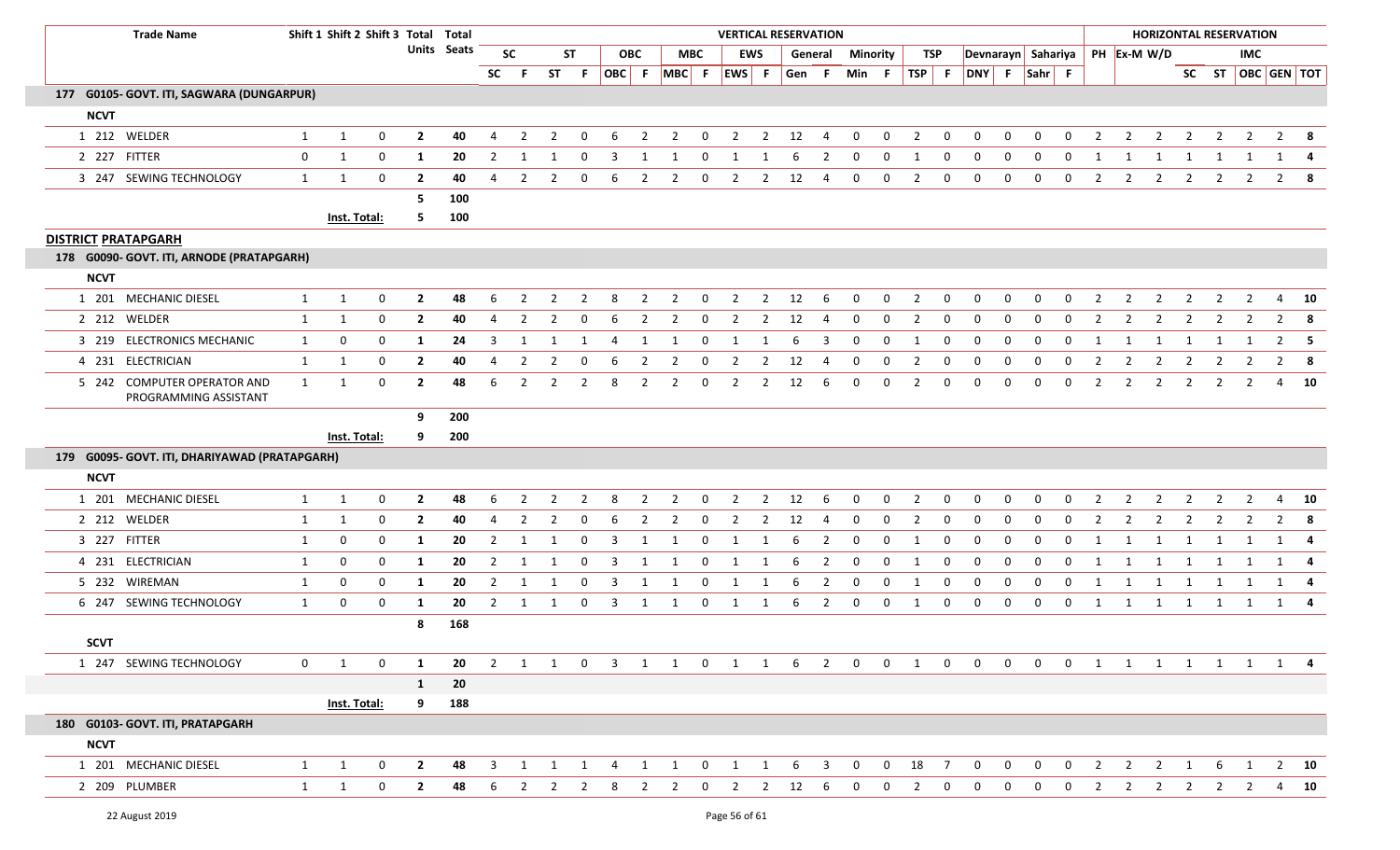| <b>Trade Name</b>                                    |              |              | Shift 1 Shift 2 Shift 3 Total Total |                |                    |                |                |                       |                |                         |                |                |                | <b>VERTICAL RESERVATION</b> |                |       |                         |                |              |                |                |                    |              |              |              |                |                |                         |                |                | <b>HORIZONTAL RESERVATION</b> |                   |               |
|------------------------------------------------------|--------------|--------------|-------------------------------------|----------------|--------------------|----------------|----------------|-----------------------|----------------|-------------------------|----------------|----------------|----------------|-----------------------------|----------------|-------|-------------------------|----------------|--------------|----------------|----------------|--------------------|--------------|--------------|--------------|----------------|----------------|-------------------------|----------------|----------------|-------------------------------|-------------------|---------------|
|                                                      |              |              |                                     |                | <b>Units</b> Seats |                | <b>SC</b>      |                       | <b>ST</b>      |                         | <b>OBC</b>     |                | <b>MBC</b>     |                             | <b>EWS</b>     |       | General                 | Minority       |              | TSP            |                | Devnarayn Sahariya |              |              |              |                |                | PH Ex-M W/D             |                |                | <b>IMC</b>                    |                   |               |
|                                                      |              |              |                                     |                |                    | <b>SC</b>      | -F.            | <b>ST</b>             | F.             |                         |                |                |                | OBC F MBC F EWS F           |                | Gen F |                         | Min F          |              | TSP F          |                | DNY F Sahr F       |              |              |              |                |                |                         |                |                |                               | SC ST OBC GEN TOT |               |
| 177 G0105- GOVT. ITI, SAGWARA (DUNGARPUR)            |              |              |                                     |                |                    |                |                |                       |                |                         |                |                |                |                             |                |       |                         |                |              |                |                |                    |              |              |              |                |                |                         |                |                |                               |                   |               |
| <b>NCVT</b>                                          |              |              |                                     |                |                    |                |                |                       |                |                         |                |                |                |                             |                |       |                         |                |              |                |                |                    |              |              |              |                |                |                         |                |                |                               |                   |               |
| 1 212 WELDER                                         | $\mathbf{1}$ | 1            | $\mathbf 0$                         | $\overline{2}$ | 40                 | $\overline{4}$ | $\overline{2}$ | $\overline{2}$        | $\mathbf 0$    | 6                       | 2              | $\overline{2}$ | 0              | $\overline{2}$              | $\overline{2}$ | 12    | $\overline{4}$          | $\mathbf 0$    | $\mathbf 0$  | $\overline{2}$ | $\mathbf 0$    | $\Omega$           | $\Omega$     | $\Omega$     | $\mathbf 0$  | $\overline{2}$ | $\overline{2}$ | $\overline{2}$          | 2              | $\overline{2}$ | $\overline{2}$                | $\overline{2}$    | - 8           |
| 2 227 FITTER                                         | $\mathbf 0$  | 1            | 0                                   | 1              | 20                 | $\overline{2}$ |                |                       | $\Omega$       | 3                       | 1              |                | $\Omega$       | 1                           |                |       | 2                       | $\mathbf 0$    | 0            | -1             | 0              | $\Omega$           | 0            | $\Omega$     | $\Omega$     | 1              | 1              | -1                      | -1             | 1              |                               |                   | - 4           |
| 3 247 SEWING TECHNOLOGY                              | $\mathbf{1}$ | 1            | 0                                   | $\overline{2}$ | 40                 | $\Delta$       | $\overline{2}$ | $\mathcal{P}$         | $\Omega$       | 6                       | $\overline{2}$ | $\overline{2}$ | $\Omega$       | $\overline{2}$              | $\overline{2}$ | 12    | $\overline{4}$          | $\mathbf 0$    | $\mathbf 0$  | 2              | $\mathbf 0$    | $\mathbf 0$        | 0            | $\mathbf 0$  | $\mathbf 0$  | $\overline{2}$ | 2              | $\overline{2}$          | $\overline{2}$ | $\overline{2}$ | $\overline{2}$                | $2^{\circ}$       | - 8           |
|                                                      |              |              |                                     | -5             | 100                |                |                |                       |                |                         |                |                |                |                             |                |       |                         |                |              |                |                |                    |              |              |              |                |                |                         |                |                |                               |                   |               |
|                                                      |              | Inst. Total: |                                     | -5.            | 100                |                |                |                       |                |                         |                |                |                |                             |                |       |                         |                |              |                |                |                    |              |              |              |                |                |                         |                |                |                               |                   |               |
| <b>DISTRICT PRATAPGARH</b>                           |              |              |                                     |                |                    |                |                |                       |                |                         |                |                |                |                             |                |       |                         |                |              |                |                |                    |              |              |              |                |                |                         |                |                |                               |                   |               |
| 178 G0090- GOVT. ITI, ARNODE (PRATAPGARH)            |              |              |                                     |                |                    |                |                |                       |                |                         |                |                |                |                             |                |       |                         |                |              |                |                |                    |              |              |              |                |                |                         |                |                |                               |                   |               |
| <b>NCVT</b>                                          |              |              |                                     |                |                    |                |                |                       |                |                         |                |                |                |                             |                |       |                         |                |              |                |                |                    |              |              |              |                |                |                         |                |                |                               |                   |               |
| 1 201 MECHANIC DIESEL                                | 1            | $\mathbf{1}$ | $\mathbf 0$                         | $\overline{2}$ | 48                 | 6              | $\overline{2}$ | $\overline{2}$        | $\overline{2}$ | 8                       | $\overline{2}$ | $\overline{2}$ | $\mathbf 0$    | $\overline{2}$              | $\overline{2}$ | 12    | 6                       | $\mathbf 0$    | $\mathbf 0$  | $\overline{2}$ | $\mathbf 0$    | $\mathbf 0$        | 0            | $\mathbf 0$  | $\mathbf 0$  | $\overline{2}$ | $\overline{2}$ | $\overline{2}$          | $\overline{2}$ | $\overline{2}$ | $\overline{2}$                | $\overline{4}$    | 10            |
| 2 212 WELDER                                         | $\mathbf{1}$ | 1            | 0                                   | $\overline{2}$ | 40                 | $\overline{4}$ | $\overline{2}$ | 2                     | $\Omega$       | 6                       | -2             | 2              | $\Omega$       | 2                           | 2              | 12    | 4                       | $\mathbf 0$    | $\mathbf 0$  | 2              | 0              | 0                  | $\Omega$     | $\Omega$     | $\Omega$     | 2              | 2              | 2                       | 2              | 2              | 2                             | $\overline{2}$    | - 8           |
| 3 219 ELECTRONICS MECHANIC                           | $\mathbf{1}$ | 0            | 0                                   | 1              | 24                 | 3              | -1             |                       |                | 4                       | -1             | -1             | $\Omega$       | 1                           | 1              | 6     | 3                       | $\mathbf 0$    | 0            | -1             | 0              | $\Omega$           | $\Omega$     | 0            | $\mathbf 0$  | 1              | 1              | 1                       | -1             | -1             |                               | $\overline{2}$    | - 5           |
| 4 231 ELECTRICIAN                                    | $\mathbf{1}$ | 1            | 0                                   | $\overline{2}$ | 40                 | 4              | $\overline{2}$ | 2                     | 0              | 6                       | $\overline{2}$ | 2              | 0              | $\overline{2}$              | $\overline{2}$ | 12    | 4                       | 0              | 0            | 2              | 0              | 0                  | 0            | 0            | 0            | $\overline{2}$ | $\overline{2}$ | $\overline{2}$          | $\overline{2}$ | 2              | $\mathbf{2}$                  | $\overline{2}$    | - 8           |
| 5 242 COMPUTER OPERATOR AND<br>PROGRAMMING ASSISTANT | $\mathbf{1}$ | 1            | $\mathbf 0$                         | $\overline{2}$ | 48                 | 6              | $\overline{2}$ | 2                     | $\overline{2}$ | 8                       | $\overline{2}$ | 2              | 0              | $\overline{2}$              | $\overline{2}$ | 12    | 6                       | $\mathbf{0}$   | 0            | 2              | 0              | 0                  | $\Omega$     | $\mathbf 0$  | $\mathbf{0}$ | $\overline{2}$ | $\overline{2}$ | $\overline{2}$          | 2              | $\overline{2}$ | $\overline{2}$                | 4                 | <b>10</b>     |
|                                                      |              |              |                                     | 9              | 200                |                |                |                       |                |                         |                |                |                |                             |                |       |                         |                |              |                |                |                    |              |              |              |                |                |                         |                |                |                               |                   |               |
|                                                      |              | Inst. Total: |                                     | 9              | 200                |                |                |                       |                |                         |                |                |                |                             |                |       |                         |                |              |                |                |                    |              |              |              |                |                |                         |                |                |                               |                   |               |
| 179 G0095- GOVT. ITI, DHARIYAWAD (PRATAPGARH)        |              |              |                                     |                |                    |                |                |                       |                |                         |                |                |                |                             |                |       |                         |                |              |                |                |                    |              |              |              |                |                |                         |                |                |                               |                   |               |
| <b>NCVT</b>                                          |              |              |                                     |                |                    |                |                |                       |                |                         |                |                |                |                             |                |       |                         |                |              |                |                |                    |              |              |              |                |                |                         |                |                |                               |                   |               |
| 1 201 MECHANIC DIESEL                                | 1            | $\mathbf{1}$ | $\boldsymbol{0}$                    | $\overline{2}$ | 48                 | 6              | $\overline{2}$ | $\overline{2}$        | $\overline{2}$ | 8                       | $\overline{2}$ | $\overline{2}$ | $\mathbf 0$    | $\overline{2}$              | $\overline{2}$ | 12    | 6                       | $\mathbf 0$    | $\mathbf 0$  | $\overline{2}$ | $\mathbf{0}$   | $\mathbf 0$        | 0            | $\mathbf 0$  | $\mathbf 0$  | $\overline{2}$ | $\overline{2}$ | $\overline{2}$          | $\overline{2}$ | $\overline{2}$ | $\overline{2}$                | 4                 | 10            |
| 2 212 WELDER                                         | 1            | 1            | 0                                   | $\overline{2}$ | 40                 | 4              | $\overline{2}$ | $\overline{2}$        | $\Omega$       |                         |                |                | $\Omega$       | 2                           | 2              | 12    | 4                       | $\mathbf 0$    | $\mathbf 0$  | $\overline{2}$ | 0              | $\Omega$           | $\Omega$     | 0            | $\Omega$     | $\overline{2}$ | $\overline{2}$ | $\overline{2}$          | 2              | $\overline{2}$ | $\overline{2}$                | $\overline{2}$    | - 8           |
| 3 227 FITTER                                         | $\mathbf{1}$ | 0            | 0                                   | 1              | 20                 | $\overline{2}$ | 1              |                       | $\Omega$       | 3                       | -1             |                | $\Omega$       | 1                           |                | 6     | $\overline{2}$          | $\mathbf 0$    | 0            | $\mathbf{1}$   | 0              | 0                  | $\Omega$     | 0            | $\mathbf 0$  | 1              | 1              | 1                       | 1              | 1              |                               | 1                 | - 4           |
| 4 231 ELECTRICIAN                                    | 1            | 0            | 0                                   | 1              | 20                 | $\overline{2}$ |                |                       | 0              | 3                       | -1             |                | $\Omega$       | 1                           | 1              | 6     | $\overline{2}$          | 0              | 0            | $\mathbf{1}$   | 0              | 0                  | $\Omega$     | 0            | $\Omega$     | $\mathbf{1}$   |                | -1                      |                |                |                               | 1                 | -4            |
| 5 232 WIREMAN                                        | 1            | 0            | 0                                   | 1              | 20                 | $\overline{2}$ | $\mathbf{1}$   | 1                     | 0              | 3                       | 1              | 1              | 0              | 1                           | 1              | 6     | $\overline{2}$          | 0              | $\mathbf 0$  | -1             | 0              | 0                  | 0            | $\mathbf 0$  | $\mathbf{0}$ | 1              | 1              | 1                       | 1              | 1              | 1                             |                   | $1 \quad 4$   |
| 6 247 SEWING TECHNOLOGY                              | $\mathbf{1}$ | 0            | 0                                   | 1              | 20                 | $\overline{2}$ | 1              | 1                     | 0              | $\overline{3}$          | 1              | 1              | 0              | 1                           | 1              | 6     | $\overline{2}$          | $\mathbf 0$    | $\mathbf 0$  | 1              | $\mathbf{0}$   | $\mathbf 0$        | 0            | $\mathbf 0$  | $\mathbf{0}$ | 1              | $\mathbf{1}$   | $\overline{\mathbf{1}}$ | $\overline{1}$ | 1              | 1                             |                   | 1 4           |
|                                                      |              |              |                                     | 8              | 168                |                |                |                       |                |                         |                |                |                |                             |                |       |                         |                |              |                |                |                    |              |              |              |                |                |                         |                |                |                               |                   |               |
| <b>SCVT</b>                                          |              |              |                                     |                |                    |                |                |                       |                |                         |                |                |                |                             |                |       |                         |                |              |                |                |                    |              |              |              |                |                |                         |                |                |                               |                   |               |
| 1 247 SEWING TECHNOLOGY                              | 0            | 1            | 0                                   | $\mathbf{1}$   | 20                 |                |                | $2 \qquad 1 \qquad 1$ | $\mathbf 0$    | $\overline{\mathbf{3}}$ |                | 1 1            | $\mathbf 0$    | $1 \quad 1$                 |                | 6     | $\overline{2}$          | $\mathbf{0}$   | $\mathbf{0}$ | 1              | $\mathbf 0$    | $\mathbf{0}$       | $\mathbf{0}$ | $\mathbf{0}$ | $\mathbf 0$  | $\mathbf{1}$   | 1              |                         |                |                |                               | 1 1 1 1 1 4       |               |
|                                                      |              |              |                                     | $\mathbf{1}$   | ${\bf 20}$         |                |                |                       |                |                         |                |                |                |                             |                |       |                         |                |              |                |                |                    |              |              |              |                |                |                         |                |                |                               |                   |               |
|                                                      |              | Inst. Total: |                                     | 9              | 188                |                |                |                       |                |                         |                |                |                |                             |                |       |                         |                |              |                |                |                    |              |              |              |                |                |                         |                |                |                               |                   |               |
| 180 G0103- GOVT. ITI, PRATAPGARH                     |              |              |                                     |                |                    |                |                |                       |                |                         |                |                |                |                             |                |       |                         |                |              |                |                |                    |              |              |              |                |                |                         |                |                |                               |                   |               |
| <b>NCVT</b>                                          |              |              |                                     |                |                    |                |                |                       |                |                         |                |                |                |                             |                |       |                         |                |              |                |                |                    |              |              |              |                |                |                         |                |                |                               |                   |               |
| 1 201 MECHANIC DIESEL                                | $\mathbf{1}$ | $\mathbf{1}$ | 0                                   | $\overline{2}$ | 48                 | $\overline{3}$ | 1              | 1                     | 1              | $\overline{4}$          | 1              | 1              | $\overline{0}$ | $\overline{1}$              | $\overline{1}$ | 6     | $\overline{\mathbf{3}}$ | $\overline{0}$ |              | $0$ 18         | $\overline{7}$ | $\overline{0}$     | $\mathbf{0}$ | $\mathbf 0$  | $\mathbf{0}$ | $\overline{2}$ | $\overline{2}$ | $\overline{2}$          | 1              | 6              | $\overline{1}$                |                   | $2 \qquad 10$ |
| 2 209 PLUMBER                                        | $\mathbf{1}$ | $\mathbf{1}$ | $\boldsymbol{0}$                    | $\overline{2}$ | 48                 | 6              | $\overline{2}$ | $\overline{2}$        | $\overline{2}$ | 8                       | $\overline{2}$ | $\overline{2}$ | $\mathbf 0$    | $\overline{2}$              | $\overline{2}$ | 12    | 6                       | $\mathbf 0$    | $\mathbf 0$  | $\overline{2}$ | $\mathbf{0}$   | 0                  | 0            | $\mathbf{0}$ | $\mathbf{0}$ | $\overline{2}$ | $\overline{2}$ | $\overline{2}$          | $\overline{2}$ | $\overline{2}$ | $\overline{2}$                |                   | $4\quad 10$   |
| 22 August 2019                                       |              |              |                                     |                |                    |                |                |                       |                |                         |                |                |                | Page 56 of 61               |                |       |                         |                |              |                |                |                    |              |              |              |                |                |                         |                |                |                               |                   |               |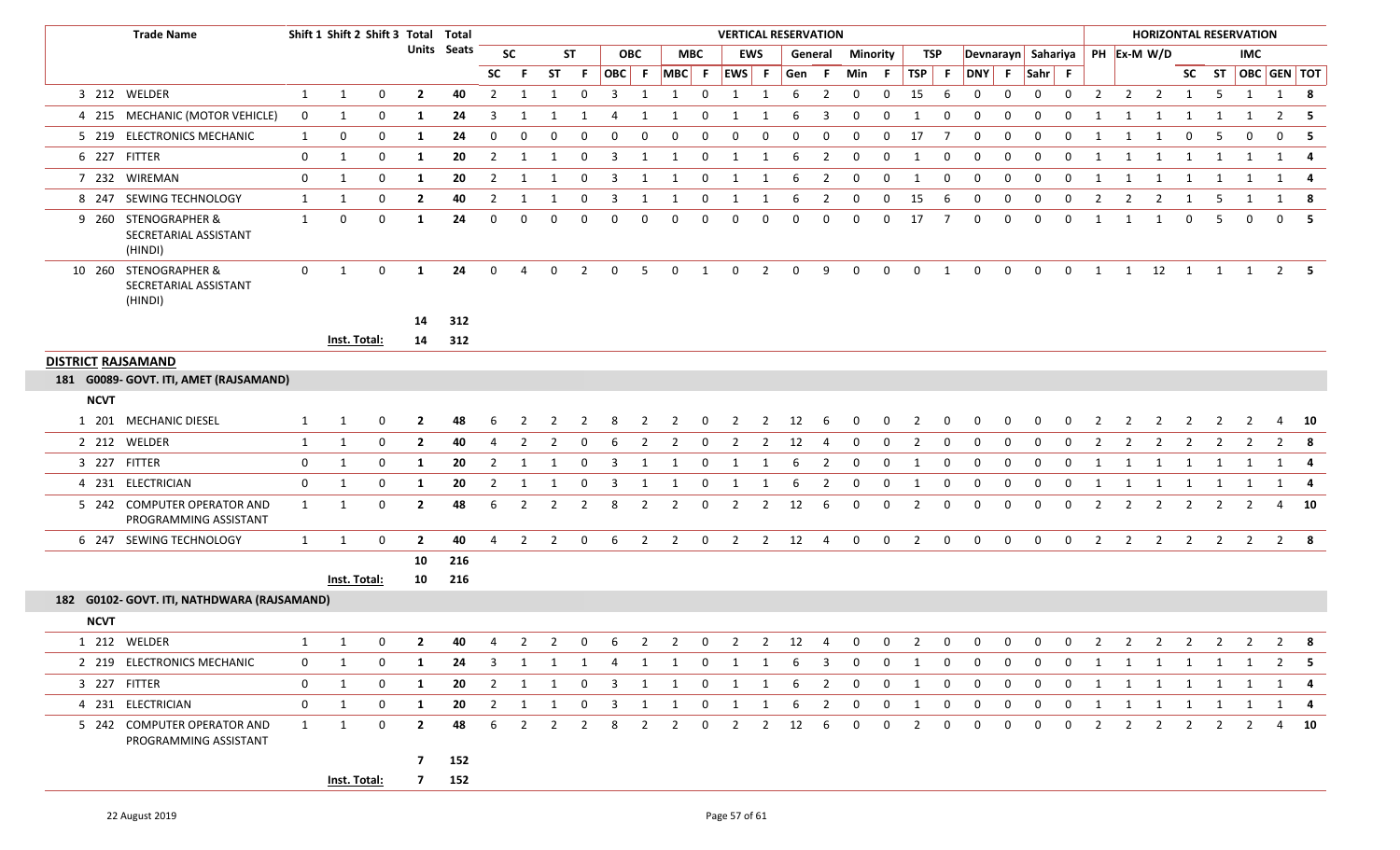| <b>Trade Name</b>                                         |              | Shift 1 Shift 2 Shift 3 Total Total |              |                |                    |                |                |                         |                |                         |                         |                         |                | <b>VERTICAL RESERVATION</b> |                |             |                         |                 |              |                |                |                    |              |                |              |                |                | <b>HORIZONTAL RESERVATION</b> |                |                |                |                         |                |
|-----------------------------------------------------------|--------------|-------------------------------------|--------------|----------------|--------------------|----------------|----------------|-------------------------|----------------|-------------------------|-------------------------|-------------------------|----------------|-----------------------------|----------------|-------------|-------------------------|-----------------|--------------|----------------|----------------|--------------------|--------------|----------------|--------------|----------------|----------------|-------------------------------|----------------|----------------|----------------|-------------------------|----------------|
|                                                           |              |                                     |              |                | <b>Units</b> Seats |                | <b>SC</b>      |                         | ST             |                         | <b>OBC</b>              |                         | <b>MBC</b>     |                             | <b>EWS</b>     |             | General                 | <b>Minority</b> |              | TSP            |                | Devnarayn Sahariya |              |                |              |                |                | PH Ex-M W/D                   |                |                | <b>IMC</b>     |                         |                |
|                                                           |              |                                     |              |                |                    | <b>SC</b>      | -F             | <b>ST</b>               | -F             | OBC F                   |                         | $MBC$ F                 |                | EWS F                       |                | Gen         | -F.                     | Min F           |              | $TSP$ F        |                | DNY F Sahr F       |              |                |              |                |                |                               |                |                |                | SC ST   OBC   GEN   TOT |                |
| 3 212 WELDER                                              | $\mathbf{1}$ | 1                                   | 0            | $\mathbf{2}$   | 40                 | $\overline{2}$ | -1             | 1                       | $\mathbf{0}$   | $\overline{\mathbf{3}}$ | -1                      | 1                       | $\overline{0}$ | 1                           | 1              | 6           | $\overline{2}$          | $\mathbf{0}$    | $\mathbf 0$  | 15             | -6             | 0                  | 0            | $\mathbf{0}$   | $\mathbf 0$  | $\overline{2}$ | $\overline{2}$ | $\overline{2}$                | $\mathbf{1}$   | - 5            | 1              | 1 8                     |                |
| 4 215 MECHANIC (MOTOR VEHICLE)                            | $\mathbf 0$  | 1                                   | 0            | 1              | 24                 | 3              | -1             |                         |                | 4                       | 1                       | 1                       | 0              | 1                           | 1              | 6           | 3                       | 0               | $\Omega$     | -1             | $\mathbf 0$    | $\mathbf 0$        | 0            | $\mathbf{0}$   | $\Omega$     | 1              | 1              | 1                             | -1             | -1             | 1              | 2                       | - 5            |
| 5 219 ELECTRONICS MECHANIC                                | 1            | 0                                   | 0            | 1              | 24                 | 0              | <sup>0</sup>   |                         |                | 0                       | $\Omega$                | 0                       | $\Omega$       | $\Omega$                    | $\Omega$       | 0           | $\Omega$                | $\Omega$        | $\Omega$     | 17             | 7              | $\Omega$           | $\Omega$     | 0              | $\Omega$     | 1              | -1             | -1                            | $\mathbf 0$    | -5             | $\Omega$       |                         | 0 <sub>5</sub> |
| 6 227 FITTER                                              | 0            | 1                                   | 0            | 1              | 20                 | 2              | -1             | 1                       | 0              | -3                      | 1                       | -1                      | 0              | 1                           | 1              | 6           | 2                       | 0               | $\Omega$     | -1             | $\Omega$       | $\Omega$           | 0            | 0              | 0            | -1             | 1              | -1                            | -1             | -1             | 1              |                         | 1 4            |
| 7 232 WIREMAN                                             | 0            | 1                                   | 0            | 1              | 20                 | $\overline{2}$ | 1              | 1                       | $\mathbf 0$    | $\overline{\mathbf{3}}$ | 1                       | 1                       | $\overline{0}$ | 1                           | 1              | 6           | $\overline{2}$          | $\mathbf 0$     | $\mathbf 0$  | 1              | 0              | $\mathbf 0$        | 0            | $\mathbf{0}$   | 0            | 1              | 1              | 1                             | 1              | 1              | 1              | 1                       | -4             |
| 8 247 SEWING TECHNOLOGY                                   | 1            | 1                                   | 0            | $\overline{2}$ | 40                 | $\overline{2}$ | -1             | 1                       | $\mathbf{0}$   | -3                      | 1                       | 1                       | 0              | 1                           | 1              | 6           | 2                       | 0               | $\mathbf 0$  | 15             | 6              | 0                  | 0            | $\mathbf{0}$   | 0            | $\overline{2}$ | 2              | $\overline{2}$                | -1             | - 5            | -1             | 1                       | - 8            |
| 9 260 STENOGRAPHER &<br>SECRETARIAL ASSISTANT<br>(HINDI)  | $\mathbf{1}$ | 0                                   | $\mathbf 0$  | 1              | 24                 | $\Omega$       | $\Omega$       | 0                       | $\Omega$       | $\Omega$                | $\Omega$                | $\Omega$                | $\Omega$       | $\Omega$                    | $\mathbf 0$    | $\Omega$    | $\Omega$                | $\Omega$        | $\Omega$     | 17             | $\overline{7}$ | $\mathbf{0}$       | $\mathbf{0}$ | $\Omega$       | 0            | 1              | 1              | 1                             | $\mathbf 0$    | -5             | $\Omega$       |                         | 0 <sub>5</sub> |
| 10 260 STENOGRAPHER &<br>SECRETARIAL ASSISTANT<br>(HINDI) | $\mathbf 0$  | $\mathbf{1}$                        | $\mathbf 0$  | <sup>1</sup>   | 24                 | $\mathbf{0}$   | $\overline{4}$ | 0                       | $\overline{2}$ | $\mathbf 0$             | -5                      | $\mathbf 0$             | 1              | $\mathbf{0}$                | $\overline{2}$ | $\mathbf 0$ | 9                       | $\overline{0}$  | $\mathbf 0$  | $\mathbf 0$    | $\mathbf{1}$   | $\mathbf 0$        | $\mathbf 0$  | $\mathbf 0$    | $\mathbf 0$  | 1              |                | $1 \qquad 12 \qquad 1$        |                |                | $1 \quad 1$    |                         | $2 \quad 5$    |
|                                                           |              |                                     |              | 14             | 312                |                |                |                         |                |                         |                         |                         |                |                             |                |             |                         |                 |              |                |                |                    |              |                |              |                |                |                               |                |                |                |                         |                |
|                                                           |              | Inst. Total:                        |              | 14             | 312                |                |                |                         |                |                         |                         |                         |                |                             |                |             |                         |                 |              |                |                |                    |              |                |              |                |                |                               |                |                |                |                         |                |
| <b>DISTRICT RAJSAMAND</b>                                 |              |                                     |              |                |                    |                |                |                         |                |                         |                         |                         |                |                             |                |             |                         |                 |              |                |                |                    |              |                |              |                |                |                               |                |                |                |                         |                |
| 181 G0089- GOVT. ITI, AMET (RAJSAMAND)                    |              |                                     |              |                |                    |                |                |                         |                |                         |                         |                         |                |                             |                |             |                         |                 |              |                |                |                    |              |                |              |                |                |                               |                |                |                |                         |                |
| <b>NCVT</b>                                               |              |                                     |              |                |                    |                |                |                         |                |                         |                         |                         |                |                             |                |             |                         |                 |              |                |                |                    |              |                |              |                |                |                               |                |                |                |                         |                |
| 1 201 MECHANIC DIESEL                                     | 1            | 1                                   | 0            | $\mathbf{2}$   | 48                 | 6              |                |                         |                | 8                       |                         |                         | 0              | $\overline{2}$              | 2              | 12          | 6                       | 0               |              |                |                |                    |              |                |              |                |                |                               |                |                |                | 4                       | - 10           |
| 2 212 WELDER                                              | $\mathbf{1}$ | 1                                   | $\mathbf 0$  | $\overline{2}$ | 40                 | $\overline{4}$ | $\overline{2}$ | 2                       | 0              | 6                       | $\overline{2}$          | $\overline{2}$          | 0              | $\overline{2}$              | $\overline{2}$ | 12          | 4                       | 0               | $\Omega$     |                | $\Omega$       | $\Omega$           | 0            | $\Omega$       | 0            |                |                |                               | 2              |                |                |                         |                |
| 3 227 FITTER                                              | 0            | $\mathbf{1}$                        | 0            | 1              | 20                 | $\overline{2}$ | 1              | 1                       | $\mathbf 0$    | $\overline{3}$          | 1                       | 1                       | $\mathbf 0$    | 1                           | $\mathbf{1}$   | 6           | $\overline{2}$          | $\mathbf 0$     | $\mathbf 0$  | 1              | $\mathbf 0$    | $\mathbf 0$        | $\mathbf 0$  | 0              | 0            | 1              | 1              | 1                             | $\overline{1}$ | 1              | 1              | 1 4                     |                |
| 4 231 ELECTRICIAN                                         | $\mathbf 0$  | 1                                   | 0            | -1             | 20                 | 2              |                |                         | 0              | -3                      | -1                      |                         | 0              |                             |                | 6           | 2                       | $\Omega$        | $\Omega$     |                | $\Omega$       | $\Omega$           | 0            | 0              | 0            |                |                | -1                            | -1             |                |                | 1                       | -4             |
| 5 242 COMPUTER OPERATOR AND<br>PROGRAMMING ASSISTANT      | $\mathbf{1}$ | 1                                   | 0            | $\mathbf{2}$   | 48                 | 6              | $\overline{2}$ | $\overline{2}$          | $\overline{2}$ | 8                       | $\overline{2}$          | $\overline{2}$          | 0              | $\overline{2}$              | $\overline{2}$ | 12          | 6                       | 0               | 0            | $\overline{2}$ | 0              | 0                  | 0            | 0              | 0            | $\overline{2}$ | $\overline{2}$ | 2                             | $\overline{2}$ | 2              | $\overline{2}$ |                         | $4\quad 10$    |
| 6 247 SEWING TECHNOLOGY                                   | 1            | 1                                   | 0            | $\mathbf{2}$   | 40                 | $\overline{4}$ | $\overline{2}$ | $\overline{2}$          | $\mathbf 0$    | 6                       | $\overline{2}$          | $\overline{2}$          | $\mathbf 0$    | $\overline{2}$              | $2^{\circ}$    | 12          | $\overline{4}$          | $\mathbf 0$     | $\mathbf 0$  | $\overline{2}$ | $\mathbf 0$    | $\mathbf 0$        | $\mathbf 0$  | $\mathbf 0$    | $\mathbf 0$  | 2              | $\overline{2}$ | $2^{\circ}$                   | $\overline{2}$ | $\overline{2}$ | $\overline{2}$ | $2 \times 8$            |                |
|                                                           |              |                                     |              | 10             | 216                |                |                |                         |                |                         |                         |                         |                |                             |                |             |                         |                 |              |                |                |                    |              |                |              |                |                |                               |                |                |                |                         |                |
|                                                           |              | Inst. Total:                        |              | 10             | 216                |                |                |                         |                |                         |                         |                         |                |                             |                |             |                         |                 |              |                |                |                    |              |                |              |                |                |                               |                |                |                |                         |                |
| 182 G0102- GOVT. ITI, NATHDWARA (RAJSAMAND)               |              |                                     |              |                |                    |                |                |                         |                |                         |                         |                         |                |                             |                |             |                         |                 |              |                |                |                    |              |                |              |                |                |                               |                |                |                |                         |                |
| <b>NCVT</b>                                               |              |                                     |              |                |                    |                |                |                         |                |                         |                         |                         |                |                             |                |             |                         |                 |              |                |                |                    |              |                |              |                |                |                               |                |                |                |                         |                |
| 1 212 WELDER                                              | 1            | 1                                   | $\mathbf{0}$ | $\mathbf{2}$   | 40                 | 4              | $\overline{2}$ | $\overline{2}$          | 0              | 6                       | 2                       | $\overline{2}$          | $\mathbf 0$    | $\overline{2}$              | $\overline{2}$ | 12          | $\overline{4}$          | $\mathbf{0}$    | $\Omega$     | 2              | $\mathbf{0}$   | $\mathbf 0$        | $\mathbf 0$  | $\mathbf{0}$   | 0            | 2              | $\overline{2}$ | $\overline{2}$                | 2              | $\overline{2}$ | $\overline{2}$ |                         | $2 \times 8$   |
| 2 219 ELECTRONICS MECHANIC                                | $\mathbf{0}$ | 1                                   | 0            | 1              | 24                 | 3              | 1              |                         |                | $1 \quad 1 \quad 4$     |                         |                         |                | 1 1 0 1 1                   |                | 6           | $\overline{\mathbf{3}}$ | $\mathbf{0}$    | $\mathbf 0$  | 1              | 0              | $\mathbf 0$        | 0            | 0              | 0            | 1              |                | 1 1 1 1 1                     |                |                |                | $2 \quad 5$             |                |
| 3 227 FITTER                                              | $\mathbf{0}$ | $\mathbf{1}$                        | 0            | 1              | 20                 | $\overline{2}$ | 1              | 1                       | $\mathbf{0}$   | $\overline{\mathbf{3}}$ | 1                       | 1                       | $\mathbf 0$    | 1                           | 1              | 6           | $\overline{2}$          | $\mathbf{0}$    | $\mathbf 0$  | 1              | $\mathbf 0$    | $\mathbf{0}$       | $\mathbf 0$  | 0              | 0            | 1              | 1              | 1                             | 1              | 1              | 1              | 1                       | -4             |
| 4 231 ELECTRICIAN                                         | $\mathbf 0$  | 1                                   | $\mathbf 0$  | <b>1</b>       | 20                 |                | $2 \quad 1$    | $\overline{\mathbf{1}}$ |                | $0 \quad 3$             | $\overline{\mathbf{1}}$ | $\overline{\mathbf{1}}$ | $\overline{0}$ | $1 \quad 1$                 |                | 6           | $\frac{1}{2}$           | $\mathbf{0}$    | $\mathbf 0$  | 1              | $\mathbf 0$    | $\mathbf{0}$       | $\mathbf{0}$ | $\overline{0}$ | $\mathbf{0}$ | $\mathbf{1}$   |                | 1 1 1 1 1                     |                |                |                |                         | 1 4            |
| 5 242 COMPUTER OPERATOR AND<br>PROGRAMMING ASSISTANT      | $\mathbf{1}$ | $\mathbf{1}$                        | $\mathbf 0$  | $\overline{2}$ | 48                 | 6              | 2              | $\overline{2}$          | 2              | 8                       | $\overline{2}$          | $\overline{2}$          | 0              | $\overline{2}$              | $\overline{2}$ | 12          | 6                       | $\mathbf{0}$    | $\mathbf{0}$ | $\overline{2}$ | $\mathbf{0}$   | $\mathbf{0}$       | $\mathbf{0}$ | $\mathbf{0}$   | 0            | 2              | 2              | 2                             | 2              | 2              | 2              |                         | 4 10           |
|                                                           |              |                                     |              | 7 <sup>7</sup> | 152                |                |                |                         |                |                         |                         |                         |                |                             |                |             |                         |                 |              |                |                |                    |              |                |              |                |                |                               |                |                |                |                         |                |
|                                                           |              | Inst. Total:                        |              | 7 152          |                    |                |                |                         |                |                         |                         |                         |                |                             |                |             |                         |                 |              |                |                |                    |              |                |              |                |                |                               |                |                |                |                         |                |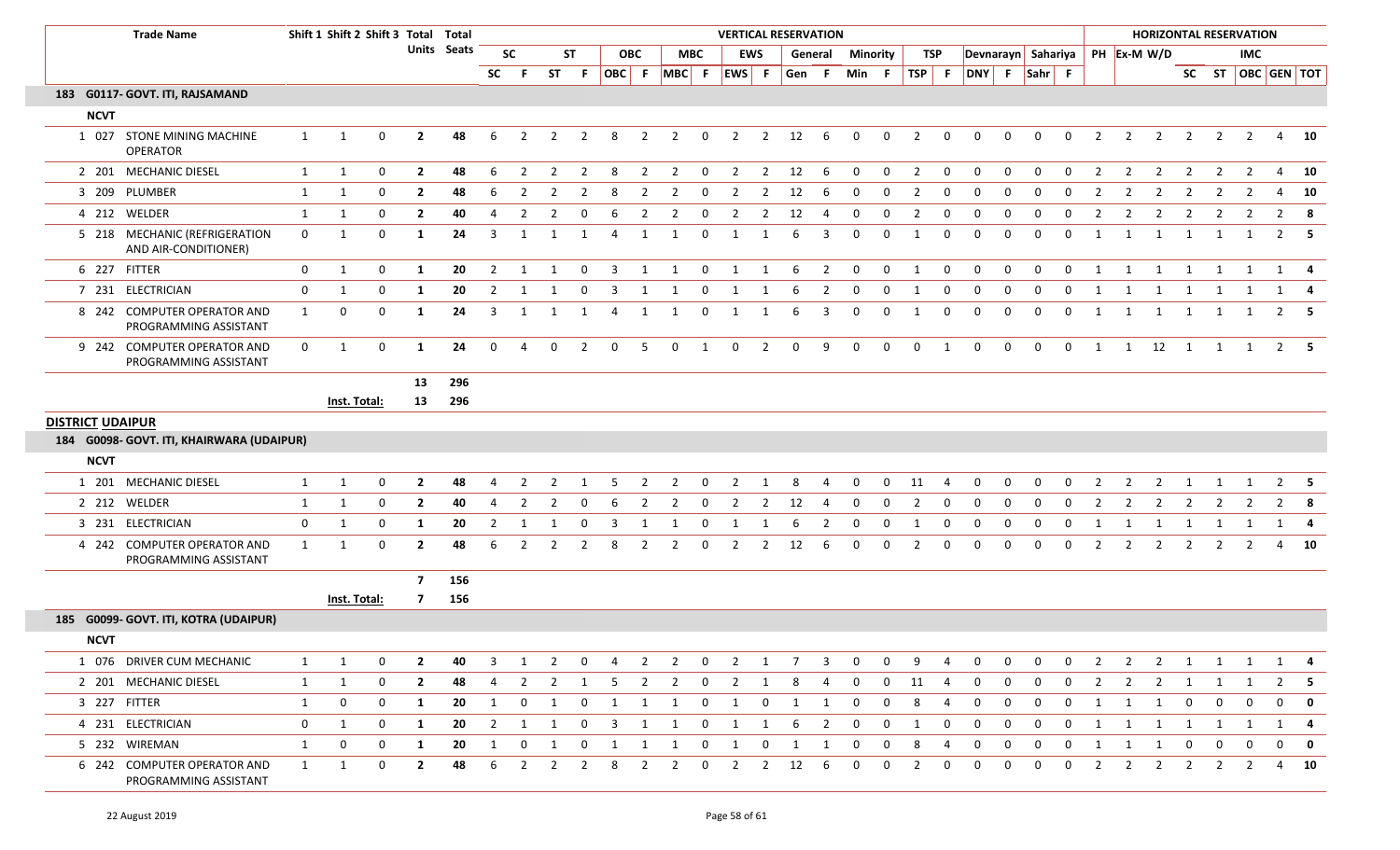|                         | <b>Trade Name</b>                                     |              | Shift 1 Shift 2 Shift 3 Total Total |             |                |                    |                |                |                |                |                         |                |                |                |                         |                | <b>VERTICAL RESERVATION</b> |                         |              |             |                |                  |              |             |             |              |                |                | <b>HORIZONTAL RESERVATION</b>  |                |                |                |                         |              |
|-------------------------|-------------------------------------------------------|--------------|-------------------------------------|-------------|----------------|--------------------|----------------|----------------|----------------|----------------|-------------------------|----------------|----------------|----------------|-------------------------|----------------|-----------------------------|-------------------------|--------------|-------------|----------------|------------------|--------------|-------------|-------------|--------------|----------------|----------------|--------------------------------|----------------|----------------|----------------|-------------------------|--------------|
|                         |                                                       |              |                                     |             |                | <b>Units</b> Seats |                | <b>SC</b>      |                | <b>ST</b>      |                         | <b>OBC</b>     | <b>MBC</b>     |                |                         | <b>EWS</b>     |                             | General                 | Minority     |             | <b>TSP</b>     |                  |              |             |             |              |                |                | Devnarayn Sahariya PH Ex-M W/D |                |                | IMC            |                         |              |
|                         |                                                       |              |                                     |             |                |                    | SC             | F.             | <b>ST</b>      | -F             |                         |                | OBC F MBC F    |                | EWS F                   |                | Gen F                       |                         | Min F        |             | $TSP$ F        |                  | DNY F Sahr F |             |             |              |                |                |                                |                |                |                | SC ST   OBC   GEN   TOT |              |
|                         | 183 G0117- GOVT. ITI, RAJSAMAND                       |              |                                     |             |                |                    |                |                |                |                |                         |                |                |                |                         |                |                             |                         |              |             |                |                  |              |             |             |              |                |                |                                |                |                |                |                         |              |
| <b>NCVT</b>             |                                                       |              |                                     |             |                |                    |                |                |                |                |                         |                |                |                |                         |                |                             |                         |              |             |                |                  |              |             |             |              |                |                |                                |                |                |                |                         |              |
|                         | 1 027 STONE MINING MACHINE<br><b>OPERATOR</b>         | 1            | 1                                   | $\mathbf 0$ | $\overline{2}$ | 48                 | 6              | $\overline{2}$ | $\overline{2}$ | $\overline{2}$ | 8                       | $\overline{2}$ | $\overline{2}$ | $\mathbf{0}$   | $\overline{2}$          | $\overline{2}$ | 12                          | 6                       | $\mathbf 0$  | $\mathbf 0$ | $\overline{2}$ | $\mathbf 0$      | $\mathbf 0$  | $\mathbf 0$ | $\mathbf 0$ | $\mathbf 0$  | $\overline{2}$ | $\overline{2}$ | $\overline{2}$                 | $\overline{2}$ | $\overline{2}$ | $\overline{2}$ |                         | 4 10         |
|                         | 2 201 MECHANIC DIESEL                                 | 1            | 1                                   | $\mathbf 0$ | $\overline{2}$ | 48                 | 6              | $\overline{2}$ | $\overline{2}$ | $\overline{2}$ | 8                       | $\overline{2}$ | $\overline{2}$ | $\overline{0}$ | $\overline{2}$          | $\overline{2}$ | 12                          | 6                       | $\mathbf{0}$ | $\mathbf 0$ | $\overline{2}$ | $\mathbf 0$      | $\mathbf 0$  | $\mathbf 0$ | $\mathbf 0$ | $\mathbf 0$  | 2              | $\overline{2}$ | $\overline{2}$                 | 2              | $\overline{2}$ | 2              |                         | 4 10         |
|                         | 3 209 PLUMBER                                         | 1            | 1                                   | $\mathbf 0$ | $\overline{2}$ | 48                 | 6              | 2              | 2              | $\overline{2}$ | 8                       | 2              | $\overline{2}$ | $\mathbf 0$    | $\overline{2}$          | $\overline{2}$ | 12                          | 6                       | 0            | $\mathbf 0$ | $\overline{2}$ | $\mathbf{0}$     | $\mathbf 0$  | 0           | $\Omega$    | 0            | 2              | $\overline{2}$ | $\overline{2}$                 | $\overline{2}$ | $\overline{2}$ | $\overline{2}$ |                         | 4 10         |
|                         | 4 212 WELDER                                          | 1            | $\mathbf{1}$                        | $\mathbf 0$ | $\overline{2}$ | 40                 | 4              | 2              | 2              | $\mathbf 0$    | 6                       | 2              | $\overline{2}$ | 0              | $\overline{2}$          | $\overline{2}$ | 12                          | 4                       | 0            | 0           | $\overline{2}$ | 0                | $\mathbf 0$  | 0           | 0           | 0            | 2              | 2              | $\overline{2}$                 | $\overline{2}$ | $\overline{2}$ | 2              |                         | $2 \times 8$ |
|                         | 5 218 MECHANIC (REFRIGERATION<br>AND AIR-CONDITIONER) | $\mathbf 0$  | 1                                   | $\mathbf 0$ | 1              | 24                 | 3              | 1              | 1              | 1              | 4                       | 1              | 1              | 0              | 1                       | 1              | 6                           | 3                       | $\mathbf{0}$ | $\Omega$    | $\mathbf{1}$   | $\mathbf 0$      | $\mathbf 0$  | $\mathbf 0$ | $\Omega$    | 0            | 1              | 1              | 1                              | 1              | 1              | 1              |                         | $2 \quad 5$  |
|                         | 6 227 FITTER                                          | $\mathbf{0}$ | $\mathbf{1}$                        | $\mathbf 0$ | 1              | 20                 | $\overline{2}$ | 1              | 1              | $\mathbf 0$    | $\overline{\mathbf{3}}$ | 1              | 1              | $\mathbf 0$    | $\overline{\mathbf{1}}$ | 1              | 6                           | $\overline{\mathbf{2}}$ | $\mathbf 0$  | $\mathbf 0$ | 1              | $\mathbf 0$      | $\mathbf 0$  | $\mathbf 0$ | $\mathbf 0$ | $\mathbf 0$  | $\overline{1}$ | $\overline{1}$ | $\overline{1}$                 | $\overline{1}$ | 1              | 1              | $1 \quad 4$             |              |
|                         | 7 231 ELECTRICIAN                                     | $\mathbf 0$  | $\mathbf{1}$                        | $\mathbf 0$ | 1              | 20                 | 2              | $\mathbf{1}$   |                | 0              | 3                       |                |                | 0              | 1                       | 1              | 6                           | $\overline{2}$          | 0            | $\Omega$    |                | 0                | 0            | $\mathbf 0$ | 0           | $\mathbf 0$  | $\mathbf{1}$   | 1              | -1                             | 1              |                |                |                         |              |
|                         | 8 242 COMPUTER OPERATOR AND<br>PROGRAMMING ASSISTANT  | 1            | $\mathbf 0$                         | $\mathbf 0$ | 1              | 24                 | 3              | 1              | 1              | 1              | $\overline{4}$          | 1              | 1              | $\mathbf 0$    | $\mathbf{1}$            | 1              | 6                           | 3                       | $\mathbf{0}$ | $\mathbf 0$ | 1              | $\boldsymbol{0}$ | $\mathbf 0$  | $\mathbf 0$ | $\mathbf 0$ | $\mathbf 0$  | 1              | 1              | 1                              | $\overline{1}$ | $\mathbf{1}$   | 1              |                         | $2 \quad 5$  |
|                         | 9 242 COMPUTER OPERATOR AND<br>PROGRAMMING ASSISTANT  | $\mathbf{0}$ | 1                                   | $\mathbf 0$ | 1              | 24                 | $\mathbf{0}$   | 4              | 0              | $\overline{2}$ | $\mathbf 0$             | 5              | $\mathbf{0}$   | 1              | $\mathbf 0$             | $\overline{2}$ | $\mathbf 0$                 | 9                       | $\mathbf 0$  | $\mathbf 0$ | $\mathbf 0$    | $\overline{1}$   | $\mathbf 0$  | $\mathbf 0$ | $\mathbf 0$ | $\mathbf{0}$ | $\mathbf{1}$   |                | 1 12 1                         |                |                | 1 1            |                         | $2 \quad 5$  |
|                         |                                                       |              |                                     |             | 13             | 296                |                |                |                |                |                         |                |                |                |                         |                |                             |                         |              |             |                |                  |              |             |             |              |                |                |                                |                |                |                |                         |              |
|                         |                                                       |              | Inst. Total:                        |             | 13             | 296                |                |                |                |                |                         |                |                |                |                         |                |                             |                         |              |             |                |                  |              |             |             |              |                |                |                                |                |                |                |                         |              |
| <b>DISTRICT UDAIPUR</b> |                                                       |              |                                     |             |                |                    |                |                |                |                |                         |                |                |                |                         |                |                             |                         |              |             |                |                  |              |             |             |              |                |                |                                |                |                |                |                         |              |
|                         | 184 G0098- GOVT. ITI, KHAIRWARA (UDAIPUR)             |              |                                     |             |                |                    |                |                |                |                |                         |                |                |                |                         |                |                             |                         |              |             |                |                  |              |             |             |              |                |                |                                |                |                |                |                         |              |
| <b>NCVT</b>             |                                                       |              |                                     |             |                |                    |                |                |                |                |                         |                |                |                |                         |                |                             |                         |              |             |                |                  |              |             |             |              |                |                |                                |                |                |                |                         |              |
|                         | 1 201 MECHANIC DIESEL                                 | $\mathbf{1}$ | 1                                   | $\mathbf 0$ | $\overline{2}$ | 48                 | 4              | $\overline{2}$ | 2              |                | 5                       | 2              | 2              | 0              | 2                       | 1              | 8                           | 4                       | $\mathbf 0$  | $\mathbf 0$ | 11             | 4                | 0            | 0           | 0           | 0            |                | 2              | 2                              |                |                |                | $\overline{2}$          | -5           |
|                         | 2 212 WELDER                                          | $\mathbf{1}$ | $\mathbf{1}$                        | $\mathbf 0$ | $\overline{2}$ | 40                 | 4              | $\overline{2}$ | $\overline{2}$ | 0              | 6                       | $\overline{2}$ | $\overline{2}$ | 0              | $\overline{2}$          | $\overline{2}$ | 12                          | 4                       | 0            | $\mathbf 0$ | $\overline{2}$ | $\mathbf 0$      | 0            | 0           | 0           | 0            | $\overline{2}$ | $\overline{2}$ | 2                              | 2              | $\overline{2}$ | 2              |                         | $2 \times 8$ |
|                         | 3 231 ELECTRICIAN                                     | $\mathbf 0$  | $\mathbf{1}$                        | $\mathbf 0$ | 1              | 20                 | 2              |                |                |                |                         |                |                | $\overline{0}$ |                         |                |                             |                         | 0            | $\Omega$    |                | 0                | 0            | $\mathbf 0$ | $\Omega$    | 0            | $\lceil$       |                |                                |                |                |                |                         |              |
|                         | 4 242 COMPUTER OPERATOR AND<br>PROGRAMMING ASSISTANT  | $\mathbf{1}$ | 1                                   | $\mathbf 0$ | $\mathbf{2}$   | 48                 | 6              | $\overline{2}$ | $\overline{2}$ | $\overline{2}$ | 8                       | $\overline{2}$ | $\overline{2}$ | $\mathbf 0$    | $\overline{2}$          | $\overline{2}$ | 12                          | 6                       | 0            | $\mathbf 0$ | 2              | $\mathbf 0$      | $\mathbf 0$  | $\mathbf 0$ | $\mathbf 0$ | $\mathbf 0$  | $\overline{2}$ | 2              | $\overline{2}$                 | $\overline{2}$ | $\overline{2}$ | $\overline{2}$ |                         | 4 10         |
|                         |                                                       |              |                                     |             | $\overline{7}$ | 156                |                |                |                |                |                         |                |                |                |                         |                |                             |                         |              |             |                |                  |              |             |             |              |                |                |                                |                |                |                |                         |              |
|                         |                                                       |              | <b>Inst. Total:</b>                 |             | 7              | 156                |                |                |                |                |                         |                |                |                |                         |                |                             |                         |              |             |                |                  |              |             |             |              |                |                |                                |                |                |                |                         |              |
|                         | 185 G0099- GOVT. ITI, KOTRA (UDAIPUR)                 |              |                                     |             |                |                    |                |                |                |                |                         |                |                |                |                         |                |                             |                         |              |             |                |                  |              |             |             |              |                |                |                                |                |                |                |                         |              |
| <b>NCVT</b>             |                                                       |              |                                     |             |                |                    |                |                |                |                |                         |                |                |                |                         |                |                             |                         |              |             |                |                  |              |             |             |              |                |                |                                |                |                |                |                         |              |
|                         | 1 076 DRIVER CUM MECHANIC                             | 1            | 1                                   | $\mathbf 0$ | $\mathbf{2}$   | 40                 | 3              | 1              | $\overline{2}$ | $\mathbf{0}$   | $\overline{4}$          | $\overline{2}$ | $\overline{2}$ | $\overline{0}$ | $2 \quad 1$             |                | $\overline{7}$              | $\overline{3}$          | $\mathbf 0$  | $\mathbf 0$ | 9              | 4                | 0            | 0           | 0           | 0            | $\overline{2}$ | $\overline{2}$ |                                | $2 \quad 1$    | $\overline{1}$ | 1              |                         | $1 \quad 4$  |
|                         | 2 201 MECHANIC DIESEL                                 | $\mathbf{1}$ | 1                                   | 0           | $\overline{2}$ | 48                 | 4              | $\overline{2}$ | $\overline{2}$ | 1              | 5                       | $\overline{2}$ | $\overline{2}$ | $\mathbf{0}$   | $\overline{2}$          | 1              | 8                           | 4                       | $\mathbf{0}$ | $\mathbf 0$ | 11             | $\overline{4}$   | 0            | 0           | 0           | 0            | $\mathbf{2}$   | $\overline{2}$ | $\overline{2}$                 | $\overline{1}$ | 1              |                | $2^{\circ}$             | -5           |
|                         | 3 227 FITTER                                          | $\mathbf{1}$ | $\boldsymbol{0}$                    | 0           | 1              | 20                 | 1              | $\mathbf{0}$   | 1              |                | $0 \quad 1 \quad 1$     |                | $\overline{1}$ | $\overline{0}$ | $\overline{1}$          | $\mathbf{0}$   | $\overline{1}$              | $\overline{\mathbf{1}}$ | $\mathbf{0}$ | $\mathbf 0$ | 8              | $\overline{4}$   | $\mathbf{0}$ | $\mathbf 0$ | 0           | $\mathbf 0$  | 1              | $\overline{1}$ | $\mathbf{1}$                   | $\overline{0}$ | $\mathbf{0}$   | $\mathbf 0$    |                         | $0$ 0        |
|                         | 4 231 ELECTRICIAN                                     | $\mathbf{0}$ | $\mathbf{1}$                        | 0           | 1              | 20                 | $\overline{2}$ | 1              | 1              | $\mathbf{0}$   | $\overline{3}$          | 1              | 1              | $\mathbf{0}$   | $\mathbf{1}$            | 1              | 6                           | $\overline{2}$          | $\mathbf 0$  | 0           | 1              | $\mathbf 0$      | $\mathbf 0$  | $\mathbf 0$ | 0           | $\mathbf 0$  | 1              | 1              | 1                              | 1              | 1              | 1              | 1                       | -4           |
|                         | 5 232 WIREMAN                                         | 1            | 0                                   | $\mathbf 0$ | 1              | 20                 | 1              | $\mathbf 0$    | 1              | $\mathbf{0}$   | $\mathbf{1}$            | $\mathbf{1}$   | 1              | 0              | 1                       | $\mathbf 0$    | 1                           | 1                       | 0            | 0           | 8              | 4                | $\mathbf 0$  | 0           | 0           | 0            | 1              | $\mathbf{1}$   | $\mathbf{1}$                   | $\mathbf 0$    | $\mathbf{0}$   | 0              |                         | $0 \quad 0$  |
|                         | 6 242 COMPUTER OPERATOR AND<br>PROGRAMMING ASSISTANT  | 1            | 1                                   | 0           | $\overline{2}$ | 48                 | 6              | 2              | 2              | 2              | 8                       | 2              | $\overline{2}$ | $\mathbf{0}$   | $\overline{2}$          | $\overline{2}$ | 12                          | 6                       | $\mathbf{0}$ | $\Omega$    | 2              | $\mathbf{0}$     | $\mathbf{0}$ | 0           | 0           | 0            | 2              | 2              | 2                              | 2              | $\overline{2}$ | $\overline{2}$ |                         | 4 10         |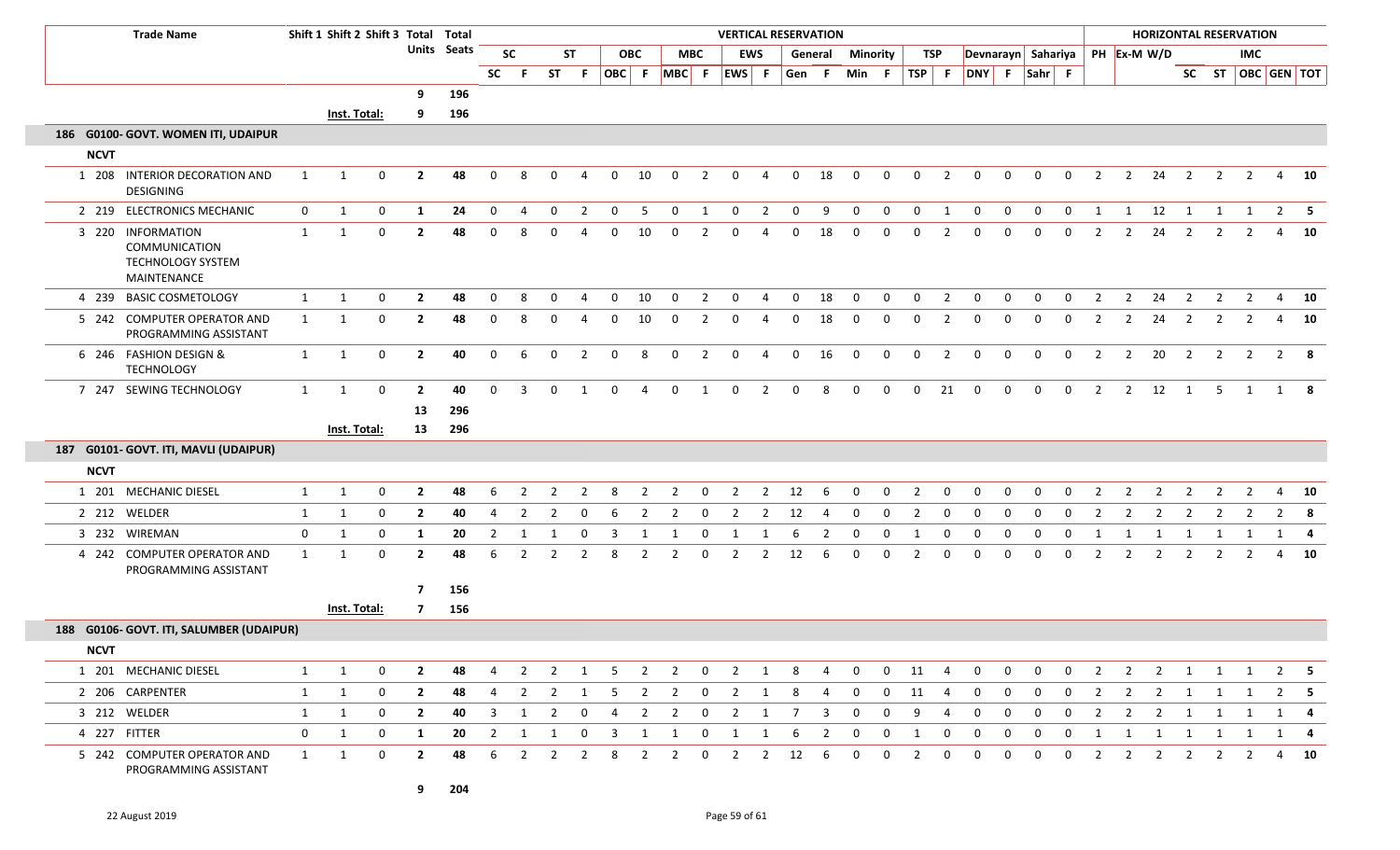| <b>Trade Name</b>       |                                                          | Shift 1 Shift 2 Shift 3 Total Total |              |                    |                         |           | <b>VERTICAL RESERVATION</b> |                |                |                |              |                         |                |                |                |                |                |                 |              |                  |                |                    |              |                |             |                | <b>HORIZONTAL RESERVATION</b><br><b>IMC</b><br>SC ST   OBC   GEN   TOT |                         |                         |                         |                |                |                |             |  |
|-------------------------|----------------------------------------------------------|-------------------------------------|--------------|--------------------|-------------------------|-----------|-----------------------------|----------------|----------------|----------------|--------------|-------------------------|----------------|----------------|----------------|----------------|----------------|-----------------|--------------|------------------|----------------|--------------------|--------------|----------------|-------------|----------------|------------------------------------------------------------------------|-------------------------|-------------------------|-------------------------|----------------|----------------|----------------|-------------|--|
|                         |                                                          |                                     |              | <b>Units</b> Seats |                         | <b>SC</b> |                             | <b>ST</b>      |                | <b>OBC</b>     |              |                         | <b>MBC</b>     | <b>EWS</b>     |                | General        |                | <b>Minority</b> |              | TSP              |                | Devnarayn Sahariya |              |                |             |                | PH Ex-M W/D                                                            |                         |                         |                         |                |                |                |             |  |
|                         |                                                          |                                     |              |                    |                         |           | SC.                         | - F            | <b>ST</b>      | - F            | OBC F        |                         | $MBC$ F        |                | EWS F          |                | Gen            | -F              | Min          | -F.              | TSP F          |                    | DNY F Sahr F |                |             |                |                                                                        |                         |                         |                         |                |                |                |             |  |
|                         |                                                          |                                     |              |                    | 9                       | 196       |                             |                |                |                |              |                         |                |                |                |                |                |                 |              |                  |                |                    |              |                |             |                |                                                                        |                         |                         |                         |                |                |                |             |  |
|                         |                                                          |                                     | Inst. Total: |                    | 9                       | 196       |                             |                |                |                |              |                         |                |                |                |                |                |                 |              |                  |                |                    |              |                |             |                |                                                                        |                         |                         |                         |                |                |                |             |  |
|                         | 186 G0100- GOVT. WOMEN ITI, UDAIPUR                      |                                     |              |                    |                         |           |                             |                |                |                |              |                         |                |                |                |                |                |                 |              |                  |                |                    |              |                |             |                |                                                                        |                         |                         |                         |                |                |                |             |  |
| <b>NCVT</b>             |                                                          |                                     |              |                    |                         |           |                             |                |                |                |              |                         |                |                |                |                |                |                 |              |                  |                |                    |              |                |             |                |                                                                        |                         |                         |                         |                |                |                |             |  |
| DESIGNING               | 1 208 INTERIOR DECORATION AND                            | 1                                   | $\mathbf 1$  | $\Omega$           | $\overline{2}$          | 48        | $\Omega$                    | 8              | $\Omega$       | 4              | 0            | 10                      | $\mathbf{0}$   | 2              | $\Omega$       | 4              | $\mathbf 0$    | 18              | $\Omega$     | $\mathbf 0$      | $\mathbf{0}$   | $\overline{2}$     | 0            | $\mathbf 0$    | $\mathbf 0$ | $\mathbf 0$    | $\overline{2}$                                                         | $\overline{2}$          | 24                      | $\overline{2}$          | $\overline{2}$ | $\overline{2}$ | 4              | - 10        |  |
|                         | 2 219 ELECTRONICS MECHANIC                               | $\mathbf 0$                         | $\mathbf{1}$ | $\mathbf 0$        | 1                       | 24        | $\mathbf 0$                 | 4              | $\mathbf{0}$   | $\overline{2}$ | $\mathbf{0}$ | 5                       | $\overline{0}$ | $\overline{1}$ | $\overline{0}$ | $\overline{2}$ | $\overline{0}$ | 9               | $\mathbf{0}$ | $\boldsymbol{0}$ | $\overline{0}$ | 1                  | $\mathbf{0}$ | $\mathbf 0$    | $\mathbf 0$ | $\mathbf{0}$   | $\mathbf{1}$                                                           | $\overline{\mathbf{1}}$ | 12                      | $\overline{1}$          |                | $1 \quad 1$    | $2 \quad 5$    |             |  |
| 3 220 INFORMATION       | <b>COMMUNICATION</b><br>TECHNOLOGY SYSTEM<br>MAINTENANCE | 1                                   | 1            | $\Omega$           | $\overline{2}$          | 48        | $\Omega$                    | 8              |                |                | $\Omega$     | 10                      | $\Omega$       | 2              | $\Omega$       | $\Delta$       | $\Omega$       | 18              | $\Omega$     | $\mathbf 0$      | $\Omega$       | 2                  | $\Omega$     | 0              | 0           | $\mathbf 0$    | $\overline{2}$                                                         | $\overline{2}$          | 24                      | $\overline{2}$          | 2              | 2              | 4              | 10          |  |
| 4 239 BASIC COSMETOLOGY |                                                          | 1                                   | 1            | 0                  | $\overline{2}$          | 48        | $\mathbf 0$                 | 8              | $\Omega$       | 4              | 0            | 10                      | $\mathbf 0$    | $\overline{2}$ | $\mathbf 0$    | 4              | $\mathbf 0$    | 18              | $\mathbf 0$  | $\mathbf 0$      | $\mathbf 0$    | $\overline{2}$     | $\mathbf 0$  | $\mathbf 0$    | $\mathbf 0$ | $\mathbf 0$    | $\overline{2}$                                                         | $\overline{2}$          | 24                      | $\overline{2}$          | $\overline{2}$ | $\overline{2}$ | $\overline{4}$ | 10          |  |
|                         | 5 242 COMPUTER OPERATOR AND<br>PROGRAMMING ASSISTANT     | $\mathbf{1}$                        | 1            | $\mathbf{0}$       | $\overline{2}$          | 48        | $\Omega$                    | 8              | 0              | 4              | 0            | 10                      | 0              | 2              | 0              | 4              | $\mathbf 0$    | 18              | $\Omega$     | $\mathbf 0$      | $\mathbf{0}$   | $\overline{2}$     | 0            | 0              | 0           | 0              | $\overline{2}$                                                         | $\overline{2}$          | 24                      | $\overline{2}$          | $\overline{2}$ | $\overline{2}$ | 4              | 10          |  |
| 6 246 FASHION DESIGN &  | <b>TECHNOLOGY</b>                                        | $\mathbf{1}$                        | 1            | $\mathbf 0$        | $\mathbf{2}$            | 40        | $\mathbf 0$                 | 6              | $\mathbf 0$    | $\overline{2}$ | $\mathbf 0$  | 8                       | $\mathbf 0$    | $\overline{2}$ | $\mathbf 0$    | $\overline{4}$ | $\mathbf 0$    | 16              | $\mathbf 0$  | $\mathbf 0$      | $\mathbf 0$    | $\overline{2}$     | $\mathbf 0$  | $\overline{0}$ | $\mathbf 0$ | $\mathbf 0$    | $\overline{2}$                                                         | $\overline{2}$          | 20                      | $\overline{2}$          | $\overline{2}$ | $\overline{2}$ | $2 \times 8$   |             |  |
|                         | 7 247 SEWING TECHNOLOGY                                  | $\mathbf{1}$                        | $\mathbf{1}$ | $\mathbf 0$        | $\mathbf{2}$            | 40        | $\Omega$                    | 3              | $\Omega$       | $\mathbf{1}$   | $\Omega$     | $\overline{a}$          | $\Omega$       | $\overline{1}$ | $\Omega$       | $\overline{2}$ | $\mathbf{0}$   | 8               | $\mathbf 0$  | $\mathbf 0$      | $\mathbf{0}$   | 21                 | $\mathbf 0$  | $\overline{0}$ | $\mathbf 0$ | $\overline{0}$ | $\overline{2}$                                                         | $\overline{2}$          | 12                      | $\overline{1}$          | 5              | 1              | 1 8            |             |  |
|                         |                                                          |                                     |              |                    | 13                      | 296       |                             |                |                |                |              |                         |                |                |                |                |                |                 |              |                  |                |                    |              |                |             |                |                                                                        |                         |                         |                         |                |                |                |             |  |
|                         |                                                          |                                     | Inst. Total: |                    | 13                      | 296       |                             |                |                |                |              |                         |                |                |                |                |                |                 |              |                  |                |                    |              |                |             |                |                                                                        |                         |                         |                         |                |                |                |             |  |
|                         | 187 G0101- GOVT. ITI, MAVLI (UDAIPUR)                    |                                     |              |                    |                         |           |                             |                |                |                |              |                         |                |                |                |                |                |                 |              |                  |                |                    |              |                |             |                |                                                                        |                         |                         |                         |                |                |                |             |  |
| <b>NCVT</b>             |                                                          |                                     |              |                    |                         |           |                             |                |                |                |              |                         |                |                |                |                |                |                 |              |                  |                |                    |              |                |             |                |                                                                        |                         |                         |                         |                |                |                |             |  |
| 1 201 MECHANIC DIESEL   |                                                          | $\mathbf{1}$                        | 1            | 0                  | $\overline{2}$          | 48        | 6                           | $\overline{2}$ | 2              | 2              | 8            | 2                       | $\overline{2}$ | 0              | $\overline{2}$ | $\overline{2}$ | 12             | 6               | $\Omega$     | $\mathbf 0$      | 2              | 0                  | 0            | $\mathbf 0$    | $\mathbf 0$ | 0              | $\overline{2}$                                                         | $\overline{2}$          | $\overline{2}$          | 2                       | $\overline{2}$ | $\overline{2}$ | $\overline{4}$ | 10          |  |
| 2 212 WELDER            |                                                          | $\mathbf{1}$                        | 1            | 0                  | $\overline{2}$          | 40        | 4                           | $\overline{2}$ | $\overline{2}$ | 0              | 6            | $\overline{2}$          | $\overline{2}$ | 0              | $\overline{2}$ | $\overline{2}$ | 12             | 4               | $\mathbf 0$  | $\mathbf 0$      | $\overline{2}$ | $\mathbf 0$        | $\mathbf 0$  | $\mathbf 0$    | $\mathbf 0$ | $\mathbf 0$    | $\overline{2}$                                                         | $\overline{2}$          | $\overline{2}$          | $\overline{2}$          | $\overline{2}$ | $\overline{2}$ | $\overline{2}$ | - 8         |  |
| 3 232 WIREMAN           |                                                          | 0                                   | 1            | $\Omega$           | 1                       | 20        |                             | 1              | 1              | $\Omega$       |              | -1                      | 1              | 0              |                |                | 6              | 2               | $\Omega$     | 0                | 1              | 0                  | 0            | 0              | $\Omega$    | 0              | 1                                                                      |                         |                         |                         |                | -1             | 1              | -4          |  |
|                         | 4 242 COMPUTER OPERATOR AND<br>PROGRAMMING ASSISTANT     | $\mathbf{1}$                        | 1            | $\mathbf 0$        | $\mathbf{2}$            | 48        | 6                           | $\overline{2}$ | 2              | $\overline{2}$ | 8            | $\overline{2}$          | $\overline{2}$ | $\mathbf 0$    | $\overline{2}$ | $\overline{2}$ | 12             | 6               | $\Omega$     | $\mathbf 0$      | $\overline{2}$ | $\mathbf 0$        | $\Omega$     | $\mathbf 0$    | $\mathbf 0$ | $\mathbf 0$    | $\overline{2}$                                                         | $\overline{2}$          | $\overline{2}$          | $\overline{2}$          | $\overline{2}$ | $\overline{2}$ | 4              | 10          |  |
|                         |                                                          |                                     |              |                    | $\overline{\mathbf{z}}$ | 156       |                             |                |                |                |              |                         |                |                |                |                |                |                 |              |                  |                |                    |              |                |             |                |                                                                        |                         |                         |                         |                |                |                |             |  |
|                         |                                                          |                                     | Inst. Total: |                    | $\overline{7}$          | 156       |                             |                |                |                |              |                         |                |                |                |                |                |                 |              |                  |                |                    |              |                |             |                |                                                                        |                         |                         |                         |                |                |                |             |  |
|                         | 188 G0106- GOVT. ITI, SALUMBER (UDAIPUR)                 |                                     |              |                    |                         |           |                             |                |                |                |              |                         |                |                |                |                |                |                 |              |                  |                |                    |              |                |             |                |                                                                        |                         |                         |                         |                |                |                |             |  |
| <b>NCVT</b>             |                                                          |                                     |              |                    |                         |           |                             |                |                |                |              |                         |                |                |                |                |                |                 |              |                  |                |                    |              |                |             |                |                                                                        |                         |                         |                         |                |                |                |             |  |
| 1 201 MECHANIC DIESEL   |                                                          | 1                                   | $\mathbf{1}$ | $\mathbf 0$        | $\overline{2}$          | 48        | 4                           | 2              | $\overline{2}$ | 1              | 5            | $\overline{\mathbf{2}}$ | $\overline{2}$ | $\overline{0}$ | $\overline{2}$ | $\overline{1}$ | 8              | $\overline{4}$  | $\mathbf 0$  | $\mathbf 0$      | 11             | 4                  | $\mathbf 0$  | $\mathbf 0$    | $\mathbf 0$ | $\mathbf 0$    | $\overline{2}$                                                         | $\overline{2}$          | $\overline{\mathbf{2}}$ | $\overline{\mathbf{1}}$ | $\overline{1}$ | 1              |                | $2 \quad 5$ |  |
| 2 206 CARPENTER         |                                                          | $\mathbf{1}$                        | $\mathbf{1}$ | 0                  | $\mathbf{2}$            | 48        | 4                           | $\overline{2}$ | $\overline{2}$ | 1              | -5           | $\overline{2}$          | $\overline{2}$ | $\bf{0}$       | $\mathbf{2}$   | 1              | 8              | 4               | $\mathbf{0}$ | $\mathbf{0}$     | 11             | 4                  | 0            | 0              | 0           | 0              | $\overline{2}$                                                         | $\overline{2}$          | $\overline{2}$          | 1                       | 1              | $\mathbf{1}$   |                | $2 \quad 5$ |  |
| 3 212 WELDER            |                                                          | $\mathbf{1}$                        | $\mathbf{1}$ | 0                  | $\mathbf{2}$            | 40        | 3                           | 1              | $\overline{2}$ | 0              | 4            | $\overline{2}$          | $\overline{2}$ | $\mathbf 0$    | $\overline{2}$ | 1              | 7              | 3               | $\mathbf 0$  | $\mathbf 0$      | 9              | 4                  | 0            | 0              | 0           | 0              | $\overline{2}$                                                         | $\overline{2}$          | $\overline{2}$          | 1                       | 1              | 1              | 1              | -4          |  |
| 4 227 FITTER            |                                                          | $\mathbf 0$                         | 1            | 0                  | 1                       | 20        | $\overline{2}$              | 1              | 1              | 0              | 3            | 1                       | 1              | $\mathbf 0$    | 1              | 1              | 6              | $\overline{2}$  | 0            | 0                | 1              | 0                  | 0            | 0              | 0           | 0              | 1                                                                      | 1                       | 1                       | 1                       | 1              | 1              | 1              | -4          |  |
|                         | 5 242 COMPUTER OPERATOR AND<br>PROGRAMMING ASSISTANT     | $\mathbf{1}$                        | $\mathbf{1}$ | $\mathbf 0$        | $\overline{2}$          | 48        | 6                           | $\overline{2}$ | $\overline{2}$ | $\overline{2}$ | 8            | $\overline{2}$          | $\overline{2}$ | $\mathbf 0$    | $\overline{2}$ | $\overline{2}$ | 12             | 6               | $\mathbf{0}$ | $\mathbf 0$      | $\overline{2}$ | $\mathbf 0$        | $\mathbf 0$  | $\mathbf 0$    | $\mathbf 0$ | $\mathbf 0$    | $\overline{2}$                                                         | $\overline{2}$          | $\overline{2}$          | $\overline{2}$          | $\overline{2}$ | $\overline{2}$ | 4              | 10          |  |

I

I.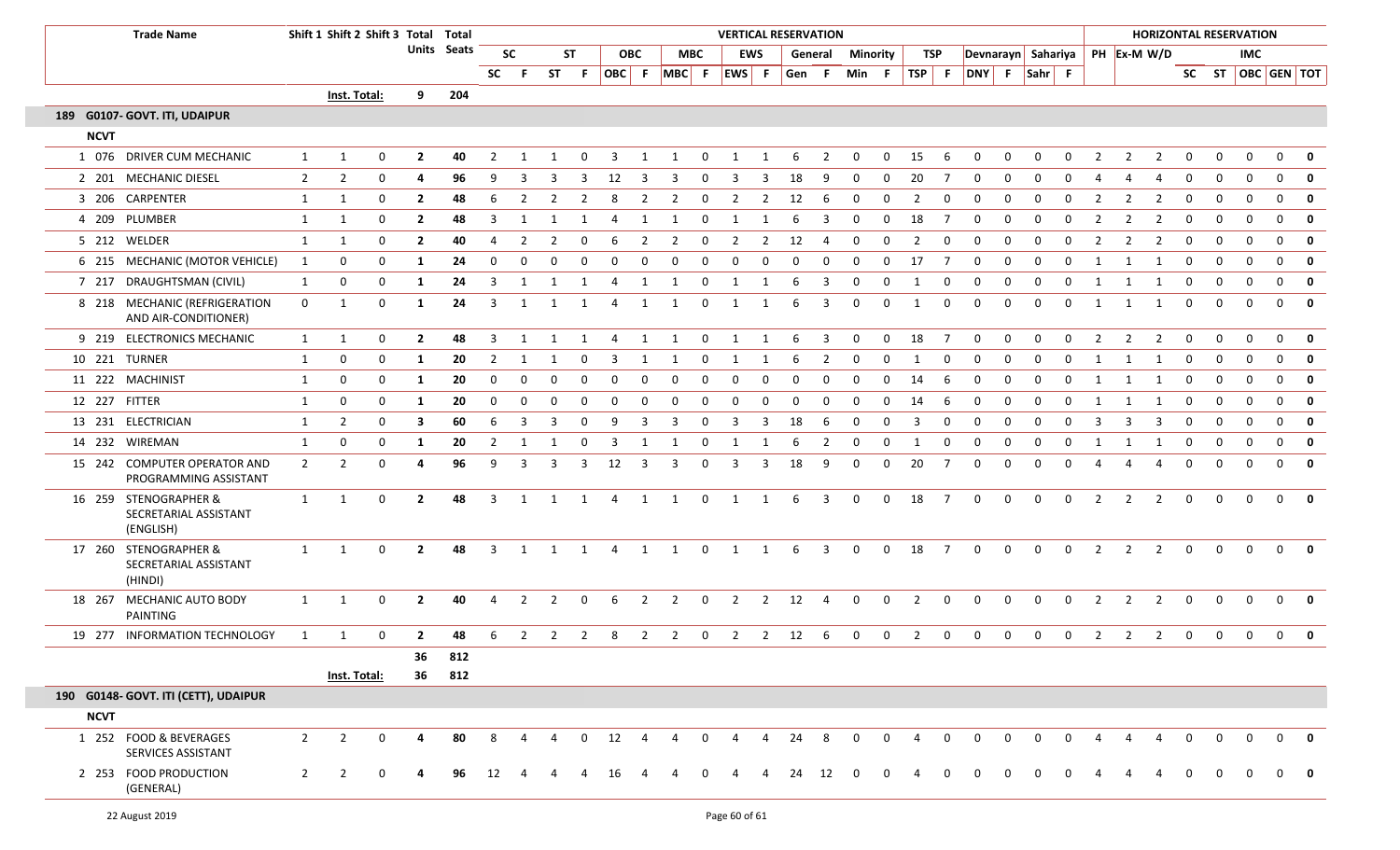| <b>Trade Name</b><br>189 G0107- GOVT. ITI, UDAIPUR                                                                                                                                                                                                                                                                                                                                                                                                                                                                                                                                                                                                                     |                                              | Shift 1 Shift 2 Shift 3 Total Total |                |                  |                |             |                |                | <b>VERTICAL RESERVATION</b><br><b>HORIZONTAL RESERVATION</b> |                |                |                |                   |                |                |                |              |                         |                |              |                |                |                    |              |              |             |                |                |                |                |              |              |                   |                         |
|------------------------------------------------------------------------------------------------------------------------------------------------------------------------------------------------------------------------------------------------------------------------------------------------------------------------------------------------------------------------------------------------------------------------------------------------------------------------------------------------------------------------------------------------------------------------------------------------------------------------------------------------------------------------|----------------------------------------------|-------------------------------------|----------------|------------------|----------------|-------------|----------------|----------------|--------------------------------------------------------------|----------------|----------------|----------------|-------------------|----------------|----------------|----------------|--------------|-------------------------|----------------|--------------|----------------|----------------|--------------------|--------------|--------------|-------------|----------------|----------------|----------------|----------------|--------------|--------------|-------------------|-------------------------|
|                                                                                                                                                                                                                                                                                                                                                                                                                                                                                                                                                                                                                                                                        |                                              |                                     |                |                  |                | Units Seats |                | <b>SC</b>      |                                                              | <b>ST</b>      |                | <b>OBC</b>     | <b>MBC</b>        |                |                | EWS            |              | General                 | Minority       |              | TSP            |                | Devnarayn Sahariya |              |              |             |                |                | PH Ex-M W/D    |                |              | IMC          |                   |                         |
|                                                                                                                                                                                                                                                                                                                                                                                                                                                                                                                                                                                                                                                                        |                                              |                                     |                |                  |                |             | <b>SC</b>      | - F            |                                                              | ST F           |                |                | OBC F MBC F EWS F |                |                |                | Gen F        |                         | Min F          |              | TSP F          |                | DNY F Sahr F       |              |              |             |                |                |                |                |              |              | SC ST OBC GEN TOT |                         |
| <b>NCVT</b><br>1 076 DRIVER CUM MECHANIC<br>2 201 MECHANIC DIESEL<br>3 206 CARPENTER<br>4 209 PLUMBER<br>5 212 WELDER<br>6 215 MECHANIC (MOTOR VEHICLE)<br>7 217 DRAUGHTSMAN (CIVIL)<br>8 218 MECHANIC (REFRIGERATION<br>AND AIR-CONDITIONER)<br>9 219 ELECTRONICS MECHANIC<br>10 221 TURNER<br>11 222 MACHINIST<br>12 227 FITTER<br>13 231 ELECTRICIAN<br>14 232 WIREMAN<br>15 242 COMPUTER OPERATOR AND<br>16 259 STENOGRAPHER &<br>SECRETARIAL ASSISTANT<br>(ENGLISH)<br>17 260 STENOGRAPHER &<br>SECRETARIAL ASSISTANT<br>(HINDI)<br>18 267 MECHANIC AUTO BODY<br>PAINTING<br>19 277 INFORMATION TECHNOLOGY<br>190 G0148- GOVT. ITI (CETT), UDAIPUR<br><b>NCVT</b> |                                              |                                     | Inst. Total:   |                  | 9              | 204         |                |                |                                                              |                |                |                |                   |                |                |                |              |                         |                |              |                |                |                    |              |              |             |                |                |                |                |              |              |                   |                         |
|                                                                                                                                                                                                                                                                                                                                                                                                                                                                                                                                                                                                                                                                        |                                              |                                     |                |                  |                |             |                |                |                                                              |                |                |                |                   |                |                |                |              |                         |                |              |                |                |                    |              |              |             |                |                |                |                |              |              |                   |                         |
|                                                                                                                                                                                                                                                                                                                                                                                                                                                                                                                                                                                                                                                                        |                                              |                                     |                |                  |                |             |                |                |                                                              |                |                |                |                   |                |                |                |              |                         |                |              |                |                |                    |              |              |             |                |                |                |                |              |              |                   |                         |
|                                                                                                                                                                                                                                                                                                                                                                                                                                                                                                                                                                                                                                                                        |                                              | 1                                   | 1              | 0                | $\overline{2}$ | 40          | 2              | -1             | 1                                                            | 0              | 3              | 1              | 1                 | 0              | 1              | 1              | 6            | $\overline{2}$          | $\mathbf{0}$   | $\Omega$     | 15             | 6              | $\mathbf 0$        | $\mathbf 0$  | 0            | 0           | $\overline{2}$ | $\overline{2}$ | $\overline{2}$ | 0              | $\mathbf{0}$ | $\mathbf 0$  | $\mathbf{0}$      | 0                       |
|                                                                                                                                                                                                                                                                                                                                                                                                                                                                                                                                                                                                                                                                        |                                              | $\overline{2}$                      | $\overline{2}$ | 0                | 4              | 96          | 9              | 3              | 3                                                            | 3              | 12             | 3              | 3                 | 0              | 3              | 3              | 18           | q                       | $\Omega$       | $\Omega$     | 20             | -7             | $\Omega$           | 0            |              | $\Omega$    |                |                |                | $\mathbf 0$    | $\Omega$     | $\Omega$     | $\mathbf{0}$      | $\mathbf 0$             |
|                                                                                                                                                                                                                                                                                                                                                                                                                                                                                                                                                                                                                                                                        |                                              | $\mathbf{1}$                        | 1              | 0                | $\mathbf{2}$   | 48          | 6              | 2              | $\overline{2}$                                               | $\overline{2}$ | 8              | 2              | 2                 | $\overline{0}$ | $\overline{2}$ | $\overline{2}$ | 12           | 6                       | $\mathbf{0}$   | 0            | $\overline{2}$ | $\mathbf{0}$   | $\mathbf 0$        | 0            | 0            | 0           | 2              | 2              | 2              | 0              | 0            | 0            | 0                 | $\mathbf 0$             |
|                                                                                                                                                                                                                                                                                                                                                                                                                                                                                                                                                                                                                                                                        |                                              | $\mathbf{1}$                        | 1              | 0                | $\mathbf{2}$   | 48          | 3              |                |                                                              |                | 4              |                |                   | 0              |                |                | 6            | 3                       | $\Omega$       | $\Omega$     | 18             | -7             | $\Omega$           | 0            |              | $\Omega$    |                |                | 2              | 0              | 0            | 0            | $\Omega$          | $\mathbf 0$             |
|                                                                                                                                                                                                                                                                                                                                                                                                                                                                                                                                                                                                                                                                        |                                              | 1                                   | 1              | 0                | $\overline{2}$ | 40          |                | $\overline{2}$ | 2                                                            | $\Omega$       | 6              | $\overline{2}$ | 2                 | 0              | $\overline{2}$ | $\overline{2}$ | 12           | 4                       | $\Omega$       | $\Omega$     | $\overline{2}$ | $\Omega$       | $\Omega$           | 0            | $\Omega$     | $\Omega$    |                | 2              | 2              | $\mathbf 0$    | $\mathbf{0}$ | $\mathbf{0}$ | $\mathbf{0}$      | $\mathbf 0$             |
|                                                                                                                                                                                                                                                                                                                                                                                                                                                                                                                                                                                                                                                                        |                                              | 1                                   | 0              | 0                | 1              | 24          | $\Omega$       | $\Omega$       |                                                              | $\Omega$       | 0              | $\Omega$       | $\Omega$          | $\mathbf 0$    | $\mathbf 0$    | 0              | 0            | $\mathbf 0$             | 0              | $\Omega$     | 17             | 7              | $\mathbf{0}$       | 0            | $\Omega$     | 0           |                |                | $\mathbf{1}$   | 0              | $\mathbf 0$  | $\Omega$     | $\mathbf{0}$      | $\mathbf 0$             |
|                                                                                                                                                                                                                                                                                                                                                                                                                                                                                                                                                                                                                                                                        |                                              | $\mathbf{1}$                        | 0              | 0                | 1              | 24          | 3              | 1              | 1                                                            | 1              | -4             | 1              | 1                 | $\mathbf 0$    | 1              | 1              | 6            | 3                       | $\mathbf 0$    | $\mathbf 0$  | 1              | $\mathbf 0$    | $\mathbf 0$        | 0            | $\mathbf{0}$ | $\mathbf 0$ | 1              | 1              | 1              | 0              | $\mathbf 0$  | 0            | $\mathbf{0}$      | $\mathbf 0$             |
|                                                                                                                                                                                                                                                                                                                                                                                                                                                                                                                                                                                                                                                                        |                                              | $\mathbf{0}$                        | 1              | 0                | -1             | 24          | 3              | 1              | 1                                                            | -1             | 4              | 1              | 1                 | 0              | 1              | 1              | 6            | 3                       | $\mathbf{0}$   | $\Omega$     | 1              | 0              | $\mathbf{0}$       | 0            | $\Omega$     | 0           | 1              | 1              | 1              | $\mathbf 0$    | $\mathbf 0$  | $\Omega$     | $\Omega$          | $\mathbf 0$             |
|                                                                                                                                                                                                                                                                                                                                                                                                                                                                                                                                                                                                                                                                        |                                              | 1                                   | 1              | 0                | $\overline{2}$ | 48          | $\overline{3}$ | 1              | 1                                                            | 1              | 4              | 1              | 1                 | $\mathbf 0$    | $\mathbf{1}$   | 1              | 6            | -3                      | $\overline{0}$ | $\Omega$     | 18             | $\overline{7}$ | $\mathbf{0}$       | $\Omega$     | $\Omega$     | $\Omega$    | 2              | 2              | $\overline{2}$ | $\mathbf{0}$   | $\mathbf 0$  | $\mathbf{0}$ | $0$ 0             |                         |
|                                                                                                                                                                                                                                                                                                                                                                                                                                                                                                                                                                                                                                                                        |                                              | 1                                   | 0              | $\mathbf 0$      | -1             | 20          | 2              | -1             |                                                              | 0              | 3              | -1             |                   | 0              | -1             | -1             | 6            | 2                       | $\Omega$       | $\Omega$     |                | $\mathbf 0$    | $\Omega$           | 0            | $\Omega$     | $\Omega$    | -1             | 1              | - 1            | $\mathbf{0}$   | $\mathbf 0$  | $\Omega$     | $\mathbf{0}$      | $\mathbf 0$             |
|                                                                                                                                                                                                                                                                                                                                                                                                                                                                                                                                                                                                                                                                        |                                              | 1                                   | 0              | 0                | 1              | 20          | $\mathbf{0}$   | $\mathbf{0}$   | $\mathbf{0}$                                                 | $\mathbf{0}$   | $\mathbf{0}$   | 0              | 0                 | $\overline{0}$ | $\mathbf 0$    | $\mathbf 0$    | $\mathbf{0}$ | $\mathbf 0$             | $\Omega$       | $\Omega$     | 14             | 6              | 0                  | $\mathbf 0$  | $\mathbf{0}$ | 0           | 1              | 1              | 1              | $\overline{0}$ | $\mathbf 0$  | $\mathbf 0$  | $0$ 0             |                         |
|                                                                                                                                                                                                                                                                                                                                                                                                                                                                                                                                                                                                                                                                        |                                              | 1                                   | 0              | $\mathbf 0$      | -1             | 20          | $\Omega$       | $\mathbf 0$    | $\Omega$                                                     | - 0            | 0              | 0              | $\Omega$          | 0              | 0              | $\mathbf{0}$   | $\Omega$     | $\Omega$                | $\Omega$       | $\Omega$     | 14             | -6             | 0                  | 0            | $\Omega$     | $\Omega$    |                |                | -1             | 0              | $\mathbf 0$  | 0            | $\mathbf{0}$      | 0                       |
|                                                                                                                                                                                                                                                                                                                                                                                                                                                                                                                                                                                                                                                                        |                                              | 1                                   | $\overline{2}$ | $\mathbf 0$      | 3              | 60          | 6              | -3             | 3                                                            | $\Omega$       | -9             | -3             | 3                 | 0              | 3              | -3             | 18           | 6                       | $\Omega$       | $\Omega$     | 3              | $\Omega$       | $\Omega$           | $\Omega$     |              | $\Omega$    | 3              | 3              | 3              | $\mathbf{0}$   | $\mathbf 0$  | $\Omega$     | $\mathbf{0}$      | $\overline{\mathbf{0}}$ |
|                                                                                                                                                                                                                                                                                                                                                                                                                                                                                                                                                                                                                                                                        |                                              | 1                                   | 0              | $\mathbf 0$      | -1             | 20          | 2              | -1             |                                                              | 0              | -3             | -1             |                   | 0              | $\mathbf{1}$   | -1             | 6            | $\overline{2}$          | $\mathbf 0$    | $\Omega$     |                | $\mathbf 0$    | $\Omega$           | 0            | $\Omega$     | $\Omega$    | -1             | -1             | -1             | 0              | $\mathbf 0$  | $\mathbf 0$  | $\mathbf{0}$      | $\mathbf 0$             |
|                                                                                                                                                                                                                                                                                                                                                                                                                                                                                                                                                                                                                                                                        | PROGRAMMING ASSISTANT                        | $\overline{2}$                      | $\overline{2}$ | $\mathbf 0$      | 4              | 96          | 9              | $\overline{3}$ | 3                                                            | $\overline{3}$ | 12             | $\overline{3}$ | 3                 | $\mathbf 0$    | 3              | $\overline{3}$ | 18           | 9                       | $\mathbf{0}$   | $\Omega$     | 20             | $\overline{7}$ | $\mathbf 0$        | $\mathbf 0$  | $\Omega$     | $\mathbf 0$ | 4              | 4              | 4              | 0              | $\mathbf 0$  | $\Omega$     | $0 \quad 0$       |                         |
|                                                                                                                                                                                                                                                                                                                                                                                                                                                                                                                                                                                                                                                                        |                                              | $\mathbf{1}$                        | $\mathbf{1}$   | $\mathbf 0$      | $\overline{2}$ | 48          | $\overline{3}$ | 1              | 1                                                            | $\overline{1}$ | $\overline{4}$ | 1              | $\mathbf{1}$      | $\mathbf 0$    | $\mathbf{1}$   | $\mathbf{1}$   | 6            | $\overline{\mathbf{3}}$ | $\mathbf 0$    | $\mathbf 0$  | 18             | $\overline{7}$ | $\mathbf 0$        | $\mathbf 0$  | $\mathbf 0$  | $\mathbf 0$ | $\overline{2}$ | $\overline{2}$ | $\overline{2}$ | $\mathbf 0$    | $\mathbf 0$  | $\mathbf 0$  | 0                 | 0                       |
|                                                                                                                                                                                                                                                                                                                                                                                                                                                                                                                                                                                                                                                                        |                                              | 1                                   | 1              | $\mathbf{0}$     | $\mathbf{2}$   | 48          | $\overline{3}$ | 1              | 1                                                            | 1              | $\overline{4}$ | 1              | 1                 | $\mathbf 0$    | $\overline{1}$ | $\mathbf{1}$   | 6            | $\overline{\mathbf{3}}$ | $\mathbf 0$    | $\mathbf 0$  | 18             | $\overline{7}$ | $\mathbf 0$        | $\mathbf 0$  | $\mathbf{0}$ | $\mathbf 0$ | $\overline{2}$ | 2              | $\overline{2}$ | $\mathbf 0$    | $\mathbf 0$  | $\Omega$     | $\mathbf{0}$      | 0                       |
|                                                                                                                                                                                                                                                                                                                                                                                                                                                                                                                                                                                                                                                                        |                                              | 1                                   | 1              | 0                | $\mathbf{2}$   | 40          | -4             | $\overline{2}$ | 2                                                            | $\mathbf 0$    | -6             | $\overline{2}$ | $\overline{2}$    | $\mathbf 0$    | $\overline{2}$ | $\overline{2}$ | 12           | 4                       | $\mathbf{0}$   | $\mathbf 0$  | $\overline{2}$ | $\mathbf 0$    | $\mathbf{0}$       | $\mathbf{0}$ | $\mathbf{0}$ | 0           | 2              | $\overline{2}$ | $\overline{2}$ | $\mathbf{0}$   | $\mathbf 0$  | $\Omega$     | $\mathbf{0}$      | 0                       |
|                                                                                                                                                                                                                                                                                                                                                                                                                                                                                                                                                                                                                                                                        |                                              | 1                                   | -1             | $\mathbf 0$      | $\mathbf{2}$   | 48          | 6              | $\overline{2}$ | $\overline{2}$                                               | $\overline{2}$ | 8              | $\overline{2}$ | $\overline{2}$    | $\mathbf 0$    | $\overline{2}$ | $\overline{2}$ | 12           | 6                       | $\mathbf{0}$   | $\Omega$     | $\overline{2}$ | $\mathbf 0$    | $\Omega$           | $\mathbf 0$  | 0            | 0           | 2              | 2              | $\overline{2}$ | $\overline{0}$ | $\Omega$     | $\Omega$     | $\mathbf{0}$      | 0                       |
|                                                                                                                                                                                                                                                                                                                                                                                                                                                                                                                                                                                                                                                                        |                                              |                                     |                |                  | 36             | 812         |                |                |                                                              |                |                |                |                   |                |                |                |              |                         |                |              |                |                |                    |              |              |             |                |                |                |                |              |              |                   |                         |
|                                                                                                                                                                                                                                                                                                                                                                                                                                                                                                                                                                                                                                                                        |                                              |                                     | Inst. Total:   |                  | 36             | 812         |                |                |                                                              |                |                |                |                   |                |                |                |              |                         |                |              |                |                |                    |              |              |             |                |                |                |                |              |              |                   |                         |
|                                                                                                                                                                                                                                                                                                                                                                                                                                                                                                                                                                                                                                                                        |                                              |                                     |                |                  |                |             |                |                |                                                              |                |                |                |                   |                |                |                |              |                         |                |              |                |                |                    |              |              |             |                |                |                |                |              |              |                   |                         |
|                                                                                                                                                                                                                                                                                                                                                                                                                                                                                                                                                                                                                                                                        |                                              |                                     |                |                  |                |             |                |                |                                                              |                |                |                |                   |                |                |                |              |                         |                |              |                |                |                    |              |              |             |                |                |                |                |              |              |                   |                         |
|                                                                                                                                                                                                                                                                                                                                                                                                                                                                                                                                                                                                                                                                        | 1 252 FOOD & BEVERAGES<br>SERVICES ASSISTANT | $2^{\circ}$                         | $\overline{2}$ | $\boldsymbol{0}$ | 4              | 80          | 8              | 4              | 4                                                            | $\mathbf 0$    | 12             | 4              | 4                 | $\overline{0}$ | 4              | $\overline{4}$ | 24           | 8                       | $\mathbf{0}$   | $\mathbf{0}$ | 4              | $\mathbf 0$    | $\overline{0}$     | $\mathbf{0}$ | $\mathbf{0}$ | $\mathbf 0$ | 4              | 4              | 4              | $\overline{0}$ | $\mathbf{0}$ | $\mathbf{0}$ | $0$ 0             |                         |
|                                                                                                                                                                                                                                                                                                                                                                                                                                                                                                                                                                                                                                                                        | 2 253 FOOD PRODUCTION<br>(GENERAL)           | $2^{\circ}$                         | $\overline{2}$ | $\mathbf{0}$     | 4              | 96          | 12             | -4             |                                                              | 4              | 16             |                | 4                 | $\mathbf 0$    | 4              | 4              | 24 12        |                         | $\mathbf{0}$   |              |                | $\mathbf 0$    | $\mathbf 0$        | 0            |              | 0           |                |                | 4              | $\mathbf 0$    | 0            | 0            | $0 \quad 0$       |                         |